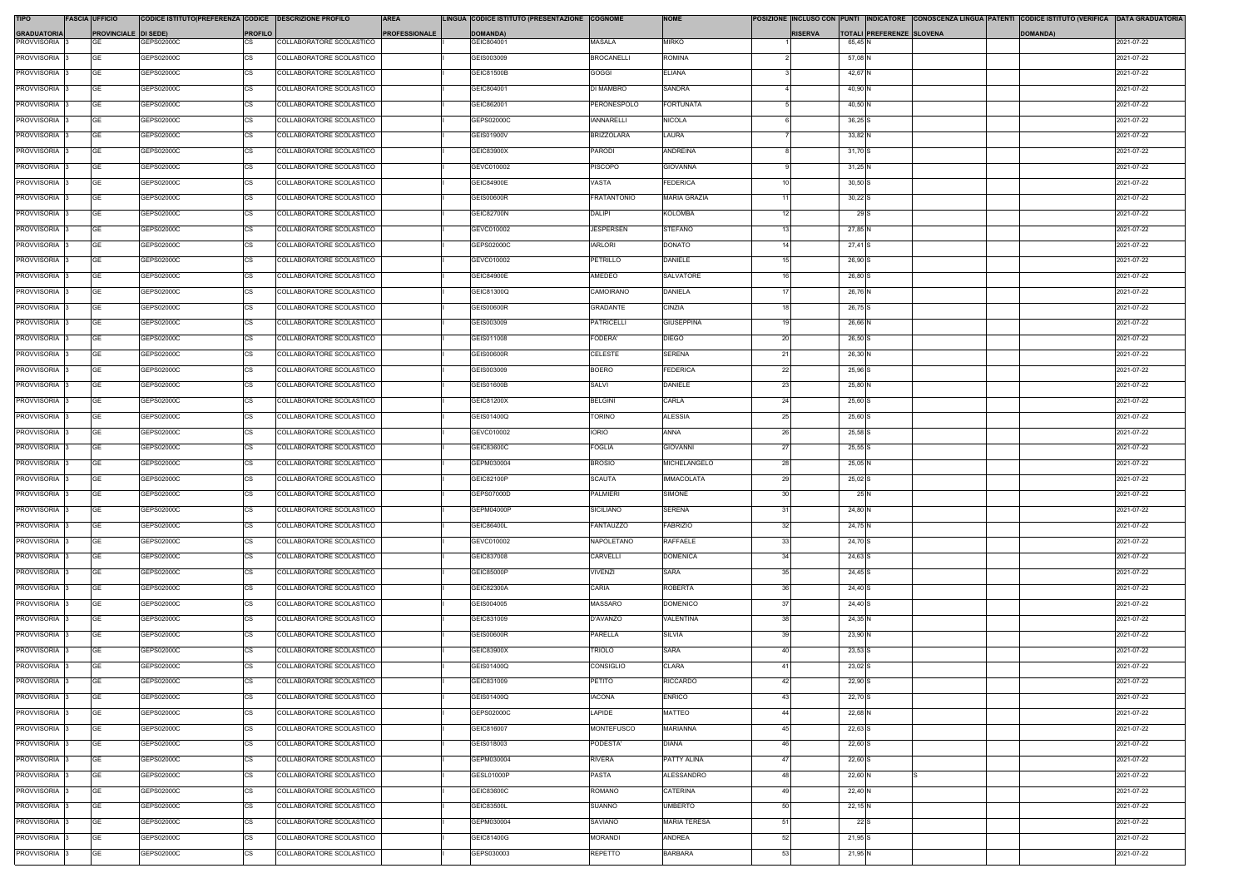| <b>TIPO</b>                              | <b>FASCIA UFFICIO</b>             | CODICE ISTITUTO(PREFERENZA CODICE DESCRIZIONE PROFILO |                      |                          | <b>AREA</b>          | LINGUA CODICE ISTITUTO (PRESENTAZIONE COGNOME |                                        | <b>NOME</b>                     |                 |                |                    |                           | POSIZIONE INCLUSO CON PUNTI INDICATORE CONOSCENZA LINGUA PATENTI CODICE ISTITUTO (VERIFICA DATA GRADUATORIA) |                          |
|------------------------------------------|-----------------------------------|-------------------------------------------------------|----------------------|--------------------------|----------------------|-----------------------------------------------|----------------------------------------|---------------------------------|-----------------|----------------|--------------------|---------------------------|--------------------------------------------------------------------------------------------------------------|--------------------------|
| <b>GRADUATORIA</b><br><b>PROVVISORIA</b> | <b>PROVINCIALE DI SEDE)</b><br>GE | GEPS02000C                                            | <b>PROFILO</b><br>CS | COLLABORATORE SCOLASTICO | <b>PROFESSIONALE</b> | DOMANDA)<br>GEIC804001                        | <b>MASALA</b>                          | <b>MIRKO</b>                    |                 | <b>RISERVA</b> | 65,45 N            | TOTALI PREFERENZE SLOVENA | DOMANDA)                                                                                                     | 2021-07-22               |
| <b>PROVVISORIA</b>                       | <b>GE</b>                         | GEPS02000C                                            | CS                   | COLLABORATORE SCOLASTICO |                      | GEIS003009                                    | <b>BROCANELLI</b>                      | <b>ROMINA</b>                   |                 |                | 57,08 N            |                           |                                                                                                              | 2021-07-22               |
| <b>PROVVISORIA</b>                       | <b>GE</b>                         | GEPS02000C                                            | CS                   | COLLABORATORE SCOLASTICO |                      | GEIC81500B                                    | <b>GOGGI</b>                           | <b>ELIANA</b>                   |                 |                | 42,67 N            |                           |                                                                                                              | 2021-07-22               |
| PROVVISORIA 3                            | <b>GE</b>                         | GEPS02000C                                            | CS                   | COLLABORATORE SCOLASTICO |                      | GEIC804001                                    | DI MAMBRO                              | SANDRA                          |                 |                | 40,90 N            |                           |                                                                                                              | 2021-07-22               |
| PROVVISORIA 3                            | <b>GE</b>                         | GEPS02000C                                            | CS                   | COLLABORATORE SCOLASTICO |                      | GEIC862001                                    | PERONESPOLO                            | <b>FORTUNATA</b>                |                 |                | 40,50 N            |                           |                                                                                                              | 2021-07-22               |
|                                          | <b>GE</b>                         |                                                       |                      | COLLABORATORE SCOLASTICO |                      |                                               |                                        |                                 |                 |                |                    |                           |                                                                                                              |                          |
| PROVVISORIA 3                            | <b>GE</b>                         | GEPS02000C                                            | CS<br>CS             |                          |                      | GEPS02000C                                    | <b>IANNARELLI</b><br><b>BRIZZOLARA</b> | <b>NICOLA</b>                   |                 |                | 36,25 S            |                           |                                                                                                              | 2021-07-22<br>2021-07-22 |
| PROVVISORIA<br>PROVVISORIA               | <b>GE</b>                         | GEPS02000C                                            | CS                   | COLLABORATORE SCOLASTICO |                      | GEIS01900V                                    | <b>PARODI</b>                          | <b>LAURA</b><br><b>ANDREINA</b> |                 |                | 33,82 N            |                           |                                                                                                              | 2021-07-22               |
|                                          |                                   | GEPS02000C                                            |                      | COLLABORATORE SCOLASTICO |                      | GEIC83900X                                    |                                        |                                 |                 |                | 31,70 S            |                           |                                                                                                              |                          |
| <b>PROVVISORIA</b>                       | <b>GE</b>                         | GEPS02000C                                            | CS                   | COLLABORATORE SCOLASTICO |                      | GEVC010002                                    | <b>PISCOPO</b>                         | <b>GIOVANNA</b>                 |                 |                | 31,25 N            |                           |                                                                                                              | 2021-07-22               |
| <b>PROVVISORIA</b>                       | <b>GE</b>                         | GEPS02000C                                            | CS                   | COLLABORATORE SCOLASTICO |                      | GEIC84900E                                    | VASTA                                  | <b>FEDERICA</b>                 | 10 <sup>1</sup> |                | $30,50$ S          |                           |                                                                                                              | 2021-07-22               |
| PROVVISORIA                              | GE                                | GEPS02000C                                            | CS                   | COLLABORATORE SCOLASTICO |                      | <b>GEIS00600R</b>                             | <b>FRATANTONIO</b>                     | <b>MARIA GRAZIA</b>             | 11              |                | $30,22$ S          |                           |                                                                                                              | 2021-07-22               |
| PROVVISORIA                              | GE                                | GEPS02000C                                            | CS                   | COLLABORATORE SCOLASTICO |                      | GEIC82700N                                    | <b>DALIPI</b>                          | <b>KOLOMBA</b>                  | 12              |                | 29 S               |                           |                                                                                                              | 2021-07-22               |
| PROVVISORIA                              | <b>GE</b>                         | GEPS02000C                                            | CS                   | COLLABORATORE SCOLASTICO |                      | GEVC010002                                    | <b>JESPERSEN</b>                       | <b>STEFANO</b>                  | 13              |                | 27,85 N            |                           |                                                                                                              | 2021-07-22               |
| PROVVISORIA 3                            | GE                                | GEPS02000C                                            | CS                   | COLLABORATORE SCOLASTICO |                      | GEPS02000C                                    | <b>IARLORI</b>                         | <b>DONATO</b>                   | 14              |                | 27,41 S            |                           |                                                                                                              | 2021-07-22               |
| PROVVISORIA 3                            | GE                                | GEPS02000C                                            | CS                   | COLLABORATORE SCOLASTICO |                      | GEVC010002                                    | <b>PETRILLO</b>                        | <b>DANIELE</b>                  | 15              |                | 26,90 S            |                           |                                                                                                              | 2021-07-22               |
| PROVVISORIA 3                            | GE                                | GEPS02000C                                            | CS                   | COLLABORATORE SCOLASTICO |                      | GEIC84900E                                    | AMEDEO                                 | SALVATORE                       | 16              |                | 26,80 S            |                           |                                                                                                              | 2021-07-22               |
| PROVVISORIA 3                            | GE                                | GEPS02000C                                            | CS                   | COLLABORATORE SCOLASTICO |                      | GEIC81300Q                                    | <b>CAMOIRANO</b>                       | <b>DANIELA</b>                  | 17              |                | 26,76 N            |                           |                                                                                                              | 2021-07-22               |
| PROVVISORIA 3                            | GE                                | GEPS02000C                                            | CS                   | COLLABORATORE SCOLASTICO |                      | <b>GEIS00600R</b>                             | GRADANTE                               | <b>CINZIA</b>                   | 18              |                | 26,75 S            |                           |                                                                                                              | 2021-07-22               |
| PROVVISORIA 3                            | GE                                | GEPS02000C                                            | CS                   | COLLABORATORE SCOLASTICO |                      | GEIS003009                                    | PATRICELLI                             | <b>GIUSEPPINA</b>               | 19              |                | 26,66 N            |                           |                                                                                                              | 2021-07-22               |
| PROVVISORIA 3                            | <b>GE</b>                         | GEPS02000C                                            | CS                   | COLLABORATORE SCOLASTICO |                      | GEIS011008                                    | FODERA'                                | <b>DIEGO</b>                    | 20              |                | 26,50 S            |                           |                                                                                                              | 2021-07-22               |
| PROVVISORIA 3                            | <b>GE</b>                         | GEPS02000C                                            | CS                   | COLLABORATORE SCOLASTICO |                      | <b>GEIS00600R</b>                             | <b>CELESTE</b>                         | <b>SERENA</b>                   | 21              |                | 26,30 N            |                           |                                                                                                              | 2021-07-22               |
| PROVVISORIA 3                            | <b>GE</b>                         | GEPS02000C                                            | CS                   | COLLABORATORE SCOLASTICO |                      | GEIS003009                                    | <b>BOERO</b>                           | <b>FEDERICA</b>                 | 22              |                | 25,96 S            |                           |                                                                                                              | 2021-07-22               |
| PROVVISORIA 3                            | <b>GE</b>                         | GEPS02000C                                            | CS                   | COLLABORATORE SCOLASTICO |                      | <b>GEIS01600B</b>                             | <b>SALVI</b>                           | <b>DANIELE</b>                  | 23              |                | 25,80 N            |                           |                                                                                                              | 2021-07-22               |
| PROVVISORIA                              | <b>GE</b>                         | GEPS02000C                                            | CS                   | COLLABORATORE SCOLASTICO |                      | GEIC81200X                                    | <b>BELGINI</b>                         | <b>CARLA</b>                    | 24              |                | $25,60$ S          |                           |                                                                                                              | 2021-07-22               |
| <b>PROVVISORIA</b>                       | <b>GE</b>                         | GEPS02000C                                            | CS                   | COLLABORATORE SCOLASTICO |                      | GEIS01400Q                                    | <b>TORINO</b>                          | <b>ALESSIA</b>                  | 25              |                | 25,60 S            |                           |                                                                                                              | 2021-07-22               |
| <b>PROVVISORIA</b>                       | <b>GE</b>                         | GEPS02000C                                            | CS                   | COLLABORATORE SCOLASTICO |                      | GEVC010002                                    | <b>IORIO</b>                           | ANNA                            | 26              |                | 25,58 S            |                           |                                                                                                              | 2021-07-22               |
| PROVVISORIA                              | <b>GE</b>                         | GEPS02000C                                            | CS                   | COLLABORATORE SCOLASTICO |                      | GEIC83600C                                    | <b>FOGLIA</b>                          | <b>GIOVANNI</b>                 | 27              |                | $25,55$ S          |                           |                                                                                                              | 2021-07-22               |
| <b>PROVVISORIA</b>                       | <b>GE</b>                         | GEPS02000C                                            | CS                   | COLLABORATORE SCOLASTICO |                      | GEPM030004                                    | <b>BROSIO</b>                          | <b>MICHELANGELO</b>             | 28              |                | 25,05 N            |                           |                                                                                                              | 2021-07-22               |
| PROVVISORIA 3                            | <b>GE</b>                         | GEPS02000C                                            | CS                   | COLLABORATORE SCOLASTICO |                      | GEIC82100P                                    | <b>SCAUTA</b>                          | <b>IMMACOLATA</b>               | 29              |                | 25,02 S            |                           |                                                                                                              | 2021-07-22               |
| PROVVISORIA 3                            | GE                                | GEPS02000C                                            | CS                   | COLLABORATORE SCOLASTICO |                      | GEPS07000D                                    | <b>PALMIERI</b>                        | <b>SIMONE</b>                   | 30              |                | 25 N               |                           |                                                                                                              | 2021-07-22               |
| PROVVISORIA 3                            | <b>GE</b>                         | GEPS02000C                                            | CS                   | COLLABORATORE SCOLASTICO |                      | GEPM04000P                                    | <b>SICILIANO</b>                       | SERENA                          | 31              |                | 24,80 N            |                           |                                                                                                              | 2021-07-22               |
| PROVVISORIA 3                            | <b>GE</b>                         | GEPS02000C                                            | CS                   | COLLABORATORE SCOLASTICO |                      | GEIC86400L                                    | <b>FANTAUZZO</b>                       | <b>FABRIZIO</b>                 | 32              |                | 24,75 N            |                           |                                                                                                              | 2021-07-22               |
| PROVVISORIA 3                            | <b>GE</b>                         | GEPS02000C                                            | CS                   | COLLABORATORE SCOLASTICO |                      | GEVC010002                                    | <b>NAPOLETANO</b>                      | <b>RAFFAELE</b>                 | 33              |                | 24,70 S            |                           |                                                                                                              | 2021-07-22               |
| PROVVISORIA 3                            | <b>GE</b>                         | GEPS02000C                                            | CS                   | COLLABORATORE SCOLASTICO |                      | GEIC837008                                    | CARVELLI                               | <b>DOMENICA</b>                 | 34              |                | 24,63 S            |                           |                                                                                                              | 2021-07-22               |
| PROVVISORIA 3                            | GE                                | GEPS02000C                                            | CS                   | COLLABORATORE SCOLASTICO |                      | GEIC85000P                                    | <b>VIVENZI</b>                         | <b>SARA</b>                     | 35              |                | 24,45 S            |                           |                                                                                                              | 2021-07-22               |
| PROVVISORIA 3                            | <b>GE</b>                         | GEPS02000C                                            | CS                   | COLLABORATORE SCOLASTICO |                      | GEIC82300A                                    | CARIA                                  | <b>ROBERTA</b>                  | 36              |                | 24,40 S            |                           |                                                                                                              | 2021-07-22               |
| PROVVISORIA 3                            | <b>GE</b>                         | GEPS02000C                                            | CS                   | COLLABORATORE SCOLASTICO |                      | GEIS004005                                    | <b>MASSARO</b>                         | <b>DOMENICO</b>                 | 37              |                | 24,40 S            |                           |                                                                                                              | 2021-07-22               |
| PROVVISORIA 3                            | GE                                | GEPS02000C                                            | CS                   | COLLABORATORE SCOLASTICO |                      | GEIC831009                                    | D'AVANZO                               | VALENTINA                       | 38              |                | 24,35 N            |                           |                                                                                                              | 2021-07-22               |
| PROVVISORIA 3                            | <b>GE</b>                         | GEPS02000C                                            | CS                   | COLLABORATORE SCOLASTICO |                      | <b>GEIS00600R</b>                             | <b>PARELLA</b>                         | <b>SILVIA</b>                   | 39              |                | 23,90 N            |                           |                                                                                                              | 2021-07-22               |
| PROVVISORIA :                            | <b>GE</b>                         | GEPS02000C                                            | CS                   | COLLABORATORE SCOLASTICO |                      | GEIC83900X                                    | <b>TRIOLO</b>                          | <b>SARA</b>                     | 40              |                | 23,53 S            |                           |                                                                                                              | 2021-07-22               |
| PROVVISORIA 3                            | <b>GE</b>                         | GEPS02000C                                            | CS                   | COLLABORATORE SCOLASTICO |                      | GEIS01400Q                                    | CONSIGLIO                              | <b>CLARA</b>                    | 41              |                | 23,02 S            |                           |                                                                                                              | 2021-07-22               |
| PROVVISORIA 3                            | <b>GE</b>                         | GEPS02000C                                            | CS                   | COLLABORATORE SCOLASTICO |                      | GEIC831009                                    | <b>PETITO</b>                          | <b>RICCARDO</b>                 | 42              |                | 22,90 S            |                           |                                                                                                              | 2021-07-22               |
| PROVVISORIA 3                            | GE                                | GEPS02000C                                            | CS                   | COLLABORATORE SCOLASTICO |                      | GEIS01400Q                                    | <b>IACONA</b>                          | <b>ENRICO</b>                   | 43              |                | 22,70 S            |                           |                                                                                                              | 2021-07-22               |
| PROVVISORIA 3                            | GE                                | GEPS02000C                                            | CS                   | COLLABORATORE SCOLASTICO |                      | GEPS02000C                                    | LAPIDE                                 | MATTEO                          | 44              |                | 22,68 N            |                           |                                                                                                              | 2021-07-22               |
| PROVVISORIA 3                            | <b>GE</b>                         | GEPS02000C                                            | CS                   | COLLABORATORE SCOLASTICO |                      | GEIC816007                                    | MONTEFUSCO                             | MARIANNA                        | 45              |                | 22,63 S            |                           |                                                                                                              | 2021-07-22               |
| PROVVISORIA 3                            | <b>GE</b>                         | GEPS02000C                                            | CS                   | COLLABORATORE SCOLASTICO |                      | GEIS018003                                    | PODESTA'                               | <b>DIANA</b>                    | 46              |                | 22,60 S            |                           |                                                                                                              | 2021-07-22               |
| PROVVISORIA 3                            | <b>GE</b>                         | GEPS02000C                                            | CS                   | COLLABORATORE SCOLASTICO |                      | GEPM030004                                    | <b>RIVERA</b>                          | PATTY ALINA                     | 47              |                | 22,60 S            |                           |                                                                                                              | 2021-07-22               |
| PROVVISORIA 3                            | <b>GE</b>                         | GEPS02000C                                            | cs                   | COLLABORATORE SCOLASTICO |                      | GESL01000P                                    | <b>PASTA</b>                           | <b>ALESSANDRO</b>               | 48              |                | 22,60 N            |                           |                                                                                                              | 2021-07-22               |
| PROVVISORIA 3                            | <b>GE</b>                         | GEPS02000C                                            | CS                   | COLLABORATORE SCOLASTICO |                      | GEIC83600C                                    | ROMANO                                 | <b>CATERINA</b>                 | 49              |                | 22,40 N            |                           |                                                                                                              | 2021-07-22               |
| PROVVISORIA 3                            | <b>GE</b>                         | GEPS02000C                                            | CS                   | COLLABORATORE SCOLASTICO |                      | GEIC83500L                                    | <b>SUANNO</b>                          | <b>UMBERTO</b>                  | 50              |                | 22,15 N            |                           |                                                                                                              | 2021-07-22               |
| PROVVISORIA 3                            | <b>GE</b>                         | GEPS02000C                                            | CS                   | COLLABORATORE SCOLASTICO |                      | GEPM030004                                    | SAVIANO                                | <b>MARIA TERESA</b>             | 51              |                | 22 S               |                           |                                                                                                              | 2021-07-22               |
| PROVVISORIA 3                            | <b>GE</b>                         | GEPS02000C                                            | CS                   | COLLABORATORE SCOLASTICO |                      | GEIC81400G                                    | <b>MORANDI</b>                         | <b>ANDREA</b>                   | 52              |                | 21,95 <sup>S</sup> |                           |                                                                                                              | 2021-07-22               |
| PROVVISORIA 3                            | GE                                | GEPS02000C                                            | CS                   | COLLABORATORE SCOLASTICO |                      | GEPS030003                                    | <b>REPETTO</b>                         | <b>BARBARA</b>                  | 53              |                | 21,95 N            |                           |                                                                                                              | 2021-07-22               |
|                                          |                                   |                                                       |                      |                          |                      |                                               |                                        |                                 |                 |                |                    |                           |                                                                                                              |                          |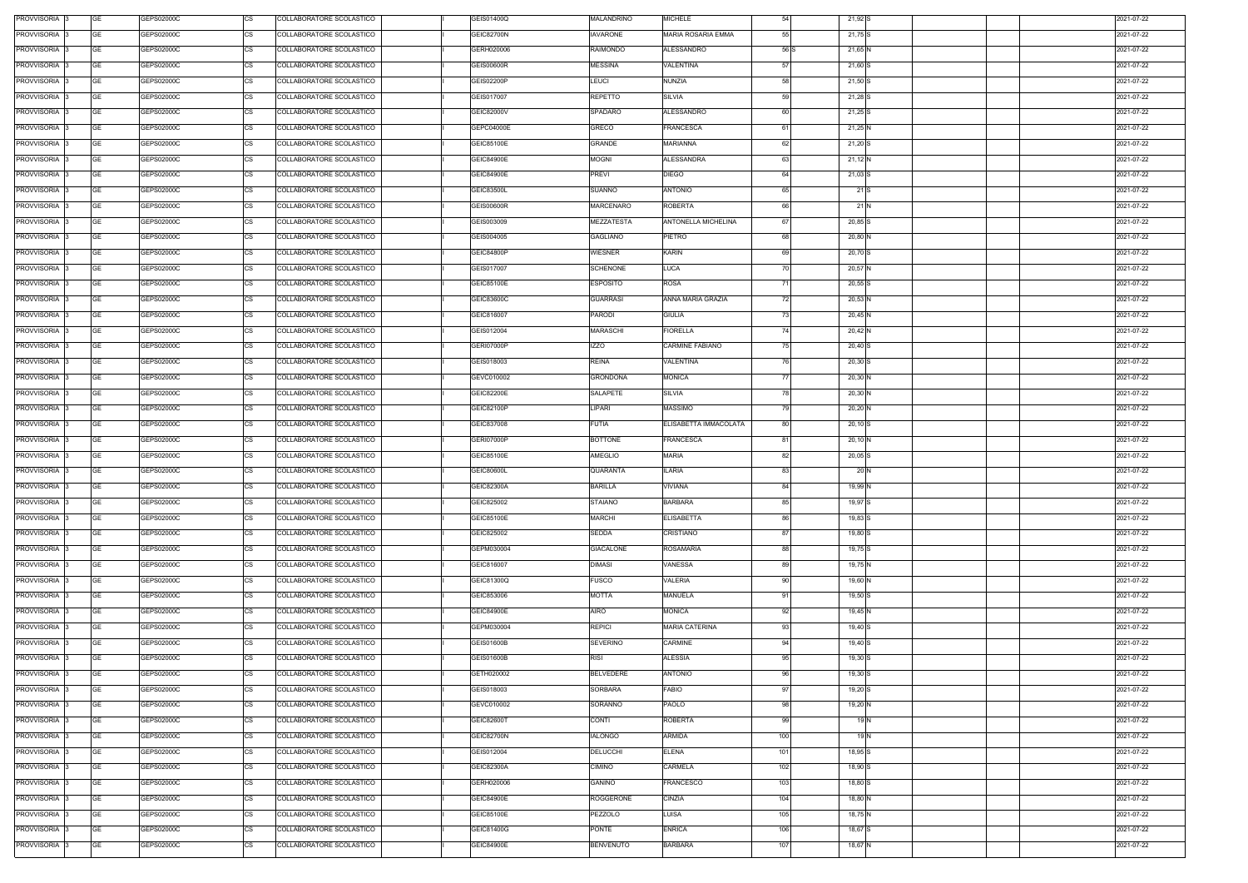| PROVVISORIA 3      | <b>GE</b> | GEPS02000C | <b>CS</b>  | COLLABORATORE SCOLASTICO | GEIS01400Q        | <b>MALANDRINO</b> | <b>MICHELE</b>        | 54  |      | 21,92 S   |  | 2021-07-22 |
|--------------------|-----------|------------|------------|--------------------------|-------------------|-------------------|-----------------------|-----|------|-----------|--|------------|
| PROVVISORIA 3      | <b>GE</b> | GEPS02000C | СS         | COLLABORATORE SCOLASTICO | <b>GEIC82700N</b> | <b>IAVARONE</b>   | MARIA ROSARIA EMMA    | -55 |      | 21,75 S   |  | 2021-07-22 |
| PROVVISORIA 3      | <b>GE</b> | GEPS02000C | <b>CS</b>  | COLLABORATORE SCOLASTICO | GERH020006        | RAIMONDO          | <b>ALESSANDRO</b>     |     | 56 S | 21,65 N   |  | 2021-07-22 |
| PROVVISORIA 3      | <b>GE</b> | GEPS02000C | CS         | COLLABORATORE SCOLASTICO | <b>GEIS00600R</b> | <b>MESSINA</b>    | VALENTINA             | -57 |      | $21,60$ S |  | 2021-07-22 |
| PROVVISORIA 3      | GE        | GEPS02000C | CS         | COLLABORATORE SCOLASTICO | <b>GEIS02200P</b> | <b>LEUCI</b>      | <b>NUNZIA</b>         | 58  |      | 21,50 S   |  | 2021-07-22 |
| PROVVISORIA 3      | <b>GE</b> | GEPS02000C | <b>ICS</b> | COLLABORATORE SCOLASTICO | GEIS017007        | REPETTO           | SILVIA                | 59  |      | 21,28 S   |  | 2021-07-22 |
| PROVVISORIA 3      | GE        | GEPS02000C | <b>CS</b>  | COLLABORATORE SCOLASTICO | GEIC82000V        | SPADARO           | ALESSANDRO            | -60 |      | 21,25 S   |  | 2021-07-22 |
| PROVVISORIA 3      | <b>GE</b> | GEPS02000C | <b>CS</b>  | COLLABORATORE SCOLASTICO | GEPC04000E        | <b>GRECO</b>      | <b>FRANCESCA</b>      | 61  |      | 21,25 N   |  | 2021-07-22 |
| <b>PROVVISORIA</b> | <b>GE</b> | GEPS02000C | <b>CS</b>  | COLLABORATORE SCOLASTICO | GEIC85100E        | <b>GRANDE</b>     | <b>MARIANNA</b>       | 61  |      | 21,20 S   |  | 2021-07-22 |
| <b>PROVVISORIA</b> | <b>GE</b> | GEPS02000C | CS         | COLLABORATORE SCOLASTICO | GEIC84900E        | <b>MOGNI</b>      | <b>ALESSANDRA</b>     |     |      | 21,12 N   |  | 2021-07-22 |
| <b>PROVVISORIA</b> | <b>GE</b> | GEPS02000C | <b>CS</b>  | COLLABORATORE SCOLASTICO | <b>GEIC84900E</b> | <b>PREVI</b>      | <b>DIEGO</b>          | -64 |      | $21,03$ S |  | 2021-07-22 |
| <b>PROVVISORIA</b> | <b>GE</b> | GEPS02000C | CS         | COLLABORATORE SCOLASTICO | GEIC83500L        | <b>SUANNO</b>     | <b>ANTONIO</b>        | -65 |      | 21 S      |  | 2021-07-22 |
| <b>PROVVISORIA</b> | <b>GE</b> | GEPS02000C | CS         | COLLABORATORE SCOLASTICO | <b>GEIS00600R</b> | <b>MARCENARO</b>  | <b>ROBERTA</b>        | 66  |      | 21 N      |  | 2021-07-22 |
| PROVVISORIA 3      | <b>GE</b> | GEPS02000C | CS         | COLLABORATORE SCOLASTICO | GEIS003009        | MEZZATESTA        | ANTONELLA MICHELINA   | -67 |      | 20,85 S   |  | 2021-07-22 |
| PROVVISORIA 3      | <b>GE</b> | GEPS02000C | СS         | COLLABORATORE SCOLASTICO | GEIS004005        | <b>GAGLIANO</b>   | <b>PIETRO</b>         | 68  |      | 20,80 N   |  | 2021-07-22 |
| PROVVISORIA 3      | <b>GE</b> | GEPS02000C | CS         | COLLABORATORE SCOLASTICO | <b>GEIC84800P</b> | <b>WIESNER</b>    | <b>KARIN</b>          | -69 |      | 20,70 S   |  | 2021-07-22 |
|                    | <b>GE</b> | GEPS02000C | <b>CS</b>  |                          | GEIS017007        | <b>SCHENONE</b>   | LUCA                  |     |      |           |  |            |
| PROVVISORIA 3      |           |            |            | COLLABORATORE SCOLASTICO |                   |                   |                       | 71  |      | 20,57 N   |  | 2021-07-22 |
| PROVVISORIA 3      | <b>GE</b> | GEPS02000C | CS         | COLLABORATORE SCOLASTICO | GEIC85100E        | <b>ESPOSITO</b>   | <b>ROSA</b>           |     |      | 20,55 S   |  | 2021-07-22 |
| PROVVISORIA 3      | <b>GE</b> | GEPS02000C | СS         | COLLABORATORE SCOLASTICO | GEIC83600C        | <b>GUARRASI</b>   | ANNA MARIA GRAZIA     | -72 |      | 20,53 N   |  | 2021-07-22 |
| PROVVISORIA 3      | <b>GE</b> | GEPS02000C | СS         | COLLABORATORE SCOLASTICO | GEIC816007        | <b>PARODI</b>     | <b>GIULIA</b>         | -73 |      | 20,45 N   |  | 2021-07-22 |
| PROVVISORIA 3      | <b>GE</b> | GEPS02000C | СS         | COLLABORATORE SCOLASTICO | GEIS012004        | <b>MARASCHI</b>   | FIORELLA              | 74  |      | 20,42 N   |  | 2021-07-22 |
| PROVVISORIA 3      | <b>GE</b> | GEPS02000C | СS         | COLLABORATORE SCOLASTICO | <b>GERI07000P</b> | <b>IZZO</b>       | CARMINE FABIANO       |     |      | $20,40$ S |  | 2021-07-22 |
| <b>PROVVISORIA</b> | <b>GE</b> | GEPS02000C | <b>CS</b>  | COLLABORATORE SCOLASTICO | GEIS018003        | <b>REINA</b>      | <b>VALENTINA</b>      |     |      | $20,30$ S |  | 2021-07-22 |
| PROVVISORIA 3      | <b>GE</b> | GEPS02000C | CS         | COLLABORATORE SCOLASTICO | GEVC010002        | <b>GRONDONA</b>   | <b>MONICA</b>         | -77 |      | 20,30 N   |  | 2021-07-22 |
| <b>PROVVISORIA</b> | <b>GE</b> | GEPS02000C | СS         | COLLABORATORE SCOLASTICO | GEIC82200E        | SALAPETE          | SILVIA                | -78 |      | 20,30 N   |  | 2021-07-22 |
| PROVVISORIA 3      | <b>GE</b> | GEPS02000C | СS         | COLLABORATORE SCOLASTICO | GEIC82100P        | LIPARI            | MASSIMO               | -79 |      | 20,20 N   |  | 2021-07-22 |
| PROVVISORIA 3      | <b>GE</b> | GEPS02000C | СS         | COLLABORATORE SCOLASTICO | GEIC837008        | <b>FUTIA</b>      | ELISABETTA IMMACOLATA | -80 |      | $20,10$ S |  | 2021-07-22 |
| PROVVISORIA 3      | <b>GE</b> | GEPS02000C | CS         | COLLABORATORE SCOLASTICO | <b>GERI07000P</b> | <b>BOTTONE</b>    | <b>FRANCESCA</b>      | 81  |      | 20,10 N   |  | 2021-07-22 |
| PROVVISORIA 3      | <b>GE</b> | GEPS02000C | CS         | COLLABORATORE SCOLASTICO | GEIC85100E        | <b>AMEGLIO</b>    | <b>MARIA</b>          | -82 |      | $20,05$ S |  | 2021-07-22 |
| PROVVISORIA 3      | <b>GE</b> | GEPS02000C | <b>CS</b>  | COLLABORATORE SCOLASTICO | GEIC80600L        | QUARANTA          | <b>ILARIA</b>         | -83 |      | 20 N      |  | 2021-07-22 |
| PROVVISORIA 3      | <b>GE</b> | GEPS02000C | <b>CS</b>  | COLLABORATORE SCOLASTICO | GEIC82300A        | BARILLÀ           | VIVIANA               | 84  |      | 19,99 N   |  | 2021-07-22 |
| PROVVISORIA 3      | <b>GE</b> | GEPS02000C | <b>CS</b>  | COLLABORATORE SCOLASTICO | GEIC825002        | <b>STAIANO</b>    | <b>BARBARA</b>        | 85  |      | 19,97 S   |  | 2021-07-22 |
| PROVVISORIA 3      | <b>GE</b> | GEPS02000C | <b>CS</b>  | COLLABORATORE SCOLASTICO | GEIC85100E        | <b>MARCHI</b>     | <b>ELISABETTA</b>     | -86 |      | 19,83 S   |  | 2021-07-22 |
| PROVVISORIA 3      | GE        | GEPS02000C | <b>CS</b>  | COLLABORATORE SCOLASTICO | GEIC825002        | <b>SEDDA</b>      | CRISTIANO             | 87  |      | 19,80 S   |  | 2021-07-22 |
| <b>PROVVISORIA</b> | <b>GE</b> | GEPS02000C | CS         | COLLABORATORE SCOLASTICO | GEPM030004        | <b>GIACALONE</b>  | <b>ROSAMARIA</b>      | -88 |      | $19,75$ S |  | 2021-07-22 |
| <b>PROVVISORIA</b> | <b>GE</b> | GEPS02000C | <b>CS</b>  | COLLABORATORE SCOLASTICO | GEIC816007        | <b>DIMASI</b>     | VANESSA               | 89  |      | 19,75 N   |  | 2021-07-22 |
| PROVVISORIA 3      | <b>GE</b> | GEPS02000C | CS         | COLLABORATORE SCOLASTICO | GEIC81300Q        | <b>FUSCO</b>      | VALERIA               | -90 |      | 19,60 N   |  | 2021-07-22 |
| <b>PROVVISORIA</b> | <b>GE</b> | GEPS02000C | CS         | COLLABORATORE SCOLASTICO | GEIC853006        | <b>MOTTA</b>      | <b>MANUELA</b>        | 91  |      | 19,50 S   |  | 2021-07-22 |
| PROVVISORIA 3      | <b>GE</b> | GEPS02000C | CS         | COLLABORATORE SCOLASTICO | <b>GEIC84900E</b> | AIRÒ              | <b>MONICA</b>         | -92 |      | 19,45 N   |  | 2021-07-22 |
| <b>PROVVISORIA</b> | <b>GE</b> | GEPS02000C | CS         | COLLABORATORE SCOLASTICO | GEPM030004        | <b>REPICI</b>     | <b>MARIA CATERINA</b> | 93  |      | 19,40 S   |  | 2021-07-22 |
| PROVVISORIA 3      | <b>GE</b> | GEPS02000C | CS         | COLLABORATORE SCOLASTICO | <b>GEIS01600B</b> | <b>SEVERINO</b>   | <b>CARMINE</b>        | 94  |      | 19,40 S   |  | 2021-07-22 |
| PROVVISORIA 3      | <b>GE</b> | GEPS02000C | CS         | COLLABORATORE SCOLASTICO | <b>GEIS01600B</b> | RISI              | <b>ALESSIA</b>        | 95  |      | $19,30$ S |  | 2021-07-22 |
| PROVVISORIA 3      | <b>GE</b> | GEPS02000C | CS         | COLLABORATORE SCOLASTICO | GETH020002        | <b>BELVEDERE</b>  | ANTONIO               | 96  |      | $19,30$ S |  | 2021-07-22 |
| PROVVISORIA 3      | <b>GE</b> | GEPS02000C | <b>CS</b>  | COLLABORATORE SCOLASTICO | GEIS018003        | SORBARA           | <b>FABIO</b>          | -97 |      | $19,20$ S |  | 2021-07-22 |
| PROVVISORIA 3      | <b>GE</b> | GEPS02000C | CS         | COLLABORATORE SCOLASTICO | GEVC010002        | SORANNO           | PAOLO                 | 98  |      | 19,20 N   |  | 2021-07-22 |
| PROVVISORIA 3      | <b>GE</b> | GEPS02000C | СS         | COLLABORATORE SCOLASTICO | GEIC82600T        | <b>CONTI</b>      | <b>ROBERTA</b>        | 99  |      | 19 N      |  | 2021-07-22 |
| PROVVISORIA 3      | <b>GE</b> | GEPS02000C | СS         | COLLABORATORE SCOLASTICO | <b>GEIC82700N</b> | <b>IALONGO</b>    | ARMIDA                | 100 |      | 19 N      |  | 2021-07-22 |
| <b>PROVVISORIA</b> | <b>GE</b> | GEPS02000C | <b>CS</b>  | COLLABORATORE SCOLASTICO | GEIS012004        | <b>DELUCCHI</b>   | <b>ELENA</b>          | 101 |      | $18,95$ S |  | 2021-07-22 |
| PROVVISORIA 3      | <b>GE</b> | GEPS02000C | <b>CS</b>  | COLLABORATORE SCOLASTICO | GEIC82300A        | <b>CIMINO</b>     | CARMELA               | 102 |      | 18,90 S   |  | 2021-07-22 |
| <b>PROVVISORIA</b> | <b>GE</b> | GEPS02000C | <b>CS</b>  | COLLABORATORE SCOLASTICO | GERH020006        | <b>GANINO</b>     | <b>FRANCESCO</b>      | 103 |      | 18,80 S   |  | 2021-07-22 |
| PROVVISORIA 3      | <b>GE</b> | GEPS02000C | СS         | COLLABORATORE SCOLASTICO | <b>GEIC84900E</b> | ROGGERONE         | CINZIA                | 104 |      | 18,80 N   |  | 2021-07-22 |
| <b>PROVVISORIA</b> | <b>GE</b> | GEPS02000C | СS         | COLLABORATORE SCOLASTICO | GEIC85100E        | PEZZOLO           | LUISA.                | 105 |      | 18,75 N   |  | 2021-07-22 |
| PROVVISORIA 3      | <b>GE</b> | GEPS02000C | СS         | COLLABORATORE SCOLASTICO | GEIC81400G        | PONTE             | ENRICA                | 106 |      | 18,67 S   |  | 2021-07-22 |
| PROVVISORIA 3      | <b>GE</b> | GEPS02000C | <b>CS</b>  | COLLABORATORE SCOLASTICO | GEIC84900E        | <b>BENVENUTO</b>  | <b>BARBARA</b>        | 107 |      | 18,67 N   |  | 2021-07-22 |
|                    |           |            |            |                          |                   |                   |                       |     |      |           |  |            |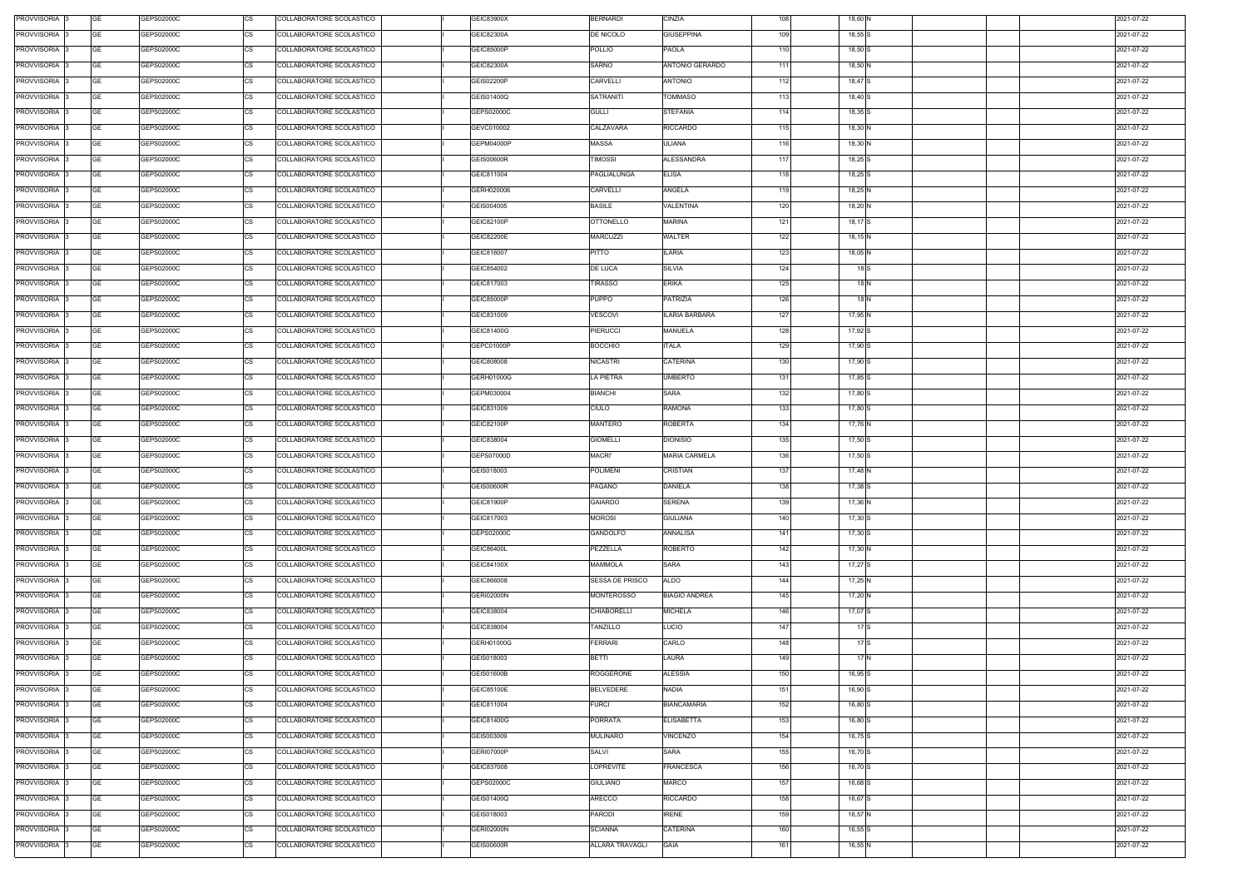| PROVVISORIA 3            | GE        | GEPS02000C | COLLABORATORE SCOLASTICO<br>CS        | GEIC83900X        | <b>BERNARDI</b>        | <b>CINZIA</b>        | 108 | 18,60 N   |  | 2021-07-22 |
|--------------------------|-----------|------------|---------------------------------------|-------------------|------------------------|----------------------|-----|-----------|--|------------|
| PROVVISORIA 3            | GE        | GEPS02000C | <b>CS</b><br>COLLABORATORE SCOLASTICO | GEIC82300A        | DE NICOLO              | <b>GIUSEPPINA</b>    | 109 | $18,55$ S |  | 2021-07-22 |
| PROVVISORIA 3            | GE        | GEPS02000C | <b>CS</b><br>COLLABORATORE SCOLASTICO | GEIC85000P        | POLLIO                 | PAOLA                | 110 | 18,50 S   |  | 2021-07-22 |
| PROVVISORIA 3            | GE        | GEPS02000C | <b>CS</b><br>COLLABORATORE SCOLASTICO | GEIC82300A        | <b>SARNO</b>           | ANTONIO GERARDO      | 111 | 18,50 N   |  | 2021-07-22 |
| PROVVISORIA 3            | <b>GE</b> | GEPS02000C | <b>CS</b><br>COLLABORATORE SCOLASTICO | <b>GEIS02200P</b> | <b>CARVELLI</b>        | ANTONIO              | 112 | 18,47 S   |  | 2021-07-22 |
| PROVVISORIA 3            | <b>GE</b> | GEPS02000C | <b>CS</b><br>COLLABORATORE SCOLASTICO | GEIS01400Q        | <b>SATRANITI</b>       | TOMMASO              | 113 | 18,40 S   |  | 2021-07-22 |
| PROVVISORIA 3            | <b>GE</b> | GEPS02000C | <b>CS</b><br>COLLABORATORE SCOLASTICO | GEPS02000C        | <b>GULLI</b>           | <b>STEFANIA</b>      | 114 | 18,35 S   |  | 2021-07-22 |
| PROVVISORIA 3            | GE        | GEPS02000C | <b>CS</b><br>COLLABORATORE SCOLASTICO | GEVC010002        | CALZAVARA              | RICCARDO             | 115 | 18,30 N   |  | 2021-07-22 |
| PROVVISORIA 3            | <b>GE</b> | GEPS02000C | <b>CS</b><br>COLLABORATORE SCOLASTICO | GEPM04000P        | <b>MASSA</b>           | ULIANA               | 116 | 18,30 N   |  | 2021-07-22 |
| PROVVISORIA 3            | <b>GE</b> | GEPS02000C | <b>CS</b><br>COLLABORATORE SCOLASTICO | <b>GEIS00600R</b> | TIMOSSI                | <b>ALESSANDRA</b>    | 117 | 18,25 S   |  | 2021-07-22 |
| PROVVISORIA 3            | <b>GE</b> | GEPS02000C | <b>CS</b><br>COLLABORATORE SCOLASTICO | GEIC811004        | PAGLIALUNGA            | <b>ELISA</b>         | 118 | $18,25$ S |  | 2021-07-22 |
| PROVVISORIA 3            | <b>GE</b> | GEPS02000C | CS<br>COLLABORATORE SCOLASTICO        | GERH020006        | CARVELLI               | ANGELA               | 119 | 18,25 N   |  | 2021-07-22 |
| PROVVISORIA 3            | <b>GE</b> | GEPS02000C | <b>CS</b><br>COLLABORATORE SCOLASTICO | GEIS004005        | <b>BASILE</b>          | VALENTINA            | 120 | 18,20 N   |  | 2021-07-22 |
| PROVVISORIA 3            | <b>GE</b> | GEPS02000C | <b>CS</b><br>COLLABORATORE SCOLASTICO | GEIC82100P        | <b>OTTONELLO</b>       | <b>MARINA</b>        | 121 | 18,17 S   |  | 2021-07-22 |
| PROVVISORIA 3            | <b>GE</b> | GEPS02000C | COLLABORATORE SCOLASTICO<br><b>CS</b> | <b>GEIC82200E</b> | <b>MARCUZZI</b>        | WALTER               | 122 | 18,15 N   |  | 2021-07-22 |
| PROVVISORIA 3            | <b>GE</b> | GEPS02000C | <b>CS</b><br>COLLABORATORE SCOLASTICO | GEIC816007        | <b>PITTO</b>           | <b>ILARIA</b>        | 123 | 18,05 N   |  | 2021-07-22 |
| PROVVISORIA 3            | <b>GE</b> | GEPS02000C | <b>CS</b><br>COLLABORATORE SCOLASTICO | GEIC854002        | DE LUCA                | <b>SILVIA</b>        | 124 | 18 S      |  | 2021-07-22 |
|                          |           |            |                                       |                   |                        |                      |     | 18 N      |  |            |
| PROVVISORIA 3            | <b>GE</b> | GEPS02000C | <b>CS</b><br>COLLABORATORE SCOLASTICO | GEIC817003        | TIRASSO                | <b>ERIKA</b>         | 125 |           |  | 2021-07-22 |
| PROVVISORIA 3            | <b>GE</b> | GEPS02000C | <b>CS</b><br>COLLABORATORE SCOLASTICO | GEIC85000P        | <b>PUPPO</b>           | PATRIZIA             | 126 | 18 N      |  | 2021-07-22 |
| PROVVISORIA 3            | GE        | GEPS02000C | <b>CS</b><br>COLLABORATORE SCOLASTICO | GEIC831009        | VESCOVI                | ILARIA BARBARA       | 127 | 17,95 N   |  | 2021-07-22 |
| PROVVISORIA 3            | GE        | GEPS02000C | <b>CS</b><br>COLLABORATORE SCOLASTICO | GEIC81400G        | <b>PIERUCCI</b>        | MANUELA              | 128 | 17,92 S   |  | 2021-07-22 |
| PROVVISORIA 3            | <b>GE</b> | GEPS02000C | <b>CS</b><br>COLLABORATORE SCOLASTICO | GEPC01000P        | <b>BOCCHIO</b>         | ITALA                | 129 | 17,90 S   |  | 2021-07-22 |
| PROVVISORIA 3            | <b>GE</b> | GEPS02000C | <b>CS</b><br>COLLABORATORE SCOLASTICO | GEIC808008        | <b>NICASTRI</b>        | CATERINA             | 130 | 17,90 S   |  | 2021-07-22 |
| PROVVISORIA 3            | <b>GE</b> | GEPS02000C | <b>CS</b><br>COLLABORATORE SCOLASTICO | GERH01000G        | <b>LA PIETRA</b>       | <b>UMBERTO</b>       | 131 | 17,85 S   |  | 2021-07-22 |
| PROVVISORIA 3            | <b>GE</b> | GEPS02000C | <b>CS</b><br>COLLABORATORE SCOLASTICO | GEPM030004        | <b>BIANCHI</b>         | SARA                 | 132 | 17,80 S   |  | 2021-07-22 |
| PROVVISORIA 3            | <b>GE</b> | GEPS02000C | <b>CS</b><br>COLLABORATORE SCOLASTICO | GEIC831009        | <b>CIULO</b>           | <b>RAMONA</b>        | 133 | 17,80 S   |  | 2021-07-22 |
| PROVVISORIA 3            | GE        | GEPS02000C | <b>CS</b><br>COLLABORATORE SCOLASTICO | GEIC82100P        | MANTERO                | ROBERTA              | 134 | 17,76 N   |  | 2021-07-22 |
| PROVVISORIA 3            | <b>GE</b> | GEPS02000C | <b>CS</b><br>COLLABORATORE SCOLASTICO | GEIC838004        | <b>GIOMELLI</b>        | <b>DIONISIO</b>      | 135 | 17,50 S   |  | 2021-07-22 |
| PROVVISORIA 3            | GE        | GEPS02000C | <b>CS</b><br>COLLABORATORE SCOLASTICO | GEPS07000D        | <b>MACRI'</b>          | <b>MARIA CARMELA</b> | 136 | 17,50 S   |  | 2021-07-22 |
| PROVVISORIA 3            | <b>GE</b> | GEPS02000C | <b>CS</b><br>COLLABORATORE SCOLASTICO | GEIS018003        | <b>POLIMENI</b>        | <b>CRISTIAN</b>      | 137 | 17,48 N   |  | 2021-07-22 |
| PROVVISORIA 3            | GE        | GEPS02000C | <b>CS</b><br>COLLABORATORE SCOLASTICO | <b>GEIS00600R</b> | PAGANO                 | <b>DANIELA</b>       | 138 | 17,38 S   |  | 2021-07-22 |
| PROVVISORIA <sup>3</sup> | <b>GE</b> | GEPS02000C | <b>CS</b><br>COLLABORATORE SCOLASTICO | GEIC81900P        | <b>GAIARDO</b>         | <b>SERENA</b>        | 139 | 17,36 N   |  | 2021-07-22 |
| PROVVISORIA 3            | GE        | GEPS02000C | <b>CS</b><br>COLLABORATORE SCOLASTICO | GEIC817003        | <b>MOROSI</b>          | <b>GIULIANA</b>      | 140 | 17,30 S   |  | 2021-07-22 |
| PROVVISORIA 3            | GE        | GEPS02000C | <b>CS</b><br>COLLABORATORE SCOLASTICO | GEPS02000C        | GANDOLFO               | ANNALISA             | 141 | 17,30 S   |  | 2021-07-22 |
| PROVVISORIA 3            | <b>GE</b> | GEPS02000C | <b>CS</b><br>COLLABORATORE SCOLASTICO | GEIC86400L        | PEZZELLA               | <b>ROBERTO</b>       | 142 | 17,30 N   |  | 2021-07-22 |
| PROVVISORIA 3            | <b>GE</b> | GEPS02000C | <b>CS</b><br>COLLABORATORE SCOLASTICO | GEIC84100X        | <b>MAMMOLA</b>         | SARA                 | 143 | 17,27 S   |  | 2021-07-22 |
| PROVVISORIA 3            | <b>GE</b> | GEPS02000C | <b>CS</b><br>COLLABORATORE SCOLASTICO | GEIC866008        | SESSA DE PRISCO        | <b>ALDO</b>          | 144 | 17,25 N   |  | 2021-07-22 |
| PROVVISORIA 3            | <b>GE</b> | GEPS02000C | <b>CS</b><br>COLLABORATORE SCOLASTICO | <b>GERI02000N</b> | <b>MONTEROSSO</b>      | <b>BIAGIO ANDREA</b> | 145 | 17,20 N   |  | 2021-07-22 |
| PROVVISORIA 3            | <b>GE</b> | GEPS02000C | CS<br>COLLABORATORE SCOLASTICO        | GEIC838004        | CHIABORELLI            | <b>MICHELA</b>       | 146 | 17,07 S   |  | 2021-07-22 |
| PROVVISORIA 3            | <b>GE</b> | GEPS02000C | <b>CS</b><br>COLLABORATORE SCOLASTICO | GEIC838004        | TANZILLO               | LUCIO                | 147 | 17 S      |  | 2021-07-22 |
| PROVVISORIA 3            | <b>GE</b> | GEPS02000C | <b>CS</b><br>COLLABORATORE SCOLASTICO | GERH01000G        | <b>FERRARI</b>         | CARLO                | 148 | 17 S      |  | 2021-07-22 |
| PROVVISORIA 3            | <b>GE</b> | GEPS02000C | <b>CS</b><br>COLLABORATORE SCOLASTICO | GEIS018003        | <b>BETTI</b>           | LAURA                | 149 | 17 N      |  | 2021-07-22 |
| PROVVISORIA 3            | <b>GE</b> | GEPS02000C | <b>CS</b><br>COLLABORATORE SCOLASTICO | GEIS01600B        | ROGGERONE              | <b>ALESSIA</b>       | 150 | 16,95 S   |  | 2021-07-22 |
| PROVVISORIA 3            | <b>GE</b> | GEPS02000C | <b>CS</b><br>COLLABORATORE SCOLASTICO | GEIC85100E        | <b>BELVEDERE</b>       | <b>NADIA</b>         | 151 | 16,90 S   |  | 2021-07-22 |
| PROVVISORIA 3            | <b>GE</b> | GEPS02000C | CS<br>COLLABORATORE SCOLASTICO        | GEIC811004        | <b>FURCI</b>           | <b>BIANCAMARIA</b>   | 152 | 16,80 S   |  | 2021-07-22 |
| PROVVISORIA 3            | <b>GE</b> | GEPS02000C | <b>CS</b><br>COLLABORATORE SCOLASTICO | GEIC81400G        | PORRATA                | <b>ELISABETTA</b>    | 153 | 16,80 S   |  | 2021-07-22 |
| PROVVISORIA 3            | GE        | GEPS02000C | СS<br>COLLABORATORE SCOLASTICO        | GEIS003009        | <b>MULINARO</b>        | √INCENZO             | 154 | 16,75 S   |  | 2021-07-22 |
| PROVVISORIA 3            | <b>GE</b> | GEPS02000C | <b>CS</b><br>COLLABORATORE SCOLASTICO | <b>GERI07000P</b> | SALVI                  | SARA                 | 155 | 16,70 S   |  | 2021-07-22 |
| PROVVISORIA 3            | <b>GE</b> | GEPS02000C | <b>CS</b><br>COLLABORATORE SCOLASTICO | GEIC837008        | <b>LOPREVITE</b>       | <b>FRANCESCA</b>     | 156 | 16,70 S   |  | 2021-07-22 |
| PROVVISORIA 3            | <b>GE</b> | GEPS02000C | <b>CS</b><br>COLLABORATORE SCOLASTICO | GEPS02000C        | <b>GIULIANO</b>        | MARCO                | 157 | 16,68 S   |  | 2021-07-22 |
| PROVVISORIA 3            | <b>GE</b> | GEPS02000C | CS<br>COLLABORATORE SCOLASTICO        | GEIS01400Q        | ARECCO                 | RICCARDO             | 158 | 16,67 S   |  | 2021-07-22 |
| PROVVISORIA 3            | GE        | GEPS02000C | <b>CS</b><br>COLLABORATORE SCOLASTICO | GEIS018003        | PARODI                 | <b>IRENE</b>         | 159 | 16,57 N   |  | 2021-07-22 |
| PROVVISORIA 3            | <b>GE</b> | GEPS02000C | <b>CS</b><br>COLLABORATORE SCOLASTICO | <b>GERI02000N</b> | SCIANNA                | CATERINA             | 160 | 16,55 S   |  | 2021-07-22 |
| PROVVISORIA 3            | GE        | GEPS02000C | <b>CS</b><br>COLLABORATORE SCOLASTICO | <b>GEIS00600R</b> | <b>ALLARA TRAVAGLI</b> | <b>GAIA</b>          | 161 | 16,55 N   |  | 2021-07-22 |
|                          |           |            |                                       |                   |                        |                      |     |           |  |            |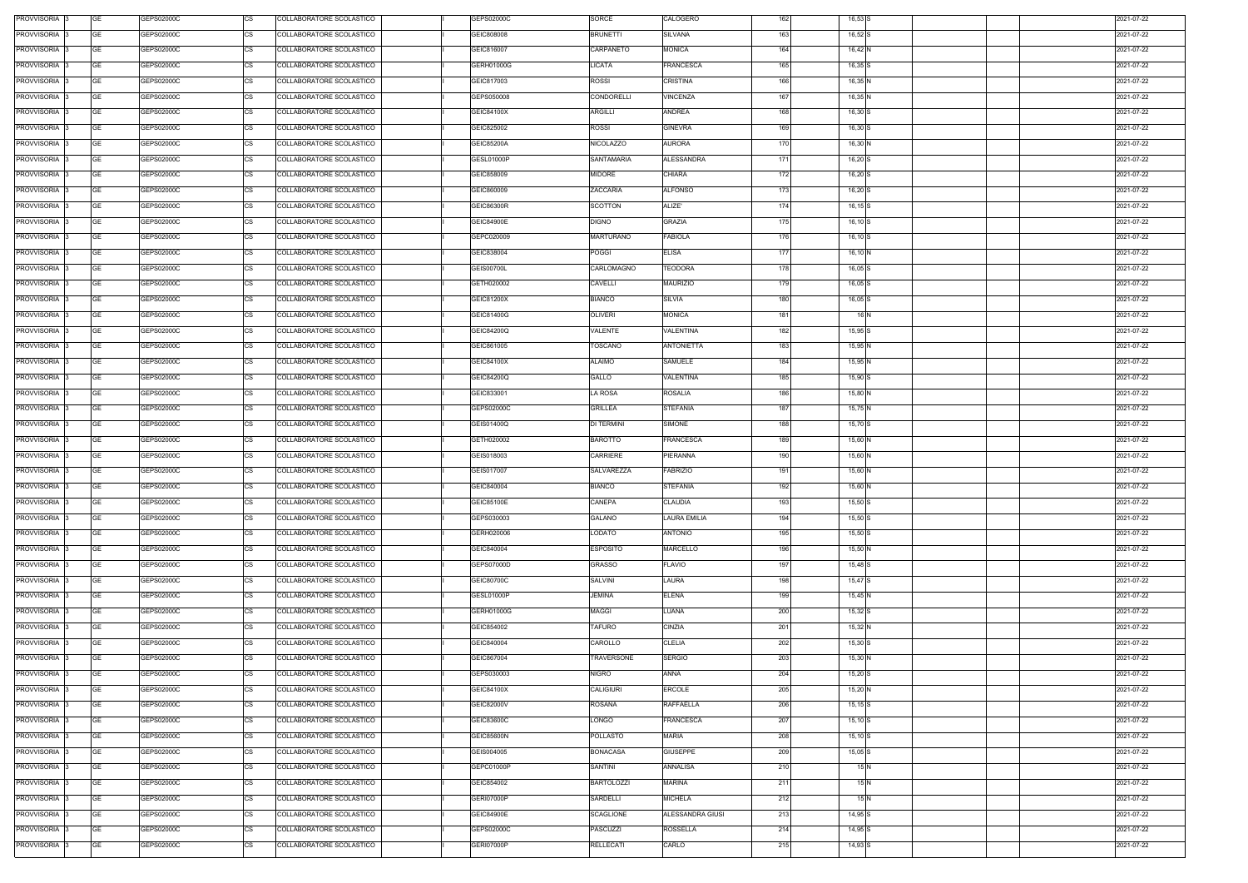| PROVVISORIA 3      | <b>GE</b> | GEPS02000C | <b>CS</b> | COLLABORATORE SCOLASTICO | GEPS02000C        | SORCE             | CALOGERO            | 162 | 16,53 S    |  | 2021-07-22 |
|--------------------|-----------|------------|-----------|--------------------------|-------------------|-------------------|---------------------|-----|------------|--|------------|
| PROVVISORIA 3      | <b>GE</b> | GEPS02000C | СS        | COLLABORATORE SCOLASTICO | GEIC808008        | <b>BRUNETTI</b>   | SILVANA             | 163 | 16,52 S    |  | 2021-07-22 |
| PROVVISORIA 3      | <b>GE</b> | GEPS02000C | <b>CS</b> | COLLABORATORE SCOLASTICO | GEIC816007        | CARPANETO         | <b>MONICA</b>       | 164 | 16,42 N    |  | 2021-07-22 |
| PROVVISORIA 3      | <b>GE</b> | GEPS02000C | CS        | COLLABORATORE SCOLASTICO | GERH01000G        | LICATA            | FRANCESCA           | 165 | 16,35 S    |  | 2021-07-22 |
| PROVVISORIA 3      | GE        | GEPS02000C | CS        | COLLABORATORE SCOLASTICO | GEIC817003        | ROSSI             | <b>CRISTINA</b>     | 166 | 16,35 N    |  | 2021-07-22 |
| PROVVISORIA 3      | <b>GE</b> | GEPS02000C | <b>CS</b> | COLLABORATORE SCOLASTICO | GEPS050008        | CONDORELLI        | VINCENZA            | 167 | 16,35 N    |  | 2021-07-22 |
| PROVVISORIA 3      | GE        | GEPS02000C | <b>CS</b> | COLLABORATORE SCOLASTICO | GEIC84100X        | ARGILLI           | <b>ANDREA</b>       | 168 | $16,30$ S  |  | 2021-07-22 |
| PROVVISORIA 3      | <b>GE</b> | GEPS02000C | <b>CS</b> | COLLABORATORE SCOLASTICO | GEIC825002        | <b>ROSSI</b>      | <b>GINEVRA</b>      | 169 | 16,30 S    |  | 2021-07-22 |
| <b>PROVVISORIA</b> | <b>GE</b> | GEPS02000C | <b>CS</b> | COLLABORATORE SCOLASTICO | <b>GEIC85200A</b> | NICOLAZZO         | <b>AURORA</b>       | 170 | 16,30 N    |  | 2021-07-22 |
| <b>PROVVISORIA</b> | <b>GE</b> | GEPS02000C | CS        | COLLABORATORE SCOLASTICO | GESL01000P        | <b>SANTAMARIA</b> | <b>ALESSANDRA</b>   | 171 | 16,20 S    |  | 2021-07-22 |
| <b>PROVVISORIA</b> | <b>GE</b> | GEPS02000C | <b>CS</b> | COLLABORATORE SCOLASTICO | GEIC858009        | <b>MIDORE</b>     | <b>CHIARA</b>       | 172 | $16,20$ S  |  | 2021-07-22 |
| <b>PROVVISORIA</b> | <b>GE</b> | GEPS02000C | CS        | COLLABORATORE SCOLASTICO | GEIC860009        | ZACCARIA          | <b>ALFONSO</b>      | 173 | 16,20 S    |  | 2021-07-22 |
| PROVVISORIA        | <b>GE</b> | GEPS02000C | CS        | COLLABORATORE SCOLASTICO | GEIC86300R        | <b>SCOTTON</b>    | ALIZE'              | 174 | $16, 15$ S |  | 2021-07-22 |
| PROVVISORIA 3      | <b>GE</b> | GEPS02000C | CS        | COLLABORATORE SCOLASTICO | GEIC84900E        | <b>DIGNO</b>      | <b>GRAZIA</b>       | 175 | $16,10$ S  |  | 2021-07-22 |
| PROVVISORIA 3      | <b>GE</b> | GEPS02000C | СS        | COLLABORATORE SCOLASTICO | GEPC020009        | MARTURANO         | <b>FABIOLA</b>      | 176 | $16,10$ S  |  | 2021-07-22 |
| PROVVISORIA 3      | <b>GE</b> | GEPS02000C | СS        | COLLABORATORE SCOLASTICO | GEIC838004        | <b>POGGI</b>      | <b>ELISA</b>        | 177 | 16,10 N    |  | 2021-07-22 |
| PROVVISORIA 3      | <b>GE</b> | GEPS02000C | <b>CS</b> | COLLABORATORE SCOLASTICO | <b>GEIS00700L</b> | CARLOMAGNO        | TEODORA             | 178 | $16,05$ S  |  | 2021-07-22 |
| PROVVISORIA 3      | <b>GE</b> | GEPS02000C | CS        | COLLABORATORE SCOLASTICO | GETH020002        | CAVELLI           | <b>MAURIZIO</b>     | 179 | $16,05$ S  |  | 2021-07-22 |
| PROVVISORIA 3      | GE        | GEPS02000C | СS        | COLLABORATORE SCOLASTICO | GEIC81200X        | <b>BIANCO</b>     | <b>SILVIA</b>       | 180 | $16,05$ S  |  | 2021-07-22 |
|                    |           |            |           |                          |                   |                   |                     |     |            |  |            |
| PROVVISORIA 3      | <b>GE</b> | GEPS02000C | СS        | COLLABORATORE SCOLASTICO | GEIC81400G        | <b>OLIVERI</b>    | MONICA              | 181 | 16 N       |  | 2021-07-22 |
| PROVVISORIA 3      | GE        | GEPS02000C | СS        | COLLABORATORE SCOLASTICO | GEIC84200Q        | VALENTE           | VALENTINA           | 182 | $15,95$ S  |  | 2021-07-22 |
| PROVVISORIA 3      | <b>GE</b> | GEPS02000C | СS        | COLLABORATORE SCOLASTICO | GEIC861005        | TOSCANO           | <b>ANTONIETTA</b>   | 183 | 15,95 N    |  | 2021-07-22 |
| <b>PROVVISORIA</b> | <b>GE</b> | GEPS02000C | <b>CS</b> | COLLABORATORE SCOLASTICO | GEIC84100X        | <b>ALAIMO</b>     | SAMUELE             | 184 | 15,95 N    |  | 2021-07-22 |
| PROVVISORIA 3      | <b>GE</b> | GEPS02000C | CS        | COLLABORATORE SCOLASTICO | GEIC84200Q        | GALLO             | <b>VALENTINA</b>    | 185 | $15,90$ S  |  | 2021-07-22 |
| <b>PROVVISORIA</b> | <b>GE</b> | GEPS02000C | СS        | COLLABORATORE SCOLASTICO | GEIC833001        | LA ROSA           | <b>ROSALIA</b>      | 186 | 15,80 N    |  | 2021-07-22 |
| PROVVISORIA 3      | <b>GE</b> | GEPS02000C | СS        | COLLABORATORE SCOLASTICO | GEPS02000C        | <b>GRILLEA</b>    | <b>STEFANIA</b>     | 187 | 15,75 N    |  | 2021-07-22 |
| PROVVISORIA 3      | <b>GE</b> | GEPS02000C | СS        | COLLABORATORE SCOLASTICO | GEIS01400Q        | DI TERMINI        | SIMONE              | 188 | 15,70 S    |  | 2021-07-22 |
| PROVVISORIA 3      | <b>GE</b> | GEPS02000C | CS        | COLLABORATORE SCOLASTICO | GETH020002        | <b>BAROTTO</b>    | <b>FRANCESCA</b>    | 189 | 15,60 N    |  | 2021-07-22 |
| PROVVISORIA 3      | <b>GE</b> | GEPS02000C | <b>CS</b> | COLLABORATORE SCOLASTICO | GEIS018003        | CARRIERE          | PIERANNA            | 190 | 15,60 N    |  | 2021-07-22 |
| PROVVISORIA 3      | <b>GE</b> | GEPS02000C | <b>CS</b> | COLLABORATORE SCOLASTICO | GEIS017007        | SALVAREZZA        | <b>FABRIZIO</b>     | 191 | 15,60 N    |  | 2021-07-22 |
| PROVVISORIA 3      | <b>GE</b> | GEPS02000C | <b>CS</b> | COLLABORATORE SCOLASTICO | GEIC840004        | <b>BIANCO</b>     | <b>STEFANIA</b>     | 192 | 15,60 N    |  | 2021-07-22 |
| PROVVISORIA 3      | <b>GE</b> | GEPS02000C | <b>CS</b> | COLLABORATORE SCOLASTICO | GEIC85100E        | CANEPA            | <b>CLAUDIA</b>      | 193 | $15,50$ S  |  | 2021-07-22 |
| PROVVISORIA 3      | <b>GE</b> | GEPS02000C | <b>CS</b> | COLLABORATORE SCOLASTICO | GEPS030003        | <b>GALANO</b>     | <b>LAURA EMILIA</b> | 194 | $15,50$ S  |  | 2021-07-22 |
| PROVVISORIA 3      | GE        | GEPS02000C | <b>CS</b> | COLLABORATORE SCOLASTICO | GERH020006        | LODATO            | ANTONIO             | 195 | $15,50$ S  |  | 2021-07-22 |
| <b>PROVVISORIA</b> | <b>GE</b> | GEPS02000C | CS        | COLLABORATORE SCOLASTICO | GEIC840004        | <b>ESPOSITO</b>   | <b>MARCELLO</b>     | 196 | 15,50 N    |  | 2021-07-22 |
| <b>PROVVISORIA</b> | <b>GE</b> | GEPS02000C | <b>CS</b> | COLLABORATORE SCOLASTICO | GEPS07000D        | <b>GRASSO</b>     | <b>FLAVIO</b>       | 197 | $15,48$ S  |  | 2021-07-22 |
| PROVVISORIA 3      | <b>GE</b> | GEPS02000C | CS        | COLLABORATORE SCOLASTICO | GEIC80700C        | SALVINI           | LAURA               | 198 | $15,47$ S  |  | 2021-07-22 |
| <b>PROVVISORIA</b> | <b>GE</b> | GEPS02000C | CS        | COLLABORATORE SCOLASTICO | GESL01000P        | JEMINA            | <b>ELENA</b>        | 199 | 15,45 N    |  | 2021-07-22 |
| PROVVISORIA 3      | <b>GE</b> | GEPS02000C | CS        | COLLABORATORE SCOLASTICO | GERH01000G        | <b>MAGGI</b>      | LUANA               | 200 | $15,32$ S  |  | 2021-07-22 |
| <b>PROVVISORIA</b> | <b>GE</b> | GEPS02000C | CS        | COLLABORATORE SCOLASTICO | GEIC854002        | <b>TAFURO</b>     | <b>CINZIA</b>       | 201 | 15,32 N    |  | 2021-07-22 |
| PROVVISORIA 3      | <b>GE</b> | GEPS02000C | CS        | COLLABORATORE SCOLASTICO | GEIC840004        | CAROLLO           | <b>CLELIA</b>       | 202 | $15,30$ S  |  | 2021-07-22 |
| PROVVISORIA 3      | <b>GE</b> | GEPS02000C | CS        | COLLABORATORE SCOLASTICO | GEIC867004        | <b>TRAVERSONE</b> | <b>SERGIO</b>       | 203 | 15,30 N    |  | 2021-07-22 |
| PROVVISORIA 3      | <b>GE</b> | GEPS02000C | CS        | COLLABORATORE SCOLASTICO | GEPS030003        | <b>NIGRO</b>      | ANNA                | 204 | $15,20$ S  |  | 2021-07-22 |
| PROVVISORIA 3      | <b>GE</b> | GEPS02000C | <b>CS</b> | COLLABORATORE SCOLASTICO | GEIC84100X        | <b>CALIGIURI</b>  | <b>ERCOLE</b>       | 205 | 15,20 N    |  | 2021-07-22 |
| PROVVISORIA 3      | <b>GE</b> | GEPS02000C | CS        | COLLABORATORE SCOLASTICO | GEIC82000V        | ROSANA            | <b>RAFFAELLA</b>    | 206 | $15,15$ S  |  | 2021-07-22 |
| PROVVISORIA 3      | <b>GE</b> | GEPS02000C | СS        | COLLABORATORE SCOLASTICO | GEIC83600C        | LONGO             | <b>FRANCESCA</b>    | 207 | $15,10$ S  |  | 2021-07-22 |
| PROVVISORIA 3      | <b>GE</b> | GEPS02000C | СS        | COLLABORATORE SCOLASTICO | <b>GEIC85600N</b> | <b>POLLASTO</b>   | <b>MARIA</b>        | 208 | $15,10$ S  |  | 2021-07-22 |
| <b>PROVVISORIA</b> | <b>GE</b> | GEPS02000C | <b>CS</b> | COLLABORATORE SCOLASTICO | GEIS004005        | <b>BONACASA</b>   | <b>GIUSEPPE</b>     | 209 | $15,05$ S  |  | 2021-07-22 |
| PROVVISORIA 3      | <b>GE</b> | GEPS02000C | <b>CS</b> | COLLABORATORE SCOLASTICO | GEPC01000P        | SANTINI           | <b>ANNALISA</b>     | 210 | 15 N       |  | 2021-07-22 |
| <b>PROVVISORIA</b> | <b>GE</b> | GEPS02000C | <b>CS</b> | COLLABORATORE SCOLASTICO | GEIC854002        | <b>BARTOLOZZI</b> | <b>MARINA</b>       | 211 | 15 N       |  | 2021-07-22 |
| PROVVISORIA 3      | <b>GE</b> | GEPS02000C | СS        | COLLABORATORE SCOLASTICO | <b>GERI07000P</b> | SARDELLI          | <b>MICHELA</b>      | 212 | 15 N       |  | 2021-07-22 |
| <b>PROVVISORIA</b> | <b>GE</b> | GEPS02000C | СS        | COLLABORATORE SCOLASTICO | <b>GEIC84900E</b> | SCAGLIONE         | ALESSANDRA GIUSI    | 213 | $14,95$ S  |  | 2021-07-22 |
| PROVVISORIA 3      | <b>GE</b> | GEPS02000C |           | COLLABORATORE SCOLASTICO | GEPS02000C        | PASCUZZI          | ROSSELLA            | 214 |            |  | 2021-07-22 |
|                    |           |            | СS        |                          |                   |                   |                     |     | 14,95 S    |  |            |
| PROVVISORIA 3      | <b>GE</b> | GEPS02000C | <b>CS</b> | COLLABORATORE SCOLASTICO | GERI07000P        | RELLECATI         | CARLO               | 215 | 14,93 S    |  | 2021-07-22 |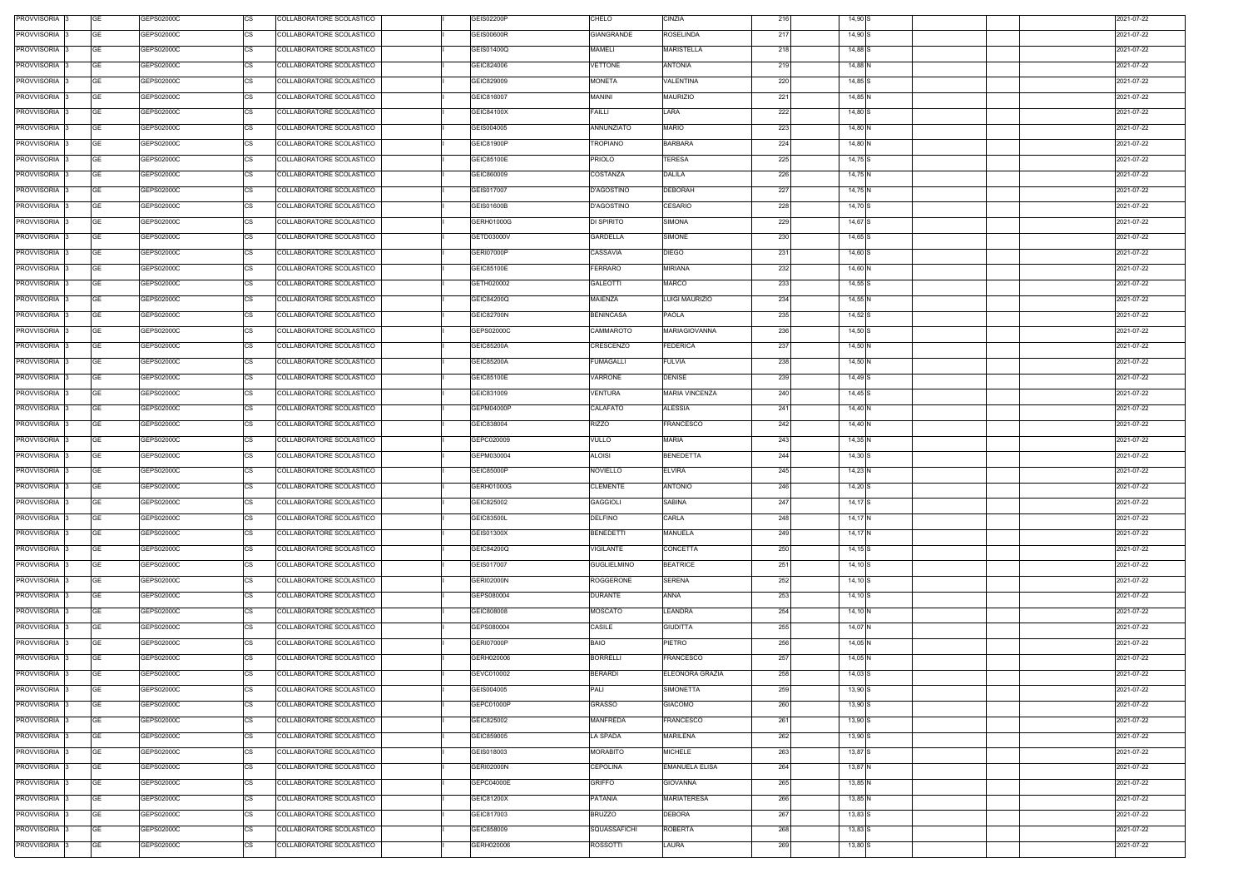| PROVVISORIA 3 | GE        | GEPS02000C | COLLABORATORE SCOLASTICO<br>CS        | <b>GEIS02200P</b> | CHELO              | <b>CINZIA</b>         | 216 | 14,90 S    |  | 2021-07-22 |
|---------------|-----------|------------|---------------------------------------|-------------------|--------------------|-----------------------|-----|------------|--|------------|
| PROVVISORIA 3 | <b>GE</b> | GEPS02000C | <b>CS</b><br>COLLABORATORE SCOLASTICO | <b>GEIS00600R</b> | GIANGRANDE         | <b>ROSELINDA</b>      | 217 | 14,90 S    |  | 2021-07-22 |
| PROVVISORIA 3 | GE        | GEPS02000C | <b>CS</b><br>COLLABORATORE SCOLASTICO | GEIS01400Q        | <b>MAMELI</b>      | <b>MARISTELLA</b>     | 218 | 14,88 S    |  | 2021-07-22 |
| PROVVISORIA 3 | GE        | GEPS02000C | <b>CS</b><br>COLLABORATORE SCOLASTICO | GEIC824006        | <b>VETTONE</b>     | ANTONIA               | 219 | 14,88 N    |  | 2021-07-22 |
| PROVVISORIA 3 | <b>GE</b> | GEPS02000C | <b>CS</b><br>COLLABORATORE SCOLASTICO | GEIC829009        | <b>MONETA</b>      | VALENTINA             | 220 | 14,85 S    |  | 2021-07-22 |
| PROVVISORIA 3 | GE        | GEPS02000C | <b>CS</b><br>COLLABORATORE SCOLASTICO | GEIC816007        | <b>MANINI</b>      | <b>MAURIZIO</b>       | 221 | 14,85 N    |  | 2021-07-22 |
| PROVVISORIA 3 | <b>GE</b> | GEPS02000C | <b>CS</b><br>COLLABORATORE SCOLASTICO | GEIC84100X        | <b>FAILLI</b>      | LARA                  | 222 | 14,80 S    |  | 2021-07-22 |
| PROVVISORIA 3 | GE        | GEPS02000C | <b>CS</b><br>COLLABORATORE SCOLASTICO | GEIS004005        | ANNUNZIATO         | <b>MARIO</b>          | 223 | 14,80 N    |  | 2021-07-22 |
| PROVVISORIA 3 | <b>GE</b> | GEPS02000C | <b>CS</b><br>COLLABORATORE SCOLASTICO | GEIC81900P        | TROPIANO           | <b>BARBARA</b>        | 224 | 14,80 N    |  | 2021-07-22 |
| PROVVISORIA 3 | <b>GE</b> | GEPS02000C | <b>CS</b><br>COLLABORATORE SCOLASTICO | GEIC85100E        | PRIOLO             | TERESA                | 225 | 14,75 S    |  | 2021-07-22 |
| PROVVISORIA 3 | <b>GE</b> | GEPS02000C | <b>CS</b><br>COLLABORATORE SCOLASTICO | GEIC860009        | COSTANZA           | <b>DALILA</b>         | 226 | 14,75 N    |  | 2021-07-22 |
| PROVVISORIA 3 | <b>GE</b> | GEPS02000C | CS<br>COLLABORATORE SCOLASTICO        | GEIS017007        | <b>D'AGOSTINO</b>  | <b>DEBORAH</b>        | 227 | 14,75 N    |  | 2021-07-22 |
| PROVVISORIA 3 | <b>GE</b> | GEPS02000C | <b>CS</b><br>COLLABORATORE SCOLASTICO | GEIS01600B        | D'AGOSTINO         | CESARIO               | 228 | 14,70 S    |  | 2021-07-22 |
| PROVVISORIA 3 | <b>GE</b> | GEPS02000C | <b>CS</b><br>COLLABORATORE SCOLASTICO | GERH01000G        | DI SPIRITO         | SIMONA                | 229 | 14,67 S    |  | 2021-07-22 |
| PROVVISORIA 3 | <b>GE</b> | GEPS02000C | COLLABORATORE SCOLASTICO<br>СS        | GETD03000V        | <b>GARDELLA</b>    | SIMONE                | 230 | 14,65 S    |  | 2021-07-22 |
| PROVVISORIA 3 | <b>GE</b> | GEPS02000C | <b>CS</b><br>COLLABORATORE SCOLASTICO | <b>GERI07000P</b> | CASSAVIA           | <b>DIEGO</b>          | 231 | 14,60 S    |  | 2021-07-22 |
|               | <b>GE</b> | GEPS02000C | <b>CS</b>                             | GEIC85100E        | FERRARO            | <b>MIRIANA</b>        | 232 |            |  |            |
| PROVVISORIA 3 |           |            | COLLABORATORE SCOLASTICO              |                   |                    |                       |     | 14,60 N    |  | 2021-07-22 |
| PROVVISORIA 3 | <b>GE</b> | GEPS02000C | <b>CS</b><br>COLLABORATORE SCOLASTICO | GETH020002        | <b>GALEOTTI</b>    | <b>MARCO</b>          | 233 | $14,55$ S  |  | 2021-07-22 |
| PROVVISORIA 3 | <b>GE</b> | GEPS02000C | <b>CS</b><br>COLLABORATORE SCOLASTICO | GEIC84200Q        | MAIENZA            | LUIGI MAURIZIO        | 234 | 14,55 N    |  | 2021-07-22 |
| PROVVISORIA 3 | GE        | GEPS02000C | <b>CS</b><br>COLLABORATORE SCOLASTICO | <b>GEIC82700N</b> | <b>BENINCASA</b>   | PAOLA                 | 235 | 14,52 S    |  | 2021-07-22 |
| PROVVISORIA 3 | GE        | GEPS02000C | <b>CS</b><br>COLLABORATORE SCOLASTICO | GEPS02000C        | CAMMAROTO          | MARIAGIOVANNA         | 236 | $14,50$ S  |  | 2021-07-22 |
| PROVVISORIA 3 | <b>GE</b> | GEPS02000C | <b>CS</b><br>COLLABORATORE SCOLASTICO | GEIC85200A        | CRESCENZO          | <b>FEDERICA</b>       | 237 | 14,50 N    |  | 2021-07-22 |
| PROVVISORIA 3 | <b>GE</b> | GEPS02000C | <b>CS</b><br>COLLABORATORE SCOLASTICO | <b>GEIC85200A</b> | FUMAGALLI          | FULVIA                | 238 | 14,50 N    |  | 2021-07-22 |
| PROVVISORIA 3 | <b>GE</b> | GEPS02000C | <b>CS</b><br>COLLABORATORE SCOLASTICO | GEIC85100E        | VARRONE            | <b>DENISE</b>         | 239 | 14,49 S    |  | 2021-07-22 |
| PROVVISORIA 3 | <b>GE</b> | GEPS02000C | <b>CS</b><br>COLLABORATORE SCOLASTICO | GEIC831009        | VENTURA            | <b>MARIA VINCENZA</b> | 240 | $14,45$ S  |  | 2021-07-22 |
| PROVVISORIA 3 | <b>GE</b> | GEPS02000C | <b>CS</b><br>COLLABORATORE SCOLASTICO | GEPM04000P        | CALAFATO           | ALESSIA               | 241 | 14,40 N    |  | 2021-07-22 |
| PROVVISORIA 3 | GE        | GEPS02000C | <b>CS</b><br>COLLABORATORE SCOLASTICO | GEIC838004        | RIZZO              | FRANCESCO             | 242 | 14,40 N    |  | 2021-07-22 |
| PROVVISORIA 3 | GE        | GEPS02000C | <b>CS</b><br>COLLABORATORE SCOLASTICO | GEPC020009        | <b>VULLO</b>       | <b>MARIA</b>          | 243 | 14,35 N    |  | 2021-07-22 |
| PROVVISORIA 3 | GE        | GEPS02000C | <b>CS</b><br>COLLABORATORE SCOLASTICO | GEPM030004        | <b>ALOISI</b>      | <b>BENEDETTA</b>      | 244 | 14,30 S    |  | 2021-07-22 |
| PROVVISORIA 3 | <b>GE</b> | GEPS02000C | <b>CS</b><br>COLLABORATORE SCOLASTICO | GEIC85000P        | <b>NOVIELLO</b>    | <b>ELVIRA</b>         | 245 | 14,23 N    |  | 2021-07-22 |
| PROVVISORIA 3 | GE        | GEPS02000C | <b>CS</b><br>COLLABORATORE SCOLASTICO | GERH01000G        | <b>CLEMENTE</b>    | <b>ANTONIO</b>        | 246 | 14,20 S    |  | 2021-07-22 |
| PROVVISORIA 3 | <b>GE</b> | GEPS02000C | <b>CS</b><br>COLLABORATORE SCOLASTICO | GEIC825002        | <b>GAGGIOLI</b>    | <b>SABINA</b>         | 247 | 14,17 S    |  | 2021-07-22 |
| PROVVISORIA 3 | <b>GE</b> | GEPS02000C | <b>CS</b><br>COLLABORATORE SCOLASTICO | GEIC83500L        | <b>DELFINO</b>     | CARLA                 | 248 | 14,17 N    |  | 2021-07-22 |
| PROVVISORIA 3 | GE        | GEPS02000C | <b>CS</b><br>COLLABORATORE SCOLASTICO | GEIS01300X        | <b>BENEDETTI</b>   | <b>MANUELA</b>        | 249 | 14,17 N    |  | 2021-07-22 |
| PROVVISORIA 3 | <b>GE</b> | GEPS02000C | <b>CS</b><br>COLLABORATORE SCOLASTICO | GEIC84200Q        | VIGILANTE          | CONCETTA              | 250 | $14, 15$ S |  | 2021-07-22 |
| PROVVISORIA 3 | <b>GE</b> | GEPS02000C | <b>CS</b><br>COLLABORATORE SCOLASTICO | GEIS017007        | <b>GUGLIELMINO</b> | <b>BEATRICE</b>       | 251 | $14,10$ S  |  | 2021-07-22 |
| PROVVISORIA 3 | <b>GE</b> | GEPS02000C | <b>CS</b><br>COLLABORATORE SCOLASTICO | <b>GERI02000N</b> | ROGGERONE          | <b>SERENA</b>         | 252 | $14,10$ S  |  | 2021-07-22 |
| PROVVISORIA 3 | <b>GE</b> | GEPS02000C | <b>CS</b><br>COLLABORATORE SCOLASTICO | GEPS080004        | <b>DURANTE</b>     | ANNA                  | 253 | 14,10 S    |  | 2021-07-22 |
| PROVVISORIA 3 | <b>GE</b> | GEPS02000C | CS<br>COLLABORATORE SCOLASTICO        | GEIC808008        | <b>MOSCATO</b>     | LEANDRA               | 254 | 14,10 N    |  | 2021-07-22 |
| PROVVISORIA 3 | <b>GE</b> | GEPS02000C | <b>CS</b><br>COLLABORATORE SCOLASTICO | GEPS080004        | CASILE             | <b>GIUDITTA</b>       | 255 | 14,07 N    |  | 2021-07-22 |
| PROVVISORIA 3 | <b>GE</b> | GEPS02000C | <b>CS</b><br>COLLABORATORE SCOLASTICO | <b>GERI07000P</b> | <b>BAIO</b>        | PIETRO                | 256 | 14,05 N    |  | 2021-07-22 |
| PROVVISORIA 3 | <b>GE</b> | GEPS02000C | <b>CS</b><br>COLLABORATORE SCOLASTICO | GERH020006        | <b>BORRELLI</b>    | <b>FRANCESCO</b>      | 257 | 14,05 N    |  | 2021-07-22 |
| PROVVISORIA 3 | <b>GE</b> | GEPS02000C | <b>CS</b><br>COLLABORATORE SCOLASTICO | GEVC010002        | <b>BERARDI</b>     | ELEONORA GRAZIA       | 258 | $14,03$ S  |  | 2021-07-22 |
| PROVVISORIA 3 | <b>GE</b> | GEPS02000C | <b>CS</b><br>COLLABORATORE SCOLASTICO | GEIS004005        | PALI               | <b>SIMONETTA</b>      | 259 | 13,90 S    |  | 2021-07-22 |
| PROVVISORIA 3 | <b>GE</b> | GEPS02000C | CS<br>COLLABORATORE SCOLASTICO        | GEPC01000P        | GRASSO             | <b>GIACOMO</b>        | 260 | 13,90 S    |  | 2021-07-22 |
| PROVVISORIA 3 | <b>GE</b> | GEPS02000C | <b>CS</b><br>COLLABORATORE SCOLASTICO | GEIC825002        | MANFREDA           | <b>FRANCESCO</b>      | 261 | 13,90 S    |  | 2021-07-22 |
| PROVVISORIA 3 | GE        | GEPS02000C | СS<br>COLLABORATORE SCOLASTICO        | GEIC859005        | LA SPADA           | MARILENA              | 262 | 13,90 S    |  | 2021-07-22 |
| PROVVISORIA 3 | <b>GE</b> | GEPS02000C | <b>CS</b><br>COLLABORATORE SCOLASTICO | GEIS018003        | <b>MORABITO</b>    | MICHELE               | 263 | 13,87 S    |  | 2021-07-22 |
| PROVVISORIA 3 | <b>GE</b> | GEPS02000C | <b>CS</b><br>COLLABORATORE SCOLASTICO | <b>GERI02000N</b> | CEPOLINA           | <b>EMANUELA ELISA</b> | 264 | 13,87 N    |  | 2021-07-22 |
| PROVVISORIA 3 | <b>GE</b> | GEPS02000C | <b>CS</b><br>COLLABORATORE SCOLASTICO | GEPC04000E        | <b>GRIFFO</b>      | <b>GIOVANNA</b>       | 265 | 13,85 N    |  | 2021-07-22 |
| PROVVISORIA 3 | <b>GE</b> | GEPS02000C | CS<br>COLLABORATORE SCOLASTICO        | GEIC81200X        | PATANIA            | MARIATERESA           | 266 | 13,85 N    |  | 2021-07-22 |
| PROVVISORIA 3 | GE        | GEPS02000C | <b>CS</b><br>COLLABORATORE SCOLASTICO | GEIC817003        | <b>BRUZZO</b>      | DEBORA                | 267 | $13,83$ S  |  | 2021-07-22 |
| PROVVISORIA 3 | <b>GE</b> | GEPS02000C | <b>CS</b><br>COLLABORATORE SCOLASTICO | GEIC858009        | SQUASSAFICHI       | ROBERTA               | 268 | 13,83 S    |  | 2021-07-22 |
| PROVVISORIA 3 | GE        | GEPS02000C | <b>CS</b><br>COLLABORATORE SCOLASTICO | GERH020006        | ROSSOTTI           | LAURA                 | 269 | 13,80 S    |  | 2021-07-22 |
|               |           |            |                                       |                   |                    |                       |     |            |  |            |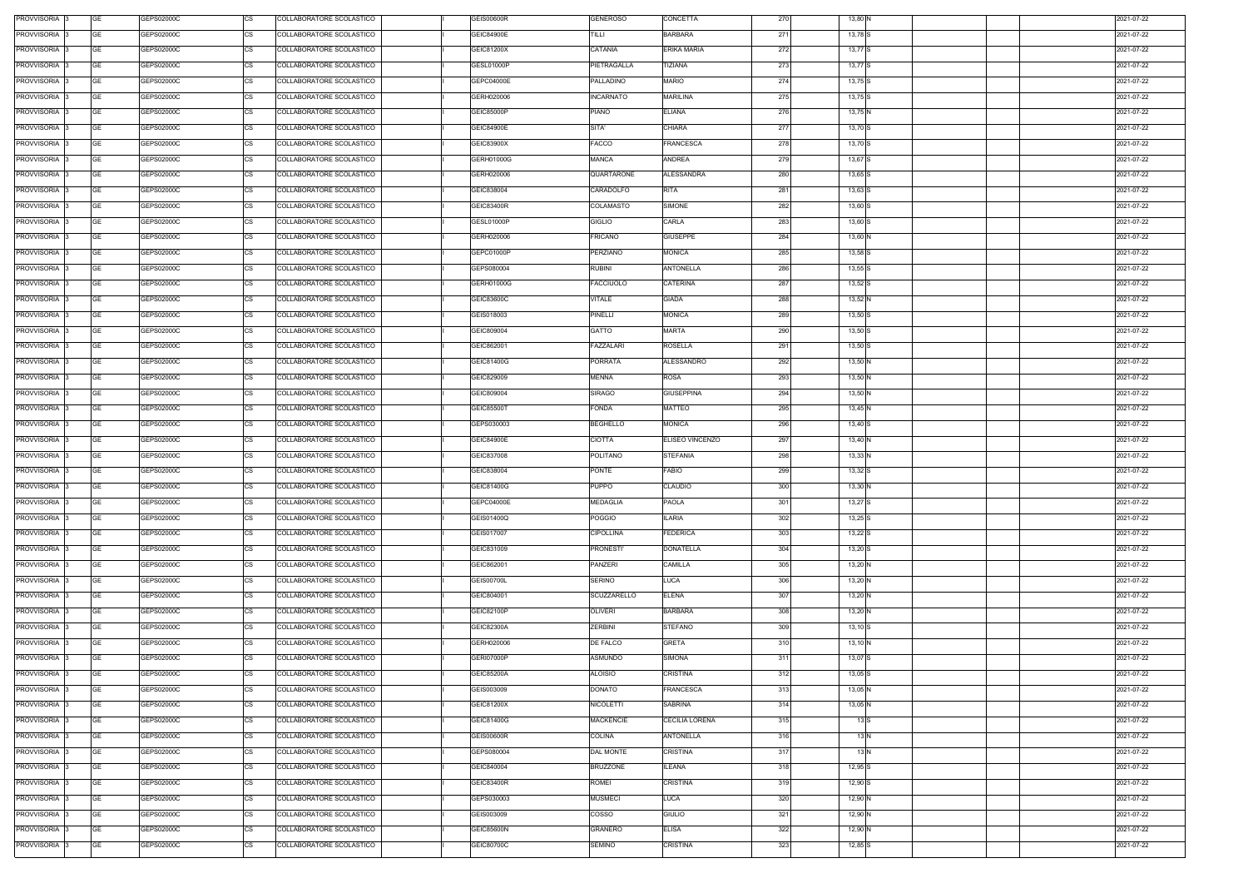| PROVVISORIA 3 | <b>GE</b><br>GEPS02000C | <b>CS</b> | COLLABORATORE SCOLASTICO | <b>GEIS00600R</b> | <b>GENEROSO</b>  | <b>CONCETTA</b>       | 270 | 13,80 N   |  | 2021-07-22 |
|---------------|-------------------------|-----------|--------------------------|-------------------|------------------|-----------------------|-----|-----------|--|------------|
| PROVVISORIA 3 | <b>GE</b><br>GEPS02000C | CS        | COLLABORATORE SCOLASTICO | GEIC84900E        | TILLI            | <b>BARBARA</b>        | 271 | 13,78 S   |  | 2021-07-22 |
| PROVVISORIA 3 | <b>GE</b><br>GEPS02000C | <b>CS</b> | COLLABORATORE SCOLASTICO | GEIC81200X        | CATANIA          | <b>ERIKA MARIA</b>    | 272 | 13,77 S   |  | 2021-07-22 |
| PROVVISORIA 3 | <b>GE</b><br>GEPS02000C | <b>CS</b> | COLLABORATORE SCOLASTICO | GESL01000P        | PIETRAGALLA      | TIZIANA               | 273 | 13,77 S   |  | 2021-07-22 |
| PROVVISORIA 3 | <b>GE</b><br>GEPS02000C | <b>CS</b> | COLLABORATORE SCOLASTICO | GEPC04000E        | PALLADINO        | <b>MARIO</b>          | 274 | $13,75$ S |  | 2021-07-22 |
| PROVVISORIA 3 | <b>GE</b><br>GEPS02000C | <b>CS</b> | COLLABORATORE SCOLASTICO | GERH020006        | <b>INCARNATO</b> | <b>MARILINA</b>       | 275 | 13,75 S   |  | 2021-07-22 |
| PROVVISORIA 3 | <b>GE</b><br>GEPS02000C | <b>CS</b> | COLLABORATORE SCOLASTICO | GEIC85000P        | <b>PIANO</b>     | <b>ELIANA</b>         | 276 | 13,75 N   |  | 2021-07-22 |
| PROVVISORIA 3 | <b>GE</b><br>GEPS02000C | CS        | COLLABORATORE SCOLASTICO | GEIC84900E        | SITA'            | <b>CHIARA</b>         | 277 | 13,70 S   |  | 2021-07-22 |
| PROVVISORIA 3 | <b>GE</b><br>GEPS02000C | <b>CS</b> | COLLABORATORE SCOLASTICO | GEIC83900X        | <b>FACCO</b>     | <b>FRANCESCA</b>      | 278 | 13,70 S   |  | 2021-07-22 |
| PROVVISORIA 3 | <b>GE</b><br>GEPS02000C | <b>CS</b> | COLLABORATORE SCOLASTICO | GERH01000G        | <b>MANCA</b>     | ANDREA                | 279 | 13,67 S   |  | 2021-07-22 |
| PROVVISORIA 3 | <b>GE</b><br>GEPS02000C | <b>CS</b> | COLLABORATORE SCOLASTICO | GERH020006        | QUARTARONE       | ALESSANDRA            | 280 | $13,65$ S |  | 2021-07-22 |
| PROVVISORIA 3 | <b>GE</b><br>GEPS02000C | CS        | COLLABORATORE SCOLASTICO | GEIC838004        | CARADOLFO        | <b>RITA</b>           | 281 | 13,63 S   |  | 2021-07-22 |
| PROVVISORIA 3 | <b>GE</b><br>GEPS02000C | <b>CS</b> | COLLABORATORE SCOLASTICO | <b>GEIC83400R</b> | COLAMASTO        | SIMONE                | 282 | 13,60 S   |  | 2021-07-22 |
| PROVVISORIA 3 | <b>GE</b><br>GEPS02000C | CS        | COLLABORATORE SCOLASTICO | GESL01000P        | <b>GIGLIO</b>    | CARLA                 | 283 | 13,60 S   |  | 2021-07-22 |
| PROVVISORIA 3 | <b>GE</b><br>GEPS02000C | <b>CS</b> | COLLABORATORE SCOLASTICO | GERH020006        | <b>FRICANO</b>   | <b>GIUSEPPE</b>       | 284 | 13,60 N   |  | 2021-07-22 |
| PROVVISORIA 3 | <b>GE</b><br>GEPS02000C | CS        | COLLABORATORE SCOLASTICO | GEPC01000P        | PERZIANO         | <b>MONICA</b>         | 285 | $13,58$ S |  | 2021-07-22 |
| PROVVISORIA 3 | <b>GE</b><br>GEPS02000C | <b>CS</b> | COLLABORATORE SCOLASTICO | GEPS080004        | <b>RUBINI</b>    | <b>ANTONELLA</b>      | 286 | $13,55$ S |  | 2021-07-22 |
| PROVVISORIA 3 | <b>GE</b><br>GEPS02000C | <b>CS</b> | COLLABORATORE SCOLASTICO | GERH01000G        | FACCIUOLO        | <b>CATERINA</b>       | 287 | $13,52$ S |  | 2021-07-22 |
| PROVVISORIA 3 | <b>GE</b><br>GEPS02000C | <b>CS</b> | COLLABORATORE SCOLASTICO | GEIC83600C        | VITALE           | <b>GIADA</b>          | 288 | 13,52 N   |  | 2021-07-22 |
| PROVVISORIA 3 | <b>GE</b><br>GEPS02000C | <b>CS</b> | COLLABORATORE SCOLASTICO | GEIS018003        | <b>PINELLI</b>   | MONICA                | 289 | $13,50$ S |  | 2021-07-22 |
| PROVVISORIA 3 | <b>GE</b><br>GEPS02000C | <b>CS</b> | COLLABORATORE SCOLASTICO | GEIC809004        | <b>GATTO</b>     | MARTA                 | 290 | $13,50$ S |  | 2021-07-22 |
| PROVVISORIA 3 | <b>GE</b><br>GEPS02000C | <b>CS</b> | COLLABORATORE SCOLASTICO | GEIC862001        | FAZZALARI        | ROSELLA               | 291 | $13,50$ S |  | 2021-07-22 |
| PROVVISORIA 3 | <b>GE</b><br>GEPS02000C | <b>CS</b> | COLLABORATORE SCOLASTICO | GEIC81400G        | <b>PORRATA</b>   | <b>ALESSANDRO</b>     | 292 | 13,50 N   |  | 2021-07-22 |
| PROVVISORIA 3 | <b>GE</b><br>GEPS02000C | <b>CS</b> | COLLABORATORE SCOLASTICO | GEIC829009        | <b>MENNA</b>     | <b>ROSA</b>           | 293 | 13,50 N   |  | 2021-07-22 |
| PROVVISORIA 3 | <b>GE</b><br>GEPS02000C | <b>CS</b> | COLLABORATORE SCOLASTICO | GEIC809004        | SIRAGO           | <b>GIUSEPPINA</b>     | 294 | 13,50 N   |  | 2021-07-22 |
| PROVVISORIA 3 | <b>GE</b><br>GEPS02000C | <b>CS</b> | COLLABORATORE SCOLASTICO | GEIC85500T        | <b>FONDA</b>     | MATTEO                | 295 | 13,45 N   |  | 2021-07-22 |
| PROVVISORIA 3 | <b>GE</b><br>GEPS02000C | <b>CS</b> | COLLABORATORE SCOLASTICO | GEPS030003        | <b>BEGHELLO</b>  | MONICA                | 296 | $13,40$ S |  | 2021-07-22 |
| PROVVISORIA 3 | <b>GE</b><br>GEPS02000C | CS        | COLLABORATORE SCOLASTICO | GEIC84900E        | <b>CIOTTA</b>    | ELISEO VINCENZO       | 297 | 13,40 N   |  | 2021-07-22 |
| PROVVISORIA 3 | <b>GE</b><br>GEPS02000C | <b>CS</b> | COLLABORATORE SCOLASTICO | GEIC837008        | POLITANO         | <b>STEFANIA</b>       | 298 | 13,33 N   |  | 2021-07-22 |
| PROVVISORIA 3 | <b>GE</b><br>GEPS02000C | <b>CS</b> | COLLABORATORE SCOLASTICO | GEIC838004        | <b>PONTE</b>     | FABIO                 | 299 | $13,32$ S |  | 2021-07-22 |
| PROVVISORIA 3 | <b>GE</b><br>GEPS02000C | <b>CS</b> | COLLABORATORE SCOLASTICO | GEIC81400G        | <b>PUPPO</b>     | <b>CLAUDIO</b>        | 300 | 13,30 N   |  | 2021-07-22 |
| PROVVISORIA 3 | <b>GE</b><br>GEPS02000C | <b>CS</b> | COLLABORATORE SCOLASTICO | GEPC04000E        | <b>MEDAGLIA</b>  | <b>PAOLA</b>          | 301 | $13,27$ S |  | 2021-07-22 |
| PROVVISORIA 3 | <b>GE</b><br>GEPS02000C | CS        | COLLABORATORE SCOLASTICO | GEIS01400Q        | <b>POGGIO</b>    | <b>ILARIA</b>         | 302 | 13,25 S   |  | 2021-07-22 |
| PROVVISORIA 3 | <b>GE</b><br>GEPS02000C | <b>CS</b> | COLLABORATORE SCOLASTICO | GEIS017007        | <b>CIPOLLINA</b> | <b>FEDERICA</b>       | 303 | 13,22 S   |  | 2021-07-22 |
| PROVVISORIA 3 | <b>GE</b><br>GEPS02000C | CS        | COLLABORATORE SCOLASTICO | GEIC831009        | PRONESTI'        | <b>DONATELLA</b>      | 304 | 13,20 S   |  | 2021-07-22 |
| PROVVISORIA 3 | <b>GE</b><br>GEPS02000C | <b>CS</b> | COLLABORATORE SCOLASTICO | GEIC862001        | PANZERI          | <b>CAMILLA</b>        | 305 | 13,20 N   |  | 2021-07-22 |
| PROVVISORIA 3 | <b>GE</b><br>GEPS02000C | CS        | COLLABORATORE SCOLASTICO | <b>GEIS00700L</b> | SERINO           | LUCA                  | 306 | 13,20 N   |  | 2021-07-22 |
| PROVVISORIA 3 | <b>GE</b><br>GEPS02000C | <b>CS</b> | COLLABORATORE SCOLASTICO | GEIC804001        | SCUZZARELLO      | <b>ELENA</b>          | 307 | 13,20 N   |  | 2021-07-22 |
| PROVVISORIA 3 | <b>GE</b><br>GEPS02000C | CS        | COLLABORATORE SCOLASTICO | GEIC82100P        | <b>OLIVERI</b>   | <b>BARBARA</b>        | 308 | 13,20 N   |  | 2021-07-22 |
| PROVVISORIA 3 | <b>GE</b><br>GEPS02000C | CS        | COLLABORATORE SCOLASTICO | GEIC82300A        | <b>ZERBINI</b>   | <b>STEFANO</b>        | 309 | 13,10 S   |  | 2021-07-22 |
| PROVVISORIA 3 | <b>GE</b><br>GEPS02000C | CS        | COLLABORATORE SCOLASTICO | GERH020006        | DE FALCO         | <b>GRETA</b>          | 310 | 13,10 N   |  | 2021-07-22 |
| PROVVISORIA 3 | <b>GE</b><br>GEPS02000C | <b>CS</b> | COLLABORATORE SCOLASTICO | GERI07000P        | ASMUNDO          | SIMONA                | 311 | $13,07$ S |  | 2021-07-22 |
| PROVVISORIA 3 | <b>GE</b><br>GEPS02000C | CS        | COLLABORATORE SCOLASTICO | GEIC85200A        | ALOISIO          | <b>CRISTINA</b>       | 312 | $13,05$ S |  | 2021-07-22 |
| PROVVISORIA 3 | <b>GE</b><br>GEPS02000C | CS        | COLLABORATORE SCOLASTICO | GEIS003009        | <b>DONATO</b>    | <b>FRANCESCA</b>      | 313 | 13,05 N   |  | 2021-07-22 |
| PROVVISORIA 3 | <b>GE</b><br>GEPS02000C | <b>CS</b> | COLLABORATORE SCOLASTICO | GEIC81200X        | NICOLETTI        | <b>SABRINA</b>        | 314 | 13,05 N   |  | 2021-07-22 |
| PROVVISORIA 3 | <b>GE</b><br>GEPS02000C | <b>CS</b> | COLLABORATORE SCOLASTICO | GEIC81400G        | <b>MACKENCIE</b> | <b>CECILIA LORENA</b> | 315 | 13 S      |  | 2021-07-22 |
| PROVVISORIA 3 | <b>GE</b><br>GEPS02000C | <b>CS</b> | COLLABORATORE SCOLASTICO | GEIS00600R        | COLINA           | <b>ANTONELLA</b>      | 316 | 13 N      |  | 2021-07-22 |
| PROVVISORIA 3 | <b>GE</b><br>GEPS02000C | <b>CS</b> | COLLABORATORE SCOLASTICO | GEPS080004        | DAL MONTE        | <b>CRISTINA</b>       | 317 | 13 N      |  | 2021-07-22 |
| PROVVISORIA 3 | <b>GE</b><br>GEPS02000C | <b>CS</b> | COLLABORATORE SCOLASTICO | GEIC840004        | <b>BRUZZONE</b>  | ILEANA                | 318 | $12,95$ S |  | 2021-07-22 |
| PROVVISORIA 3 | <b>GE</b><br>GEPS02000C | <b>CS</b> | COLLABORATORE SCOLASTICO | <b>GEIC83400R</b> | <b>ROMEI</b>     | <b>CRISTINA</b>       | 319 | $12,90$ S |  | 2021-07-22 |
| PROVVISORIA 3 | <b>GE</b><br>GEPS02000C | <b>CS</b> | COLLABORATORE SCOLASTICO | GEPS030003        | <b>MUSMECI</b>   | LUCA                  | 320 | 12,90 N   |  | 2021-07-22 |
| PROVVISORIA 3 | <b>GE</b><br>GEPS02000C | <b>CS</b> | COLLABORATORE SCOLASTICO | GEIS003009        | COSSO            | <b>GIULIO</b>         | 321 | 12,90 N   |  | 2021-07-22 |
| PROVVISORIA 3 | <b>GE</b><br>GEPS02000C | <b>CS</b> | COLLABORATORE SCOLASTICO | <b>GEIC85600N</b> | GRANERO          | ELISA                 | 322 | 12,90 N   |  | 2021-07-22 |
| PROVVISORIA 3 | <b>GE</b><br>GEPS02000C | CS        | COLLABORATORE SCOLASTICO | GEIC80700C        | <b>SEMINO</b>    | CRISTINA              | 323 | 12,85 S   |  | 2021-07-22 |
|               |                         |           |                          |                   |                  |                       |     |           |  |            |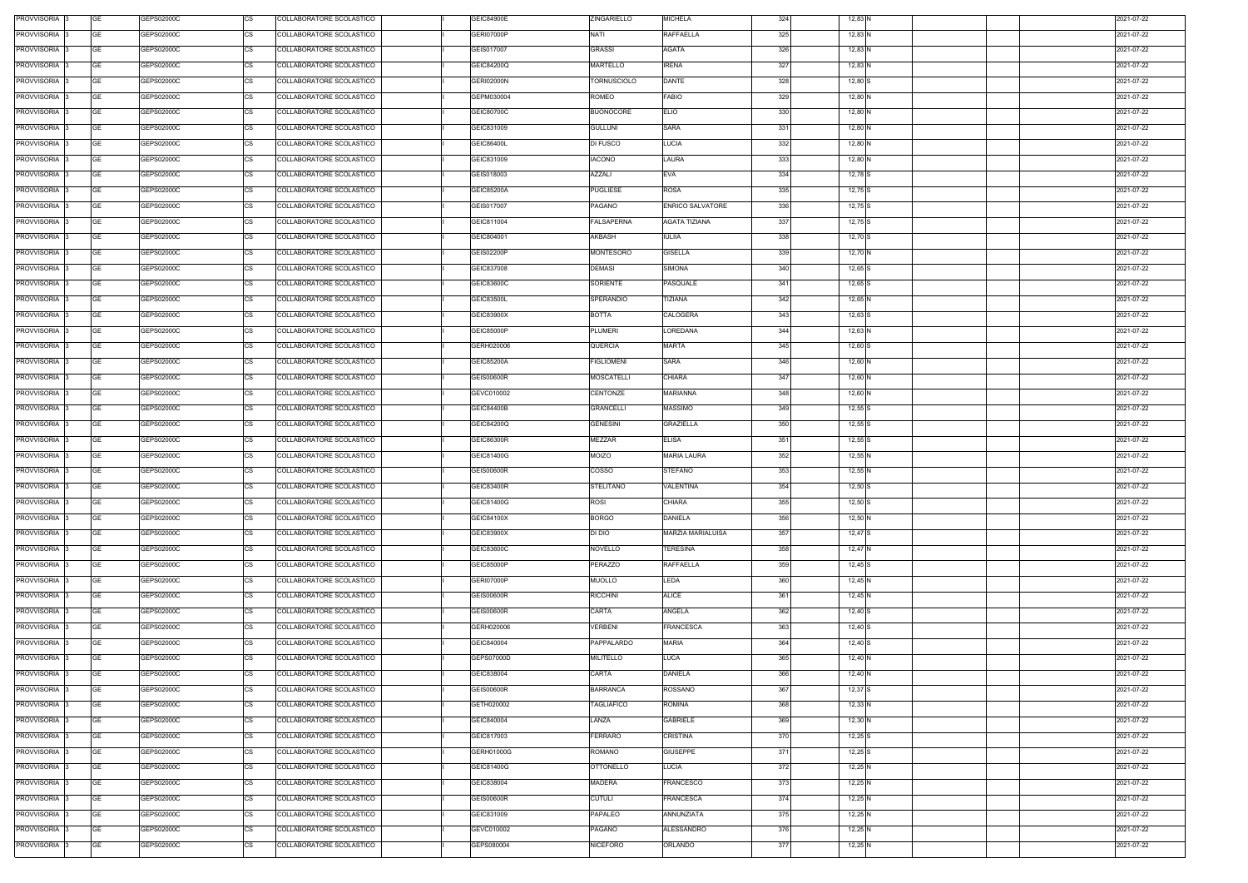| PROVVISORIA 3      | <b>GE</b> | GEPS02000C | <b>CS</b> | COLLABORATORE SCOLASTICO | <b>GEIC84900E</b> | ZINGARIELLO       | <b>MICHELA</b>          | 324 | 12,83 N   |  | 2021-07-22 |
|--------------------|-----------|------------|-----------|--------------------------|-------------------|-------------------|-------------------------|-----|-----------|--|------------|
| PROVVISORIA 3      | <b>GE</b> | GEPS02000C | СS        | COLLABORATORE SCOLASTICO | <b>GERI07000P</b> | <b>NATI</b>       | <b>RAFFAELLA</b>        | 325 | 12,83 N   |  | 2021-07-22 |
| PROVVISORIA 3      | <b>GE</b> | GEPS02000C | <b>CS</b> | COLLABORATORE SCOLASTICO | GEIS017007        | <b>GRASSI</b>     | <b>AGATA</b>            | 326 | 12,83 N   |  | 2021-07-22 |
| PROVVISORIA 3      | <b>GE</b> | GEPS02000C | CS        | COLLABORATORE SCOLASTICO | GEIC84200Q        | MARTELLO          | <b>IRENA</b>            | 327 | 12,83 N   |  | 2021-07-22 |
| PROVVISORIA 3      | GE        | GEPS02000C | CS        | COLLABORATORE SCOLASTICO | <b>GERI02000N</b> | TORNUSCIOLO       | <b>DANTE</b>            | 328 | $12,80$ S |  | 2021-07-22 |
| PROVVISORIA 3      | <b>GE</b> | GEPS02000C | <b>CS</b> | COLLABORATORE SCOLASTICO | GEPM030004        | ROMEO             | <b>FABIO</b>            | 329 | 12,80 N   |  | 2021-07-22 |
| PROVVISORIA 3      | GE        | GEPS02000C | <b>CS</b> | COLLABORATORE SCOLASTICO | GEIC80700C        | <b>BUONOCORE</b>  | <b>ELIO</b>             | 330 | 12,80 N   |  | 2021-07-22 |
| PROVVISORIA 3      | <b>GE</b> | GEPS02000C | <b>CS</b> | COLLABORATORE SCOLASTICO | GEIC831009        | <b>GULLUNI</b>    | SARA                    | 331 | 12,80 N   |  | 2021-07-22 |
| <b>PROVVISORIA</b> | <b>GE</b> | GEPS02000C | <b>CS</b> | COLLABORATORE SCOLASTICO | GEIC86400L        | DI FUSCO          | <b>LUCIA</b>            | 332 | 12,80 N   |  | 2021-07-22 |
| <b>PROVVISORIA</b> | <b>GE</b> | GEPS02000C | CS        | COLLABORATORE SCOLASTICO | GEIC831009        | <b>IACONO</b>     | LAURA                   | 333 | 12,80 N   |  | 2021-07-22 |
| <b>PROVVISORIA</b> | <b>GE</b> | GEPS02000C | <b>CS</b> | COLLABORATORE SCOLASTICO | GEIS018003        | <b>AZZALI</b>     | <b>EVA</b>              | 334 | $12,78$ S |  | 2021-07-22 |
| <b>PROVVISORIA</b> | <b>GE</b> | GEPS02000C | CS        | COLLABORATORE SCOLASTICO | GEIC85200A        | <b>PUGLIESE</b>   | <b>ROSA</b>             | 335 | $12,75$ S |  | 2021-07-22 |
| <b>PROVVISORIA</b> | <b>GE</b> | GEPS02000C | CS        | COLLABORATORE SCOLASTICO | GEIS017007        | PAGANO            | <b>ENRICO SALVATORE</b> | 336 | $12,75$ S |  | 2021-07-22 |
| PROVVISORIA 3      | <b>GE</b> | GEPS02000C | CS        | COLLABORATORE SCOLASTICO | GEIC811004        | FALSAPERNA        | <b>AGATA TIZIANA</b>    | 337 | 12,75 S   |  | 2021-07-22 |
| PROVVISORIA 3      | <b>GE</b> | GEPS02000C | СS        | COLLABORATORE SCOLASTICO | GEIC804001        | <b>AKBASH</b>     | <b>IULIIA</b>           | 338 | $12,70$ S |  | 2021-07-22 |
| PROVVISORIA 3      | <b>GE</b> | GEPS02000C | CS        | COLLABORATORE SCOLASTICO | <b>GEIS02200P</b> | <b>MONTESORO</b>  | <b>GISELLA</b>          | 339 | 12,70 N   |  | 2021-07-22 |
|                    | <b>GE</b> | GEPS02000C | <b>CS</b> | COLLABORATORE SCOLASTICO | GEIC837008        | <b>DEMASI</b>     | SIMONA                  | 340 | $12,65$ S |  |            |
| PROVVISORIA 3      |           |            |           |                          |                   |                   |                         |     |           |  | 2021-07-22 |
| PROVVISORIA 3      | <b>GE</b> | GEPS02000C | CS        | COLLABORATORE SCOLASTICO | GEIC83600C        | <b>SORIENTE</b>   | PASQUALE                | 341 | $12,65$ S |  | 2021-07-22 |
| PROVVISORIA 3      | GE        | GEPS02000C | СS        | COLLABORATORE SCOLASTICO | GEIC83500L        | SPERANDIO         | TIZIANA                 | 342 | 12,65 N   |  | 2021-07-22 |
| PROVVISORIA 3      | <b>GE</b> | GEPS02000C | СS        | COLLABORATORE SCOLASTICO | GEIC83900X        | <b>BOTTA</b>      | CALOGERA                | 343 | $12,63$ S |  | 2021-07-22 |
| PROVVISORIA 3      | GE        | GEPS02000C | СS        | COLLABORATORE SCOLASTICO | GEIC85000P        | PLUMERI           | LOREDANA                | 344 | 12,63 N   |  | 2021-07-22 |
| PROVVISORIA 3      | <b>GE</b> | GEPS02000C | СS        | COLLABORATORE SCOLASTICO | GERH020006        | QUERCIA           | <b>MARTA</b>            | 345 | $12,60$ S |  | 2021-07-22 |
| <b>PROVVISORIA</b> | <b>GE</b> | GEPS02000C | <b>CS</b> | COLLABORATORE SCOLASTICO | GEIC85200A        | <b>FIGLIOMENI</b> | SARA                    | 346 | 12,60 N   |  | 2021-07-22 |
| PROVVISORIA 3      | <b>GE</b> | GEPS02000C | CS        | COLLABORATORE SCOLASTICO | GEIS00600R        | <b>MOSCATELLI</b> | CHIARA                  | 347 | 12,60 N   |  | 2021-07-22 |
| <b>PROVVISORIA</b> | <b>GE</b> | GEPS02000C | СS        | COLLABORATORE SCOLASTICO | GEVC010002        | CENTONZE          | <b>MARIANNA</b>         | 348 | 12,60 N   |  | 2021-07-22 |
| PROVVISORIA 3      | <b>GE</b> | GEPS02000C | СS        | COLLABORATORE SCOLASTICO | <b>GEIC84400B</b> | GRANCELLI         | MASSIMO                 | 349 | $12,55$ S |  | 2021-07-22 |
| PROVVISORIA 3      | <b>GE</b> | GEPS02000C | СS        | COLLABORATORE SCOLASTICO | GEIC84200Q        | GENESINI          | <b>GRAZIELLA</b>        | 350 | $12,55$ S |  | 2021-07-22 |
| PROVVISORIA 3      | <b>GE</b> | GEPS02000C | CS        | COLLABORATORE SCOLASTICO | GEIC86300R        | <b>MEZZAR</b>     | <b>ELISA</b>            | 351 | $12,55$ S |  | 2021-07-22 |
| PROVVISORIA 3      | <b>GE</b> | GEPS02000C | <b>CS</b> | COLLABORATORE SCOLASTICO | GEIC81400G        | <b>MOIZO</b>      | <b>MARIA LAURA</b>      | 352 | 12,55 N   |  | 2021-07-22 |
| PROVVISORIA 3      | <b>GE</b> | GEPS02000C | <b>CS</b> | COLLABORATORE SCOLASTICO | <b>GEIS00600R</b> | COSSO             | <b>STEFANO</b>          | 353 | 12,55 N   |  | 2021-07-22 |
| PROVVISORIA 3      | <b>GE</b> | GEPS02000C | <b>CS</b> | COLLABORATORE SCOLASTICO | <b>GEIC83400R</b> | <b>STELITANO</b>  | VALENTINA               | 354 | 12,50 S   |  | 2021-07-22 |
| PROVVISORIA 3      | <b>GE</b> | GEPS02000C | <b>CS</b> | COLLABORATORE SCOLASTICO | GEIC81400G        | <b>ROSI</b>       | CHIARA                  | 355 | $12,50$ S |  | 2021-07-22 |
| PROVVISORIA 3      | <b>GE</b> | GEPS02000C | <b>CS</b> | COLLABORATORE SCOLASTICO | GEIC84100X        | <b>BORGO</b>      | <b>DANIELA</b>          | 356 | 12,50 N   |  | 2021-07-22 |
| PROVVISORIA 3      | GE        | GEPS02000C | <b>CS</b> | COLLABORATORE SCOLASTICO | GEIC83900X        | DI DIO            | MARZIA MARIALUISA       | 357 | 12,47 S   |  | 2021-07-22 |
| <b>PROVVISORIA</b> | <b>GE</b> | GEPS02000C | CS        | COLLABORATORE SCOLASTICO | GEIC83600C        | <b>NOVELLO</b>    | <b>TERESINA</b>         | 358 | 12,47 N   |  | 2021-07-22 |
| <b>PROVVISORIA</b> | <b>GE</b> | GEPS02000C | <b>CS</b> | COLLABORATORE SCOLASTICO | GEIC85000P        | PERAZZO           | <b>RAFFAELLA</b>        | 359 | $12,45$ S |  | 2021-07-22 |
| PROVVISORIA 3      | <b>GE</b> | GEPS02000C | CS        | COLLABORATORE SCOLASTICO | <b>GERI07000P</b> | <b>MUOLLO</b>     | LEDA                    | 360 | 12,45 N   |  | 2021-07-22 |
| <b>PROVVISORIA</b> | <b>GE</b> | GEPS02000C | CS        | COLLABORATORE SCOLASTICO | <b>GEIS00600R</b> | RICCHINI          | <b>ALICE</b>            | 361 | 12,45 N   |  | 2021-07-22 |
| PROVVISORIA 3      | <b>GE</b> | GEPS02000C | CS        | COLLABORATORE SCOLASTICO | <b>GEIS00600R</b> | CARTA             | ANGELA                  | 362 | $12,40$ S |  | 2021-07-22 |
| <b>PROVVISORIA</b> | <b>GE</b> | GEPS02000C | CS        | COLLABORATORE SCOLASTICO | GERH020006        | VERBENI           | FRANCESCA               | 363 | $12,40$ S |  | 2021-07-22 |
| PROVVISORIA 3      | <b>GE</b> | GEPS02000C | CS        | COLLABORATORE SCOLASTICO | GEIC840004        | PAPPALARDO        | <b>MARIA</b>            | 364 | $12,40$ S |  | 2021-07-22 |
| PROVVISORIA 3      | <b>GE</b> | GEPS02000C | CS        | COLLABORATORE SCOLASTICO | GEPS07000D        | <b>MILITELLO</b>  | LUCA                    | 365 | 12,40 N   |  | 2021-07-22 |
| PROVVISORIA 3      | <b>GE</b> | GEPS02000C | CS        | COLLABORATORE SCOLASTICO | GEIC838004        | CARTA             | <b>DANIELA</b>          | 366 | 12,40 N   |  | 2021-07-22 |
| PROVVISORIA 3      | <b>GE</b> | GEPS02000C | <b>CS</b> | COLLABORATORE SCOLASTICO | <b>GEIS00600R</b> | <b>BARRANCA</b>   | <b>ROSSANO</b>          | 367 | $12,37$ S |  | 2021-07-22 |
| PROVVISORIA 3      | <b>GE</b> | GEPS02000C | CS        | COLLABORATORE SCOLASTICO | GETH020002        | <b>TAGLIAFICO</b> | ROMINA                  | 368 | 12,33 N   |  | 2021-07-22 |
| PROVVISORIA 3      | <b>GE</b> | GEPS02000C | СS        |                          | GEIC840004        | LANZA             | <b>GABRIELE</b>         | 369 |           |  | 2021-07-22 |
|                    | <b>GE</b> |            |           | COLLABORATORE SCOLASTICO |                   |                   |                         | 370 | 12,30 N   |  |            |
| PROVVISORIA 3      |           | GEPS02000C | СS        | COLLABORATORE SCOLASTICO | GEIC817003        | <b>FERRARO</b>    | CRISTINA                |     | $12,25$ S |  | 2021-07-22 |
| <b>PROVVISORIA</b> | <b>GE</b> | GEPS02000C | <b>CS</b> | COLLABORATORE SCOLASTICO | GERH01000G        | <b>ROMANO</b>     | <b>GIUSEPPE</b>         | 371 | $12,25$ S |  | 2021-07-22 |
| PROVVISORIA 3      | <b>GE</b> | GEPS02000C | <b>CS</b> | COLLABORATORE SCOLASTICO | GEIC81400G        | <b>OTTONELLO</b>  | LUCIA                   | 372 | 12,25 N   |  | 2021-07-22 |
| <b>PROVVISORIA</b> | <b>GE</b> | GEPS02000C | <b>CS</b> | COLLABORATORE SCOLASTICO | GEIC838004        | <b>MADERA</b>     | <b>FRANCESCO</b>        | 373 | 12,25 N   |  | 2021-07-22 |
| PROVVISORIA 3      | <b>GE</b> | GEPS02000C | СS        | COLLABORATORE SCOLASTICO | <b>GEIS00600R</b> | <b>CUTULI</b>     | FRANCESCA               | 374 | 12,25 N   |  | 2021-07-22 |
| <b>PROVVISORIA</b> | <b>GE</b> | GEPS02000C | СS        | COLLABORATORE SCOLASTICO | GEIC831009        | PAPALEO           | ANNUNZIATA              | 375 | 12,25 N   |  | 2021-07-22 |
| PROVVISORIA 3      | <b>GE</b> | GEPS02000C | СS        | COLLABORATORE SCOLASTICO | GEVC010002        | PAGANO            | ALESSANDRO              | 376 | 12,25 N   |  | 2021-07-22 |
| PROVVISORIA 3      | <b>GE</b> | GEPS02000C | <b>CS</b> | COLLABORATORE SCOLASTICO | GEPS080004        | <b>NICEFORO</b>   | ORLANDO                 | 377 | 12,25 N   |  | 2021-07-22 |
|                    |           |            |           |                          |                   |                   |                         |     |           |  |            |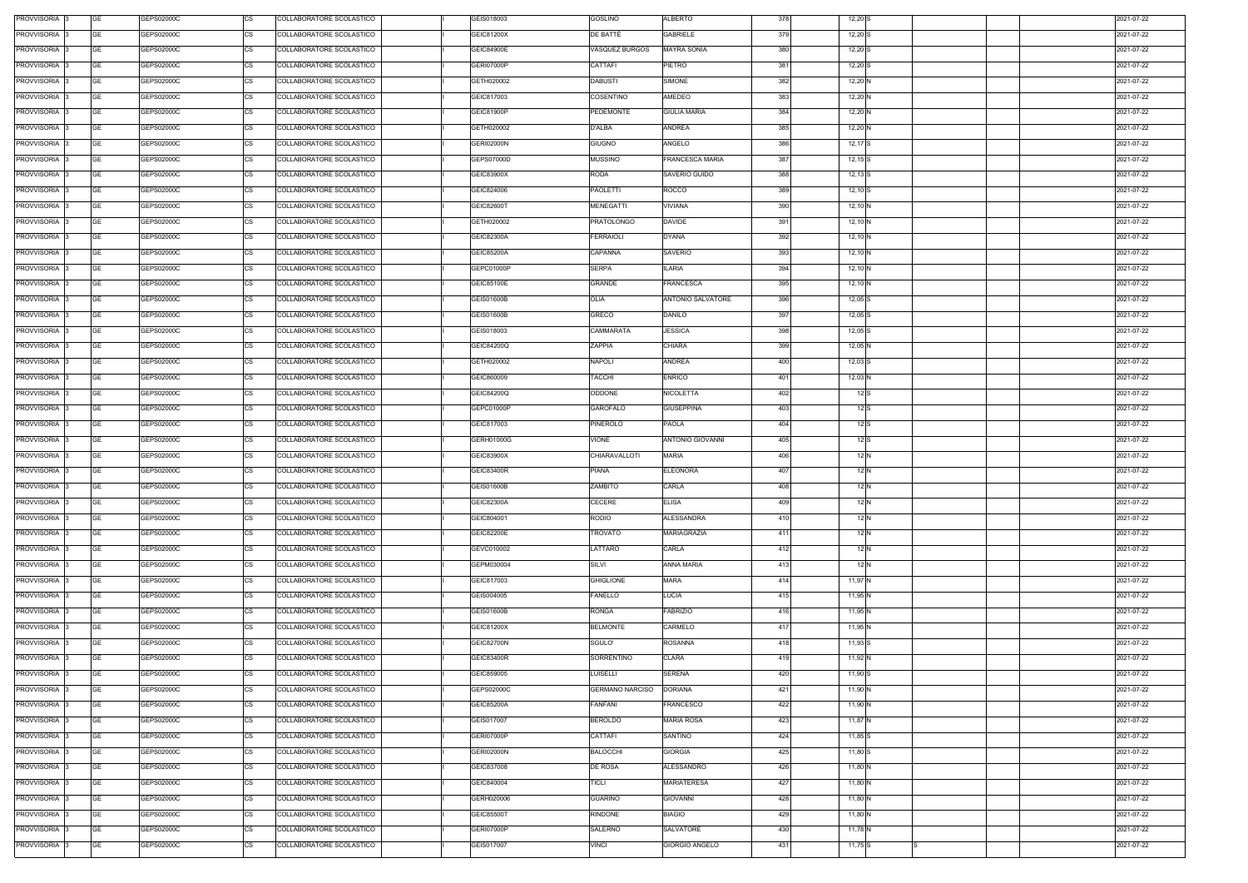| PROVVISORIA 3            | GE        | GEPS02000C | COLLABORATORE SCOLASTICO<br>CS        | GEIS018003        | <b>GOSLINO</b>         | ALBERTO               | 378 | 12,20 S         |  | 2021-07-22 |
|--------------------------|-----------|------------|---------------------------------------|-------------------|------------------------|-----------------------|-----|-----------------|--|------------|
| PROVVISORIA 3            | <b>GE</b> | GEPS02000C | <b>CS</b><br>COLLABORATORE SCOLASTICO | GEIC81200X        | DE BATTÈ               | <b>GABRIELE</b>       | 379 | 12,20 S         |  | 2021-07-22 |
| PROVVISORIA 3            | GE        | GEPS02000C | <b>CS</b><br>COLLABORATORE SCOLASTICO | <b>GEIC84900E</b> | VÁSQUEZ BURGOS         | <b>MAYRA SONIA</b>    | 380 | 12,20 S         |  | 2021-07-22 |
| PROVVISORIA 3            | GE        | GEPS02000C | <b>CS</b><br>COLLABORATORE SCOLASTICO | <b>GERI07000P</b> | CATTAFI                | PIETRO                | 381 | 12,20 S         |  | 2021-07-22 |
| PROVVISORIA 3            | <b>GE</b> | GEPS02000C | <b>CS</b><br>COLLABORATORE SCOLASTICO | GETH020002        | <b>DABUSTI</b>         | SIMONE                | 382 | 12,20 N         |  | 2021-07-22 |
| PROVVISORIA 3            | GE        | GEPS02000C | <b>CS</b><br>COLLABORATORE SCOLASTICO | GEIC817003        | COSENTINO              | AMEDEO                | 383 | 12,20 N         |  | 2021-07-22 |
| PROVVISORIA 3            | <b>GE</b> | GEPS02000C | <b>CS</b><br>COLLABORATORE SCOLASTICO | GEIC81900P        | PEDEMONTE              | <b>GIULIA MARIA</b>   | 384 | 12,20 N         |  | 2021-07-22 |
|                          |           |            |                                       |                   |                        |                       |     |                 |  |            |
| PROVVISORIA 3            | GE        | GEPS02000C | <b>CS</b><br>COLLABORATORE SCOLASTICO | GETH020002        | D'ALBA                 | <b>ANDREA</b>         | 385 | 12,20 N         |  | 2021-07-22 |
| PROVVISORIA 3            | <b>GE</b> | GEPS02000C | <b>CS</b><br>COLLABORATORE SCOLASTICO | <b>GERI02000N</b> | <b>GIUGNO</b>          | ANGELO                | 386 | $12,17$ S       |  | 2021-07-22 |
| PROVVISORIA 3            | <b>GE</b> | GEPS02000C | <b>CS</b><br>COLLABORATORE SCOLASTICO | GEPS07000D        | <b>MUSSINO</b>         | FRANCESCA MARIA       | 387 | $12,15$ S       |  | 2021-07-22 |
| PROVVISORIA 3            | <b>GE</b> | GEPS02000C | <b>CS</b><br>COLLABORATORE SCOLASTICO | GEIC83900X        | RODÀ                   | SAVERIO GUIDO         | 388 | $12,13$ S       |  | 2021-07-22 |
| PROVVISORIA 3            | <b>GE</b> | GEPS02000C | CS<br>COLLABORATORE SCOLASTICO        | GEIC824006        | <b>PAOLETTI</b>        | ROCCO                 | 389 | $12,10$ S       |  | 2021-07-22 |
| PROVVISORIA 3            | <b>GE</b> | GEPS02000C | <b>CS</b><br>COLLABORATORE SCOLASTICO | GEIC82600T        | MENEGATTI              | VIVIANA               | 390 | 12,10 N         |  | 2021-07-22 |
| PROVVISORIA 3            | <b>GE</b> | GEPS02000C | <b>CS</b><br>COLLABORATORE SCOLASTICO | GETH020002        | <b>PRATOLONGO</b>      | <b>DAVIDE</b>         | 391 | 12,10 N         |  | 2021-07-22 |
| PROVVISORIA 3            | <b>GE</b> | GEPS02000C | COLLABORATORE SCOLASTICO<br>СS        | GEIC82300A        | FERRAIOLI              | <b>DYANA</b>          | 392 | 12,10 N         |  | 2021-07-22 |
| PROVVISORIA 3            | <b>GE</b> | GEPS02000C | <b>CS</b><br>COLLABORATORE SCOLASTICO | GEIC85200A        | CAPANNA                | <b>SAVERIO</b>        | 393 | 12,10 N         |  | 2021-07-22 |
| PROVVISORIA 3            | <b>GE</b> | GEPS02000C | <b>CS</b><br>COLLABORATORE SCOLASTICO | GEPC01000P        | <b>SERPA</b>           | <b>ILARIA</b>         | 394 | 12,10 N         |  | 2021-07-22 |
| PROVVISORIA 3            | <b>GE</b> | GEPS02000C | <b>CS</b><br>COLLABORATORE SCOLASTICO | GEIC85100E        | GRANDE                 | <b>FRANCESCA</b>      | 395 | 12,10 N         |  | 2021-07-22 |
| PROVVISORIA 3            | <b>GE</b> | GEPS02000C | <b>CS</b><br>COLLABORATORE SCOLASTICO | GEIS01600B        | OLIA                   | ANTONIO SALVATORE     | 396 | 12,05 S         |  | 2021-07-22 |
| PROVVISORIA 3            | GE        | GEPS02000C | <b>CS</b><br>COLLABORATORE SCOLASTICO | GEIS01600B        | <b>GRECO</b>           | DANILO                | 397 | 12,05 S         |  | 2021-07-22 |
| PROVVISORIA 3            | GE        | GEPS02000C | <b>CS</b><br>COLLABORATORE SCOLASTICO | GEIS018003        | CAMMARATA              | <b>JESSICA</b>        | 398 | 12,05 S         |  | 2021-07-22 |
| PROVVISORIA 3            | <b>GE</b> | GEPS02000C | <b>CS</b><br>COLLABORATORE SCOLASTICO | GEIC84200Q        | ZAPPIA                 | CHIARA                | 399 | 12,05 N         |  | 2021-07-22 |
| PROVVISORIA 3            | <b>GE</b> | GEPS02000C | <b>CS</b><br>COLLABORATORE SCOLASTICO | GETH020002        | <b>NAPOLI</b>          | ANDREA                | 400 | $12,03$ S       |  | 2021-07-22 |
|                          | <b>GE</b> |            | <b>CS</b>                             |                   |                        |                       |     |                 |  |            |
| PROVVISORIA 3            |           | GEPS02000C | COLLABORATORE SCOLASTICO              | GEIC860009        | <b>TACCHI</b>          | <b>ENRICO</b>         | 401 | 12,03 N         |  | 2021-07-22 |
| PROVVISORIA 3            | <b>GE</b> | GEPS02000C | <b>CS</b><br>COLLABORATORE SCOLASTICO | GEIC84200Q        | ODDONE                 | <b>NICOLETTA</b>      | 402 | 12 S            |  | 2021-07-22 |
| PROVVISORIA 3            | <b>GE</b> | GEPS02000C | <b>CS</b><br>COLLABORATORE SCOLASTICO | GEPC01000P        | GAROFALO               | <b>GIUSEPPINA</b>     | 403 | 12 S            |  | 2021-07-22 |
| PROVVISORIA 3            | GE        | GEPS02000C | <b>CS</b><br>COLLABORATORE SCOLASTICO | GEIC817003        | PINEROLO               | PAOLA                 | 404 | 12 S            |  | 2021-07-22 |
| PROVVISORIA 3            | GE        | GEPS02000C | <b>CS</b><br>COLLABORATORE SCOLASTICO | GERH01000G        | <b>VIONE</b>           | ANTONIO GIOVANNI      | 405 | 12S             |  | 2021-07-22 |
| PROVVISORIA 3            | GE        | GEPS02000C | <b>CS</b><br>COLLABORATORE SCOLASTICO | GEIC83900X        | CHIARAVALLOTI          | <b>MARIA</b>          | 406 | 12 N            |  | 2021-07-22 |
| PROVVISORIA 3            | <b>GE</b> | GEPS02000C | <b>CS</b><br>COLLABORATORE SCOLASTICO | GEIC83400R        | PIANA                  | <b>ELEONORA</b>       | 407 | 12 <sub>N</sub> |  | 2021-07-22 |
| PROVVISORIA 3            | GE        | GEPS02000C | <b>CS</b><br>COLLABORATORE SCOLASTICO | <b>GEIS01600B</b> | <b>ZAMBITO</b>         | CARLA                 | 408 | 12 N            |  | 2021-07-22 |
| PROVVISORIA 3            | <b>GE</b> | GEPS02000C | <b>CS</b><br>COLLABORATORE SCOLASTICO | GEIC82300A        | CECERE                 | <b>ELISA</b>          | 409 | 12 N            |  | 2021-07-22 |
| PROVVISORIA 3            | GE        | GEPS02000C | <b>CS</b><br>COLLABORATORE SCOLASTICO | GEIC804001        | <b>RODIO</b>           | ALESSANDRA            | 410 | 12 N            |  | 2021-07-22 |
| PROVVISORIA <sub>3</sub> | GE        | GEPS02000C | <b>CS</b><br>COLLABORATORE SCOLASTICO | <b>GEIC82200E</b> | TROVATO                | <b>MARIAGRAZIA</b>    | 411 | 12 N            |  | 2021-07-22 |
| PROVVISORIA 3            | <b>GE</b> | GEPS02000C | <b>CS</b><br>COLLABORATORE SCOLASTICO | GEVC010002        | LATTARO                | CARLA                 | 412 | 12 N            |  | 2021-07-22 |
| PROVVISORIA 3            | <b>GE</b> | GEPS02000C | <b>CS</b><br>COLLABORATORE SCOLASTICO | GEPM030004        | <b>SILVI</b>           | ANNA MARIA            | 413 | 12 N            |  | 2021-07-22 |
| PROVVISORIA 3            | <b>GE</b> | GEPS02000C | <b>CS</b><br>COLLABORATORE SCOLASTICO | GEIC817003        | <b>GHIGLIONE</b>       | <b>MARA</b>           | 414 | 11,97 N         |  | 2021-07-22 |
| PROVVISORIA 3            | <b>GE</b> | GEPS02000C | <b>CS</b><br>COLLABORATORE SCOLASTICO | GEIS004005        | FANELLO                | LUCIA                 | 415 | 11,95 N         |  | 2021-07-22 |
| PROVVISORIA 3            | <b>GE</b> | GEPS02000C | CS<br>COLLABORATORE SCOLASTICO        | <b>GEIS01600B</b> | <b>RONGA</b>           | <b>FABRIZIO</b>       | 416 | 11,95 N         |  | 2021-07-22 |
| PROVVISORIA 3            | <b>GE</b> | GEPS02000C | <b>CS</b><br>COLLABORATORE SCOLASTICO | GEIC81200X        | <b>BELMONTE</b>        | CARMELO               | 417 | 11,95 N         |  | 2021-07-22 |
| PROVVISORIA 3            | <b>GE</b> | GEPS02000C | <b>CS</b><br>COLLABORATORE SCOLASTICO | <b>GEIC82700N</b> | SGULO'                 | <b>ROSANNA</b>        | 418 | 11,93 S         |  | 2021-07-22 |
| PROVVISORIA 3            | <b>GE</b> | GEPS02000C | <b>CS</b><br>COLLABORATORE SCOLASTICO | <b>GEIC83400R</b> | SORRENTINO             | <b>CLARA</b>          | 419 | 11,92 N         |  | 2021-07-22 |
| PROVVISORIA 3            | <b>GE</b> | GEPS02000C | <b>CS</b><br>COLLABORATORE SCOLASTICO | GEIC859005        | LUISELLI               | <b>SERENA</b>         | 420 | 11,90 S         |  | 2021-07-22 |
| PROVVISORIA 3            | <b>GE</b> | GEPS02000C | <b>CS</b><br>COLLABORATORE SCOLASTICO | GEPS02000C        | <b>GERMANO NARCISO</b> | <b>DORIANA</b>        | 421 | 11,90 N         |  | 2021-07-22 |
|                          |           |            |                                       |                   |                        |                       |     |                 |  |            |
| PROVVISORIA 3            | GE        | GEPS02000C | CS<br>COLLABORATORE SCOLASTICO        | GEIC85200A        | FANFANI                | <b>FRANCESCO</b>      | 422 | 11,90 N         |  | 2021-07-22 |
| PROVVISORIA 3            | <b>GE</b> | GEPS02000C | <b>CS</b><br>COLLABORATORE SCOLASTICO | GEIS017007        | BEROLDO                | <b>MARIA ROSA</b>     | 423 | 11,87 N         |  | 2021-07-22 |
| PROVVISORIA 3            | GE        | GEPS02000C | СS<br>COLLABORATORE SCOLASTICO        | GERI07000P        | CATTAFI                | SANTINO               | 424 | 11,85 S         |  | 2021-07-22 |
| PROVVISORIA 3            | <b>GE</b> | GEPS02000C | <b>CS</b><br>COLLABORATORE SCOLASTICO | <b>GERI02000N</b> | <b>BALOCCHI</b>        | <b>GIORGIA</b>        | 425 | 11,80 S         |  | 2021-07-22 |
| PROVVISORIA 3            | <b>GE</b> | GEPS02000C | <b>CS</b><br>COLLABORATORE SCOLASTICO | GEIC837008        | DE ROSA                | ALESSANDRO            | 426 | 11,80 N         |  | 2021-07-22 |
| PROVVISORIA 3            | <b>GE</b> | GEPS02000C | <b>CS</b><br>COLLABORATORE SCOLASTICO | GEIC840004        | TICLI                  | <b>MARIATERESA</b>    | 427 | 11,80 N         |  | 2021-07-22 |
| PROVVISORIA 3            | <b>GE</b> | GEPS02000C | <b>CS</b><br>COLLABORATORE SCOLASTICO | GERH020006        | <b>GUARINO</b>         | GIOVANNI              | 428 | 11,80 N         |  | 2021-07-22 |
| PROVVISORIA 3            | GE        | GEPS02000C | <b>CS</b><br>COLLABORATORE SCOLASTICO | GEIC85500T        | <b>RINDONE</b>         | <b>BIAGIO</b>         | 429 | 11,80 N         |  | 2021-07-22 |
| PROVVISORIA 3            | <b>GE</b> | GEPS02000C | <b>CS</b><br>COLLABORATORE SCOLASTICO | <b>GERI07000P</b> | SALERNO                | SALVATORE             | 430 | 11,78 N         |  | 2021-07-22 |
| PROVVISORIA 3            | GE        | GEPS02000C | <b>CS</b><br>COLLABORATORE SCOLASTICO | GEIS017007        | VINCI                  | <b>GIORGIO ANGELO</b> | 431 | 11,75 S         |  | 2021-07-22 |
|                          |           |            |                                       |                   |                        |                       |     |                 |  |            |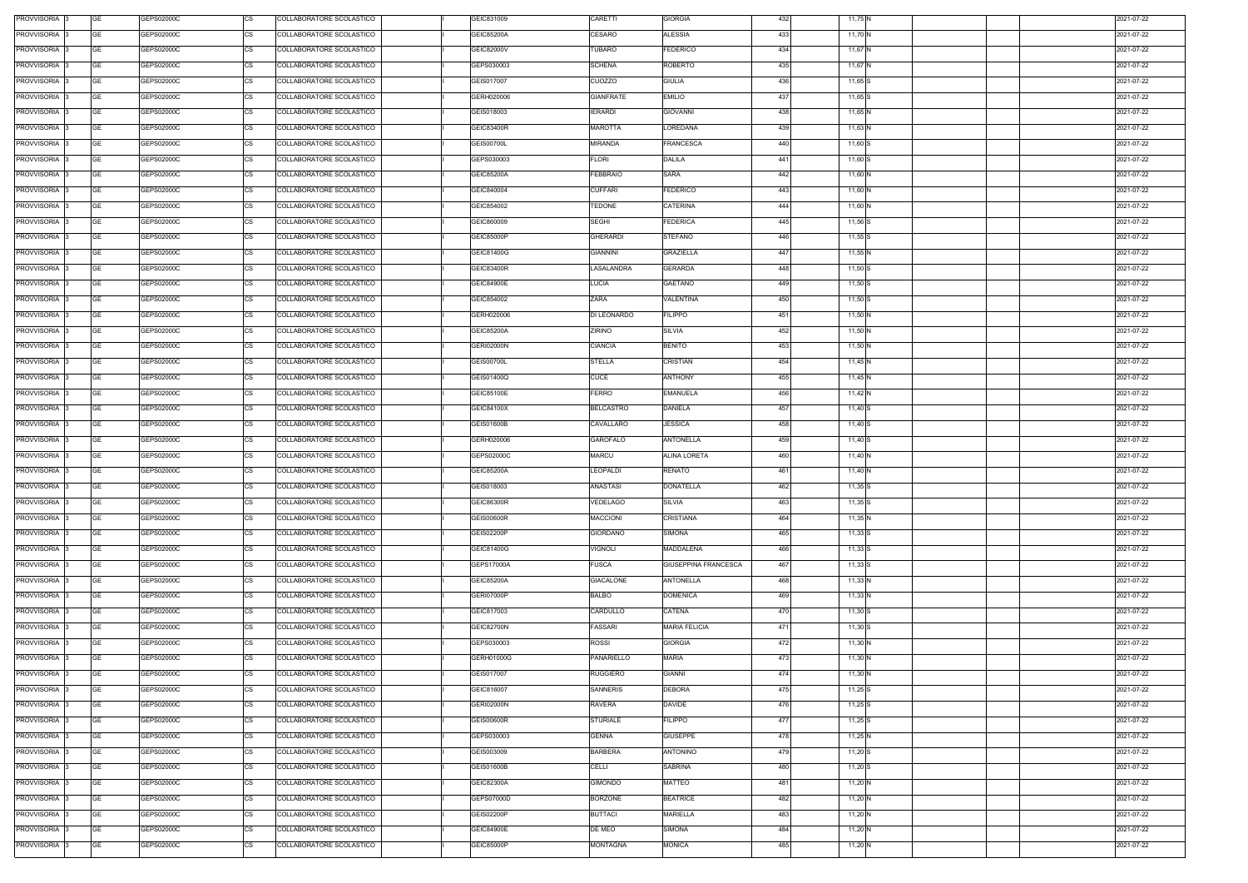| PROVVISORIA 3            | GE        | GEPS02000C | COLLABORATORE SCOLASTICO<br>CS        | GEIC831009        | CARETTI          | <b>GIORGIA</b>              | 432 | 11,75 N   |  | 2021-07-22 |
|--------------------------|-----------|------------|---------------------------------------|-------------------|------------------|-----------------------------|-----|-----------|--|------------|
| PROVVISORIA 3            | GE        | GEPS02000C | <b>CS</b><br>COLLABORATORE SCOLASTICO | GEIC85200A        | CESARO           | <b>ALESSIA</b>              | 433 | 11,70 N   |  | 2021-07-22 |
| PROVVISORIA 3            | GE        | GEPS02000C | <b>CS</b><br>COLLABORATORE SCOLASTICO | GEIC82000V        | TUBARO           | FEDERICO                    | 434 | 11,67 N   |  | 2021-07-22 |
| PROVVISORIA 3            | GE        | GEPS02000C | <b>CS</b><br>COLLABORATORE SCOLASTICO | GEPS030003        | <b>SCHENA</b>    | <b>ROBERTO</b>              | 435 | 11,67 N   |  | 2021-07-22 |
| PROVVISORIA 3            | <b>GE</b> | GEPS02000C | <b>CS</b><br>COLLABORATORE SCOLASTICO | GEIS017007        | CUOZZO           | <b>GIULIA</b>               | 436 | $11,65$ S |  | 2021-07-22 |
| PROVVISORIA 3            | GE        | GEPS02000C | <b>CS</b><br>COLLABORATORE SCOLASTICO | GERH020006        | <b>GIANFRATE</b> | <b>EMILIO</b>               | 437 | 11,65 S   |  | 2021-07-22 |
| PROVVISORIA 3            | <b>GE</b> | GEPS02000C | <b>CS</b><br>COLLABORATORE SCOLASTICO | GEIS018003        | <b>IERARDI</b>   | <b>GIOVANNI</b>             | 438 | 11,65 N   |  | 2021-07-22 |
| PROVVISORIA 3            | GE        | GEPS02000C | <b>CS</b><br>COLLABORATORE SCOLASTICO | GEIC83400R        | MAROTTA          | LOREDANA                    | 439 | 11,63 N   |  | 2021-07-22 |
| PROVVISORIA 3            | <b>GE</b> | GEPS02000C | <b>CS</b><br>COLLABORATORE SCOLASTICO | <b>GEIS00700L</b> | <b>MIRANDA</b>   | <b>FRANCESCA</b>            | 440 | 11,60 S   |  | 2021-07-22 |
| PROVVISORIA 3            | <b>GE</b> | GEPS02000C | <b>CS</b><br>COLLABORATORE SCOLASTICO | GEPS030003        | <b>FLORI</b>     | <b>DALILA</b>               | 441 | 11,60 S   |  | 2021-07-22 |
| PROVVISORIA 3            | <b>GE</b> | GEPS02000C | <b>CS</b><br>COLLABORATORE SCOLASTICO | GEIC85200A        | <b>FEBBRAIO</b>  | SARA                        | 442 | 11,60 N   |  | 2021-07-22 |
| PROVVISORIA 3            | <b>GE</b> | GEPS02000C | CS<br>COLLABORATORE SCOLASTICO        | GEIC840004        | <b>CUFFARI</b>   | <b>FEDERICO</b>             | 443 | 11,60 N   |  | 2021-07-22 |
| PROVVISORIA 3            | <b>GE</b> | GEPS02000C | <b>CS</b><br>COLLABORATORE SCOLASTICO | GEIC854002        | TEDONE           | CATERINA                    | 444 | 11,60 N   |  | 2021-07-22 |
| PROVVISORIA 3            | <b>GE</b> | GEPS02000C | <b>CS</b><br>COLLABORATORE SCOLASTICO | GEIC860009        | <b>SEGHI</b>     | <b>FEDERICA</b>             | 445 | 11,56 S   |  | 2021-07-22 |
| PROVVISORIA 3            | <b>GE</b> | GEPS02000C | COLLABORATORE SCOLASTICO<br>СS        | <b>GEIC85000P</b> | <b>GHERARDI</b>  | <b>STEFANO</b>              | 446 | 11,55 S   |  | 2021-07-22 |
| PROVVISORIA 3            | <b>GE</b> | GEPS02000C | <b>CS</b><br>COLLABORATORE SCOLASTICO | GEIC81400G        | <b>GIANNINI</b>  | <b>GRAZIELLA</b>            | 447 | 11,55 N   |  | 2021-07-22 |
|                          | <b>GE</b> | GEPS02000C | <b>CS</b>                             | <b>GEIC83400R</b> | LASALANDRA       | <b>GERARDA</b>              | 448 |           |  |            |
| PROVVISORIA 3            |           |            | COLLABORATORE SCOLASTICO              |                   |                  |                             |     | $11,50$ S |  | 2021-07-22 |
| PROVVISORIA 3            | <b>GE</b> | GEPS02000C | <b>CS</b><br>COLLABORATORE SCOLASTICO | <b>GEIC84900E</b> | LUCIA            | <b>GAETANO</b>              | 449 | 11,50 S   |  | 2021-07-22 |
| PROVVISORIA 3            | <b>GE</b> | GEPS02000C | <b>CS</b><br>COLLABORATORE SCOLASTICO | GEIC854002        | ZARA             | VALENTINA                   | 450 | 11,50 S   |  | 2021-07-22 |
| PROVVISORIA 3            | GE        | GEPS02000C | <b>CS</b><br>COLLABORATORE SCOLASTICO | GERH020006        | DI LEONARDO      | FILIPPO                     | 451 | 11,50 N   |  | 2021-07-22 |
| PROVVISORIA 3            | GE        | GEPS02000C | <b>CS</b><br>COLLABORATORE SCOLASTICO | GEIC85200A        | ZIRINO           | <b>SILVIA</b>               | 452 | 11,50 N   |  | 2021-07-22 |
| PROVVISORIA 3            | <b>GE</b> | GEPS02000C | <b>CS</b><br>COLLABORATORE SCOLASTICO | <b>GERI02000N</b> | <b>CIANCIA</b>   | <b>BENITO</b>               | 453 | 11,50 N   |  | 2021-07-22 |
| PROVVISORIA 3            | <b>GE</b> | GEPS02000C | <b>CS</b><br>COLLABORATORE SCOLASTICO | <b>GEIS00700L</b> | <b>STELLA</b>    | CRISTIAN                    | 454 | 11,45 N   |  | 2021-07-22 |
| PROVVISORIA 3            | <b>GE</b> | GEPS02000C | <b>CS</b><br>COLLABORATORE SCOLASTICO | GEIS01400Q        | CUCÉ             | <b>ANTHONY</b>              | 455 | 11,45 N   |  | 2021-07-22 |
| PROVVISORIA 3            | <b>GE</b> | GEPS02000C | <b>CS</b><br>COLLABORATORE SCOLASTICO | GEIC85100E        | <b>FERRO</b>     | EMANUELA                    | 456 | 11,42 N   |  | 2021-07-22 |
| PROVVISORIA 3            | <b>GE</b> | GEPS02000C | <b>CS</b><br>COLLABORATORE SCOLASTICO | GEIC84100X        | <b>BELCASTRO</b> | DANIELA                     | 457 | $11,40$ S |  | 2021-07-22 |
| PROVVISORIA 3            | GE        | GEPS02000C | <b>CS</b><br>COLLABORATORE SCOLASTICO | GEIS01600B        | CAVALLARO        | <b>JESSICA</b>              | 458 | 11,40 S   |  | 2021-07-22 |
| PROVVISORIA 3            | GE        | GEPS02000C | <b>CS</b><br>COLLABORATORE SCOLASTICO | GERH020006        | GAROFALO         | <b>ANTONELLA</b>            | 459 | $11,40$ S |  | 2021-07-22 |
| PROVVISORIA 3            | GE        | GEPS02000C | <b>CS</b><br>COLLABORATORE SCOLASTICO | GEPS02000C        | <b>MARCU</b>     | <b>ALINA LORETA</b>         | 460 | 11,40 N   |  | 2021-07-22 |
| PROVVISORIA 3            | <b>GE</b> | GEPS02000C | <b>CS</b><br>COLLABORATORE SCOLASTICO | GEIC85200A        | <b>LEOPALDI</b>  | <b>RENATO</b>               | 461 | 11,40 N   |  | 2021-07-22 |
| PROVVISORIA 3            | GE        | GEPS02000C | <b>CS</b><br>COLLABORATORE SCOLASTICO | GEIS018003        | ANASTASI         | <b>DONATELLA</b>            | 462 | $11,35$ S |  | 2021-07-22 |
| PROVVISORIA <sup>3</sup> | <b>GE</b> | GEPS02000C | <b>CS</b><br>COLLABORATORE SCOLASTICO | GEIC86300R        | VEDELAGO         | <b>SILVIA</b>               | 463 | 11,35 S   |  | 2021-07-22 |
| PROVVISORIA 3            | GE        | GEPS02000C | <b>CS</b><br>COLLABORATORE SCOLASTICO | <b>GEIS00600R</b> | <b>MACCIONI</b>  | <b>CRISTIANA</b>            | 464 | 11,35 N   |  | 2021-07-22 |
| PROVVISORIA 3            | GE        | GEPS02000C | <b>CS</b><br>COLLABORATORE SCOLASTICO | <b>GEIS02200P</b> | GIORDANO         | SIMONA                      | 465 | 11,33 S   |  | 2021-07-22 |
| PROVVISORIA 3            | <b>GE</b> | GEPS02000C | <b>CS</b><br>COLLABORATORE SCOLASTICO | GEIC81400G        | <b>VIGNOLI</b>   | MADDALENA                   | 466 | $11,33$ S |  | 2021-07-22 |
| PROVVISORIA 3            | <b>GE</b> | GEPS02000C | <b>CS</b><br>COLLABORATORE SCOLASTICO | <b>GEPS17000A</b> | <b>FUSCA</b>     | <b>GIUSEPPINA FRANCESCA</b> | 467 | $11,33$ S |  | 2021-07-22 |
| PROVVISORIA 3            | <b>GE</b> | GEPS02000C | <b>CS</b><br>COLLABORATORE SCOLASTICO | GEIC85200A        | <b>GIACALONE</b> | <b>ANTONELLA</b>            | 468 | 11,33 N   |  | 2021-07-22 |
| PROVVISORIA 3            | <b>GE</b> | GEPS02000C | <b>CS</b><br>COLLABORATORE SCOLASTICO | <b>GERI07000P</b> | <b>BALBO</b>     | <b>DOMENICA</b>             | 469 | 11,33 N   |  | 2021-07-22 |
| PROVVISORIA 3            | <b>GE</b> | GEPS02000C | CS<br>COLLABORATORE SCOLASTICO        | GEIC817003        | CARDULLO         | CATENA                      | 470 | $11,30$ S |  | 2021-07-22 |
| PROVVISORIA 3            | <b>GE</b> | GEPS02000C | <b>CS</b><br>COLLABORATORE SCOLASTICO | <b>GEIC82700N</b> | <b>FASSARI</b>   | <b>MARIA FELICIA</b>        | 471 | 11,30 S   |  | 2021-07-22 |
| PROVVISORIA 3            | <b>GE</b> | GEPS02000C | <b>CS</b><br>COLLABORATORE SCOLASTICO | GEPS030003        | ROSSI            | <b>GIORGIA</b>              | 472 | 11,30 N   |  | 2021-07-22 |
| PROVVISORIA 3            | <b>GE</b> | GEPS02000C | <b>CS</b><br>COLLABORATORE SCOLASTICO | GERH01000G        | PANARIELLO       | <b>MARIA</b>                | 473 | 11,30 N   |  | 2021-07-22 |
| PROVVISORIA 3            | <b>GE</b> | GEPS02000C | <b>CS</b><br>COLLABORATORE SCOLASTICO | GEIS017007        | <b>RUGGIERO</b>  | <b>GIANNI</b>               | 474 | 11,30 N   |  | 2021-07-22 |
| PROVVISORIA 3            | <b>GE</b> | GEPS02000C | <b>CS</b><br>COLLABORATORE SCOLASTICO | GEIC816007        | <b>SANNERIS</b>  | <b>DEBORA</b>               | 475 | 11,25 S   |  | 2021-07-22 |
| PROVVISORIA 3            | <b>GE</b> | GEPS02000C | CS<br>COLLABORATORE SCOLASTICO        | <b>GERI02000N</b> | RAVERA           | <b>DAVIDE</b>               | 476 | 11,25 S   |  | 2021-07-22 |
| PROVVISORIA 3            | <b>GE</b> | GEPS02000C | <b>CS</b><br>COLLABORATORE SCOLASTICO | <b>GEIS00600R</b> | <b>STURIALE</b>  | FILIPPO                     | 477 | 11,25 S   |  | 2021-07-22 |
| PROVVISORIA 3            | GE        | GEPS02000C | СS<br>COLLABORATORE SCOLASTICO        | GEPS030003        | <b>GENNA</b>     | <b>GIUSEPPE</b>             | 478 | 11,25 N   |  | 2021-07-22 |
| PROVVISORIA 3            | <b>GE</b> | GEPS02000C | <b>CS</b><br>COLLABORATORE SCOLASTICO | GEIS003009        | <b>BARBERA</b>   | ANTONINO                    | 479 | $11,20$ S |  | 2021-07-22 |
| PROVVISORIA 3            | <b>GE</b> | GEPS02000C | <b>CS</b><br>COLLABORATORE SCOLASTICO | GEIS01600B        | <b>CELLI</b>     | SABRINA                     | 480 | $11,20$ S |  | 2021-07-22 |
| PROVVISORIA 3            | <b>GE</b> | GEPS02000C | <b>CS</b><br>COLLABORATORE SCOLASTICO | GEIC82300A        | <b>GIMONDO</b>   | MATTEO                      | 481 | 11,20 N   |  | 2021-07-22 |
| PROVVISORIA 3            | <b>GE</b> | GEPS02000C | CS<br>COLLABORATORE SCOLASTICO        | GEPS07000D        | <b>BORZONE</b>   | <b>BEATRICE</b>             | 482 | 11,20 N   |  | 2021-07-22 |
| PROVVISORIA 3            | GE        | GEPS02000C | <b>CS</b><br>COLLABORATORE SCOLASTICO | <b>GEIS02200P</b> | <b>BUTTACI</b>   | MARIELLA                    | 483 | 11,20 N   |  | 2021-07-22 |
| PROVVISORIA 3            | <b>GE</b> | GEPS02000C | <b>CS</b><br>COLLABORATORE SCOLASTICO | GEIC84900E        | DE MEO           | SIMONA                      | 484 | 11,20 N   |  | 2021-07-22 |
| PROVVISORIA 3            | GE        | GEPS02000C | <b>CS</b><br>COLLABORATORE SCOLASTICO | GEIC85000P        | MONTAGNA         | <b>MONICA</b>               | 485 | 11,20 N   |  | 2021-07-22 |
|                          |           |            |                                       |                   |                  |                             |     |           |  |            |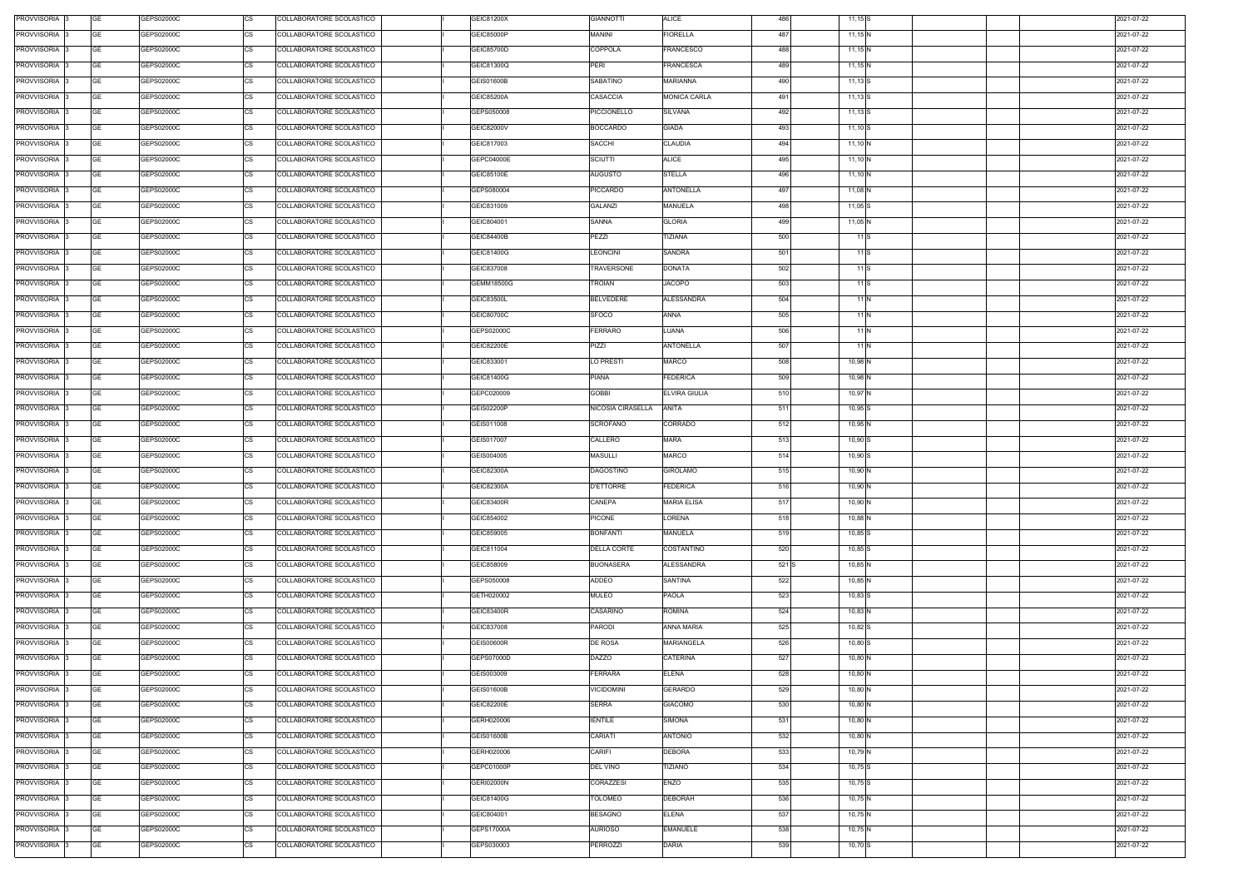| PROVVISORIA 3 | <b>GE</b><br>GEPS02000C | <b>CS</b> | COLLABORATORE SCOLASTICO | GEIC81200X        | <b>GIANNOTTI</b>   | <b>ALICE</b>        | 486   | $11,15$ S |  | 2021-07-22 |
|---------------|-------------------------|-----------|--------------------------|-------------------|--------------------|---------------------|-------|-----------|--|------------|
| PROVVISORIA 3 | <b>GE</b><br>GEPS02000C | CS        | COLLABORATORE SCOLASTICO | GEIC85000P        | <b>MANINI</b>      | <b>FIORELLA</b>     | 487   | $11,15$ N |  | 2021-07-22 |
| PROVVISORIA 3 | <b>GE</b><br>GEPS02000C | <b>CS</b> | COLLABORATORE SCOLASTICO | GEIC85700D        | COPPOLA            | FRANCESCO           | 488   | 11,15 N   |  | 2021-07-22 |
| PROVVISORIA 3 | <b>GE</b><br>GEPS02000C | <b>CS</b> | COLLABORATORE SCOLASTICO | GEIC81300Q        | PERI               | FRANCESCA           | 489   | $11,15$ N |  | 2021-07-22 |
| PROVVISORIA 3 | <b>GE</b><br>GEPS02000C | <b>CS</b> | COLLABORATORE SCOLASTICO | GEIS01600B        | SABATINO           | MARIANNA            | 490   | $11,13$ S |  | 2021-07-22 |
| PROVVISORIA 3 | <b>GE</b><br>GEPS02000C | <b>CS</b> | COLLABORATORE SCOLASTICO | GEIC85200A        | <b>CASACCIA</b>    | <b>MONICA CARLA</b> | 491   | 11,13 S   |  | 2021-07-22 |
| PROVVISORIA 3 | <b>GE</b><br>GEPS02000C | <b>CS</b> | COLLABORATORE SCOLASTICO | GEPS050008        | PICCIONELLO        | SILVANA             | 492   | 11,13 S   |  | 2021-07-22 |
| PROVVISORIA 3 | <b>GE</b><br>GEPS02000C | CS        | COLLABORATORE SCOLASTICO | GEIC82000V        | <b>BOCCARDO</b>    | <b>GIADA</b>        | 493   | $11,10$ S |  | 2021-07-22 |
| PROVVISORIA 3 | <b>GE</b><br>GEPS02000C | <b>CS</b> | COLLABORATORE SCOLASTICO | GEIC817003        | <b>SACCHI</b>      | <b>CLAUDIA</b>      | 494   | 11,10 N   |  | 2021-07-22 |
| PROVVISORIA 3 | <b>GE</b><br>GEPS02000C | <b>CS</b> | COLLABORATORE SCOLASTICO | GEPC04000E        | <b>SCIUTTI</b>     | <b>ALICE</b>        | 495   | 11,10 N   |  | 2021-07-22 |
| PROVVISORIA 3 | <b>GE</b><br>GEPS02000C | <b>CS</b> | COLLABORATORE SCOLASTICO | GEIC85100E        | AUGUSTO            | <b>STELLA</b>       | 496   | 11,10 N   |  | 2021-07-22 |
| PROVVISORIA 3 | <b>GE</b><br>GEPS02000C | CS        | COLLABORATORE SCOLASTICO | GEPS080004        | <b>PICCARDO</b>    | <b>ANTONELLA</b>    | 497   | 11,08 N   |  | 2021-07-22 |
| PROVVISORIA 3 | <b>GE</b><br>GEPS02000C | <b>CS</b> | COLLABORATORE SCOLASTICO | GEIC831009        | GALANZI            | <b>MANUELA</b>      | 498   | 11,05 S   |  | 2021-07-22 |
| PROVVISORIA 3 | <b>GE</b><br>GEPS02000C | CS        | COLLABORATORE SCOLASTICO | GEIC804001        | SANNA              | <b>GLORIA</b>       | 499   | 11,05 N   |  | 2021-07-22 |
| PROVVISORIA 3 | <b>GE</b><br>GEPS02000C | <b>CS</b> | COLLABORATORE SCOLASTICO | <b>GEIC84400B</b> | PEZZI              | TIZIANA             | 500   | 11 S      |  | 2021-07-22 |
| PROVVISORIA 3 | <b>GE</b><br>GEPS02000C | CS        | COLLABORATORE SCOLASTICO | GEIC81400G        | <b>LEONCINI</b>    | <b>SANDRA</b>       | 501   | 11 S      |  | 2021-07-22 |
| PROVVISORIA 3 | <b>GE</b><br>GEPS02000C | <b>CS</b> | COLLABORATORE SCOLASTICO | GEIC837008        | TRAVERSONE         | <b>DONATA</b>       | 502   | 11 S      |  | 2021-07-22 |
| PROVVISORIA 3 | <b>GE</b><br>GEPS02000C | <b>CS</b> | COLLABORATORE SCOLASTICO | GEMM18500G        | troian             | <b>JACOPO</b>       | 503   | 11 S      |  | 2021-07-22 |
| PROVVISORIA 3 | <b>GE</b><br>GEPS02000C | <b>CS</b> | COLLABORATORE SCOLASTICO | GEIC83500L        | <b>BELVEDERE</b>   | ALESSANDRA          | 504   | 11 N      |  | 2021-07-22 |
| PROVVISORIA 3 | <b>GE</b><br>GEPS02000C | <b>CS</b> | COLLABORATORE SCOLASTICO | GEIC80700C        | <b>SFOCO</b>       | ANNA                | 505   | 11 N      |  | 2021-07-22 |
| PROVVISORIA 3 | <b>GE</b><br>GEPS02000C | <b>CS</b> | COLLABORATORE SCOLASTICO | GEPS02000C        | <b>FERRARO</b>     | LUANA               | 506   | 11 N      |  | 2021-07-22 |
| PROVVISORIA 3 | <b>GE</b><br>GEPS02000C | <b>CS</b> | COLLABORATORE SCOLASTICO | GEIC82200E        | PIZZI              | <b>ANTONELLA</b>    | 507   | 11 N      |  | 2021-07-22 |
| PROVVISORIA 3 | <b>GE</b><br>GEPS02000C | <b>CS</b> | COLLABORATORE SCOLASTICO | GEIC833001        | LO PRESTI          | <b>MARCO</b>        | 508   | 10,98 N   |  | 2021-07-22 |
|               | <b>GE</b>               |           |                          |                   |                    |                     |       |           |  |            |
| PROVVISORIA 3 | GEPS02000C              | <b>CS</b> | COLLABORATORE SCOLASTICO | GEIC81400G        | <b>PIANA</b>       | <b>FEDERICA</b>     | 509   | 10,98 N   |  | 2021-07-22 |
| PROVVISORIA 3 | <b>GE</b><br>GEPS02000C | <b>CS</b> | COLLABORATORE SCOLASTICO | GEPC020009        | <b>GOBBI</b>       | ELVIRA GIULIA       | 510   | 10,97 N   |  | 2021-07-22 |
| PROVVISORIA 3 | <b>GE</b><br>GEPS02000C | <b>CS</b> | COLLABORATORE SCOLASTICO | GEIS02200P        | NICOSIA CIRASELLA  | ANITA               | 511   | $10,95$ S |  | 2021-07-22 |
| PROVVISORIA 3 | <b>GE</b><br>GEPS02000C | <b>CS</b> | COLLABORATORE SCOLASTICO | GEIS011008        | SCROFANO           | CORRADO             | 512   | 10,95 N   |  | 2021-07-22 |
| PROVVISORIA 3 | <b>GE</b><br>GEPS02000C | CS        | COLLABORATORE SCOLASTICO | GEIS017007        | CALLERO            | <b>MARA</b>         | 513   | $10,90$ S |  | 2021-07-22 |
| PROVVISORIA 3 | <b>GE</b><br>GEPS02000C | <b>CS</b> | COLLABORATORE SCOLASTICO | GEIS004005        | <b>MASULLI</b>     | <b>MARCO</b>        | 514   | $10,90$ S |  | 2021-07-22 |
| PROVVISORIA 3 | <b>GE</b><br>GEPS02000C | <b>CS</b> | COLLABORATORE SCOLASTICO | GEIC82300A        | <b>DAGOSTINO</b>   | <b>GIROLAMO</b>     | 515   | 10,90 N   |  | 2021-07-22 |
| PROVVISORIA 3 | <b>GE</b><br>GEPS02000C | <b>CS</b> | COLLABORATORE SCOLASTICO | GEIC82300A        | <b>D'ETTORRE</b>   | <b>FEDERICA</b>     | 516   | 10,90 N   |  | 2021-07-22 |
| PROVVISORIA 3 | <b>GE</b><br>GEPS02000C | <b>CS</b> | COLLABORATORE SCOLASTICO | GEIC83400R        | CANEPA             | <b>MARIA ELISA</b>  | 517   | 10,90 N   |  | 2021-07-22 |
| PROVVISORIA 3 | <b>GE</b><br>GEPS02000C | CS        | COLLABORATORE SCOLASTICO | GEIC854002        | <b>PICONE</b>      | LORENA              | 518   | 10,88 N   |  | 2021-07-22 |
| PROVVISORIA 3 | <b>GE</b><br>GEPS02000C | <b>CS</b> | COLLABORATORE SCOLASTICO | GEIC859005        | <b>BONFANTI</b>    | MANUELA             | 519   | $10,85$ S |  | 2021-07-22 |
| PROVVISORIA 3 | <b>GE</b><br>GEPS02000C | CS        | COLLABORATORE SCOLASTICO | GEIC811004        | <b>DELLA CORTE</b> | COSTANTINO          | 520   | 10,85 S   |  | 2021-07-22 |
| PROVVISORIA 3 | <b>GE</b><br>GEPS02000C | <b>CS</b> | COLLABORATORE SCOLASTICO | GEIC858009        | <b>BUONASERA</b>   | <b>ALESSANDRA</b>   | 521 S | 10,85 N   |  | 2021-07-22 |
| PROVVISORIA 3 | <b>GE</b><br>GEPS02000C | CS        | COLLABORATORE SCOLASTICO | GEPS050008        | ADDEO              | SANTINA             | 522   | 10,85 N   |  | 2021-07-22 |
| PROVVISORIA 3 | <b>GE</b><br>GEPS02000C | <b>CS</b> | COLLABORATORE SCOLASTICO | GETH020002        | <b>MULEO</b>       | <b>PAOLA</b>        | 523   | 10,83 S   |  | 2021-07-22 |
| PROVVISORIA 3 | <b>GE</b><br>GEPS02000C | CS        | COLLABORATORE SCOLASTICO | <b>GEIC83400R</b> | <b>CASARINO</b>    | ROMINA              | 524   | 10,83 N   |  | 2021-07-22 |
| PROVVISORIA 3 | <b>GE</b><br>GEPS02000C | CS        | COLLABORATORE SCOLASTICO | GEIC837008        | <b>PARODI</b>      | <b>ANNA MARIA</b>   | 525   | 10,82 S   |  | 2021-07-22 |
| PROVVISORIA 3 | <b>GE</b><br>GEPS02000C | CS        | COLLABORATORE SCOLASTICO | <b>GEIS00600R</b> | DE ROSA            | <b>MARIANGELA</b>   | 526   | $10,80$ S |  | 2021-07-22 |
| PROVVISORIA 3 | <b>GE</b><br>GEPS02000C | <b>CS</b> | COLLABORATORE SCOLASTICO | GEPS07000D        | <b>DAZZO</b>       | CATERINA            | 527   | 10,80 N   |  | 2021-07-22 |
| PROVVISORIA 3 | <b>GE</b><br>GEPS02000C | CS        | COLLABORATORE SCOLASTICO | GEIS003009        | <b>FERRARA</b>     | <b>ELENA</b>        | 528   | 10,80 N   |  | 2021-07-22 |
| PROVVISORIA 3 | <b>GE</b><br>GEPS02000C | CS        | COLLABORATORE SCOLASTICO | GEIS01600B        | <b>VICIDOMINI</b>  | <b>GERARDO</b>      | 529   | 10,80 N   |  | 2021-07-22 |
| PROVVISORIA 3 | <b>GE</b><br>GEPS02000C | <b>CS</b> | COLLABORATORE SCOLASTICO | GEIC82200E        | SERRA              | <b>GIACOMO</b>      | 530   | 10,80 N   |  | 2021-07-22 |
| PROVVISORIA 3 | <b>GE</b><br>GEPS02000C | <b>CS</b> | COLLABORATORE SCOLASTICO | GERH020006        | <b>IENTILE</b>     | SIMONA              | 531   | 10,80 N   |  | 2021-07-22 |
| PROVVISORIA 3 | <b>GE</b><br>GEPS02000C | <b>CS</b> | COLLABORATORE SCOLASTICO | GEIS01600B        | CARIATI            | ANTONIO             | 532   | 10,80 N   |  | 2021-07-22 |
| PROVVISORIA 3 | <b>GE</b><br>GEPS02000C | <b>CS</b> | COLLABORATORE SCOLASTICO | GERH020006        | CARIFI             | <b>DEBORA</b>       | 533   | 10,79 N   |  | 2021-07-22 |
| PROVVISORIA 3 | <b>GE</b><br>GEPS02000C | <b>CS</b> | COLLABORATORE SCOLASTICO | GEPC01000P        | DEL VINO           | TIZIANO             | 534   | $10,75$ S |  | 2021-07-22 |
| PROVVISORIA 3 | <b>GE</b><br>GEPS02000C | <b>CS</b> | COLLABORATORE SCOLASTICO | <b>GERI02000N</b> | CORAZZESI          | <b>ENZO</b>         | 535   | $10,75$ S |  | 2021-07-22 |
| PROVVISORIA 3 | <b>GE</b><br>GEPS02000C | <b>CS</b> | COLLABORATORE SCOLASTICO | GEIC81400G        | TOLOMEO            | DEBORAH             | 536   | 10,75 N   |  | 2021-07-22 |
| PROVVISORIA 3 | <b>GE</b><br>GEPS02000C | <b>CS</b> | COLLABORATORE SCOLASTICO | GEIC804001        | <b>BESAGNO</b>     | ELENA               | 537   | 10,75 N   |  | 2021-07-22 |
| PROVVISORIA 3 | <b>GE</b><br>GEPS02000C | <b>CS</b> | COLLABORATORE SCOLASTICO | GEPS17000A        | <b>AURIOSO</b>     | EMANUELE            | 538   | 10,75 N   |  | 2021-07-22 |
| PROVVISORIA 3 | <b>GE</b><br>GEPS02000C | CS        | COLLABORATORE SCOLASTICO | GEPS030003        | PERROZZI           | <b>DARIA</b>        | 539   | 10,70 S   |  | 2021-07-22 |
|               |                         |           |                          |                   |                    |                     |       |           |  |            |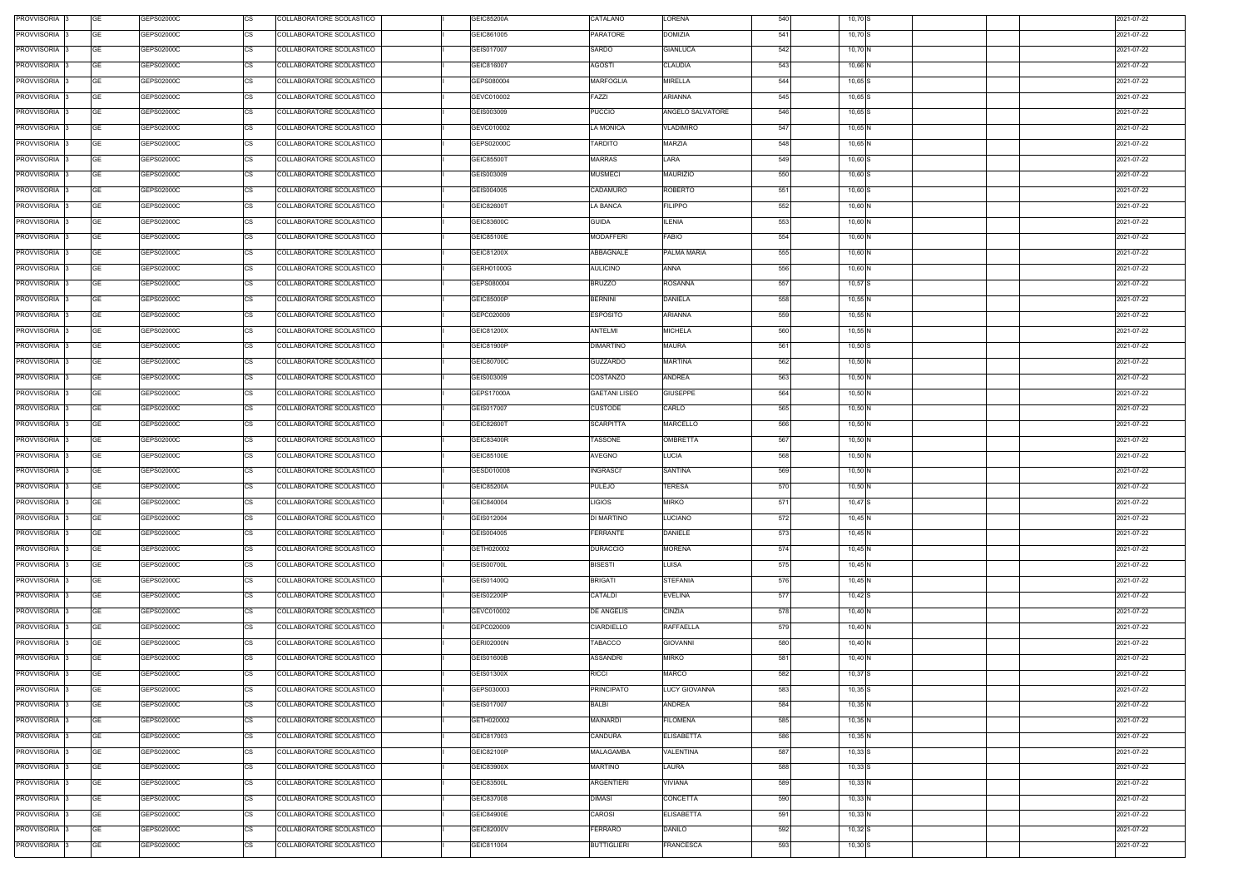| PROVVISORIA 3 | GE        | GEPS02000C | COLLABORATORE SCOLASTICO<br>CS        | GEIC85200A        | CATALANO             | LORENA            | 540 | 10,70 S   |  | 2021-07-22 |
|---------------|-----------|------------|---------------------------------------|-------------------|----------------------|-------------------|-----|-----------|--|------------|
| PROVVISORIA 3 | <b>GE</b> | GEPS02000C | <b>CS</b><br>COLLABORATORE SCOLASTICO | GEIC861005        | PARATORE             | <b>DOMIZIA</b>    | 541 | $10,70$ S |  | 2021-07-22 |
| PROVVISORIA 3 | GE        | GEPS02000C | <b>CS</b><br>COLLABORATORE SCOLASTICO | GEIS017007        | SARDO                | <b>GIANLUCA</b>   | 542 | 10,70 N   |  | 2021-07-22 |
| PROVVISORIA 3 | GE        | GEPS02000C | <b>CS</b><br>COLLABORATORE SCOLASTICO | GEIC816007        | <b>AGOSTI</b>        | <b>CLAUDIA</b>    | 543 | 10,66 N   |  | 2021-07-22 |
| PROVVISORIA 3 | <b>GE</b> | GEPS02000C | <b>CS</b><br>COLLABORATORE SCOLASTICO | GEPS080004        | <b>MARFOGLIA</b>     | <b>MIRELLA</b>    | 544 | $10,65$ S |  | 2021-07-22 |
| PROVVISORIA 3 | GE        | GEPS02000C | <b>CS</b><br>COLLABORATORE SCOLASTICO | GEVC010002        | FAZZI                | ARIANNA           | 545 | $10,65$ S |  | 2021-07-22 |
| PROVVISORIA 3 | <b>GE</b> | GEPS02000C | <b>CS</b><br>COLLABORATORE SCOLASTICO | GEIS003009        | <b>PUCCIO</b>        | ANGELO SALVATORE  | 546 | $10,65$ S |  | 2021-07-22 |
| PROVVISORIA 3 | GE        | GEPS02000C | <b>CS</b><br>COLLABORATORE SCOLASTICO | GEVC010002        | LA MONICA            | <b>VLADIMIRO</b>  | 547 | 10,65 N   |  | 2021-07-22 |
| PROVVISORIA 3 | <b>GE</b> | GEPS02000C | <b>CS</b><br>COLLABORATORE SCOLASTICO | GEPS02000C        | TARDITO              | <b>MARZIA</b>     | 548 | 10,65 N   |  | 2021-07-22 |
| PROVVISORIA 3 | <b>GE</b> | GEPS02000C | <b>CS</b><br>COLLABORATORE SCOLASTICO | <b>GEIC85500T</b> | <b>MARRAS</b>        | LARA              | 549 | 10,60 S   |  | 2021-07-22 |
| PROVVISORIA 3 | <b>GE</b> | GEPS02000C | <b>CS</b><br>COLLABORATORE SCOLASTICO | GEIS003009        | <b>MUSMECI</b>       | <b>MAURIZIO</b>   | 550 | $10,60$ S |  | 2021-07-22 |
| PROVVISORIA 3 | <b>GE</b> | GEPS02000C | CS<br>COLLABORATORE SCOLASTICO        | GEIS004005        | CADAMURO             | <b>ROBERTO</b>    | 551 | 10,60 S   |  | 2021-07-22 |
| PROVVISORIA 3 | <b>GE</b> | GEPS02000C | <b>CS</b><br>COLLABORATORE SCOLASTICO | GEIC82600T        | LA BANCA             | <b>FILIPPO</b>    | 552 | 10,60 N   |  | 2021-07-22 |
| PROVVISORIA 3 | <b>GE</b> | GEPS02000C | <b>CS</b><br>COLLABORATORE SCOLASTICO | GEIC83600C        | <b>GUIDA</b>         | ILENIA            | 553 | 10,60 N   |  | 2021-07-22 |
| PROVVISORIA 3 | <b>GE</b> | GEPS02000C | COLLABORATORE SCOLASTICO<br>СS        | GEIC85100E        | <b>MODAFFERI</b>     | <b>FABIO</b>      | 554 | 10,60 N   |  | 2021-07-22 |
| PROVVISORIA 3 | <b>GE</b> | GEPS02000C | <b>CS</b><br>COLLABORATORE SCOLASTICO | GEIC81200X        | ABBAGNALE            | PALMA MARIA       | 555 | 10,60 N   |  | 2021-07-22 |
|               | <b>GE</b> | GEPS02000C | <b>CS</b>                             | GERH01000G        | <b>AULICINO</b>      |                   | 556 |           |  |            |
| PROVVISORIA 3 |           |            | COLLABORATORE SCOLASTICO              |                   |                      | ANNA              |     | 10,60 N   |  | 2021-07-22 |
| PROVVISORIA 3 | <b>GE</b> | GEPS02000C | <b>CS</b><br>COLLABORATORE SCOLASTICO | GEPS080004        | <b>BRUZZO</b>        | <b>ROSANNA</b>    | 557 | 10,57 S   |  | 2021-07-22 |
| PROVVISORIA 3 | <b>GE</b> | GEPS02000C | <b>CS</b><br>COLLABORATORE SCOLASTICO | GEIC85000P        | <b>BERNINI</b>       | DANIELA           | 558 | 10,55 N   |  | 2021-07-22 |
| PROVVISORIA 3 | GE        | GEPS02000C | <b>CS</b><br>COLLABORATORE SCOLASTICO | GEPC020009        | <b>ESPOSITO</b>      | ARIANNA           | 559 | 10,55 N   |  | 2021-07-22 |
| PROVVISORIA 3 | GE        | GEPS02000C | <b>CS</b><br>COLLABORATORE SCOLASTICO | GEIC81200X        | <b>ANTELMI</b>       | MICHELA           | 560 | 10,55 N   |  | 2021-07-22 |
| PROVVISORIA 3 | <b>GE</b> | GEPS02000C | <b>CS</b><br>COLLABORATORE SCOLASTICO | GEIC81900P        | <b>DIMARTINO</b>     | MAURA             | 561 | $10,50$ S |  | 2021-07-22 |
| PROVVISORIA 3 | <b>GE</b> | GEPS02000C | <b>CS</b><br>COLLABORATORE SCOLASTICO | GEIC80700C        | GUZZARDO             | <b>MARTINA</b>    | 562 | 10,50 N   |  | 2021-07-22 |
| PROVVISORIA 3 | <b>GE</b> | GEPS02000C | <b>CS</b><br>COLLABORATORE SCOLASTICO | GEIS003009        | COSTANZO             | <b>ANDREA</b>     | 563 | 10,50 N   |  | 2021-07-22 |
| PROVVISORIA 3 | <b>GE</b> | GEPS02000C | <b>CS</b><br>COLLABORATORE SCOLASTICO | GEPS17000A        | <b>GAETANI LISEO</b> | <b>GIUSEPPE</b>   | 564 | 10,50 N   |  | 2021-07-22 |
| PROVVISORIA 3 | <b>GE</b> | GEPS02000C | <b>CS</b><br>COLLABORATORE SCOLASTICO | GEIS017007        | <b>CUSTODE</b>       | CARLO             | 565 | 10,50 N   |  | 2021-07-22 |
| PROVVISORIA 3 | GE        | GEPS02000C | <b>CS</b><br>COLLABORATORE SCOLASTICO | GEIC82600T        | SCARPITTA            | MARCELLO          | 566 | 10,50 N   |  | 2021-07-22 |
| PROVVISORIA 3 | GE        | GEPS02000C | <b>CS</b><br>COLLABORATORE SCOLASTICO | GEIC83400R        | <b>TASSONE</b>       | <b>OMBRETTA</b>   | 567 | 10,50 N   |  | 2021-07-22 |
| PROVVISORIA 3 | GE        | GEPS02000C | <b>CS</b><br>COLLABORATORE SCOLASTICO | GEIC85100E        | <b>AVEGNO</b>        | LUCIA             | 568 | 10,50 N   |  | 2021-07-22 |
| PROVVISORIA 3 | <b>GE</b> | GEPS02000C | <b>CS</b><br>COLLABORATORE SCOLASTICO | GESD010008        | <b>INGRASCI'</b>     | SANTINA           | 569 | 10,50 N   |  | 2021-07-22 |
| PROVVISORIA 3 | GE        | GEPS02000C | <b>CS</b><br>COLLABORATORE SCOLASTICO | GEIC85200A        | <b>PULEJO</b>        | TERESA            | 570 | 10,50 N   |  | 2021-07-22 |
| PROVVISORIA 3 | <b>GE</b> | GEPS02000C | <b>CS</b><br>COLLABORATORE SCOLASTICO | GEIC840004        | <b>LIGIOS</b>        | MIRKO             | 571 | $10,47$ S |  | 2021-07-22 |
| PROVVISORIA 3 | GE        | GEPS02000C | <b>CS</b><br>COLLABORATORE SCOLASTICO | GEIS012004        | DI MARTINO           | LUCIANO           | 572 | 10,45 N   |  | 2021-07-22 |
| PROVVISORIA 3 | GE        | GEPS02000C | <b>CS</b><br>COLLABORATORE SCOLASTICO | GEIS004005        | FERRANTE             | <b>DANIELE</b>    | 573 | 10,45 N   |  | 2021-07-22 |
| PROVVISORIA 3 | <b>GE</b> | GEPS02000C | <b>CS</b><br>COLLABORATORE SCOLASTICO | GETH020002        | <b>DURACCIO</b>      | <b>MORENA</b>     | 574 | 10,45 N   |  | 2021-07-22 |
| PROVVISORIA 3 | <b>GE</b> | GEPS02000C | <b>CS</b><br>COLLABORATORE SCOLASTICO | <b>GEIS00700L</b> | <b>BISESTI</b>       | LUISA             | 575 | 10,45 N   |  | 2021-07-22 |
| PROVVISORIA 3 | <b>GE</b> | GEPS02000C | <b>CS</b><br>COLLABORATORE SCOLASTICO | GEIS01400Q        | <b>BRIGATI</b>       | <b>STEFANIA</b>   | 576 | 10,45 N   |  | 2021-07-22 |
| PROVVISORIA 3 | <b>GE</b> | GEPS02000C | <b>CS</b><br>COLLABORATORE SCOLASTICO | <b>GEIS02200P</b> | CATALDI              | <b>EVELINA</b>    | 577 | 10,42 S   |  | 2021-07-22 |
| PROVVISORIA 3 | <b>GE</b> | GEPS02000C | CS<br>COLLABORATORE SCOLASTICO        | GEVC010002        | DE ANGELIS           | <b>CINZIA</b>     | 578 | 10,40 N   |  | 2021-07-22 |
| PROVVISORIA 3 | <b>GE</b> | GEPS02000C | <b>CS</b><br>COLLABORATORE SCOLASTICO | GEPC020009        | CIARDIELLO           | <b>RAFFAELLA</b>  | 579 | 10,40 N   |  | 2021-07-22 |
| PROVVISORIA 3 | <b>GE</b> | GEPS02000C | <b>CS</b><br>COLLABORATORE SCOLASTICO | <b>GERI02000N</b> | TABACCO              | <b>GIOVANNI</b>   | 580 | 10,40 N   |  | 2021-07-22 |
| PROVVISORIA 3 | <b>GE</b> | GEPS02000C | <b>CS</b><br>COLLABORATORE SCOLASTICO | <b>GEIS01600B</b> | <b>ASSANDRI</b>      | <b>MIRKO</b>      | 581 | 10,40 N   |  | 2021-07-22 |
| PROVVISORIA 3 | <b>GE</b> | GEPS02000C | <b>CS</b><br>COLLABORATORE SCOLASTICO | GEIS01300X        | <b>RICCI</b>         | <b>MARCO</b>      | 582 | $10,37$ S |  | 2021-07-22 |
| PROVVISORIA 3 | <b>GE</b> | GEPS02000C | <b>CS</b><br>COLLABORATORE SCOLASTICO | GEPS030003        | <b>PRINCIPATO</b>    | LUCY GIOVANNA     | 583 | $10,35$ S |  | 2021-07-22 |
| PROVVISORIA 3 | <b>GE</b> | GEPS02000C | CS<br>COLLABORATORE SCOLASTICO        | GEIS017007        | <b>BALBI</b>         | ANDREA            | 584 | 10,35 N   |  | 2021-07-22 |
| PROVVISORIA 3 | <b>GE</b> | GEPS02000C | <b>CS</b><br>COLLABORATORE SCOLASTICO | GETH020002        | <b>MAINARDI</b>      | FILOMENA          | 585 | 10,35 N   |  | 2021-07-22 |
| PROVVISORIA 3 | GE        | GEPS02000C | СS<br>COLLABORATORE SCOLASTICO        | GEIC817003        | CANDURA              | <b>ELISABETTA</b> | 586 | 10,35 N   |  | 2021-07-22 |
| PROVVISORIA 3 | <b>GE</b> | GEPS02000C | <b>CS</b><br>COLLABORATORE SCOLASTICO | GEIC82100P        | MALAGAMBA            | <b>VALENTINA</b>  | 587 | $10,33$ S |  | 2021-07-22 |
| PROVVISORIA 3 | <b>GE</b> | GEPS02000C | <b>CS</b><br>COLLABORATORE SCOLASTICO | GEIC83900X        | <b>MARTINO</b>       | LAURA             | 588 | $10,33$ S |  | 2021-07-22 |
| PROVVISORIA 3 | <b>GE</b> | GEPS02000C | <b>CS</b><br>COLLABORATORE SCOLASTICO | GEIC83500L        | <b>ARGENTIERI</b>    | VIVIANA           | 589 | 10,33 N   |  | 2021-07-22 |
| PROVVISORIA 3 | <b>GE</b> | GEPS02000C | CS<br>COLLABORATORE SCOLASTICO        | GEIC837008        | <b>DIMASI</b>        | CONCETTA          | 590 | 10,33 N   |  | 2021-07-22 |
| PROVVISORIA 3 | GE        | GEPS02000C | <b>CS</b><br>COLLABORATORE SCOLASTICO | <b>GEIC84900E</b> | CAROSI               | <b>ELISABETTA</b> | 591 | 10,33 N   |  | 2021-07-22 |
| PROVVISORIA 3 | <b>GE</b> | GEPS02000C | <b>CS</b><br>COLLABORATORE SCOLASTICO | GEIC82000V        | FERRARO              | DANILO            | 592 | 10,32 S   |  | 2021-07-22 |
| PROVVISORIA 3 | GE        | GEPS02000C | <b>CS</b><br>COLLABORATORE SCOLASTICO | GEIC811004        | <b>BUTTIGLIERI</b>   | FRANCESCA         | 593 | $10,30$ S |  | 2021-07-22 |
|               |           |            |                                       |                   |                      |                   |     |           |  |            |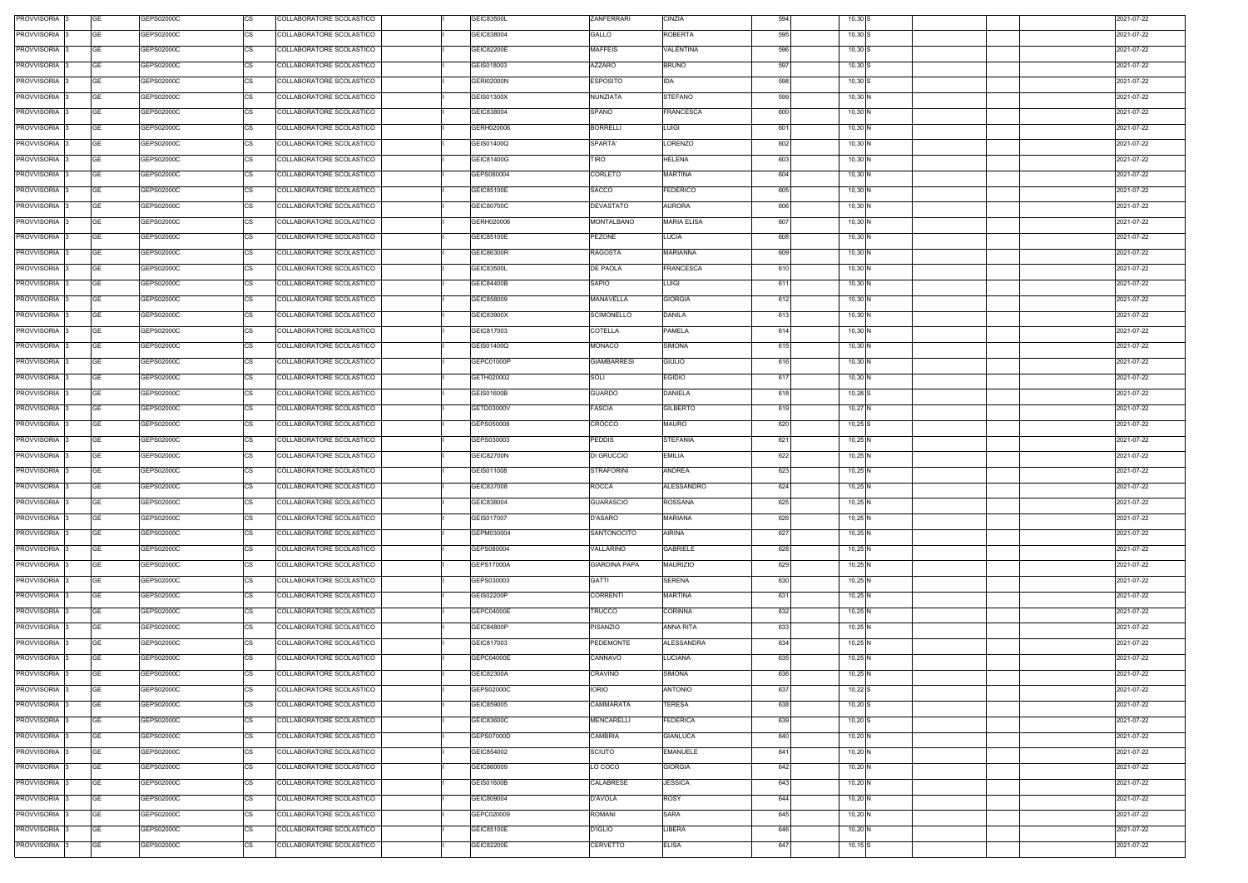| PROVVISORIA 3 | GE        | GEPS02000C | COLLABORATORE SCOLASTICO<br>CS        | GEIC83500L        | ZANFERRARI           | <b>CINZIA</b>      | 594 | 10,30 S   |  | 2021-07-22 |
|---------------|-----------|------------|---------------------------------------|-------------------|----------------------|--------------------|-----|-----------|--|------------|
| PROVVISORIA 3 | GE        | GEPS02000C | <b>CS</b><br>COLLABORATORE SCOLASTICO | GEIC838004        | GALLO                | <b>ROBERTA</b>     | 595 | 10,30 S   |  | 2021-07-22 |
| PROVVISORIA 3 | GE        | GEPS02000C | <b>CS</b><br>COLLABORATORE SCOLASTICO | GEIC82200E        | <b>MAFFEIS</b>       | VALENTINA          | 596 | $10,30$ S |  | 2021-07-22 |
| PROVVISORIA 3 | GE        | GEPS02000C | <b>CS</b><br>COLLABORATORE SCOLASTICO | GEIS018003        | <b>AZZARO</b>        | <b>BRUNO</b>       | 597 | $10,30$ S |  | 2021-07-22 |
| PROVVISORIA 3 | <b>GE</b> | GEPS02000C | <b>CS</b><br>COLLABORATORE SCOLASTICO | <b>GERI02000N</b> | <b>ESPOSITO</b>      | <b>IDA</b>         | 598 | $10,30$ S |  | 2021-07-22 |
| PROVVISORIA 3 | GE        | GEPS02000C | <b>CS</b><br>COLLABORATORE SCOLASTICO | GEIS01300X        | NUNZIATA             | <b>STEFANO</b>     | 599 | 10,30 N   |  | 2021-07-22 |
| PROVVISORIA 3 | <b>GE</b> | GEPS02000C | <b>CS</b><br>COLLABORATORE SCOLASTICO | GEIC838004        | SPANO                | <b>FRANCESCA</b>   | 600 | 10,30 N   |  | 2021-07-22 |
| PROVVISORIA 3 | GE        | GEPS02000C | <b>CS</b><br>COLLABORATORE SCOLASTICO | GERH020006        | <b>BORRELLI</b>      | LUIGI              | 601 | 10,30 N   |  | 2021-07-22 |
| PROVVISORIA 3 | <b>GE</b> | GEPS02000C | <b>CS</b><br>COLLABORATORE SCOLASTICO | GEIS01400Q        | SPARTA'              | LORENZO            | 602 | 10,30 N   |  | 2021-07-22 |
| PROVVISORIA 3 | <b>GE</b> | GEPS02000C | <b>CS</b><br>COLLABORATORE SCOLASTICO | GEIC81400G        | <b>TIRO</b>          | <b>HELENA</b>      | 603 | 10,30 N   |  | 2021-07-22 |
| PROVVISORIA 3 | <b>GE</b> | GEPS02000C | <b>CS</b><br>COLLABORATORE SCOLASTICO | GEPS080004        | <b>CORLETO</b>       | <b>MARTINA</b>     | 604 | 10,30 N   |  | 2021-07-22 |
| PROVVISORIA 3 | <b>GE</b> | GEPS02000C | CS<br>COLLABORATORE SCOLASTICO        | GEIC85100E        | <b>SACCO</b>         | <b>FEDERICO</b>    | 605 | 10,30 N   |  | 2021-07-22 |
| PROVVISORIA 3 | <b>GE</b> | GEPS02000C | <b>CS</b><br>COLLABORATORE SCOLASTICO | GEIC80700C        | DEVASTATO            | <b>AURORA</b>      | 606 | 10,30 N   |  | 2021-07-22 |
| PROVVISORIA 3 | <b>GE</b> | GEPS02000C | <b>CS</b><br>COLLABORATORE SCOLASTICO | GERH020006        | MONTALBANO           | <b>MARIA ELISA</b> | 607 | 10,30 N   |  | 2021-07-22 |
| PROVVISORIA 3 | <b>GE</b> | GEPS02000C | <b>CS</b><br>COLLABORATORE SCOLASTICO | GEIC85100E        | PEZONE               | LUCIA              | 608 | 10,30 N   |  | 2021-07-22 |
| PROVVISORIA 3 | <b>GE</b> | GEPS02000C | <b>CS</b><br>COLLABORATORE SCOLASTICO | GEIC86300R        | <b>RAGOSTA</b>       | MARIANNA           | 609 | 10,30 N   |  | 2021-07-22 |
|               |           |            | <b>CS</b>                             |                   |                      |                    | 610 |           |  |            |
| PROVVISORIA 3 | <b>GE</b> | GEPS02000C | COLLABORATORE SCOLASTICO              | GEIC83500L        | <b>DE PAOLA</b>      | <b>FRANCESCA</b>   |     | 10,30 N   |  | 2021-07-22 |
| PROVVISORIA 3 | <b>GE</b> | GEPS02000C | <b>CS</b><br>COLLABORATORE SCOLASTICO | GEIC84400B        | <b>SAPIO</b>         | LUIGI              | 611 | 10,30 N   |  | 2021-07-22 |
| PROVVISORIA 3 | <b>GE</b> | GEPS02000C | <b>CS</b><br>COLLABORATORE SCOLASTICO | GEIC858009        | MANAVELLA            | <b>GIORGIA</b>     | 612 | 10,30 N   |  | 2021-07-22 |
| PROVVISORIA 3 | GE        | GEPS02000C | <b>CS</b><br>COLLABORATORE SCOLASTICO | GEIC83900X        | SCIMONELLO           | DANILA             | 613 | 10,30 N   |  | 2021-07-22 |
| PROVVISORIA 3 | GE        | GEPS02000C | <b>CS</b><br>COLLABORATORE SCOLASTICO | GEIC817003        | COTELLA              | PAMELA             | 614 | 10,30 N   |  | 2021-07-22 |
| PROVVISORIA 3 | <b>GE</b> | GEPS02000C | <b>CS</b><br>COLLABORATORE SCOLASTICO | GEIS01400Q        | <b>MONACO</b>        | SIMONA             | 615 | 10,30 N   |  | 2021-07-22 |
| PROVVISORIA 3 | <b>GE</b> | GEPS02000C | <b>CS</b><br>COLLABORATORE SCOLASTICO | GEPC01000P        | <b>GIAMBARRESI</b>   | <b>GIULIO</b>      | 616 | 10,30 N   |  | 2021-07-22 |
| PROVVISORIA 3 | <b>GE</b> | GEPS02000C | <b>CS</b><br>COLLABORATORE SCOLASTICO | GETH020002        | SOLI                 | <b>EGIDIO</b>      | 617 | 10,30 N   |  | 2021-07-22 |
| PROVVISORIA 3 | <b>GE</b> | GEPS02000C | <b>CS</b><br>COLLABORATORE SCOLASTICO | GEIS01600B        | GUARDO               | DANIELA            | 618 | $10,28$ S |  | 2021-07-22 |
| PROVVISORIA 3 | <b>GE</b> | GEPS02000C | <b>CS</b><br>COLLABORATORE SCOLASTICO | GETD03000V        | <b>FASCIA</b>        | GILBERTO           | 619 | 10,27 N   |  | 2021-07-22 |
| PROVVISORIA 3 | GE        | GEPS02000C | <b>CS</b><br>COLLABORATORE SCOLASTICO | GEPS050008        | CROCCO               | <b>MAURO</b>       | 620 | $10,25$ S |  | 2021-07-22 |
| PROVVISORIA 3 | GE        | GEPS02000C | <b>CS</b><br>COLLABORATORE SCOLASTICO | GEPS030003        | <b>PEDDIS</b>        | <b>STEFANIA</b>    | 621 | 10,25 N   |  | 2021-07-22 |
| PROVVISORIA 3 | GE        | GEPS02000C | <b>CS</b><br>COLLABORATORE SCOLASTICO | <b>GEIC82700N</b> | DI GRUCCIO           | <b>EMILIA</b>      | 622 | 10,25 N   |  | 2021-07-22 |
| PROVVISORIA 3 | <b>GE</b> | GEPS02000C | <b>CS</b><br>COLLABORATORE SCOLASTICO | GEIS011008        | <b>STRAFORINI</b>    | <b>ANDREA</b>      | 623 | 10,25 N   |  | 2021-07-22 |
| PROVVISORIA 3 | GE        | GEPS02000C | <b>CS</b><br>COLLABORATORE SCOLASTICO | GEIC837008        | <b>ROCCA</b>         | <b>ALESSANDRO</b>  | 624 | 10,25 N   |  | 2021-07-22 |
| PROVVISORIA 3 | <b>GE</b> | GEPS02000C | <b>CS</b><br>COLLABORATORE SCOLASTICO | GEIC838004        | <b>GUARASCIO</b>     | <b>ROSSANA</b>     | 625 | 10,25 N   |  | 2021-07-22 |
| PROVVISORIA 3 | GE        | GEPS02000C | <b>CS</b><br>COLLABORATORE SCOLASTICO | GEIS017007        | D'ASARO              | <b>MARIANA</b>     | 626 | 10,25 N   |  | 2021-07-22 |
| PROVVISORIA 3 | GE        | GEPS02000C | <b>CS</b><br>COLLABORATORE SCOLASTICO | GEPM030004        | SANTONOCITO          | AIRINA             | 627 | 10,25 N   |  | 2021-07-22 |
| PROVVISORIA 3 | <b>GE</b> | GEPS02000C | <b>CS</b><br>COLLABORATORE SCOLASTICO | GEPS080004        | VALLARINO            | <b>GABRIELE</b>    | 628 | 10,25 N   |  | 2021-07-22 |
| PROVVISORIA 3 | <b>GE</b> | GEPS02000C | <b>CS</b><br>COLLABORATORE SCOLASTICO | <b>GEPS17000A</b> | <b>GIARDINA PAPA</b> | <b>MAURIZIO</b>    | 629 | 10,25 N   |  | 2021-07-22 |
| PROVVISORIA 3 | <b>GE</b> | GEPS02000C | <b>CS</b><br>COLLABORATORE SCOLASTICO | GEPS030003        | <b>GATTI</b>         | <b>SERENA</b>      | 630 | 10,25 N   |  | 2021-07-22 |
| PROVVISORIA 3 | <b>GE</b> | GEPS02000C | <b>CS</b><br>COLLABORATORE SCOLASTICO | <b>GEIS02200P</b> | <b>CORRENTI</b>      | MARTINA            | 631 | 10,25 N   |  | 2021-07-22 |
| PROVVISORIA 3 | <b>GE</b> | GEPS02000C | CS<br>COLLABORATORE SCOLASTICO        | GEPC04000E        | TRUCCO               | <b>CORINNA</b>     | 632 | 10,25 N   |  | 2021-07-22 |
| PROVVISORIA 3 | <b>GE</b> | GEPS02000C | <b>CS</b><br>COLLABORATORE SCOLASTICO | <b>GEIC84800P</b> | PISANZIO             | ANNA RITA          | 633 | 10,25 N   |  | 2021-07-22 |
| PROVVISORIA 3 | <b>GE</b> | GEPS02000C | <b>CS</b><br>COLLABORATORE SCOLASTICO | GEIC817003        | PEDEMONTE            | <b>ALESSANDRA</b>  | 634 | 10,25 N   |  | 2021-07-22 |
| PROVVISORIA 3 | <b>GE</b> | GEPS02000C | <b>CS</b><br>COLLABORATORE SCOLASTICO | GEPC04000E        | CANNAVÒ              | LUCIANA            | 635 | 10,25 N   |  | 2021-07-22 |
| PROVVISORIA 3 | <b>GE</b> | GEPS02000C | <b>CS</b><br>COLLABORATORE SCOLASTICO | GEIC82300A        | CRAVINO              | SIMONA             | 636 | 10,25 N   |  | 2021-07-22 |
| PROVVISORIA 3 | <b>GE</b> | GEPS02000C | <b>CS</b><br>COLLABORATORE SCOLASTICO | GEPS02000C        | <b>IORIO</b>         | ANTONIO            | 637 | 10,22 S   |  | 2021-07-22 |
| PROVVISORIA 3 | <b>GE</b> | GEPS02000C | CS<br>COLLABORATORE SCOLASTICO        | GEIC859005        | CAMMARATA            | TERESA             | 638 | $10,20$ S |  | 2021-07-22 |
| PROVVISORIA 3 | <b>GE</b> | GEPS02000C | <b>CS</b><br>COLLABORATORE SCOLASTICO | GEIC83600C        | <b>MENCARELLI</b>    | <b>FEDERICA</b>    | 639 | $10,20$ S |  | 2021-07-22 |
| PROVVISORIA 3 | GE        | GEPS02000C | СS<br>COLLABORATORE SCOLASTICO        | GEPS07000D        | <b>CAMBRIA</b>       | <b>GIANLUCA</b>    | 640 | 10,20 N   |  | 2021-07-22 |
| PROVVISORIA 3 | <b>GE</b> | GEPS02000C | <b>CS</b><br>COLLABORATORE SCOLASTICO | GEIC854002        | SCIUTO               | <b>EMANUELE</b>    | 641 | 10,20 N   |  | 2021-07-22 |
|               |           |            |                                       |                   |                      |                    |     |           |  |            |
| PROVVISORIA 3 | <b>GE</b> | GEPS02000C | <b>CS</b><br>COLLABORATORE SCOLASTICO | GEIC860009        | LO COCO              | <b>GIORGIA</b>     | 642 | 10,20 N   |  | 2021-07-22 |
| PROVVISORIA 3 | <b>GE</b> | GEPS02000C | <b>CS</b><br>COLLABORATORE SCOLASTICO | GEIS01600B        | CALABRESE            | <b>JESSICA</b>     | 643 | 10,20 N   |  | 2021-07-22 |
| PROVVISORIA 3 | <b>GE</b> | GEPS02000C | CS<br>COLLABORATORE SCOLASTICO        | GEIC809004        | D'AVOLA              | <b>ROSY</b>        | 644 | 10,20 N   |  | 2021-07-22 |
| PROVVISORIA 3 | GE        | GEPS02000C | <b>CS</b><br>COLLABORATORE SCOLASTICO | GEPC020009        | ROMANI               | SARA               | 645 | 10,20 N   |  | 2021-07-22 |
| PROVVISORIA 3 | <b>GE</b> | GEPS02000C | <b>CS</b><br>COLLABORATORE SCOLASTICO | GEIC85100E        | <b>D'IGLIO</b>       | <b>_IBERA</b>      | 646 | 10,20 N   |  | 2021-07-22 |
| PROVVISORIA 3 | GE        | GEPS02000C | <b>CS</b><br>COLLABORATORE SCOLASTICO | <b>GEIC82200E</b> | CERVETTO             | <b>ELISA</b>       | 647 | $10,15$ S |  | 2021-07-22 |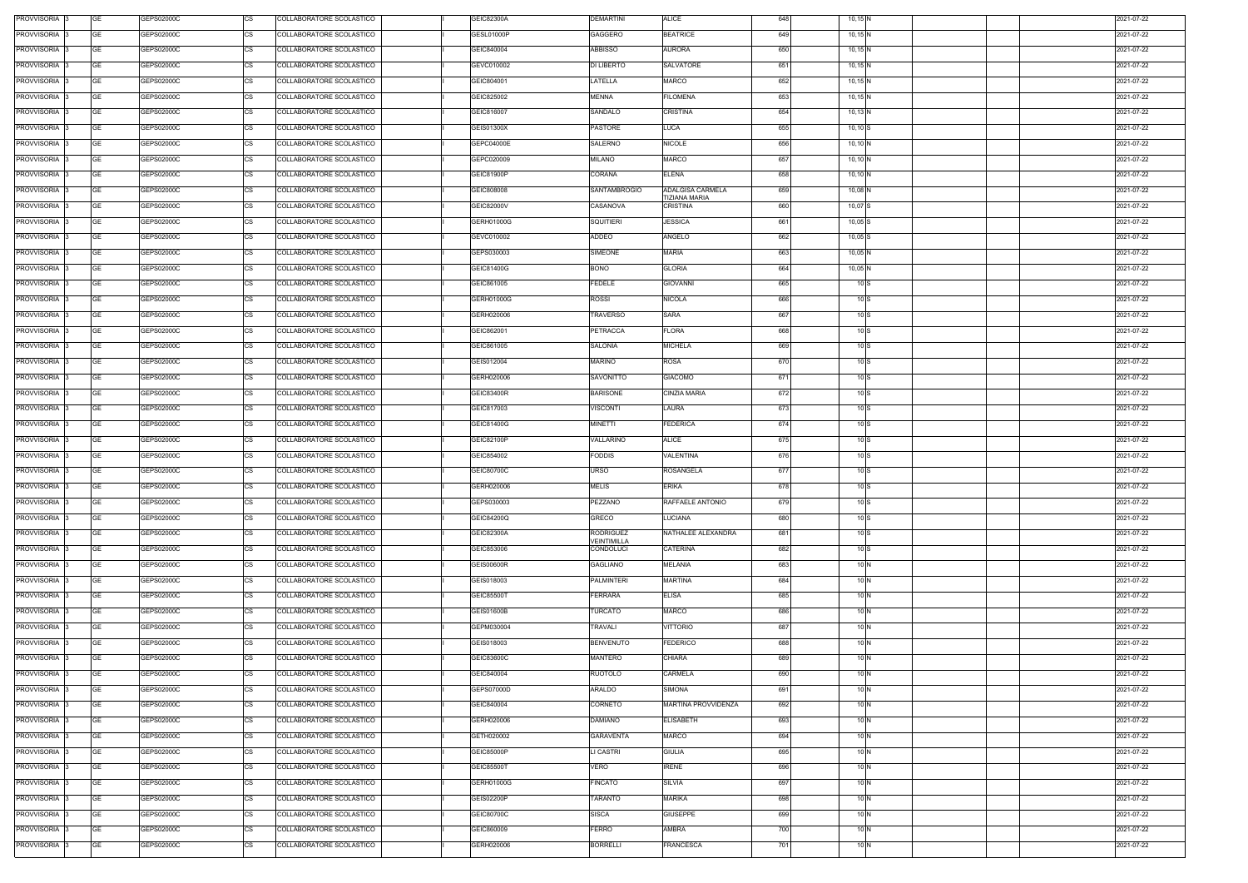| PROVVISORIA 3            | GE        | GEPS02000C | <b>CS</b><br>COLLABORATORE SCOLASTICO | GEIC82300A        | <b>DEMARTINI</b>         | <b>ALICE</b>                     | 648 | 10,15 N   |  | 2021-07-22 |
|--------------------------|-----------|------------|---------------------------------------|-------------------|--------------------------|----------------------------------|-----|-----------|--|------------|
| PROVVISORIA 3            | GE        | GEPS02000C | <b>CS</b><br>COLLABORATORE SCOLASTICO | GESL01000P        | GAGGERO                  | <b>BEATRICE</b>                  | 649 | 10,15 N   |  | 2021-07-22 |
| PROVVISORIA 3            | GE        | GEPS02000C | <b>CS</b><br>COLLABORATORE SCOLASTICO | GEIC840004        | <b>ABBISSO</b>           | AURORA                           | 650 | $10,15$ N |  | 2021-07-22 |
| PROVVISORIA 3            | GE        | GEPS02000C | <b>CS</b><br>COLLABORATORE SCOLASTICO | GEVC010002        | DI LIBERTO               | SALVATORE                        | 651 | $10,15$ N |  | 2021-07-22 |
| PROVVISORIA 3            | <b>GE</b> | GEPS02000C | <b>CS</b><br>COLLABORATORE SCOLASTICO | GEIC804001        | LATELLA                  | <b>MARCO</b>                     | 652 | 10,15 N   |  | 2021-07-22 |
| PROVVISORIA 3            | GE        | GEPS02000C | <b>CS</b><br>COLLABORATORE SCOLASTICO | GEIC825002        | <b>MENNA</b>             | <b>FILOMENA</b>                  | 653 | 10,15 N   |  | 2021-07-22 |
| PROVVISORIA 3            | <b>GE</b> | GEPS02000C | <b>CS</b><br>COLLABORATORE SCOLASTICO | GEIC816007        | SANDALO                  | CRISTINA                         | 654 | 10,13 N   |  | 2021-07-22 |
| PROVVISORIA 3            | GE        | GEPS02000C | <b>CS</b><br>COLLABORATORE SCOLASTICO | GEIS01300X        | <b>PASTORE</b>           | LUCA                             | 655 | $10,10$ S |  | 2021-07-22 |
| PROVVISORIA 3            | <b>GE</b> | GEPS02000C | <b>CS</b><br>COLLABORATORE SCOLASTICO | GEPC04000E        | <b>SALERNO</b>           | <b>NICOLE</b>                    | 656 | 10,10 N   |  | 2021-07-22 |
| PROVVISORIA 3            | <b>GE</b> | GEPS02000C | <b>CS</b><br>COLLABORATORE SCOLASTICO | GEPC020009        | <b>MILANO</b>            | <b>MARCO</b>                     | 657 | 10,10 N   |  | 2021-07-22 |
| PROVVISORIA 3            | <b>GE</b> | GEPS02000C | <b>CS</b><br>COLLABORATORE SCOLASTICO | GEIC81900P        | CORANA                   | <b>ELENA</b>                     | 658 | 10,10 N   |  | 2021-07-22 |
| PROVVISORIA 3            | <b>GE</b> | GEPS02000C | CS<br>COLLABORATORE SCOLASTICO        | GEIC808008        | SANTAMBROGIO             | ADALGISA CARMELA                 | 659 | 10,08 N   |  | 2021-07-22 |
| PROVVISORIA 3            | <b>GE</b> | GEPS02000C | <b>CS</b><br>COLLABORATORE SCOLASTICO | GEIC82000V        | CASANOVA                 | <b>TIZIANA MARIA</b><br>CRISTINA | 660 | $10,07$ S |  | 2021-07-22 |
| PROVVISORIA 3            | <b>GE</b> | GEPS02000C | <b>CS</b><br>COLLABORATORE SCOLASTICO | GERH01000G        | <b>SQUITIERI</b>         | <b>JESSICA</b>                   | 661 | 10,05 S   |  | 2021-07-22 |
| PROVVISORIA 3            | <b>GE</b> | GEPS02000C | <b>CS</b><br>COLLABORATORE SCOLASTICO | GEVC010002        | ADDEO                    | ANGELO                           | 662 | $10,05$ S |  | 2021-07-22 |
| PROVVISORIA 3            | <b>GE</b> | GEPS02000C | <b>CS</b><br>COLLABORATORE SCOLASTICO | GEPS030003        | <b>SIMEONE</b>           | <b>MARIA</b>                     | 663 | 10,05 N   |  |            |
|                          |           |            |                                       |                   |                          |                                  |     |           |  | 2021-07-22 |
| PROVVISORIA 3            | <b>GE</b> | GEPS02000C | <b>CS</b><br>COLLABORATORE SCOLASTICO | GEIC81400G        | <b>BONO</b>              | <b>GLORIA</b>                    | 664 | 10,05 N   |  | 2021-07-22 |
| PROVVISORIA 3            | <b>GE</b> | GEPS02000C | <b>CS</b><br>COLLABORATORE SCOLASTICO | GEIC861005        | <b>FEDELE</b>            | <b>GIOVANNI</b>                  | 665 | 10S       |  | 2021-07-22 |
| PROVVISORIA 3            | <b>GE</b> | GEPS02000C | <b>CS</b><br>COLLABORATORE SCOLASTICO | GERH01000G        | <b>ROSSI</b>             | <b>NICOLA</b>                    | 666 | 10S       |  | 2021-07-22 |
| PROVVISORIA 3            | GE        | GEPS02000C | <b>CS</b><br>COLLABORATORE SCOLASTICO | GERH020006        | TRAVERSO                 | SARA                             | 667 | 10S       |  | 2021-07-22 |
| PROVVISORIA 3            | GE        | GEPS02000C | <b>CS</b><br>COLLABORATORE SCOLASTICO | GEIC862001        | PETRACCA                 | FLORA                            | 668 | 10S       |  | 2021-07-22 |
| PROVVISORIA 3            | <b>GE</b> | GEPS02000C | <b>CS</b><br>COLLABORATORE SCOLASTICO | GEIC861005        | SALONIA                  | <b>MICHELA</b>                   | 669 | 10 S      |  | 2021-07-22 |
| PROVVISORIA 3            | <b>GE</b> | GEPS02000C | <b>CS</b><br>COLLABORATORE SCOLASTICO | GEIS012004        | <b>MARINO</b>            | <b>ROSA</b>                      | 670 | 10S       |  | 2021-07-22 |
| PROVVISORIA 3            | <b>GE</b> | GEPS02000C | <b>CS</b><br>COLLABORATORE SCOLASTICO | GERH020006        | SAVONITTO                | <b>GIACOMO</b>                   | 671 | 10S       |  | 2021-07-22 |
| PROVVISORIA 3            | <b>GE</b> | GEPS02000C | <b>CS</b><br>COLLABORATORE SCOLASTICO | GEIC83400R        | <b>BARISONE</b>          | CINZIA MARIA                     | 672 | 10S       |  | 2021-07-22 |
| PROVVISORIA 3            | <b>GE</b> | GEPS02000C | <b>CS</b><br>COLLABORATORE SCOLASTICO | GEIC817003        | VISCONTI                 | LAURA                            | 673 | 10S       |  | 2021-07-22 |
| PROVVISORIA 3            | GE        | GEPS02000C | <b>CS</b><br>COLLABORATORE SCOLASTICO | GEIC81400G        | <b>MINETTI</b>           | <b>FEDERICA</b>                  | 674 | 10S       |  | 2021-07-22 |
| PROVVISORIA 3            | <b>GE</b> | GEPS02000C | <b>CS</b><br>COLLABORATORE SCOLASTICO | GEIC82100P        | VALLARINO                | <b>ALICE</b>                     | 675 | 10S       |  | 2021-07-22 |
| PROVVISORIA 3            | GE        | GEPS02000C | <b>CS</b><br>COLLABORATORE SCOLASTICO | GEIC854002        | <b>FODDIS</b>            | <b>VALENTINA</b>                 | 676 | 10S       |  | 2021-07-22 |
| PROVVISORIA 3            | <b>GE</b> | GEPS02000C | <b>CS</b><br>COLLABORATORE SCOLASTICO | GEIC80700C        | <b>URSO</b>              | <b>ROSANGELA</b>                 | 677 | 10S       |  | 2021-07-22 |
| PROVVISORIA 3            | GE        | GEPS02000C | <b>CS</b><br>COLLABORATORE SCOLASTICO | GERH020006        | <b>MELIS</b>             | <b>ERIKA</b>                     | 678 | 10S       |  | 2021-07-22 |
| PROVVISORIA 3            | <b>GE</b> | GEPS02000C | <b>CS</b><br>COLLABORATORE SCOLASTICO | GEPS030003        | PEZZANO                  | RAFFAELE ANTONIO                 | 679 | 10 S      |  | 2021-07-22 |
| PROVVISORIA 3            | GE        | GEPS02000C | <b>CS</b><br>COLLABORATORE SCOLASTICO | GEIC84200Q        | GRECO                    | LUCIANA                          | 680 | 10S       |  | 2021-07-22 |
| PROVVISORIA <sub>3</sub> | GE        | GEPS02000C | <b>CS</b><br>COLLABORATORE SCOLASTICO | GEIC82300A        | RODRIGUEZ                | NATHALEE ALEXANDRA               | 681 | 10 S      |  | 2021-07-22 |
| PROVVISORIA 3            | <b>GE</b> | GEPS02000C | <b>CS</b><br>COLLABORATORE SCOLASTICO | GEIC853006        | VEINTIMILLA<br>CONDOLUCI | <b>CATERINA</b>                  | 682 | 10S       |  | 2021-07-22 |
| PROVVISORIA 3            | <b>GE</b> | GEPS02000C | <b>CS</b><br>COLLABORATORE SCOLASTICO | <b>GEIS00600R</b> | <b>GAGLIANO</b>          | <b>MELANIA</b>                   | 683 | 10 N      |  | 2021-07-22 |
| PROVVISORIA 3            | <b>GE</b> | GEPS02000C | <b>CS</b><br>COLLABORATORE SCOLASTICO | GEIS018003        | PALMINTERI               | <b>MARTINA</b>                   | 684 | 10 N      |  | 2021-07-22 |
| PROVVISORIA 3            | <b>GE</b> | GEPS02000C | <b>CS</b><br>COLLABORATORE SCOLASTICO | <b>GEIC85500T</b> | FERRARA                  | <b>ELISA</b>                     | 685 | 10 N      |  | 2021-07-22 |
| PROVVISORIA 3            | <b>GE</b> | GEPS02000C | CS<br>COLLABORATORE SCOLASTICO        | GEIS01600B        | TURCATO                  | <b>MARCO</b>                     | 686 | 10 N      |  | 2021-07-22 |
| PROVVISORIA 3            | <b>GE</b> | GEPS02000C | <b>CS</b><br>COLLABORATORE SCOLASTICO | GEPM030004        | TRAVALI                  | VITTORIO                         | 687 | 10 N      |  | 2021-07-22 |
| PROVVISORIA 3            | <b>GE</b> | GEPS02000C | <b>CS</b><br>COLLABORATORE SCOLASTICO | GEIS018003        | <b>BENVENUTO</b>         | FEDERICO                         | 688 | 10 N      |  | 2021-07-22 |
| PROVVISORIA 3            | <b>GE</b> | GEPS02000C | <b>CS</b><br>COLLABORATORE SCOLASTICO | GEIC83600C        | <b>MANTERO</b>           | CHIARA                           | 689 | 10 N      |  | 2021-07-22 |
| PROVVISORIA 3            | <b>GE</b> | GEPS02000C | <b>CS</b><br>COLLABORATORE SCOLASTICO | GEIC840004        | <b>RUOTOLO</b>           | <b>CARMELA</b>                   | 690 | 10 N      |  | 2021-07-22 |
| PROVVISORIA 3            | <b>GE</b> | GEPS02000C | <b>CS</b><br>COLLABORATORE SCOLASTICO | GEPS07000D        | ARALDO                   | SIMONA                           | 691 | 10 N      |  | 2021-07-22 |
| PROVVISORIA 3            | GE        | GEPS02000C | CS<br>COLLABORATORE SCOLASTICO        | GEIC840004        | CORNETO                  | MARTINA PROVVIDENZA              | 692 | 10 N      |  | 2021-07-22 |
| PROVVISORIA 3            | <b>GE</b> | GEPS02000C | <b>CS</b><br>COLLABORATORE SCOLASTICO | GERH020006        | <b>DAMIANO</b>           | <b>ELISABETH</b>                 | 693 | 10 N      |  | 2021-07-22 |
| PROVVISORIA 3            | GE        | GEPS02000C | СS<br>COLLABORATORE SCOLASTICO        | GETH020002        | GARAVENTA                | MARCO                            | 694 | 10 N      |  | 2021-07-22 |
| PROVVISORIA 3            | <b>GE</b> | GEPS02000C | <b>CS</b><br>COLLABORATORE SCOLASTICO | GEIC85000P        | LI CASTRI                | <b>GIULIA</b>                    | 695 | 10 N      |  | 2021-07-22 |
|                          |           |            |                                       |                   |                          |                                  |     |           |  |            |
| PROVVISORIA 3            | <b>GE</b> | GEPS02000C | <b>CS</b><br>COLLABORATORE SCOLASTICO | GEIC85500T        | VERO                     | <b>IRENE</b>                     | 696 | 10 N      |  | 2021-07-22 |
| PROVVISORIA 3            | <b>GE</b> | GEPS02000C | <b>CS</b><br>COLLABORATORE SCOLASTICO | GERH01000G        | <b>FINCATO</b>           | <b>SILVIA</b>                    | 697 | 10 N      |  | 2021-07-22 |
| PROVVISORIA 3            | <b>GE</b> | GEPS02000C | <b>CS</b><br>COLLABORATORE SCOLASTICO | GEIS02200P        | TARANTO                  | <b>MARIKA</b>                    | 698 | 10 N      |  | 2021-07-22 |
| PROVVISORIA 3            | GE        | GEPS02000C | <b>CS</b><br>COLLABORATORE SCOLASTICO | GEIC80700C        | <b>SISCA</b>             | <b>GIUSEPPE</b>                  | 699 | 10 N      |  | 2021-07-22 |
| PROVVISORIA 3            | <b>GE</b> | GEPS02000C | <b>CS</b><br>COLLABORATORE SCOLASTICO | GEIC860009        | FERRO                    | AMBRA                            | 700 | 10 N      |  | 2021-07-22 |
| PROVVISORIA 3            | GE        | GEPS02000C | <b>CS</b><br>COLLABORATORE SCOLASTICO | GERH020006        | <b>BORRELLI</b>          | <b>FRANCESCA</b>                 | 701 | 10 N      |  | 2021-07-22 |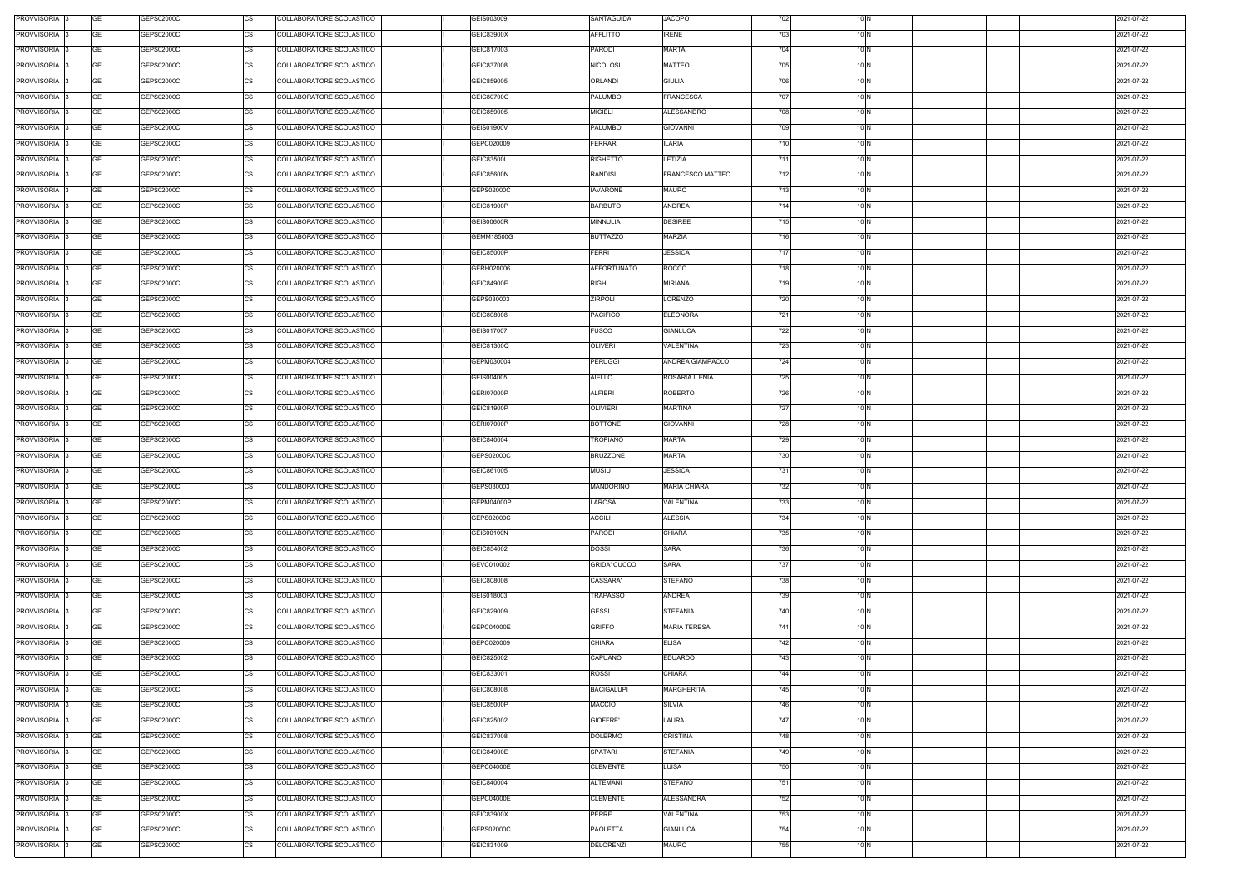| PROVVISORIA 3            | <b>GE</b> | GEPS02000C | CS        | COLLABORATORE SCOLASTICO | GEIS003009        | SANTAGUIDA          | <b>JACOPO</b>       | 702 | 10 <sub>N</sub> |  | 2021-07-22 |
|--------------------------|-----------|------------|-----------|--------------------------|-------------------|---------------------|---------------------|-----|-----------------|--|------------|
| PROVVISORIA 3            | <b>GE</b> | GEPS02000C | CS        | COLLABORATORE SCOLASTICO | GEIC83900X        | AFFLITTO            | <b>IRENE</b>        | 703 | $10\,$ N        |  | 2021-07-22 |
| PROVVISORIA 3            | GE        | GEPS02000C | <b>CS</b> | COLLABORATORE SCOLASTICO | GEIC817003        | <b>PARODI</b>       | <b>MARTA</b>        | 704 | 10 N            |  | 2021-07-22 |
| PROVVISORIA 3            | <b>GE</b> | GEPS02000C | CS        | COLLABORATORE SCOLASTICO | GEIC837008        | <b>NICOLOSI</b>     | MATTEO              | 705 | $10\text{N}$    |  | 2021-07-22 |
| PROVVISORIA 3            | <b>GE</b> | GEPS02000C | <b>CS</b> | COLLABORATORE SCOLASTICO | GEIC859005        | ORLANDI             | <b>GIULIA</b>       | 706 | 10 N            |  | 2021-07-22 |
| PROVVISORIA 3            | GE        | GEPS02000C | <b>CS</b> | COLLABORATORE SCOLASTICO | GEIC80700C        | <b>PALUMBO</b>      | <b>FRANCESCA</b>    | 707 | 10 N            |  | 2021-07-22 |
| PROVVISORIA 3            | <b>GE</b> | GEPS02000C | <b>CS</b> | COLLABORATORE SCOLASTICO | GEIC859005        | <b>MICIELI</b>      | ALESSANDRO          | 708 | 10 N            |  | 2021-07-22 |
| PROVVISORIA 3            | GE        | GEPS02000C | <b>CS</b> | COLLABORATORE SCOLASTICO | GEIS01900V        | <b>PALUMBO</b>      | <b>GIOVANNI</b>     | 709 | 10 N            |  | 2021-07-22 |
| PROVVISORIA <sub>3</sub> | GE        | GEPS02000C | CS        | COLLABORATORE SCOLASTICO | GEPC020009        | <b>FERRARI</b>      | <b>ILARIA</b>       | 710 | 10 N            |  | 2021-07-22 |
| PROVVISORIA 3            | <b>GE</b> | GEPS02000C | CS        | COLLABORATORE SCOLASTICO | GEIC83500L        | RIGHETTO            | LETIZIA             | 711 | 10 N            |  | 2021-07-22 |
| PROVVISORIA <sub>3</sub> | GE        | GEPS02000C | CS        | COLLABORATORE SCOLASTICO | GEIC85600N        | <b>RANDISI</b>      | FRANCESCO MATTEO    | 712 | 10 N            |  | 2021-07-22 |
| PROVVISORIA 3            | <b>GE</b> | GEPS02000C | CS        | COLLABORATORE SCOLASTICO | GEPS02000C        | <b>IAVARONE</b>     | <b>MAURO</b>        | 713 | 10 <sub>N</sub> |  | 2021-07-22 |
| PROVVISORIA 3            | <b>GE</b> | GEPS02000C | CS        | COLLABORATORE SCOLASTICO | GEIC81900P        | <b>BARBUTO</b>      | ANDREA              | 714 | 10 N            |  | 2021-07-22 |
| PROVVISORIA 3            | <b>GE</b> | GEPS02000C | CS        | COLLABORATORE SCOLASTICO | <b>GEIS00600R</b> | <b>MINNULIA</b>     | <b>DESIREE</b>      | 715 | 10 <sub>N</sub> |  | 2021-07-22 |
| PROVVISORIA 3            | <b>GE</b> | GEPS02000C | CS        | COLLABORATORE SCOLASTICO | GEMM18500G        | <b>BUTTAZZO</b>     | <b>MARZIA</b>       | 716 | 10 N            |  | 2021-07-22 |
|                          | GE        |            |           | COLLABORATORE SCOLASTICO |                   |                     |                     | 717 |                 |  |            |
| PROVVISORIA 3            |           | GEPS02000C | CS        |                          | GEIC85000P        | <b>FERRI</b>        | <b>JESSICA</b>      |     | 10 N            |  | 2021-07-22 |
| PROVVISORIA 3            | <b>GE</b> | GEPS02000C | CS        | COLLABORATORE SCOLASTICO | GERH020006        | <b>AFFORTUNATO</b>  | ROCCO               | 718 | 10 N            |  | 2021-07-22 |
| PROVVISORIA 3            | GE        | GEPS02000C | CS        | COLLABORATORE SCOLASTICO | GEIC84900E        | <b>RIGHI</b>        | <b>MIRIANA</b>      | 719 | 10 N            |  | 2021-07-22 |
| PROVVISORIA 3            | <b>GE</b> | GEPS02000C | CS        | COLLABORATORE SCOLASTICO | GEPS030003        | <b>ZIRPOLI</b>      | LORENZO             | 720 | 10 N            |  | 2021-07-22 |
| PROVVISORIA 3            | <b>GE</b> | GEPS02000C | CS        | COLLABORATORE SCOLASTICO | GEIC808008        | <b>PACIFICO</b>     | <b>ELEONORA</b>     | 721 | 10 N            |  | 2021-07-22 |
| PROVVISORIA 3            | <b>GE</b> | GEPS02000C | <b>CS</b> | COLLABORATORE SCOLASTICO | GEIS017007        | <b>FUSCO</b>        | <b>GIANLUCA</b>     | 722 | 10 N            |  | 2021-07-22 |
| PROVVISORIA 3            | <b>GE</b> | GEPS02000C | <b>CS</b> | COLLABORATORE SCOLASTICO | GEIC81300Q        | <b>OLIVERI</b>      | VALENTINA           | 723 | 10 N            |  | 2021-07-22 |
| PROVVISORIA 3            | <b>GE</b> | GEPS02000C | <b>CS</b> | COLLABORATORE SCOLASTICO | GEPM030004        | <b>PERUGGI</b>      | ANDREA GIAMPAOLO    | 724 | 10 N            |  | 2021-07-22 |
| PROVVISORIA 3            | <b>GE</b> | GEPS02000C | <b>CS</b> | COLLABORATORE SCOLASTICO | GEIS004005        | <b>AIELLO</b>       | ROSARIA ILENIA      | 725 | 10 N            |  | 2021-07-22 |
| PROVVISORIA 3            | <b>GE</b> | GEPS02000C | CS        | COLLABORATORE SCOLASTICO | GERI07000P        | <b>ALFIERI</b>      | <b>ROBERTO</b>      | 726 | $10\,$ N        |  | 2021-07-22 |
| PROVVISORIA 3            | <b>GE</b> | GEPS02000C | CS        | COLLABORATORE SCOLASTICO | GEIC81900P        | <b>OLIVIERI</b>     | MARTINA             | 727 | 10 N            |  | 2021-07-22 |
| PROVVISORIA 3            | <b>GE</b> | GEPS02000C | CS        | COLLABORATORE SCOLASTICO | GERI07000P        | <b>BOTTONE</b>      | <b>GIOVANNI</b>     | 728 | 10 N            |  | 2021-07-22 |
| PROVVISORIA 3            | <b>GE</b> | GEPS02000C | <b>CS</b> | COLLABORATORE SCOLASTICO | GEIC840004        | TROPIANO            | <b>MARTA</b>        | 729 | 10 <sub>N</sub> |  | 2021-07-22 |
| PROVVISORIA 3            | <b>GE</b> | GEPS02000C | <b>CS</b> | COLLABORATORE SCOLASTICO | GEPS02000C        | <b>BRUZZONE</b>     | <b>MARTA</b>        | 730 | $10\,$ N        |  | 2021-07-22 |
| PROVVISORIA 3            | <b>GE</b> | GEPS02000C | <b>CS</b> | COLLABORATORE SCOLASTICO | GEIC861005        | <b>MUSIU</b>        | <b>JESSICA</b>      | 731 | 10 <sub>N</sub> |  | 2021-07-22 |
| PROVVISORIA 3            | <b>GE</b> | GEPS02000C | <b>CS</b> | COLLABORATORE SCOLASTICO | GEPS030003        | <b>MANDORINO</b>    | <b>MARIA CHIARA</b> | 732 | 10 <sub>N</sub> |  | 2021-07-22 |
| PROVVISORIA 3            | <b>GE</b> | GEPS02000C | <b>CS</b> | COLLABORATORE SCOLASTICO | GEPM04000P        | LAROSA              | VALENTINA           | 733 | 10 N            |  | 2021-07-22 |
| PROVVISORIA 3            | <b>GE</b> | GEPS02000C | <b>CS</b> | COLLABORATORE SCOLASTICO | GEPS02000C        | <b>ACCILI</b>       | ALESSIA             | 734 | 10 <sub>N</sub> |  | 2021-07-22 |
| PROVVISORIA 3            | <b>GE</b> | GEPS02000C | <b>CS</b> | COLLABORATORE SCOLASTICO | GEIS00100N        | <b>PARODI</b>       | <b>CHIARA</b>       | 735 | 10 N            |  | 2021-07-22 |
| PROVVISORIA 3            | <b>GE</b> | GEPS02000C | CS        | COLLABORATORE SCOLASTICO | GEIC854002        | <b>DOSSI</b>        | <b>SARA</b>         | 736 | 10 <sub>N</sub> |  | 2021-07-22 |
| PROVVISORIA 3            | <b>GE</b> | GEPS02000C | <b>CS</b> | COLLABORATORE SCOLASTICO | GEVC010002        | <b>GRIDA' CUCCO</b> | <b>SARA</b>         | 737 | 10 <sub>N</sub> |  | 2021-07-22 |
| PROVVISORIA 3            | <b>GE</b> | GEPS02000C | CS        | COLLABORATORE SCOLASTICO | GEIC808008        | CASSARA'            | <b>STEFANO</b>      | 738 | 10 <sub>N</sub> |  | 2021-07-22 |
| PROVVISORIA 3            | <b>GE</b> | GEPS02000C | CS        | COLLABORATORE SCOLASTICO | GEIS018003        | <b>TRAPASSO</b>     | ANDREA              | 739 | 10 <sub>N</sub> |  | 2021-07-22 |
| PROVVISORIA 3            | <b>GE</b> | GEPS02000C | CS        | COLLABORATORE SCOLASTICO | GEIC829009        | <b>GESSI</b>        | <b>STEFANIA</b>     | 740 | 10 <sub>N</sub> |  | 2021-07-22 |
| PROVVISORIA 3            | <b>GE</b> | GEPS02000C | <b>CS</b> | COLLABORATORE SCOLASTICO | GEPC04000E        | <b>GRIFFO</b>       | <b>MARIA TERESA</b> | 741 | 10 <sub>N</sub> |  | 2021-07-22 |
| PROVVISORIA 3            | <b>GE</b> | GEPS02000C | CS        | COLLABORATORE SCOLASTICO | GEPC020009        | CHIARA              | <b>ELISA</b>        | 742 | 10 <sub>N</sub> |  | 2021-07-22 |
| PROVVISORIA 3            | <b>GE</b> | GEPS02000C | CS        | COLLABORATORE SCOLASTICO | GEIC825002        | CAPUANO             | <b>EDUARDO</b>      | 743 | 10 N            |  | 2021-07-22 |
| PROVVISORIA 3            | <b>GE</b> | GEPS02000C | CS        | COLLABORATORE SCOLASTICO | GEIC833001        | ROSSI               | <b>CHIARA</b>       | 744 | 10 <sub>N</sub> |  | 2021-07-22 |
| PROVVISORIA 3            | <b>GE</b> | GEPS02000C | CS        | COLLABORATORE SCOLASTICO | GEIC808008        | <b>BACIGALUPI</b>   | MARGHERITA          | 745 | 10 <sub>N</sub> |  | 2021-07-22 |
| PROVVISORIA 3            | <b>GE</b> | GEPS02000C | CS        | COLLABORATORE SCOLASTICO | GEIC85000P        | MACCIÒ              | <b>SILVIA</b>       | 746 | 10 N            |  | 2021-07-22 |
| PROVVISORIA 3            | <b>GE</b> | GEPS02000C | CS        | COLLABORATORE SCOLASTICO | GEIC825002        | <b>GIOFFRE'</b>     | LAURA               | 747 | 10 N            |  | 2021-07-22 |
| PROVVISORIA 3            | <b>GE</b> | GEPS02000C | CS        | COLLABORATORE SCOLASTICO | GEIC837008        | <b>DOLERMO</b>      | <b>CRISTINA</b>     | 748 | 10 N            |  | 2021-07-22 |
| PROVVISORIA 3            | <b>GE</b> | GEPS02000C | <b>CS</b> | COLLABORATORE SCOLASTICO | GEIC84900E        | <b>SPATARI</b>      | <b>STEFANIA</b>     | 749 | 10 N            |  | 2021-07-22 |
| PROVVISORIA 3            | <b>GE</b> | GEPS02000C | <b>CS</b> | COLLABORATORE SCOLASTICO | GEPC04000E        | <b>CLEMENTE</b>     | LUISA               | 750 | 10 N            |  | 2021-07-22 |
|                          |           |            |           |                          |                   |                     |                     |     |                 |  |            |
| PROVVISORIA 3            | <b>GE</b> | GEPS02000C | <b>CS</b> | COLLABORATORE SCOLASTICO | GEIC840004        | ALTEMANI            | STEFANO             | 751 | 10 N            |  | 2021-07-22 |
| PROVVISORIA 3            | <b>GE</b> | GEPS02000C | CS        | COLLABORATORE SCOLASTICO | GEPC04000E        | <b>CLEMENTE</b>     | <b>ALESSANDRA</b>   | 752 | 10 <sub>N</sub> |  | 2021-07-22 |
| PROVVISORIA 3            | <b>GE</b> | GEPS02000C | CS        | COLLABORATORE SCOLASTICO | GEIC83900X        | PERRE               | VALENTINA           | 753 | 10 N            |  | 2021-07-22 |
| PROVVISORIA 3            | <b>GE</b> | GEPS02000C | CS        | COLLABORATORE SCOLASTICO | GEPS02000C        | <b>PAOLETTA</b>     | <b>GIANLUCA</b>     | 754 | 10 N            |  | 2021-07-22 |
| PROVVISORIA 3            | <b>GE</b> | GEPS02000C | <b>CS</b> | COLLABORATORE SCOLASTICO | GEIC831009        | DELORENZI           | <b>MAURO</b>        | 755 | 10 N            |  | 2021-07-22 |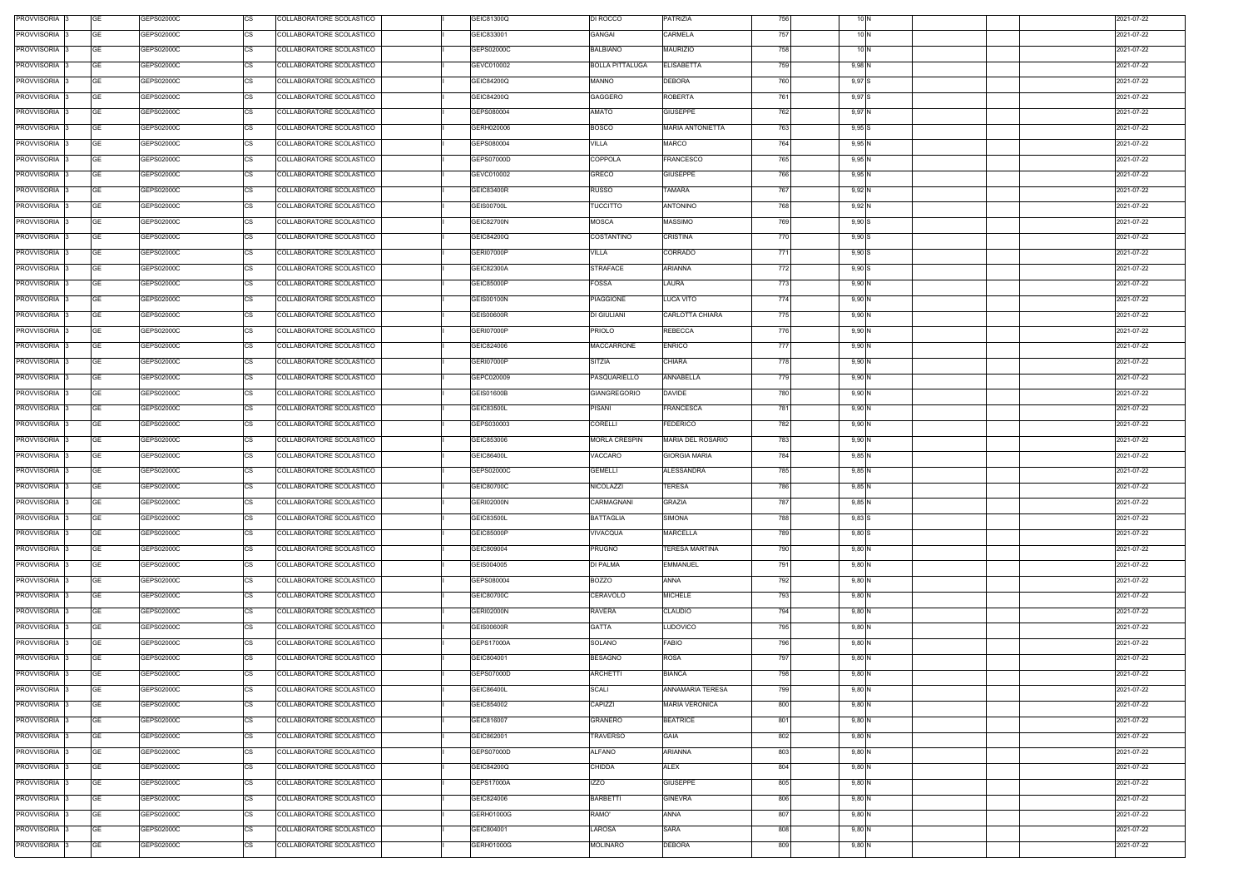| PROVVISORIA 3 | <b>GE</b><br>GEPS02000C | <b>CS</b> | COLLABORATORE SCOLASTICO | GEIC81300Q        | DI ROCCO               | PATRIZIA                | 756 | 10 <sub>N</sub> |  | 2021-07-22 |
|---------------|-------------------------|-----------|--------------------------|-------------------|------------------------|-------------------------|-----|-----------------|--|------------|
| PROVVISORIA 3 | <b>GE</b><br>GEPS02000C | CS        | COLLABORATORE SCOLASTICO | GEIC833001        | <b>GANGAI</b>          | CARMELA                 | 757 | 10 N            |  | 2021-07-22 |
| PROVVISORIA 3 | <b>GE</b><br>GEPS02000C | <b>CS</b> | COLLABORATORE SCOLASTICO | GEPS02000C        | <b>BALBIANO</b>        | <b>MAURIZIO</b>         | 758 | 10 N            |  | 2021-07-22 |
| PROVVISORIA 3 | <b>GE</b><br>GEPS02000C | <b>CS</b> | COLLABORATORE SCOLASTICO | GEVC010002        | <b>BOLLA PITTALUGA</b> | <b>ELISABETTA</b>       | 759 | 9,98 N          |  | 2021-07-22 |
| PROVVISORIA 3 | <b>GE</b><br>GEPS02000C | <b>CS</b> | COLLABORATORE SCOLASTICO | GEIC84200Q        | MANNO                  | <b>DEBORA</b>           | 760 | 9,97 S          |  | 2021-07-22 |
| PROVVISORIA 3 | <b>GE</b><br>GEPS02000C | <b>CS</b> | COLLABORATORE SCOLASTICO | GEIC84200Q        | GAGGERO                | <b>ROBERTA</b>          | 761 | 9,97 S          |  | 2021-07-22 |
| PROVVISORIA 3 | <b>GE</b><br>GEPS02000C | <b>CS</b> | COLLABORATORE SCOLASTICO | GEPS080004        | AMATO                  | <b>GIUSEPPE</b>         | 762 | 9,97 N          |  | 2021-07-22 |
| PROVVISORIA 3 | <b>GE</b><br>GEPS02000C | <b>CS</b> | COLLABORATORE SCOLASTICO | GERH020006        | <b>BOSCO</b>           | <b>MARIA ANTONIETTA</b> | 763 | $9,95$ S        |  | 2021-07-22 |
| PROVVISORIA 3 | <b>GE</b><br>GEPS02000C | <b>CS</b> | COLLABORATORE SCOLASTICO | GEPS080004        | VILLA                  | <b>MARCO</b>            | 764 | 9,95 N          |  | 2021-07-22 |
| PROVVISORIA 3 | <b>GE</b><br>GEPS02000C | <b>CS</b> | COLLABORATORE SCOLASTICO | GEPS07000D        | COPPOLA                | FRANCESCO               | 765 | 9,95N           |  | 2021-07-22 |
| PROVVISORIA 3 | <b>GE</b><br>GEPS02000C | <b>CS</b> | COLLABORATORE SCOLASTICO | GEVC010002        | GRECO                  | <b>GIUSEPPE</b>         | 766 | 9,95 N          |  | 2021-07-22 |
| PROVVISORIA 3 | <b>GE</b><br>GEPS02000C | CS        | COLLABORATORE SCOLASTICO | <b>GEIC83400R</b> | <b>RUSSO</b>           | TAMARA                  | 767 | 9,92 N          |  | 2021-07-22 |
| PROVVISORIA 3 | <b>GE</b><br>GEPS02000C | <b>CS</b> | COLLABORATORE SCOLASTICO | GEIS00700L        | TUCCITTO               | ANTONINO                | 768 | 9,92 N          |  | 2021-07-22 |
| PROVVISORIA 3 | <b>GE</b><br>GEPS02000C | CS        | COLLABORATORE SCOLASTICO | <b>GEIC82700N</b> | <b>MOSCA</b>           | <b>MASSIMO</b>          | 769 | $9,90$ S        |  | 2021-07-22 |
| PROVVISORIA 3 | <b>GE</b><br>GEPS02000C | <b>CS</b> | COLLABORATORE SCOLASTICO | GEIC84200Q        | COSTANTINO             | <b>CRISTINA</b>         | 770 | $9,90$ S        |  | 2021-07-22 |
| PROVVISORIA 3 | <b>GE</b><br>GEPS02000C | CS        | COLLABORATORE SCOLASTICO | GERI07000P        | VILLA                  | CORRADO                 | 771 | $9,90$ S        |  | 2021-07-22 |
| PROVVISORIA 3 | <b>GE</b><br>GEPS02000C | <b>CS</b> | COLLABORATORE SCOLASTICO | GEIC82300A        | <b>STRAFACE</b>        | <b>ARIANNA</b>          | 772 | $9,90$ S        |  | 2021-07-22 |
| PROVVISORIA 3 | <b>GE</b><br>GEPS02000C | <b>CS</b> | COLLABORATORE SCOLASTICO | GEIC85000P        | FOSSA                  | LAURA                   | 773 | 9,90 N          |  | 2021-07-22 |
| PROVVISORIA 3 | <b>GE</b><br>GEPS02000C | <b>CS</b> | COLLABORATORE SCOLASTICO | GEIS00100N        | <b>PIAGGIONE</b>       | LUCA VITO               | 774 | 9,90 N          |  | 2021-07-22 |
| PROVVISORIA 3 | <b>GE</b><br>GEPS02000C | <b>CS</b> | COLLABORATORE SCOLASTICO | GEIS00600R        | DI GIULIANI            | CARLOTTA CHIARA         | 775 | 9,90 N          |  | 2021-07-22 |
| PROVVISORIA 3 | GE<br>GEPS02000C        | <b>CS</b> | COLLABORATORE SCOLASTICO | GERI07000P        | PRIOLO                 | <b>REBECCA</b>          | 776 | 9,90 N          |  | 2021-07-22 |
| PROVVISORIA 3 | <b>GE</b><br>GEPS02000C | <b>CS</b> | COLLABORATORE SCOLASTICO | GEIC824006        | <b>MACCARRONE</b>      | ENRICO                  | 777 | 9,90 N          |  | 2021-07-22 |
| PROVVISORIA 3 | <b>GE</b><br>GEPS02000C | <b>CS</b> | COLLABORATORE SCOLASTICO | <b>GERI07000P</b> | SITZIA                 | <b>CHIARA</b>           | 778 | 9,90 N          |  | 2021-07-22 |
|               | <b>GE</b>               | <b>CS</b> |                          |                   | PASQUARIELLO           |                         | 779 |                 |  |            |
| PROVVISORIA 3 | GEPS02000C              |           | COLLABORATORE SCOLASTICO | GEPC020009        |                        | ANNABELLA               |     | 9,90 N          |  | 2021-07-22 |
| PROVVISORIA 3 | <b>GE</b><br>GEPS02000C | <b>CS</b> | COLLABORATORE SCOLASTICO | GEIS01600B        | <b>GIANGREGORIO</b>    | <b>DAVIDE</b>           | 780 | $9,90$ N        |  | 2021-07-22 |
| PROVVISORIA 3 | <b>GE</b><br>GEPS02000C | <b>CS</b> | COLLABORATORE SCOLASTICO | GEIC83500L        | <b>PISANI</b>          | FRANCESCA               | 781 | 9,90 N          |  | 2021-07-22 |
| PROVVISORIA 3 | <b>GE</b><br>GEPS02000C | <b>CS</b> | COLLABORATORE SCOLASTICO | GEPS030003        | CORELLI                | FEDERICO                | 782 | 9,90 N          |  | 2021-07-22 |
| PROVVISORIA 3 | <b>GE</b><br>GEPS02000C | CS        | COLLABORATORE SCOLASTICO | GEIC853006        | <b>MORLA CRESPIN</b>   | MARIA DEL ROSARIO       | 783 | 9,90 N          |  | 2021-07-22 |
| PROVVISORIA 3 | <b>GE</b><br>GEPS02000C | <b>CS</b> | COLLABORATORE SCOLASTICO | GEIC86400L        | VACCARO                | <b>GIORGIA MARIA</b>    | 784 | $9,85$ N        |  | 2021-07-22 |
| PROVVISORIA 3 | <b>GE</b><br>GEPS02000C | <b>CS</b> | COLLABORATORE SCOLASTICO | GEPS02000C        | <b>GEMELLI</b>         | <b>ALESSANDRA</b>       | 785 | 9,85 N          |  | 2021-07-22 |
| PROVVISORIA 3 | <b>GE</b><br>GEPS02000C | <b>CS</b> | COLLABORATORE SCOLASTICO | GEIC80700C        | NICOLAZZI              | <b>TERESA</b>           | 786 | 9,85 N          |  | 2021-07-22 |
| PROVVISORIA 3 | <b>GE</b><br>GEPS02000C | <b>CS</b> | COLLABORATORE SCOLASTICO | <b>GERI02000N</b> | CARMAGNANI             | <b>GRAZIA</b>           | 787 | 9,85 N          |  | 2021-07-22 |
| PROVVISORIA 3 | <b>GE</b><br>GEPS02000C | CS        | COLLABORATORE SCOLASTICO | GEIC83500L        | <b>BATTAGLIA</b>       | SIMONA                  | 788 | $9,83$ S        |  | 2021-07-22 |
| PROVVISORIA 3 | <b>GE</b><br>GEPS02000C | <b>CS</b> | COLLABORATORE SCOLASTICO | GEIC85000P        | VIVACQUA               | <b>MARCELLA</b>         | 789 | $9,80$ S        |  | 2021-07-22 |
| PROVVISORIA 3 | <b>GE</b><br>GEPS02000C | CS        | COLLABORATORE SCOLASTICO | GEIC809004        | PRUGNO                 | <b>TERESA MARTINA</b>   | 790 | 9,80 N          |  | 2021-07-22 |
| PROVVISORIA 3 | <b>GE</b><br>GEPS02000C | <b>CS</b> | COLLABORATORE SCOLASTICO | GEIS004005        | <b>DI PALMA</b>        | <b>EMMANUEL</b>         | 791 | 9,80 N          |  | 2021-07-22 |
| PROVVISORIA 3 | <b>GE</b><br>GEPS02000C | CS        | COLLABORATORE SCOLASTICO | GEPS080004        | <b>BOZZO</b>           | ANNA                    | 792 | 9,80 N          |  | 2021-07-22 |
| PROVVISORIA 3 | <b>GE</b><br>GEPS02000C | <b>CS</b> | COLLABORATORE SCOLASTICO | GEIC80700C        | CERAVOLO               | <b>MICHELE</b>          | 793 | $9,80$ N        |  | 2021-07-22 |
| PROVVISORIA 3 | <b>GE</b><br>GEPS02000C | CS        | COLLABORATORE SCOLASTICO | <b>GERI02000N</b> | <b>RAVERA</b>          | CLAUDIO                 | 794 | 9,80 N          |  | 2021-07-22 |
| PROVVISORIA 3 | <b>GE</b><br>GEPS02000C | CS        | COLLABORATORE SCOLASTICO | <b>GEIS00600R</b> | <b>GATTA</b>           | LUDOVICO                | 795 | 9,80 N          |  | 2021-07-22 |
| PROVVISORIA 3 | <b>GE</b><br>GEPS02000C | CS        | COLLABORATORE SCOLASTICO | GEPS17000A        | SOLANO                 | FABIO                   | 796 | 9,80 N          |  | 2021-07-22 |
| PROVVISORIA 3 | <b>GE</b><br>GEPS02000C | <b>CS</b> | COLLABORATORE SCOLASTICO | GEIC804001        | <b>BESAGNO</b>         | <b>ROSA</b>             | 797 | 9,80 N          |  | 2021-07-22 |
| PROVVISORIA 3 | <b>GE</b><br>GEPS02000C | CS        | COLLABORATORE SCOLASTICO | GEPS07000D        | <b>ARCHETTI</b>        | <b>BIANCA</b>           | 798 | 9,80 N          |  | 2021-07-22 |
| PROVVISORIA 3 | <b>GE</b><br>GEPS02000C | CS        | COLLABORATORE SCOLASTICO | GEIC86400L        | <b>SCALI</b>           | ANNAMARIA TERESA        | 799 | 9,80 N          |  | 2021-07-22 |
| PROVVISORIA 3 | <b>GE</b><br>GEPS02000C | <b>CS</b> | COLLABORATORE SCOLASTICO | GEIC854002        | CAPIZZI                | <b>MARIA VERONICA</b>   | 800 | 9,80 N          |  | 2021-07-22 |
| PROVVISORIA 3 | <b>GE</b><br>GEPS02000C | <b>CS</b> | COLLABORATORE SCOLASTICO | GEIC816007        | GRANERO                | <b>BEATRICE</b>         | 801 | 9,80 N          |  | 2021-07-22 |
| PROVVISORIA 3 | <b>GE</b><br>GEPS02000C | <b>CS</b> | COLLABORATORE SCOLASTICO | GEIC862001        | TRAVERSO               | <b>GAIA</b>             | 802 | 9,80 N          |  | 2021-07-22 |
| PROVVISORIA 3 | <b>GE</b><br>GEPS02000C | <b>CS</b> | COLLABORATORE SCOLASTICO | GEPS07000D        | <b>ALFANO</b>          | <b>ARIANNA</b>          | 803 | 9,80 N          |  | 2021-07-22 |
| PROVVISORIA 3 | <b>GE</b><br>GEPS02000C | <b>CS</b> | COLLABORATORE SCOLASTICO | GEIC84200Q        | CHIDDA                 | ALEX                    | 804 | 9,80 N          |  | 2021-07-22 |
| PROVVISORIA 3 | <b>GE</b><br>GEPS02000C | <b>CS</b> | COLLABORATORE SCOLASTICO | GEPS17000A        | <b>IZZO</b>            | <b>GIUSEPPE</b>         | 805 | 9,80 N          |  | 2021-07-22 |
| PROVVISORIA 3 | <b>GE</b><br>GEPS02000C | <b>CS</b> | COLLABORATORE SCOLASTICO | GEIC824006        | <b>BARBETTI</b>        | <b>GINEVRA</b>          | 806 | 9,80 N          |  | 2021-07-22 |
| PROVVISORIA 3 | <b>GE</b><br>GEPS02000C | <b>CS</b> | COLLABORATORE SCOLASTICO | GERH01000G        | RAMO'                  | ANNA                    | 807 | $9,80$ N        |  | 2021-07-22 |
| PROVVISORIA 3 | <b>GE</b><br>GEPS02000C | <b>CS</b> | COLLABORATORE SCOLASTICO | GEIC804001        | LAROSA                 | SARA                    | 808 | 9,80 N          |  | 2021-07-22 |
| PROVVISORIA 3 | <b>GE</b><br>GEPS02000C | CS        | COLLABORATORE SCOLASTICO | GERH01000G        | <b>MOLINARO</b>        | <b>DEBORA</b>           | 809 | 9,80 N          |  | 2021-07-22 |
|               |                         |           |                          |                   |                        |                         |     |                 |  |            |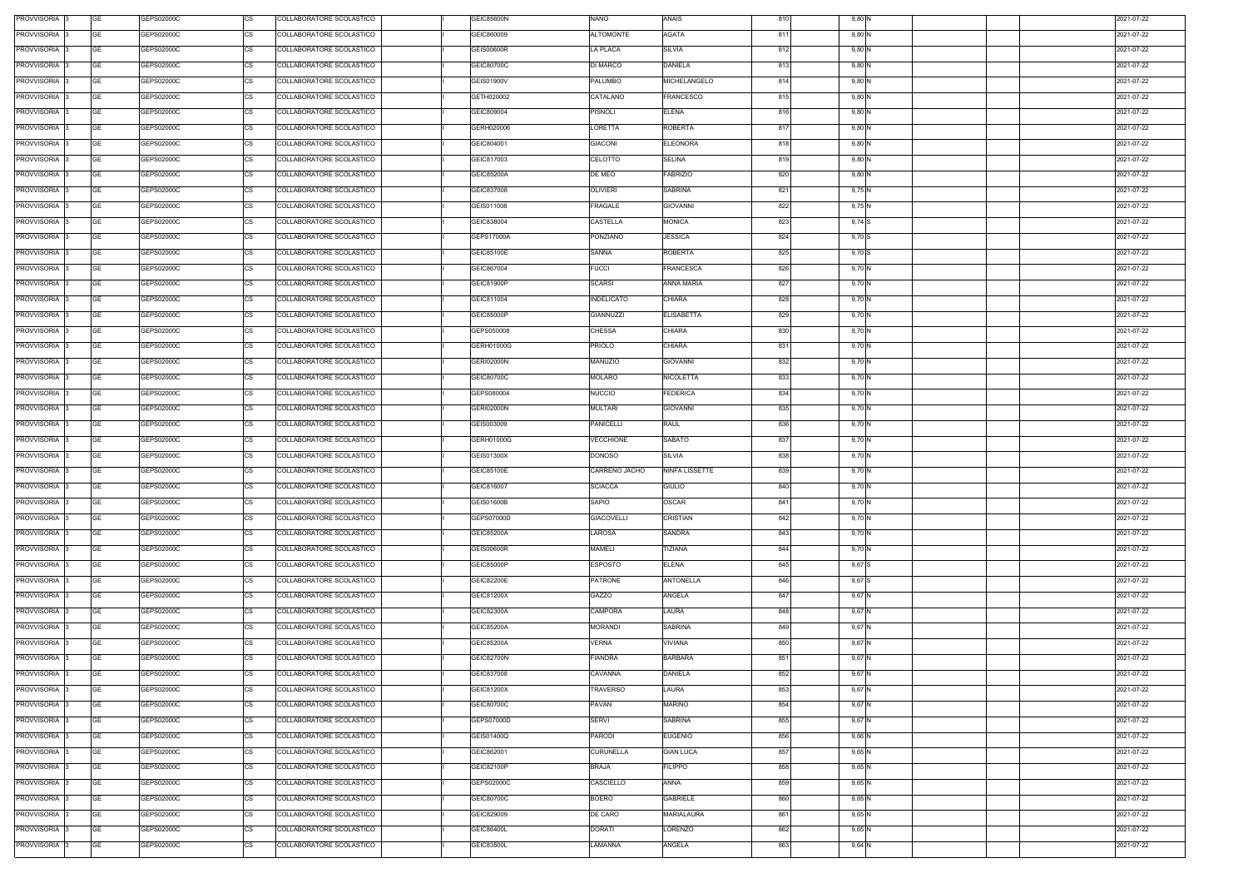| PROVVISORIA 3                  | <b>GE</b><br>GEPS02000C | <b>CS</b> | COLLABORATORE SCOLASTICO                             | <b>GEIC85600N</b> | <b>NANO</b>       | <b>ANAIS</b>      | 810 | 9,80 N   |  | 2021-07-22 |
|--------------------------------|-------------------------|-----------|------------------------------------------------------|-------------------|-------------------|-------------------|-----|----------|--|------------|
| PROVVISORIA 3                  | <b>GE</b><br>GEPS02000C | CS        | COLLABORATORE SCOLASTICO                             | GEIC860009        | <b>ALTOMONTE</b>  | <b>AGATA</b>      | 811 | $9,80$ N |  | 2021-07-22 |
| PROVVISORIA 3                  | <b>GE</b><br>GEPS02000C | CS        | COLLABORATORE SCOLASTICO                             | <b>GEIS00600R</b> | <b>LA PLACA</b>   | <b>SILVIA</b>     | 812 | 9,80 N   |  | 2021-07-22 |
| PROVVISORIA 3                  | <b>GE</b><br>GEPS02000C | <b>CS</b> | COLLABORATORE SCOLASTICO                             | GEIC80700C        | DI MARCO          | <b>DANIELA</b>    | 813 | 9,80 N   |  | 2021-07-22 |
| PROVVISORIA 3                  | <b>GE</b><br>GEPS02000C | <b>CS</b> | COLLABORATORE SCOLASTICO                             | GEIS01900V        | PALUMBO           | MICHELANGELO      | 814 | 9,80 N   |  | 2021-07-22 |
| PROVVISORIA 3                  | <b>GE</b><br>GEPS02000C | <b>CS</b> | COLLABORATORE SCOLASTICO                             | GETH020002        | CATALANO          | FRANCESCO         | 815 | $9,80$ N |  | 2021-07-22 |
| PROVVISORIA 3                  | <b>GE</b><br>GEPS02000C | <b>CS</b> | COLLABORATORE SCOLASTICO                             | GEIC809004        | <b>PISNOLI</b>    | <b>ELENA</b>      | 816 | 9,80 N   |  | 2021-07-22 |
| PROVVISORIA 3                  | <b>GE</b><br>GEPS02000C | <b>CS</b> | COLLABORATORE SCOLASTICO                             | GERH020006        | LORETTA           | <b>ROBERTA</b>    | 817 | $9,80$ N |  | 2021-07-22 |
| PROVVISORIA 3                  | <b>GE</b><br>GEPS02000C | <b>CS</b> | COLLABORATORE SCOLASTICO                             | GEIC804001        | <b>GIACONI</b>    | <b>ELEONORA</b>   | 818 | 9,80 N   |  | 2021-07-22 |
| PROVVISORIA 3                  | <b>GE</b><br>GEPS02000C | <b>CS</b> | COLLABORATORE SCOLASTICO                             | GEIC817003        | CELOTTO           | <b>SELINA</b>     | 819 | 9,80 N   |  | 2021-07-22 |
| PROVVISORIA 3                  | <b>GE</b><br>GEPS02000C | <b>CS</b> | COLLABORATORE SCOLASTICO                             | GEIC85200A        | DE MEO            | <b>FABRIZIO</b>   | 820 | 9,80 N   |  | 2021-07-22 |
| PROVVISORIA 3                  | <b>GE</b><br>GEPS02000C | CS        | COLLABORATORE SCOLASTICO                             | GEIC837008        | <b>OLIVIERI</b>   | <b>SABRINA</b>    | 821 | 9,75 N   |  | 2021-07-22 |
| PROVVISORIA 3                  | <b>GE</b><br>GEPS02000C | <b>CS</b> | COLLABORATORE SCOLASTICO                             | GEIS011008        | <b>FRAGALE</b>    | <b>GIOVANNI</b>   | 822 | 9,75 N   |  | 2021-07-22 |
| PROVVISORIA 3                  | <b>GE</b><br>GEPS02000C | CS        | COLLABORATORE SCOLASTICO                             | GEIC838004        | <b>CASTELLA</b>   | <b>MONICA</b>     | 823 | 9,74 S   |  | 2021-07-22 |
| PROVVISORIA 3                  | <b>GE</b><br>GEPS02000C | <b>CS</b> | COLLABORATORE SCOLASTICO                             | <b>GEPS17000A</b> | PONZIANO          | <b>JESSICA</b>    | 824 | 9,70 S   |  | 2021-07-22 |
| PROVVISORIA 3                  | <b>GE</b><br>GEPS02000C | CS        | COLLABORATORE SCOLASTICO                             | GEIC85100E        | SANNA             | <b>ROBERTA</b>    | 825 | 9,70 S   |  | 2021-07-22 |
| PROVVISORIA 3                  | <b>GE</b><br>GEPS02000C | <b>CS</b> | COLLABORATORE SCOLASTICO                             | GEIC867004        | <b>FUCCI</b>      | <b>FRANCESCA</b>  | 826 | 9,70 N   |  | 2021-07-22 |
| PROVVISORIA 3                  | <b>GE</b><br>GEPS02000C | <b>CS</b> | COLLABORATORE SCOLASTICO                             | GEIC81900P        | <b>SCARSI</b>     | <b>ANNA MARIA</b> | 827 | 9,70 N   |  | 2021-07-22 |
| PROVVISORIA 3                  | <b>GE</b><br>GEPS02000C | <b>CS</b> | COLLABORATORE SCOLASTICO                             | GEIC811004        | <b>INDELICATO</b> | CHIARA            | 828 | 9,70 N   |  | 2021-07-22 |
| PROVVISORIA 3                  | <b>GE</b><br>GEPS02000C | <b>CS</b> | COLLABORATORE SCOLASTICO                             | GEIC85000P        | GIANNUZZI         | ELISABETTA        | 829 | 9,70 N   |  | 2021-07-22 |
| PROVVISORIA 3                  | <b>GE</b><br>GEPS02000C | <b>CS</b> | COLLABORATORE SCOLASTICO                             | GEPS050008        | CHESSA            | CHIARA            | 830 | 9,70 N   |  | 2021-07-22 |
| PROVVISORIA 3                  | <b>GE</b><br>GEPS02000C | <b>CS</b> | COLLABORATORE SCOLASTICO                             | GERH01000G        | PRIOLO            | CHIARA            | 831 | 9,70 N   |  | 2021-07-22 |
| PROVVISORIA 3                  | <b>GE</b><br>GEPS02000C | <b>CS</b> | COLLABORATORE SCOLASTICO                             | <b>GERI02000N</b> | <b>MANUZIO</b>    | <b>GIOVANNI</b>   | 832 | 9,70 N   |  | 2021-07-22 |
| PROVVISORIA 3                  | <b>GE</b><br>GEPS02000C | <b>CS</b> | COLLABORATORE SCOLASTICO                             | GEIC80700C        | <b>MOLARO</b>     | <b>NICOLETTA</b>  | 833 | 9,70 N   |  | 2021-07-22 |
| PROVVISORIA 3                  | <b>GE</b><br>GEPS02000C | <b>CS</b> | COLLABORATORE SCOLASTICO                             | GEPS080004        | <b>NUCCIO</b>     | <b>FEDERICA</b>   | 834 | 9,70 N   |  | 2021-07-22 |
| PROVVISORIA 3                  | <b>GE</b><br>GEPS02000C | <b>CS</b> | COLLABORATORE SCOLASTICO                             | <b>GERI02000N</b> | <b>MULTARI</b>    | <b>GIOVANNI</b>   | 835 | 9,70 N   |  | 2021-07-22 |
| PROVVISORIA 3                  | <b>GE</b><br>GEPS02000C | <b>CS</b> | COLLABORATORE SCOLASTICO                             | GEIS003009        | <b>PANICELLI</b>  | RAUL              | 836 | 9,70 N   |  | 2021-07-22 |
| PROVVISORIA 3                  | <b>GE</b><br>GEPS02000C | CS        | COLLABORATORE SCOLASTICO                             | GERH01000G        | <b>VECCHIONE</b>  | SABATO            | 837 | 9,70 N   |  | 2021-07-22 |
| PROVVISORIA 3                  | <b>GE</b><br>GEPS02000C | <b>CS</b> | COLLABORATORE SCOLASTICO                             | GEIS01300X        | <b>DONOSO</b>     | <b>SILVIA</b>     | 838 | 9,70 N   |  | 2021-07-22 |
| PROVVISORIA 3                  | <b>GE</b><br>GEPS02000C | <b>CS</b> | COLLABORATORE SCOLASTICO                             | GEIC85100E        | CARRENO JACHO     | NINFA LISSETTE    | 839 | 9,70 N   |  | 2021-07-22 |
| PROVVISORIA 3                  | <b>GE</b><br>GEPS02000C | <b>CS</b> | COLLABORATORE SCOLASTICO                             | GEIC816007        | <b>SCIACCA</b>    | <b>GIULIO</b>     | 840 | 9,70 N   |  | 2021-07-22 |
| PROVVISORIA 3                  | <b>GE</b><br>GEPS02000C | <b>CS</b> | COLLABORATORE SCOLASTICO                             | GEIS01600B        | <b>SAPIO</b>      | <b>OSCAR</b>      | 841 | 9,70 N   |  | 2021-07-22 |
| PROVVISORIA 3                  | <b>GE</b><br>GEPS02000C | CS        | COLLABORATORE SCOLASTICO                             | GEPS07000D        | <b>GIACOVELLI</b> | CRISTIAN          | 842 | 9,70 N   |  | 2021-07-22 |
| PROVVISORIA 3                  | <b>GE</b><br>GEPS02000C | <b>CS</b> | COLLABORATORE SCOLASTICO                             | GEIC85200A        | LAROSA            | SANDRA            | 843 | 9,70 N   |  | 2021-07-22 |
| PROVVISORIA 3                  | <b>GE</b><br>GEPS02000C | CS        | COLLABORATORE SCOLASTICO                             | <b>GEIS00600R</b> | <b>MAMELI</b>     | TIZIANA           | 844 | 9,70 N   |  | 2021-07-22 |
| PROVVISORIA 3                  | <b>GE</b><br>GEPS02000C | <b>CS</b> | COLLABORATORE SCOLASTICO                             | GEIC85000P        | <b>ESPOSTO</b>    | <b>ELENA</b>      | 845 | $9,67$ S |  | 2021-07-22 |
| PROVVISORIA 3                  | <b>GE</b><br>GEPS02000C | CS        | COLLABORATORE SCOLASTICO                             | GEIC82200E        | <b>PATRONE</b>    | <b>ANTONELLA</b>  | 846 | $9,67$ S |  | 2021-07-22 |
| PROVVISORIA 3                  | <b>GE</b><br>GEPS02000C | <b>CS</b> | COLLABORATORE SCOLASTICO                             | GEIC81200X        | GAZZO             | ANGELA            | 847 | 9,67 N   |  | 2021-07-22 |
|                                | <b>GE</b><br>GEPS02000C | CS        |                                                      | GEIC82300A        | <b>CAMPORA</b>    | LAURA             | 848 | 9,67 N   |  | 2021-07-22 |
| PROVVISORIA 3<br>PROVVISORIA 3 | <b>GE</b><br>GEPS02000C | CS        | COLLABORATORE SCOLASTICO<br>COLLABORATORE SCOLASTICO | GEIC85200A        | <b>MORANDI</b>    | <b>SABRINA</b>    | 849 | 9,67 N   |  | 2021-07-22 |
| PROVVISORIA 3                  | <b>GE</b><br>GEPS02000C | CS        | COLLABORATORE SCOLASTICO                             | GEIC85200A        | VERNA             | VIVIANA           | 850 | 9,67 N   |  | 2021-07-22 |
| PROVVISORIA 3                  | <b>GE</b><br>GEPS02000C | <b>CS</b> | COLLABORATORE SCOLASTICO                             | <b>GEIC82700N</b> | <b>FIANDRA</b>    | <b>BARBARA</b>    | 851 | 9,67 N   |  | 2021-07-22 |
| PROVVISORIA 3                  | <b>GE</b><br>GEPS02000C | CS        | COLLABORATORE SCOLASTICO                             | GEIC837008        | <b>CAVANNA</b>    | <b>DANIELA</b>    | 852 | 9,67 N   |  | 2021-07-22 |
|                                |                         |           |                                                      |                   |                   |                   |     |          |  |            |
| PROVVISORIA 3                  | <b>GE</b><br>GEPS02000C | CS        | COLLABORATORE SCOLASTICO                             | GEIC81200X        | <b>TRAVERSO</b>   | LAURA             | 853 | 9,67 N   |  | 2021-07-22 |
| PROVVISORIA 3                  | <b>GE</b><br>GEPS02000C | <b>CS</b> | COLLABORATORE SCOLASTICO                             | GEIC80700C        | <b>PAVAN</b>      | <b>MARINO</b>     | 854 | 9,67 N   |  | 2021-07-22 |
| PROVVISORIA 3                  | <b>GE</b><br>GEPS02000C | <b>CS</b> | COLLABORATORE SCOLASTICO                             | GEPS07000D        | <b>SERVI</b>      | <b>SABRINA</b>    | 855 | 9,67 N   |  | 2021-07-22 |
| PROVVISORIA 3                  | <b>GE</b><br>GEPS02000C | <b>CS</b> | COLLABORATORE SCOLASTICO                             | GEIS01400Q        | <b>PARODI</b>     | EUGENIO           | 856 | $9,66$ N |  | 2021-07-22 |
| PROVVISORIA 3                  | <b>GE</b><br>GEPS02000C | <b>CS</b> | COLLABORATORE SCOLASTICO                             | GEIC862001        | <b>CURUNELLA</b>  | <b>GIAN LUCA</b>  | 857 | 9,65 N   |  | 2021-07-22 |
| PROVVISORIA 3                  | <b>GE</b><br>GEPS02000C | <b>CS</b> | COLLABORATORE SCOLASTICO                             | GEIC82100P        | <b>BRAJA</b>      | <b>FILIPPO</b>    | 858 | 9,65 N   |  | 2021-07-22 |
| PROVVISORIA 3                  | <b>GE</b><br>GEPS02000C | <b>CS</b> | COLLABORATORE SCOLASTICO                             | GEPS02000C        | CASCIELLO         | ANNA              | 859 | $9,65$ N |  | 2021-07-22 |
| PROVVISORIA 3                  | <b>GE</b><br>GEPS02000C | <b>CS</b> | COLLABORATORE SCOLASTICO                             | GEIC80700C        | <b>BOERO</b>      | GABRIELE          | 860 | 9,65 N   |  | 2021-07-22 |
| PROVVISORIA 3                  | <b>GE</b><br>GEPS02000C | <b>CS</b> | COLLABORATORE SCOLASTICO                             | GEIC829009        | DE CARO           | <b>MARIALAURA</b> | 861 | $9,65$ N |  | 2021-07-22 |
| PROVVISORIA 3                  | <b>GE</b><br>GEPS02000C | <b>CS</b> | COLLABORATORE SCOLASTICO                             | GEIC86400L        | <b>DORATI</b>     | LORENZO           | 862 | 9,65 N   |  | 2021-07-22 |
| PROVVISORIA 3                  | <b>GE</b><br>GEPS02000C | CS        | COLLABORATORE SCOLASTICO                             | GEIC83500L        | LAMANNA           | ANGELA            | 863 | 9,64 N   |  | 2021-07-22 |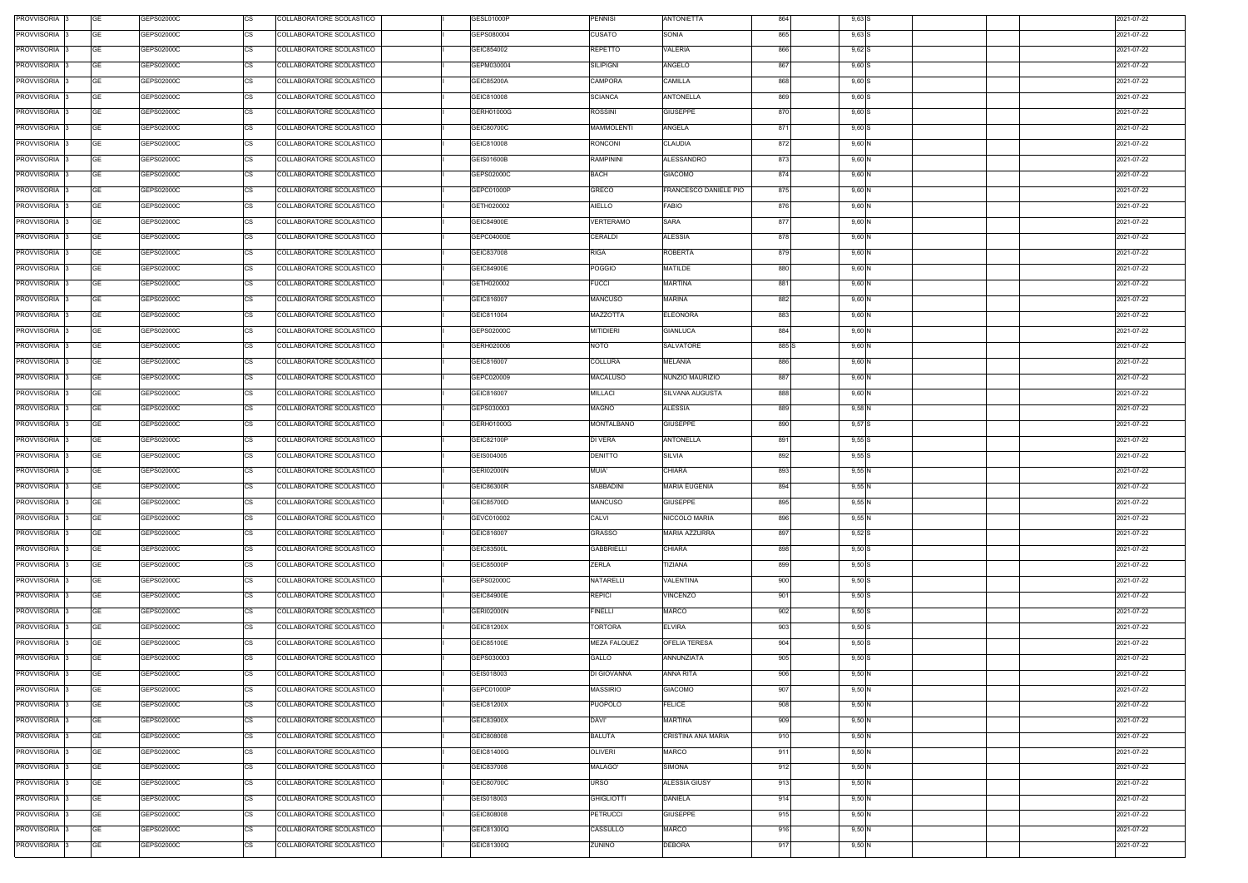| PROVVISORIA 3 | GE        | GEPS02000C | COLLABORATORE SCOLASTICO<br>CS        | GESL01000P        | <b>PENNISI</b>      | <b>ANTONIETTA</b>     | 864   | $9,63$ S |  | 2021-07-22 |
|---------------|-----------|------------|---------------------------------------|-------------------|---------------------|-----------------------|-------|----------|--|------------|
| PROVVISORIA 3 | GE        | GEPS02000C | <b>CS</b><br>COLLABORATORE SCOLASTICO | GEPS080004        | CUSATO              | SONIA                 | 865   | $9,63$ S |  | 2021-07-22 |
| PROVVISORIA 3 | GE        | GEPS02000C | <b>CS</b><br>COLLABORATORE SCOLASTICO | GEIC854002        | <b>REPETTO</b>      | VALERIA               | 866   | $9,62$ S |  | 2021-07-22 |
| PROVVISORIA 3 | GE        | GEPS02000C | <b>CS</b><br>COLLABORATORE SCOLASTICO | GEPM030004        | <b>SILIPIGNI</b>    | ANGELO                | 867   | $9,60$ S |  | 2021-07-22 |
| PROVVISORIA 3 | <b>GE</b> | GEPS02000C | <b>CS</b><br>COLLABORATORE SCOLASTICO | GEIC85200A        | CAMPORA             | <b>CAMILLA</b>        | 868   | $9,60$ S |  | 2021-07-22 |
| PROVVISORIA 3 | <b>GE</b> | GEPS02000C | <b>CS</b><br>COLLABORATORE SCOLASTICO | GEIC810008        | <b>SCIANCA</b>      | <b>ANTONELLA</b>      | 869   | $9,60$ S |  | 2021-07-22 |
| PROVVISORIA 3 | <b>GE</b> | GEPS02000C | <b>CS</b><br>COLLABORATORE SCOLASTICO | GERH01000G        | <b>ROSSINI</b>      | <b>GIUSEPPE</b>       | 870   | $9,60$ S |  | 2021-07-22 |
| PROVVISORIA 3 | GE        | GEPS02000C | <b>CS</b><br>COLLABORATORE SCOLASTICO | GEIC80700C        | <b>MAMMOLENTI</b>   | ANGELA                | 871   | $9,60$ S |  | 2021-07-22 |
| PROVVISORIA 3 | <b>GE</b> | GEPS02000C | <b>CS</b><br>COLLABORATORE SCOLASTICO | GEIC810008        | RONCONI             | <b>CLAUDIA</b>        | 872   | 9,60 N   |  | 2021-07-22 |
|               |           |            |                                       |                   |                     |                       |       |          |  |            |
| PROVVISORIA 3 | <b>GE</b> | GEPS02000C | <b>CS</b><br>COLLABORATORE SCOLASTICO | GEIS01600B        | <b>RAMPININI</b>    | <b>ALESSANDRO</b>     | 873   | $9,60$ N |  | 2021-07-22 |
| PROVVISORIA 3 | <b>GE</b> | GEPS02000C | <b>CS</b><br>COLLABORATORE SCOLASTICO | GEPS02000C        | <b>BACH</b>         | <b>GIACOMO</b>        | 874   | 9,60 N   |  | 2021-07-22 |
| PROVVISORIA 3 | <b>GE</b> | GEPS02000C | CS<br>COLLABORATORE SCOLASTICO        | GEPC01000P        | <b>GRECO</b>        | FRANCESCO DANIELE PIO | 875   | 9,60 N   |  | 2021-07-22 |
| PROVVISORIA 3 | <b>GE</b> | GEPS02000C | <b>CS</b><br>COLLABORATORE SCOLASTICO | GETH020002        | <b>AIELLO</b>       | <b>FABIO</b>          | 876   | $9,60$ N |  | 2021-07-22 |
| PROVVISORIA 3 | <b>GE</b> | GEPS02000C | <b>CS</b><br>COLLABORATORE SCOLASTICO | <b>GEIC84900E</b> | VERTERAMO           | SARA                  | 877   | $9,60$ N |  | 2021-07-22 |
| PROVVISORIA 3 | <b>GE</b> | GEPS02000C | COLLABORATORE SCOLASTICO<br><b>CS</b> | GEPC04000E        | <b>CERALDI</b>      | <b>ALESSIA</b>        | 878   | $9,60$ N |  | 2021-07-22 |
| PROVVISORIA 3 | <b>GE</b> | GEPS02000C | <b>CS</b><br>COLLABORATORE SCOLASTICO | GEIC837008        | <b>RIGA</b>         | <b>ROBERTA</b>        | 879   | 9,60 N   |  | 2021-07-22 |
| PROVVISORIA 3 | <b>GE</b> | GEPS02000C | <b>CS</b><br>COLLABORATORE SCOLASTICO | GEIC84900E        | <b>POGGIO</b>       | <b>MATILDE</b>        | 880   | $9,60$ N |  | 2021-07-22 |
| PROVVISORIA 3 | <b>GE</b> | GEPS02000C | <b>CS</b><br>COLLABORATORE SCOLASTICO | GETH020002        | <b>FUCCI</b>        | <b>MARTINA</b>        | 881   | $9,60$ N |  | 2021-07-22 |
| PROVVISORIA 3 | <b>GE</b> | GEPS02000C | <b>CS</b><br>COLLABORATORE SCOLASTICO | GEIC816007        | <b>MANCUSO</b>      | MARINA                | 882   | $9,60$ N |  | 2021-07-22 |
| PROVVISORIA 3 | GE        | GEPS02000C | <b>CS</b><br>COLLABORATORE SCOLASTICO | GEIC811004        | MAZZOTTA            | <b>ELEONORA</b>       | 883   | $9,60$ N |  | 2021-07-22 |
| PROVVISORIA 3 | GE        | GEPS02000C | <b>CS</b><br>COLLABORATORE SCOLASTICO | GEPS02000C        | <b>MITIDIERI</b>    | <b>GIANLUCA</b>       | 884   | $9,60$ N |  | 2021-07-22 |
| PROVVISORIA 3 | <b>GE</b> | GEPS02000C | <b>CS</b><br>COLLABORATORE SCOLASTICO | GERH020006        | NOTO                | SALVATORE             | 885 S | 9,60 N   |  | 2021-07-22 |
| PROVVISORIA 3 | <b>GE</b> | GEPS02000C | <b>CS</b><br>COLLABORATORE SCOLASTICO | GEIC816007        | <b>COLLURA</b>      | MELANIA               | 886   | 9,60 N   |  | 2021-07-22 |
| PROVVISORIA 3 | <b>GE</b> | GEPS02000C | <b>CS</b><br>COLLABORATORE SCOLASTICO | GEPC020009        | MACALUSO            | NUNZIO MAURIZIO       | 887   | 9,60 N   |  | 2021-07-22 |
| PROVVISORIA 3 | <b>GE</b> | GEPS02000C | <b>CS</b><br>COLLABORATORE SCOLASTICO | GEIC816007        | <b>MILLACI</b>      | SILVANA AUGUSTA       | 888   | 9,60 N   |  | 2021-07-22 |
| PROVVISORIA 3 | <b>GE</b> | GEPS02000C | <b>CS</b><br>COLLABORATORE SCOLASTICO | GEPS030003        | MAGNO               | ALESSIA               | 889   | 9,58 N   |  | 2021-07-22 |
| PROVVISORIA 3 | GE        | GEPS02000C | <b>CS</b><br>COLLABORATORE SCOLASTICO | GERH01000G        | MONTALBANO          | <b>GIUSEPPE</b>       | 890   | $9,57$ S |  | 2021-07-22 |
| PROVVISORIA 3 | <b>GE</b> | GEPS02000C | <b>CS</b><br>COLLABORATORE SCOLASTICO | GEIC82100P        | <b>DI VERA</b>      | <b>ANTONELLA</b>      | 891   | $9,55$ S |  | 2021-07-22 |
| PROVVISORIA 3 | GE        | GEPS02000C | <b>CS</b><br>COLLABORATORE SCOLASTICO | GEIS004005        | <b>DENITTO</b>      | <b>SILVIA</b>         | 892   | 9,55S    |  | 2021-07-22 |
| PROVVISORIA 3 | <b>GE</b> | GEPS02000C | <b>CS</b><br>COLLABORATORE SCOLASTICO | <b>GERI02000N</b> | MUIA'               | CHIARA                | 893   | 9,55 N   |  | 2021-07-22 |
| PROVVISORIA 3 | GE        | GEPS02000C | <b>CS</b><br>COLLABORATORE SCOLASTICO | GEIC86300R        | <b>SABBADINI</b>    | <b>MARIA EUGENIA</b>  | 894   | 9,55 N   |  | 2021-07-22 |
| PROVVISORIA 3 | <b>GE</b> | GEPS02000C | <b>CS</b><br>COLLABORATORE SCOLASTICO | GEIC85700D        | <b>MANCUSO</b>      | <b>GIUSEPPE</b>       | 895   | 9,55N    |  | 2021-07-22 |
| PROVVISORIA 3 | GE        | GEPS02000C | <b>CS</b><br>COLLABORATORE SCOLASTICO | GEVC010002        | <b>CALVI</b>        | NICCOLO MARIA         | 896   | 9,55 N   |  | 2021-07-22 |
| PROVVISORIA 3 | GE        | GEPS02000C | <b>CS</b><br>COLLABORATORE SCOLASTICO | GEIC816007        | <b>GRASSO</b>       | <b>MARIA AZZURRA</b>  | 897   | $9,52$ S |  | 2021-07-22 |
| PROVVISORIA 3 | <b>GE</b> | GEPS02000C | <b>CS</b><br>COLLABORATORE SCOLASTICO | GEIC83500L        | <b>GABBRIELLI</b>   | CHIARA                | 898   | $9,50$ S |  | 2021-07-22 |
| PROVVISORIA 3 | <b>GE</b> | GEPS02000C | <b>CS</b><br>COLLABORATORE SCOLASTICO | GEIC85000P        | <b>ZERLA</b>        | TIZIANA               | 899   | $9,50$ S |  | 2021-07-22 |
| PROVVISORIA 3 | <b>GE</b> | GEPS02000C | <b>CS</b><br>COLLABORATORE SCOLASTICO | GEPS02000C        | <b>NATARELLI</b>    | VALENTINA             | 900   | $9,50$ S |  | 2021-07-22 |
| PROVVISORIA 3 | <b>GE</b> | GEPS02000C | <b>CS</b><br>COLLABORATORE SCOLASTICO | <b>GEIC84900E</b> | <b>REPICI</b>       | VINCENZO              | 901   | $9,50$ S |  | 2021-07-22 |
| PROVVISORIA 3 | <b>GE</b> | GEPS02000C | CS<br>COLLABORATORE SCOLASTICO        | <b>GERI02000N</b> | <b>FINELLI</b>      | <b>MARCO</b>          | 902   | $9,50$ S |  | 2021-07-22 |
| PROVVISORIA 3 | <b>GE</b> | GEPS02000C | <b>CS</b><br>COLLABORATORE SCOLASTICO | GEIC81200X        | TORTORA             | <b>ELVIRA</b>         | 903   | $9,50$ S |  | 2021-07-22 |
| PROVVISORIA 3 | <b>GE</b> | GEPS02000C | <b>CS</b><br>COLLABORATORE SCOLASTICO | GEIC85100E        | <b>MEZA FALQUEZ</b> | <b>OFELIA TERESA</b>  | 904   | $9,50$ S |  | 2021-07-22 |
| PROVVISORIA 3 | <b>GE</b> | GEPS02000C | <b>CS</b><br>COLLABORATORE SCOLASTICO | GEPS030003        | <b>GALLO</b>        | ANNUNZIATA            | 905   | $9,50$ S |  | 2021-07-22 |
| PROVVISORIA 3 | <b>GE</b> | GEPS02000C | <b>CS</b><br>COLLABORATORE SCOLASTICO | GEIS018003        | DI GIOVANNA         | ANNA RITA             | 906   | 9,50 N   |  | 2021-07-22 |
| PROVVISORIA 3 | <b>GE</b> | GEPS02000C | <b>CS</b><br>COLLABORATORE SCOLASTICO | GEPC01000P        | <b>MASSIRIO</b>     | <b>GIACOMO</b>        | 907   | 9,50 N   |  | 2021-07-22 |
| PROVVISORIA 3 | <b>GE</b> | GEPS02000C | CS<br>COLLABORATORE SCOLASTICO        | GEIC81200X        | <b>PUOPOLO</b>      | <b>FELICE</b>         | 908   | $9,50$ N |  | 2021-07-22 |
| PROVVISORIA 3 | <b>GE</b> | GEPS02000C | <b>CS</b><br>COLLABORATORE SCOLASTICO | GEIC83900X        | <b>DAVI'</b>        | MARTINA               | 909   | 9,50 N   |  | 2021-07-22 |
| PROVVISORIA 3 | GE        | GEPS02000C | СS<br>COLLABORATORE SCOLASTICO        | GEIC808008        | <b>BALUTA</b>       | CRISTINA ANA MARIA    | 910   | 9,50 N   |  | 2021-07-22 |
| PROVVISORIA 3 | <b>GE</b> | GEPS02000C | <b>CS</b><br>COLLABORATORE SCOLASTICO | GEIC81400G        | <b>OLIVERI</b>      | <b>MARCO</b>          | 911   | 9,50 N   |  | 2021-07-22 |
| PROVVISORIA 3 | <b>GE</b> | GEPS02000C | <b>CS</b><br>COLLABORATORE SCOLASTICO | GEIC837008        | MALAGO'             | SIMONA                | 912   | 9,50 N   |  | 2021-07-22 |
| PROVVISORIA 3 | <b>GE</b> | GEPS02000C | <b>CS</b><br>COLLABORATORE SCOLASTICO | GEIC80700C        | URSO                | ALESSIA GIUSY         | 913   | 9,50 N   |  | 2021-07-22 |
| PROVVISORIA 3 | <b>GE</b> | GEPS02000C | <b>CS</b><br>COLLABORATORE SCOLASTICO | GEIS018003        | <b>GHIGLIOTTI</b>   | <b>DANIELA</b>        | 914   | 9,50 N   |  | 2021-07-22 |
| PROVVISORIA 3 | GE        | GEPS02000C | <b>CS</b><br>COLLABORATORE SCOLASTICO | GEIC808008        | <b>PETRUCCI</b>     | <b>GIUSEPPE</b>       | 915   | 9,50 N   |  | 2021-07-22 |
| PROVVISORIA 3 | <b>GE</b> | GEPS02000C | <b>CS</b><br>COLLABORATORE SCOLASTICO | GEIC81300Q        | CASSULLO            | MARCO                 | 916   | 9,50 N   |  | 2021-07-22 |
| PROVVISORIA 3 | <b>GE</b> | GEPS02000C | <b>CS</b><br>COLLABORATORE SCOLASTICO | GEIC81300Q        | ZUNINO              | <b>DEBORA</b>         | 917   | 9,50 N   |  | 2021-07-22 |
|               |           |            |                                       |                   |                     |                       |       |          |  |            |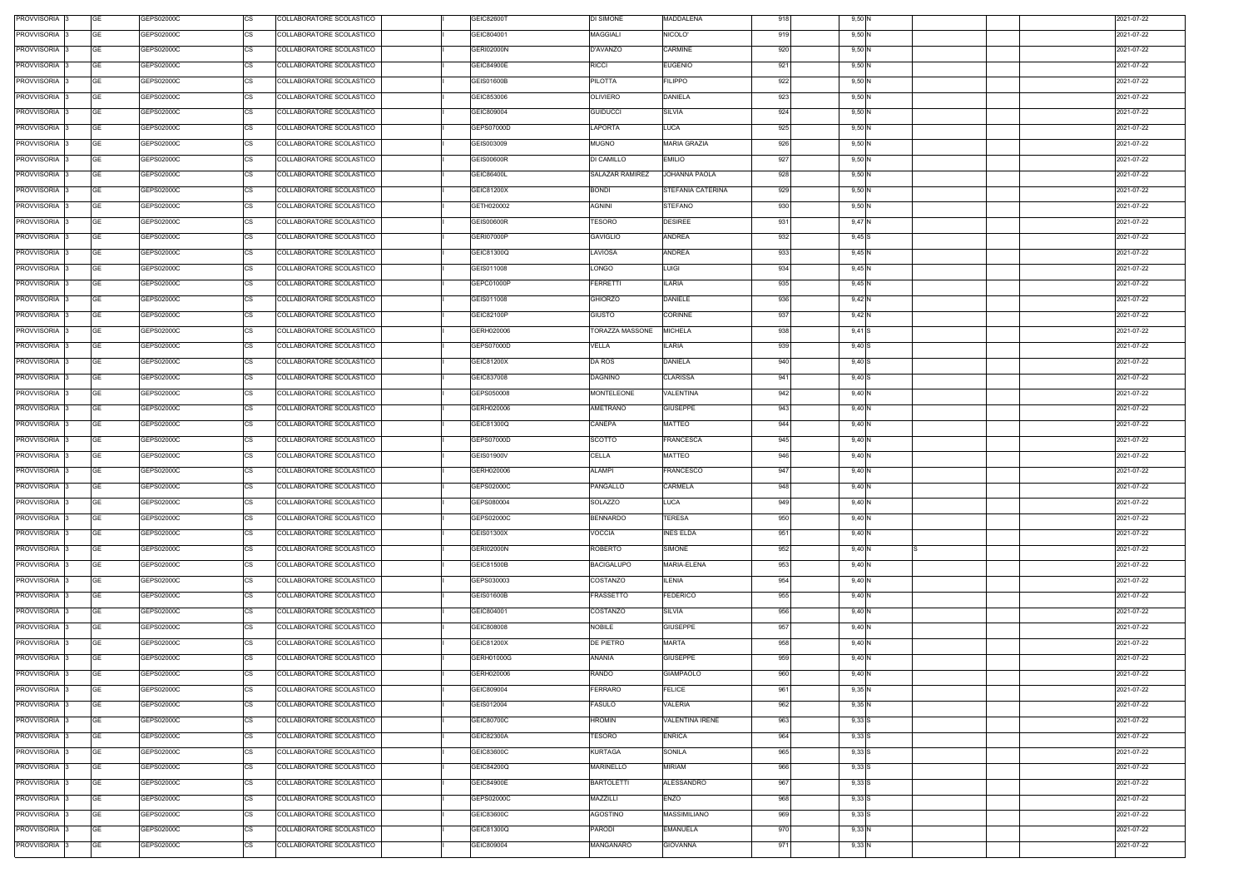| PROVVISORIA 3            | GE        | GEPS02000C | COLLABORATORE SCOLASTICO<br>CS        | GEIC82600T        | DI SIMONE              | <b>MADDALENA</b>    | 918 | 9,50 N   |  | 2021-07-22 |
|--------------------------|-----------|------------|---------------------------------------|-------------------|------------------------|---------------------|-----|----------|--|------------|
| PROVVISORIA 3            | GE        | GEPS02000C | <b>CS</b><br>COLLABORATORE SCOLASTICO | GEIC804001        | <b>MAGGIALI</b>        | NICOLO'             | 919 | 9,50 N   |  | 2021-07-22 |
| PROVVISORIA 3            | GE        | GEPS02000C | <b>CS</b><br>COLLABORATORE SCOLASTICO | <b>GERI02000N</b> | D'AVANZO               | <b>CARMINE</b>      | 920 | 9,50 N   |  | 2021-07-22 |
| PROVVISORIA 3            | GE        | GEPS02000C | <b>CS</b><br>COLLABORATORE SCOLASTICO | <b>GEIC84900E</b> | <b>RICCI</b>           | <b>EUGENIO</b>      | 921 | 9,50 N   |  | 2021-07-22 |
| PROVVISORIA 3            | <b>GE</b> | GEPS02000C | <b>CS</b><br>COLLABORATORE SCOLASTICO | <b>GEIS01600B</b> | PILOTTA                | <b>FILIPPO</b>      | 922 | 9,50 N   |  | 2021-07-22 |
| PROVVISORIA 3            | GE        | GEPS02000C | <b>CS</b><br>COLLABORATORE SCOLASTICO | GEIC853006        | <b>OLIVIERO</b>        | DANIELA             | 923 | 9,50 N   |  | 2021-07-22 |
| PROVVISORIA 3            | <b>GE</b> | GEPS02000C | <b>CS</b><br>COLLABORATORE SCOLASTICO | GEIC809004        | <b>GUIDUCCI</b>        | SILVIA              | 924 | 9,50 N   |  | 2021-07-22 |
| PROVVISORIA 3            | GE        | GEPS02000C | <b>CS</b><br>COLLABORATORE SCOLASTICO | GEPS07000D        | LAPORTA                | LUCA                | 925 | 9,50 N   |  | 2021-07-22 |
| PROVVISORIA 3            | <b>GE</b> | GEPS02000C | <b>CS</b><br>COLLABORATORE SCOLASTICO | GEIS003009        | <b>MUGNO</b>           | <b>MARIA GRAZIA</b> | 926 | 9,50 N   |  | 2021-07-22 |
| PROVVISORIA 3            | <b>GE</b> | GEPS02000C | <b>CS</b><br>COLLABORATORE SCOLASTICO | <b>GEIS00600R</b> | DI CAMILLO             | <b>EMILIO</b>       | 927 | 9,50 N   |  | 2021-07-22 |
| PROVVISORIA 3            | <b>GE</b> | GEPS02000C | <b>CS</b><br>COLLABORATORE SCOLASTICO | GEIC86400L        | <b>SALAZAR RAMIREZ</b> | JOHANNA PAOLA       | 928 | 9,50 N   |  | 2021-07-22 |
| PROVVISORIA 3            | <b>GE</b> | GEPS02000C | CS<br>COLLABORATORE SCOLASTICO        | GEIC81200X        | <b>BONDI</b>           | STEFANIA CATERINA   | 929 | 9,50 N   |  | 2021-07-22 |
| PROVVISORIA 3            | <b>GE</b> | GEPS02000C | <b>CS</b><br>COLLABORATORE SCOLASTICO | GETH020002        | <b>AGNINI</b>          | STEFANO             | 930 | 9,50 N   |  | 2021-07-22 |
| PROVVISORIA 3            | <b>GE</b> | GEPS02000C | <b>CS</b><br>COLLABORATORE SCOLASTICO | GEIS00600R        | TESORO                 | <b>DESIREE</b>      | 931 | 9,47 N   |  | 2021-07-22 |
| PROVVISORIA 3            | <b>GE</b> | GEPS02000C | COLLABORATORE SCOLASTICO<br>СS        | <b>GERI07000P</b> | <b>GAVIGLIO</b>        | <b>ANDREA</b>       | 932 | $9,45$ S |  | 2021-07-22 |
| PROVVISORIA 3            | <b>GE</b> | GEPS02000C | <b>CS</b><br>COLLABORATORE SCOLASTICO | GEIC81300Q        | LAVIOSA                | <b>ANDREA</b>       | 933 | 9,45 N   |  | 2021-07-22 |
|                          | <b>GE</b> | GEPS02000C | <b>CS</b>                             | GEIS011008        | LONGO                  |                     | 934 |          |  |            |
| PROVVISORIA 3            |           |            | COLLABORATORE SCOLASTICO              |                   |                        | LUIGI               |     | 9,45 N   |  | 2021-07-22 |
| PROVVISORIA 3            | <b>GE</b> | GEPS02000C | <b>CS</b><br>COLLABORATORE SCOLASTICO | GEPC01000P        | <b>FERRETTI</b>        | <b>ILARIA</b>       | 935 | 9,45 N   |  | 2021-07-22 |
| PROVVISORIA 3            | <b>GE</b> | GEPS02000C | <b>CS</b><br>COLLABORATORE SCOLASTICO | GEIS011008        | <b>GHIORZO</b>         | <b>DANIELE</b>      | 936 | 9,42 N   |  | 2021-07-22 |
| PROVVISORIA 3            | GE        | GEPS02000C | <b>CS</b><br>COLLABORATORE SCOLASTICO | GEIC82100P        | <b>GIUSTO</b>          | <b>CORINNE</b>      | 937 | 9,42 N   |  | 2021-07-22 |
| PROVVISORIA 3            | GE        | GEPS02000C | <b>CS</b><br>COLLABORATORE SCOLASTICO | GERH020006        | TORAZZA MASSONE        | MICHELA             | 938 | $9,41$ S |  | 2021-07-22 |
| PROVVISORIA 3            | <b>GE</b> | GEPS02000C | <b>CS</b><br>COLLABORATORE SCOLASTICO | GEPS07000D        | VELLA                  | <b>ILARIA</b>       | 939 | $9,40$ S |  | 2021-07-22 |
| PROVVISORIA 3            | <b>GE</b> | GEPS02000C | <b>CS</b><br>COLLABORATORE SCOLASTICO | GEIC81200X        | DA ROS                 | DANIELA             | 940 | $9,40$ S |  | 2021-07-22 |
| PROVVISORIA 3            | <b>GE</b> | GEPS02000C | <b>CS</b><br>COLLABORATORE SCOLASTICO | GEIC837008        | <b>DAGNINO</b>         | <b>CLARISSA</b>     | 941 | $9,40$ S |  | 2021-07-22 |
| PROVVISORIA 3            | <b>GE</b> | GEPS02000C | <b>CS</b><br>COLLABORATORE SCOLASTICO | GEPS050008        | MONTELEONE             | /ALENTINA           | 942 | 9,40 N   |  | 2021-07-22 |
| PROVVISORIA 3            | <b>GE</b> | GEPS02000C | <b>CS</b><br>COLLABORATORE SCOLASTICO | GERH020006        | AMETRANO               | <b>GIUSEPPE</b>     | 943 | 9,40 N   |  | 2021-07-22 |
| PROVVISORIA 3            | GE        | GEPS02000C | <b>CS</b><br>COLLABORATORE SCOLASTICO | GEIC81300Q        | CANEPA                 | MATTEO              | 944 | 9,40 N   |  | 2021-07-22 |
| PROVVISORIA 3            | GE        | GEPS02000C | <b>CS</b><br>COLLABORATORE SCOLASTICO | GEPS07000D        | SCOTTO                 | <b>FRANCESCA</b>    | 945 | 9,40 N   |  | 2021-07-22 |
| PROVVISORIA 3            | GE        | GEPS02000C | <b>CS</b><br>COLLABORATORE SCOLASTICO | GEIS01900V        | <b>CELLA</b>           | MATTEO              | 946 | 9,40 N   |  | 2021-07-22 |
| PROVVISORIA 3            | <b>GE</b> | GEPS02000C | <b>CS</b><br>COLLABORATORE SCOLASTICO | GERH020006        | <b>ALAMPI</b>          | <b>FRANCESCO</b>    | 947 | 9,40 N   |  | 2021-07-22 |
| PROVVISORIA 3            | GE        | GEPS02000C | <b>CS</b><br>COLLABORATORE SCOLASTICO | GEPS02000C        | PANGALLO               | CARMELA             | 948 | 9,40 N   |  | 2021-07-22 |
| PROVVISORIA 3            | <b>GE</b> | GEPS02000C | <b>CS</b><br>COLLABORATORE SCOLASTICO | GEPS080004        | SOLAZZO                | LUCA                | 949 | 9,40 N   |  | 2021-07-22 |
| PROVVISORIA 3            | GE        | GEPS02000C | <b>CS</b><br>COLLABORATORE SCOLASTICO | GEPS02000C        | <b>BENNARDO</b>        | TERESA              | 950 | 9,40 N   |  | 2021-07-22 |
| PROVVISORIA <sub>3</sub> | GE        | GEPS02000C | <b>CS</b><br>COLLABORATORE SCOLASTICO | GEIS01300X        | <b>VOCCIA</b>          | INES ELDA           | 951 | 9,40 N   |  | 2021-07-22 |
| PROVVISORIA 3            | <b>GE</b> | GEPS02000C | <b>CS</b><br>COLLABORATORE SCOLASTICO | <b>GERI02000N</b> | <b>ROBERTO</b>         | SIMONE              | 952 | 9,40 N   |  | 2021-07-22 |
| PROVVISORIA 3            | <b>GE</b> | GEPS02000C | <b>CS</b><br>COLLABORATORE SCOLASTICO | GEIC81500B        | <b>BACIGALUPO</b>      | MARIA-ELENA         | 953 | 9,40 N   |  | 2021-07-22 |
| PROVVISORIA 3            | <b>GE</b> | GEPS02000C | <b>CS</b><br>COLLABORATORE SCOLASTICO | GEPS030003        | COSTANZO               | <b>ILENIA</b>       | 954 | 9,40 N   |  | 2021-07-22 |
| PROVVISORIA 3            | <b>GE</b> | GEPS02000C | <b>CS</b><br>COLLABORATORE SCOLASTICO | GEIS01600B        | FRASSETTO              | FEDERICO            | 955 | 9,40 N   |  | 2021-07-22 |
| PROVVISORIA 3            | <b>GE</b> | GEPS02000C | CS<br>COLLABORATORE SCOLASTICO        | GEIC804001        | COSTANZO               | <b>SILVIA</b>       | 956 | 9,40 N   |  | 2021-07-22 |
| PROVVISORIA 3            | <b>GE</b> | GEPS02000C | <b>CS</b><br>COLLABORATORE SCOLASTICO | GEIC808008        | <b>NOBILE</b>          | <b>GIUSEPPE</b>     | 957 | 9,40 N   |  | 2021-07-22 |
| PROVVISORIA 3            | <b>GE</b> | GEPS02000C | <b>CS</b><br>COLLABORATORE SCOLASTICO | GEIC81200X        | DE PIETRO              | <b>MARTA</b>        | 958 | 9,40 N   |  | 2021-07-22 |
| PROVVISORIA 3            | <b>GE</b> | GEPS02000C | <b>CS</b><br>COLLABORATORE SCOLASTICO | GERH01000G        | ANANIA                 | <b>GIUSEPPE</b>     | 959 | 9,40 N   |  | 2021-07-22 |
| PROVVISORIA 3            | <b>GE</b> | GEPS02000C | <b>CS</b><br>COLLABORATORE SCOLASTICO | GERH020006        | RANDO                  | <b>GIAMPAOLO</b>    | 960 | 9,40 N   |  | 2021-07-22 |
| PROVVISORIA 3            | <b>GE</b> | GEPS02000C | <b>CS</b><br>COLLABORATORE SCOLASTICO | GEIC809004        | <b>FERRARO</b>         | <b>FELICE</b>       | 961 | 9,35 N   |  | 2021-07-22 |
| PROVVISORIA 3            | <b>GE</b> | GEPS02000C | CS<br>COLLABORATORE SCOLASTICO        | GEIS012004        | FASULO                 | <b>VALERIA</b>      | 962 | 9,35 N   |  | 2021-07-22 |
| PROVVISORIA 3            | <b>GE</b> | GEPS02000C | <b>CS</b><br>COLLABORATORE SCOLASTICO | GEIC80700C        | <b>HROMIN</b>          | VALENTINA IRENE     | 963 | $9,33$ S |  | 2021-07-22 |
| PROVVISORIA 3            | GE        | GEPS02000C | СS<br>COLLABORATORE SCOLASTICO        | GEIC82300A        | TESORO                 | <b>ENRICA</b>       | 964 | $9,33$ S |  | 2021-07-22 |
| PROVVISORIA 3            | <b>GE</b> | GEPS02000C | <b>CS</b><br>COLLABORATORE SCOLASTICO | GEIC83600C        | <b>KURTAGA</b>         | SONILA              | 965 | $9,33$ S |  | 2021-07-22 |
| PROVVISORIA 3            | <b>GE</b> | GEPS02000C | <b>CS</b><br>COLLABORATORE SCOLASTICO | GEIC84200Q        | MARINELLO              | MIRIAM              | 966 | $9,33$ S |  | 2021-07-22 |
| PROVVISORIA 3            | <b>GE</b> | GEPS02000C | <b>CS</b><br>COLLABORATORE SCOLASTICO | <b>GEIC84900E</b> | <b>BARTOLETTI</b>      | <b>ALESSANDRO</b>   | 967 | $9,33$ S |  | 2021-07-22 |
| PROVVISORIA 3            | <b>GE</b> | GEPS02000C | CS<br>COLLABORATORE SCOLASTICO        | GEPS02000C        | MAZZILLI               | ENZO                | 968 | $9,33$ S |  | 2021-07-22 |
| PROVVISORIA 3            | GE        | GEPS02000C | <b>CS</b><br>COLLABORATORE SCOLASTICO | GEIC83600C        | <b>AGOSTINO</b>        | MASSIMILIANO        | 969 | $9,33$ S |  | 2021-07-22 |
| PROVVISORIA 3            | <b>GE</b> |            | <b>CS</b><br>COLLABORATORE SCOLASTICO | GEIC81300Q        | PARODI                 | EMANUELA            | 970 |          |  | 2021-07-22 |
|                          |           | GEPS02000C |                                       |                   |                        |                     |     | 9,33 N   |  |            |
| PROVVISORIA 3            | GE        | GEPS02000C | <b>CS</b><br>COLLABORATORE SCOLASTICO | GEIC809004        | MANGANARO              | <b>GIOVANNA</b>     | 971 | 9,33 N   |  | 2021-07-22 |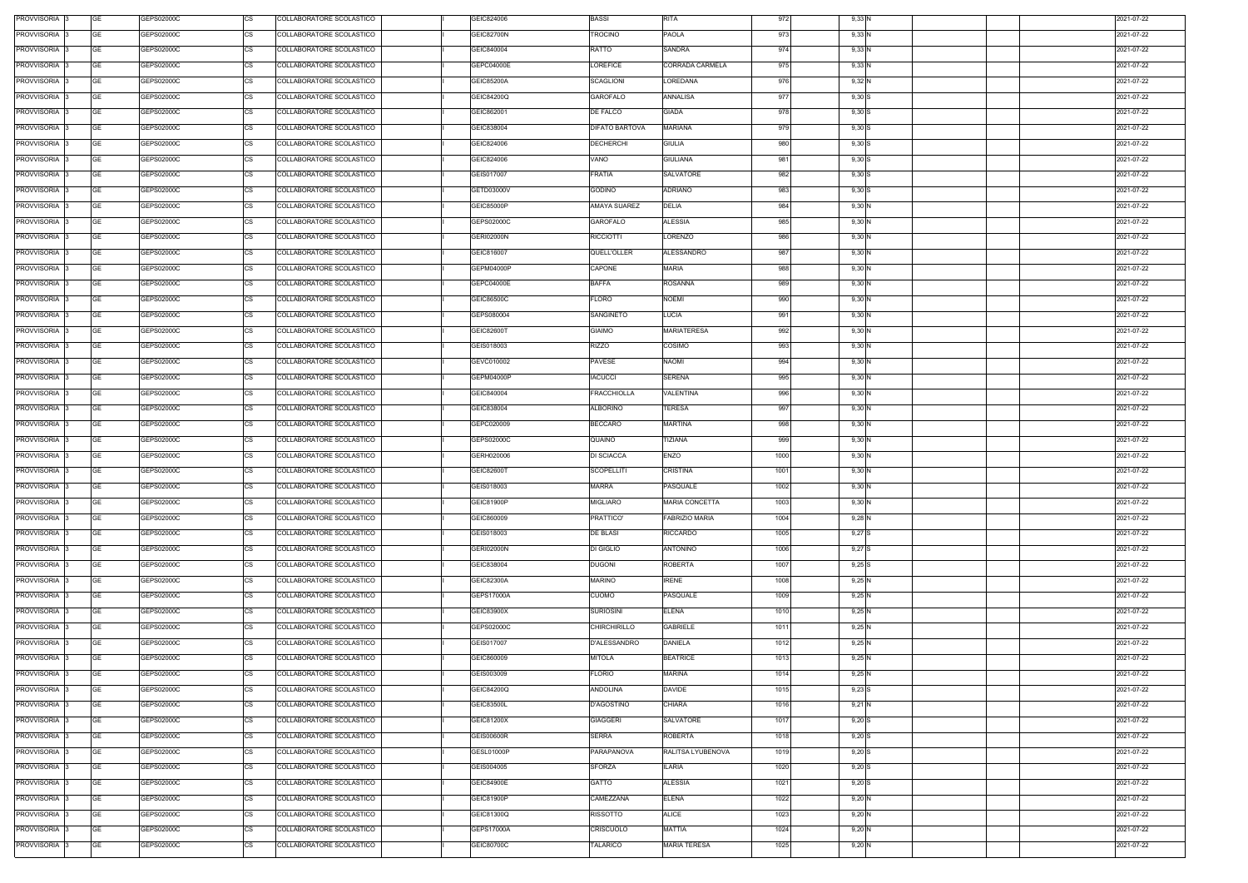| PROVVISORIA 3 | <b>GE</b><br>GEPS02000C | <b>CS</b> | COLLABORATORE SCOLASTICO | GEIC824006                      | <b>BASSI</b>          | <b>RITA</b>           | 972  | 9,33 N         |  | 2021-07-22 |
|---------------|-------------------------|-----------|--------------------------|---------------------------------|-----------------------|-----------------------|------|----------------|--|------------|
| PROVVISORIA 3 | <b>GE</b><br>GEPS02000C | CS        | COLLABORATORE SCOLASTICO | <b>GEIC82700N</b>               | TROCINO               | PAOLA                 | 973  | 9,33 N         |  | 2021-07-22 |
| PROVVISORIA 3 | <b>GE</b><br>GEPS02000C | CS        | COLLABORATORE SCOLASTICO | GEIC840004                      | RATTO                 | <b>SANDRA</b>         | 974  | 9,33 N         |  | 2021-07-22 |
| PROVVISORIA 3 | <b>GE</b><br>GEPS02000C | <b>CS</b> | COLLABORATORE SCOLASTICO | GEPC04000E                      | LOREFICE              | CORRADA CARMELA       | 975  | 9,33 N         |  | 2021-07-22 |
| PROVVISORIA 3 | <b>GE</b><br>GEPS02000C | <b>CS</b> | COLLABORATORE SCOLASTICO | GEIC85200A                      | SCAGLIONI             | LOREDANA              | 976  | 9,32 N         |  | 2021-07-22 |
| PROVVISORIA 3 | <b>GE</b><br>GEPS02000C | <b>CS</b> | COLLABORATORE SCOLASTICO | GEIC84200Q                      | GAROFALO              | ANNALISA              | 977  | 9,30S          |  | 2021-07-22 |
| PROVVISORIA 3 | <b>GE</b><br>GEPS02000C | <b>CS</b> | COLLABORATORE SCOLASTICO | GEIC862001                      | DE FALCO              | <b>GIADA</b>          | 978  | 9,30S          |  | 2021-07-22 |
| PROVVISORIA 3 | <b>GE</b><br>GEPS02000C | CS        | COLLABORATORE SCOLASTICO | GEIC838004                      | <b>DIFATO BARTOVA</b> | MARIANA               | 979  | 9,30S          |  | 2021-07-22 |
| PROVVISORIA 3 | <b>GE</b><br>GEPS02000C | <b>CS</b> | COLLABORATORE SCOLASTICO | GEIC824006                      | <b>DECHERCHI</b>      | <b>GIULIA</b>         | 980  | $9,30$ S       |  | 2021-07-22 |
| PROVVISORIA 3 | <b>GE</b><br>GEPS02000C | <b>CS</b> | COLLABORATORE SCOLASTICO | GEIC824006                      | VANO                  | <b>GIULIANA</b>       | 981  | $9,30$ S       |  | 2021-07-22 |
| PROVVISORIA 3 | <b>GE</b><br>GEPS02000C | <b>CS</b> | COLLABORATORE SCOLASTICO | GEIS017007                      | <b>FRATIA</b>         | <b>SALVATORE</b>      | 982  | $9,30$ S       |  | 2021-07-22 |
| PROVVISORIA 3 | <b>GE</b><br>GEPS02000C | CS        | COLLABORATORE SCOLASTICO | GETD03000V                      | <b>GODINO</b>         | <b>ADRIANO</b>        | 983  | $9,30$ S       |  | 2021-07-22 |
| PROVVISORIA 3 | <b>GE</b><br>GEPS02000C | <b>CS</b> | COLLABORATORE SCOLASTICO | GEIC85000P                      | AMAYA SUAREZ          | <b>DELIA</b>          | 984  | $9,30$ N       |  | 2021-07-22 |
| PROVVISORIA 3 | <b>GE</b><br>GEPS02000C | CS        | COLLABORATORE SCOLASTICO | GEPS02000C                      | GAROFALO              | <b>ALESSIA</b>        | 985  | 9,30 N         |  | 2021-07-22 |
| PROVVISORIA 3 | <b>GE</b><br>GEPS02000C | <b>CS</b> | COLLABORATORE SCOLASTICO | <b>GERI02000N</b>               | RICCIOTTI             | LORENZO               | 986  | 9,30 N         |  | 2021-07-22 |
| PROVVISORIA 3 | <b>GE</b><br>GEPS02000C | CS        | COLLABORATORE SCOLASTICO | GEIC816007                      | QUELL'OLLER           | ALESSANDRO            | 987  | 9,30 N         |  | 2021-07-22 |
| PROVVISORIA 3 | <b>GE</b><br>GEPS02000C | <b>CS</b> | COLLABORATORE SCOLASTICO | GEPM04000P                      | CAPONE                | <b>MARIA</b>          | 988  | 9,30 N         |  | 2021-07-22 |
| PROVVISORIA 3 | <b>GE</b><br>GEPS02000C | <b>CS</b> | COLLABORATORE SCOLASTICO | GEPC04000E                      | <b>BAFFA</b>          | <b>ROSANNA</b>        | 989  | 9,30 N         |  | 2021-07-22 |
| PROVVISORIA 3 | <b>GE</b><br>GEPS02000C | <b>CS</b> | COLLABORATORE SCOLASTICO | GEIC86500C                      | <b>FLORO</b>          | <b>NOEMI</b>          | 990  | 9,30 N         |  | 2021-07-22 |
| PROVVISORIA 3 | <b>GE</b><br>GEPS02000C | <b>CS</b> | COLLABORATORE SCOLASTICO | GEPS080004                      | SANGINETO             | LUCIA                 | 991  | 9,30 N         |  | 2021-07-22 |
| PROVVISORIA 3 | <b>GE</b><br>GEPS02000C | <b>CS</b> | COLLABORATORE SCOLASTICO | GEIC82600T                      | <b>GIAIMO</b>         | <b>MARIATERESA</b>    | 992  | 9,30 N         |  | 2021-07-22 |
| PROVVISORIA 3 | <b>GE</b><br>GEPS02000C | <b>CS</b> | COLLABORATORE SCOLASTICO | GEIS018003                      | RIZZO                 | COSIMO                | 993  | 9,30 N         |  | 2021-07-22 |
| PROVVISORIA 3 | <b>GE</b><br>GEPS02000C | <b>CS</b> | COLLABORATORE SCOLASTICO | GEVC010002                      | <b>PAVESE</b>         | <b>NAOMI</b>          | 994  | 9,30 N         |  | 2021-07-22 |
| PROVVISORIA 3 | <b>GE</b><br>GEPS02000C | <b>CS</b> | COLLABORATORE SCOLASTICO | GEPM04000P                      | <b>IACUCCI</b>        | <b>SERENA</b>         | 995  | 9,30 N         |  | 2021-07-22 |
| PROVVISORIA 3 | <b>GE</b><br>GEPS02000C | <b>CS</b> | COLLABORATORE SCOLASTICO | GEIC840004                      | <b>FRACCHIOLLA</b>    | VALENTINA             | 996  | $9,30$ N       |  | 2021-07-22 |
| PROVVISORIA 3 | <b>GE</b><br>GEPS02000C | <b>CS</b> | COLLABORATORE SCOLASTICO | GEIC838004                      | ALBORINO              | TERESA                | 997  | 9,30 N         |  | 2021-07-22 |
| PROVVISORIA 3 | <b>GE</b><br>GEPS02000C | <b>CS</b> | COLLABORATORE SCOLASTICO | GEPC020009                      | <b>BECCARO</b>        | <b>MARTINA</b>        | 998  | $9,30$ N       |  | 2021-07-22 |
| PROVVISORIA 3 | <b>GE</b><br>GEPS02000C | CS        | COLLABORATORE SCOLASTICO | GEPS02000C                      | QUAINO                | TIZIANA               | 999  | 9,30 N         |  | 2021-07-22 |
| PROVVISORIA 3 | <b>GE</b><br>GEPS02000C | <b>CS</b> | COLLABORATORE SCOLASTICO | GERH020006                      | <b>DI SCIACCA</b>     | <b>ENZO</b>           | 1000 | 9,30 N         |  | 2021-07-22 |
| PROVVISORIA 3 | <b>GE</b><br>GEPS02000C | <b>CS</b> | COLLABORATORE SCOLASTICO | GEIC82600T                      | SCOPELLITI            | <b>CRISTINA</b>       | 1001 | 9,30 N         |  | 2021-07-22 |
| PROVVISORIA 3 | <b>GE</b><br>GEPS02000C | <b>CS</b> | COLLABORATORE SCOLASTICO | GEIS018003                      | <b>MARRA</b>          | PASQUALE              | 1002 | 9,30 N         |  | 2021-07-22 |
| PROVVISORIA 3 | <b>GE</b><br>GEPS02000C | <b>CS</b> | COLLABORATORE SCOLASTICO | GEIC81900P                      | <b>MIGLIARO</b>       | <b>MARIA CONCETTA</b> | 1003 | 9,30 N         |  | 2021-07-22 |
| PROVVISORIA 3 | <b>GE</b><br>GEPS02000C | CS        | COLLABORATORE SCOLASTICO | GEIC860009                      | PRATTICO'             | FABRIZIO MARIA        | 1004 | 9,28 N         |  | 2021-07-22 |
| PROVVISORIA 3 | <b>GE</b><br>GEPS02000C | <b>CS</b> | COLLABORATORE SCOLASTICO |                                 |                       | <b>RICCARDO</b>       | 1005 |                |  | 2021-07-22 |
| PROVVISORIA 3 | <b>GE</b><br>GEPS02000C | CS        | COLLABORATORE SCOLASTICO | GEIS018003<br><b>GERI02000N</b> | DE BLASI<br>DI GIGLIO | <b>ANTONINO</b>       | 1006 | 9,27S<br>9,27S |  | 2021-07-22 |
|               | <b>GE</b><br>GEPS02000C | <b>CS</b> | COLLABORATORE SCOLASTICO | GEIC838004                      | <b>DUGONI</b>         | <b>ROBERTA</b>        | 1007 |                |  | 2021-07-22 |
| PROVVISORIA 3 |                         |           |                          |                                 |                       |                       |      | $9,25$ S       |  |            |
| PROVVISORIA 3 | <b>GE</b><br>GEPS02000C | CS        | COLLABORATORE SCOLASTICO | GEIC82300A                      | <b>MARINO</b>         | <b>IRENE</b>          | 1008 | 9,25N          |  | 2021-07-22 |
| PROVVISORIA 3 | <b>GE</b><br>GEPS02000C | <b>CS</b> | COLLABORATORE SCOLASTICO | GEPS17000A                      | <b>CUOMO</b>          | PASQUALE              | 1009 | 9,25N          |  | 2021-07-22 |
| PROVVISORIA 3 | <b>GE</b><br>GEPS02000C | CS        | COLLABORATORE SCOLASTICO | GEIC83900X                      | <b>SURIOSINI</b>      | <b>ELENA</b>          | 1010 | 9,25N          |  | 2021-07-22 |
| PROVVISORIA 3 | <b>GE</b><br>GEPS02000C | CS        | COLLABORATORE SCOLASTICO | GEPS02000C                      | <b>CHIRCHIRILLO</b>   | <b>GABRIELE</b>       | 1011 | 9,25 N         |  | 2021-07-22 |
| PROVVISORIA 3 | <b>GE</b><br>GEPS02000C | CS        | COLLABORATORE SCOLASTICO | GEIS017007                      | D'ALESSANDRO          | <b>DANIELA</b>        | 1012 | 9,25 N         |  | 2021-07-22 |
| PROVVISORIA 3 | <b>GE</b><br>GEPS02000C | <b>CS</b> | COLLABORATORE SCOLASTICO | GEIC860009                      | <b>MITOLA</b>         | <b>BEATRICE</b>       | 1013 | 9,25N          |  | 2021-07-22 |
| PROVVISORIA 3 | <b>GE</b><br>GEPS02000C | CS        | COLLABORATORE SCOLASTICO | GEIS003009                      | <b>FLORIO</b>         | <b>MARINA</b>         | 1014 | $9,25$ N       |  | 2021-07-22 |
| PROVVISORIA 3 | <b>GE</b><br>GEPS02000C | CS        | COLLABORATORE SCOLASTICO | GEIC84200Q                      | ANDOLINA              | <b>DAVIDE</b>         | 1015 | $9,23$ S       |  | 2021-07-22 |
| PROVVISORIA 3 | <b>GE</b><br>GEPS02000C | <b>CS</b> | COLLABORATORE SCOLASTICO | GEIC83500L                      | <b>D'AGOSTINO</b>     | <b>CHIARA</b>         | 1016 | 9,21 N         |  | 2021-07-22 |
| PROVVISORIA 3 | <b>GE</b><br>GEPS02000C | <b>CS</b> | COLLABORATORE SCOLASTICO | GEIC81200X                      | <b>GIAGGERI</b>       | <b>SALVATORE</b>      | 1017 | 9,20 S         |  | 2021-07-22 |
| PROVVISORIA 3 | <b>GE</b><br>GEPS02000C | <b>CS</b> | COLLABORATORE SCOLASTICO | GEIS00600R                      | <b>SERRA</b>          | ROBERTA               | 1018 | 9,20 S         |  | 2021-07-22 |
| PROVVISORIA 3 | <b>GE</b><br>GEPS02000C | <b>CS</b> | COLLABORATORE SCOLASTICO | GESL01000P                      | PARAPANOVA            | RALITSA LYUBENOVA     | 1019 | 9,20 S         |  | 2021-07-22 |
| PROVVISORIA 3 | <b>GE</b><br>GEPS02000C | <b>CS</b> | COLLABORATORE SCOLASTICO | GEIS004005                      | <b>SFORZA</b>         | <b>ILARIA</b>         | 1020 | 9,20 S         |  | 2021-07-22 |
| PROVVISORIA 3 | <b>GE</b><br>GEPS02000C | <b>CS</b> | COLLABORATORE SCOLASTICO | GEIC84900E                      | <b>GATTO</b>          | <b>ALESSIA</b>        | 1021 | 9,20 S         |  | 2021-07-22 |
| PROVVISORIA 3 | <b>GE</b><br>GEPS02000C | <b>CS</b> | COLLABORATORE SCOLASTICO | GEIC81900P                      | CAMEZZANA             | ELENA                 | 1022 | 9,20 N         |  | 2021-07-22 |
| PROVVISORIA 3 | <b>GE</b><br>GEPS02000C | <b>CS</b> | COLLABORATORE SCOLASTICO | GEIC81300Q                      | RISSOTTO              | <b>ALICE</b>          | 1023 | $9,20$ N       |  | 2021-07-22 |
| PROVVISORIA 3 | <b>GE</b><br>GEPS02000C | <b>CS</b> | COLLABORATORE SCOLASTICO | GEPS17000A                      | CRISCUOLO             | MATTIA                | 1024 | 9,20 N         |  | 2021-07-22 |
| PROVVISORIA 3 | <b>GE</b><br>GEPS02000C | CS        | COLLABORATORE SCOLASTICO | GEIC80700C                      | TALARICO              | <b>MARIA TERESA</b>   | 1025 | 9,20 N         |  | 2021-07-22 |
|               |                         |           |                          |                                 |                       |                       |      |                |  |            |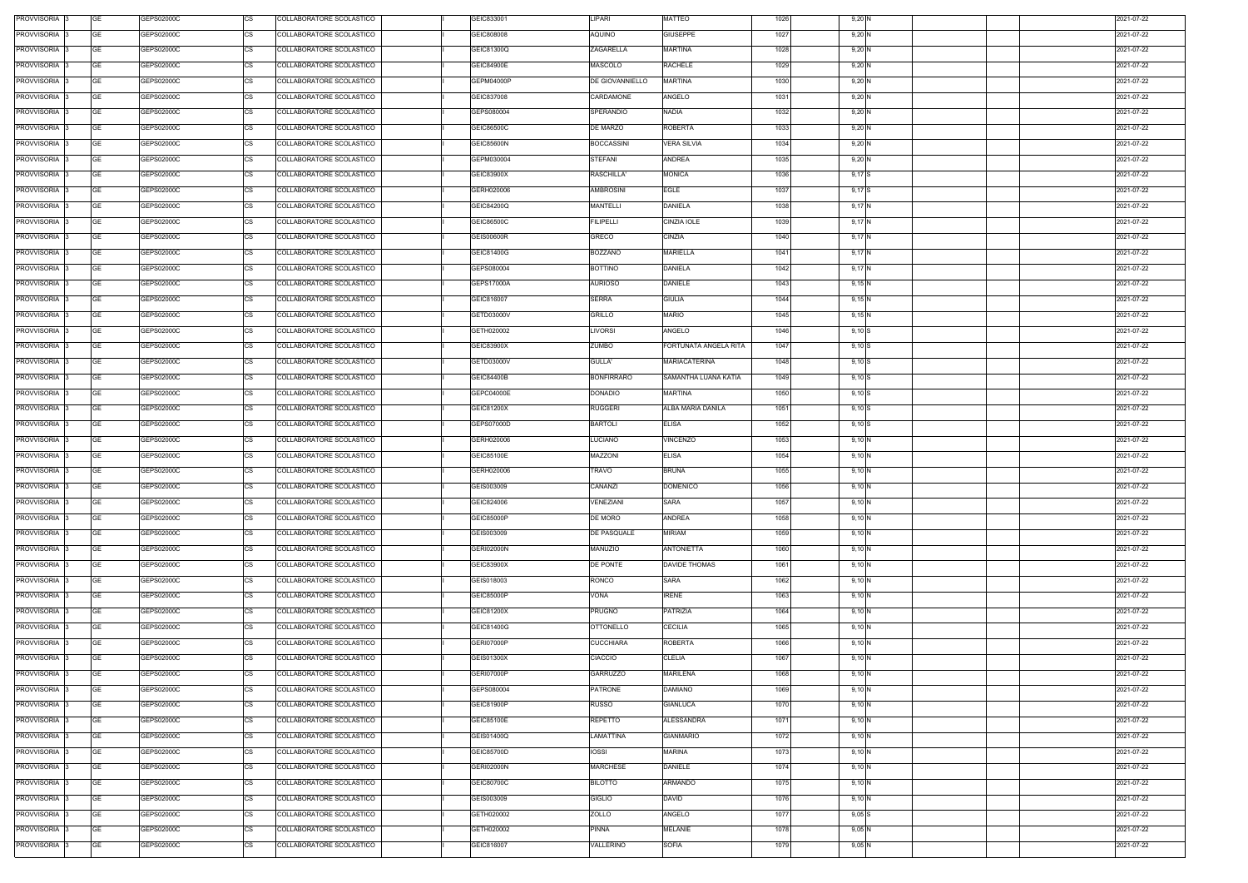| PROVVISORIA 3 | GE        | GEPS02000C | COLLABORATORE SCOLASTICO<br>CS        | GEIC833001        | LIPARI            | MATTEO                | 1026 | 9,20 N   |  | 2021-07-22 |
|---------------|-----------|------------|---------------------------------------|-------------------|-------------------|-----------------------|------|----------|--|------------|
| PROVVISORIA 3 | <b>GE</b> | GEPS02000C | <b>CS</b><br>COLLABORATORE SCOLASTICO | GEIC808008        | <b>AQUINO</b>     | <b>GIUSEPPE</b>       | 1027 | 9,20 N   |  | 2021-07-22 |
| PROVVISORIA 3 | GE        | GEPS02000C | <b>CS</b><br>COLLABORATORE SCOLASTICO | GEIC81300Q        | ZAGARELLA         | MARTINA               | 1028 | 9,20 N   |  | 2021-07-22 |
| PROVVISORIA 3 | GE        | GEPS02000C | <b>CS</b><br>COLLABORATORE SCOLASTICO | <b>GEIC84900E</b> | MASCOLO           | <b>RACHELE</b>        | 1029 | 9,20 N   |  | 2021-07-22 |
| PROVVISORIA 3 | <b>GE</b> | GEPS02000C | <b>CS</b><br>COLLABORATORE SCOLASTICO | GEPM04000P        | DE GIOVANNIELLO   | MARTINA               | 1030 | 9,20 N   |  | 2021-07-22 |
| PROVVISORIA 3 | GE        | GEPS02000C | <b>CS</b><br>COLLABORATORE SCOLASTICO | GEIC837008        | CARDAMONE         | ANGELO                | 1031 | 9,20 N   |  | 2021-07-22 |
| PROVVISORIA 3 | <b>GE</b> | GEPS02000C | <b>CS</b><br>COLLABORATORE SCOLASTICO | GEPS080004        | SPERANDIO         | NADIA                 | 1032 | 9,20 N   |  | 2021-07-22 |
| PROVVISORIA 3 | GE        | GEPS02000C | <b>CS</b><br>COLLABORATORE SCOLASTICO | GEIC86500C        | DE MARZO          | <b>ROBERTA</b>        | 1033 | 9,20 N   |  | 2021-07-22 |
| PROVVISORIA 3 | <b>GE</b> | GEPS02000C | <b>CS</b><br>COLLABORATORE SCOLASTICO | <b>GEIC85600N</b> | <b>BOCCASSINI</b> | <b>VERA SILVIA</b>    | 1034 | 9,20 N   |  | 2021-07-22 |
|               |           |            |                                       |                   |                   |                       |      |          |  |            |
| PROVVISORIA 3 | <b>GE</b> | GEPS02000C | <b>CS</b><br>COLLABORATORE SCOLASTICO | GEPM030004        | <b>STEFANI</b>    | <b>ANDREA</b>         | 1035 | 9,20 N   |  | 2021-07-22 |
| PROVVISORIA 3 | <b>GE</b> | GEPS02000C | <b>CS</b><br>COLLABORATORE SCOLASTICO | GEIC83900X        | RASCHILLA'        | <b>MONICA</b>         | 1036 | $9,17$ S |  | 2021-07-22 |
| PROVVISORIA 3 | <b>GE</b> | GEPS02000C | CS<br>COLLABORATORE SCOLASTICO        | GERH020006        | <b>AMBROSINI</b>  | <b>EGLE</b>           | 1037 | $9,17$ S |  | 2021-07-22 |
| PROVVISORIA 3 | <b>GE</b> | GEPS02000C | <b>CS</b><br>COLLABORATORE SCOLASTICO | GEIC84200Q        | MANTELLI          | <b>DANIELA</b>        | 1038 | 9,17 N   |  | 2021-07-22 |
| PROVVISORIA 3 | <b>GE</b> | GEPS02000C | <b>CS</b><br>COLLABORATORE SCOLASTICO | GEIC86500C        | <b>FILIPELLI</b>  | CINZIA IOLE           | 1039 | 9,17 N   |  | 2021-07-22 |
| PROVVISORIA 3 | <b>GE</b> | GEPS02000C | <b>CS</b><br>COLLABORATORE SCOLASTICO | <b>GEIS00600R</b> | GRECO             | CINZIA                | 1040 | 9,17 N   |  | 2021-07-22 |
| PROVVISORIA 3 | <b>GE</b> | GEPS02000C | <b>CS</b><br>COLLABORATORE SCOLASTICO | GEIC81400G        | <b>BOZZANO</b>    | <b>MARIELLA</b>       | 1041 | 9,17 N   |  | 2021-07-22 |
| PROVVISORIA 3 | <b>GE</b> | GEPS02000C | <b>CS</b><br>COLLABORATORE SCOLASTICO | GEPS080004        | <b>BOTTINO</b>    | <b>DANIELA</b>        | 1042 | 9,17 N   |  | 2021-07-22 |
| PROVVISORIA 3 | <b>GE</b> | GEPS02000C | <b>CS</b><br>COLLABORATORE SCOLASTICO | GEPS17000A        | <b>AURIOSO</b>    | <b>DANIELE</b>        | 1043 | 9,15N    |  | 2021-07-22 |
| PROVVISORIA 3 | <b>GE</b> | GEPS02000C | <b>CS</b><br>COLLABORATORE SCOLASTICO | GEIC816007        | <b>SERRA</b>      | <b>GIULIA</b>         | 1044 | 9,15N    |  | 2021-07-22 |
| PROVVISORIA 3 | GE        | GEPS02000C | <b>CS</b><br>COLLABORATORE SCOLASTICO | GETD03000V        | <b>GRILLO</b>     | <b>MARIO</b>          | 1045 | 9,15N    |  | 2021-07-22 |
| PROVVISORIA 3 | GE        | GEPS02000C | <b>CS</b><br>COLLABORATORE SCOLASTICO | GETH020002        | <b>LIVORSI</b>    | ANGELO                | 1046 | $9,10$ S |  | 2021-07-22 |
| PROVVISORIA 3 | <b>GE</b> | GEPS02000C | <b>CS</b><br>COLLABORATORE SCOLASTICO | GEIC83900X        | ZUMBO             | FORTUNATA ANGELA RITA | 1047 | $9,10$ S |  | 2021-07-22 |
| PROVVISORIA 3 | <b>GE</b> | GEPS02000C | <b>CS</b><br>COLLABORATORE SCOLASTICO | GETD03000V        | <b>GULLA'</b>     | MARIACATERINA         | 1048 | $9,10$ S |  | 2021-07-22 |
| PROVVISORIA 3 | <b>GE</b> | GEPS02000C | <b>CS</b><br>COLLABORATORE SCOLASTICO | GEIC84400B        | <b>BONFIRRARO</b> | SAMANTHA LUANA KATIA  | 1049 | $9,10$ S |  | 2021-07-22 |
| PROVVISORIA 3 | <b>GE</b> | GEPS02000C | <b>CS</b><br>COLLABORATORE SCOLASTICO | GEPC04000E        | <b>DONADIO</b>    | MARTINA               | 1050 | $9,10$ S |  | 2021-07-22 |
| PROVVISORIA 3 | <b>GE</b> | GEPS02000C | <b>CS</b><br>COLLABORATORE SCOLASTICO | GEIC81200X        | <b>RUGGERI</b>    | ALBA MARIA DANILA     | 1051 | $9,10$ S |  | 2021-07-22 |
| PROVVISORIA 3 | GE        | GEPS02000C | <b>CS</b><br>COLLABORATORE SCOLASTICO | GEPS07000D        | <b>BARTOLI</b>    | <b>ELISA</b>          | 1052 | $9,10$ S |  | 2021-07-22 |
| PROVVISORIA 3 | GE        | GEPS02000C | <b>CS</b><br>COLLABORATORE SCOLASTICO | GERH020006        | LUCIANO           | VINCENZO              | 1053 | 9,10 N   |  | 2021-07-22 |
| PROVVISORIA 3 | GE        | GEPS02000C | <b>CS</b><br>COLLABORATORE SCOLASTICO | GEIC85100E        | MAZZONI           | <b>ELISA</b>          | 1054 | 9,10 N   |  | 2021-07-22 |
| PROVVISORIA 3 | <b>GE</b> | GEPS02000C | <b>CS</b><br>COLLABORATORE SCOLASTICO | GERH020006        | TRAVO             | <b>BRUNA</b>          | 1055 | 9,10 N   |  | 2021-07-22 |
| PROVVISORIA 3 | GE        | GEPS02000C | <b>CS</b><br>COLLABORATORE SCOLASTICO | GEIS003009        | CANANZI           | <b>DOMENICO</b>       | 1056 | 9,10 N   |  | 2021-07-22 |
| PROVVISORIA 3 | <b>GE</b> | GEPS02000C | <b>CS</b><br>COLLABORATORE SCOLASTICO | GEIC824006        | <b>VENEZIANI</b>  | SARA                  | 1057 | 9,10 N   |  | 2021-07-22 |
| PROVVISORIA 3 | GE        | GEPS02000C | <b>CS</b><br>COLLABORATORE SCOLASTICO | GEIC85000P        | DE MORO           | <b>ANDREA</b>         | 1058 | 9,10 N   |  | 2021-07-22 |
| PROVVISORIA 3 | GE        | GEPS02000C | <b>CS</b><br>COLLABORATORE SCOLASTICO | GEIS003009        | DE PASQUALE       | <b>MIRIAM</b>         | 1059 | 9,10 N   |  | 2021-07-22 |
| PROVVISORIA 3 | <b>GE</b> | GEPS02000C | <b>CS</b><br>COLLABORATORE SCOLASTICO | <b>GERI02000N</b> | <b>MANUZIO</b>    | <b>ANTONIETTA</b>     | 1060 | 9,10 N   |  | 2021-07-22 |
| PROVVISORIA 3 | <b>GE</b> | GEPS02000C | <b>CS</b><br>COLLABORATORE SCOLASTICO | GEIC83900X        | DE PONTE          | <b>DAVIDE THOMAS</b>  | 1061 | 9,10 N   |  | 2021-07-22 |
| PROVVISORIA 3 | <b>GE</b> | GEPS02000C | <b>CS</b><br>COLLABORATORE SCOLASTICO | GEIS018003        | RONCO             | SARA                  | 1062 | 9,10 N   |  | 2021-07-22 |
| PROVVISORIA 3 | <b>GE</b> | GEPS02000C | <b>CS</b><br>COLLABORATORE SCOLASTICO | GEIC85000P        | VONA              | <b>IRENE</b>          | 1063 | 9,10 N   |  | 2021-07-22 |
| PROVVISORIA 3 | <b>GE</b> | GEPS02000C | CS<br>COLLABORATORE SCOLASTICO        | GEIC81200X        | <b>PRUGNO</b>     | PATRIZIA              | 1064 | 9,10 N   |  | 2021-07-22 |
| PROVVISORIA 3 | <b>GE</b> | GEPS02000C | <b>CS</b><br>COLLABORATORE SCOLASTICO | GEIC81400G        | <b>OTTONELLO</b>  | <b>CECILIA</b>        | 1065 | 9,10 N   |  | 2021-07-22 |
| PROVVISORIA 3 | <b>GE</b> | GEPS02000C | <b>CS</b><br>COLLABORATORE SCOLASTICO | <b>GERI07000P</b> | <b>CUCCHIARA</b>  | <b>ROBERTA</b>        | 1066 | 9,10 N   |  | 2021-07-22 |
| PROVVISORIA 3 | <b>GE</b> | GEPS02000C | <b>CS</b><br>COLLABORATORE SCOLASTICO | GEIS01300X        | <b>CIACCIO</b>    | <b>CLELIA</b>         | 1067 | 9,10 N   |  | 2021-07-22 |
| PROVVISORIA 3 | <b>GE</b> | GEPS02000C | <b>CS</b><br>COLLABORATORE SCOLASTICO | <b>GERI07000P</b> | GARRUZZO          | <b>MARILENA</b>       | 1068 | 9,10 N   |  | 2021-07-22 |
| PROVVISORIA 3 | <b>GE</b> | GEPS02000C | <b>CS</b><br>COLLABORATORE SCOLASTICO | GEPS080004        | <b>PATRONE</b>    | <b>DAMIANO</b>        | 1069 | 9,10 N   |  | 2021-07-22 |
| PROVVISORIA 3 | <b>GE</b> | GEPS02000C | CS<br>COLLABORATORE SCOLASTICO        | GEIC81900P        | <b>RUSSO</b>      | <b>GIANLUCA</b>       | 1070 | 9,10 N   |  | 2021-07-22 |
| PROVVISORIA 3 | <b>GE</b> | GEPS02000C | <b>CS</b><br>COLLABORATORE SCOLASTICO | GEIC85100E        | REPETTO           | <b>ALESSANDRA</b>     | 1071 | 9,10 N   |  | 2021-07-22 |
| PROVVISORIA 3 | GE        | GEPS02000C | СS<br>COLLABORATORE SCOLASTICO        | GEIS01400Q        | LAMATTINA         | <b>GIANMARIO</b>      | 1072 | 9,10 N   |  | 2021-07-22 |
| PROVVISORIA 3 | <b>GE</b> | GEPS02000C | <b>CS</b><br>COLLABORATORE SCOLASTICO | GEIC85700D        | <b>IOSSI</b>      | MARINA                | 1073 | 9,10 N   |  | 2021-07-22 |
| PROVVISORIA 3 | <b>GE</b> | GEPS02000C | <b>CS</b><br>COLLABORATORE SCOLASTICO | <b>GERI02000N</b> | <b>MARCHESE</b>   | DANIELE               | 1074 | 9,10 N   |  | 2021-07-22 |
| PROVVISORIA 3 | <b>GE</b> | GEPS02000C | <b>CS</b><br>COLLABORATORE SCOLASTICO | GEIC80700C        | <b>BILOTTO</b>    | ARMANDO               | 1075 | 9,10 N   |  | 2021-07-22 |
| PROVVISORIA 3 | <b>GE</b> | GEPS02000C | <b>CS</b><br>COLLABORATORE SCOLASTICO | GEIS003009        | <b>GIGLIO</b>     | <b>DAVID</b>          | 1076 | 9,10 N   |  | 2021-07-22 |
| PROVVISORIA 3 | GE        | GEPS02000C | <b>CS</b><br>COLLABORATORE SCOLASTICO | GETH020002        | ZOLLO             | ANGELO                | 1077 | $9,05$ S |  | 2021-07-22 |
| PROVVISORIA 3 | <b>GE</b> | GEPS02000C | <b>CS</b><br>COLLABORATORE SCOLASTICO | GETH020002        | PINNA             | MELANIE               | 1078 | 9,05 N   |  | 2021-07-22 |
| PROVVISORIA 3 | GE        | GEPS02000C | <b>CS</b><br>COLLABORATORE SCOLASTICO | GEIC816007        | VALLERINO         | <b>SOFIA</b>          | 1079 | $9,05$ N |  | 2021-07-22 |
|               |           |            |                                       |                   |                   |                       |      |          |  |            |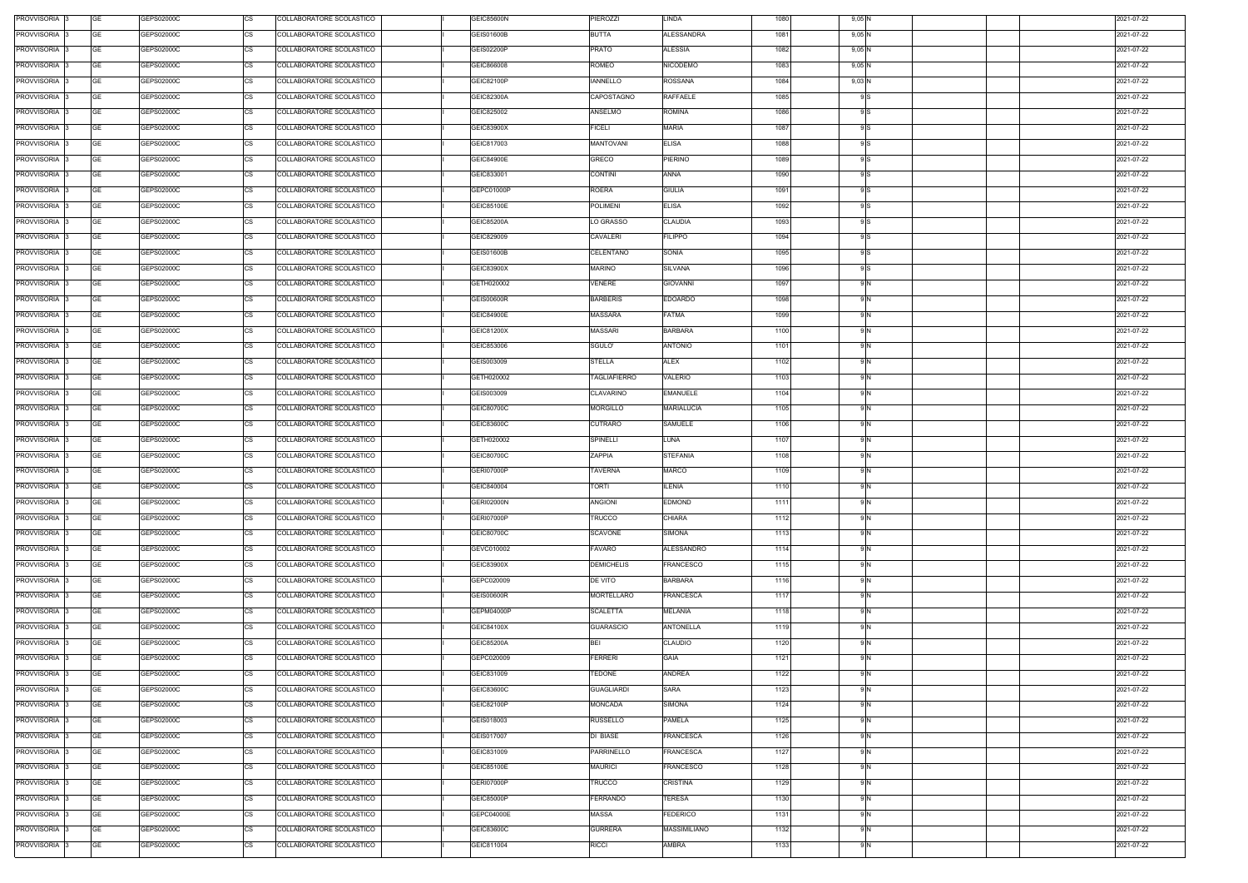| PROVVISORIA 3      | <b>GE</b> | GEPS02000C | <b>CS</b> | COLLABORATORE SCOLASTICO | <b>GEIC85600N</b> | PIEROZZI            | LINDA             | 1080 | 9,05N  |  | 2021-07-22 |
|--------------------|-----------|------------|-----------|--------------------------|-------------------|---------------------|-------------------|------|--------|--|------------|
| PROVVISORIA 3      | <b>GE</b> | GEPS02000C | СS        | COLLABORATORE SCOLASTICO | GEIS01600B        | <b>BUTTA</b>        | <b>ALESSANDRA</b> | 1081 | 9,05N  |  | 2021-07-22 |
| PROVVISORIA 3      | <b>GE</b> | GEPS02000C | CS        | COLLABORATORE SCOLASTICO | <b>GEIS02200P</b> | <b>PRATO</b>        | <b>ALESSIA</b>    | 1082 | 9,05N  |  | 2021-07-22 |
| PROVVISORIA 3      | <b>GE</b> | GEPS02000C | CS        | COLLABORATORE SCOLASTICO | GEIC866008        | ROMEO               | NICODEMO          | 1083 | 9,05N  |  | 2021-07-22 |
| PROVVISORIA 3      | GE        | GEPS02000C | CS        | COLLABORATORE SCOLASTICO | GEIC82100P        | <b>IANNELLO</b>     | <b>ROSSANA</b>    | 1084 | 9,03 N |  | 2021-07-22 |
| PROVVISORIA 3      | <b>GE</b> | GEPS02000C | <b>CS</b> | COLLABORATORE SCOLASTICO | GEIC82300A        | CAPOSTAGNO          | RAFFAELE          | 1085 | 9 S    |  | 2021-07-22 |
| PROVVISORIA 3      | GE        | GEPS02000C | <b>CS</b> | COLLABORATORE SCOLASTICO | GEIC825002        | ANSELMO             | <b>ROMINA</b>     | 1086 | 9 S    |  | 2021-07-22 |
| PROVVISORIA 3      | <b>GE</b> | GEPS02000C | <b>CS</b> | COLLABORATORE SCOLASTICO | GEIC83900X        | <b>FICELI</b>       | <b>MARIA</b>      | 1087 | 9 S    |  | 2021-07-22 |
| <b>PROVVISORIA</b> | <b>GE</b> | GEPS02000C | <b>CS</b> | COLLABORATORE SCOLASTICO | GEIC817003        | <b>MANTOVANI</b>    | <b>ELISA</b>      | 1088 | 9 S    |  | 2021-07-22 |
| <b>PROVVISORIA</b> | <b>GE</b> | GEPS02000C | CS        | COLLABORATORE SCOLASTICO | GEIC84900E        | <b>GRECO</b>        | <b>PIERINO</b>    | 1089 | 9 S    |  | 2021-07-22 |
| <b>PROVVISORIA</b> | <b>GE</b> | GEPS02000C | <b>CS</b> | COLLABORATORE SCOLASTICO | GEIC833001        | <b>CONTINI</b>      | ANNA              | 1090 | 9 S    |  | 2021-07-22 |
| <b>PROVVISORIA</b> | <b>GE</b> | GEPS02000C | CS        | COLLABORATORE SCOLASTICO | GEPC01000P        | <b>ROERA</b>        | <b>GIULIA</b>     | 1091 | 9 S    |  | 2021-07-22 |
| <b>PROVVISORIA</b> | <b>GE</b> | GEPS02000C | CS        | COLLABORATORE SCOLASTICO | GEIC85100E        | <b>POLIMENI</b>     | <b>ELISA</b>      | 1092 | 9 S    |  | 2021-07-22 |
| PROVVISORIA 3      | <b>GE</b> | GEPS02000C | CS        | COLLABORATORE SCOLASTICO | GEIC85200A        | LO GRASSO           | <b>CLAUDIA</b>    | 1093 | 9 S    |  | 2021-07-22 |
| PROVVISORIA 3      | GE        | GEPS02000C | СS        | COLLABORATORE SCOLASTICO | GEIC829009        | <b>CAVALERI</b>     | FILIPPO           | 1094 | 9 S    |  | 2021-07-22 |
| PROVVISORIA 3      | <b>GE</b> | GEPS02000C | CS        | COLLABORATORE SCOLASTICO | <b>GEIS01600B</b> | CELENTANO           | <b>SONIA</b>      | 1095 | 9 S    |  | 2021-07-22 |
| PROVVISORIA 3      | <b>GE</b> | GEPS02000C | <b>CS</b> | COLLABORATORE SCOLASTICO | GEIC83900X        | <b>MARINO</b>       | SILVANA           | 1096 | 9 S    |  | 2021-07-22 |
|                    | <b>GE</b> | GEPS02000C | CS        | COLLABORATORE SCOLASTICO | GETH020002        | VENERE              | <b>GIOVANNI</b>   | 1097 | 9 N    |  |            |
| PROVVISORIA 3      |           |            |           |                          |                   |                     |                   |      | 9 N    |  | 2021-07-22 |
| PROVVISORIA 3      | GE        | GEPS02000C | СS        | COLLABORATORE SCOLASTICO | <b>GEIS00600R</b> | <b>BARBERIS</b>     | <b>EDOARDO</b>    | 1098 |        |  | 2021-07-22 |
| PROVVISORIA 3      | <b>GE</b> | GEPS02000C | СS        | COLLABORATORE SCOLASTICO | GEIC84900E        | <b>MASSARA</b>      | FATMA             | 1099 | 9 N    |  | 2021-07-22 |
| PROVVISORIA 3      | GE        | GEPS02000C | СS        | COLLABORATORE SCOLASTICO | GEIC81200X        | <b>MASSARI</b>      | <b>BARBARA</b>    | 1100 | 9 N    |  | 2021-07-22 |
| PROVVISORIA 3      | <b>GE</b> | GEPS02000C | СS        | COLLABORATORE SCOLASTICO | GEIC853006        | SGULO'              | <b>ANTONIO</b>    | 1101 | 9 N    |  | 2021-07-22 |
| <b>PROVVISORIA</b> | <b>GE</b> | GEPS02000C | <b>CS</b> | COLLABORATORE SCOLASTICO | GEIS003009        | <b>STELLA</b>       | ALEX              | 1102 | 9 N    |  | 2021-07-22 |
| PROVVISORIA 3      | <b>GE</b> | GEPS02000C | CS        | COLLABORATORE SCOLASTICO | GETH020002        | <b>TAGLIAFIERRO</b> | VALERIO           | 1103 | 9 N    |  | 2021-07-22 |
| <b>PROVVISORIA</b> | <b>GE</b> | GEPS02000C | СS        | COLLABORATORE SCOLASTICO | GEIS003009        | CLAVARINO           | EMANUELE          | 1104 | 9 N    |  | 2021-07-22 |
| PROVVISORIA 3      | <b>GE</b> | GEPS02000C | СS        | COLLABORATORE SCOLASTICO | GEIC80700C        | <b>MORGILLO</b>     | MARIALUCIA        | 1105 | 9 N    |  | 2021-07-22 |
| PROVVISORIA 3      | <b>GE</b> | GEPS02000C | СS        | COLLABORATORE SCOLASTICO | GEIC83600C        | CUTRARO             | SAMUELE           | 1106 | 9 N    |  | 2021-07-22 |
| PROVVISORIA 3      | GE        | GEPS02000C | CS        | COLLABORATORE SCOLASTICO | GETH020002        | SPINELLI            | LUNA              | 1107 | 9 N    |  | 2021-07-22 |
| PROVVISORIA 3      | <b>GE</b> | GEPS02000C | <b>CS</b> | COLLABORATORE SCOLASTICO | GEIC80700C        | <b>ZAPPIA</b>       | <b>STEFANIA</b>   | 1108 | 9 N    |  | 2021-07-22 |
| PROVVISORIA 3      | <b>GE</b> | GEPS02000C | <b>CS</b> | COLLABORATORE SCOLASTICO | <b>GERI07000P</b> | <b>TAVERNA</b>      | <b>MARCO</b>      | 1109 | 9 N    |  | 2021-07-22 |
| PROVVISORIA 3      | <b>GE</b> | GEPS02000C | <b>CS</b> | COLLABORATORE SCOLASTICO | GEIC840004        | <b>TORTI</b>        | <b>ILENIA</b>     | 1110 | 9 N    |  | 2021-07-22 |
| PROVVISORIA 3      | <b>GE</b> | GEPS02000C | <b>CS</b> | COLLABORATORE SCOLASTICO | <b>GERI02000N</b> | <b>ANGIONI</b>      | <b>EDMOND</b>     | 1111 | 9 N    |  | 2021-07-22 |
| PROVVISORIA 3      | <b>GE</b> | GEPS02000C | <b>CS</b> | COLLABORATORE SCOLASTICO | GERI07000P        | <b>TRUCCO</b>       | CHIARA            | 1112 | 9 N    |  | 2021-07-22 |
| PROVVISORIA 3      | GE        | GEPS02000C | <b>CS</b> | COLLABORATORE SCOLASTICO | GEIC80700C        | <b>SCAVONE</b>      | SIMONA            | 1113 | 9 N    |  | 2021-07-22 |
| <b>PROVVISORIA</b> | <b>GE</b> | GEPS02000C | CS        | COLLABORATORE SCOLASTICO | GEVC010002        | <b>FAVARO</b>       | <b>ALESSANDRO</b> | 1114 | 9 N    |  | 2021-07-22 |
| <b>PROVVISORIA</b> | <b>GE</b> | GEPS02000C | <b>CS</b> | COLLABORATORE SCOLASTICO | GEIC83900X        | <b>DEMICHELIS</b>   | <b>FRANCESCO</b>  | 1115 | 9 N    |  | 2021-07-22 |
| PROVVISORIA 3      | <b>GE</b> | GEPS02000C | CS        | COLLABORATORE SCOLASTICO | GEPC020009        | DE VITO             | <b>BARBARA</b>    | 1116 | 9 N    |  | 2021-07-22 |
| <b>PROVVISORIA</b> | <b>GE</b> | GEPS02000C | CS        | COLLABORATORE SCOLASTICO | <b>GEIS00600R</b> | MORTELLARO          | <b>FRANCESCA</b>  | 1117 | 9 N    |  | 2021-07-22 |
| PROVVISORIA 3      | <b>GE</b> | GEPS02000C | CS        | COLLABORATORE SCOLASTICO | GEPM04000P        | <b>SCALETTA</b>     | MELANIA           | 1118 | 9 N    |  | 2021-07-22 |
| <b>PROVVISORIA</b> | <b>GE</b> | GEPS02000C | CS        | COLLABORATORE SCOLASTICO | GEIC84100X        | <b>GUARASCIO</b>    | <b>ANTONELLA</b>  | 1119 | 9 N    |  | 2021-07-22 |
| PROVVISORIA 3      | <b>GE</b> | GEPS02000C | CS        | COLLABORATORE SCOLASTICO | <b>GEIC85200A</b> | <b>BEI</b>          | CLAUDIO           | 1120 | 9 N    |  | 2021-07-22 |
| PROVVISORIA 3      | <b>GE</b> | GEPS02000C | <b>CS</b> | COLLABORATORE SCOLASTICO | GEPC020009        | <b>FERRERI</b>      | <b>GAIA</b>       | 1121 | 9 N    |  | 2021-07-22 |
| PROVVISORIA 3      | <b>GE</b> | GEPS02000C | CS        | COLLABORATORE SCOLASTICO | GEIC831009        | <b>TEDONE</b>       | ANDREA            | 1122 | 9 N    |  | 2021-07-22 |
| PROVVISORIA 3      | <b>GE</b> | GEPS02000C | CS        | COLLABORATORE SCOLASTICO | GEIC83600C        | <b>GUAGLIARDI</b>   | SARA              | 1123 | 9 N    |  | 2021-07-22 |
| PROVVISORIA 3      | <b>GE</b> | GEPS02000C | CS        | COLLABORATORE SCOLASTICO | GEIC82100P        | <b>MONCADA</b>      | SIMONA            | 1124 | 9 N    |  | 2021-07-22 |
| PROVVISORIA 3      | <b>GE</b> | GEPS02000C | СS        | COLLABORATORE SCOLASTICO | GEIS018003        | RUSSELLO            | PAMELA            | 1125 | 9 N    |  | 2021-07-22 |
| PROVVISORIA 3      | <b>GE</b> | GEPS02000C | СS        | COLLABORATORE SCOLASTICO | GEIS017007        | DI BIASE            | FRANCESCA         | 1126 | 9 N    |  | 2021-07-22 |
| <b>PROVVISORIA</b> | <b>GE</b> | GEPS02000C | <b>CS</b> | COLLABORATORE SCOLASTICO | GEIC831009        | <b>PARRINELLO</b>   | <b>FRANCESCA</b>  | 1127 | 9 N    |  | 2021-07-22 |
| PROVVISORIA 3      | <b>GE</b> | GEPS02000C | <b>CS</b> | COLLABORATORE SCOLASTICO | GEIC85100E        | <b>MAURICI</b>      | <b>FRANCESCO</b>  | 1128 | 9 N    |  | 2021-07-22 |
| <b>PROVVISORIA</b> | <b>GE</b> | GEPS02000C | <b>CS</b> | COLLABORATORE SCOLASTICO | <b>GERI07000P</b> | TRUCCO              | <b>CRISTINA</b>   | 1129 | 9 N    |  | 2021-07-22 |
| PROVVISORIA 3      | <b>GE</b> | GEPS02000C | СS        | COLLABORATORE SCOLASTICO | GEIC85000P        | FERRANDO            | TERESA            | 1130 | 9 N    |  | 2021-07-22 |
| PROVVISORIA        | <b>GE</b> | GEPS02000C | СS        | COLLABORATORE SCOLASTICO | GEPC04000E        | <b>MASSA</b>        | FEDERICO          | 1131 | 9 N    |  | 2021-07-22 |
| PROVVISORIA 3      | <b>GE</b> | GEPS02000C | СS        | COLLABORATORE SCOLASTICO | GEIC83600C        | <b>GURRERA</b>      | MASSIMILIANO      | 1132 | 9 N    |  | 2021-07-22 |
| PROVVISORIA 3      | <b>GE</b> | GEPS02000C | <b>CS</b> | COLLABORATORE SCOLASTICO | GEIC811004        | <b>RICCI</b>        | AMBRA             | 1133 | 9 N    |  | 2021-07-22 |
|                    |           |            |           |                          |                   |                     |                   |      |        |  |            |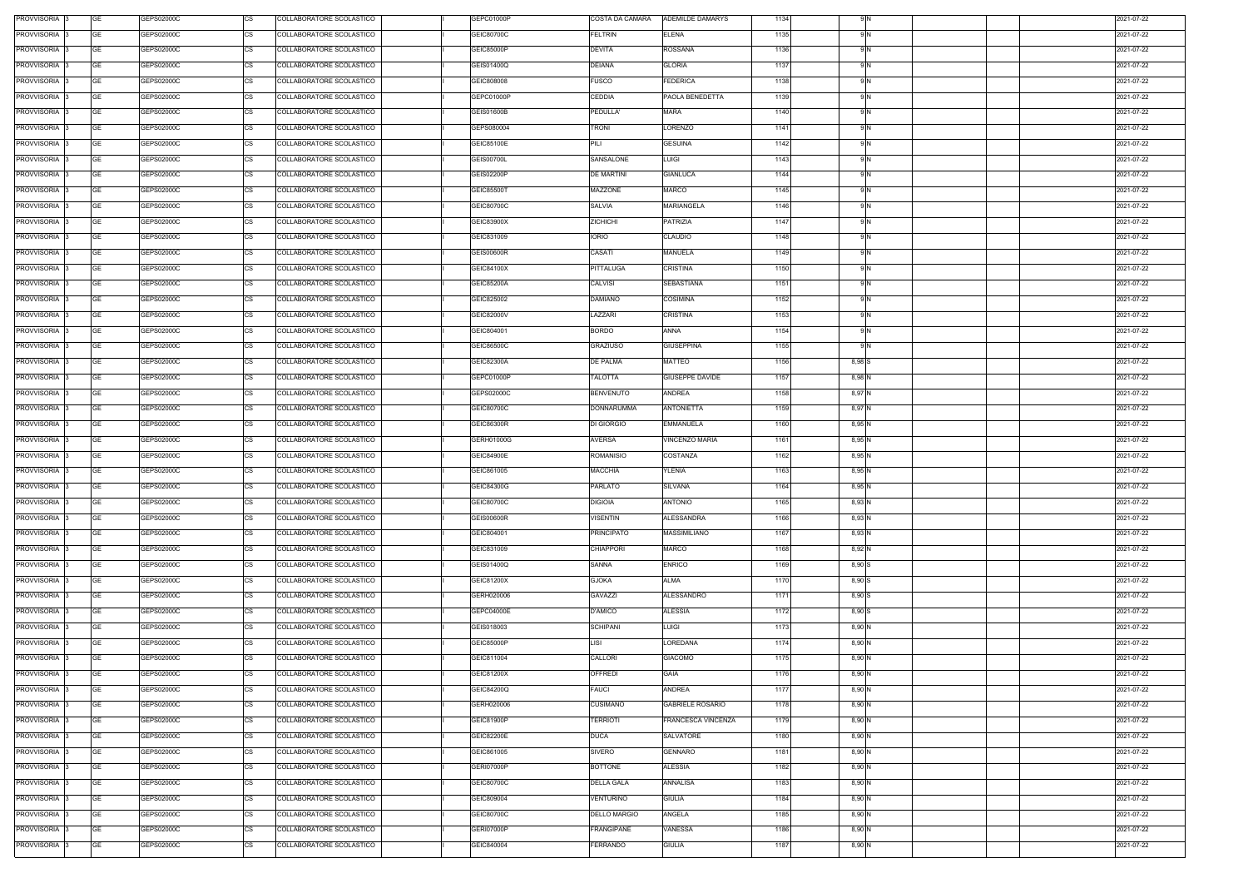| PROVVISORIA 3      | <b>GE</b> | GEPS02000C | <b>CS</b> | COLLABORATORE SCOLASTICO | GEPC01000P        | COSTA DA CAMARA     | <b>ADEMILDE DAMARYS</b> | 1134 | 9 N    |  | 2021-07-22 |
|--------------------|-----------|------------|-----------|--------------------------|-------------------|---------------------|-------------------------|------|--------|--|------------|
| PROVVISORIA 3      | <b>GE</b> | GEPS02000C | CS        | COLLABORATORE SCOLASTICO | GEIC80700C        | <b>FELTRIN</b>      | <b>ELENA</b>            | 1135 | 9 N    |  | 2021-07-22 |
| PROVVISORIA 3      | <b>GE</b> | GEPS02000C | CS        | COLLABORATORE SCOLASTICO | GEIC85000P        | <b>DEVITA</b>       | <b>ROSSANA</b>          | 1136 | 9 N    |  | 2021-07-22 |
| PROVVISORIA 3      | <b>GE</b> | GEPS02000C | CS        | COLLABORATORE SCOLASTICO | GEIS01400Q        | <b>DEIANA</b>       | <b>GLORIA</b>           | 1137 | 9 N    |  | 2021-07-22 |
| PROVVISORIA 3      | GE        | GEPS02000C | CS        | COLLABORATORE SCOLASTICO | GEIC808008        | <b>FUSCO</b>        | <b>FEDERICA</b>         | 1138 | 9 N    |  | 2021-07-22 |
| PROVVISORIA 3      | <b>GE</b> | GEPS02000C | <b>CS</b> | COLLABORATORE SCOLASTICO | GEPC01000P        | <b>CEDDIA</b>       | PAOLA BENEDETTA         | 1139 | 9 N    |  | 2021-07-22 |
| PROVVISORIA 3      | GE        | GEPS02000C | <b>CS</b> | COLLABORATORE SCOLASTICO | GEIS01600B        | PEDULLA'            | MARA                    | 1140 | 9 N    |  | 2021-07-22 |
| PROVVISORIA 3      | GE        | GEPS02000C | <b>CS</b> | COLLABORATORE SCOLASTICO | GEPS080004        | <b>TRONI</b>        | LORENZO                 | 1141 | 9 N    |  | 2021-07-22 |
| PROVVISORIA        | GE        | GEPS02000C | <b>CS</b> | COLLABORATORE SCOLASTICO | GEIC85100E        | PILI                | <b>GESUINA</b>          | 1142 | 9 N    |  | 2021-07-22 |
| <b>PROVVISORIA</b> | <b>GE</b> | GEPS02000C | CS        | COLLABORATORE SCOLASTICO | <b>GEIS00700L</b> | SANSALONE           | LUIGI                   | 1143 | 9 N    |  | 2021-07-22 |
| PROVVISORIA        | <b>GE</b> | GEPS02000C | <b>CS</b> | COLLABORATORE SCOLASTICO | <b>GEIS02200P</b> | <b>DE MARTINI</b>   | <b>GIANLUCA</b>         | 1144 | 9 N    |  | 2021-07-22 |
| <b>PROVVISORIA</b> | <b>GE</b> | GEPS02000C | CS        | COLLABORATORE SCOLASTICO | <b>GEIC85500T</b> | MAZZONE             | <b>MARCO</b>            | 1145 | 9 N    |  | 2021-07-22 |
| <b>PROVVISORIA</b> | <b>GE</b> | GEPS02000C | <b>CS</b> | COLLABORATORE SCOLASTICO | GEIC80700C        | <b>SALVIA</b>       | <b>MARIANGELA</b>       | 1146 | 9 N    |  | 2021-07-22 |
| PROVVISORIA 3      | <b>GE</b> | GEPS02000C | CS        | COLLABORATORE SCOLASTICO | GEIC83900X        | <b>ZICHICHI</b>     | PATRIZIA                | 1147 | 9 N    |  | 2021-07-22 |
| PROVVISORIA 3      | GE        | GEPS02000C | СS        | COLLABORATORE SCOLASTICO | GEIC831009        | <b>IORIO</b>        | <b>CLAUDIO</b>          | 1148 | 9 N    |  | 2021-07-22 |
| PROVVISORIA 3      | <b>GE</b> | GEPS02000C | CS        | COLLABORATORE SCOLASTICO | <b>GEIS00600R</b> | <b>CASATI</b>       | <b>MANUELA</b>          | 1149 | 9 N    |  | 2021-07-22 |
|                    |           |            |           |                          |                   |                     | <b>CRISTINA</b>         |      | 9 N    |  |            |
| PROVVISORIA 3      | <b>GE</b> | GEPS02000C | <b>CS</b> | COLLABORATORE SCOLASTICO | GEIC84100X        | PITTALUGA           |                         | 1150 |        |  | 2021-07-22 |
| PROVVISORIA 3      | <b>GE</b> | GEPS02000C | CS        | COLLABORATORE SCOLASTICO | <b>GEIC85200A</b> | CALVISI             | <b>SEBASTIANA</b>       | 1151 | 9 N    |  | 2021-07-22 |
| PROVVISORIA 3      | <b>GE</b> | GEPS02000C | СS        | COLLABORATORE SCOLASTICO | GEIC825002        | <b>DAMIANO</b>      | <b>COSIMINA</b>         | 1152 | 9 N    |  | 2021-07-22 |
| PROVVISORIA 3      | GE        | GEPS02000C | СS        | COLLABORATORE SCOLASTICO | GEIC82000V        | LAZZARI             | CRISTINA                | 1153 | 9 N    |  | 2021-07-22 |
| PROVVISORIA 3      | GE        | GEPS02000C | СS        | COLLABORATORE SCOLASTICO | GEIC804001        | <b>BORDO</b>        | ANNA                    | 1154 | 9 N    |  | 2021-07-22 |
| PROVVISORIA 3      | <b>GE</b> | GEPS02000C | СS        | COLLABORATORE SCOLASTICO | GEIC86500C        | <b>GRAZIUSO</b>     | <b>GIUSEPPINA</b>       | 1155 | 9 N    |  | 2021-07-22 |
| <b>PROVVISORIA</b> | <b>GE</b> | GEPS02000C | <b>CS</b> | COLLABORATORE SCOLASTICO | GEIC82300A        | DE PALMA            | MATTEO                  | 1156 | 8,98 S |  | 2021-07-22 |
| PROVVISORIA 3      | <b>GE</b> | GEPS02000C | <b>CS</b> | COLLABORATORE SCOLASTICO | GEPC01000P        | TALOTTA             | <b>GIUSEPPE DAVIDE</b>  | 1157 | 8,98 N |  | 2021-07-22 |
| <b>PROVVISORIA</b> | <b>GE</b> | GEPS02000C | СS        | COLLABORATORE SCOLASTICO | GEPS02000C        | BENVENUTO           | ANDREA                  | 1158 | 8,97 N |  | 2021-07-22 |
| PROVVISORIA 3      | <b>GE</b> | GEPS02000C | СS        | COLLABORATORE SCOLASTICO | GEIC80700C        | <b>DONNARUMMA</b>   | <b>ANTONIETTA</b>       | 1159 | 8,97 N |  | 2021-07-22 |
| PROVVISORIA 3      | <b>GE</b> | GEPS02000C | СS        | COLLABORATORE SCOLASTICO | GEIC86300R        | DI GIORGIO          | EMMANUELA               | 1160 | 8,95 N |  | 2021-07-22 |
| PROVVISORIA 3      | GE        | GEPS02000C | CS        | COLLABORATORE SCOLASTICO | GERH01000G        | <b>AVERSA</b>       | VINCENZO MARIA          | 1161 | 8,95 N |  | 2021-07-22 |
| PROVVISORIA 3      | <b>GE</b> | GEPS02000C | <b>CS</b> | COLLABORATORE SCOLASTICO | GEIC84900E        | ROMANISIO           | <b>COSTANZA</b>         | 1162 | 8,95 N |  | 2021-07-22 |
| PROVVISORIA 3      | <b>GE</b> | GEPS02000C | <b>CS</b> | COLLABORATORE SCOLASTICO | GEIC861005        | <b>MACCHIA</b>      | YLENIA                  | 1163 | 8,95 N |  | 2021-07-22 |
| PROVVISORIA 3      | <b>GE</b> | GEPS02000C | <b>CS</b> | COLLABORATORE SCOLASTICO | GEIC84300G        | <b>PARLATO</b>      | <b>SILVANA</b>          | 1164 | 8,95 N |  | 2021-07-22 |
| PROVVISORIA 3      | <b>GE</b> | GEPS02000C | <b>CS</b> | COLLABORATORE SCOLASTICO | GEIC80700C        | <b>DIGIOIA</b>      | ANTONIO                 | 1165 | 8,93 N |  | 2021-07-22 |
| PROVVISORIA 3      | <b>GE</b> | GEPS02000C | <b>CS</b> | COLLABORATORE SCOLASTICO | <b>GEIS00600R</b> | VISENTIN            | <b>ALESSANDRA</b>       | 1166 | 8,93 N |  | 2021-07-22 |
| PROVVISORIA 3      | GE        | GEPS02000C | <b>CS</b> | COLLABORATORE SCOLASTICO | GEIC804001        | <b>PRINCIPATO</b>   | <b>MASSIMILIANO</b>     | 1167 | 8,93 N |  | 2021-07-22 |
| <b>PROVVISORIA</b> | <b>GE</b> | GEPS02000C | CS        | COLLABORATORE SCOLASTICO | GEIC831009        | CHIAPPORI           | <b>MARCO</b>            | 1168 | 8,92 N |  | 2021-07-22 |
| PROVVISORIA 3      | <b>GE</b> | GEPS02000C | <b>CS</b> | COLLABORATORE SCOLASTICO | GEIS01400Q        | SANNA               | <b>ENRICO</b>           | 1169 | 8,90 S |  | 2021-07-22 |
| PROVVISORIA 3      | <b>GE</b> | GEPS02000C | CS        | COLLABORATORE SCOLASTICO | GEIC81200X        | <b>GJOKA</b>        | <b>ALMA</b>             | 1170 | 8,90 S |  | 2021-07-22 |
| <b>PROVVISORIA</b> | <b>GE</b> | GEPS02000C | CS        | COLLABORATORE SCOLASTICO | GERH020006        | GAVAZZI             | ALESSANDRO              | 1171 | 8,90 S |  | 2021-07-22 |
| PROVVISORIA 3      | <b>GE</b> | GEPS02000C | CS        | COLLABORATORE SCOLASTICO | GEPC04000E        | <b>D'AMICO</b>      | <b>ALESSIA</b>          | 1172 | 8,90 S |  | 2021-07-22 |
| PROVVISORIA 3      | <b>GE</b> | GEPS02000C | CS        | COLLABORATORE SCOLASTICO | GEIS018003        | <b>SCHIPANI</b>     | <b>LUIGI</b>            | 1173 | 8,90 N |  | 2021-07-22 |
| PROVVISORIA 3      | <b>GE</b> | GEPS02000C | CS        | COLLABORATORE SCOLASTICO | GEIC85000P        | <b>LISI</b>         | LOREDANA                | 1174 | 8,90 N |  | 2021-07-22 |
| PROVVISORIA 3      | <b>GE</b> | GEPS02000C | <b>CS</b> | COLLABORATORE SCOLASTICO | GEIC811004        | CALLORI             | <b>GIACOMO</b>          | 1175 | 8,90 N |  | 2021-07-22 |
| PROVVISORIA 3      | <b>GE</b> | GEPS02000C | CS        | COLLABORATORE SCOLASTICO | GEIC81200X        | <b>OFFREDI</b>      | <b>GAIA</b>             | 1176 | 8,90 N |  | 2021-07-22 |
| PROVVISORIA 3      | <b>GE</b> | GEPS02000C | <b>CS</b> | COLLABORATORE SCOLASTICO | GEIC84200Q        | <b>FAUCI</b>        | <b>ANDREA</b>           | 1177 | 8,90 N |  | 2021-07-22 |
| PROVVISORIA 3      | <b>GE</b> | GEPS02000C | CS        | COLLABORATORE SCOLASTICO | GERH020006        | <b>CUSIMANO</b>     | <b>GABRIELE ROSARIO</b> | 1178 | 8,90 N |  | 2021-07-22 |
| PROVVISORIA 3      | <b>GE</b> | GEPS02000C | СS        | COLLABORATORE SCOLASTICO | GEIC81900P        | <b>TERRIOTI</b>     | FRANCESCA VINCENZA      | 1179 | 8,90 N |  | 2021-07-22 |
| PROVVISORIA 3      | <b>GE</b> | GEPS02000C | СS        | COLLABORATORE SCOLASTICO | <b>GEIC82200E</b> | <b>DUCA</b>         | <b>SALVATORE</b>        | 1180 | 8,90 N |  | 2021-07-22 |
| <b>PROVVISORIA</b> | <b>GE</b> | GEPS02000C | <b>CS</b> | COLLABORATORE SCOLASTICO | GEIC861005        | <b>SIVERO</b>       | <b>GENNARO</b>          | 1181 | 8,90 N |  | 2021-07-22 |
|                    |           |            |           |                          |                   |                     |                         |      |        |  |            |
| PROVVISORIA 3      | <b>GE</b> | GEPS02000C | <b>CS</b> | COLLABORATORE SCOLASTICO | <b>GERI07000P</b> | <b>BOTTONE</b>      | <b>ALESSIA</b>          | 1182 | 8,90 N |  | 2021-07-22 |
| PROVVISORIA 3      | <b>GE</b> | GEPS02000C | <b>CS</b> | COLLABORATORE SCOLASTICO | GEIC80700C        | <b>DELLA GALA</b>   | ANNALISA                | 1183 | 8,90 N |  | 2021-07-22 |
| PROVVISORIA 3      | <b>GE</b> | GEPS02000C | СS        | COLLABORATORE SCOLASTICO | GEIC809004        | VENTURINO           | <b>GIULIA</b>           | 1184 | 8,90 N |  | 2021-07-22 |
| PROVVISORIA 3      | <b>GE</b> | GEPS02000C | СS        | COLLABORATORE SCOLASTICO | GEIC80700C        | <b>DELLO MARGIO</b> | ANGELA                  | 1185 | 8,90 N |  | 2021-07-22 |
| PROVVISORIA 3      | <b>GE</b> | GEPS02000C | СS        | COLLABORATORE SCOLASTICO | <b>GERI07000P</b> | <b>FRANGIPANE</b>   | VANESSA                 | 1186 | 8,90 N |  | 2021-07-22 |
| PROVVISORIA 3      | <b>GE</b> | GEPS02000C | <b>CS</b> | COLLABORATORE SCOLASTICO | GEIC840004        | FERRANDO            | <b>GIULIA</b>           | 1187 | 8,90 N |  | 2021-07-22 |
|                    |           |            |           |                          |                   |                     |                         |      |        |  |            |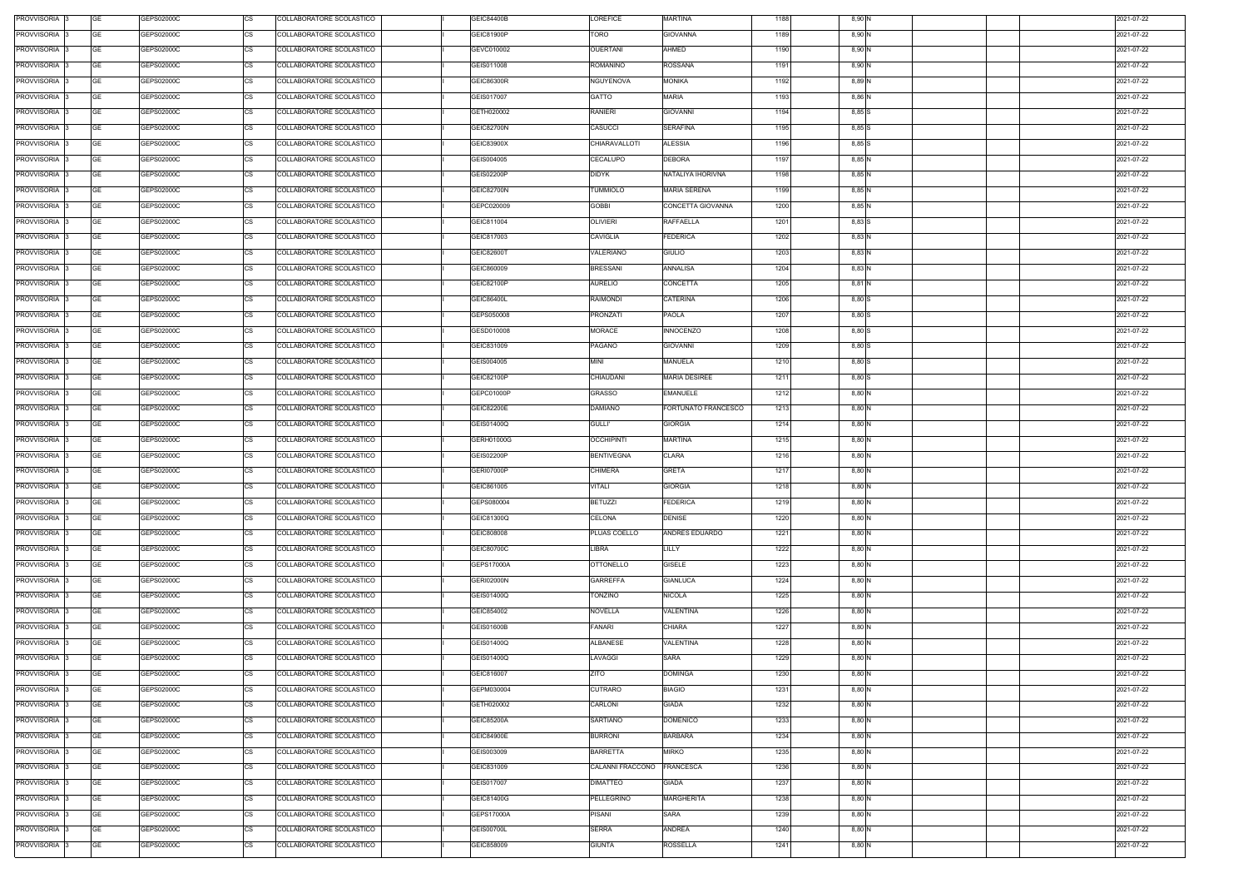| PROVVISORIA 3      | <b>GE</b> | GEPS02000C | <b>CS</b> | COLLABORATORE SCOLASTICO | <b>GEIC84400B</b> | LOREFICE          | <b>MARTINA</b>       | 1188 | 8,90 N |  | 2021-07-22 |
|--------------------|-----------|------------|-----------|--------------------------|-------------------|-------------------|----------------------|------|--------|--|------------|
| PROVVISORIA 3      | <b>GE</b> | GEPS02000C | СS        | COLLABORATORE SCOLASTICO | GEIC81900P        | TORO              | <b>GIOVANNA</b>      | 1189 | 8,90 N |  | 2021-07-22 |
| PROVVISORIA 3      | <b>GE</b> | GEPS02000C | <b>CS</b> | COLLABORATORE SCOLASTICO | GEVC010002        | <b>OUERTANI</b>   | AHMED                | 1190 | 8,90 N |  | 2021-07-22 |
| PROVVISORIA 3      | <b>GE</b> | GEPS02000C | CS        | COLLABORATORE SCOLASTICO | GEIS011008        | ROMANINO          | <b>ROSSANA</b>       | 1191 | 8,90 N |  | 2021-07-22 |
| PROVVISORIA 3      | GE        | GEPS02000C | CS        | COLLABORATORE SCOLASTICO | GEIC86300R        | NGUYENOVA         | <b>MONIKA</b>        | 1192 | 8,89 N |  | 2021-07-22 |
| PROVVISORIA 3      | <b>GE</b> | GEPS02000C | <b>CS</b> | COLLABORATORE SCOLASTICO | GEIS017007        | GATTO             | <b>MARIA</b>         | 1193 | 8,86 N |  | 2021-07-22 |
| PROVVISORIA 3      | GE        | GEPS02000C | <b>CS</b> | COLLABORATORE SCOLASTICO | GETH020002        | <b>RANIERI</b>    | <b>GIOVANNI</b>      | 1194 | 8,85 S |  | 2021-07-22 |
| PROVVISORIA 3      | <b>GE</b> | GEPS02000C | <b>CS</b> | COLLABORATORE SCOLASTICO | <b>GEIC82700N</b> | <b>CASUCCI</b>    | <b>SERAFINA</b>      | 1195 | 8,85 S |  | 2021-07-22 |
| <b>PROVVISORIA</b> | <b>GE</b> | GEPS02000C | <b>CS</b> | COLLABORATORE SCOLASTICO | GEIC83900X        | CHIARAVALLOTI     | <b>ALESSIA</b>       | 1196 | 8,85 S |  | 2021-07-22 |
| <b>PROVVISORIA</b> | <b>GE</b> | GEPS02000C | CS        | COLLABORATORE SCOLASTICO | GEIS004005        | CECALUPO          | <b>DEBORA</b>        | 1197 | 8,85 N |  | 2021-07-22 |
| <b>PROVVISORIA</b> | <b>GE</b> | GEPS02000C | <b>CS</b> | COLLABORATORE SCOLASTICO | <b>GEIS02200P</b> | <b>DIDYK</b>      | NATALIYA IHORIVNA    | 1198 | 8,85 N |  | 2021-07-22 |
| <b>PROVVISORIA</b> | <b>GE</b> | GEPS02000C | CS        | COLLABORATORE SCOLASTICO | <b>GEIC82700N</b> | <b>TUMMIOLO</b>   | <b>MARIA SERENA</b>  | 1199 | 8,85 N |  | 2021-07-22 |
| <b>PROVVISORIA</b> | <b>GE</b> | GEPS02000C | CS        | COLLABORATORE SCOLASTICO | GEPC020009        | <b>GOBBI</b>      | CONCETTA GIOVANNA    | 1200 | 8,85 N |  | 2021-07-22 |
| PROVVISORIA 3      | <b>GE</b> | GEPS02000C | CS        | COLLABORATORE SCOLASTICO | GEIC811004        | <b>OLIVIERI</b>   | <b>RAFFAELLA</b>     | 1201 | 8,83 S |  | 2021-07-22 |
| PROVVISORIA 3      | <b>GE</b> | GEPS02000C | СS        | COLLABORATORE SCOLASTICO | GEIC817003        | <b>CAVIGLIA</b>   | <b>FEDERICA</b>      | 1202 | 8,83 N |  | 2021-07-22 |
| PROVVISORIA 3      | <b>GE</b> | GEPS02000C | CS        | COLLABORATORE SCOLASTICO | <b>GEIC82600T</b> | VALERIANO         | <b>GIULIO</b>        | 1203 | 8,83 N |  | 2021-07-22 |
| PROVVISORIA 3      | <b>GE</b> | GEPS02000C | <b>CS</b> | COLLABORATORE SCOLASTICO | GEIC860009        | <b>BRESSANI</b>   | <b>ANNALISA</b>      | 1204 | 8,83 N |  | 2021-07-22 |
| PROVVISORIA 3      | <b>GE</b> | GEPS02000C | CS        | COLLABORATORE SCOLASTICO | GEIC82100P        | <b>AURELIO</b>    | <b>CONCETTA</b>      | 1205 | 8,81 N |  | 2021-07-22 |
| PROVVISORIA 3      | GE        | GEPS02000C |           |                          |                   | <b>RAIMONDI</b>   | CATERINA             | 1206 | 8,80 S |  | 2021-07-22 |
|                    |           |            | СS        | COLLABORATORE SCOLASTICO | GEIC86400L        |                   |                      |      |        |  |            |
| PROVVISORIA 3      | <b>GE</b> | GEPS02000C | СS        | COLLABORATORE SCOLASTICO | GEPS050008        | PRONZATI          | PAOLA                | 1207 | 8,80 S |  | 2021-07-22 |
| PROVVISORIA 3      | GE        | GEPS02000C | СS        | COLLABORATORE SCOLASTICO | GESD010008        | <b>MORACE</b>     | <b>INNOCENZO</b>     | 1208 | 8,80 S |  | 2021-07-22 |
| PROVVISORIA 3      | <b>GE</b> | GEPS02000C | СS        | COLLABORATORE SCOLASTICO | GEIC831009        | PAGANO            | <b>GIOVANNI</b>      | 1209 | 8,80 S |  | 2021-07-22 |
| <b>PROVVISORIA</b> | <b>GE</b> | GEPS02000C | <b>CS</b> | COLLABORATORE SCOLASTICO | GEIS004005        | <b>MINI</b>       | MANUELA              | 1210 | 8,80 S |  | 2021-07-22 |
| PROVVISORIA 3      | <b>GE</b> | GEPS02000C | CS        | COLLABORATORE SCOLASTICO | GEIC82100P        | CHIAUDANI         | <b>MARIA DESIREE</b> | 1211 | 8,80 S |  | 2021-07-22 |
| <b>PROVVISORIA</b> | <b>GE</b> | GEPS02000C | СS        | COLLABORATORE SCOLASTICO | GEPC01000P        | GRASSO            | EMANUELE             | 1212 | 8,80 N |  | 2021-07-22 |
| PROVVISORIA 3      | <b>GE</b> | GEPS02000C | СS        | COLLABORATORE SCOLASTICO | GEIC82200E        | DAMIANO           | FORTUNATO FRANCESCO  | 1213 | 8,80 N |  | 2021-07-22 |
| PROVVISORIA 3      | <b>GE</b> | GEPS02000C | СS        | COLLABORATORE SCOLASTICO | GEIS01400Q        | <b>GULLI'</b>     | <b>GIORGIA</b>       | 1214 | 8,80 N |  | 2021-07-22 |
| PROVVISORIA 3      | <b>GE</b> | GEPS02000C | CS        | COLLABORATORE SCOLASTICO | GERH01000G        | <b>OCCHIPINTI</b> | <b>MARTINA</b>       | 1215 | 8,80 N |  | 2021-07-22 |
| PROVVISORIA 3      | <b>GE</b> | GEPS02000C | <b>CS</b> | COLLABORATORE SCOLASTICO | <b>GEIS02200P</b> | <b>BENTIVEGNA</b> | <b>CLARA</b>         | 1216 | 8,80 N |  | 2021-07-22 |
| PROVVISORIA 3      | <b>GE</b> | GEPS02000C | <b>CS</b> | COLLABORATORE SCOLASTICO | <b>GERI07000P</b> | <b>CHIMERA</b>    | <b>GRETA</b>         | 1217 | 8,80 N |  | 2021-07-22 |
| PROVVISORIA 3      | <b>GE</b> | GEPS02000C | <b>CS</b> | COLLABORATORE SCOLASTICO | GEIC861005        | <b>VITALI</b>     | <b>GIORGIA</b>       | 1218 | 8,80 N |  | 2021-07-22 |
| PROVVISORIA 3      | <b>GE</b> | GEPS02000C | <b>CS</b> | COLLABORATORE SCOLASTICO | GEPS080004        | <b>BETUZZI</b>    | <b>FEDERICA</b>      | 1219 | 8,80 N |  | 2021-07-22 |
| PROVVISORIA 3      | <b>GE</b> | GEPS02000C | <b>CS</b> | COLLABORATORE SCOLASTICO | GEIC81300Q        | CELONA            | <b>DENISE</b>        | 1220 | 8,80 N |  | 2021-07-22 |
| PROVVISORIA 3      | GE        | GEPS02000C | <b>CS</b> | COLLABORATORE SCOLASTICO | GEIC808008        | PLUAS COELLO      | ANDRES EDUARDO       | 1221 | 8,80 N |  | 2021-07-22 |
| <b>PROVVISORIA</b> | <b>GE</b> | GEPS02000C | CS        | COLLABORATORE SCOLASTICO | GEIC80700C        | LIBRA             | LILLY                | 1222 | 8,80 N |  | 2021-07-22 |
| PROVVISORIA 3      | <b>GE</b> | GEPS02000C | <b>CS</b> | COLLABORATORE SCOLASTICO | GEPS17000A        | <b>OTTONELLO</b>  | <b>GISELE</b>        | 1223 | 8,80 N |  | 2021-07-22 |
| PROVVISORIA 3      | <b>GE</b> | GEPS02000C | CS        | COLLABORATORE SCOLASTICO | <b>GERI02000N</b> | GARREFFA          | <b>GIANLUCA</b>      | 1224 | 8,80 N |  | 2021-07-22 |
| <b>PROVVISORIA</b> | <b>GE</b> | GEPS02000C | CS        | COLLABORATORE SCOLASTICO | GEIS01400Q        | <b>TONZINO</b>    | <b>NICOLA</b>        | 1225 | 8,80 N |  | 2021-07-22 |
| PROVVISORIA 3      | <b>GE</b> | GEPS02000C | CS        | COLLABORATORE SCOLASTICO | GEIC854002        | <b>NOVELLA</b>    | VALENTINA            | 1226 | 8,80 N |  | 2021-07-22 |
| <b>PROVVISORIA</b> | <b>GE</b> | GEPS02000C | CS        | COLLABORATORE SCOLASTICO | <b>GEIS01600B</b> | <b>FANARI</b>     | CHIARA               | 1227 | 8,80 N |  | 2021-07-22 |
| PROVVISORIA 3      | <b>GE</b> | GEPS02000C | CS        | COLLABORATORE SCOLASTICO | GEIS01400Q        | <b>ALBANESE</b>   | VALENTINA            | 1228 | 8,80 N |  | 2021-07-22 |
| PROVVISORIA 3      | <b>GE</b> | GEPS02000C | <b>CS</b> | COLLABORATORE SCOLASTICO | GEIS01400Q        | LAVAGGI           | SARA                 | 1229 | 8,80 N |  | 2021-07-22 |
| PROVVISORIA 3      | <b>GE</b> | GEPS02000C | CS        | COLLABORATORE SCOLASTICO | GEIC816007        | <b>ZITO</b>       | <b>DOMINGA</b>       | 1230 | 8,80 N |  | 2021-07-22 |
| PROVVISORIA 3      | <b>GE</b> | GEPS02000C | <b>CS</b> | COLLABORATORE SCOLASTICO | GEPM030004        | <b>CUTRARO</b>    | <b>BIAGIO</b>        | 1231 | 8,80 N |  | 2021-07-22 |
| PROVVISORIA 3      | <b>GE</b> | GEPS02000C | CS        | COLLABORATORE SCOLASTICO | GETH020002        | CARLONI           | <b>GIADA</b>         | 1232 | 8,80 N |  | 2021-07-22 |
| PROVVISORIA 3      | <b>GE</b> | GEPS02000C | СS        | COLLABORATORE SCOLASTICO | GEIC85200A        | SARTIANO          | <b>DOMENICO</b>      | 1233 | 8,80 N |  | 2021-07-22 |
| PROVVISORIA 3      | <b>GE</b> | GEPS02000C | СS        | COLLABORATORE SCOLASTICO | <b>GEIC84900E</b> | <b>BURRONI</b>    | <b>BARBARA</b>       | 1234 | 8,80 N |  | 2021-07-22 |
| <b>PROVVISORIA</b> | <b>GE</b> | GEPS02000C | <b>CS</b> | COLLABORATORE SCOLASTICO | GEIS003009        | <b>BARRETTA</b>   | <b>MIRKO</b>         | 1235 | 8,80 N |  | 2021-07-22 |
| PROVVISORIA 3      | <b>GE</b> | GEPS02000C | <b>CS</b> | COLLABORATORE SCOLASTICO | GEIC831009        | CALANNI FRACCONO  | <b>FRANCESCA</b>     | 1236 | 8,80 N |  | 2021-07-22 |
| <b>PROVVISORIA</b> | <b>GE</b> | GEPS02000C | <b>CS</b> | COLLABORATORE SCOLASTICO | GEIS017007        | <b>DIMATTEO</b>   | GIADA                | 1237 | 8,80 N |  | 2021-07-22 |
| PROVVISORIA 3      | <b>GE</b> | GEPS02000C | СS        | COLLABORATORE SCOLASTICO | GEIC81400G        | PELLEGRINO        | <b>MARGHERITA</b>    | 1238 | 8,80 N |  | 2021-07-22 |
| PROVVISORIA        | <b>GE</b> | GEPS02000C | СS        | COLLABORATORE SCOLASTICO | GEPS17000A        | PISANI            | SARA                 | 1239 | 8,80 N |  | 2021-07-22 |
| PROVVISORIA 3      | <b>GE</b> | GEPS02000C |           | COLLABORATORE SCOLASTICO | GEIS00700L        |                   | ANDREA               | 1240 |        |  | 2021-07-22 |
|                    |           |            | СS        |                          |                   | <b>SERRA</b>      |                      |      | 8,80 N |  |            |
| PROVVISORIA 3      | <b>GE</b> | GEPS02000C | <b>CS</b> | COLLABORATORE SCOLASTICO | GEIC858009        | <b>GIUNTA</b>     | ROSSELLA             | 1241 | 8,80 N |  | 2021-07-22 |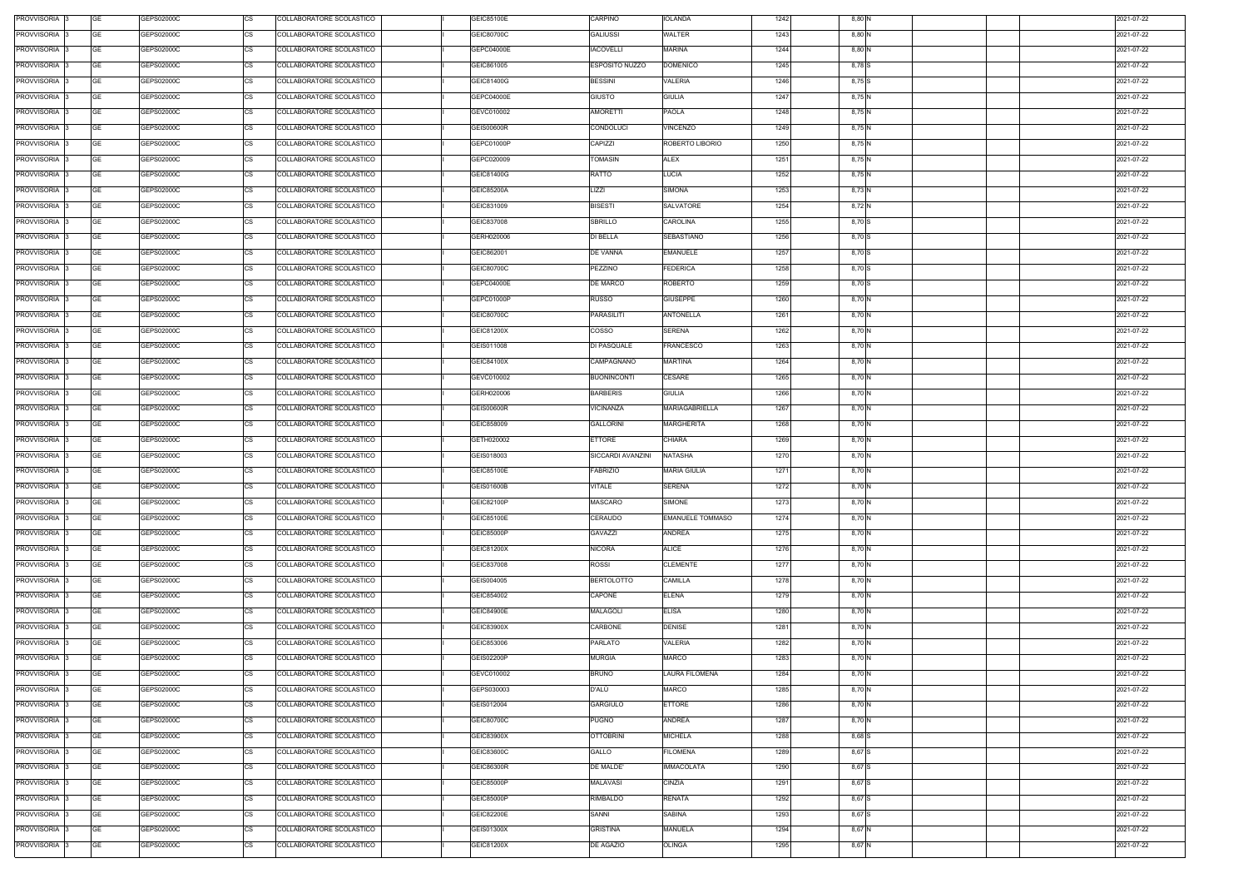| PROVVISORIA 3            | GE        | GEPS02000C | COLLABORATORE SCOLASTICO<br>CS        | GEIC85100E        | CARPINO            | <b>IOLANDA</b>          | 1242 | 8,80 N |  | 2021-07-22 |
|--------------------------|-----------|------------|---------------------------------------|-------------------|--------------------|-------------------------|------|--------|--|------------|
| PROVVISORIA 3            | GE        | GEPS02000C | <b>CS</b><br>COLLABORATORE SCOLASTICO | GEIC80700C        | <b>GALIUSSI</b>    | <b>WALTER</b>           | 1243 | 8,80 N |  | 2021-07-22 |
| PROVVISORIA 3            | GE        | GEPS02000C | <b>CS</b><br>COLLABORATORE SCOLASTICO | GEPC04000E        | <b>IACOVELLI</b>   | <b>MARINA</b>           | 1244 | 8,80 N |  | 2021-07-22 |
| PROVVISORIA 3            | GE        | GEPS02000C | <b>CS</b><br>COLLABORATORE SCOLASTICO | GEIC861005        | ESPOSITO NUZZO     | <b>DOMENICO</b>         | 1245 | 8,78 S |  | 2021-07-22 |
| PROVVISORIA 3            | <b>GE</b> | GEPS02000C | <b>CS</b><br>COLLABORATORE SCOLASTICO | GEIC81400G        | <b>BESSINI</b>     | VALERIA                 | 1246 | 8,75 S |  | 2021-07-22 |
| PROVVISORIA 3            | GE        | GEPS02000C | <b>CS</b><br>COLLABORATORE SCOLASTICO | GEPC04000E        | <b>GIUSTO</b>      | <b>GIULIA</b>           | 1247 | 8,75 N |  | 2021-07-22 |
| PROVVISORIA 3            | <b>GE</b> | GEPS02000C | <b>CS</b><br>COLLABORATORE SCOLASTICO | GEVC010002        | <b>AMORETTI</b>    | <b>PAOLA</b>            | 1248 | 8,75 N |  | 2021-07-22 |
| PROVVISORIA 3            | GE        | GEPS02000C | <b>CS</b><br>COLLABORATORE SCOLASTICO | <b>GEIS00600R</b> | CONDOLUCI          | <b>/INCENZO</b>         | 1249 | 8,75 N |  | 2021-07-22 |
| PROVVISORIA 3            | <b>GE</b> | GEPS02000C | <b>CS</b><br>COLLABORATORE SCOLASTICO | GEPC01000P        | CAPIZZI            | ROBERTO LIBORIO         | 1250 | 8,75 N |  | 2021-07-22 |
|                          |           |            |                                       |                   |                    |                         |      |        |  |            |
| PROVVISORIA 3            | <b>GE</b> | GEPS02000C | <b>CS</b><br>COLLABORATORE SCOLASTICO | GEPC020009        | <b>TOMASIN</b>     | ALEX                    | 1251 | 8,75 N |  | 2021-07-22 |
| PROVVISORIA 3            | <b>GE</b> | GEPS02000C | <b>CS</b><br>COLLABORATORE SCOLASTICO | GEIC81400G        | <b>RATTO</b>       | LUCIA                   | 1252 | 8,75 N |  | 2021-07-22 |
| PROVVISORIA 3            | <b>GE</b> | GEPS02000C | CS<br>COLLABORATORE SCOLASTICO        | GEIC85200A        | LIZZI              | SIMONA                  | 1253 | 8,73 N |  | 2021-07-22 |
| PROVVISORIA 3            | <b>GE</b> | GEPS02000C | <b>CS</b><br>COLLABORATORE SCOLASTICO | GEIC831009        | <b>BISESTI</b>     | SALVATORE               | 1254 | 8,72 N |  | 2021-07-22 |
| PROVVISORIA 3            | <b>GE</b> | GEPS02000C | <b>CS</b><br>COLLABORATORE SCOLASTICO | GEIC837008        | SBRILLO            | CAROLINA                | 1255 | 8,70 S |  | 2021-07-22 |
| PROVVISORIA 3            | <b>GE</b> | GEPS02000C | COLLABORATORE SCOLASTICO<br>СS        | GERH020006        | DI BELLA           | SEBASTIANO              | 1256 | 8,70 S |  | 2021-07-22 |
| PROVVISORIA 3            | <b>GE</b> | GEPS02000C | <b>CS</b><br>COLLABORATORE SCOLASTICO | GEIC862001        | DE VANNA           | <b>EMANUELE</b>         | 1257 | 8,70 S |  | 2021-07-22 |
| PROVVISORIA 3            | <b>GE</b> | GEPS02000C | <b>CS</b><br>COLLABORATORE SCOLASTICO | GEIC80700C        | PEZZINO            | <b>FEDERICA</b>         | 1258 | 8,70 S |  | 2021-07-22 |
| PROVVISORIA 3            | <b>GE</b> | GEPS02000C | <b>CS</b><br>COLLABORATORE SCOLASTICO | GEPC04000E        | DE MARCO           | <b>ROBERTO</b>          | 1259 | 8,70 S |  | 2021-07-22 |
| PROVVISORIA 3            | <b>GE</b> | GEPS02000C | <b>CS</b><br>COLLABORATORE SCOLASTICO | GEPC01000P        | RUSSO              | <b>GIUSEPPE</b>         | 1260 | 8,70 N |  | 2021-07-22 |
| PROVVISORIA 3            | GE        | GEPS02000C | <b>CS</b><br>COLLABORATORE SCOLASTICO | GEIC80700C        | PARASILITI         | <b>ANTONELLA</b>        | 1261 | 8,70 N |  | 2021-07-22 |
| PROVVISORIA 3            | GE        | GEPS02000C | <b>CS</b><br>COLLABORATORE SCOLASTICO | GEIC81200X        | COSSO              | <b>SERENA</b>           | 1262 | 8,70 N |  | 2021-07-22 |
| PROVVISORIA 3            | <b>GE</b> | GEPS02000C | <b>CS</b><br>COLLABORATORE SCOLASTICO | GEIS011008        | DI PASQUALE        | FRANCESCO               | 1263 | 8,70 N |  | 2021-07-22 |
| PROVVISORIA 3            | <b>GE</b> | GEPS02000C | <b>CS</b><br>COLLABORATORE SCOLASTICO | GEIC84100X        | CAMPAGNANO         | MARTINA                 | 1264 | 8,70 N |  | 2021-07-22 |
| PROVVISORIA 3            | <b>GE</b> | GEPS02000C | <b>CS</b><br>COLLABORATORE SCOLASTICO | GEVC010002        | <b>BUONINCONTI</b> | CESARE                  | 1265 | 8,70 N |  | 2021-07-22 |
| PROVVISORIA 3            | <b>GE</b> | GEPS02000C | <b>CS</b><br>COLLABORATORE SCOLASTICO | GERH020006        | <b>BARBERIS</b>    | GIULIA                  | 1266 | 8,70 N |  | 2021-07-22 |
| PROVVISORIA 3            | <b>GE</b> | GEPS02000C | <b>CS</b><br>COLLABORATORE SCOLASTICO | <b>GEIS00600R</b> | <b>VICINANZA</b>   | <b>MARIAGABRIELLA</b>   | 1267 | 8,70 N |  | 2021-07-22 |
| PROVVISORIA 3            | GE        | GEPS02000C | <b>CS</b><br>COLLABORATORE SCOLASTICO | GEIC858009        | <b>GALLORINI</b>   | MARGHERITA              | 1268 | 8,70 N |  | 2021-07-22 |
| PROVVISORIA 3            | GE        | GEPS02000C | <b>CS</b><br>COLLABORATORE SCOLASTICO | GETH020002        | <b>ETTORE</b>      | CHIARA                  | 1269 | 8,70 N |  | 2021-07-22 |
| PROVVISORIA 3            | GE        | GEPS02000C | <b>CS</b><br>COLLABORATORE SCOLASTICO | GEIS018003        | SICCARDI AVANZINI  | NATASHA                 | 1270 | 8,70 N |  | 2021-07-22 |
| PROVVISORIA 3            | <b>GE</b> | GEPS02000C | <b>CS</b><br>COLLABORATORE SCOLASTICO | GEIC85100E        | FABRIZIO           | <b>MARIA GIULIA</b>     | 1271 | 8,70 N |  | 2021-07-22 |
| PROVVISORIA 3            | GE        | GEPS02000C | <b>CS</b><br>COLLABORATORE SCOLASTICO | <b>GEIS01600B</b> | <b>VITALE</b>      | <b>SERENA</b>           | 1272 | 8,70 N |  | 2021-07-22 |
| PROVVISORIA <sup>3</sup> | <b>GE</b> | GEPS02000C | <b>CS</b><br>COLLABORATORE SCOLASTICO | GEIC82100P        | MASCARO            | SIMONE                  | 1273 | 8,70 N |  | 2021-07-22 |
| PROVVISORIA 3            | GE        | GEPS02000C | <b>CS</b><br>COLLABORATORE SCOLASTICO | GEIC85100E        | CERAUDO            | <b>EMANUELE TOMMASO</b> | 1274 | 8,70 N |  | 2021-07-22 |
| PROVVISORIA 3            | <b>GE</b> | GEPS02000C | <b>CS</b><br>COLLABORATORE SCOLASTICO | GEIC85000P        | <b>GAVAZZI</b>     | ANDREA                  | 1275 | 8,70 N |  | 2021-07-22 |
| PROVVISORIA 3            | <b>GE</b> | GEPS02000C | <b>CS</b><br>COLLABORATORE SCOLASTICO | GEIC81200X        | <b>NICORA</b>      | <b>ALICE</b>            | 1276 | 8,70 N |  | 2021-07-22 |
| PROVVISORIA 3            | <b>GE</b> | GEPS02000C | <b>CS</b><br>COLLABORATORE SCOLASTICO | GEIC837008        | <b>ROSSI</b>       | <b>CLEMENTE</b>         | 1277 | 8,70 N |  | 2021-07-22 |
| PROVVISORIA 3            | <b>GE</b> | GEPS02000C | <b>CS</b><br>COLLABORATORE SCOLASTICO | GEIS004005        | <b>BERTOLOTTO</b>  | CAMILLA                 | 1278 | 8,70 N |  | 2021-07-22 |
| PROVVISORIA 3            | <b>GE</b> | GEPS02000C | <b>CS</b><br>COLLABORATORE SCOLASTICO | GEIC854002        | CAPONE             | <b>ELENA</b>            | 1279 | 8,70 N |  | 2021-07-22 |
| PROVVISORIA 3            | <b>GE</b> | GEPS02000C | CS<br>COLLABORATORE SCOLASTICO        | <b>GEIC84900E</b> | MALAGOLI           | <b>ELISA</b>            | 1280 | 8,70 N |  | 2021-07-22 |
| PROVVISORIA 3            | <b>GE</b> | GEPS02000C | <b>CS</b><br>COLLABORATORE SCOLASTICO | GEIC83900X        | CARBONE            | <b>DENISE</b>           | 1281 | 8,70 N |  | 2021-07-22 |
| PROVVISORIA 3            | <b>GE</b> | GEPS02000C | <b>CS</b><br>COLLABORATORE SCOLASTICO | GEIC853006        | PARLATO            | VALERIA                 | 1282 | 8,70 N |  | 2021-07-22 |
| PROVVISORIA 3            | <b>GE</b> | GEPS02000C | <b>CS</b><br>COLLABORATORE SCOLASTICO | <b>GEIS02200P</b> | <b>MURGIA</b>      | <b>MARCO</b>            | 1283 | 8,70 N |  | 2021-07-22 |
| PROVVISORIA 3            | <b>GE</b> | GEPS02000C | <b>CS</b><br>COLLABORATORE SCOLASTICO | GEVC010002        | <b>BRUNO</b>       | LAURA FILOMENA          | 1284 | 8,70 N |  | 2021-07-22 |
| PROVVISORIA 3            | <b>GE</b> | GEPS02000C | <b>CS</b><br>COLLABORATORE SCOLASTICO | GEPS030003        | D'ALÙ              | <b>MARCO</b>            | 1285 | 8,70 N |  | 2021-07-22 |
| PROVVISORIA 3            | <b>GE</b> | GEPS02000C | CS<br>COLLABORATORE SCOLASTICO        | GEIS012004        | <b>GARGIULO</b>    | <b>ETTORE</b>           | 1286 | 8,70 N |  | 2021-07-22 |
| PROVVISORIA 3            | <b>GE</b> | GEPS02000C | <b>CS</b><br>COLLABORATORE SCOLASTICO | GEIC80700C        | <b>PUGNO</b>       | ANDREA                  | 1287 | 8,70 N |  | 2021-07-22 |
| PROVVISORIA 3            | GE        | GEPS02000C | СS<br>COLLABORATORE SCOLASTICO        | GEIC83900X        | <b>OTTOBRINI</b>   | MICHELA                 | 1288 | 8,68 S |  | 2021-07-22 |
| PROVVISORIA 3            | <b>GE</b> | GEPS02000C | <b>CS</b><br>COLLABORATORE SCOLASTICO | GEIC83600C        | GALLO              | <b>FILOMENA</b>         | 1289 | 8,67 S |  | 2021-07-22 |
| PROVVISORIA 3            | <b>GE</b> | GEPS02000C | <b>CS</b><br>COLLABORATORE SCOLASTICO | GEIC86300R        | DE MALDE'          | <b>IMMACOLATA</b>       | 1290 | 8,67 S |  | 2021-07-22 |
| PROVVISORIA 3            | <b>GE</b> | GEPS02000C | <b>CS</b><br>COLLABORATORE SCOLASTICO | GEIC85000P        | MALAVASI           | CINZIA                  | 1291 | 8,67 S |  | 2021-07-22 |
| PROVVISORIA 3            | <b>GE</b> | GEPS02000C | CS<br>COLLABORATORE SCOLASTICO        | GEIC85000P        | RIMBALDO           | RENATA                  | 1292 | 8,67 S |  | 2021-07-22 |
| PROVVISORIA 3            | GE        | GEPS02000C | <b>CS</b><br>COLLABORATORE SCOLASTICO | GEIC82200E        | SANNI              | SABINA                  | 1293 | 8,67 S |  | 2021-07-22 |
| PROVVISORIA 3            | <b>GE</b> | GEPS02000C | <b>CS</b><br>COLLABORATORE SCOLASTICO | GEIS01300X        | <b>GRISTINA</b>    | MANUELA                 | 1294 | 8,67 N |  | 2021-07-22 |
| PROVVISORIA 3            | <b>GE</b> | GEPS02000C | <b>CS</b><br>COLLABORATORE SCOLASTICO | GEIC81200X        | DE AGAZIO          | OLINGA                  | 1295 | 8,67 N |  | 2021-07-22 |
|                          |           |            |                                       |                   |                    |                         |      |        |  |            |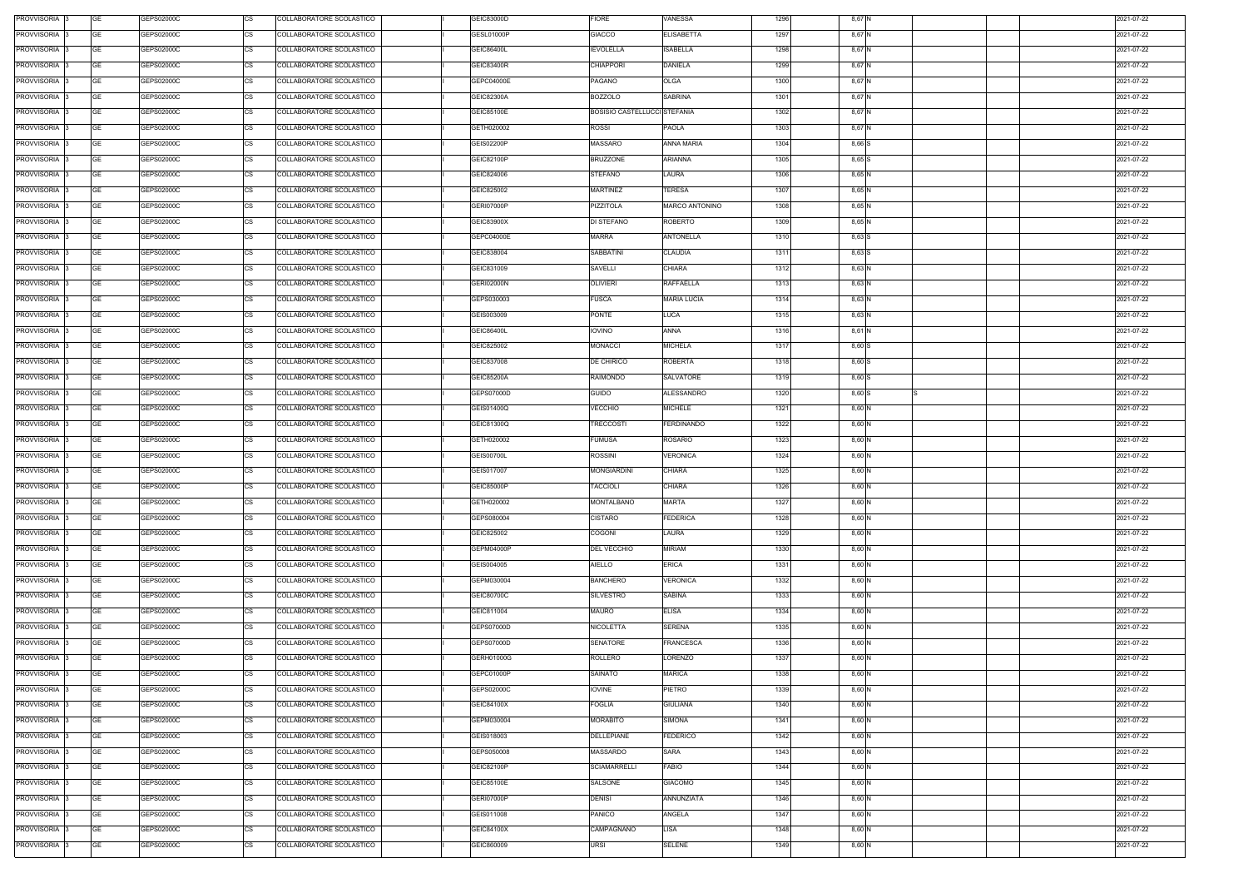| PROVVISORIA 3 | GE        | GEPS02000C | COLLABORATORE SCOLASTICO<br>CS        | GEIC83000D        | <b>FIORE</b>                 | VANESSA               | 1296 | 8,67 N   |  | 2021-07-22 |
|---------------|-----------|------------|---------------------------------------|-------------------|------------------------------|-----------------------|------|----------|--|------------|
| PROVVISORIA 3 | GE        | GEPS02000C | <b>CS</b><br>COLLABORATORE SCOLASTICO | <b>GESL01000P</b> | GIACCO                       | <b>ELISABETTA</b>     | 1297 | 8,67 N   |  | 2021-07-22 |
| PROVVISORIA 3 | GE        | GEPS02000C | <b>CS</b><br>COLLABORATORE SCOLASTICO | GEIC86400L        | <b>IEVOLELLA</b>             | <b>ISABELLA</b>       | 1298 | 8,67 N   |  | 2021-07-22 |
| PROVVISORIA 3 | GE        | GEPS02000C | <b>CS</b><br>COLLABORATORE SCOLASTICO | <b>GEIC83400R</b> | CHIAPPORI                    | <b>DANIELA</b>        | 1299 | 8,67 N   |  | 2021-07-22 |
| PROVVISORIA 3 | <b>GE</b> | GEPS02000C | <b>CS</b><br>COLLABORATORE SCOLASTICO | GEPC04000E        | PAGANO                       | <b>OLGA</b>           | 1300 | 8,67 N   |  | 2021-07-22 |
| PROVVISORIA 3 | GE        | GEPS02000C | <b>CS</b><br>COLLABORATORE SCOLASTICO | GEIC82300A        | <b>BOZZOLO</b>               | <b>SABRINA</b>        | 1301 | 8,67 N   |  | 2021-07-22 |
| PROVVISORIA 3 | <b>GE</b> | GEPS02000C | <b>CS</b><br>COLLABORATORE SCOLASTICO | GEIC85100E        | BOSISIO CASTELLUCCI STEFANIA |                       | 1302 | 8,67 N   |  | 2021-07-22 |
|               |           |            |                                       |                   |                              |                       |      |          |  |            |
| PROVVISORIA 3 | GE        | GEPS02000C | <b>CS</b><br>COLLABORATORE SCOLASTICO | GETH020002        | <b>ROSSI</b>                 | PAOLA                 | 1303 | 8,67 N   |  | 2021-07-22 |
| PROVVISORIA 3 | <b>GE</b> | GEPS02000C | <b>CS</b><br>COLLABORATORE SCOLASTICO | <b>GEIS02200P</b> | <b>MASSARO</b>               | <b>ANNA MARIA</b>     | 1304 | 8,66 S   |  | 2021-07-22 |
| PROVVISORIA 3 | <b>GE</b> | GEPS02000C | <b>CS</b><br>COLLABORATORE SCOLASTICO | GEIC82100P        | <b>BRUZZONE</b>              | ARIANNA               | 1305 | 8,65 S   |  | 2021-07-22 |
| PROVVISORIA 3 | <b>GE</b> | GEPS02000C | <b>CS</b><br>COLLABORATORE SCOLASTICO | GEIC824006        | STEFANO                      | LAURA                 | 1306 | 8,65 N   |  | 2021-07-22 |
| PROVVISORIA 3 | <b>GE</b> | GEPS02000C | CS<br>COLLABORATORE SCOLASTICO        | GEIC825002        | <b>MARTINEZ</b>              | TERESA                | 1307 | 8,65 N   |  | 2021-07-22 |
| PROVVISORIA 3 | <b>GE</b> | GEPS02000C | <b>CS</b><br>COLLABORATORE SCOLASTICO | <b>GERI07000P</b> | PIZZITOLA                    | <b>MARCO ANTONINO</b> | 1308 | 8,65 N   |  | 2021-07-22 |
| PROVVISORIA 3 | <b>GE</b> | GEPS02000C | <b>CS</b><br>COLLABORATORE SCOLASTICO | GEIC83900X        | DI STEFANO                   | <b>ROBERTO</b>        | 1309 | 8,65 N   |  | 2021-07-22 |
| PROVVISORIA 3 | <b>GE</b> | GEPS02000C | COLLABORATORE SCOLASTICO<br>СS        | GEPC04000E        | <b>MARRA</b>                 | <b>ANTONELLA</b>      | 1310 | 8,63 S   |  | 2021-07-22 |
| PROVVISORIA 3 | <b>GE</b> | GEPS02000C | <b>CS</b><br>COLLABORATORE SCOLASTICO | GEIC838004        | <b>SABBATINI</b>             | <b>CLAUDIA</b>        | 1311 | 8,63 S   |  | 2021-07-22 |
| PROVVISORIA 3 | <b>GE</b> | GEPS02000C | <b>CS</b><br>COLLABORATORE SCOLASTICO | GEIC831009        | <b>SAVELLI</b>               | <b>CHIARA</b>         | 1312 | 8,63 N   |  | 2021-07-22 |
| PROVVISORIA 3 | <b>GE</b> | GEPS02000C | <b>CS</b><br>COLLABORATORE SCOLASTICO | <b>GERI02000N</b> | OLIVIERI                     | <b>RAFFAELLA</b>      | 1313 | 8,63 N   |  | 2021-07-22 |
| PROVVISORIA 3 | <b>GE</b> | GEPS02000C | <b>CS</b><br>COLLABORATORE SCOLASTICO | GEPS030003        | <b>FUSCA</b>                 | <b>MARIA LUCIA</b>    | 1314 | 8,63 N   |  | 2021-07-22 |
| PROVVISORIA 3 | GE        | GEPS02000C | <b>CS</b><br>COLLABORATORE SCOLASTICO | GEIS003009        | <b>PONTE</b>                 | LUCA                  | 1315 | 8,63 N   |  | 2021-07-22 |
| PROVVISORIA 3 | GE        | GEPS02000C | <b>CS</b><br>COLLABORATORE SCOLASTICO | GEIC86400L        | <b>IOVINO</b>                | ANNA                  | 1316 | 8,61 N   |  | 2021-07-22 |
| PROVVISORIA 3 | <b>GE</b> | GEPS02000C | <b>CS</b><br>COLLABORATORE SCOLASTICO | GEIC825002        | <b>MONACCI</b>               | <b>MICHELA</b>        | 1317 | 8,60 S   |  | 2021-07-22 |
| PROVVISORIA 3 | <b>GE</b> | GEPS02000C | <b>CS</b><br>COLLABORATORE SCOLASTICO | GEIC837008        | DE CHIRICO                   | <b>ROBERTA</b>        | 1318 | 8,60 S   |  | 2021-07-22 |
| PROVVISORIA 3 | <b>GE</b> | GEPS02000C | <b>CS</b><br>COLLABORATORE SCOLASTICO | GEIC85200A        | RAIMONDO                     | SALVATORE             | 1319 | 8,60 S   |  | 2021-07-22 |
| PROVVISORIA 3 | <b>GE</b> | GEPS02000C | <b>CS</b><br>COLLABORATORE SCOLASTICO | GEPS07000D        | <b>GUIDO</b>                 | ALESSANDRO            | 1320 | $8,60$ S |  | 2021-07-22 |
| PROVVISORIA 3 | <b>GE</b> | GEPS02000C | <b>CS</b><br>COLLABORATORE SCOLASTICO | GEIS01400Q        | VECCHIO                      | MICHELE               | 1321 | 8,60 N   |  | 2021-07-22 |
| PROVVISORIA 3 | GE        | GEPS02000C | <b>CS</b><br>COLLABORATORE SCOLASTICO | GEIC81300Q        | TRECCOSTI                    | FERDINANDO            | 1322 | 8,60 N   |  | 2021-07-22 |
| PROVVISORIA 3 | <b>GE</b> | GEPS02000C | <b>CS</b><br>COLLABORATORE SCOLASTICO | GETH020002        | <b>FUMUSA</b>                | ROSARIO               | 1323 | 8,60 N   |  | 2021-07-22 |
| PROVVISORIA 3 | GE        | GEPS02000C | <b>CS</b><br>COLLABORATORE SCOLASTICO | <b>GEIS00700L</b> | <b>ROSSINI</b>               | VERONICA              | 1324 | 8,60 N   |  | 2021-07-22 |
| PROVVISORIA 3 | <b>GE</b> | GEPS02000C | <b>CS</b><br>COLLABORATORE SCOLASTICO | GEIS017007        | <b>MONGIARDINI</b>           | CHIARA                | 1325 | 8,60 N   |  | 2021-07-22 |
| PROVVISORIA 3 | GE        | GEPS02000C | <b>CS</b><br>COLLABORATORE SCOLASTICO | GEIC85000P        | <b>TACCIOLI</b>              | <b>CHIARA</b>         | 1326 | 8,60 N   |  | 2021-07-22 |
| PROVVISORIA 3 | <b>GE</b> | GEPS02000C | <b>CS</b><br>COLLABORATORE SCOLASTICO | GETH020002        | <b>MONTALBANO</b>            | <b>MARTA</b>          | 1327 | 8,60 N   |  | 2021-07-22 |
| PROVVISORIA 3 | GE        | GEPS02000C | <b>CS</b>                             | GEPS080004        |                              | <b>FEDERICA</b>       | 1328 | 8,60 N   |  | 2021-07-22 |
|               |           |            | COLLABORATORE SCOLASTICO              |                   | CISTARO                      |                       |      |          |  |            |
| PROVVISORIA 3 | GE        | GEPS02000C | <b>CS</b><br>COLLABORATORE SCOLASTICO | GEIC825002        | COGONI                       | LAURA                 | 1329 | 8,60 N   |  | 2021-07-22 |
| PROVVISORIA 3 | <b>GE</b> | GEPS02000C | <b>CS</b><br>COLLABORATORE SCOLASTICO | GEPM04000P        | DEL VECCHIO                  | <b>MIRIAM</b>         | 1330 | 8,60 N   |  | 2021-07-22 |
| PROVVISORIA 3 | <b>GE</b> | GEPS02000C | <b>CS</b><br>COLLABORATORE SCOLASTICO | GEIS004005        | <b>AIELLO</b>                | <b>ERICA</b>          | 1331 | 8,60 N   |  | 2021-07-22 |
| PROVVISORIA 3 | <b>GE</b> | GEPS02000C | <b>CS</b><br>COLLABORATORE SCOLASTICO | GEPM030004        | <b>BANCHERO</b>              | <b>VERONICA</b>       | 1332 | 8,60 N   |  | 2021-07-22 |
| PROVVISORIA 3 | <b>GE</b> | GEPS02000C | <b>CS</b><br>COLLABORATORE SCOLASTICO | GEIC80700C        | SILVESTRO                    | SABINA                | 1333 | 8,60 N   |  | 2021-07-22 |
| PROVVISORIA 3 | <b>GE</b> | GEPS02000C | CS<br>COLLABORATORE SCOLASTICO        | GEIC811004        | MAURO                        | <b>ELISA</b>          | 1334 | 8,60 N   |  | 2021-07-22 |
| PROVVISORIA 3 | <b>GE</b> | GEPS02000C | <b>CS</b><br>COLLABORATORE SCOLASTICO | GEPS07000D        | NICOLETTA                    | SERENA                | 1335 | 8,60 N   |  | 2021-07-22 |
| PROVVISORIA 3 | <b>GE</b> | GEPS02000C | <b>CS</b><br>COLLABORATORE SCOLASTICO | GEPS07000D        | SENATORE                     | <b>FRANCESCA</b>      | 1336 | 8,60 N   |  | 2021-07-22 |
| PROVVISORIA 3 | <b>GE</b> | GEPS02000C | <b>CS</b><br>COLLABORATORE SCOLASTICO | GERH01000G        | <b>ROLLERO</b>               | LORENZO               | 1337 | 8,60 N   |  | 2021-07-22 |
| PROVVISORIA 3 | <b>GE</b> | GEPS02000C | <b>CS</b><br>COLLABORATORE SCOLASTICO | GEPC01000P        | SAINATO                      | <b>MARICA</b>         | 1338 | 8,60 N   |  | 2021-07-22 |
| PROVVISORIA 3 | <b>GE</b> | GEPS02000C | <b>CS</b><br>COLLABORATORE SCOLASTICO | GEPS02000C        | <b>IOVINE</b>                | <b>PIETRO</b>         | 1339 | 8,60 N   |  | 2021-07-22 |
| PROVVISORIA 3 | <b>GE</b> | GEPS02000C | CS<br>COLLABORATORE SCOLASTICO        | GEIC84100X        | <b>FOGLIA</b>                | <b>GIULIANA</b>       | 1340 | 8,60 N   |  | 2021-07-22 |
| PROVVISORIA 3 | <b>GE</b> | GEPS02000C | <b>CS</b><br>COLLABORATORE SCOLASTICO | GEPM030004        | <b>MORABITO</b>              | SIMONA                | 1341 | 8,60 N   |  | 2021-07-22 |
| PROVVISORIA 3 | GE        | GEPS02000C | СS<br>COLLABORATORE SCOLASTICO        | GEIS018003        | DELLEPIANE                   | FEDERICO              | 1342 | 8,60 N   |  | 2021-07-22 |
| PROVVISORIA 3 | <b>GE</b> | GEPS02000C | <b>CS</b><br>COLLABORATORE SCOLASTICO | GEPS050008        | MASSARDO                     | SARA                  | 1343 | 8,60 N   |  | 2021-07-22 |
| PROVVISORIA 3 | <b>GE</b> | GEPS02000C | <b>CS</b><br>COLLABORATORE SCOLASTICO | GEIC82100P        | <b>SCIAMARRELLI</b>          | <b>FABIO</b>          | 1344 | 8,60 N   |  | 2021-07-22 |
| PROVVISORIA 3 | <b>GE</b> | GEPS02000C | <b>CS</b><br>COLLABORATORE SCOLASTICO | GEIC85100E        | SALSONE                      | <b>GIACOMO</b>        | 1345 | 8,60 N   |  | 2021-07-22 |
| PROVVISORIA 3 | <b>GE</b> | GEPS02000C | <b>CS</b><br>COLLABORATORE SCOLASTICO | <b>GERI07000P</b> | <b>DENISI</b>                | ANNUNZIATA            | 1346 | 8,60 N   |  | 2021-07-22 |
| PROVVISORIA 3 | GE        | GEPS02000C | <b>CS</b><br>COLLABORATORE SCOLASTICO | GEIS011008        | <b>PANICO</b>                | ANGELA                | 1347 | 8,60 N   |  | 2021-07-22 |
| PROVVISORIA 3 | <b>GE</b> | GEPS02000C | <b>CS</b><br>COLLABORATORE SCOLASTICO | GEIC84100X        | CAMPAGNANO                   | _ISA                  | 1348 | 8,60 N   |  | 2021-07-22 |
| PROVVISORIA 3 | GE        | GEPS02000C | <b>CS</b><br>COLLABORATORE SCOLASTICO | GEIC860009        | <b>URSI</b>                  | SELENE                | 1349 | 8,60 N   |  | 2021-07-22 |
|               |           |            |                                       |                   |                              |                       |      |          |  |            |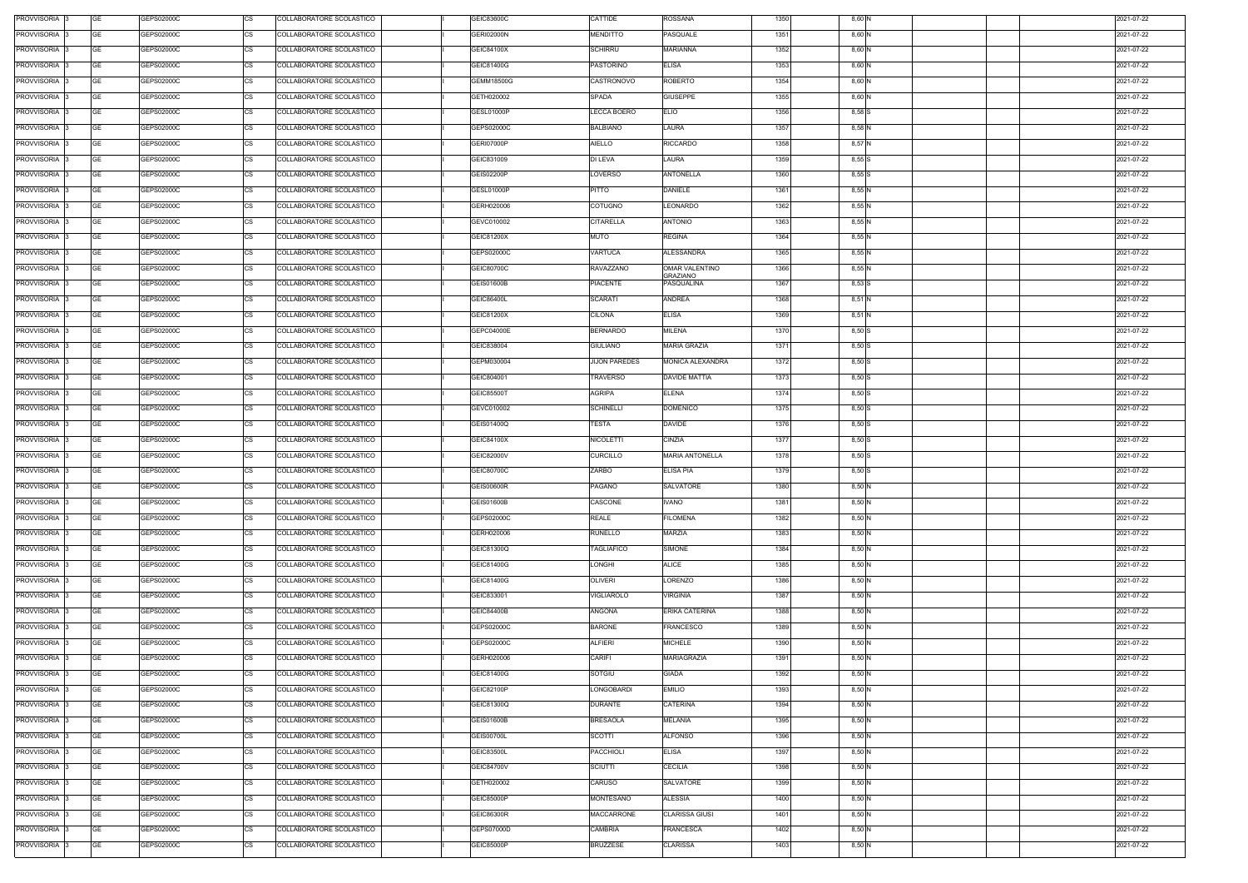| PROVVISORIA 3 | GE        | GEPS02000C | COLLABORATORE SCOLASTICO<br>CS        | GEIC83600C        | CATTIDE              | <b>ROSSANA</b>             | 1350 | 8,60 N   |  | 2021-07-22 |
|---------------|-----------|------------|---------------------------------------|-------------------|----------------------|----------------------------|------|----------|--|------------|
| PROVVISORIA 3 | <b>GE</b> | GEPS02000C | <b>CS</b><br>COLLABORATORE SCOLASTICO | <b>GERI02000N</b> | MENDITTO             | PASQUALE                   | 1351 | 8,60 N   |  | 2021-07-22 |
| PROVVISORIA 3 | GE        | GEPS02000C | <b>CS</b><br>COLLABORATORE SCOLASTICO | GEIC84100X        | <b>SCHIRRU</b>       | MARIANNA                   | 1352 | 8,60 N   |  | 2021-07-22 |
| PROVVISORIA 3 | GE        | GEPS02000C | <b>CS</b><br>COLLABORATORE SCOLASTICO | GEIC81400G        | PASTORINO            | <b>ELISA</b>               | 1353 | 8,60 N   |  | 2021-07-22 |
| PROVVISORIA 3 | <b>GE</b> | GEPS02000C | <b>CS</b><br>COLLABORATORE SCOLASTICO | GEMM18500G        | CASTRONOVO           | <b>ROBERTO</b>             | 1354 | 8,60 N   |  | 2021-07-22 |
| PROVVISORIA 3 | GE        | GEPS02000C | <b>CS</b><br>COLLABORATORE SCOLASTICO | GETH020002        | SPADA                | <b>GIUSEPPE</b>            | 1355 | 8,60 N   |  | 2021-07-22 |
| PROVVISORIA 3 | <b>GE</b> | GEPS02000C | <b>CS</b><br>COLLABORATORE SCOLASTICO | GESL01000P        | LECCA BOERO          | <b>ELIO</b>                | 1356 | 8,58 S   |  | 2021-07-22 |
|               |           |            |                                       |                   |                      |                            |      |          |  |            |
| PROVVISORIA 3 | GE        | GEPS02000C | <b>CS</b><br>COLLABORATORE SCOLASTICO | GEPS02000C        | BALBIANO             | LAURA                      | 1357 | 8,58 N   |  | 2021-07-22 |
| PROVVISORIA 3 | <b>GE</b> | GEPS02000C | <b>CS</b><br>COLLABORATORE SCOLASTICO | <b>GERI07000P</b> | <b>AIELLO</b>        | RICCARDO                   | 1358 | 8,57 N   |  | 2021-07-22 |
| PROVVISORIA 3 | <b>GE</b> | GEPS02000C | <b>CS</b><br>COLLABORATORE SCOLASTICO | GEIC831009        | DI LEVA              | LAURA                      | 1359 | 8,55 S   |  | 2021-07-22 |
| PROVVISORIA 3 | <b>GE</b> | GEPS02000C | <b>CS</b><br>COLLABORATORE SCOLASTICO | <b>GEIS02200P</b> | LOVERSO              | <b>ANTONELLA</b>           | 1360 | 8,55 S   |  | 2021-07-22 |
| PROVVISORIA 3 | <b>GE</b> | GEPS02000C | CS<br>COLLABORATORE SCOLASTICO        | <b>GESL01000P</b> | <b>PITTO</b>         | DANIELE                    | 1361 | 8,55 N   |  | 2021-07-22 |
| PROVVISORIA 3 | <b>GE</b> | GEPS02000C | <b>CS</b><br>COLLABORATORE SCOLASTICO | GERH020006        | COTUGNO              | LEONARDO                   | 1362 | 8,55 N   |  | 2021-07-22 |
| PROVVISORIA 3 | <b>GE</b> | GEPS02000C | <b>CS</b><br>COLLABORATORE SCOLASTICO | GEVC010002        | CITARELLA            | ANTONIO                    | 1363 | 8,55 N   |  | 2021-07-22 |
| PROVVISORIA 3 | <b>GE</b> | GEPS02000C | <b>CS</b><br>COLLABORATORE SCOLASTICO | GEIC81200X        | <b>MUTO</b>          | <b>REGINA</b>              | 1364 | 8,55 N   |  | 2021-07-22 |
| PROVVISORIA 3 | <b>GE</b> | GEPS02000C | <b>CS</b><br>COLLABORATORE SCOLASTICO | GEPS02000C        | <b>VARTUCA</b>       | <b>ALESSANDRA</b>          | 1365 | 8,55 N   |  | 2021-07-22 |
| PROVVISORIA 3 | <b>GE</b> | GEPS02000C | <b>CS</b><br>COLLABORATORE SCOLASTICO | GEIC80700C        | RAVAZZANO            | OMAR VALENTINO<br>GRAZIANO | 1366 | 8,55 N   |  | 2021-07-22 |
| PROVVISORIA 3 | <b>GE</b> | GEPS02000C | <b>CS</b><br>COLLABORATORE SCOLASTICO | <b>GEIS01600B</b> | PIACENTE             | PASQUALINA                 | 1367 | 8,53 S   |  | 2021-07-22 |
| PROVVISORIA 3 | <b>GE</b> | GEPS02000C | <b>CS</b><br>COLLABORATORE SCOLASTICO | GEIC86400L        | SCARATI              | ANDREA                     | 1368 | 8,51 N   |  | 2021-07-22 |
| PROVVISORIA 3 | GE        | GEPS02000C | <b>CS</b><br>COLLABORATORE SCOLASTICO | GEIC81200X        | CILONA               | <b>ELISA</b>               | 1369 | 8,51 N   |  | 2021-07-22 |
| PROVVISORIA 3 | GE        | GEPS02000C | <b>CS</b><br>COLLABORATORE SCOLASTICO | GEPC04000E        | BERNARDO             | MILENA                     | 1370 | 8,50 S   |  | 2021-07-22 |
| PROVVISORIA 3 | <b>GE</b> | GEPS02000C | <b>CS</b><br>COLLABORATORE SCOLASTICO | GEIC838004        | <b>GIULIANO</b>      | <b>MARIA GRAZIA</b>        | 1371 | 8,50 S   |  | 2021-07-22 |
| PROVVISORIA 3 | <b>GE</b> | GEPS02000C | <b>CS</b><br>COLLABORATORE SCOLASTICO | GEPM030004        | <b>JIJON PAREDES</b> | MONICA ALEXANDRA           | 1372 | $8,50$ S |  | 2021-07-22 |
| PROVVISORIA 3 | <b>GE</b> | GEPS02000C | <b>CS</b><br>COLLABORATORE SCOLASTICO | GEIC804001        | TRAVERSO             | <b>DAVIDE MATTIA</b>       | 1373 | 8,50 S   |  | 2021-07-22 |
| PROVVISORIA 3 | <b>GE</b> | GEPS02000C | <b>CS</b><br>COLLABORATORE SCOLASTICO | <b>GEIC85500T</b> | <b>AGRIPA</b>        | ELENA                      | 1374 | 8,50 S   |  | 2021-07-22 |
| PROVVISORIA 3 | <b>GE</b> | GEPS02000C | <b>CS</b><br>COLLABORATORE SCOLASTICO | GEVC010002        | <b>SCHINELLI</b>     | <b>DOMENICO</b>            | 1375 | 8,50 S   |  | 2021-07-22 |
| PROVVISORIA 3 | GE        | GEPS02000C | <b>CS</b>                             |                   | TESTA                | DAVIDE                     | 1376 |          |  | 2021-07-22 |
|               |           |            | COLLABORATORE SCOLASTICO              | GEIS01400Q        |                      |                            |      | $8,50$ S |  |            |
| PROVVISORIA 3 | <b>GE</b> | GEPS02000C | <b>CS</b><br>COLLABORATORE SCOLASTICO | GEIC84100X        | <b>NICOLETTI</b>     | CINZIA                     | 1377 | 8,50 S   |  | 2021-07-22 |
| PROVVISORIA 3 | GE        | GEPS02000C | <b>CS</b><br>COLLABORATORE SCOLASTICO | GEIC82000V        | <b>CURCILLO</b>      | <b>MARIA ANTONELLA</b>     | 1378 | 8,50 S   |  | 2021-07-22 |
| PROVVISORIA 3 | <b>GE</b> | GEPS02000C | <b>CS</b><br>COLLABORATORE SCOLASTICO | GEIC80700C        | ZARBO                | ELISA PIA                  | 1379 | 8,50 S   |  | 2021-07-22 |
| PROVVISORIA 3 | GE        | GEPS02000C | <b>CS</b><br>COLLABORATORE SCOLASTICO | <b>GEIS00600R</b> | PAGANO               | SALVATORE                  | 1380 | 8,50 N   |  | 2021-07-22 |
| PROVVISORIA 3 | <b>GE</b> | GEPS02000C | <b>CS</b><br>COLLABORATORE SCOLASTICO | GEIS01600B        | CASCONE              | <b>IVANO</b>               | 1381 | 8,50 N   |  | 2021-07-22 |
| PROVVISORIA 3 | GE        | GEPS02000C | <b>CS</b><br>COLLABORATORE SCOLASTICO | GEPS02000C        | <b>REALE</b>         | <b>FILOMENA</b>            | 1382 | 8,50 N   |  | 2021-07-22 |
| PROVVISORIA 3 | <b>GE</b> | GEPS02000C | <b>CS</b><br>COLLABORATORE SCOLASTICO | GERH020006        | <b>RUNELLO</b>       | <b>MARZIA</b>              | 1383 | 8,50 N   |  | 2021-07-22 |
| PROVVISORIA 3 | <b>GE</b> | GEPS02000C | <b>CS</b><br>COLLABORATORE SCOLASTICO | GEIC81300Q        | <b>TAGLIAFICO</b>    | SIMONE                     | 1384 | 8,50 N   |  | 2021-07-22 |
| PROVVISORIA 3 | <b>GE</b> | GEPS02000C | <b>CS</b><br>COLLABORATORE SCOLASTICO | GEIC81400G        | <b>LONGHI</b>        | <b>ALICE</b>               | 1385 | 8,50 N   |  | 2021-07-22 |
| PROVVISORIA 3 | <b>GE</b> | GEPS02000C | <b>CS</b><br>COLLABORATORE SCOLASTICO | GEIC81400G        | <b>OLIVERI</b>       | LORENZO                    | 1386 | 8,50 N   |  | 2021-07-22 |
| PROVVISORIA 3 | <b>GE</b> | GEPS02000C | <b>CS</b><br>COLLABORATORE SCOLASTICO | GEIC833001        | VIGLIAROLO           | VIRGINIA                   | 1387 | 8,50 N   |  | 2021-07-22 |
| PROVVISORIA 3 | <b>GE</b> | GEPS02000C | CS<br>COLLABORATORE SCOLASTICO        | <b>GEIC84400B</b> | ANGONA               | ERIKA CATERINA             | 1388 | 8,50 N   |  | 2021-07-22 |
| PROVVISORIA 3 | <b>GE</b> | GEPS02000C | <b>CS</b><br>COLLABORATORE SCOLASTICO | GEPS02000C        | <b>BARONE</b>        | <b>FRANCESCO</b>           | 1389 | 8,50 N   |  | 2021-07-22 |
| PROVVISORIA 3 | <b>GE</b> | GEPS02000C | <b>CS</b><br>COLLABORATORE SCOLASTICO | GEPS02000C        | <b>ALFIERI</b>       | <b>MICHELE</b>             | 1390 | 8,50 N   |  | 2021-07-22 |
| PROVVISORIA 3 | <b>GE</b> | GEPS02000C | <b>CS</b><br>COLLABORATORE SCOLASTICO | GERH020006        | CARIFI               | MARIAGRAZIA                | 1391 | 8,50 N   |  | 2021-07-22 |
| PROVVISORIA 3 | <b>GE</b> | GEPS02000C | <b>CS</b><br>COLLABORATORE SCOLASTICO | GEIC81400G        | SOTGIU               | <b>GIADA</b>               | 1392 | 8,50 N   |  | 2021-07-22 |
| PROVVISORIA 3 | <b>GE</b> | GEPS02000C | <b>CS</b><br>COLLABORATORE SCOLASTICO | GEIC82100P        | LONGOBARDI           | <b>EMILIO</b>              | 1393 | 8,50 N   |  | 2021-07-22 |
| PROVVISORIA 3 | <b>GE</b> | GEPS02000C | CS<br>COLLABORATORE SCOLASTICO        | GEIC81300Q        | DURANTE              | CATERINA                   | 1394 | 8,50 N   |  | 2021-07-22 |
| PROVVISORIA 3 | <b>GE</b> | GEPS02000C | <b>CS</b><br>COLLABORATORE SCOLASTICO | GEIS01600B        | BRESAOLA             | MELANIA                    | 1395 | 8,50 N   |  | 2021-07-22 |
| PROVVISORIA 3 | GE        | GEPS02000C | СS<br>COLLABORATORE SCOLASTICO        | <b>GEIS00700L</b> | <b>SCOTTI</b>        | ALFONSO                    | 1396 | 8,50 N   |  | 2021-07-22 |
| PROVVISORIA 3 | <b>GE</b> | GEPS02000C | <b>CS</b><br>COLLABORATORE SCOLASTICO | GEIC83500L        | PACCHIOLI            | <b>ELISA</b>               | 1397 | 8,50 N   |  | 2021-07-22 |
| PROVVISORIA 3 | <b>GE</b> | GEPS02000C | <b>CS</b><br>COLLABORATORE SCOLASTICO | <b>GEIC84700V</b> | <b>SCIUTTI</b>       | <b>CECILIA</b>             | 1398 | 8,50 N   |  | 2021-07-22 |
| PROVVISORIA 3 | <b>GE</b> | GEPS02000C | <b>CS</b><br>COLLABORATORE SCOLASTICO | GETH020002        | CARUSO               | SALVATORE                  | 1399 | 8,50 N   |  | 2021-07-22 |
| PROVVISORIA 3 | <b>GE</b> | GEPS02000C | <b>CS</b><br>COLLABORATORE SCOLASTICO | GEIC85000P        | MONTESANO            | ALESSIA                    | 1400 | 8,50 N   |  | 2021-07-22 |
|               |           |            |                                       |                   |                      |                            |      |          |  |            |
| PROVVISORIA 3 | GE        | GEPS02000C | <b>CS</b><br>COLLABORATORE SCOLASTICO | GEIC86300R        | <b>MACCARRONE</b>    | CLARISSA GIUSI             | 1401 | 8,50 N   |  | 2021-07-22 |
| PROVVISORIA 3 | <b>GE</b> | GEPS02000C | <b>CS</b><br>COLLABORATORE SCOLASTICO | GEPS07000D        | CAMBRIA              | FRANCESCA                  | 1402 | 8,50 N   |  | 2021-07-22 |
| PROVVISORIA 3 | <b>GE</b> | GEPS02000C | <b>CS</b><br>COLLABORATORE SCOLASTICO | GEIC85000P        | <b>BRUZZESE</b>      | <b>CLARISSA</b>            | 1403 | 8,50 N   |  | 2021-07-22 |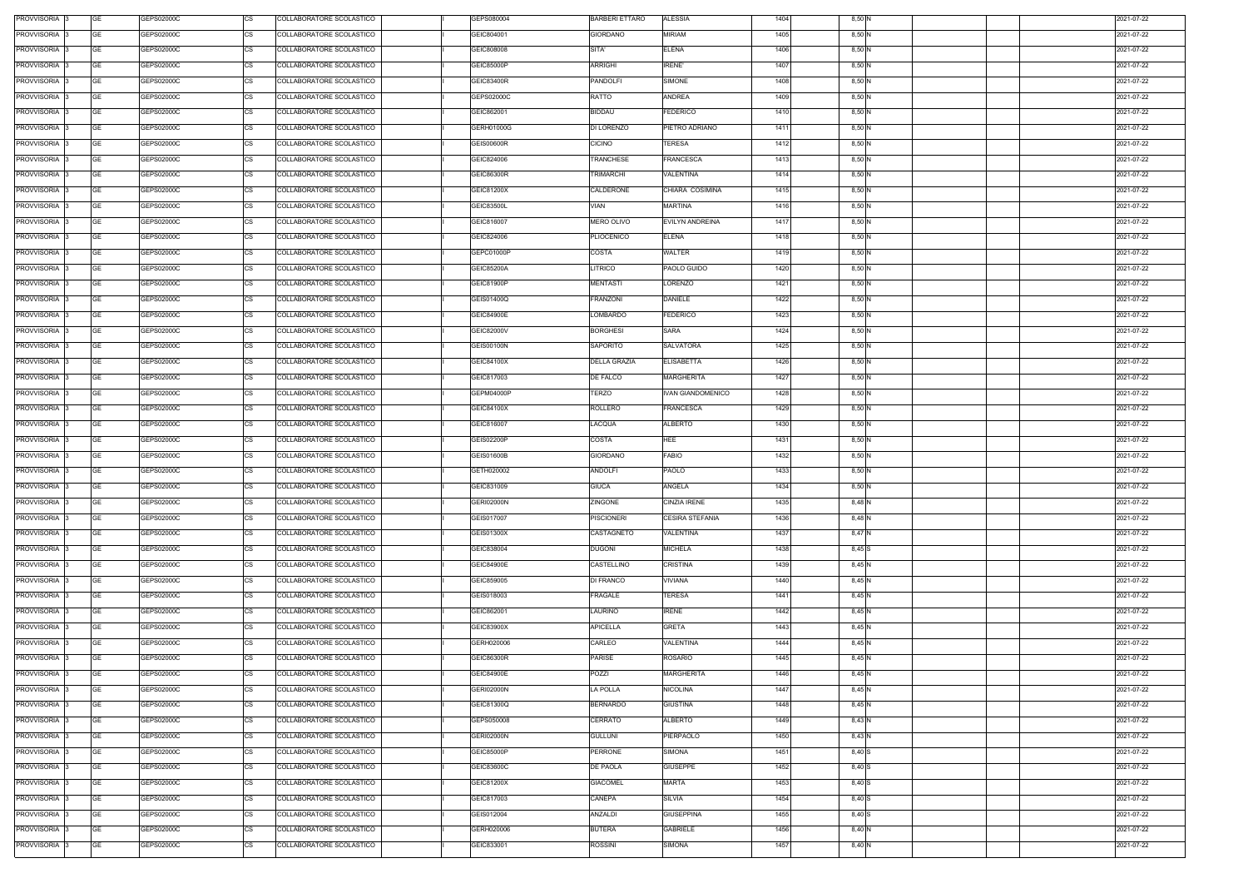| PROVVISORIA 3      | <b>GE</b> | GEPS02000C | <b>CS</b> | COLLABORATORE SCOLASTICO | GEPS080004        | <b>BARBERI ETTARO</b> | <b>ALESSIA</b>           | 1404 | 8,50 N |  | 2021-07-22 |
|--------------------|-----------|------------|-----------|--------------------------|-------------------|-----------------------|--------------------------|------|--------|--|------------|
| PROVVISORIA 3      | <b>GE</b> | GEPS02000C | СS        | COLLABORATORE SCOLASTICO | GEIC804001        | GIORDANO              | <b>MIRIAM</b>            | 1405 | 8,50 N |  | 2021-07-22 |
| PROVVISORIA 3      | <b>GE</b> | GEPS02000C | <b>CS</b> | COLLABORATORE SCOLASTICO | GEIC808008        | SITA'                 | <b>ELENA</b>             | 1406 | 8,50 N |  | 2021-07-22 |
| PROVVISORIA 3      | <b>GE</b> | GEPS02000C | CS        | COLLABORATORE SCOLASTICO | GEIC85000P        | <b>ARRIGHI</b>        | <b>IRENE'</b>            | 1407 | 8,50 N |  | 2021-07-22 |
| PROVVISORIA 3      | GE        | GEPS02000C | CS        | COLLABORATORE SCOLASTICO | GEIC83400R        | PANDOLFI              | <b>SIMONE</b>            | 1408 | 8,50 N |  | 2021-07-22 |
| PROVVISORIA 3      | <b>GE</b> | GEPS02000C | <b>CS</b> | COLLABORATORE SCOLASTICO | GEPS02000C        | RATTO                 | ANDREA                   | 1409 | 8,50 N |  | 2021-07-22 |
| PROVVISORIA 3      | GE        | GEPS02000C | <b>CS</b> | COLLABORATORE SCOLASTICO | GEIC862001        | BIDDAU                | <b>FEDERICO</b>          | 1410 | 8,50 N |  | 2021-07-22 |
| PROVVISORIA 3      | <b>GE</b> | GEPS02000C | <b>CS</b> | COLLABORATORE SCOLASTICO | GERH01000G        | DI LORENZO            | PIETRO ADRIANO           | 1411 | 8,50 N |  | 2021-07-22 |
| <b>PROVVISORIA</b> | <b>GE</b> | GEPS02000C | <b>CS</b> | COLLABORATORE SCOLASTICO | <b>GEIS00600R</b> | <b>CICINO</b>         | TERESA                   | 1412 | 8,50 N |  | 2021-07-22 |
| <b>PROVVISORIA</b> | <b>GE</b> | GEPS02000C | CS        | COLLABORATORE SCOLASTICO | GEIC824006        | TRANCHESE             | FRANCESCA                | 1413 | 8,50 N |  | 2021-07-22 |
| <b>PROVVISORIA</b> | <b>GE</b> | GEPS02000C | <b>CS</b> | COLLABORATORE SCOLASTICO | GEIC86300R        | TRIMARCHI             | VALENTINA                | 1414 | 8,50 N |  | 2021-07-22 |
| <b>PROVVISORIA</b> | <b>GE</b> | GEPS02000C | CS        | COLLABORATORE SCOLASTICO | GEIC81200X        | CALDERONE             | CHIARA COSIMINA          | 1415 | 8,50 N |  | 2021-07-22 |
| <b>PROVVISORIA</b> | <b>GE</b> | GEPS02000C | CS        | COLLABORATORE SCOLASTICO | GEIC83500L        | VIAN                  | <b>MARTINA</b>           | 1416 | 8,50 N |  | 2021-07-22 |
| PROVVISORIA 3      | <b>GE</b> | GEPS02000C | CS        | COLLABORATORE SCOLASTICO | GEIC816007        | <b>MERO OLIVO</b>     | EVILYN ANDREINA          | 1417 | 8,50 N |  | 2021-07-22 |
| PROVVISORIA 3      | <b>GE</b> | GEPS02000C | СS        | COLLABORATORE SCOLASTICO | GEIC824006        | PLIOCENICO            | <b>ELENA</b>             | 1418 | 8,50 N |  | 2021-07-22 |
| PROVVISORIA 3      | <b>GE</b> | GEPS02000C | CS        | COLLABORATORE SCOLASTICO | GEPC01000P        | <b>COSTA</b>          | WALTER                   | 1419 | 8,50 N |  | 2021-07-22 |
| PROVVISORIA 3      | <b>GE</b> | GEPS02000C | <b>CS</b> | COLLABORATORE SCOLASTICO | <b>GEIC85200A</b> | LITRICO               | PAOLO GUIDO              | 1420 | 8,50 N |  | 2021-07-22 |
| PROVVISORIA 3      | <b>GE</b> | GEPS02000C | CS        | COLLABORATORE SCOLASTICO | <b>GEIC81900P</b> | <b>MENTASTI</b>       | LORENZO                  | 1421 | 8,50 N |  | 2021-07-22 |
| PROVVISORIA 3      | GE        | GEPS02000C |           | COLLABORATORE SCOLASTICO |                   |                       | DANIELE                  | 1422 | 8,50 N |  | 2021-07-22 |
|                    |           |            | СS        |                          | GEIS01400Q        | FRANZONI              |                          |      |        |  |            |
| PROVVISORIA 3      | <b>GE</b> | GEPS02000C | СS        | COLLABORATORE SCOLASTICO | GEIC84900E        | LOMBARDO              | FEDERICO                 | 1423 | 8,50 N |  | 2021-07-22 |
| PROVVISORIA 3      | GE        | GEPS02000C | СS        | COLLABORATORE SCOLASTICO | GEIC82000V        | <b>BORGHESI</b>       | SARA                     | 1424 | 8,50 N |  | 2021-07-22 |
| PROVVISORIA 3      | <b>GE</b> | GEPS02000C | СS        | COLLABORATORE SCOLASTICO | <b>GEIS00100N</b> | SAPORITO              | <b>SALVATORA</b>         | 1425 | 8,50 N |  | 2021-07-22 |
| <b>PROVVISORIA</b> | <b>GE</b> | GEPS02000C | <b>CS</b> | COLLABORATORE SCOLASTICO | GEIC84100X        | <b>DELLA GRAZIA</b>   | <b>ELISABETTA</b>        | 1426 | 8,50 N |  | 2021-07-22 |
| PROVVISORIA 3      | <b>GE</b> | GEPS02000C | CS        | COLLABORATORE SCOLASTICO | GEIC817003        | DE FALCO              | <b>MARGHERITA</b>        | 1427 | 8,50 N |  | 2021-07-22 |
| <b>PROVVISORIA</b> | <b>GE</b> | GEPS02000C | СS        | COLLABORATORE SCOLASTICO | GEPM04000P        | TERZO                 | <b>IVAN GIANDOMENICO</b> | 1428 | 8,50 N |  | 2021-07-22 |
| PROVVISORIA 3      | <b>GE</b> | GEPS02000C | СS        | COLLABORATORE SCOLASTICO | GEIC84100X        | <b>ROLLERO</b>        | FRANCESCA                | 1429 | 8,50 N |  | 2021-07-22 |
| PROVVISORIA 3      | <b>GE</b> | GEPS02000C | СS        | COLLABORATORE SCOLASTICO | GEIC816007        | LACQUA                | <b>ALBERTO</b>           | 1430 | 8,50 N |  | 2021-07-22 |
| PROVVISORIA 3      | <b>GE</b> | GEPS02000C | CS        | COLLABORATORE SCOLASTICO | <b>GEIS02200P</b> | <b>COSTA</b>          | <b>HEE</b>               | 1431 | 8,50 N |  | 2021-07-22 |
| PROVVISORIA 3      | <b>GE</b> | GEPS02000C | <b>CS</b> | COLLABORATORE SCOLASTICO | <b>GEIS01600B</b> | <b>GIORDANO</b>       | <b>FABIO</b>             | 1432 | 8,50 N |  | 2021-07-22 |
| PROVVISORIA 3      | <b>GE</b> | GEPS02000C | <b>CS</b> | COLLABORATORE SCOLASTICO | GETH020002        | <b>ANDOLFI</b>        | PAOLO                    | 1433 | 8,50 N |  | 2021-07-22 |
| PROVVISORIA 3      | <b>GE</b> | GEPS02000C | <b>CS</b> | COLLABORATORE SCOLASTICO | GEIC831009        | <b>GIUCA</b>          | ANGELA                   | 1434 | 8,50 N |  | 2021-07-22 |
| PROVVISORIA 3      | <b>GE</b> | GEPS02000C | <b>CS</b> | COLLABORATORE SCOLASTICO | <b>GERI02000N</b> | ZINGONE               | <b>CINZIA IRENE</b>      | 1435 | 8,48 N |  | 2021-07-22 |
| PROVVISORIA 3      | <b>GE</b> | GEPS02000C | <b>CS</b> | COLLABORATORE SCOLASTICO | GEIS017007        | <b>PISCIONERI</b>     | <b>CESIRA STEFANIA</b>   | 1436 | 8,48 N |  | 2021-07-22 |
| PROVVISORIA 3      | GE        | GEPS02000C | <b>CS</b> | COLLABORATORE SCOLASTICO | GEIS01300X        | CASTAGNETO            | VALENTINA                | 1437 | 8,47 N |  | 2021-07-22 |
| <b>PROVVISORIA</b> | <b>GE</b> | GEPS02000C | CS        | COLLABORATORE SCOLASTICO | GEIC838004        | <b>DUGONI</b>         | <b>MICHELA</b>           | 1438 | 8,45 S |  | 2021-07-22 |
| <b>PROVVISORIA</b> | <b>GE</b> | GEPS02000C | <b>CS</b> | COLLABORATORE SCOLASTICO | GEIC84900E        | CASTELLINO            | <b>CRISTINA</b>          | 1439 | 8,45 N |  | 2021-07-22 |
| PROVVISORIA 3      | <b>GE</b> | GEPS02000C | CS        | COLLABORATORE SCOLASTICO | GEIC859005        | DI FRANCO             | VIVIANA                  | 1440 | 8,45 N |  | 2021-07-22 |
| <b>PROVVISORIA</b> | <b>GE</b> | GEPS02000C | CS        | COLLABORATORE SCOLASTICO | GEIS018003        | <b>FRAGALE</b>        | TERESA                   | 1441 | 8,45 N |  | 2021-07-22 |
| PROVVISORIA 3      | <b>GE</b> | GEPS02000C | CS        | COLLABORATORE SCOLASTICO | GEIC862001        | LAURINO               | <b>IRENE</b>             | 1442 | 8,45 N |  | 2021-07-22 |
| <b>PROVVISORIA</b> | <b>GE</b> | GEPS02000C | CS        | COLLABORATORE SCOLASTICO | GEIC83900X        | <b>APICELLA</b>       | <b>GRETA</b>             | 1443 | 8,45 N |  | 2021-07-22 |
| PROVVISORIA 3      | <b>GE</b> | GEPS02000C | CS        | COLLABORATORE SCOLASTICO | GERH020006        | CARLEO                | VALENTINA                | 1444 | 8,45 N |  | 2021-07-22 |
| PROVVISORIA 3      | <b>GE</b> | GEPS02000C | CS        | COLLABORATORE SCOLASTICO | GEIC86300R        | <b>PARISE</b>         | <b>ROSARIO</b>           | 1445 | 8,45 N |  | 2021-07-22 |
| PROVVISORIA 3      | <b>GE</b> | GEPS02000C | CS        | COLLABORATORE SCOLASTICO | GEIC84900E        | POZZI                 | <b>MARGHERITA</b>        | 1446 | 8,45 N |  | 2021-07-22 |
| PROVVISORIA 3      | <b>GE</b> | GEPS02000C | <b>CS</b> | COLLABORATORE SCOLASTICO | <b>GERI02000N</b> | <b>LA POLLA</b>       | <b>NICOLINA</b>          | 1447 | 8,45 N |  | 2021-07-22 |
| PROVVISORIA 3      | <b>GE</b> | GEPS02000C | CS        | COLLABORATORE SCOLASTICO | GEIC81300Q        | <b>BERNARDO</b>       | <b>GIUSTINA</b>          | 1448 | 8,45 N |  | 2021-07-22 |
| PROVVISORIA 3      | <b>GE</b> | GEPS02000C | СS        | COLLABORATORE SCOLASTICO | GEPS050008        | CERRATO               | <b>ALBERTO</b>           | 1449 | 8,43 N |  | 2021-07-22 |
| PROVVISORIA 3      | <b>GE</b> | GEPS02000C | СS        | COLLABORATORE SCOLASTICO | <b>GERI02000N</b> | <b>GULLUNI</b>        | PIERPAOLO                | 1450 | 8,43 N |  | 2021-07-22 |
| <b>PROVVISORIA</b> | <b>GE</b> | GEPS02000C | <b>CS</b> | COLLABORATORE SCOLASTICO | GEIC85000P        | <b>PERRONE</b>        | SIMONA                   | 1451 | 8,40 S |  | 2021-07-22 |
| PROVVISORIA 3      | <b>GE</b> | GEPS02000C | <b>CS</b> | COLLABORATORE SCOLASTICO | GEIC83600C        | DE PAOLA              | <b>GIUSEPPE</b>          | 1452 | 8,40 S |  | 2021-07-22 |
| <b>PROVVISORIA</b> | <b>GE</b> | GEPS02000C | <b>CS</b> | COLLABORATORE SCOLASTICO | GEIC81200X        | <b>GIACOMEL</b>       | <b>MARTA</b>             | 1453 | 8,40 S |  | 2021-07-22 |
| PROVVISORIA 3      | <b>GE</b> | GEPS02000C | СS        | COLLABORATORE SCOLASTICO | GEIC817003        | CANEPA                | SILVIA                   | 1454 | 8,40 S |  | 2021-07-22 |
| <b>PROVVISORIA</b> | <b>GE</b> | GEPS02000C | СS        | COLLABORATORE SCOLASTICO | GEIS012004        | ANZALDI               | <b>GIUSEPPINA</b>        | 1455 |        |  | 2021-07-22 |
|                    |           |            |           |                          |                   |                       |                          |      | 8,40 S |  |            |
| PROVVISORIA 3      | <b>GE</b> | GEPS02000C | СS        | COLLABORATORE SCOLASTICO | GERH020006        | <b>BUTERA</b>         | GABRIELE                 | 1456 | 8,40 N |  | 2021-07-22 |
| PROVVISORIA 3      | <b>GE</b> | GEPS02000C | <b>CS</b> | COLLABORATORE SCOLASTICO | GEIC833001        | <b>ROSSINI</b>        | SIMONA                   | 1457 | 8,40 N |  | 2021-07-22 |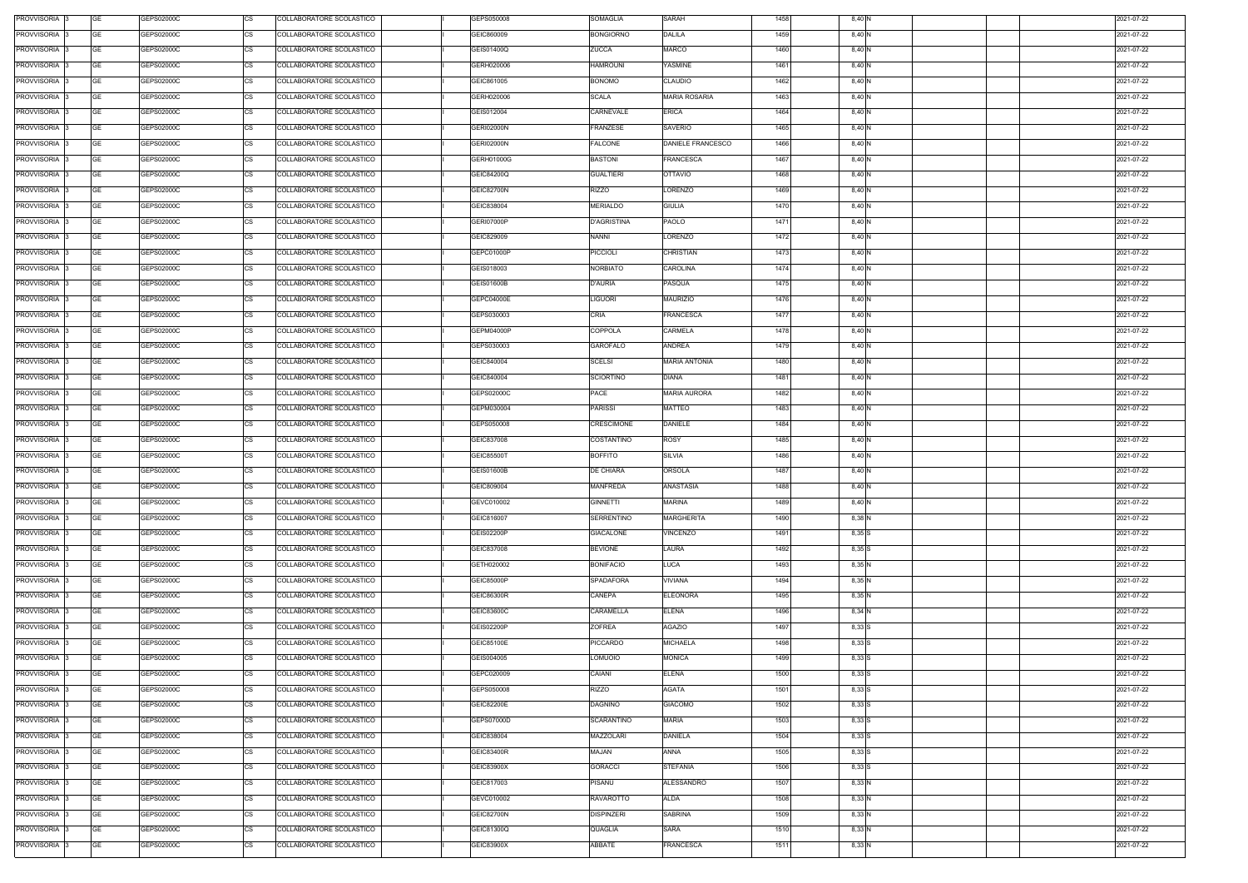| PROVVISORIA 3 | GE        | GEPS02000C | COLLABORATORE SCOLASTICO<br>CS        | GEPS050008        | SOMAGLIA           | <b>SARAH</b>         | 1458 | 8,40 N |  | 2021-07-22 |
|---------------|-----------|------------|---------------------------------------|-------------------|--------------------|----------------------|------|--------|--|------------|
| PROVVISORIA 3 | <b>GE</b> | GEPS02000C | <b>CS</b><br>COLLABORATORE SCOLASTICO | GEIC860009        | <b>BONGIORNO</b>   | <b>DALILA</b>        | 1459 | 8,40 N |  | 2021-07-22 |
| PROVVISORIA 3 | GE        | GEPS02000C | <b>CS</b><br>COLLABORATORE SCOLASTICO | GEIS01400Q        | <b>ZUCCA</b>       | <b>MARCO</b>         | 1460 | 8,40 N |  | 2021-07-22 |
| PROVVISORIA 3 | GE        | GEPS02000C | <b>CS</b><br>COLLABORATORE SCOLASTICO | GERH020006        | <b>HAMROUNI</b>    | YASMINE              | 1461 | 8,40 N |  | 2021-07-22 |
| PROVVISORIA 3 | <b>GE</b> | GEPS02000C | <b>CS</b><br>COLLABORATORE SCOLASTICO | GEIC861005        | <b>BONOMO</b>      | CLAUDIO              | 1462 | 8,40 N |  | 2021-07-22 |
| PROVVISORIA 3 | GE        | GEPS02000C | <b>CS</b><br>COLLABORATORE SCOLASTICO | GERH020006        | <b>SCALA</b>       | <b>MARIA ROSARIA</b> | 1463 | 8,40 N |  | 2021-07-22 |
| PROVVISORIA 3 | <b>GE</b> | GEPS02000C | <b>CS</b><br>COLLABORATORE SCOLASTICO | GEIS012004        | CARNEVALE          | <b>ERICA</b>         | 1464 | 8,40 N |  | 2021-07-22 |
|               |           |            |                                       |                   |                    |                      |      |        |  |            |
| PROVVISORIA 3 | GE        | GEPS02000C | <b>CS</b><br>COLLABORATORE SCOLASTICO | <b>GERI02000N</b> | FRANZESE           | SAVERIO              | 1465 | 8,40 N |  | 2021-07-22 |
| PROVVISORIA 3 | <b>GE</b> | GEPS02000C | <b>CS</b><br>COLLABORATORE SCOLASTICO | <b>GERI02000N</b> | <b>FALCONE</b>     | DANIELE FRANCESCO    | 1466 | 8,40 N |  | 2021-07-22 |
| PROVVISORIA 3 | <b>GE</b> | GEPS02000C | <b>CS</b><br>COLLABORATORE SCOLASTICO | GERH01000G        | <b>BASTONI</b>     | <b>FRANCESCA</b>     | 1467 | 8,40 N |  | 2021-07-22 |
| PROVVISORIA 3 | <b>GE</b> | GEPS02000C | <b>CS</b><br>COLLABORATORE SCOLASTICO | GEIC84200Q        | <b>GUALTIERI</b>   | <b>OTTAVIO</b>       | 1468 | 8,40 N |  | 2021-07-22 |
| PROVVISORIA 3 | <b>GE</b> | GEPS02000C | CS<br>COLLABORATORE SCOLASTICO        | <b>GEIC82700N</b> | <b>RIZZO</b>       | LORENZO              | 1469 | 8,40 N |  | 2021-07-22 |
| PROVVISORIA 3 | <b>GE</b> | GEPS02000C | <b>CS</b><br>COLLABORATORE SCOLASTICO | GEIC838004        | <b>MERIALDO</b>    | <b>GIULIA</b>        | 1470 | 8,40 N |  | 2021-07-22 |
| PROVVISORIA 3 | <b>GE</b> | GEPS02000C | <b>CS</b><br>COLLABORATORE SCOLASTICO | <b>GERI07000P</b> | <b>D'AGRISTINA</b> | PAOLO                | 1471 | 8,40 N |  | 2021-07-22 |
| PROVVISORIA 3 | <b>GE</b> | GEPS02000C | COLLABORATORE SCOLASTICO<br>СS        | GEIC829009        | <b>NANNI</b>       | LORENZO              | 1472 | 8,40 N |  | 2021-07-22 |
| PROVVISORIA 3 | <b>GE</b> | GEPS02000C | <b>CS</b><br>COLLABORATORE SCOLASTICO | GEPC01000P        | <b>PICCIOLI</b>    | CHRISTIAN            | 1473 | 8,40 N |  | 2021-07-22 |
| PROVVISORIA 3 | <b>GE</b> | GEPS02000C | <b>CS</b><br>COLLABORATORE SCOLASTICO | GEIS018003        | <b>NORBIATO</b>    | CAROLINA             | 1474 | 8,40 N |  | 2021-07-22 |
| PROVVISORIA 3 | <b>GE</b> | GEPS02000C | <b>CS</b><br>COLLABORATORE SCOLASTICO | GEIS01600B        | <b>D'AURIA</b>     | PASQUA               | 1475 | 8,40 N |  | 2021-07-22 |
| PROVVISORIA 3 | <b>GE</b> | GEPS02000C | <b>CS</b><br>COLLABORATORE SCOLASTICO | GEPC04000E        | <b>LIGUORI</b>     | <b>MAURIZIO</b>      | 1476 | 8,40 N |  | 2021-07-22 |
| PROVVISORIA 3 | GE        | GEPS02000C | <b>CS</b><br>COLLABORATORE SCOLASTICO | GEPS030003        | <b>CRIA</b>        | <b>FRANCESCA</b>     | 1477 | 8,40 N |  | 2021-07-22 |
| PROVVISORIA 3 | GE        | GEPS02000C | <b>CS</b><br>COLLABORATORE SCOLASTICO | GEPM04000P        | COPPOLA            | CARMELA              | 1478 | 8,40 N |  | 2021-07-22 |
| PROVVISORIA 3 | <b>GE</b> | GEPS02000C | <b>CS</b><br>COLLABORATORE SCOLASTICO | GEPS030003        | GAROFALO           | ANDREA               | 1479 | 8,40 N |  | 2021-07-22 |
| PROVVISORIA 3 | <b>GE</b> | GEPS02000C | <b>CS</b><br>COLLABORATORE SCOLASTICO | GEIC840004        | <b>SCELSI</b>      | <b>MARIA ANTONIA</b> | 1480 | 8,40 N |  | 2021-07-22 |
| PROVVISORIA 3 | <b>GE</b> | GEPS02000C | <b>CS</b><br>COLLABORATORE SCOLASTICO | GEIC840004        | <b>SCIORTINO</b>   | DIANA                | 1481 | 8,40 N |  | 2021-07-22 |
| PROVVISORIA 3 | <b>GE</b> | GEPS02000C | <b>CS</b><br>COLLABORATORE SCOLASTICO | GEPS02000C        | PACE               | <b>MARIA AURORA</b>  | 1482 | 8,40 N |  | 2021-07-22 |
|               |           |            |                                       |                   |                    |                      |      |        |  |            |
| PROVVISORIA 3 | <b>GE</b> | GEPS02000C | <b>CS</b><br>COLLABORATORE SCOLASTICO | GEPM030004        | <b>PARISSI</b>     | MATTEO               | 1483 | 8,40 N |  | 2021-07-22 |
| PROVVISORIA 3 | GE        | GEPS02000C | <b>CS</b><br>COLLABORATORE SCOLASTICO | GEPS050008        | CRESCIMONE         | DANIELE              | 1484 | 8,40 N |  | 2021-07-22 |
| PROVVISORIA 3 | GE        | GEPS02000C | <b>CS</b><br>COLLABORATORE SCOLASTICO | GEIC837008        | COSTANTINO         | <b>ROSY</b>          | 1485 | 8,40 N |  | 2021-07-22 |
| PROVVISORIA 3 | GE        | GEPS02000C | <b>CS</b><br>COLLABORATORE SCOLASTICO | <b>GEIC85500T</b> | <b>BOFFITO</b>     | <b>SILVIA</b>        | 1486 | 8,40 N |  | 2021-07-22 |
| PROVVISORIA 3 | <b>GE</b> | GEPS02000C | <b>CS</b><br>COLLABORATORE SCOLASTICO | <b>GEIS01600B</b> | DE CHIARA          | <b>ORSOLA</b>        | 1487 | 8,40 N |  | 2021-07-22 |
| PROVVISORIA 3 | GE        | GEPS02000C | <b>CS</b><br>COLLABORATORE SCOLASTICO | GEIC809004        | <b>MANFREDA</b>    | ANASTASIA            | 1488 | 8,40 N |  | 2021-07-22 |
| PROVVISORIA 3 | <b>GE</b> | GEPS02000C | <b>CS</b><br>COLLABORATORE SCOLASTICO | GEVC010002        | <b>GINNETTI</b>    | <b>MARINA</b>        | 1489 | 8,40 N |  | 2021-07-22 |
| PROVVISORIA 3 | GE        | GEPS02000C | <b>CS</b><br>COLLABORATORE SCOLASTICO | GEIC816007        | SERRENTINO         | <b>MARGHERITA</b>    | 1490 | 8,38 N |  | 2021-07-22 |
| PROVVISORIA 3 | GE        | GEPS02000C | <b>CS</b><br>COLLABORATORE SCOLASTICO | <b>GEIS02200P</b> | GIACALONE          | VINCENZO             | 1491 | 8,35 S |  | 2021-07-22 |
| PROVVISORIA 3 | <b>GE</b> | GEPS02000C | <b>CS</b><br>COLLABORATORE SCOLASTICO | GEIC837008        | <b>BEVIONE</b>     | LAURA                | 1492 | 8,35 S |  | 2021-07-22 |
| PROVVISORIA 3 | <b>GE</b> | GEPS02000C | <b>CS</b><br>COLLABORATORE SCOLASTICO | GETH020002        | <b>BONIFACIO</b>   | LUCA                 | 1493 | 8,35 N |  | 2021-07-22 |
| PROVVISORIA 3 | <b>GE</b> | GEPS02000C | <b>CS</b><br>COLLABORATORE SCOLASTICO | GEIC85000P        | SPADAFORA          | VIVIANA              | 1494 | 8,35 N |  | 2021-07-22 |
| PROVVISORIA 3 | <b>GE</b> | GEPS02000C | <b>CS</b><br>COLLABORATORE SCOLASTICO | <b>GEIC86300R</b> | CANEPA             | <b>ELEONORA</b>      | 1495 | 8,35 N |  | 2021-07-22 |
| PROVVISORIA 3 | <b>GE</b> | GEPS02000C | CS<br>COLLABORATORE SCOLASTICO        | GEIC83600C        | CARAMELLA          | <b>ELENA</b>         | 1496 | 8,34 N |  | 2021-07-22 |
| PROVVISORIA 3 | <b>GE</b> | GEPS02000C | <b>CS</b><br>COLLABORATORE SCOLASTICO | <b>GEIS02200P</b> | <b>ZOFREA</b>      | AGAZIO               | 1497 | 8,33 S |  | 2021-07-22 |
| PROVVISORIA 3 | <b>GE</b> | GEPS02000C | <b>CS</b><br>COLLABORATORE SCOLASTICO | GEIC85100E        | PICCARDO           | <b>MICHAELA</b>      | 1498 | 8,33 S |  | 2021-07-22 |
| PROVVISORIA 3 | <b>GE</b> | GEPS02000C | <b>CS</b><br>COLLABORATORE SCOLASTICO | GEIS004005        | <b>LOMUOIO</b>     | <b>MONICA</b>        | 1499 | 8,33 S |  | 2021-07-22 |
| PROVVISORIA 3 | <b>GE</b> | GEPS02000C | <b>CS</b><br>COLLABORATORE SCOLASTICO | GEPC020009        | CAIANI             | <b>ELENA</b>         | 1500 | 8,33 S |  | 2021-07-22 |
| PROVVISORIA 3 | <b>GE</b> | GEPS02000C | <b>CS</b><br>COLLABORATORE SCOLASTICO | GEPS050008        | <b>RIZZO</b>       | <b>AGATA</b>         | 1501 | 8,33 S |  | 2021-07-22 |
| PROVVISORIA 3 | <b>GE</b> | GEPS02000C | CS<br>COLLABORATORE SCOLASTICO        | GEIC82200E        | <b>DAGNINO</b>     | <b>GIACOMO</b>       | 1502 | 8,33 S |  | 2021-07-22 |
|               | <b>GE</b> | GEPS02000C |                                       |                   |                    | MARIA                | 1503 |        |  |            |
| PROVVISORIA 3 |           |            | <b>CS</b><br>COLLABORATORE SCOLASTICO | GEPS07000D        | SCARANTINO         |                      |      | 8,33 S |  | 2021-07-22 |
| PROVVISORIA 3 | GE        | GEPS02000C | СS<br>COLLABORATORE SCOLASTICO        | GEIC838004        | MAZZOLARI          | DANIELA              | 1504 | 8,33 S |  | 2021-07-22 |
| PROVVISORIA 3 | <b>GE</b> | GEPS02000C | <b>CS</b><br>COLLABORATORE SCOLASTICO | <b>GEIC83400R</b> | MAJAN              | ANNA                 | 1505 | 8,33 S |  | 2021-07-22 |
| PROVVISORIA 3 | <b>GE</b> | GEPS02000C | <b>CS</b><br>COLLABORATORE SCOLASTICO | GEIC83900X        | <b>GORACCI</b>     | <b>STEFANIA</b>      | 1506 | 8,33 S |  | 2021-07-22 |
| PROVVISORIA 3 | <b>GE</b> | GEPS02000C | <b>CS</b><br>COLLABORATORE SCOLASTICO | GEIC817003        | PISANU             | ALESSANDRO           | 1507 | 8,33 N |  | 2021-07-22 |
| PROVVISORIA 3 | <b>GE</b> | GEPS02000C | <b>CS</b><br>COLLABORATORE SCOLASTICO | GEVC010002        | <b>RAVAROTTO</b>   | ALDA                 | 1508 | 8,33 N |  | 2021-07-22 |
| PROVVISORIA 3 | GE        | GEPS02000C | <b>CS</b><br>COLLABORATORE SCOLASTICO | <b>GEIC82700N</b> | DISPINZERI         | <b>SABRINA</b>       | 1509 | 8,33 N |  | 2021-07-22 |
| PROVVISORIA 3 | <b>GE</b> | GEPS02000C | <b>CS</b><br>COLLABORATORE SCOLASTICO | GEIC81300Q        | QUAGLIA            | SARA                 | 1510 | 8,33 N |  | 2021-07-22 |
| PROVVISORIA 3 | GE        | GEPS02000C | <b>CS</b><br>COLLABORATORE SCOLASTICO | GEIC83900X        | ABBATE             | <b>FRANCESCA</b>     | 1511 | 8,33 N |  | 2021-07-22 |
|               |           |            |                                       |                   |                    |                      |      |        |  |            |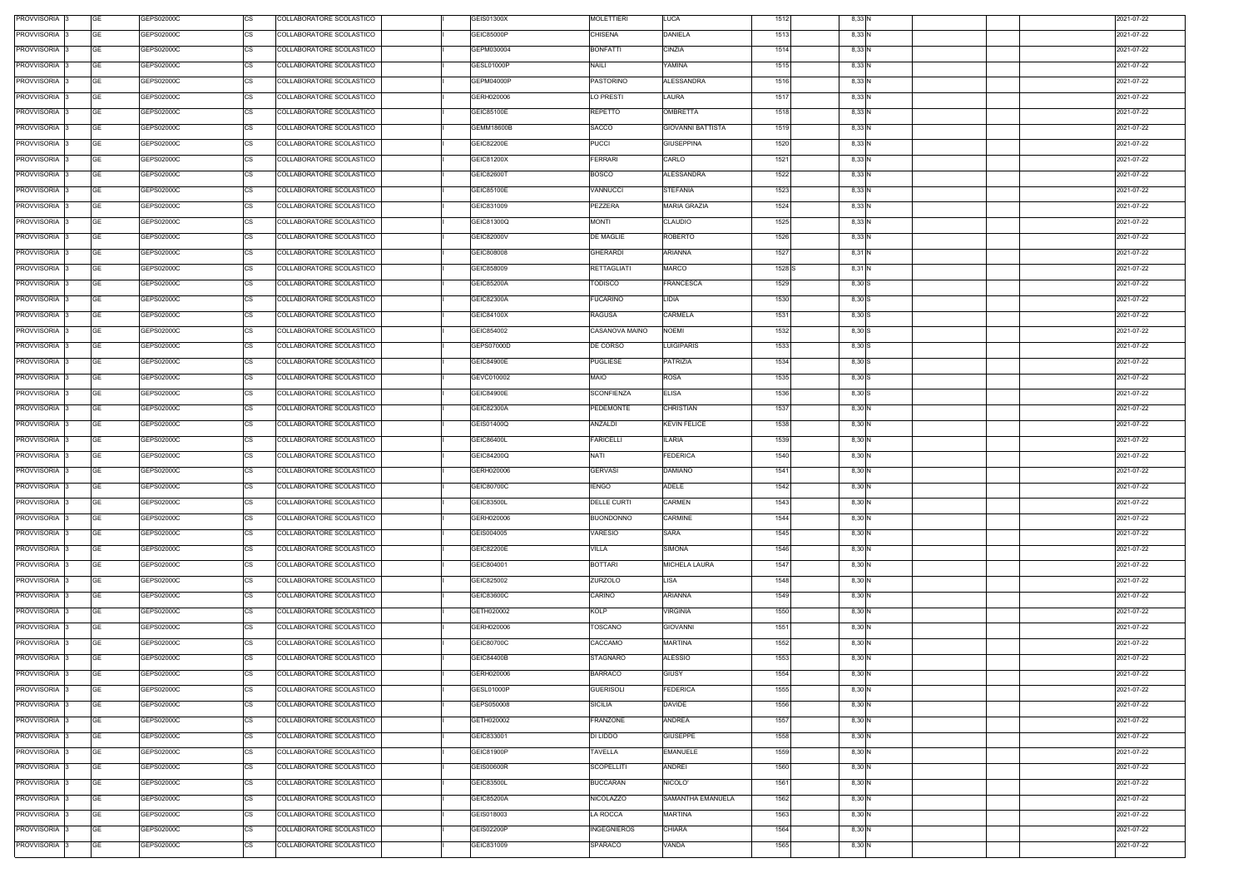| PROVVISORIA 3      | <b>GE</b> | GEPS02000C | <b>CS</b> | COLLABORATORE SCOLASTICO | <b>GEIS01300X</b> | <b>MOLETTIERI</b>  | LUCA                     | 1512              | 8,33 N |  | 2021-07-22 |
|--------------------|-----------|------------|-----------|--------------------------|-------------------|--------------------|--------------------------|-------------------|--------|--|------------|
| PROVVISORIA 3      | <b>GE</b> | GEPS02000C | СS        | COLLABORATORE SCOLASTICO | GEIC85000P        | CHISENA            | <b>DANIELA</b>           | 1513              | 8,33 N |  | 2021-07-22 |
| PROVVISORIA 3      | <b>GE</b> | GEPS02000C | <b>CS</b> | COLLABORATORE SCOLASTICO | GEPM030004        | <b>BONFATTI</b>    | <b>CINZIA</b>            | 1514              | 8,33 N |  | 2021-07-22 |
| PROVVISORIA 3      | <b>GE</b> | GEPS02000C | CS        | COLLABORATORE SCOLASTICO | GESL01000P        | <b>NAILI</b>       | YAMINA                   | 1515              | 8,33 N |  | 2021-07-22 |
| PROVVISORIA 3      | GE        | GEPS02000C | CS        | COLLABORATORE SCOLASTICO | GEPM04000P        | <b>PASTORINO</b>   | <b>ALESSANDRA</b>        | 1516              | 8,33 N |  | 2021-07-22 |
| PROVVISORIA 3      | <b>GE</b> | GEPS02000C | <b>CS</b> | COLLABORATORE SCOLASTICO | GERH020006        | LO PRESTI          | LAURA                    | 1517              | 8,33 N |  | 2021-07-22 |
| PROVVISORIA 3      | GE        | GEPS02000C | <b>CS</b> | COLLABORATORE SCOLASTICO | GEIC85100E        | REPETTO            | <b>OMBRETTA</b>          | 1518              | 8,33 N |  | 2021-07-22 |
| PROVVISORIA 3      | <b>GE</b> | GEPS02000C | <b>CS</b> | COLLABORATORE SCOLASTICO | GEMM18600B        | <b>SACCO</b>       | <b>GIOVANNI BATTISTA</b> | 1519              | 8,33 N |  | 2021-07-22 |
| <b>PROVVISORIA</b> | <b>GE</b> | GEPS02000C | <b>CS</b> | COLLABORATORE SCOLASTICO | <b>GEIC82200E</b> | <b>PUCCI</b>       | <b>GIUSEPPINA</b>        | 1520              | 8,33 N |  | 2021-07-22 |
| <b>PROVVISORIA</b> | <b>GE</b> | GEPS02000C | CS        | COLLABORATORE SCOLASTICO | GEIC81200X        | <b>FERRARI</b>     | CARLO                    | 1521              | 8,33 N |  | 2021-07-22 |
| PROVVISORIA        | <b>GE</b> | GEPS02000C | <b>CS</b> | COLLABORATORE SCOLASTICO | <b>GEIC82600T</b> | <b>BOSCO</b>       | <b>ALESSANDRA</b>        | 1522              | 8,33 N |  | 2021-07-22 |
| <b>PROVVISORIA</b> | <b>GE</b> | GEPS02000C | CS        | COLLABORATORE SCOLASTICO | GEIC85100E        | VANNUCCI           | <b>STEFANIA</b>          | 1523              | 8,33 N |  | 2021-07-22 |
| <b>PROVVISORIA</b> | <b>GE</b> | GEPS02000C | <b>CS</b> | COLLABORATORE SCOLASTICO | GEIC831009        | PEZZERA            | <b>MARIA GRAZIA</b>      | 1524              | 8,33 N |  | 2021-07-22 |
| PROVVISORIA 3      | <b>GE</b> | GEPS02000C | CS        | COLLABORATORE SCOLASTICO | GEIC81300Q        | <b>MONTI</b>       | CLAUDIO                  | 1525              | 8,33 N |  | 2021-07-22 |
| PROVVISORIA 3      | <b>GE</b> | GEPS02000C | СS        | COLLABORATORE SCOLASTICO | GEIC82000V        | DE MAGLIE          | <b>ROBERTO</b>           | 1526              | 8,33 N |  | 2021-07-22 |
| PROVVISORIA 3      | <b>GE</b> | GEPS02000C | CS        | COLLABORATORE SCOLASTICO | GEIC808008        | <b>GHERARDI</b>    | ARIANNA                  | 1527              | 8,31 N |  | 2021-07-22 |
| PROVVISORIA 3      | <b>GE</b> | GEPS02000C | <b>CS</b> | COLLABORATORE SCOLASTICO | GEIC858009        | <b>RETTAGLIATI</b> | <b>MARCO</b>             | 1528 <sub>S</sub> | 8,31 N |  | 2021-07-22 |
|                    | <b>GE</b> | GEPS02000C | CS        | COLLABORATORE SCOLASTICO | <b>GEIC85200A</b> | TODISCO            | <b>FRANCESCA</b>         | 1529              | 8,30 S |  |            |
| PROVVISORIA 3      |           |            |           |                          |                   |                    |                          |                   |        |  | 2021-07-22 |
| PROVVISORIA 3      | <b>GE</b> | GEPS02000C | СS        | COLLABORATORE SCOLASTICO | GEIC82300A        | <b>FUCARINO</b>    | LIDIA                    | 1530              | 8,30 S |  | 2021-07-22 |
| PROVVISORIA 3      | <b>GE</b> | GEPS02000C | СS        | COLLABORATORE SCOLASTICO | GEIC84100X        | RAGUSA             | CARMELA                  | 1531              | 8,30 S |  | 2021-07-22 |
| PROVVISORIA 3      | GE        | GEPS02000C | СS        | COLLABORATORE SCOLASTICO | GEIC854002        | CASANOVA MAINO     | <b>NOEMI</b>             | 1532              | 8,30 S |  | 2021-07-22 |
| PROVVISORIA 3      | <b>GE</b> | GEPS02000C | СS        | COLLABORATORE SCOLASTICO | GEPS07000D        | DE CORSO           | LUIGIPARIS               | 1533              | 8,30 S |  | 2021-07-22 |
| PROVVISORIA 3      | <b>GE</b> | GEPS02000C | <b>CS</b> | COLLABORATORE SCOLASTICO | GEIC84900E        | <b>PUGLIESE</b>    | <b>PATRIZIA</b>          | 1534              | 8,30 S |  | 2021-07-22 |
| PROVVISORIA 3      | <b>GE</b> | GEPS02000C | CS        | COLLABORATORE SCOLASTICO | GEVC010002        | <b>MAIO</b>        | ROSA                     | 1535              | 8,30 S |  | 2021-07-22 |
| <b>PROVVISORIA</b> | <b>GE</b> | GEPS02000C | СS        | COLLABORATORE SCOLASTICO | GEIC84900E        | <b>SCONFIENZA</b>  | <b>ELISA</b>             | 1536              | 8,30 S |  | 2021-07-22 |
| PROVVISORIA 3      | <b>GE</b> | GEPS02000C | СS        | COLLABORATORE SCOLASTICO | <b>GEIC82300A</b> | PEDEMONTE          | CHRISTIAN                | 1537              | 8,30 N |  | 2021-07-22 |
| PROVVISORIA 3      | <b>GE</b> | GEPS02000C | СS        | COLLABORATORE SCOLASTICO | GEIS01400Q        | ANZALDI            | <b>KEVIN FELICE</b>      | 1538              | 8,30 N |  | 2021-07-22 |
| PROVVISORIA 3      | <b>GE</b> | GEPS02000C | CS        | COLLABORATORE SCOLASTICO | GEIC86400L        | <b>FARICELLI</b>   | <b>ILARIA</b>            | 1539              | 8,30 N |  | 2021-07-22 |
| PROVVISORIA 3      | <b>GE</b> | GEPS02000C | <b>CS</b> | COLLABORATORE SCOLASTICO | GEIC84200Q        | <b>NATI</b>        | FEDERICA                 | 1540              | 8,30 N |  | 2021-07-22 |
| PROVVISORIA 3      | <b>GE</b> | GEPS02000C | <b>CS</b> | COLLABORATORE SCOLASTICO | GERH020006        | <b>GERVASI</b>     | DAMIANO                  | 1541              | 8,30 N |  | 2021-07-22 |
| PROVVISORIA 3      | <b>GE</b> | GEPS02000C | <b>CS</b> | COLLABORATORE SCOLASTICO | GEIC80700C        | <b>IENGO</b>       | <b>ADELE</b>             | 1542              | 8,30 N |  | 2021-07-22 |
| PROVVISORIA 3      | <b>GE</b> | GEPS02000C | <b>CS</b> | COLLABORATORE SCOLASTICO | GEIC83500L        | <b>DELLE CURTI</b> | <b>CARMEN</b>            | 1543              | 8,30 N |  | 2021-07-22 |
| PROVVISORIA 3      | <b>GE</b> | GEPS02000C | <b>CS</b> | COLLABORATORE SCOLASTICO | GERH020006        | <b>BUONDONNO</b>   | CARMINE                  | 1544              | 8,30 N |  | 2021-07-22 |
| PROVVISORIA 3      | GE        | GEPS02000C | <b>CS</b> | COLLABORATORE SCOLASTICO | GEIS004005        | VARESIO            | SARA                     | 1545              | 8,30 N |  | 2021-07-22 |
| <b>PROVVISORIA</b> | <b>GE</b> | GEPS02000C | CS        | COLLABORATORE SCOLASTICO | GEIC82200E        | VILLA              | SIMONA                   | 1546              | 8,30 N |  | 2021-07-22 |
| <b>PROVVISORIA</b> | <b>GE</b> | GEPS02000C | <b>CS</b> | COLLABORATORE SCOLASTICO | GEIC804001        | <b>BOTTARI</b>     | <b>MICHELA LAURA</b>     | 1547              | 8,30 N |  | 2021-07-22 |
| PROVVISORIA 3      | <b>GE</b> | GEPS02000C | CS        | COLLABORATORE SCOLASTICO | GEIC825002        | <b>ZURZOLO</b>     | LISA                     | 1548              | 8,30 N |  | 2021-07-22 |
| <b>PROVVISORIA</b> | <b>GE</b> | GEPS02000C | CS        | COLLABORATORE SCOLASTICO | GEIC83600C        | CARINO             | <b>ARIANNA</b>           | 1549              | 8,30 N |  | 2021-07-22 |
| PROVVISORIA 3      | <b>GE</b> | GEPS02000C | CS        | COLLABORATORE SCOLASTICO | GETH020002        | <b>KOLP</b>        | <b>VIRGINIA</b>          | 1550              | 8,30 N |  | 2021-07-22 |
| <b>PROVVISORIA</b> | <b>GE</b> | GEPS02000C | CS        | COLLABORATORE SCOLASTICO | GERH020006        | TOSCANO            | <b>GIOVANNI</b>          | 1551              | 8,30 N |  | 2021-07-22 |
| PROVVISORIA 3      | <b>GE</b> | GEPS02000C | CS        | COLLABORATORE SCOLASTICO | GEIC80700C        | CACCAMO            | <b>MARTINA</b>           | 1552              | 8,30 N |  | 2021-07-22 |
| PROVVISORIA 3      | <b>GE</b> | GEPS02000C | CS        | COLLABORATORE SCOLASTICO | <b>GEIC84400B</b> | STAGNARO           | <b>ALESSIO</b>           | 1553              | 8,30 N |  | 2021-07-22 |
| PROVVISORIA 3      | <b>GE</b> | GEPS02000C | CS        | COLLABORATORE SCOLASTICO | GERH020006        | <b>BARRACO</b>     | <b>GIUSY</b>             | 1554              | 8,30 N |  | 2021-07-22 |
| PROVVISORIA 3      | <b>GE</b> | GEPS02000C | <b>CS</b> | COLLABORATORE SCOLASTICO | GESL01000P        | <b>GUERISOLI</b>   | <b>FEDERICA</b>          | 1555              | 8,30 N |  | 2021-07-22 |
| PROVVISORIA 3      | <b>GE</b> | GEPS02000C | CS        | COLLABORATORE SCOLASTICO | GEPS050008        | <b>SICILIA</b>     | <b>DAVIDE</b>            | 1556              | 8,30 N |  | 2021-07-22 |
| PROVVISORIA 3      | <b>GE</b> | GEPS02000C | СS        |                          |                   | <b>FRANZONE</b>    | ANDREA                   | 1557              | 8,30 N |  | 2021-07-22 |
|                    | <b>GE</b> |            |           | COLLABORATORE SCOLASTICO | GETH020002        |                    |                          | 1558              |        |  |            |
| PROVVISORIA 3      |           | GEPS02000C | СS        | COLLABORATORE SCOLASTICO | GEIC833001        | DI LIDDO           | <b>GIUSEPPE</b>          |                   | 8,30 N |  | 2021-07-22 |
| <b>PROVVISORIA</b> | <b>GE</b> | GEPS02000C | <b>CS</b> | COLLABORATORE SCOLASTICO | <b>GEIC81900P</b> | <b>TAVELLA</b>     | <b>EMANUELE</b>          | 1559              | 8,30 N |  | 2021-07-22 |
| PROVVISORIA 3      | <b>GE</b> | GEPS02000C | <b>CS</b> | COLLABORATORE SCOLASTICO | <b>GEIS00600R</b> | <b>SCOPELLITI</b>  | ANDREI                   | 1560              | 8,30 N |  | 2021-07-22 |
| <b>PROVVISORIA</b> | <b>GE</b> | GEPS02000C | <b>CS</b> | COLLABORATORE SCOLASTICO | GEIC83500L        | <b>BUCCARAN</b>    | NICOLO'                  | 1561              | 8,30 N |  | 2021-07-22 |
| PROVVISORIA 3      | <b>GE</b> | GEPS02000C | СS        | COLLABORATORE SCOLASTICO | <b>GEIC85200A</b> | NICOLAZZO          | SAMANTHA EMANUELA        | 1562              | 8,30 N |  | 2021-07-22 |
| PROVVISORIA        | <b>GE</b> | GEPS02000C | СS        | COLLABORATORE SCOLASTICO | GEIS018003        | LA ROCCA           | MARTINA                  | 1563              | 8,30 N |  | 2021-07-22 |
| PROVVISORIA 3      | <b>GE</b> | GEPS02000C | СS        | COLLABORATORE SCOLASTICO | <b>GEIS02200P</b> | <b>INGEGNIEROS</b> | CHIARA                   | 1564              | 8,30 N |  | 2021-07-22 |
| PROVVISORIA 3      | <b>GE</b> | GEPS02000C | <b>CS</b> | COLLABORATORE SCOLASTICO | GEIC831009        | SPARACO            | VANDA                    | 1565              | 8,30 N |  | 2021-07-22 |
|                    |           |            |           |                          |                   |                    |                          |                   |        |  |            |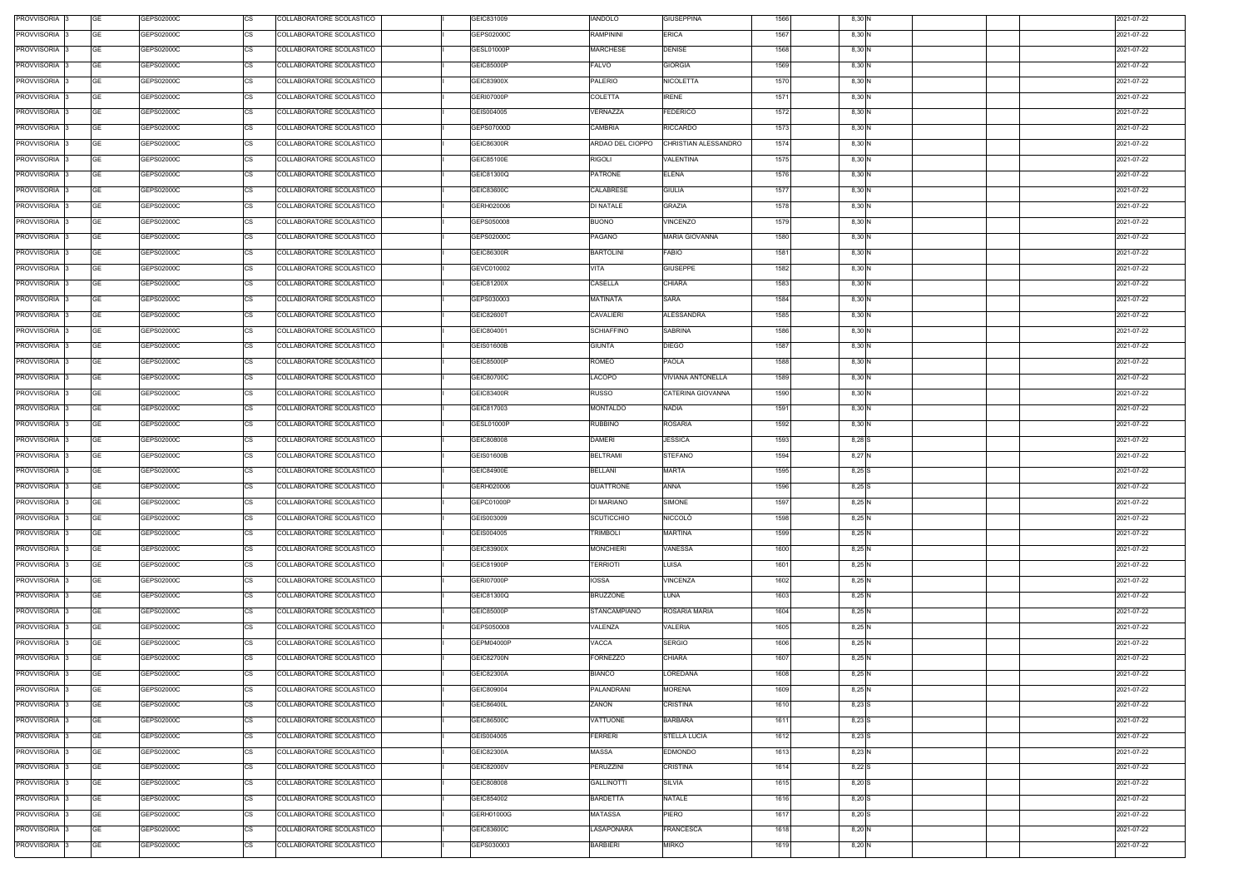| PROVVISORIA 3 | GE        | GEPS02000C | COLLABORATORE SCOLASTICO<br>CS        | GEIC831009        | <b>IANDOLO</b>    | <b>GIUSEPPINA</b>     | 1566 | 8,30 N   |  | 2021-07-22 |
|---------------|-----------|------------|---------------------------------------|-------------------|-------------------|-----------------------|------|----------|--|------------|
| PROVVISORIA 3 | GE        | GEPS02000C | <b>CS</b><br>COLLABORATORE SCOLASTICO | GEPS02000C        | RAMPININI         | <b>ERICA</b>          | 1567 | 8,30 N   |  | 2021-07-22 |
| PROVVISORIA 3 | GE        | GEPS02000C | <b>CS</b><br>COLLABORATORE SCOLASTICO | <b>GESL01000P</b> | <b>MARCHESE</b>   | <b>DENISE</b>         | 1568 | 8,30 N   |  | 2021-07-22 |
| PROVVISORIA 3 | GE        | GEPS02000C | <b>CS</b><br>COLLABORATORE SCOLASTICO | <b>GEIC85000P</b> | FALVO             | <b>GIORGIA</b>        | 1569 | 8,30 N   |  | 2021-07-22 |
| PROVVISORIA 3 | <b>GE</b> | GEPS02000C | <b>CS</b><br>COLLABORATORE SCOLASTICO | GEIC83900X        | PALERIO           | <b>NICOLETTA</b>      | 1570 | 8,30 N   |  | 2021-07-22 |
| PROVVISORIA 3 | <b>GE</b> | GEPS02000C | <b>CS</b><br>COLLABORATORE SCOLASTICO | GERI07000P        | COLETTA           | <b>IRENE</b>          | 1571 | 8,30 N   |  | 2021-07-22 |
| PROVVISORIA 3 | <b>GE</b> | GEPS02000C | <b>CS</b><br>COLLABORATORE SCOLASTICO | GEIS004005        | VERNAZZA          | FEDERICO              | 1572 | 8,30 N   |  | 2021-07-22 |
| PROVVISORIA 3 | GE        | GEPS02000C | <b>CS</b><br>COLLABORATORE SCOLASTICO | GEPS07000D        | CAMBRIA           | RICCARDO              | 1573 | 8,30 N   |  | 2021-07-22 |
| PROVVISORIA 3 | <b>GE</b> | GEPS02000C | <b>CS</b><br>COLLABORATORE SCOLASTICO | <b>GEIC86300R</b> | ARDAO DEL CIOPPO  | CHRISTIAN ALESSANDRO  | 1574 | 8,30 N   |  | 2021-07-22 |
|               |           |            |                                       |                   |                   |                       |      |          |  |            |
| PROVVISORIA 3 | <b>GE</b> | GEPS02000C | <b>CS</b><br>COLLABORATORE SCOLASTICO | GEIC85100E        | <b>RIGOLI</b>     | VALENTINA             | 1575 | 8,30 N   |  | 2021-07-22 |
| PROVVISORIA 3 | <b>GE</b> | GEPS02000C | <b>CS</b><br>COLLABORATORE SCOLASTICO | GEIC81300Q        | <b>PATRONE</b>    | <b>ELENA</b>          | 1576 | 8,30 N   |  | 2021-07-22 |
| PROVVISORIA 3 | <b>GE</b> | GEPS02000C | CS<br>COLLABORATORE SCOLASTICO        | GEIC83600C        | CALABRESE         | <b>GIULIA</b>         | 1577 | 8,30 N   |  | 2021-07-22 |
| PROVVISORIA 3 | <b>GE</b> | GEPS02000C | <b>CS</b><br>COLLABORATORE SCOLASTICO | GERH020006        | DI NATALE         | <b>GRAZIA</b>         | 1578 | 8,30 N   |  | 2021-07-22 |
| PROVVISORIA 3 | <b>GE</b> | GEPS02000C | <b>CS</b><br>COLLABORATORE SCOLASTICO | GEPS050008        | <b>BUONO</b>      | <b>VINCENZO</b>       | 1579 | 8,30 N   |  | 2021-07-22 |
| PROVVISORIA 3 | <b>GE</b> | GEPS02000C | COLLABORATORE SCOLASTICO<br>СS        | GEPS02000C        | PAGANO            | <b>MARIA GIOVANNA</b> | 1580 | 8,30 N   |  | 2021-07-22 |
| PROVVISORIA 3 | <b>GE</b> | GEPS02000C | <b>CS</b><br>COLLABORATORE SCOLASTICO | GEIC86300R        | <b>BARTOLINI</b>  | <b>FABIO</b>          | 1581 | 8,30 N   |  | 2021-07-22 |
| PROVVISORIA 3 | <b>GE</b> | GEPS02000C | <b>CS</b><br>COLLABORATORE SCOLASTICO | GEVC010002        | VITA              | <b>GIUSEPPE</b>       | 1582 | 8,30 N   |  | 2021-07-22 |
| PROVVISORIA 3 | <b>GE</b> | GEPS02000C | <b>CS</b><br>COLLABORATORE SCOLASTICO | GEIC81200X        | CASELLA           | <b>CHIARA</b>         | 1583 | 8,30 N   |  | 2021-07-22 |
| PROVVISORIA 3 | <b>GE</b> | GEPS02000C | <b>CS</b><br>COLLABORATORE SCOLASTICO | GEPS030003        | MATINATA          | SARA                  | 1584 | 8,30 N   |  | 2021-07-22 |
| PROVVISORIA 3 | GE        | GEPS02000C | <b>CS</b><br>COLLABORATORE SCOLASTICO | GEIC82600T        | <b>CAVALIERI</b>  | <b>ALESSANDRA</b>     | 1585 | 8,30 N   |  | 2021-07-22 |
| PROVVISORIA 3 | GE        | GEPS02000C | <b>CS</b><br>COLLABORATORE SCOLASTICO | GEIC804001        | <b>SCHIAFFINO</b> | <b>SABRINA</b>        | 1586 | 8,30 N   |  | 2021-07-22 |
| PROVVISORIA 3 | <b>GE</b> | GEPS02000C | <b>CS</b><br>COLLABORATORE SCOLASTICO | GEIS01600B        | <b>GIUNTA</b>     | DIEGO                 | 1587 | 8,30 N   |  | 2021-07-22 |
| PROVVISORIA 3 | <b>GE</b> | GEPS02000C | <b>CS</b><br>COLLABORATORE SCOLASTICO | GEIC85000P        | ROMEO             | PAOLA                 | 1588 | 8,30 N   |  | 2021-07-22 |
| PROVVISORIA 3 | <b>GE</b> | GEPS02000C | <b>CS</b><br>COLLABORATORE SCOLASTICO | GEIC80700C        | LACOPO            | VIVIANA ANTONELLA     | 1589 | 8,30 N   |  | 2021-07-22 |
| PROVVISORIA 3 | <b>GE</b> | GEPS02000C | <b>CS</b><br>COLLABORATORE SCOLASTICO | GEIC83400R        | <b>RUSSO</b>      | CATERINA GIOVANNA     | 1590 | 8,30 N   |  | 2021-07-22 |
| PROVVISORIA 3 | <b>GE</b> | GEPS02000C | <b>CS</b><br>COLLABORATORE SCOLASTICO | GEIC817003        | MONTALDO          | NADIA                 | 1591 | 8,30 N   |  | 2021-07-22 |
| PROVVISORIA 3 | GE        | GEPS02000C | <b>CS</b><br>COLLABORATORE SCOLASTICO | GESL01000P        | <b>RUBBINO</b>    | ROSARIA               | 1592 | 8,30 N   |  | 2021-07-22 |
| PROVVISORIA 3 | GE        | GEPS02000C | <b>CS</b><br>COLLABORATORE SCOLASTICO | GEIC808008        | <b>DAMERI</b>     | <b>JESSICA</b>        | 1593 | 8,28 S   |  | 2021-07-22 |
| PROVVISORIA 3 | GE        | GEPS02000C | <b>CS</b><br>COLLABORATORE SCOLASTICO | GEIS01600B        | <b>BELTRAMI</b>   | <b>STEFANO</b>        | 1594 | 8,27 N   |  | 2021-07-22 |
| PROVVISORIA 3 | <b>GE</b> | GEPS02000C | <b>CS</b><br>COLLABORATORE SCOLASTICO | GEIC84900E        | <b>BELLANI</b>    | <b>MARTA</b>          | 1595 | $8,25$ S |  | 2021-07-22 |
| PROVVISORIA 3 | GE        | GEPS02000C | <b>CS</b><br>COLLABORATORE SCOLASTICO | GERH020006        | QUATTRONE         | ANNA                  | 1596 | $8,25$ S |  | 2021-07-22 |
| PROVVISORIA 3 | <b>GE</b> | GEPS02000C | <b>CS</b><br>COLLABORATORE SCOLASTICO | GEPC01000P        | DI MARIANO        | <b>SIMONE</b>         | 1597 | 8,25 N   |  | 2021-07-22 |
| PROVVISORIA 3 | GE        | GEPS02000C | <b>CS</b><br>COLLABORATORE SCOLASTICO | GEIS003009        | <b>SCUTICCHIO</b> | NICCOLÒ               | 1598 | 8,25 N   |  | 2021-07-22 |
| PROVVISORIA 3 | GE        | GEPS02000C | <b>CS</b><br>COLLABORATORE SCOLASTICO | GEIS004005        | TRIMBOLI          | MARTINA               | 1599 | 8,25 N   |  | 2021-07-22 |
| PROVVISORIA 3 | <b>GE</b> | GEPS02000C | <b>CS</b><br>COLLABORATORE SCOLASTICO | GEIC83900X        | <b>MONCHIERI</b>  | VANESSA               | 1600 | 8,25 N   |  | 2021-07-22 |
| PROVVISORIA 3 | <b>GE</b> | GEPS02000C | <b>CS</b><br>COLLABORATORE SCOLASTICO | GEIC81900P        | <b>TERRIOTI</b>   | LUISA                 | 1601 | 8,25 N   |  | 2021-07-22 |
| PROVVISORIA 3 | <b>GE</b> | GEPS02000C | <b>CS</b><br>COLLABORATORE SCOLASTICO | <b>GERI07000P</b> | <b>IOSSA</b>      | VINCENZA              | 1602 | 8,25 N   |  | 2021-07-22 |
| PROVVISORIA 3 | <b>GE</b> | GEPS02000C | <b>CS</b><br>COLLABORATORE SCOLASTICO | GEIC81300Q        | <b>BRUZZONE</b>   | LUNA                  | 1603 | 8,25 N   |  | 2021-07-22 |
| PROVVISORIA 3 | <b>GE</b> | GEPS02000C | CS<br>COLLABORATORE SCOLASTICO        | GEIC85000P        | STANCAMPIANO      | ROSARIA MARIA         | 1604 | 8,25 N   |  | 2021-07-22 |
| PROVVISORIA 3 | <b>GE</b> | GEPS02000C | <b>CS</b><br>COLLABORATORE SCOLASTICO | GEPS050008        | VALENZA           | VALERIA               | 1605 | 8,25 N   |  | 2021-07-22 |
| PROVVISORIA 3 | <b>GE</b> | GEPS02000C | <b>CS</b><br>COLLABORATORE SCOLASTICO | GEPM04000P        | VACCA             | <b>SERGIO</b>         | 1606 | 8,25 N   |  | 2021-07-22 |
| PROVVISORIA 3 | <b>GE</b> | GEPS02000C | <b>CS</b><br>COLLABORATORE SCOLASTICO | <b>GEIC82700N</b> | <b>FORNEZZO</b>   | <b>CHIARA</b>         | 1607 | 8,25 N   |  | 2021-07-22 |
| PROVVISORIA 3 | <b>GE</b> | GEPS02000C | <b>CS</b><br>COLLABORATORE SCOLASTICO | GEIC82300A        | <b>BIANCO</b>     | LOREDANA              | 1608 | 8,25 N   |  | 2021-07-22 |
| PROVVISORIA 3 | <b>GE</b> | GEPS02000C | <b>CS</b><br>COLLABORATORE SCOLASTICO | GEIC809004        | PALANDRANI        | <b>MORENA</b>         | 1609 | 8,25 N   |  | 2021-07-22 |
| PROVVISORIA 3 | <b>GE</b> | GEPS02000C | CS<br>COLLABORATORE SCOLASTICO        | GEIC86400L        | ZANON             | CRISTINA              | 1610 | 8,23 S   |  | 2021-07-22 |
| PROVVISORIA 3 | <b>GE</b> | GEPS02000C | <b>CS</b><br>COLLABORATORE SCOLASTICO | GEIC86500C        | VATTUONE          | <b>BARBARA</b>        | 1611 | 8,23 S   |  | 2021-07-22 |
| PROVVISORIA 3 | GE        | GEPS02000C | СS<br>COLLABORATORE SCOLASTICO        | GEIS004005        | <b>FERRERI</b>    | <b>STELLA LUCIA</b>   | 1612 | 8,23 S   |  | 2021-07-22 |
| PROVVISORIA 3 | <b>GE</b> | GEPS02000C | <b>CS</b><br>COLLABORATORE SCOLASTICO | GEIC82300A        | <b>MASSA</b>      | <b>EDMONDO</b>        | 1613 | 8,23 N   |  | 2021-07-22 |
| PROVVISORIA 3 | <b>GE</b> | GEPS02000C | <b>CS</b><br>COLLABORATORE SCOLASTICO | GEIC82000V        | <b>PERUZZINI</b>  | CRISTINA              | 1614 | 8,22 S   |  | 2021-07-22 |
| PROVVISORIA 3 | <b>GE</b> | GEPS02000C | <b>CS</b><br>COLLABORATORE SCOLASTICO | GEIC808008        | <b>GALLINOTTI</b> | <b>SILVIA</b>         | 1615 | 8,20 S   |  | 2021-07-22 |
| PROVVISORIA 3 | <b>GE</b> | GEPS02000C | <b>CS</b><br>COLLABORATORE SCOLASTICO | GEIC854002        | BARDETTA          | NATALE                | 1616 | 8,20 S   |  | 2021-07-22 |
| PROVVISORIA 3 | GE        | GEPS02000C | <b>CS</b><br>COLLABORATORE SCOLASTICO | GERH01000G        | <b>MATASSA</b>    | PIERO                 | 1617 | $8,20$ S |  | 2021-07-22 |
| PROVVISORIA 3 | <b>GE</b> | GEPS02000C | <b>CS</b><br>COLLABORATORE SCOLASTICO | GEIC83600C        | LASAPONARA        | <b>FRANCESCA</b>      | 1618 | 8,20 N   |  | 2021-07-22 |
| PROVVISORIA 3 | GE        | GEPS02000C | <b>CS</b><br>COLLABORATORE SCOLASTICO | GEPS030003        | <b>BARBIERI</b>   | <b>MIRKO</b>          | 1619 | 8,20 N   |  | 2021-07-22 |
|               |           |            |                                       |                   |                   |                       |      |          |  |            |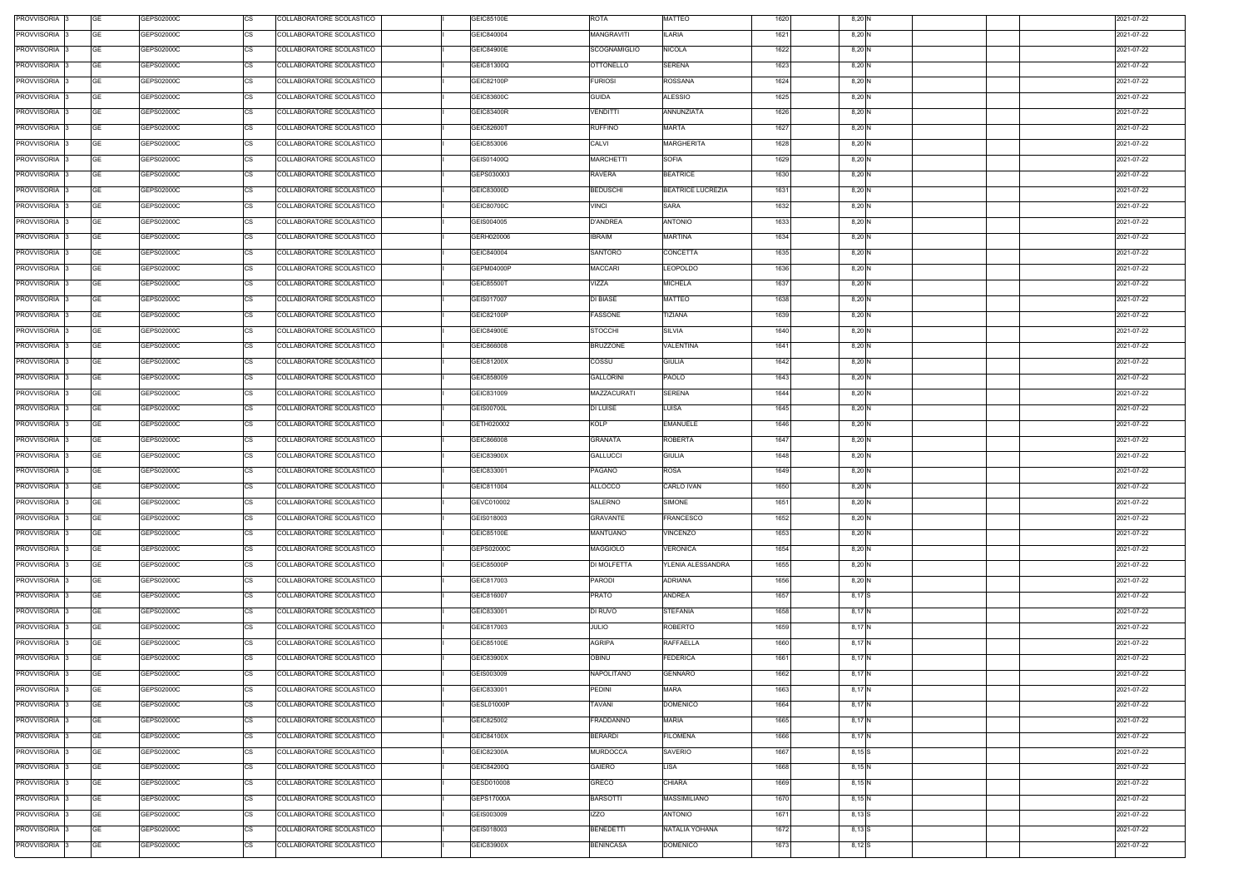| PROVVISORIA 3 | GE        | GEPS02000C | COLLABORATORE SCOLASTICO<br>CS        | GEIC85100E        | <b>ROTA</b>         | MATTEO                   | 1620 | 8,20 N   |  | 2021-07-22 |
|---------------|-----------|------------|---------------------------------------|-------------------|---------------------|--------------------------|------|----------|--|------------|
| PROVVISORIA 3 | GE        | GEPS02000C | <b>CS</b><br>COLLABORATORE SCOLASTICO | GEIC840004        | MANGRAVITI          | <b>ILARIA</b>            | 1621 | 8,20 N   |  | 2021-07-22 |
| PROVVISORIA 3 | GE        | GEPS02000C | <b>CS</b><br>COLLABORATORE SCOLASTICO | GEIC84900E        | <b>SCOGNAMIGLIO</b> | <b>NICOLA</b>            | 1622 | 8,20 N   |  | 2021-07-22 |
| PROVVISORIA 3 | GE        | GEPS02000C | <b>CS</b><br>COLLABORATORE SCOLASTICO | GEIC81300Q        | <b>OTTONELLO</b>    | <b>SERENA</b>            | 1623 | 8,20 N   |  | 2021-07-22 |
| PROVVISORIA 3 | <b>GE</b> | GEPS02000C | <b>CS</b><br>COLLABORATORE SCOLASTICO | GEIC82100P        | <b>FURIOSI</b>      | <b>ROSSANA</b>           | 1624 | 8,20 N   |  | 2021-07-22 |
| PROVVISORIA 3 | GE        | GEPS02000C | <b>CS</b><br>COLLABORATORE SCOLASTICO | GEIC83600C        | <b>GUIDA</b>        | ALESSIO                  | 1625 | 8,20 N   |  | 2021-07-22 |
| PROVVISORIA 3 | <b>GE</b> | GEPS02000C | <b>CS</b><br>COLLABORATORE SCOLASTICO | GEIC83400R        | <b>VENDITTI</b>     | ANNUNZIATA               | 1626 | 8,20 N   |  | 2021-07-22 |
| PROVVISORIA 3 | GE        | GEPS02000C | <b>CS</b><br>COLLABORATORE SCOLASTICO | GEIC82600T        | <b>RUFFINO</b>      | <b>MARTA</b>             | 1627 | 8,20 N   |  | 2021-07-22 |
| PROVVISORIA 3 | <b>GE</b> | GEPS02000C | <b>CS</b><br>COLLABORATORE SCOLASTICO | GEIC853006        | <b>CALVI</b>        | <b>MARGHERITA</b>        | 1628 | 8,20 N   |  | 2021-07-22 |
|               |           |            |                                       |                   |                     |                          |      |          |  |            |
| PROVVISORIA 3 | <b>GE</b> | GEPS02000C | <b>CS</b><br>COLLABORATORE SCOLASTICO | GEIS01400Q        | <b>MARCHETTI</b>    | <b>SOFIA</b>             | 1629 | 8,20 N   |  | 2021-07-22 |
| PROVVISORIA 3 | <b>GE</b> | GEPS02000C | <b>CS</b><br>COLLABORATORE SCOLASTICO | GEPS030003        | <b>RAVERA</b>       | <b>BEATRICE</b>          | 1630 | 8,20 N   |  | 2021-07-22 |
| PROVVISORIA 3 | <b>GE</b> | GEPS02000C | CS<br>COLLABORATORE SCOLASTICO        | GEIC83000D        | <b>BEDUSCHI</b>     | <b>BEATRICE LUCREZIA</b> | 1631 | 8,20 N   |  | 2021-07-22 |
| PROVVISORIA 3 | <b>GE</b> | GEPS02000C | <b>CS</b><br>COLLABORATORE SCOLASTICO | GEIC80700C        | <b>VINCI</b>        | SARA                     | 1632 | 8,20 N   |  | 2021-07-22 |
| PROVVISORIA 3 | <b>GE</b> | GEPS02000C | <b>CS</b><br>COLLABORATORE SCOLASTICO | GEIS004005        | <b>D'ANDREA</b>     | ANTONIO                  | 1633 | 8,20 N   |  | 2021-07-22 |
| PROVVISORIA 3 | <b>GE</b> | GEPS02000C | <b>CS</b><br>COLLABORATORE SCOLASTICO | GERH020006        | <b>IBRAIM</b>       | MARTINA                  | 1634 | 8,20 N   |  | 2021-07-22 |
| PROVVISORIA 3 | <b>GE</b> | GEPS02000C | <b>CS</b><br>COLLABORATORE SCOLASTICO | GEIC840004        | <b>SANTORO</b>      | <b>CONCETTA</b>          | 1635 | 8,20 N   |  | 2021-07-22 |
| PROVVISORIA 3 | <b>GE</b> | GEPS02000C | <b>CS</b><br>COLLABORATORE SCOLASTICO | GEPM04000P        | <b>MACCARI</b>      | <b>LEOPOLDO</b>          | 1636 | 8,20 N   |  | 2021-07-22 |
| PROVVISORIA 3 | <b>GE</b> | GEPS02000C | <b>CS</b><br>COLLABORATORE SCOLASTICO | GEIC85500T        | VIZZA               | <b>MICHELA</b>           | 1637 | 8,20 N   |  | 2021-07-22 |
| PROVVISORIA 3 | <b>GE</b> | GEPS02000C | <b>CS</b><br>COLLABORATORE SCOLASTICO | GEIS017007        | DI BIASE            | MATTEO                   | 1638 | 8,20 N   |  | 2021-07-22 |
| PROVVISORIA 3 | GE        | GEPS02000C | <b>CS</b><br>COLLABORATORE SCOLASTICO | GEIC82100P        | <b>FASSONE</b>      | TIZIANA                  | 1639 | 8,20 N   |  | 2021-07-22 |
| PROVVISORIA 3 | GE        | GEPS02000C | <b>CS</b><br>COLLABORATORE SCOLASTICO | GEIC84900E        | <b>STOCCHI</b>      | <b>SILVIA</b>            | 1640 | 8,20 N   |  | 2021-07-22 |
| PROVVISORIA 3 | <b>GE</b> | GEPS02000C | <b>CS</b><br>COLLABORATORE SCOLASTICO | GEIC866008        | <b>BRUZZONE</b>     | <b>VALENTINA</b>         | 1641 | 8,20 N   |  | 2021-07-22 |
| PROVVISORIA 3 | <b>GE</b> | GEPS02000C | <b>CS</b><br>COLLABORATORE SCOLASTICO | GEIC81200X        | COSSU               | GIULIA                   | 1642 | 8,20 N   |  | 2021-07-22 |
| PROVVISORIA 3 | <b>GE</b> | GEPS02000C | <b>CS</b><br>COLLABORATORE SCOLASTICO | GEIC858009        | <b>GALLORINI</b>    | PAOLO                    | 1643 | 8,20 N   |  | 2021-07-22 |
| PROVVISORIA 3 | <b>GE</b> | GEPS02000C | <b>CS</b><br>COLLABORATORE SCOLASTICO | GEIC831009        | MAZZACURATI         | SERENA                   | 1644 | 8,20 N   |  | 2021-07-22 |
| PROVVISORIA 3 | <b>GE</b> | GEPS02000C | <b>CS</b><br>COLLABORATORE SCOLASTICO | <b>GEIS00700L</b> | DI LUISE            | LUISA.                   | 1645 | 8,20 N   |  | 2021-07-22 |
| PROVVISORIA 3 | GE        | GEPS02000C | <b>CS</b><br>COLLABORATORE SCOLASTICO | GETH020002        | KOLP                | EMANUELE                 | 1646 | 8,20 N   |  | 2021-07-22 |
| PROVVISORIA 3 | <b>GE</b> | GEPS02000C | <b>CS</b><br>COLLABORATORE SCOLASTICO | GEIC866008        | <b>GRANATA</b>      | <b>ROBERTA</b>           | 1647 | 8,20 N   |  | 2021-07-22 |
| PROVVISORIA 3 | GE        | GEPS02000C | <b>CS</b><br>COLLABORATORE SCOLASTICO | GEIC83900X        | <b>GALLUCCI</b>     | <b>GIULIA</b>            | 1648 | 8,20 N   |  | 2021-07-22 |
| PROVVISORIA 3 | <b>GE</b> | GEPS02000C | <b>CS</b><br>COLLABORATORE SCOLASTICO | GEIC833001        | PAGANO              | <b>ROSA</b>              | 1649 | 8,20 N   |  | 2021-07-22 |
| PROVVISORIA 3 | GE        | GEPS02000C | <b>CS</b><br>COLLABORATORE SCOLASTICO | GEIC811004        | <b>ALLOCCO</b>      | <b>CARLO IVAN</b>        | 1650 | 8,20 N   |  | 2021-07-22 |
| PROVVISORIA 3 | <b>GE</b> | GEPS02000C | <b>CS</b><br>COLLABORATORE SCOLASTICO | GEVC010002        | SALERNO             | SIMONE                   | 1651 | 8,20 N   |  | 2021-07-22 |
| PROVVISORIA 3 | GE        | GEPS02000C | <b>CS</b><br>COLLABORATORE SCOLASTICO | GEIS018003        | GRAVANTE            | <b>FRANCESCO</b>         | 1652 | 8,20 N   |  | 2021-07-22 |
| PROVVISORIA 3 | <b>GE</b> | GEPS02000C | <b>CS</b><br>COLLABORATORE SCOLASTICO | GEIC85100E        | MANTUANO            | VINCENZO                 | 1653 | 8,20 N   |  | 2021-07-22 |
| PROVVISORIA 3 | <b>GE</b> | GEPS02000C | <b>CS</b><br>COLLABORATORE SCOLASTICO | GEPS02000C        | MAGGIOLO            | <b>VERONICA</b>          | 1654 | 8,20 N   |  | 2021-07-22 |
| PROVVISORIA 3 | <b>GE</b> | GEPS02000C | <b>CS</b><br>COLLABORATORE SCOLASTICO | GEIC85000P        | DI MOLFETTA         | YLENIA ALESSANDRA        | 1655 | 8,20 N   |  | 2021-07-22 |
| PROVVISORIA 3 | <b>GE</b> | GEPS02000C | <b>CS</b><br>COLLABORATORE SCOLASTICO | GEIC817003        | PARODI              | <b>ADRIANA</b>           | 1656 | 8,20 N   |  | 2021-07-22 |
| PROVVISORIA 3 | <b>GE</b> | GEPS02000C | <b>CS</b><br>COLLABORATORE SCOLASTICO | GEIC816007        | <b>PRATO</b>        | ANDREA                   | 1657 | 8,17 S   |  | 2021-07-22 |
| PROVVISORIA 3 | <b>GE</b> | GEPS02000C | CS<br>COLLABORATORE SCOLASTICO        | GEIC833001        | DI RUVO             | <b>STEFANIA</b>          | 1658 | 8,17 N   |  | 2021-07-22 |
| PROVVISORIA 3 | <b>GE</b> | GEPS02000C | <b>CS</b><br>COLLABORATORE SCOLASTICO | GEIC817003        | <b>JULIO</b>        | ROBERTO                  | 1659 | 8,17 N   |  | 2021-07-22 |
| PROVVISORIA 3 | <b>GE</b> | GEPS02000C | <b>CS</b><br>COLLABORATORE SCOLASTICO | GEIC85100E        | <b>AGRIPA</b>       | <b>RAFFAELLA</b>         | 1660 | 8,17 N   |  | 2021-07-22 |
| PROVVISORIA 3 | <b>GE</b> | GEPS02000C | <b>CS</b><br>COLLABORATORE SCOLASTICO | GEIC83900X        | <b>OBINU</b>        | <b>FEDERICA</b>          | 1661 | 8,17 N   |  | 2021-07-22 |
| PROVVISORIA 3 | <b>GE</b> | GEPS02000C | <b>CS</b><br>COLLABORATORE SCOLASTICO | GEIS003009        | NAPOLITANO          | <b>GENNARO</b>           | 1662 | 8,17 N   |  | 2021-07-22 |
| PROVVISORIA 3 | <b>GE</b> | GEPS02000C | <b>CS</b><br>COLLABORATORE SCOLASTICO | GEIC833001        | PEDINI              | <b>MARA</b>              | 1663 | 8,17 N   |  | 2021-07-22 |
| PROVVISORIA 3 | <b>GE</b> | GEPS02000C | CS<br>COLLABORATORE SCOLASTICO        | GESL01000P        | <b>TAVANI</b>       | <b>DOMENICO</b>          | 1664 | 8,17 N   |  | 2021-07-22 |
| PROVVISORIA 3 | <b>GE</b> | GEPS02000C | <b>CS</b><br>COLLABORATORE SCOLASTICO | GEIC825002        | FRADDANNO           | <b>MARIA</b>             | 1665 | 8,17 N   |  | 2021-07-22 |
| PROVVISORIA 3 | GE        | GEPS02000C | СS<br>COLLABORATORE SCOLASTICO        | GEIC84100X        | <b>BERARDI</b>      | FILOMENA                 | 1666 | 8,17 N   |  | 2021-07-22 |
| PROVVISORIA 3 | <b>GE</b> | GEPS02000C | <b>CS</b><br>COLLABORATORE SCOLASTICO | GEIC82300A        | <b>MURDOCCA</b>     | SAVERIO                  | 1667 | $8,15$ S |  | 2021-07-22 |
| PROVVISORIA 3 | <b>GE</b> | GEPS02000C | <b>CS</b><br>COLLABORATORE SCOLASTICO | GEIC84200Q        | GAIERO              | LISA                     | 1668 | $8,15$ N |  | 2021-07-22 |
| PROVVISORIA 3 | <b>GE</b> | GEPS02000C | <b>CS</b><br>COLLABORATORE SCOLASTICO | GESD010008        | <b>GRECO</b>        | CHIARA                   | 1669 | 8,15 N   |  | 2021-07-22 |
| PROVVISORIA 3 | <b>GE</b> | GEPS02000C | CS<br>COLLABORATORE SCOLASTICO        | <b>GEPS17000A</b> | <b>BARSOTTI</b>     | MASSIMILIANO             | 1670 | $8,15$ N |  | 2021-07-22 |
| PROVVISORIA 3 | GE        | GEPS02000C | <b>CS</b><br>COLLABORATORE SCOLASTICO | GEIS003009        | <b>IZZO</b>         | ANTONIO                  | 1671 | 8,13 S   |  | 2021-07-22 |
| PROVVISORIA 3 | <b>GE</b> | GEPS02000C | <b>CS</b><br>COLLABORATORE SCOLASTICO | GEIS018003        | BENEDETTI           | NATALIA YOHANA           | 1672 | 8,13 S   |  | 2021-07-22 |
| PROVVISORIA 3 | GE        | GEPS02000C | <b>CS</b><br>COLLABORATORE SCOLASTICO | GEIC83900X        | <b>BENINCASA</b>    | <b>DOMENICO</b>          | 1673 | 8,12 S   |  | 2021-07-22 |
|               |           |            |                                       |                   |                     |                          |      |          |  |            |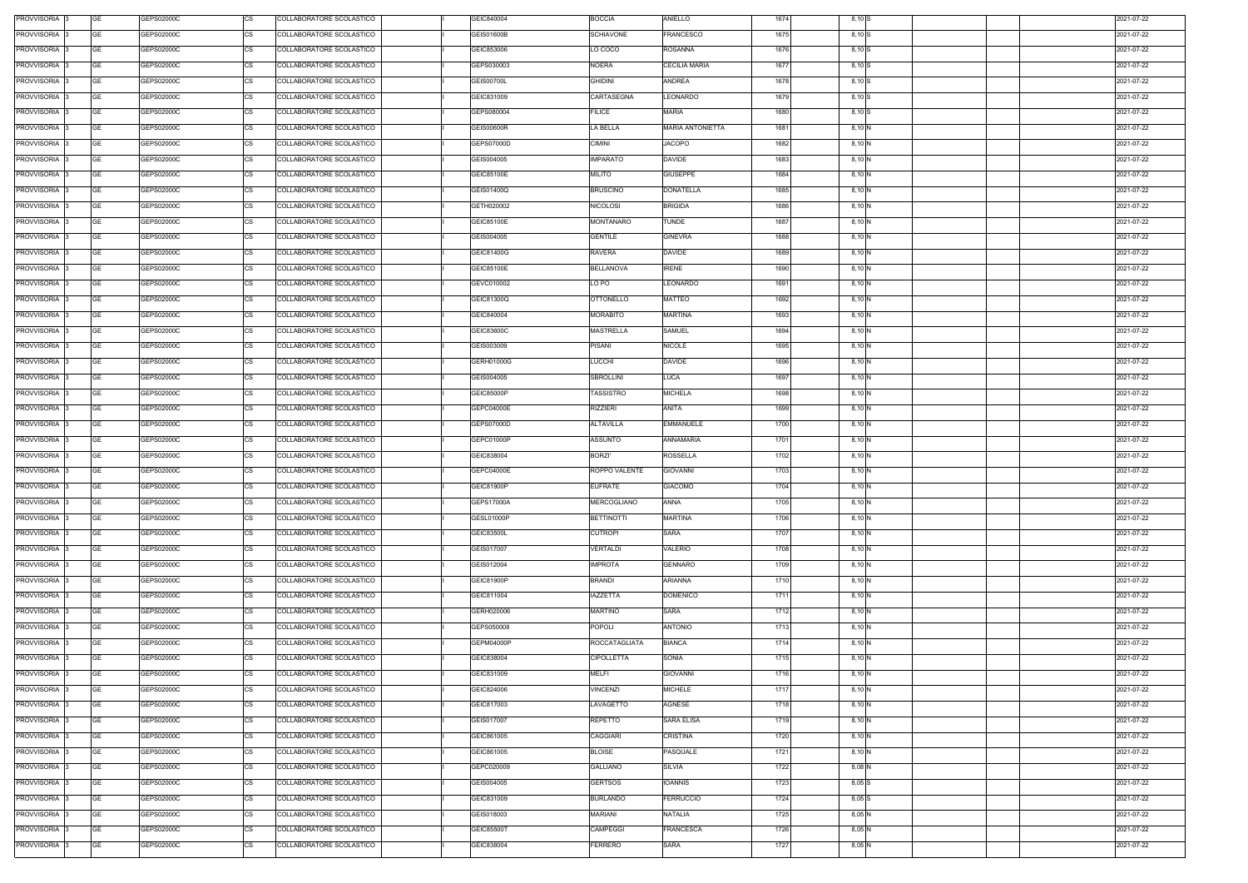| PROVVISORIA 3 | GE        | GEPS02000C | COLLABORATORE SCOLASTICO<br>CS        | GEIC840004        | <b>BOCCIA</b>        | ANIELLO              | 1674 | 8,10 S   |  | 2021-07-22 |
|---------------|-----------|------------|---------------------------------------|-------------------|----------------------|----------------------|------|----------|--|------------|
| PROVVISORIA 3 | <b>GE</b> | GEPS02000C | <b>CS</b><br>COLLABORATORE SCOLASTICO | <b>GEIS01600B</b> | <b>SCHIAVONE</b>     | <b>FRANCESCO</b>     | 1675 | 8,10 S   |  | 2021-07-22 |
| PROVVISORIA 3 | GE        | GEPS02000C | <b>CS</b><br>COLLABORATORE SCOLASTICO | GEIC853006        | LO COCO              | ROSANNA              | 1676 | 8,10 S   |  | 2021-07-22 |
| PROVVISORIA 3 | GE        | GEPS02000C | <b>CS</b><br>COLLABORATORE SCOLASTICO | GEPS030003        | <b>NOERA</b>         | <b>CECILIA MARIA</b> | 1677 | 8,10 S   |  | 2021-07-22 |
| PROVVISORIA 3 | <b>GE</b> | GEPS02000C | <b>CS</b><br>COLLABORATORE SCOLASTICO | <b>GEIS00700L</b> | <b>GHIDINI</b>       | ANDREA               | 1678 | 8,10 S   |  | 2021-07-22 |
| PROVVISORIA 3 | <b>GE</b> | GEPS02000C | <b>CS</b><br>COLLABORATORE SCOLASTICO | GEIC831009        | CARTASEGNA           | LEONARDO             | 1679 | 8,10S    |  | 2021-07-22 |
| PROVVISORIA 3 | GE        | GEPS02000C | CS<br>COLLABORATORE SCOLASTICO        | GEPS080004        | <b>FILICE</b>        | <b>MARIA</b>         | 1680 | 8,10 S   |  | 2021-07-22 |
| PROVVISORIA 3 | GE        | GEPS02000C | <b>CS</b><br>COLLABORATORE SCOLASTICO | <b>GEIS00600R</b> | LA BELLA             | MARIA ANTONIETTA     | 1681 | 8,10 N   |  | 2021-07-22 |
| PROVVISORIA 3 | <b>GE</b> | GEPS02000C | <b>CS</b><br>COLLABORATORE SCOLASTICO | GEPS07000D        | <b>CIMINI</b>        | <b>JACOPO</b>        | 1682 | 8,10 N   |  | 2021-07-22 |
|               |           |            |                                       |                   |                      |                      |      |          |  |            |
| PROVVISORIA 3 | <b>GE</b> | GEPS02000C | <b>CS</b><br>COLLABORATORE SCOLASTICO | GEIS004005        | <b>IMPARATO</b>      | <b>DAVIDE</b>        | 1683 | 8,10 N   |  | 2021-07-22 |
| PROVVISORIA 3 | <b>GE</b> | GEPS02000C | <b>CS</b><br>COLLABORATORE SCOLASTICO | GEIC85100E        | <b>MILITO</b>        | <b>GIUSEPPE</b>      | 1684 | 8,10 N   |  | 2021-07-22 |
| PROVVISORIA 3 | <b>GE</b> | GEPS02000C | CS<br>COLLABORATORE SCOLASTICO        | GEIS01400Q        | <b>BRUSCINO</b>      | DONATELLA            | 1685 | 8,10 N   |  | 2021-07-22 |
| PROVVISORIA 3 | <b>GE</b> | GEPS02000C | <b>CS</b><br>COLLABORATORE SCOLASTICO | GETH020002        | <b>NICOLOSI</b>      | <b>BRIGIDA</b>       | 1686 | 8,10 N   |  | 2021-07-22 |
| PROVVISORIA 3 | <b>GE</b> | GEPS02000C | <b>CS</b><br>COLLABORATORE SCOLASTICO | GEIC85100E        | MONTANARO            | TUNDE                | 1687 | 8,10 N   |  | 2021-07-22 |
| PROVVISORIA 3 | <b>GE</b> | GEPS02000C | COLLABORATORE SCOLASTICO<br>СS        | GEIS004005        | <b>GENTILE</b>       | <b>GINEVRA</b>       | 1688 | 8,10 N   |  | 2021-07-22 |
| PROVVISORIA 3 | <b>GE</b> | GEPS02000C | <b>CS</b><br>COLLABORATORE SCOLASTICO | GEIC81400G        | <b>RAVERA</b>        | <b>DAVIDE</b>        | 1689 | 8,10 N   |  | 2021-07-22 |
| PROVVISORIA 3 | <b>GE</b> | GEPS02000C | <b>CS</b><br>COLLABORATORE SCOLASTICO | GEIC85100E        | <b>BELLANOVA</b>     | <b>IRENE</b>         | 1690 | 8,10 N   |  | 2021-07-22 |
| PROVVISORIA 3 | <b>GE</b> | GEPS02000C | <b>CS</b><br>COLLABORATORE SCOLASTICO | GEVC010002        | LO PO                | LEONARDO             | 1691 | 8,10 N   |  | 2021-07-22 |
| PROVVISORIA 3 | <b>GE</b> | GEPS02000C | <b>CS</b><br>COLLABORATORE SCOLASTICO | GEIC81300Q        | <b>OTTONELLO</b>     | MATTEO               | 1692 | 8,10 N   |  | 2021-07-22 |
| PROVVISORIA 3 | GE        | GEPS02000C | <b>CS</b><br>COLLABORATORE SCOLASTICO | GEIC840004        | <b>MORABITO</b>      | MARTINA              | 1693 | 8,10 N   |  | 2021-07-22 |
| PROVVISORIA 3 | GE        | GEPS02000C | <b>CS</b><br>COLLABORATORE SCOLASTICO | GEIC83600C        | MASTRELLA            | SAMUEL               | 1694 | 8,10 N   |  | 2021-07-22 |
| PROVVISORIA 3 | <b>GE</b> | GEPS02000C | <b>CS</b><br>COLLABORATORE SCOLASTICO | GEIS003009        | PISANI               | <b>NICOLE</b>        | 1695 | 8,10 N   |  | 2021-07-22 |
| PROVVISORIA 3 | <b>GE</b> | GEPS02000C | <b>CS</b><br>COLLABORATORE SCOLASTICO | GERH01000G        | <b>LUCCHI</b>        | <b>DAVIDE</b>        | 1696 | 8,10 N   |  | 2021-07-22 |
| PROVVISORIA 3 | <b>GE</b> | GEPS02000C | <b>CS</b><br>COLLABORATORE SCOLASTICO | GEIS004005        | <b>SBROLLINI</b>     | LUCA                 | 1697 | 8,10 N   |  | 2021-07-22 |
| PROVVISORIA 3 | <b>GE</b> | GEPS02000C | <b>CS</b><br>COLLABORATORE SCOLASTICO | GEIC85000P        | TASSISTRO            | <b>MICHELA</b>       | 1698 | 8,10 N   |  | 2021-07-22 |
| PROVVISORIA 3 | <b>GE</b> | GEPS02000C | <b>CS</b><br>COLLABORATORE SCOLASTICO | GEPC04000E        | RIZZIERI             | ANITA                | 1699 | 8,10 N   |  | 2021-07-22 |
| PROVVISORIA 3 | GE        | GEPS02000C | <b>CS</b><br>COLLABORATORE SCOLASTICO | GEPS07000D        | <b>ALTAVILLA</b>     | EMMANUELE            | 1700 | 8,10 N   |  | 2021-07-22 |
| PROVVISORIA 3 | <b>GE</b> | GEPS02000C | <b>CS</b><br>COLLABORATORE SCOLASTICO | GEPC01000P        | ASSUNTO              | ANNAMARIA            | 1701 | 8,10 N   |  | 2021-07-22 |
| PROVVISORIA 3 | GE        | GEPS02000C | <b>CS</b><br>COLLABORATORE SCOLASTICO | GEIC838004        | <b>BORZI'</b>        | <b>ROSSELLA</b>      | 1702 | 8,10 N   |  | 2021-07-22 |
| PROVVISORIA 3 | <b>GE</b> | GEPS02000C | <b>CS</b><br>COLLABORATORE SCOLASTICO | GEPC04000E        | ROPPO VALENTE        | <b>GIOVANNI</b>      | 1703 | 8,10 N   |  | 2021-07-22 |
| PROVVISORIA 3 | GE        | GEPS02000C | <b>CS</b><br>COLLABORATORE SCOLASTICO | GEIC81900P        | <b>EUFRATE</b>       | <b>GIACOMO</b>       | 1704 | 8,10 N   |  | 2021-07-22 |
| PROVVISORIA 3 | <b>GE</b> | GEPS02000C | <b>CS</b><br>COLLABORATORE SCOLASTICO | <b>GEPS17000A</b> | MERCOGLIANO          | ANNA                 | 1705 | 8,10 N   |  | 2021-07-22 |
| PROVVISORIA 3 | GE        | GEPS02000C | <b>CS</b><br>COLLABORATORE SCOLASTICO | GESL01000P        | <b>BETTINOTTI</b>    | MARTINA              | 1706 | 8,10 N   |  | 2021-07-22 |
| PROVVISORIA 3 | GE        | GEPS02000C | <b>CS</b><br>COLLABORATORE SCOLASTICO | GEIC83500L        | <b>CUTROPI</b>       | SARA                 | 1707 | 8,10 N   |  | 2021-07-22 |
| PROVVISORIA 3 | <b>GE</b> | GEPS02000C | <b>CS</b><br>COLLABORATORE SCOLASTICO | GEIS017007        | <b>VERTALDI</b>      | VALERIO              | 1708 | 8,10 N   |  | 2021-07-22 |
| PROVVISORIA 3 | <b>GE</b> | GEPS02000C | <b>CS</b><br>COLLABORATORE SCOLASTICO | GEIS012004        | <b>IMPROTA</b>       | <b>GENNARO</b>       | 1709 | 8,10 N   |  | 2021-07-22 |
| PROVVISORIA 3 | <b>GE</b> | GEPS02000C | <b>CS</b><br>COLLABORATORE SCOLASTICO | GEIC81900P        | <b>BRANDI</b>        | <b>ARIANNA</b>       | 1710 | 8,10 N   |  | 2021-07-22 |
| PROVVISORIA 3 | <b>GE</b> | GEPS02000C | <b>CS</b><br>COLLABORATORE SCOLASTICO | GEIC811004        | <b>IAZZETTA</b>      | <b>DOMENICO</b>      | 1711 | 8,10 N   |  | 2021-07-22 |
| PROVVISORIA 3 | <b>GE</b> | GEPS02000C | CS<br>COLLABORATORE SCOLASTICO        | GERH020006        | <b>MARTINO</b>       | SARA                 | 1712 | 8,10 N   |  | 2021-07-22 |
| PROVVISORIA 3 | <b>GE</b> | GEPS02000C | <b>CS</b><br>COLLABORATORE SCOLASTICO | GEPS050008        | <b>POPOLI</b>        | ANTONIO              | 1713 | 8,10 N   |  | 2021-07-22 |
| PROVVISORIA 3 | <b>GE</b> | GEPS02000C | <b>CS</b><br>COLLABORATORE SCOLASTICO | GEPM04000P        | <b>ROCCATAGLIATA</b> | <b>BIANCA</b>        | 1714 | 8,10 N   |  | 2021-07-22 |
| PROVVISORIA 3 | <b>GE</b> | GEPS02000C | <b>CS</b><br>COLLABORATORE SCOLASTICO | GEIC838004        | <b>CIPOLLETTA</b>    | <b>SONIA</b>         | 1715 | 8,10 N   |  | 2021-07-22 |
| PROVVISORIA 3 | <b>GE</b> | GEPS02000C | <b>CS</b><br>COLLABORATORE SCOLASTICO | GEIC831009        | <b>MELFI</b>         | <b>GIOVANNI</b>      | 1716 | 8,10 N   |  | 2021-07-22 |
| PROVVISORIA 3 | <b>GE</b> | GEPS02000C | <b>CS</b><br>COLLABORATORE SCOLASTICO | GEIC824006        | <b>VINCENZI</b>      | <b>MICHELE</b>       | 1717 | 8,10 N   |  | 2021-07-22 |
| PROVVISORIA 3 | <b>GE</b> | GEPS02000C | CS<br>COLLABORATORE SCOLASTICO        | GEIC817003        | LAVAGETTO            | AGNESE               | 1718 | 8,10 N   |  | 2021-07-22 |
| PROVVISORIA 3 | <b>GE</b> | GEPS02000C | <b>CS</b><br>COLLABORATORE SCOLASTICO | GEIS017007        | REPETTO              | <b>SARA ELISA</b>    | 1719 | 8,10 N   |  | 2021-07-22 |
| PROVVISORIA 3 | GE        | GEPS02000C | СS<br>COLLABORATORE SCOLASTICO        | GEIC861005        | CAGGIARI             | CRISTINA             | 1720 | 8,10 N   |  | 2021-07-22 |
| PROVVISORIA 3 | <b>GE</b> | GEPS02000C | <b>CS</b><br>COLLABORATORE SCOLASTICO | GEIC861005        | <b>BLOISE</b>        | PASQUALE             | 1721 | 8,10 N   |  | 2021-07-22 |
| PROVVISORIA 3 | <b>GE</b> | GEPS02000C | <b>CS</b><br>COLLABORATORE SCOLASTICO | GEPC020009        | <b>GALLIANO</b>      | <b>SILVIA</b>        | 1722 | 8,08 N   |  | 2021-07-22 |
| PROVVISORIA 3 | <b>GE</b> | GEPS02000C | <b>CS</b><br>COLLABORATORE SCOLASTICO | GEIS004005        | <b>GERTSOS</b>       | <b>IOANNIS</b>       | 1723 | $8,05$ S |  | 2021-07-22 |
| PROVVISORIA 3 | <b>GE</b> | GEPS02000C | <b>CS</b><br>COLLABORATORE SCOLASTICO | GEIC831009        | <b>BURLANDO</b>      | <b>FERRUCCIO</b>     | 1724 | 8,05 S   |  | 2021-07-22 |
| PROVVISORIA 3 | GE        | GEPS02000C | <b>CS</b><br>COLLABORATORE SCOLASTICO | GEIS018003        | MARIANI              | NATALIA              | 1725 | 8,05 N   |  | 2021-07-22 |
| PROVVISORIA 3 | <b>GE</b> | GEPS02000C | <b>CS</b><br>COLLABORATORE SCOLASTICO | GEIC85500T        | CAMPEGGI             | FRANCESCA            | 1726 | 8,05 N   |  | 2021-07-22 |
| PROVVISORIA 3 | GE        | GEPS02000C | <b>CS</b><br>COLLABORATORE SCOLASTICO | GEIC838004        | FERRERO              | SARA                 | 1727 | 8,05 N   |  | 2021-07-22 |
|               |           |            |                                       |                   |                      |                      |      |          |  |            |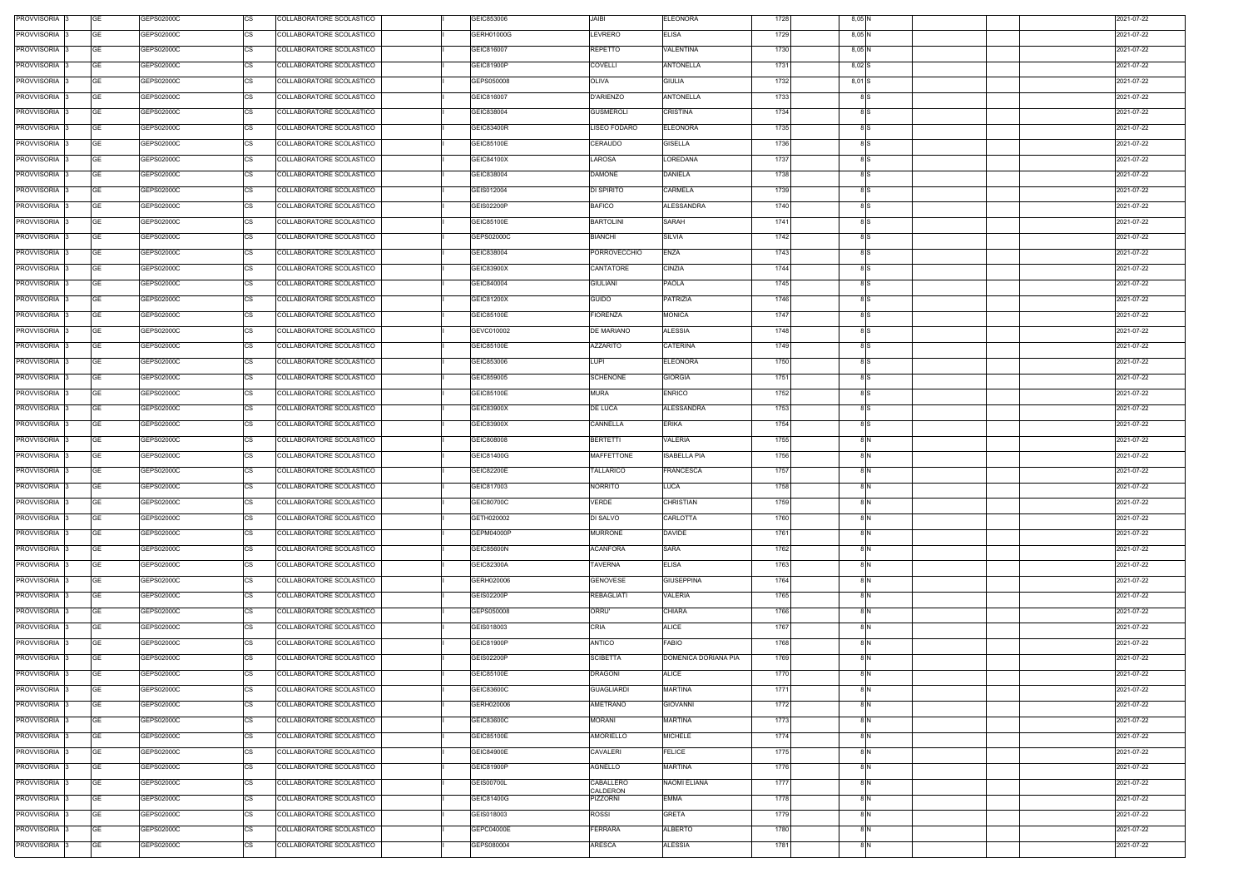| PROVVISORIA 3            | GE        | GEPS02000C | COLLABORATORE SCOLASTICO<br>CS        | GEIC853006        | <b>JAIBI</b>         | <b>ELEONORA</b>      | 1728 | 8,05 N          |  | 2021-07-22 |
|--------------------------|-----------|------------|---------------------------------------|-------------------|----------------------|----------------------|------|-----------------|--|------------|
| PROVVISORIA 3            | GE        | GEPS02000C | <b>CS</b><br>COLLABORATORE SCOLASTICO | GERH01000G        | LEVRERO              | <b>ELISA</b>         | 1729 | 8,05 N          |  | 2021-07-22 |
| PROVVISORIA 3            | GE        | GEPS02000C | <b>CS</b><br>COLLABORATORE SCOLASTICO | GEIC816007        | <b>REPETTO</b>       | VALENTINA            | 1730 | 8,05 N          |  | 2021-07-22 |
| PROVVISORIA 3            | GE        | GEPS02000C | <b>CS</b><br>COLLABORATORE SCOLASTICO | GEIC81900P        | COVELLI              | <b>ANTONELLA</b>     | 1731 | 8,02 S          |  | 2021-07-22 |
| PROVVISORIA 3            | <b>GE</b> | GEPS02000C | <b>CS</b><br>COLLABORATORE SCOLASTICO | GEPS050008        | OLIVA                | <b>GIULIA</b>        | 1732 | 8,01 S          |  | 2021-07-22 |
| PROVVISORIA 3            | GE        | GEPS02000C | <b>CS</b><br>COLLABORATORE SCOLASTICO | GEIC816007        | <b>D'ARIENZO</b>     | <b>ANTONELLA</b>     | 1733 | 8 S             |  | 2021-07-22 |
| PROVVISORIA 3            | <b>GE</b> | GEPS02000C | <b>CS</b><br>COLLABORATORE SCOLASTICO | GEIC838004        | <b>GUSMEROLI</b>     | CRISTINA             | 1734 | 8 S             |  | 2021-07-22 |
| PROVVISORIA 3            | GE        | GEPS02000C | <b>CS</b><br>COLLABORATORE SCOLASTICO | GEIC83400R        | LISEO FODARO         | <b>ELEONORA</b>      | 1735 | 8S              |  | 2021-07-22 |
| PROVVISORIA 3            | <b>GE</b> | GEPS02000C | <b>CS</b><br>COLLABORATORE SCOLASTICO | GEIC85100E        | CERAUDO              | <b>GISELLA</b>       | 1736 | 8S              |  | 2021-07-22 |
|                          |           |            |                                       |                   |                      |                      |      |                 |  |            |
| PROVVISORIA 3            | <b>GE</b> | GEPS02000C | <b>CS</b><br>COLLABORATORE SCOLASTICO | GEIC84100X        | <b>LAROSA</b>        | LOREDANA             | 1737 | 8S              |  | 2021-07-22 |
| PROVVISORIA 3            | <b>GE</b> | GEPS02000C | <b>CS</b><br>COLLABORATORE SCOLASTICO | GEIC838004        | <b>DAMONE</b>        | <b>DANIELA</b>       | 1738 | 8S              |  | 2021-07-22 |
| PROVVISORIA 3            | <b>GE</b> | GEPS02000C | CS<br>COLLABORATORE SCOLASTICO        | GEIS012004        | DI SPIRITO           | CARMELA              | 1739 | 8 <sub>IS</sub> |  | 2021-07-22 |
| PROVVISORIA 3            | <b>GE</b> | GEPS02000C | <b>CS</b><br>COLLABORATORE SCOLASTICO | <b>GEIS02200P</b> | <b>BAFICO</b>        | ALESSANDRA           | 1740 | 8S              |  | 2021-07-22 |
| PROVVISORIA 3            | <b>GE</b> | GEPS02000C | <b>CS</b><br>COLLABORATORE SCOLASTICO | GEIC85100E        | <b>BARTOLINI</b>     | SARAH                | 1741 | 8 <sub>IS</sub> |  | 2021-07-22 |
| PROVVISORIA 3            | <b>GE</b> | GEPS02000C | <b>CS</b><br>COLLABORATORE SCOLASTICO | GEPS02000C        | <b>BIANCHI</b>       | <b>SILVIA</b>        | 1742 | 8 <sub>IS</sub> |  | 2021-07-22 |
| PROVVISORIA 3            | <b>GE</b> | GEPS02000C | <b>CS</b><br>COLLABORATORE SCOLASTICO | GEIC838004        | PORROVECCHIO         | <b>ENZA</b>          | 1743 | 8 <sub>IS</sub> |  | 2021-07-22 |
| PROVVISORIA 3            | <b>GE</b> | GEPS02000C | <b>CS</b><br>COLLABORATORE SCOLASTICO | GEIC83900X        | CANTATORE            | <b>CINZIA</b>        | 1744 | 8 <sub>IS</sub> |  | 2021-07-22 |
| PROVVISORIA 3            | <b>GE</b> | GEPS02000C | <b>CS</b><br>COLLABORATORE SCOLASTICO | GEIC840004        | <b>GIULIANI</b>      | <b>PAOLA</b>         | 1745 | 8S              |  | 2021-07-22 |
| PROVVISORIA 3            | <b>GE</b> | GEPS02000C | <b>CS</b><br>COLLABORATORE SCOLASTICO | GEIC81200X        | <b>GUIDO</b>         | PATRIZIA             | 1746 | 8 S             |  | 2021-07-22 |
| PROVVISORIA 3            | GE        | GEPS02000C | <b>CS</b><br>COLLABORATORE SCOLASTICO | GEIC85100E        | FIORENZA             | MONICA               | 1747 | 8S              |  | 2021-07-22 |
| PROVVISORIA 3            | GE        | GEPS02000C | <b>CS</b><br>COLLABORATORE SCOLASTICO | GEVC010002        | DE MARIANO           | <b>ALESSIA</b>       | 1748 | 8S              |  | 2021-07-22 |
| PROVVISORIA 3            | <b>GE</b> | GEPS02000C | <b>CS</b><br>COLLABORATORE SCOLASTICO | GEIC85100E        | AZZARITO             | CATERINA             | 1749 | 8S              |  | 2021-07-22 |
| PROVVISORIA 3            | <b>GE</b> | GEPS02000C | <b>CS</b><br>COLLABORATORE SCOLASTICO | GEIC853006        | LUPI                 | <b>ELEONORA</b>      | 1750 | 8S              |  | 2021-07-22 |
| PROVVISORIA 3            | <b>GE</b> | GEPS02000C | <b>CS</b><br>COLLABORATORE SCOLASTICO | GEIC859005        | <b>SCHENONE</b>      | <b>GIORGIA</b>       | 1751 | 8S              |  | 2021-07-22 |
| PROVVISORIA 3            | <b>GE</b> | GEPS02000C | <b>CS</b><br>COLLABORATORE SCOLASTICO | GEIC85100E        | <b>MURA</b>          | ENRICO               | 1752 | 8 S             |  | 2021-07-22 |
| PROVVISORIA 3            | <b>GE</b> | GEPS02000C | <b>CS</b><br>COLLABORATORE SCOLASTICO | GEIC83900X        | DE LUCA              | ALESSANDRA           | 1753 | 8 S             |  | 2021-07-22 |
| PROVVISORIA 3            | GE        | GEPS02000C | <b>CS</b><br>COLLABORATORE SCOLASTICO | GEIC83900X        | CANNELLA             | ERIKA                | 1754 | 8 S             |  | 2021-07-22 |
| PROVVISORIA 3            | GE        | GEPS02000C | <b>CS</b><br>COLLABORATORE SCOLASTICO | GEIC808008        | <b>BERTETTI</b>      | VALERIA              | 1755 | 8 N             |  | 2021-07-22 |
| PROVVISORIA 3            | GE        | GEPS02000C | <b>CS</b><br>COLLABORATORE SCOLASTICO | GEIC81400G        | <b>MAFFETTONE</b>    | <b>ISABELLA PIA</b>  | 1756 | 8N              |  | 2021-07-22 |
| PROVVISORIA 3            | <b>GE</b> | GEPS02000C | <b>CS</b><br>COLLABORATORE SCOLASTICO | GEIC82200E        | TALLARICO            | <b>FRANCESCA</b>     | 1757 | 8 N             |  | 2021-07-22 |
| PROVVISORIA 3            | GE        | GEPS02000C | <b>CS</b><br>COLLABORATORE SCOLASTICO | GEIC817003        | <b>NORRITO</b>       | LUCA                 | 1758 | 8 N             |  | 2021-07-22 |
| PROVVISORIA 3            | <b>GE</b> | GEPS02000C | <b>CS</b><br>COLLABORATORE SCOLASTICO | GEIC80700C        | VERDE                | CHRISTIAN            | 1759 | 8 N             |  | 2021-07-22 |
| PROVVISORIA 3            | GE        | GEPS02000C | <b>CS</b><br>COLLABORATORE SCOLASTICO | GETH020002        | DI SALVO             | CARLOTTA             | 1760 | 8 N             |  | 2021-07-22 |
| PROVVISORIA <sub>3</sub> | GE        | GEPS02000C | <b>CS</b><br>COLLABORATORE SCOLASTICO | GEPM04000P        | <b>MURRONE</b>       | <b>DAVIDE</b>        | 1761 | 8 N             |  | 2021-07-22 |
| PROVVISORIA 3            | <b>GE</b> | GEPS02000C | <b>CS</b><br>COLLABORATORE SCOLASTICO | <b>GEIC85600N</b> | <b>ACANFORA</b>      | SARA                 | 1762 | 8 N             |  | 2021-07-22 |
| PROVVISORIA 3            | <b>GE</b> | GEPS02000C | <b>CS</b><br>COLLABORATORE SCOLASTICO | GEIC82300A        | <b>TAVERNA</b>       | <b>ELISA</b>         | 1763 | 8 N             |  | 2021-07-22 |
| PROVVISORIA 3            | <b>GE</b> | GEPS02000C | <b>CS</b><br>COLLABORATORE SCOLASTICO | GERH020006        | GENOVESE             | <b>GIUSEPPINA</b>    | 1764 | 8 N             |  | 2021-07-22 |
| PROVVISORIA 3            | <b>GE</b> | GEPS02000C | <b>CS</b><br>COLLABORATORE SCOLASTICO | <b>GEIS02200P</b> | <b>REBAGLIATI</b>    | VALERIA              | 1765 | 8 N             |  | 2021-07-22 |
| PROVVISORIA 3            | <b>GE</b> | GEPS02000C | CS<br>COLLABORATORE SCOLASTICO        | GEPS050008        | ORRU'                | CHIARA               | 1766 | 8 N             |  | 2021-07-22 |
| PROVVISORIA 3            | <b>GE</b> | GEPS02000C | <b>CS</b><br>COLLABORATORE SCOLASTICO | GEIS018003        | CRIA                 | ALICE                | 1767 | 8 N             |  | 2021-07-22 |
| PROVVISORIA 3            | <b>GE</b> | GEPS02000C | <b>CS</b><br>COLLABORATORE SCOLASTICO | GEIC81900P        | ANTICO               | <b>FABIO</b>         | 1768 | 8 N             |  | 2021-07-22 |
| PROVVISORIA 3            | <b>GE</b> | GEPS02000C | <b>CS</b><br>COLLABORATORE SCOLASTICO | <b>GEIS02200P</b> | <b>SCIBETTA</b>      | DOMENICA DORIANA PIA | 1769 | 8 N             |  | 2021-07-22 |
| PROVVISORIA 3            | <b>GE</b> | GEPS02000C | <b>CS</b><br>COLLABORATORE SCOLASTICO | GEIC85100E        | <b>DRAGONI</b>       | <b>ALICE</b>         | 1770 | 8 N             |  | 2021-07-22 |
| PROVVISORIA 3            | <b>GE</b> | GEPS02000C | <b>CS</b><br>COLLABORATORE SCOLASTICO | GEIC83600C        | <b>GUAGLIARDI</b>    | <b>MARTINA</b>       | 1771 | 8 N             |  | 2021-07-22 |
| PROVVISORIA 3            | <b>GE</b> | GEPS02000C | CS<br>COLLABORATORE SCOLASTICO        | GERH020006        | AMETRANO             | <b>GIOVANNI</b>      | 1772 | 8 N             |  | 2021-07-22 |
| PROVVISORIA 3            | <b>GE</b> | GEPS02000C | <b>CS</b><br>COLLABORATORE SCOLASTICO | GEIC83600C        | <b>MORANI</b>        | MARTINA              | 1773 | 8 N             |  | 2021-07-22 |
| PROVVISORIA 3            | GE        | GEPS02000C | СS<br>COLLABORATORE SCOLASTICO        | GEIC85100E        | <b>AMORIELLO</b>     | MICHELE              | 1774 | 8 N             |  | 2021-07-22 |
| PROVVISORIA 3            | <b>GE</b> | GEPS02000C | <b>CS</b><br>COLLABORATORE SCOLASTICO | <b>GEIC84900E</b> | CAVALERI             | FELICE               | 1775 | 8 N             |  | 2021-07-22 |
| PROVVISORIA 3            | <b>GE</b> | GEPS02000C | <b>CS</b><br>COLLABORATORE SCOLASTICO | GEIC81900P        | AGNELLO              | <b>MARTINA</b>       | 1776 | 8 N             |  | 2021-07-22 |
| PROVVISORIA 3            | <b>GE</b> | GEPS02000C | <b>CS</b><br>COLLABORATORE SCOLASTICO | <b>GEIS00700L</b> | CABALLERO            | <b>NAOMI ELIANA</b>  | 1777 | 8 N             |  | 2021-07-22 |
| PROVVISORIA 3            | <b>GE</b> | GEPS02000C | <b>CS</b><br>COLLABORATORE SCOLASTICO | GEIC81400G        | CALDERON<br>PIZZORNI | EMMA                 | 1778 | 8 N             |  | 2021-07-22 |
| PROVVISORIA 3            | GE        | GEPS02000C | <b>CS</b><br>COLLABORATORE SCOLASTICO | GEIS018003        | ROSSI                | GRETA                | 1779 | 8 N             |  | 2021-07-22 |
|                          |           |            | COLLABORATORE SCOLASTICO              |                   |                      |                      |      |                 |  |            |
| PROVVISORIA 3            | <b>GE</b> | GEPS02000C | <b>CS</b>                             | GEPC04000E        | FERRARA              | ALBERTO              | 1780 | 8 N             |  | 2021-07-22 |
| PROVVISORIA 3            | GE        | GEPS02000C | <b>CS</b><br>COLLABORATORE SCOLASTICO | GEPS080004        | <b>ARESCA</b>        | <b>ALESSIA</b>       | 1781 | 8 N             |  | 2021-07-22 |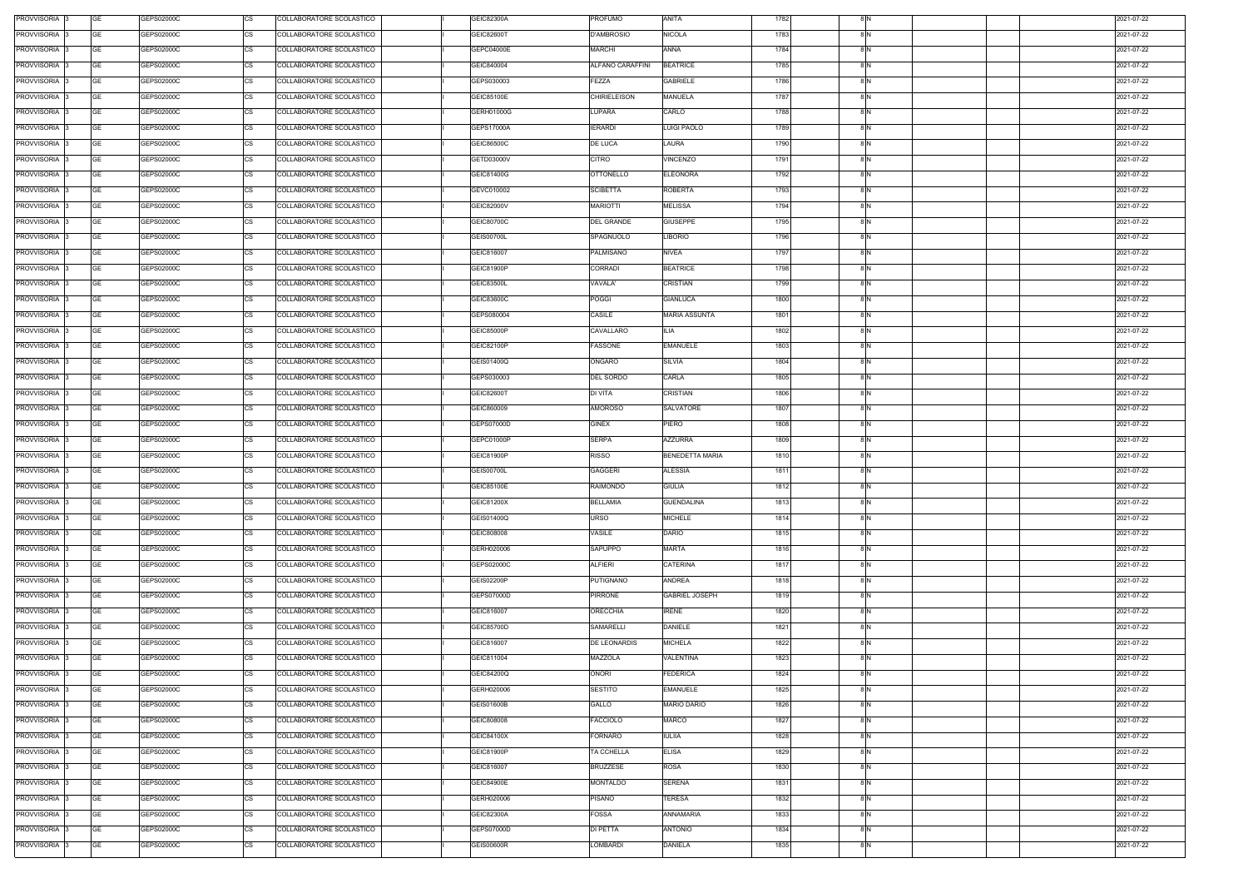| PROVVISORIA 3            | GE        | GEPS02000C | COLLABORATORE SCOLASTICO<br>CS        | GEIC82300A        | <b>PROFUMO</b>      | ANITA                  | 1782 | 8 N |  | 2021-07-22 |
|--------------------------|-----------|------------|---------------------------------------|-------------------|---------------------|------------------------|------|-----|--|------------|
| PROVVISORIA 3            | GE        | GEPS02000C | <b>CS</b><br>COLLABORATORE SCOLASTICO | <b>GEIC82600T</b> | D'AMBROSIO          | <b>NICOLA</b>          | 1783 | 8 N |  | 2021-07-22 |
| PROVVISORIA 3            | GE        | GEPS02000C | <b>CS</b><br>COLLABORATORE SCOLASTICO | GEPC04000E        | <b>MARCHI</b>       | ANNA                   | 1784 | 8 N |  | 2021-07-22 |
| PROVVISORIA 3            | GE        | GEPS02000C | <b>CS</b><br>COLLABORATORE SCOLASTICO | GEIC840004        | ALFANO CARAFFINI    | <b>BEATRICE</b>        | 1785 | 8 N |  | 2021-07-22 |
| PROVVISORIA 3            | <b>GE</b> | GEPS02000C | <b>CS</b><br>COLLABORATORE SCOLASTICO | GEPS030003        | FEZZA               | <b>GABRIELE</b>        | 1786 | 8N  |  | 2021-07-22 |
| PROVVISORIA 3            | GE        | GEPS02000C | <b>CS</b><br>COLLABORATORE SCOLASTICO | GEIC85100E        | <b>CHIRIELEISON</b> | MANUELA                | 1787 | 8 N |  | 2021-07-22 |
| PROVVISORIA 3            | <b>GE</b> | GEPS02000C | <b>CS</b><br>COLLABORATORE SCOLASTICO | GERH01000G        | LUPARA              | CARLO                  | 1788 | 8 N |  | 2021-07-22 |
| PROVVISORIA 3            | GE        | GEPS02000C | <b>CS</b><br>COLLABORATORE SCOLASTICO | GEPS17000A        | <b>IERARDI</b>      | <b>LUIGI PAOLO</b>     | 1789 | 8 N |  | 2021-07-22 |
| PROVVISORIA 3            | <b>GE</b> | GEPS02000C | <b>CS</b><br>COLLABORATORE SCOLASTICO | GEIC86500C        | DE LUCA             | LAURA                  | 1790 | 8 N |  | 2021-07-22 |
|                          |           |            |                                       |                   |                     |                        |      |     |  |            |
| PROVVISORIA 3            | <b>GE</b> | GEPS02000C | <b>CS</b><br>COLLABORATORE SCOLASTICO | GETD03000V        | <b>CITRO</b>        | VINCENZO               | 1791 | 8 N |  | 2021-07-22 |
| PROVVISORIA 3            | <b>GE</b> | GEPS02000C | <b>CS</b><br>COLLABORATORE SCOLASTICO | GEIC81400G        | <b>OTTONELLO</b>    | <b>ELEONORA</b>        | 1792 | 8 N |  | 2021-07-22 |
| PROVVISORIA 3            | <b>GE</b> | GEPS02000C | CS<br>COLLABORATORE SCOLASTICO        | GEVC010002        | <b>SCIBETTA</b>     | <b>ROBERTA</b>         | 1793 | 8 N |  | 2021-07-22 |
| PROVVISORIA 3            | <b>GE</b> | GEPS02000C | <b>CS</b><br>COLLABORATORE SCOLASTICO | GEIC82000V        | <b>MARIOTTI</b>     | <b>MELISSA</b>         | 1794 | 8 N |  | 2021-07-22 |
| PROVVISORIA 3            | <b>GE</b> | GEPS02000C | <b>CS</b><br>COLLABORATORE SCOLASTICO | GEIC80700C        | <b>DEL GRANDE</b>   | <b>GIUSEPPE</b>        | 1795 | 8 N |  | 2021-07-22 |
| PROVVISORIA 3            | <b>GE</b> | GEPS02000C | <b>CS</b><br>COLLABORATORE SCOLASTICO | <b>GEIS00700L</b> | SPAGNUOLO           | LIBORIO                | 1796 | 8 N |  | 2021-07-22 |
| PROVVISORIA 3            | <b>GE</b> | GEPS02000C | <b>CS</b><br>COLLABORATORE SCOLASTICO | GEIC816007        | PALMISANO           | <b>NIVEA</b>           | 1797 | 8N  |  | 2021-07-22 |
| PROVVISORIA 3            | <b>GE</b> | GEPS02000C | <b>CS</b><br>COLLABORATORE SCOLASTICO | GEIC81900P        | <b>CORRADI</b>      | <b>BEATRICE</b>        | 1798 | 8 N |  | 2021-07-22 |
| PROVVISORIA 3            | <b>GE</b> | GEPS02000C | <b>CS</b><br>COLLABORATORE SCOLASTICO | GEIC83500L        | VAVALA'             | CRISTIAN               | 1799 | 8N  |  | 2021-07-22 |
| PROVVISORIA 3            | <b>GE</b> | GEPS02000C | <b>CS</b><br>COLLABORATORE SCOLASTICO | GEIC83600C        | <b>POGGI</b>        | GIANLUCA               | 1800 | 8 N |  | 2021-07-22 |
| PROVVISORIA 3            | GE        | GEPS02000C | <b>CS</b><br>COLLABORATORE SCOLASTICO | GEPS080004        | CASILE              | <b>MARIA ASSUNTA</b>   | 1801 | 8 N |  | 2021-07-22 |
| PROVVISORIA 3            | GE        | GEPS02000C | <b>CS</b><br>COLLABORATORE SCOLASTICO | GEIC85000P        | CAVALLARO           | ILIA                   | 1802 | 8 N |  | 2021-07-22 |
| PROVVISORIA 3            | <b>GE</b> | GEPS02000C | <b>CS</b><br>COLLABORATORE SCOLASTICO | GEIC82100P        | FASSONE             | <b>EMANUELE</b>        | 1803 | 8 N |  | 2021-07-22 |
| PROVVISORIA 3            | <b>GE</b> | GEPS02000C | <b>CS</b><br>COLLABORATORE SCOLASTICO | GEIS01400Q        | ONGARO              | <b>SILVIA</b>          | 1804 | 8 N |  | 2021-07-22 |
| PROVVISORIA 3            | <b>GE</b> | GEPS02000C | <b>CS</b><br>COLLABORATORE SCOLASTICO | GEPS030003        | <b>DEL SORDO</b>    | CARLA                  | 1805 | 8 N |  | 2021-07-22 |
| PROVVISORIA 3            | <b>GE</b> | GEPS02000C | <b>CS</b><br>COLLABORATORE SCOLASTICO | GEIC82600T        | DI VITA             | CRISTIAN               | 1806 | 8 N |  | 2021-07-22 |
| PROVVISORIA 3            | GE        | GEPS02000C | <b>CS</b><br>COLLABORATORE SCOLASTICO | GEIC860009        | <b>AMOROSO</b>      | SALVATORE              | 1807 | 8 N |  | 2021-07-22 |
| PROVVISORIA 3            | GE        | GEPS02000C | <b>CS</b><br>COLLABORATORE SCOLASTICO | GEPS07000D        | <b>GINEX</b>        | PIERO                  | 1808 | 8 N |  | 2021-07-22 |
| PROVVISORIA 3            | <b>GE</b> | GEPS02000C | <b>CS</b><br>COLLABORATORE SCOLASTICO | GEPC01000P        | <b>SERPA</b>        | <b>AZZURRA</b>         | 1809 | 8 N |  | 2021-07-22 |
| PROVVISORIA 3            | GE        | GEPS02000C | <b>CS</b><br>COLLABORATORE SCOLASTICO | GEIC81900P        | RISSO               | <b>BENEDETTA MARIA</b> | 1810 | 8N  |  | 2021-07-22 |
| PROVVISORIA 3            | <b>GE</b> | GEPS02000C | <b>CS</b><br>COLLABORATORE SCOLASTICO | <b>GEIS00700L</b> | <b>GAGGERI</b>      | <b>ALESSIA</b>         | 1811 | 8 N |  | 2021-07-22 |
| PROVVISORIA 3            | GE        | GEPS02000C | <b>CS</b><br>COLLABORATORE SCOLASTICO | GEIC85100E        | <b>RAIMONDO</b>     | <b>GIULIA</b>          | 1812 | 8 N |  | 2021-07-22 |
| PROVVISORIA 3            | <b>GE</b> | GEPS02000C | <b>CS</b><br>COLLABORATORE SCOLASTICO | GEIC81200X        | <b>BELLAMIA</b>     | <b>GUENDALINA</b>      | 1813 | 8 N |  | 2021-07-22 |
| PROVVISORIA 3            | GE        | GEPS02000C | <b>CS</b><br>COLLABORATORE SCOLASTICO | GEIS01400Q        | <b>URSO</b>         | <b>MICHELE</b>         | 1814 | 8 N |  | 2021-07-22 |
| PROVVISORIA <sub>3</sub> | GE        | GEPS02000C | <b>CS</b><br>COLLABORATORE SCOLASTICO | GEIC808008        | VASILE              | DARIO                  | 1815 | 8 N |  | 2021-07-22 |
| PROVVISORIA 3            | <b>GE</b> | GEPS02000C | <b>CS</b><br>COLLABORATORE SCOLASTICO | GERH020006        | <b>SAPUPPO</b>      | <b>MARTA</b>           | 1816 | 8 N |  | 2021-07-22 |
|                          | <b>GE</b> | GEPS02000C | <b>CS</b><br>COLLABORATORE SCOLASTICO |                   | <b>ALFIERI</b>      | <b>CATERINA</b>        |      | 8 N |  | 2021-07-22 |
| PROVVISORIA 3            |           |            |                                       | GEPS02000C        |                     |                        | 1817 |     |  |            |
| PROVVISORIA 3            | <b>GE</b> | GEPS02000C | <b>CS</b><br>COLLABORATORE SCOLASTICO | <b>GEIS02200P</b> | <b>PUTIGNANO</b>    | <b>ANDREA</b>          | 1818 | 8 N |  | 2021-07-22 |
| PROVVISORIA 3            | <b>GE</b> | GEPS02000C | <b>CS</b><br>COLLABORATORE SCOLASTICO | GEPS07000D        | PIRRONE             | <b>GABRIEL JOSEPH</b>  | 1819 | 8 N |  | 2021-07-22 |
| PROVVISORIA 3            | <b>GE</b> | GEPS02000C | CS<br>COLLABORATORE SCOLASTICO        | GEIC816007        | <b>ORECCHIA</b>     | <b>IRENE</b>           | 1820 | 8 N |  | 2021-07-22 |
| PROVVISORIA 3            | <b>GE</b> | GEPS02000C | <b>CS</b><br>COLLABORATORE SCOLASTICO | GEIC85700D        | SAMARELLI           | DANIELE                | 1821 | 8 N |  | 2021-07-22 |
| PROVVISORIA 3            | <b>GE</b> | GEPS02000C | <b>CS</b><br>COLLABORATORE SCOLASTICO | GEIC816007        | DE LEONARDIS        | <b>MICHELA</b>         | 1822 | 8 N |  | 2021-07-22 |
| PROVVISORIA 3            | <b>GE</b> | GEPS02000C | <b>CS</b><br>COLLABORATORE SCOLASTICO | GEIC811004        | MAZZOLA             | VALENTINA              | 1823 | 8 N |  | 2021-07-22 |
| PROVVISORIA 3            | <b>GE</b> | GEPS02000C | <b>CS</b><br>COLLABORATORE SCOLASTICO | GEIC84200Q        | <b>ONORI</b>        | <b>FEDERICA</b>        | 1824 | 8 N |  | 2021-07-22 |
| PROVVISORIA 3            | <b>GE</b> | GEPS02000C | <b>CS</b><br>COLLABORATORE SCOLASTICO | GERH020006        | SESTITO             | <b>EMANUELE</b>        | 1825 | 8 N |  | 2021-07-22 |
| PROVVISORIA 3            | <b>GE</b> | GEPS02000C | CS<br>COLLABORATORE SCOLASTICO        | GEIS01600B        | GALLO               | <b>MARIO DARIO</b>     | 1826 | 8 N |  | 2021-07-22 |
| PROVVISORIA 3            | <b>GE</b> | GEPS02000C | <b>CS</b><br>COLLABORATORE SCOLASTICO | GEIC808008        | <b>FACCIOLO</b>     | MARCO                  | 1827 | 8 N |  | 2021-07-22 |
| PROVVISORIA 3            | GE        | GEPS02000C | СS<br>COLLABORATORE SCOLASTICO        | GEIC84100X        | FORNARO             | <b>IULIIA</b>          | 1828 | 8 N |  | 2021-07-22 |
| PROVVISORIA 3            | <b>GE</b> | GEPS02000C | <b>CS</b><br>COLLABORATORE SCOLASTICO | GEIC81900P        | TA CCHELLA          | <b>ELISA</b>           | 1829 | 8 N |  | 2021-07-22 |
| PROVVISORIA 3            | <b>GE</b> | GEPS02000C | <b>CS</b><br>COLLABORATORE SCOLASTICO | GEIC816007        | <b>BRUZZESE</b>     | <b>ROSA</b>            | 1830 | 8 N |  | 2021-07-22 |
| PROVVISORIA 3            | <b>GE</b> | GEPS02000C | <b>CS</b><br>COLLABORATORE SCOLASTICO | <b>GEIC84900E</b> | <b>MONTALDO</b>     | <b>SERENA</b>          | 1831 | 8 N |  | 2021-07-22 |
| PROVVISORIA 3            | <b>GE</b> | GEPS02000C | <b>CS</b><br>COLLABORATORE SCOLASTICO | GERH020006        | PISANO              | TERESA                 | 1832 | 8 N |  | 2021-07-22 |
| PROVVISORIA 3            | GE        | GEPS02000C | <b>CS</b><br>COLLABORATORE SCOLASTICO | GEIC82300A        | FOSSA               | ANNAMARIA              | 1833 | 8 N |  | 2021-07-22 |
| PROVVISORIA 3            | <b>GE</b> | GEPS02000C | <b>CS</b><br>COLLABORATORE SCOLASTICO | GEPS07000D        | DI PETTA            | ANTONIO                | 1834 | 8 N |  | 2021-07-22 |
| PROVVISORIA 3            | GE        | GEPS02000C | <b>CS</b><br>COLLABORATORE SCOLASTICO | <b>GEIS00600R</b> | <b>LOMBARDI</b>     | DANIELA                | 1835 | 8 N |  | 2021-07-22 |
|                          |           |            |                                       |                   |                     |                        |      |     |  |            |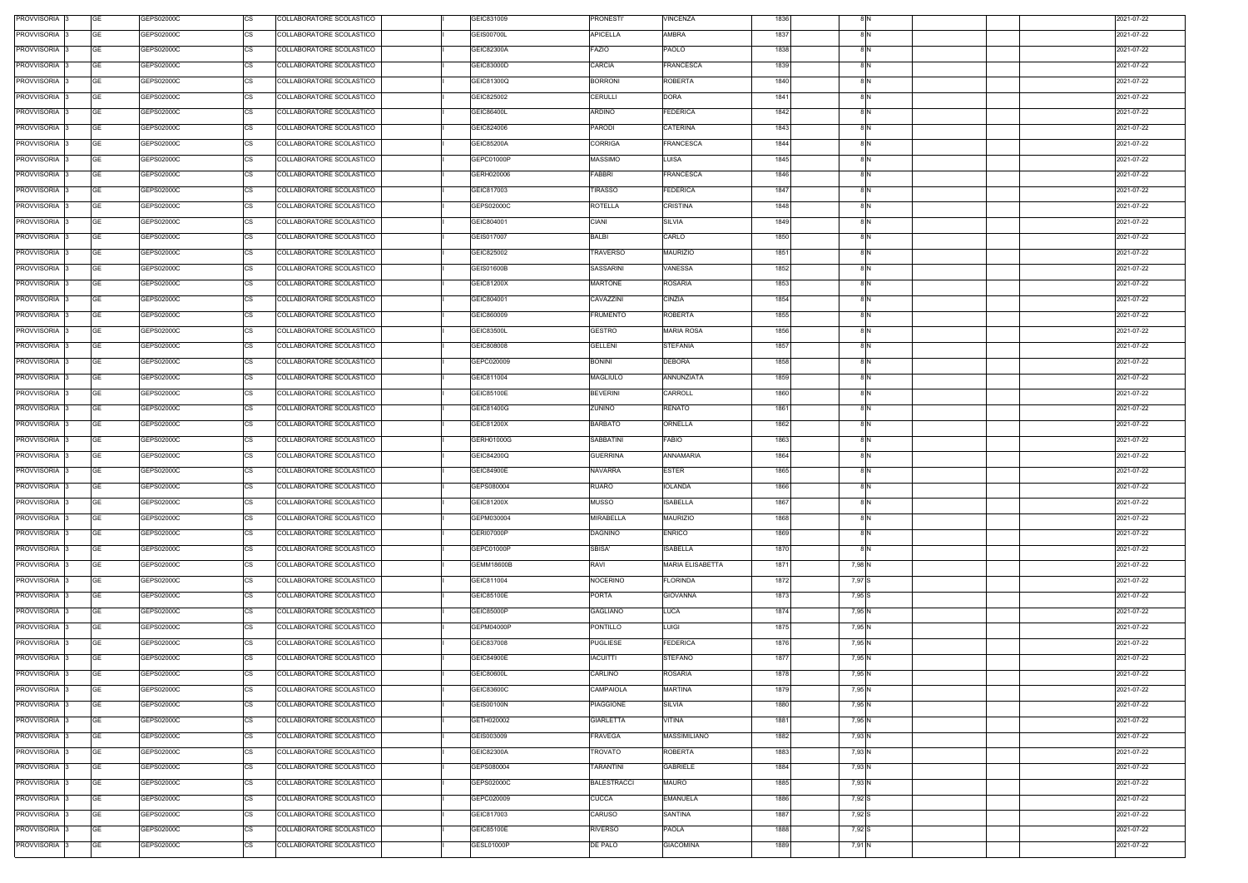| PROVVISORIA 3      | <b>GE</b> | GEPS02000C | <b>CS</b> | COLLABORATORE SCOLASTICO | GEIC831009        | PRONESTI'          | VINCENZA                | 1836 | 8 N    |  | 2021-07-22 |
|--------------------|-----------|------------|-----------|--------------------------|-------------------|--------------------|-------------------------|------|--------|--|------------|
| PROVVISORIA 3      | <b>GE</b> | GEPS02000C | СS        | COLLABORATORE SCOLASTICO | <b>GEIS00700L</b> | <b>APICELLA</b>    | AMBRA                   | 1837 |        |  | 2021-07-22 |
| PROVVISORIA 3      | <b>GE</b> | GEPS02000C | CS        | COLLABORATORE SCOLASTICO | <b>GEIC82300A</b> | FAZIO              | PAOLO                   | 1838 | 8 N    |  | 2021-07-22 |
| PROVVISORIA 3      | <b>GE</b> | GEPS02000C | CS        | COLLABORATORE SCOLASTICO | GEIC83000D        | <b>CARCIA</b>      | FRANCESCA               | 1839 | 8 N    |  | 2021-07-22 |
| PROVVISORIA 3      | GE        | GEPS02000C | CS        | COLLABORATORE SCOLASTICO | GEIC81300Q        | <b>BORRONI</b>     | <b>ROBERTA</b>          | 1840 | 8 N    |  | 2021-07-22 |
| PROVVISORIA 3      | <b>GE</b> | GEPS02000C | <b>CS</b> | COLLABORATORE SCOLASTICO | GEIC825002        | <b>CERULLI</b>     | DORA                    | 1841 | 8 N    |  | 2021-07-22 |
| PROVVISORIA 3      | GE        | GEPS02000C | <b>CS</b> | COLLABORATORE SCOLASTICO | GEIC86400L        | <b>ARDINO</b>      | <b>FEDERICA</b>         | 1842 | 8 N    |  | 2021-07-22 |
| PROVVISORIA 3      | <b>GE</b> | GEPS02000C | <b>CS</b> | COLLABORATORE SCOLASTICO | GEIC824006        | <b>PARODI</b>      | <b>CATERINA</b>         | 1843 | 8 N    |  | 2021-07-22 |
| <b>PROVVISORIA</b> | <b>GE</b> | GEPS02000C | <b>CS</b> | COLLABORATORE SCOLASTICO | <b>GEIC85200A</b> | <b>CORRIGA</b>     | FRANCESCA               | 1844 | 8 N    |  | 2021-07-22 |
| <b>PROVVISORIA</b> | <b>GE</b> | GEPS02000C | CS        | COLLABORATORE SCOLASTICO | GEPC01000P        | <b>MASSIMO</b>     | LUISA                   | 1845 | 8 N    |  | 2021-07-22 |
| <b>PROVVISORIA</b> | <b>GE</b> | GEPS02000C | <b>CS</b> | COLLABORATORE SCOLASTICO | GERH020006        | <b>FABBRI</b>      | <b>FRANCESCA</b>        | 1846 | 8 N    |  | 2021-07-22 |
| PROVVISORIA        | <b>GE</b> | GEPS02000C | CS        | COLLABORATORE SCOLASTICO | GEIC817003        | <b>TIRASSO</b>     | <b>FEDERICA</b>         | 1847 | 8 N    |  | 2021-07-22 |
| PROVVISORIA        | <b>GE</b> | GEPS02000C | CS        | COLLABORATORE SCOLASTICO | GEPS02000C        | <b>ROTELLA</b>     | <b>CRISTINA</b>         | 1848 | 8 N    |  | 2021-07-22 |
| PROVVISORIA 3      | <b>GE</b> | GEPS02000C | CS        | COLLABORATORE SCOLASTICO | GEIC804001        | <b>CIANI</b>       | <b>SILVIA</b>           | 1849 | 8 N    |  | 2021-07-22 |
| PROVVISORIA 3      | GE        | GEPS02000C | СS        | COLLABORATORE SCOLASTICO | GEIS017007        | <b>BALBI</b>       | CARLO                   | 1850 | 8 N    |  | 2021-07-22 |
| PROVVISORIA 3      | <b>GE</b> | GEPS02000C | CS        | COLLABORATORE SCOLASTICO | GEIC825002        | TRAVERSO           | <b>MAURIZIO</b>         | 1851 | 8 N    |  | 2021-07-22 |
| PROVVISORIA 3      | <b>GE</b> | GEPS02000C | <b>CS</b> | COLLABORATORE SCOLASTICO | <b>GEIS01600B</b> | <b>SASSARINI</b>   | VANESSA                 | 1852 | 8 N    |  | 2021-07-22 |
|                    | <b>GE</b> | GEPS02000C | CS        | COLLABORATORE SCOLASTICO | GEIC81200X        | <b>MARTONE</b>     | <b>ROSARIA</b>          | 1853 | 8 N    |  |            |
| PROVVISORIA 3      |           |            |           |                          |                   |                    |                         |      |        |  | 2021-07-22 |
| PROVVISORIA 3      | GE        | GEPS02000C | СS        | COLLABORATORE SCOLASTICO | GEIC804001        | CAVAZZINI          | CINZIA                  | 1854 | 8 N    |  | 2021-07-22 |
| PROVVISORIA 3      | <b>GE</b> | GEPS02000C | СS        | COLLABORATORE SCOLASTICO | GEIC860009        | <b>FRUMENTO</b>    | <b>ROBERTA</b>          | 1855 | 8 N    |  | 2021-07-22 |
| PROVVISORIA 3      | GE        | GEPS02000C | СS        | COLLABORATORE SCOLASTICO | GEIC83500L        | GESTRO             | <b>MARIA ROSA</b>       | 1856 | 8 N    |  | 2021-07-22 |
| PROVVISORIA 3      | <b>GE</b> | GEPS02000C | СS        | COLLABORATORE SCOLASTICO | GEIC808008        | <b>GELLENI</b>     | <b>STEFANIA</b>         | 1857 | 8 N    |  | 2021-07-22 |
| <b>PROVVISORIA</b> | <b>GE</b> | GEPS02000C | <b>CS</b> | COLLABORATORE SCOLASTICO | GEPC020009        | <b>BONINI</b>      | <b>DEBORA</b>           | 1858 | 8 N    |  | 2021-07-22 |
| PROVVISORIA 3      | <b>GE</b> | GEPS02000C | CS        | COLLABORATORE SCOLASTICO | GEIC811004        | <b>MAGLIULO</b>    | ANNUNZIATA              | 1859 | 8 N    |  | 2021-07-22 |
| <b>PROVVISORIA</b> | <b>GE</b> | GEPS02000C | СS        | COLLABORATORE SCOLASTICO | GEIC85100E        | <b>BEVERINI</b>    | CARROLL                 | 1860 | 8 N    |  | 2021-07-22 |
| PROVVISORIA 3      | <b>GE</b> | GEPS02000C | СS        | COLLABORATORE SCOLASTICO | GEIC81400G        | ZUNINO             | RENATO                  | 1861 | 8 N    |  | 2021-07-22 |
| PROVVISORIA 3      | <b>GE</b> | GEPS02000C | СS        | COLLABORATORE SCOLASTICO | GEIC81200X        | <b>BARBATO</b>     | ORNELLA                 | 1862 | 8 N    |  | 2021-07-22 |
| PROVVISORIA 3      | <b>GE</b> | GEPS02000C | CS        | COLLABORATORE SCOLASTICO | GERH01000G        | <b>SABBATINI</b>   | <b>FABIO</b>            | 1863 | 8 N    |  | 2021-07-22 |
| PROVVISORIA 3      | <b>GE</b> | GEPS02000C | <b>CS</b> | COLLABORATORE SCOLASTICO | GEIC84200Q        | <b>GUERRINA</b>    | <b>ANNAMARIA</b>        | 1864 | 8 N    |  | 2021-07-22 |
| PROVVISORIA 3      | <b>GE</b> | GEPS02000C | <b>CS</b> | COLLABORATORE SCOLASTICO | <b>GEIC84900E</b> | <b>NAVARRA</b>     | <b>ESTER</b>            | 1865 | 8 N    |  | 2021-07-22 |
| PROVVISORIA 3      | <b>GE</b> | GEPS02000C | <b>CS</b> | COLLABORATORE SCOLASTICO | GEPS080004        | <b>RUARO</b>       | <b>IOLANDA</b>          | 1866 | 8 N    |  | 2021-07-22 |
| PROVVISORIA 3      | <b>GE</b> | GEPS02000C | <b>CS</b> | COLLABORATORE SCOLASTICO | GEIC81200X        | <b>MUSSO</b>       | <b>ISABELLA</b>         | 1867 | 8 N    |  | 2021-07-22 |
| PROVVISORIA 3      | <b>GE</b> | GEPS02000C | <b>CS</b> | COLLABORATORE SCOLASTICO | GEPM030004        | <b>MIRABELLA</b>   | <b>MAURIZIO</b>         | 1868 | 8 N    |  | 2021-07-22 |
| PROVVISORIA 3      | GE        | GEPS02000C | <b>CS</b> | COLLABORATORE SCOLASTICO | <b>GERI07000P</b> | <b>DAGNINO</b>     | <b>ENRICO</b>           | 1869 | 8 N    |  | 2021-07-22 |
| <b>PROVVISORIA</b> | <b>GE</b> | GEPS02000C | CS        | COLLABORATORE SCOLASTICO | GEPC01000P        | SBISA'             | <b>ISABELLA</b>         | 1870 | 8 N    |  | 2021-07-22 |
| PROVVISORIA 3      | <b>GE</b> | GEPS02000C | <b>CS</b> | COLLABORATORE SCOLASTICO | <b>GEMM18600B</b> | <b>RAVI</b>        | <b>MARIA ELISABETTA</b> | 1871 | 7,98 N |  | 2021-07-22 |
| PROVVISORIA 3      | <b>GE</b> | GEPS02000C | CS        | COLLABORATORE SCOLASTICO | GEIC811004        | <b>NOCERINO</b>    | <b>FLORINDA</b>         | 1872 | 7,97 S |  | 2021-07-22 |
| <b>PROVVISORIA</b> | <b>GE</b> | GEPS02000C | CS        | COLLABORATORE SCOLASTICO | GEIC85100E        | <b>PORTA</b>       | GIOVANNA                | 1873 | 7,95 S |  | 2021-07-22 |
| PROVVISORIA 3      | <b>GE</b> | GEPS02000C | CS        | COLLABORATORE SCOLASTICO | GEIC85000P        | <b>GAGLIANO</b>    | LUCA                    | 1874 | 7,95 N |  | 2021-07-22 |
| PROVVISORIA 3      | <b>GE</b> | GEPS02000C | CS        | COLLABORATORE SCOLASTICO | GEPM04000P        | PONTILLO           | <b>LUIGI</b>            | 1875 | 7,95 N |  | 2021-07-22 |
| PROVVISORIA 3      | <b>GE</b> | GEPS02000C | CS        | COLLABORATORE SCOLASTICO | GEIC837008        | PUGLIESE           | <b>FEDERICA</b>         | 1876 | 7,95 N |  | 2021-07-22 |
| PROVVISORIA 3      | <b>GE</b> | GEPS02000C | <b>CS</b> | COLLABORATORE SCOLASTICO | <b>GEIC84900E</b> | <b>IACUITTI</b>    | <b>STEFANO</b>          | 1877 | 7,95 N |  | 2021-07-22 |
| PROVVISORIA 3      | <b>GE</b> | GEPS02000C | CS        | COLLABORATORE SCOLASTICO | GEIC80600L        | CARLINO            | <b>ROSARIA</b>          | 1878 | 7,95 N |  | 2021-07-22 |
| PROVVISORIA 3      | <b>GE</b> | GEPS02000C | <b>CS</b> | COLLABORATORE SCOLASTICO | GEIC83600C        | CAMPAIOLA          | <b>MARTINA</b>          | 1879 | 7,95 N |  | 2021-07-22 |
| PROVVISORIA 3      | <b>GE</b> | GEPS02000C | CS        | COLLABORATORE SCOLASTICO | <b>GEIS00100N</b> | PIAGGIONE          | SILVIA                  | 1880 | 7,95 N |  | 2021-07-22 |
| PROVVISORIA 3      | <b>GE</b> | GEPS02000C | СS        |                          |                   | GIARLETTA          | VITINA                  | 1881 |        |  | 2021-07-22 |
|                    | <b>GE</b> |            |           | COLLABORATORE SCOLASTICO | GETH020002        |                    |                         |      | 7,95 N |  |            |
| PROVVISORIA 3      |           | GEPS02000C | СS        | COLLABORATORE SCOLASTICO | GEIS003009        | <b>FRAVEGA</b>     | MASSIMILIANO            | 1882 | 7,93 N |  | 2021-07-22 |
| <b>PROVVISORIA</b> | <b>GE</b> | GEPS02000C | <b>CS</b> | COLLABORATORE SCOLASTICO | <b>GEIC82300A</b> | TROVATO            | <b>ROBERTA</b>          | 1883 | 7,93 N |  | 2021-07-22 |
| PROVVISORIA 3      | <b>GE</b> | GEPS02000C | <b>CS</b> | COLLABORATORE SCOLASTICO | GEPS080004        | <b>TARANTINI</b>   | GABRIELE                | 1884 | 7,93 N |  | 2021-07-22 |
| PROVVISORIA 3      | <b>GE</b> | GEPS02000C | <b>CS</b> | COLLABORATORE SCOLASTICO | GEPS02000C        | <b>BALESTRACCI</b> | <b>MAURO</b>            | 1885 | 7,93 N |  | 2021-07-22 |
| PROVVISORIA 3      | <b>GE</b> | GEPS02000C | СS        | COLLABORATORE SCOLASTICO | GEPC020009        | <b>CUCCA</b>       | EMANUELA                | 1886 | 7,92 S |  | 2021-07-22 |
| PROVVISORIA 3      | <b>GE</b> | GEPS02000C | СS        | COLLABORATORE SCOLASTICO | GEIC817003        | CARUSO             | SANTINA                 | 1887 | 7,92 S |  | 2021-07-22 |
| PROVVISORIA 3      | <b>GE</b> | GEPS02000C | СS        | COLLABORATORE SCOLASTICO | GEIC85100E        | RIVERSO            | PAOLA                   | 1888 | 7,92 S |  | 2021-07-22 |
| PROVVISORIA 3      | <b>GE</b> | GEPS02000C | <b>CS</b> | COLLABORATORE SCOLASTICO | GESL01000P        | DE PALO            | <b>GIACOMINA</b>        | 1889 | 7,91 N |  | 2021-07-22 |
|                    |           |            |           |                          |                   |                    |                         |      |        |  |            |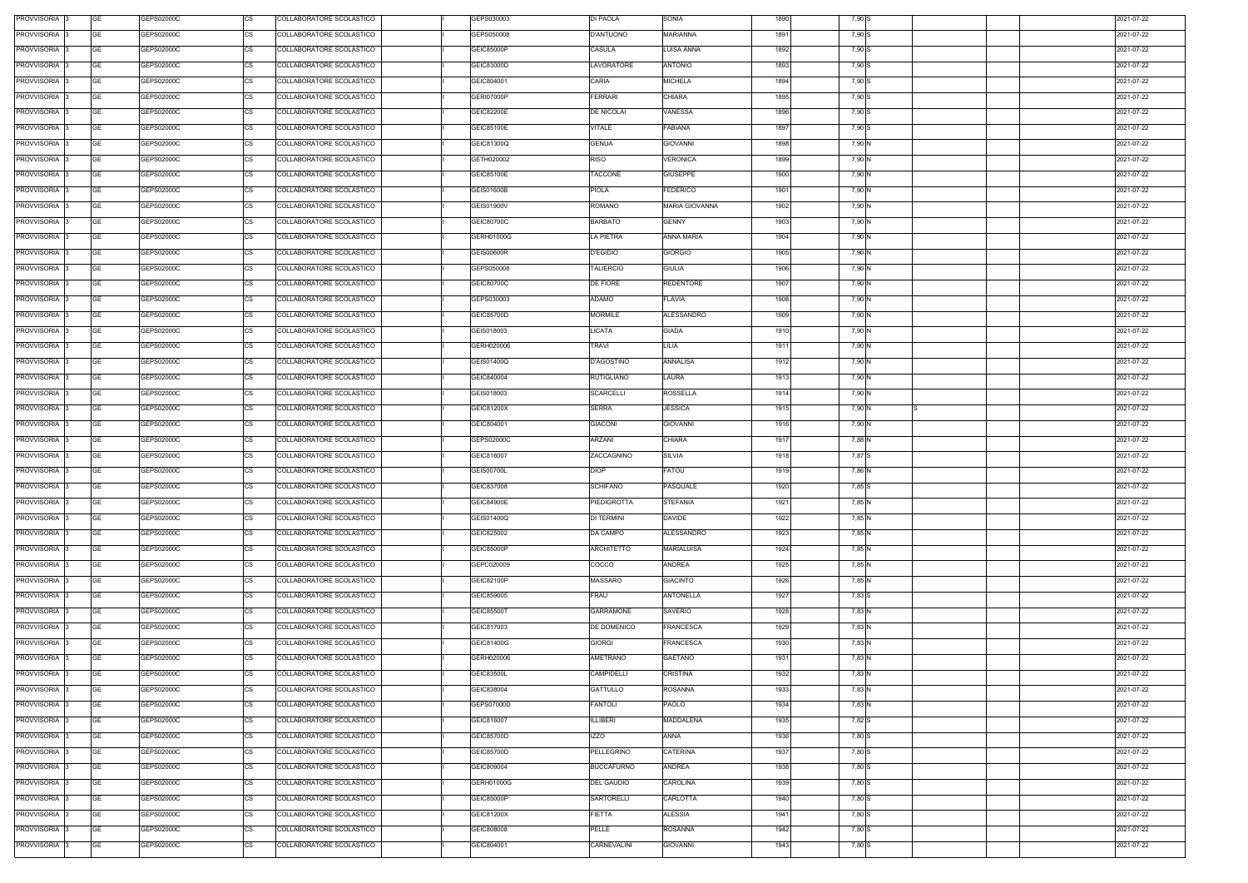| PROVVISORIA 3            | GE        | GEPS02000C | COLLABORATORE SCOLASTICO<br>CS        | GEPS030003        | DI PAOLA           | <b>SONIA</b>          | 1890 | 7,90 S |  | 2021-07-22 |
|--------------------------|-----------|------------|---------------------------------------|-------------------|--------------------|-----------------------|------|--------|--|------------|
| PROVVISORIA 3            | GE        | GEPS02000C | <b>CS</b><br>COLLABORATORE SCOLASTICO | GEPS050008        | D'ANTUONO          | MARIANNA              | 1891 | 7,90 S |  | 2021-07-22 |
| PROVVISORIA 3            | GE        | GEPS02000C | <b>CS</b><br>COLLABORATORE SCOLASTICO | GEIC85000P        | CASULA             | LUISA ANNA            | 1892 | 7,90 S |  | 2021-07-22 |
| PROVVISORIA 3            | GE        | GEPS02000C | <b>CS</b><br>COLLABORATORE SCOLASTICO | GEIC83000D        | LAVORATORE         | ANTONIO               | 1893 | 7,90 S |  | 2021-07-22 |
| PROVVISORIA 3            | <b>GE</b> | GEPS02000C | <b>CS</b><br>COLLABORATORE SCOLASTICO | GEIC804001        | <b>CARIA</b>       | <b>MICHELA</b>        | 1894 | 7,90 S |  | 2021-07-22 |
| PROVVISORIA 3            | GE        | GEPS02000C | <b>CS</b><br>COLLABORATORE SCOLASTICO | GERI07000P        | <b>FERRARI</b>     | <b>CHIARA</b>         | 1895 | 7,90 S |  | 2021-07-22 |
| PROVVISORIA 3            | <b>GE</b> | GEPS02000C | <b>CS</b><br>COLLABORATORE SCOLASTICO | <b>GEIC82200E</b> | DE NICOLAI         | VANESSA               | 1896 | 7,90 S |  | 2021-07-22 |
| PROVVISORIA 3            | GE        | GEPS02000C | <b>CS</b><br>COLLABORATORE SCOLASTICO | GEIC85100E        | <b>VITALE</b>      | FABIANA               | 1897 | 7,90 S |  | 2021-07-22 |
| PROVVISORIA 3            | <b>GE</b> | GEPS02000C | <b>CS</b><br>COLLABORATORE SCOLASTICO | GEIC81300Q        | <b>GENUA</b>       | <b>GIOVANNI</b>       | 1898 | 7,90 N |  | 2021-07-22 |
|                          |           |            |                                       |                   |                    |                       |      |        |  |            |
| PROVVISORIA 3            | <b>GE</b> | GEPS02000C | <b>CS</b><br>COLLABORATORE SCOLASTICO | GETH020002        | <b>RISO</b>        | VERONICA              | 1899 | 7,90 N |  | 2021-07-22 |
| PROVVISORIA 3            | <b>GE</b> | GEPS02000C | <b>CS</b><br>COLLABORATORE SCOLASTICO | GEIC85100E        | <b>TACCONE</b>     | <b>GIUSEPPE</b>       | 1900 | 7,90 N |  | 2021-07-22 |
| PROVVISORIA 3            | <b>GE</b> | GEPS02000C | CS<br>COLLABORATORE SCOLASTICO        | <b>GEIS01600B</b> | <b>PIOLA</b>       | <b>FEDERICO</b>       | 1901 | 7,90 N |  | 2021-07-22 |
| PROVVISORIA 3            | <b>GE</b> | GEPS02000C | <b>CS</b><br>COLLABORATORE SCOLASTICO | GEIS01900V        | <b>ROMANO</b>      | <b>MARIA GIOVANNA</b> | 1902 | 7,90 N |  | 2021-07-22 |
| PROVVISORIA 3            | <b>GE</b> | GEPS02000C | <b>CS</b><br>COLLABORATORE SCOLASTICO | GEIC80700C        | <b>BARBATO</b>     | <b>GENNY</b>          | 1903 | 7,90 N |  | 2021-07-22 |
| PROVVISORIA 3            | <b>GE</b> | GEPS02000C | COLLABORATORE SCOLASTICO<br>СS        | GERH01000G        | <b>LA PIETRA</b>   | ANNA MARIA            | 1904 | 7,90 N |  | 2021-07-22 |
| PROVVISORIA 3            | <b>GE</b> | GEPS02000C | <b>CS</b><br>COLLABORATORE SCOLASTICO | <b>GEIS00600R</b> | <b>D'EGIDIO</b>    | <b>GIORGIO</b>        | 1905 | 7,90 N |  | 2021-07-22 |
| PROVVISORIA 3            | <b>GE</b> | GEPS02000C | <b>CS</b><br>COLLABORATORE SCOLASTICO | GEPS050008        | <b>TALIERCIO</b>   | <b>GIULIA</b>         | 1906 | 7,90 N |  | 2021-07-22 |
| PROVVISORIA 3            | <b>GE</b> | GEPS02000C | <b>CS</b><br>COLLABORATORE SCOLASTICO | GEIC80700C        | DE FIORE           | <b>REDENTORE</b>      | 1907 | 7,90 N |  | 2021-07-22 |
| PROVVISORIA 3            | <b>GE</b> | GEPS02000C | <b>CS</b><br>COLLABORATORE SCOLASTICO | GEPS030003        | ADAMO              | <b>FLAVIA</b>         | 1908 | 7,90 N |  | 2021-07-22 |
| PROVVISORIA 3            | GE        | GEPS02000C | <b>CS</b><br>COLLABORATORE SCOLASTICO | GEIC85700D        | <b>MORMILE</b>     | ALESSANDRO            | 1909 | 7,90 N |  | 2021-07-22 |
| PROVVISORIA 3            | GE        | GEPS02000C | <b>CS</b><br>COLLABORATORE SCOLASTICO | GEIS018003        | LICATA             | <b>GIADA</b>          | 1910 | 7,90 N |  | 2021-07-22 |
| PROVVISORIA 3            | <b>GE</b> | GEPS02000C | <b>CS</b><br>COLLABORATORE SCOLASTICO | GERH020006        | TRAVI              | LILIA.                | 1911 | 7,90 N |  | 2021-07-22 |
| PROVVISORIA 3            | <b>GE</b> | GEPS02000C | <b>CS</b><br>COLLABORATORE SCOLASTICO | GEIS01400Q        | <b>D'AGOSTINO</b>  | ANNALISA              | 1912 | 7,90 N |  | 2021-07-22 |
| PROVVISORIA 3            | <b>GE</b> | GEPS02000C | <b>CS</b><br>COLLABORATORE SCOLASTICO | GEIC840004        | <b>RUTIGLIANO</b>  | LAURA                 | 1913 | 7,90 N |  | 2021-07-22 |
| PROVVISORIA 3            | <b>GE</b> | GEPS02000C | <b>CS</b><br>COLLABORATORE SCOLASTICO | GEIS018003        | SCARCELLI          | ROSSELLA              | 1914 | 7,90 N |  | 2021-07-22 |
| PROVVISORIA 3            | <b>GE</b> | GEPS02000C | <b>CS</b><br>COLLABORATORE SCOLASTICO | GEIC81200X        | SERRA              | <b>JESSICA</b>        | 1915 | 7,90 N |  | 2021-07-22 |
| PROVVISORIA 3            | GE        | GEPS02000C | <b>CS</b><br>COLLABORATORE SCOLASTICO | GEIC804001        | GIACONI            | <b>GIOVANNI</b>       | 1916 | 7,90 N |  | 2021-07-22 |
| PROVVISORIA 3            | <b>GE</b> | GEPS02000C | <b>CS</b><br>COLLABORATORE SCOLASTICO | GEPS02000C        | <b>ARZANI</b>      | <b>CHIARA</b>         | 1917 | 7,88 N |  | 2021-07-22 |
| PROVVISORIA 3            | GE        | GEPS02000C | <b>CS</b><br>COLLABORATORE SCOLASTICO | GEIC816007        | ZACCAGNINO         | <b>SILVIA</b>         | 1918 | 7,87 S |  | 2021-07-22 |
| PROVVISORIA 3            | <b>GE</b> | GEPS02000C | <b>CS</b><br>COLLABORATORE SCOLASTICO | <b>GEIS00700L</b> | <b>DIOP</b>        | <b>FATOU</b>          | 1919 | 7,86 N |  | 2021-07-22 |
| PROVVISORIA 3            | GE        | GEPS02000C | <b>CS</b><br>COLLABORATORE SCOLASTICO | GEIC837008        | <b>SCHIFANO</b>    | PASQUALE              | 1920 | 7,85 S |  | 2021-07-22 |
| PROVVISORIA <sup>3</sup> | <b>GE</b> | GEPS02000C | <b>CS</b><br>COLLABORATORE SCOLASTICO | GEIC84900E        | PIEDIGROTTA        | <b>STEFANIA</b>       | 1921 | 7,85 N |  | 2021-07-22 |
| PROVVISORIA 3            | GE        | GEPS02000C | <b>CS</b><br>COLLABORATORE SCOLASTICO | GEIS01400Q        | DI TERMINI         | <b>DAVIDE</b>         | 1922 | 7,85 N |  | 2021-07-22 |
| PROVVISORIA 3            | GE        | GEPS02000C | <b>CS</b><br>COLLABORATORE SCOLASTICO | GEIC825002        | DA CAMPO           | <b>ALESSANDRO</b>     | 1923 | 7,85 N |  | 2021-07-22 |
| PROVVISORIA 3            | <b>GE</b> | GEPS02000C | <b>CS</b><br>COLLABORATORE SCOLASTICO | GEIC85000P        | <b>ARCHITETTO</b>  | <b>MARIALUISA</b>     | 1924 | 7,85 N |  | 2021-07-22 |
| PROVVISORIA 3            | <b>GE</b> | GEPS02000C | <b>CS</b><br>COLLABORATORE SCOLASTICO | GEPC020009        | COCCO              | <b>ANDREA</b>         | 1925 | 7,85 N |  | 2021-07-22 |
| PROVVISORIA 3            | <b>GE</b> | GEPS02000C | <b>CS</b><br>COLLABORATORE SCOLASTICO | GEIC82100P        | MASSARO            | <b>GIACINTO</b>       | 1926 | 7,85 N |  | 2021-07-22 |
| PROVVISORIA 3            | <b>GE</b> | GEPS02000C | <b>CS</b><br>COLLABORATORE SCOLASTICO | GEIC859005        | FRAU               | <b>ANTONELLA</b>      | 1927 | 7,83 S |  | 2021-07-22 |
| PROVVISORIA 3            | <b>GE</b> | GEPS02000C | CS<br>COLLABORATORE SCOLASTICO        | GEIC85500T        | <b>GARRAMONE</b>   | SAVERIO               | 1928 | 7,83 N |  | 2021-07-22 |
| PROVVISORIA 3            | <b>GE</b> | GEPS02000C | <b>CS</b><br>COLLABORATORE SCOLASTICO | GEIC817003        | <b>DE DOMENICO</b> | <b>FRANCESCA</b>      | 1929 | 7,83 N |  | 2021-07-22 |
| PROVVISORIA 3            | <b>GE</b> | GEPS02000C | <b>CS</b><br>COLLABORATORE SCOLASTICO | GEIC81400G        | <b>GIORGI</b>      | <b>FRANCESCA</b>      | 1930 | 7,83 N |  | 2021-07-22 |
| PROVVISORIA 3            | <b>GE</b> | GEPS02000C | <b>CS</b><br>COLLABORATORE SCOLASTICO | GERH020006        | AMETRANO           | <b>GAETANO</b>        | 1931 | 7,83 N |  | 2021-07-22 |
| PROVVISORIA 3            | <b>GE</b> | GEPS02000C | <b>CS</b><br>COLLABORATORE SCOLASTICO | GEIC83500L        | <b>CAMPIDELLI</b>  | CRISTINA              | 1932 | 7,83 N |  | 2021-07-22 |
| PROVVISORIA 3            | <b>GE</b> | GEPS02000C | <b>CS</b><br>COLLABORATORE SCOLASTICO | GEIC838004        | <b>GATTULLO</b>    | <b>ROSANNA</b>        | 1933 | 7,83 N |  | 2021-07-22 |
| PROVVISORIA 3            | <b>GE</b> | GEPS02000C | CS<br>COLLABORATORE SCOLASTICO        | GEPS07000D        | <b>FANTOLI</b>     | PAOLO                 | 1934 | 7,83 N |  | 2021-07-22 |
| PROVVISORIA 3            | <b>GE</b> | GEPS02000C | <b>CS</b><br>COLLABORATORE SCOLASTICO | GEIC816007        | <b>ILLIBERI</b>    | <b>MADDALENA</b>      | 1935 | 7,82 S |  | 2021-07-22 |
| PROVVISORIA 3            | GE        | GEPS02000C | СS<br>COLLABORATORE SCOLASTICO        | GEIC85700D        | <b>IZZO</b>        | ANNA                  | 1936 | 7,80 S |  | 2021-07-22 |
| PROVVISORIA 3            | <b>GE</b> | GEPS02000C | <b>CS</b><br>COLLABORATORE SCOLASTICO | GEIC85700D        | PELLEGRINO         | <b>CATERINA</b>       | 1937 | 7,80 S |  | 2021-07-22 |
| PROVVISORIA 3            | <b>GE</b> | GEPS02000C | <b>CS</b><br>COLLABORATORE SCOLASTICO | GEIC809004        | <b>BUCCAFURNO</b>  | ANDREA                | 1938 | 7,80 S |  | 2021-07-22 |
| PROVVISORIA 3            | <b>GE</b> | GEPS02000C | <b>CS</b><br>COLLABORATORE SCOLASTICO | GERH01000G        | <b>DEL GAUDIO</b>  | CAROLINA              | 1939 | 7,80 S |  | 2021-07-22 |
| PROVVISORIA 3            | <b>GE</b> | GEPS02000C | <b>CS</b><br>COLLABORATORE SCOLASTICO | GEIC85000P        | SARTORELLI         | CARLOTTA              | 1940 | 7,80 S |  | 2021-07-22 |
| PROVVISORIA 3            | GE        | GEPS02000C | <b>CS</b><br>COLLABORATORE SCOLASTICO | GEIC81200X        | FIETTA             | ALESSIA               | 1941 |        |  | 2021-07-22 |
|                          |           |            |                                       |                   |                    |                       |      | 7,80 S |  |            |
| PROVVISORIA 3            | <b>GE</b> | GEPS02000C | <b>CS</b><br>COLLABORATORE SCOLASTICO | GEIC808008        | PELLE              | <b>ROSANNA</b>        | 1942 | 7,80 S |  | 2021-07-22 |
| PROVVISORIA 3            | GE        | GEPS02000C | <b>CS</b><br>COLLABORATORE SCOLASTICO | GEIC804001        | CARNEVALINI        | <b>GIOVANNI</b>       | 1943 | 7,80 S |  | 2021-07-22 |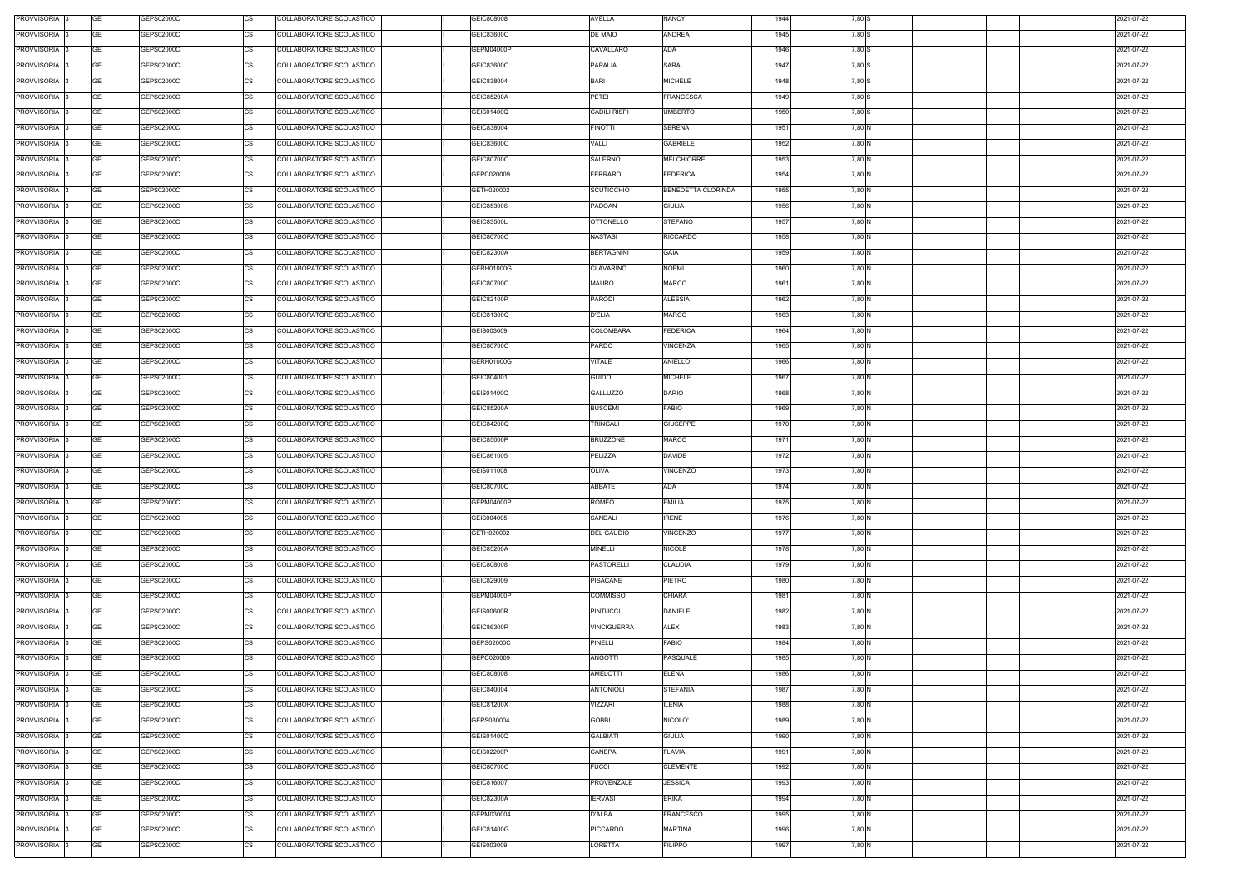| PROVVISORIA 3      | <b>GE</b> | GEPS02000C | <b>CS</b> | COLLABORATORE SCOLASTICO | GEIC808008        | AVELLA              | <b>NANCY</b>       | 1944 | 7,80 S |  | 2021-07-22 |
|--------------------|-----------|------------|-----------|--------------------------|-------------------|---------------------|--------------------|------|--------|--|------------|
| PROVVISORIA 3      | <b>GE</b> | GEPS02000C | СS        | COLLABORATORE SCOLASTICO | GEIC83600C        | DE MAIO             | <b>ANDREA</b>      | 1945 | 7,80 S |  | 2021-07-22 |
| PROVVISORIA 3      | <b>GE</b> | GEPS02000C | CS        | COLLABORATORE SCOLASTICO | GEPM04000P        | CAVALLARO           | ADA                | 1946 | 7,80 S |  | 2021-07-22 |
| PROVVISORIA 3      | <b>GE</b> | GEPS02000C | CS        | COLLABORATORE SCOLASTICO | GEIC83600C        | <b>PAPALIA</b>      | SARA               | 1947 | 7,80 S |  | 2021-07-22 |
| PROVVISORIA 3      | GE        | GEPS02000C | CS        | COLLABORATORE SCOLASTICO | GEIC838004        | <b>BARI</b>         | <b>MICHELE</b>     | 1948 | 7,80 S |  | 2021-07-22 |
| PROVVISORIA 3      | <b>GE</b> | GEPS02000C | <b>CS</b> | COLLABORATORE SCOLASTICO | GEIC85200A        | PETEI               | <b>FRANCESCA</b>   | 1949 | 7,80 S |  | 2021-07-22 |
| PROVVISORIA 3      | GE        | GEPS02000C | <b>CS</b> | COLLABORATORE SCOLASTICO | GEIS01400Q        | <b>CADILI RISPI</b> | <b>UMBERTO</b>     | 1950 | 7,80 S |  | 2021-07-22 |
| PROVVISORIA 3      | <b>GE</b> | GEPS02000C | <b>CS</b> | COLLABORATORE SCOLASTICO | GEIC838004        | <b>FINOTTI</b>      | <b>SERENA</b>      | 1951 | 7,80 N |  | 2021-07-22 |
| <b>PROVVISORIA</b> | GE        | GEPS02000C | <b>CS</b> | COLLABORATORE SCOLASTICO | GEIC83600C        | VALLI               | <b>GABRIELE</b>    | 1952 | 7,80 N |  | 2021-07-22 |
| <b>PROVVISORIA</b> | <b>GE</b> | GEPS02000C | CS        | COLLABORATORE SCOLASTICO | GEIC80700C        | <b>SALERNO</b>      | <b>MELCHIORRE</b>  | 1953 | 7,80 N |  | 2021-07-22 |
| PROVVISORIA        | <b>GE</b> | GEPS02000C | <b>CS</b> | COLLABORATORE SCOLASTICO | GEPC020009        | FERRARO             | <b>FEDERICA</b>    | 1954 | 7,80 N |  | 2021-07-22 |
| PROVVISORIA        | <b>GE</b> | GEPS02000C | CS        | COLLABORATORE SCOLASTICO | GETH020002        | <b>SCUTICCHIO</b>   | BENEDETTA CLORINDA | 1955 | 7,80 N |  | 2021-07-22 |
| PROVVISORIA        | <b>GE</b> | GEPS02000C | <b>CS</b> | COLLABORATORE SCOLASTICO | GEIC853006        | PADOAN              | <b>GIULIA</b>      | 1956 | 7,80 N |  | 2021-07-22 |
| PROVVISORIA 3      | <b>GE</b> | GEPS02000C | CS        | COLLABORATORE SCOLASTICO | GEIC83500L        | <b>OTTONELLO</b>    | STEFANO            | 1957 | 7,80 N |  | 2021-07-22 |
| PROVVISORIA 3      | <b>GE</b> | GEPS02000C | СS        | COLLABORATORE SCOLASTICO | GEIC80700C        | <b>NASTASI</b>      | <b>RICCARDO</b>    | 1958 | 7,80 N |  | 2021-07-22 |
| PROVVISORIA 3      | <b>GE</b> | GEPS02000C | CS        | COLLABORATORE SCOLASTICO | <b>GEIC82300A</b> | <b>BERTAGNINI</b>   | <b>GAIA</b>        | 1959 | 7,80 N |  | 2021-07-22 |
| PROVVISORIA 3      | <b>GE</b> | GEPS02000C | <b>CS</b> | COLLABORATORE SCOLASTICO | GERH01000G        | <b>CLAVARINO</b>    | <b>NOEMI</b>       | 1960 | 7,80 N |  | 2021-07-22 |
| PROVVISORIA 3      | <b>GE</b> | GEPS02000C | CS        | COLLABORATORE SCOLASTICO | GEIC80700C        | <b>MAURO</b>        | <b>MARCO</b>       | 1961 | 7,80 N |  | 2021-07-22 |
| PROVVISORIA 3      | <b>GE</b> | GEPS02000C |           | COLLABORATORE SCOLASTICO |                   | <b>PARODI</b>       | ALESSIA            | 1962 |        |  | 2021-07-22 |
|                    |           |            | СS        |                          | GEIC82100P        |                     |                    |      | 7,80 N |  |            |
| PROVVISORIA 3      | <b>GE</b> | GEPS02000C | СS        | COLLABORATORE SCOLASTICO | GEIC81300Q        | <b>D'ELIA</b>       | MARCO              | 1963 | 7,80 N |  | 2021-07-22 |
| PROVVISORIA 3      | GE        | GEPS02000C | СS        | COLLABORATORE SCOLASTICO | GEIS003009        | COLOMBARA           | <b>FEDERICA</b>    | 1964 | 7,80 N |  | 2021-07-22 |
| PROVVISORIA 3      | <b>GE</b> | GEPS02000C | СS        | COLLABORATORE SCOLASTICO | GEIC80700C        | PARDO               | VINCENZA           | 1965 | 7,80 N |  | 2021-07-22 |
| PROVVISORIA 3      | <b>GE</b> | GEPS02000C | <b>CS</b> | COLLABORATORE SCOLASTICO | GERH01000G        | <b>VITALE</b>       | ANIELLO            | 1966 | 7,80 N |  | 2021-07-22 |
| PROVVISORIA 3      | <b>GE</b> | GEPS02000C | <b>CS</b> | COLLABORATORE SCOLASTICO | GEIC804001        | <b>GUIDO</b>        | <b>MICHELE</b>     | 1967 | 7,80 N |  | 2021-07-22 |
| <b>PROVVISORIA</b> | <b>GE</b> | GEPS02000C | СS        | COLLABORATORE SCOLASTICO | GEIS01400Q        | <b>GALLUZZO</b>     | DARIO              | 1968 | 7,80 N |  | 2021-07-22 |
| PROVVISORIA 3      | <b>GE</b> | GEPS02000C | СS        | COLLABORATORE SCOLASTICO | <b>GEIC85200A</b> | <b>BUSCEMI</b>      | <b>FABIO</b>       | 1969 | 7,80 N |  | 2021-07-22 |
| PROVVISORIA 3      | <b>GE</b> | GEPS02000C | СS        | COLLABORATORE SCOLASTICO | GEIC84200Q        | TRINGALI            | <b>GIUSEPPE</b>    | 1970 | 7,80 N |  | 2021-07-22 |
| PROVVISORIA 3      | <b>GE</b> | GEPS02000C | CS        | COLLABORATORE SCOLASTICO | <b>GEIC85000P</b> | <b>BRUZZONE</b>     | <b>MARCO</b>       | 1971 | 7,80 N |  | 2021-07-22 |
| PROVVISORIA 3      | <b>GE</b> | GEPS02000C | <b>CS</b> | COLLABORATORE SCOLASTICO | GEIC861005        | PELIZZA             | <b>DAVIDE</b>      | 1972 | 7,80 N |  | 2021-07-22 |
| PROVVISORIA 3      | <b>GE</b> | GEPS02000C | <b>CS</b> | COLLABORATORE SCOLASTICO | GEIS011008        | OLIVA               | VINCENZO           | 1973 | 7,80 N |  | 2021-07-22 |
| PROVVISORIA 3      | <b>GE</b> | GEPS02000C | <b>CS</b> | COLLABORATORE SCOLASTICO | GEIC80700C        | ABBATE              | ADA                | 1974 | 7,80 N |  | 2021-07-22 |
| PROVVISORIA 3      | <b>GE</b> | GEPS02000C | <b>CS</b> | COLLABORATORE SCOLASTICO | GEPM04000P        | ROMEO               | <b>EMILIA</b>      | 1975 | 7,80 N |  | 2021-07-22 |
| PROVVISORIA 3      | <b>GE</b> | GEPS02000C | <b>CS</b> | COLLABORATORE SCOLASTICO | GEIS004005        | SANDALI             | <b>IRENE</b>       | 1976 | 7,80 N |  | 2021-07-22 |
| PROVVISORIA 3      | GE        | GEPS02000C | <b>CS</b> | COLLABORATORE SCOLASTICO | GETH020002        | <b>DEL GAUDIO</b>   | VINCENZO           | 1977 | 7,80 N |  | 2021-07-22 |
| <b>PROVVISORIA</b> | <b>GE</b> | GEPS02000C | CS        | COLLABORATORE SCOLASTICO | GEIC85200A        | <b>MINELLI</b>      | <b>NICOLE</b>      | 1978 | 7,80 N |  | 2021-07-22 |
| PROVVISORIA 3      | <b>GE</b> | GEPS02000C | <b>CS</b> | COLLABORATORE SCOLASTICO | GEIC808008        | <b>PASTORELLI</b>   | <b>CLAUDIA</b>     | 1979 | 7,80 N |  | 2021-07-22 |
| PROVVISORIA 3      | <b>GE</b> | GEPS02000C | CS        | COLLABORATORE SCOLASTICO | GEIC829009        | PISACANE            | <b>PIETRO</b>      | 1980 | 7,80 N |  | 2021-07-22 |
| <b>PROVVISORIA</b> | <b>GE</b> | GEPS02000C | CS        | COLLABORATORE SCOLASTICO | GEPM04000P        | COMMISSO            | CHIARA             | 1981 | 7,80 N |  | 2021-07-22 |
| PROVVISORIA 3      | <b>GE</b> | GEPS02000C | CS        | COLLABORATORE SCOLASTICO | <b>GEIS00600R</b> | <b>PINTUCCI</b>     | DANIELE            | 1982 | 7,80 N |  | 2021-07-22 |
| PROVVISORIA 3      | <b>GE</b> | GEPS02000C | CS        | COLLABORATORE SCOLASTICO | GEIC86300R        | VINCIGUERRA         | ALEX               | 1983 | 7,80 N |  | 2021-07-22 |
| PROVVISORIA 3      | <b>GE</b> | GEPS02000C | CS        | COLLABORATORE SCOLASTICO | GEPS02000C        | PINELLI             | <b>FABIO</b>       | 1984 | 7,80 N |  | 2021-07-22 |
| PROVVISORIA 3      | <b>GE</b> | GEPS02000C | <b>CS</b> | COLLABORATORE SCOLASTICO | GEPC020009        | <b>ANGOTTI</b>      | PASQUALE           | 1985 | 7,80 N |  | 2021-07-22 |
| PROVVISORIA 3      | <b>GE</b> | GEPS02000C | CS        | COLLABORATORE SCOLASTICO | GEIC808008        | AMELOTTI            | <b>ELENA</b>       | 1986 | 7,80 N |  | 2021-07-22 |
| PROVVISORIA 3      | <b>GE</b> | GEPS02000C | <b>CS</b> | COLLABORATORE SCOLASTICO | GEIC840004        | <b>ANTONIOLI</b>    | <b>STEFANIA</b>    | 1987 | 7,80 N |  | 2021-07-22 |
| PROVVISORIA 3      | <b>GE</b> | GEPS02000C | CS        | COLLABORATORE SCOLASTICO | GEIC81200X        | VIZZARI             | <b>ILENIA</b>      | 1988 | 7,80 N |  | 2021-07-22 |
| PROVVISORIA 3      | <b>GE</b> | GEPS02000C | СS        | COLLABORATORE SCOLASTICO | GEPS080004        | <b>GOBBI</b>        | NICOLO'            | 1989 | 7,80 N |  | 2021-07-22 |
| PROVVISORIA 3      | <b>GE</b> | GEPS02000C | СS        | COLLABORATORE SCOLASTICO | GEIS01400Q        | <b>GALBIATI</b>     | <b>GIULIA</b>      | 1990 | 7,80 N |  | 2021-07-22 |
| <b>PROVVISORIA</b> | <b>GE</b> | GEPS02000C | <b>CS</b> | COLLABORATORE SCOLASTICO | <b>GEIS02200P</b> | CANEPA              | <b>FLAVIA</b>      | 1991 | 7,80 N |  | 2021-07-22 |
| PROVVISORIA 3      | <b>GE</b> | GEPS02000C | <b>CS</b> | COLLABORATORE SCOLASTICO | GEIC80700C        | <b>FUCCI</b>        | <b>CLEMENTE</b>    | 1992 | 7,80 N |  | 2021-07-22 |
| <b>PROVVISORIA</b> | <b>GE</b> | GEPS02000C | <b>CS</b> | COLLABORATORE SCOLASTICO | GEIC816007        | PROVENZALE          | <b>JESSICA</b>     | 1993 | 7,80 N |  | 2021-07-22 |
| PROVVISORIA 3      | <b>GE</b> | GEPS02000C | СS        | COLLABORATORE SCOLASTICO | GEIC82300A        | <b>IERVASI</b>      | ERIKA              | 1994 | 7,80 N |  | 2021-07-22 |
| <b>PROVVISORIA</b> | <b>GE</b> | GEPS02000C | СS        | COLLABORATORE SCOLASTICO | GEPM030004        | <b>D'ALBA</b>       | <b>FRANCESCO</b>   | 1995 | 7,80 N |  | 2021-07-22 |
| PROVVISORIA 3      | <b>GE</b> | GEPS02000C |           | COLLABORATORE SCOLASTICO | GEIC81400G        | PICCARDO            |                    |      |        |  | 2021-07-22 |
|                    |           |            | СS        |                          |                   |                     | MARTINA            | 1996 | 7,80 N |  |            |
| PROVVISORIA 3      | <b>GE</b> | GEPS02000C | <b>CS</b> | COLLABORATORE SCOLASTICO | GEIS003009        | LORETTA             | FILIPPO            | 1997 | 7,80 N |  | 2021-07-22 |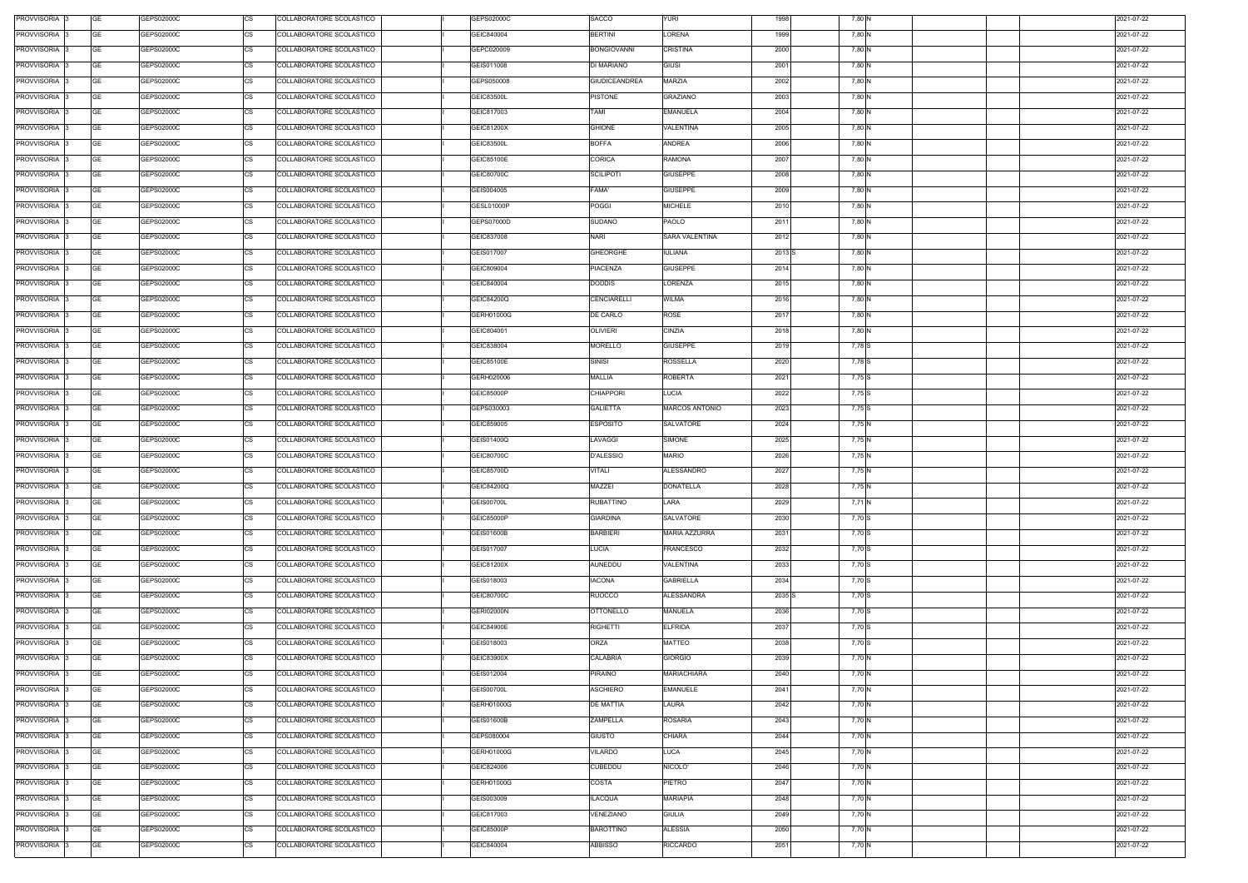| PROVVISORIA 3            | GE        | GEPS02000C | COLLABORATORE SCOLASTICO<br>CS        | GEPS02000C        | SACCO                | <b>YURI</b>           | 1998   | 7,80 N |  | 2021-07-22 |
|--------------------------|-----------|------------|---------------------------------------|-------------------|----------------------|-----------------------|--------|--------|--|------------|
| PROVVISORIA 3            | GE        | GEPS02000C | <b>CS</b><br>COLLABORATORE SCOLASTICO | GEIC840004        | <b>BERTINI</b>       | LORENA                | 1999   | 7,80 N |  | 2021-07-22 |
| PROVVISORIA 3            | GE        | GEPS02000C | <b>CS</b><br>COLLABORATORE SCOLASTICO | GEPC020009        | <b>BONGIOVANNI</b>   | CRISTINA              | 2000   | 7,80 N |  | 2021-07-22 |
| PROVVISORIA 3            | GE        | GEPS02000C | <b>CS</b><br>COLLABORATORE SCOLASTICO | GEIS011008        | DI MARIANO           | <b>GIUSI</b>          | 2001   | 7,80 N |  | 2021-07-22 |
| PROVVISORIA 3            | <b>GE</b> | GEPS02000C | <b>CS</b><br>COLLABORATORE SCOLASTICO | GEPS050008        | <b>GIUDICEANDREA</b> | <b>MARZIA</b>         | 2002   | 7,80 N |  | 2021-07-22 |
| PROVVISORIA 3            | <b>GE</b> | GEPS02000C | <b>CS</b><br>COLLABORATORE SCOLASTICO | GEIC83500L        | <b>PISTONE</b>       | <b>GRAZIANO</b>       | 2003   | 7,80 N |  | 2021-07-22 |
| PROVVISORIA 3            | <b>GE</b> | GEPS02000C | CS<br>COLLABORATORE SCOLASTICO        | GEIC817003        | <b>TAMI</b>          | <b>EMANUELA</b>       | 2004   | 7,80 N |  | 2021-07-22 |
| PROVVISORIA 3            | GE        | GEPS02000C | <b>CS</b><br>COLLABORATORE SCOLASTICO | GEIC81200X        | <b>GHIONE</b>        | VALENTINA             | 2005   | 7,80 N |  | 2021-07-22 |
| PROVVISORIA 3            | <b>GE</b> | GEPS02000C | <b>CS</b><br>COLLABORATORE SCOLASTICO | GEIC83500L        | <b>BOFFA</b>         | <b>ANDREA</b>         | 2006   | 7,80 N |  | 2021-07-22 |
|                          |           |            |                                       |                   |                      |                       |        |        |  |            |
| PROVVISORIA 3            | <b>GE</b> | GEPS02000C | <b>CS</b><br>COLLABORATORE SCOLASTICO | GEIC85100E        | <b>CORICA</b>        | <b>RAMONA</b>         | 2007   | 7,80 N |  | 2021-07-22 |
| PROVVISORIA 3            | <b>GE</b> | GEPS02000C | <b>CS</b><br>COLLABORATORE SCOLASTICO | GEIC80700C        | <b>SCILIPOTI</b>     | <b>GIUSEPPE</b>       | 2008   | 7,80 N |  | 2021-07-22 |
| PROVVISORIA 3            | <b>GE</b> | GEPS02000C | CS<br>COLLABORATORE SCOLASTICO        | GEIS004005        | <b>FAMA'</b>         | <b>GIUSEPPE</b>       | 2009   | 7,80 N |  | 2021-07-22 |
| PROVVISORIA 3            | <b>GE</b> | GEPS02000C | <b>CS</b><br>COLLABORATORE SCOLASTICO | GESL01000P        | <b>POGGI</b>         | <b>MICHELE</b>        | 2010   | 7,80 N |  | 2021-07-22 |
| PROVVISORIA 3            | <b>GE</b> | GEPS02000C | <b>CS</b><br>COLLABORATORE SCOLASTICO | GEPS07000D        | SUDANO               | PAOLO                 | 2011   | 7,80 N |  | 2021-07-22 |
| PROVVISORIA 3            | <b>GE</b> | GEPS02000C | COLLABORATORE SCOLASTICO<br>СS        | GEIC837008        | <b>NARI</b>          | SARA VALENTINA        | 2012   | 7,80 N |  | 2021-07-22 |
| PROVVISORIA 3            | <b>GE</b> | GEPS02000C | <b>CS</b><br>COLLABORATORE SCOLASTICO | GEIS017007        | <b>GHEORGHE</b>      | IULIANA               | 2013 S | 7,80 N |  | 2021-07-22 |
| PROVVISORIA 3            | <b>GE</b> | GEPS02000C | <b>CS</b><br>COLLABORATORE SCOLASTICO | GEIC809004        | PIACENZA             | <b>GIUSEPPE</b>       | 2014   | 7,80 N |  | 2021-07-22 |
| PROVVISORIA 3            | <b>GE</b> | GEPS02000C | <b>CS</b><br>COLLABORATORE SCOLASTICO | GEIC840004        | <b>DODDIS</b>        | LORENZA               | 2015   | 7,80 N |  | 2021-07-22 |
| PROVVISORIA 3            | <b>GE</b> | GEPS02000C | <b>CS</b><br>COLLABORATORE SCOLASTICO | GEIC84200Q        | <b>CENCIARELLI</b>   | WILMA                 | 2016   | 7,80 N |  | 2021-07-22 |
| PROVVISORIA 3            | GE        | GEPS02000C | <b>CS</b><br>COLLABORATORE SCOLASTICO | GERH01000G        | DE CARLO             | <b>ROSE</b>           | 2017   | 7,80 N |  | 2021-07-22 |
| PROVVISORIA 3            | GE        | GEPS02000C | <b>CS</b><br>COLLABORATORE SCOLASTICO | GEIC804001        | OLIVIERI             | CINZIA                | 2018   | 7,80 N |  | 2021-07-22 |
| PROVVISORIA 3            | <b>GE</b> | GEPS02000C | <b>CS</b><br>COLLABORATORE SCOLASTICO | GEIC838004        | MORELLO              | <b>GIUSEPPE</b>       | 2019   | 7,78 S |  | 2021-07-22 |
| PROVVISORIA 3            | <b>GE</b> | GEPS02000C | <b>CS</b><br>COLLABORATORE SCOLASTICO | GEIC85100E        | <b>SINISI</b>        | ROSSELLA              | 2020   | 7,78 S |  | 2021-07-22 |
| PROVVISORIA 3            | <b>GE</b> | GEPS02000C | <b>CS</b><br>COLLABORATORE SCOLASTICO | GERH020006        | MALLIA               | <b>ROBERTA</b>        | 2021   | 7,75 S |  | 2021-07-22 |
| PROVVISORIA 3            | <b>GE</b> | GEPS02000C | <b>CS</b><br>COLLABORATORE SCOLASTICO | GEIC85000P        | CHIAPPORI            | _UCIA                 | 2022   | 7,75 S |  | 2021-07-22 |
| PROVVISORIA 3            | <b>GE</b> | GEPS02000C | <b>CS</b><br>COLLABORATORE SCOLASTICO | GEPS030003        | GALIETTA             | <b>MARCOS ANTONIO</b> | 2023   | 7,75 S |  | 2021-07-22 |
| PROVVISORIA 3            | GE        | GEPS02000C | <b>CS</b><br>COLLABORATORE SCOLASTICO | GEIC859005        | ESPOSITO             | SALVATORE             | 2024   | 7,75 N |  | 2021-07-22 |
| PROVVISORIA 3            | <b>GE</b> | GEPS02000C | <b>CS</b><br>COLLABORATORE SCOLASTICO | GEIS01400Q        | LAVAGGI              | SIMONE                | 2025   | 7,75 N |  | 2021-07-22 |
| PROVVISORIA 3            | GE        | GEPS02000C | <b>CS</b><br>COLLABORATORE SCOLASTICO | GEIC80700C        | <b>D'ALESSIO</b>     | <b>MARIO</b>          | 2026   | 7,75 N |  | 2021-07-22 |
| PROVVISORIA 3            | <b>GE</b> | GEPS02000C | <b>CS</b><br>COLLABORATORE SCOLASTICO | GEIC85700D        | <b>VITALI</b>        | <b>ALESSANDRO</b>     | 2027   | 7,75 N |  | 2021-07-22 |
| PROVVISORIA 3            | GE        | GEPS02000C | <b>CS</b><br>COLLABORATORE SCOLASTICO | GEIC84200Q        | MAZZEI               | <b>DONATELLA</b>      | 2028   | 7,75 N |  | 2021-07-22 |
| PROVVISORIA 3            | <b>GE</b> | GEPS02000C | <b>CS</b><br>COLLABORATORE SCOLASTICO | <b>GEIS00700L</b> | <b>RUBATTINO</b>     | LARA                  | 2029   | 7,71 N |  | 2021-07-22 |
| PROVVISORIA 3            | GE        | GEPS02000C | <b>CS</b><br>COLLABORATORE SCOLASTICO | GEIC85000P        | GIARDINA             | SALVATORE             | 2030   | 7,70 S |  | 2021-07-22 |
| PROVVISORIA <sub>3</sub> | <b>GE</b> | GEPS02000C | <b>CS</b><br>COLLABORATORE SCOLASTICO | GEIS01600B        | <b>BARBIERI</b>      | <b>MARIA AZZURRA</b>  | 2031   | 7,70 S |  | 2021-07-22 |
| PROVVISORIA 3            | <b>GE</b> | GEPS02000C | <b>CS</b><br>COLLABORATORE SCOLASTICO | GEIS017007        | LUCIA                | <b>FRANCESCO</b>      | 2032   | 7,70 S |  | 2021-07-22 |
| PROVVISORIA 3            | <b>GE</b> | GEPS02000C | <b>CS</b><br>COLLABORATORE SCOLASTICO | GEIC81200X        | <b>AUNEDDU</b>       | <b>VALENTINA</b>      | 2033   | 7,70 S |  | 2021-07-22 |
| PROVVISORIA 3            | <b>GE</b> | GEPS02000C | <b>CS</b><br>COLLABORATORE SCOLASTICO | GEIS018003        | <b>IACONA</b>        | <b>GABRIELLA</b>      | 2034   | 7,70 S |  | 2021-07-22 |
| PROVVISORIA 3            | <b>GE</b> | GEPS02000C | <b>CS</b><br>COLLABORATORE SCOLASTICO | GEIC80700C        | <b>RUOCCO</b>        | ALESSANDRA            | 2035 S | 7,70 S |  | 2021-07-22 |
| PROVVISORIA 3            | <b>GE</b> | GEPS02000C | CS<br>COLLABORATORE SCOLASTICO        | <b>GERI02000N</b> | <b>OTTONELLO</b>     | MANUELA               | 2036   | 7,70 S |  | 2021-07-22 |
| PROVVISORIA 3            | <b>GE</b> | GEPS02000C | <b>CS</b><br>COLLABORATORE SCOLASTICO | GEIC84900E        | <b>RIGHETTI</b>      | <b>ELFRIDA</b>        | 2037   | 7,70 S |  | 2021-07-22 |
| PROVVISORIA 3            | <b>GE</b> | GEPS02000C | <b>CS</b><br>COLLABORATORE SCOLASTICO | GEIS018003        | ORZA                 | MATTEO                | 2038   | 7,70 S |  | 2021-07-22 |
| PROVVISORIA 3            | <b>GE</b> | GEPS02000C | <b>CS</b><br>COLLABORATORE SCOLASTICO | GEIC83900X        | <b>CALABRIA</b>      | <b>GIORGIO</b>        | 2039   | 7,70 N |  | 2021-07-22 |
| PROVVISORIA 3            | <b>GE</b> | GEPS02000C | <b>CS</b><br>COLLABORATORE SCOLASTICO | GEIS012004        | <b>PIRAINO</b>       | <b>MARIACHIARA</b>    | 2040   | 7,70 N |  | 2021-07-22 |
| PROVVISORIA 3            | <b>GE</b> | GEPS02000C | <b>CS</b><br>COLLABORATORE SCOLASTICO | <b>GEIS00700L</b> | <b>ASCHIERO</b>      | <b>EMANUELE</b>       | 2041   | 7,70 N |  | 2021-07-22 |
| PROVVISORIA 3            | <b>GE</b> | GEPS02000C | CS<br>COLLABORATORE SCOLASTICO        | GERH01000G        | DE MATTIA            | LAURA                 | 2042   | 7,70 N |  | 2021-07-22 |
| PROVVISORIA 3            | <b>GE</b> | GEPS02000C | <b>CS</b><br>COLLABORATORE SCOLASTICO | GEIS01600B        | ZAMPELLA             | ROSARIA               | 2043   | 7,70 N |  | 2021-07-22 |
| PROVVISORIA 3            | GE        | GEPS02000C | СS<br>COLLABORATORE SCOLASTICO        | GEPS080004        | <b>GIUSTO</b>        | CHIARA                | 2044   | 7,70 N |  | 2021-07-22 |
| PROVVISORIA 3            | <b>GE</b> | GEPS02000C | <b>CS</b><br>COLLABORATORE SCOLASTICO | GERH01000G        | VILARDO              | LUCA                  | 2045   | 7,70 N |  | 2021-07-22 |
| PROVVISORIA 3            | <b>GE</b> | GEPS02000C | <b>CS</b><br>COLLABORATORE SCOLASTICO | GEIC824006        | CUBEDDU              | NICOLO'               | 2046   | 7,70 N |  | 2021-07-22 |
| PROVVISORIA 3            | <b>GE</b> | GEPS02000C | <b>CS</b><br>COLLABORATORE SCOLASTICO | GERH01000G        | COSTA                | PIETRO                | 2047   | 7,70 N |  | 2021-07-22 |
| PROVVISORIA 3            | <b>GE</b> | GEPS02000C | <b>CS</b><br>COLLABORATORE SCOLASTICO | GEIS003009        | <b>ILACQUA</b>       | <b>MARIAPIA</b>       | 2048   | 7,70 N |  | 2021-07-22 |
| PROVVISORIA 3            | GE        | GEPS02000C | <b>CS</b><br>COLLABORATORE SCOLASTICO |                   | VENEZIANO            | <b>GIULIA</b>         | 2049   |        |  | 2021-07-22 |
|                          |           |            |                                       | GEIC817003        |                      |                       |        | 7,70 N |  |            |
| PROVVISORIA 3            | GE        | GEPS02000C | <b>CS</b><br>COLLABORATORE SCOLASTICO | GEIC85000P        | <b>BAROTTINO</b>     | ALESSIA               | 2050   | 7,70 N |  | 2021-07-22 |
| PROVVISORIA 3            | <b>GE</b> | GEPS02000C | <b>CS</b><br>COLLABORATORE SCOLASTICO | GEIC840004        | <b>ABBISSO</b>       | <b>RICCARDO</b>       | 2051   | 7,70 N |  | 2021-07-22 |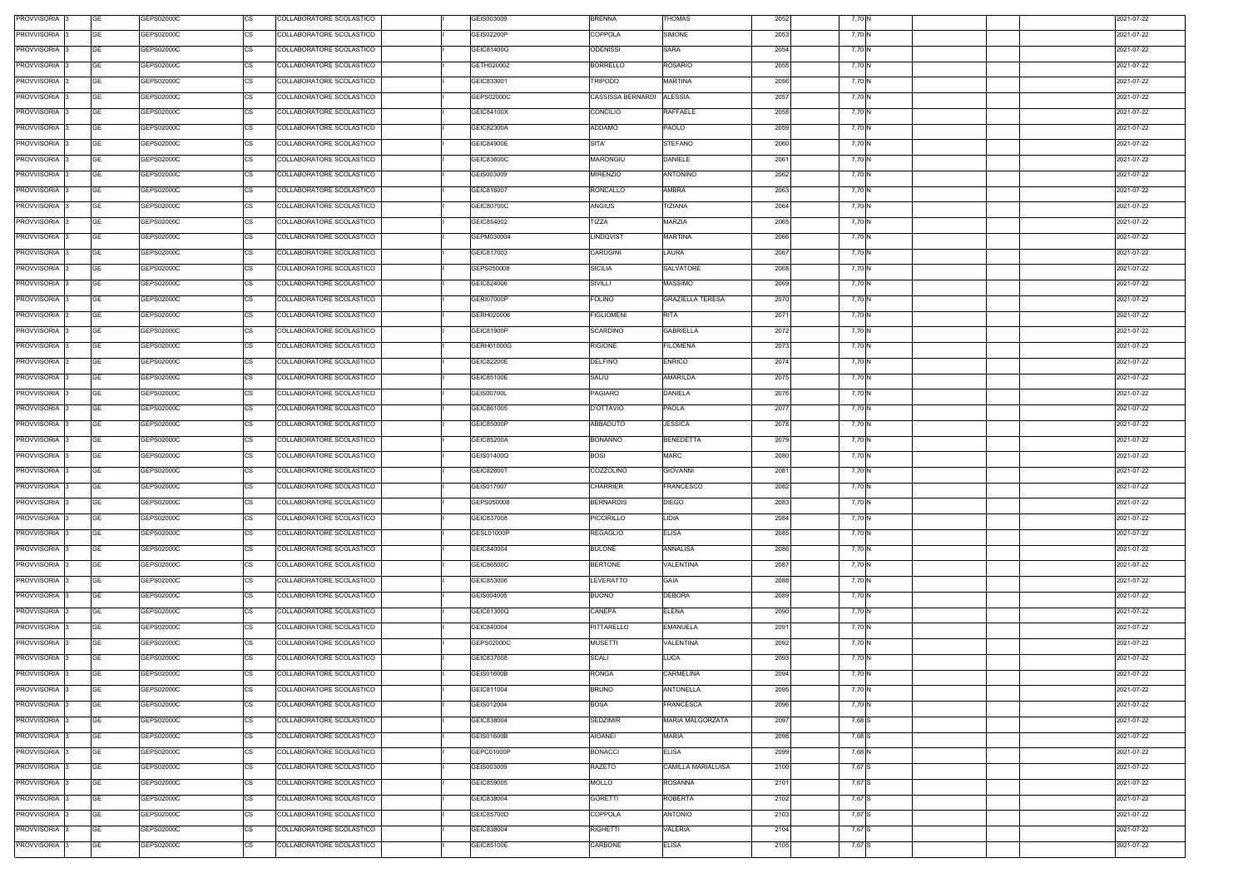| PROVVISORIA 3            | GE        | GEPS02000C | COLLABORATORE SCOLASTICO<br>CS        | GEIS003009        | <b>BRENNA</b>             | THOMAS                  | 2052 | 7,70 N |  | 2021-07-22 |
|--------------------------|-----------|------------|---------------------------------------|-------------------|---------------------------|-------------------------|------|--------|--|------------|
| PROVVISORIA 3            | GE        | GEPS02000C | <b>CS</b><br>COLLABORATORE SCOLASTICO | <b>GEIS02200P</b> | COPPOLA                   | SIMONE                  | 2053 | 7,70 N |  | 2021-07-22 |
| PROVVISORIA 3            | GE        | GEPS02000C | <b>CS</b><br>COLLABORATORE SCOLASTICO | GEIC81400G        | <b>ODENISSI</b>           | SARA                    | 2054 | 7,70 N |  | 2021-07-22 |
| PROVVISORIA 3            | GE        | GEPS02000C | <b>CS</b><br>COLLABORATORE SCOLASTICO | GETH020002        | <b>BORRELLO</b>           | ROSARIO                 | 2055 | 7,70 N |  | 2021-07-22 |
| PROVVISORIA 3            | <b>GE</b> | GEPS02000C | <b>CS</b><br>COLLABORATORE SCOLASTICO | GEIC833001        | TRIPODO                   | MARTINA                 | 2056 | 7,70 N |  | 2021-07-22 |
| PROVVISORIA 3            | <b>GE</b> | GEPS02000C | <b>CS</b><br>COLLABORATORE SCOLASTICO | GEPS02000C        | CASSISSA BERNARDI ALESSIA |                         | 2057 | 7,70 N |  | 2021-07-22 |
| PROVVISORIA 3            | <b>GE</b> | GEPS02000C | <b>CS</b><br>COLLABORATORE SCOLASTICO | GEIC84100X        | CONCILIO                  | RAFFAELE                | 2058 | 7,70 N |  | 2021-07-22 |
| PROVVISORIA 3            | GE        | GEPS02000C | <b>CS</b><br>COLLABORATORE SCOLASTICO | GEIC82300A        | ADDAMO                    | <b>PAOLO</b>            | 2059 | 7,70 N |  | 2021-07-22 |
| PROVVISORIA 3            | <b>GE</b> | GEPS02000C | <b>CS</b><br>COLLABORATORE SCOLASTICO | GEIC84900E        | SITA'                     | <b>STEFANO</b>          | 2060 | 7,70 N |  | 2021-07-22 |
| PROVVISORIA 3            | <b>GE</b> | GEPS02000C | <b>CS</b><br>COLLABORATORE SCOLASTICO | GEIC83600C        | MARONGIU                  | <b>DANIELE</b>          | 2061 | 7,70 N |  | 2021-07-22 |
| PROVVISORIA 3            | <b>GE</b> | GEPS02000C | <b>CS</b><br>COLLABORATORE SCOLASTICO | GEIS003009        | <b>MIRENZIO</b>           | ANTONINO                | 2062 | 7,70 N |  | 2021-07-22 |
| PROVVISORIA 3            | <b>GE</b> | GEPS02000C | CS<br>COLLABORATORE SCOLASTICO        | GEIC816007        | RONCALLO                  | AMBRA                   | 2063 | 7,70 N |  | 2021-07-22 |
| PROVVISORIA 3            | <b>GE</b> | GEPS02000C | <b>CS</b><br>COLLABORATORE SCOLASTICO | GEIC80700C        | <b>ANGIUS</b>             | <b>FIZIANA</b>          | 2064 | 7,70 N |  | 2021-07-22 |
| PROVVISORIA 3            | <b>GE</b> | GEPS02000C | <b>CS</b><br>COLLABORATORE SCOLASTICO | GEIC854002        | TIZZA                     | <b>MARZIA</b>           | 2065 | 7,70 N |  | 2021-07-22 |
| PROVVISORIA 3            | <b>GE</b> | GEPS02000C | COLLABORATORE SCOLASTICO<br><b>CS</b> | GEPM030004        | LINDQVIST                 | MARTINA                 | 2066 | 7,70 N |  | 2021-07-22 |
| PROVVISORIA 3            | <b>GE</b> | GEPS02000C | <b>CS</b>                             |                   | <b>CARUGINI</b>           | LAURA                   | 2067 | 7,70 N |  |            |
|                          |           |            | COLLABORATORE SCOLASTICO              | GEIC817003        |                           |                         |      |        |  | 2021-07-22 |
| PROVVISORIA 3            | <b>GE</b> | GEPS02000C | <b>CS</b><br>COLLABORATORE SCOLASTICO | GEPS050008        | <b>SICILIA</b>            | <b>SALVATORE</b>        | 2068 | 7,70 N |  | 2021-07-22 |
| PROVVISORIA 3            | <b>GE</b> | GEPS02000C | <b>CS</b><br>COLLABORATORE SCOLASTICO | GEIC824006        | <b>SIVILLI</b>            | <b>MASSIMO</b>          | 2069 | 7,70 N |  | 2021-07-22 |
| PROVVISORIA 3            | <b>GE</b> | GEPS02000C | <b>CS</b><br>COLLABORATORE SCOLASTICO | GERI07000P        | <b>FOLINO</b>             | <b>GRAZIELLA TERESA</b> | 2070 | 7,70 N |  | 2021-07-22 |
| PROVVISORIA 3            | GE        | GEPS02000C | <b>CS</b><br>COLLABORATORE SCOLASTICO | GERH020006        | FIGLIOMENI                | RITA                    | 2071 | 7,70 N |  | 2021-07-22 |
| PROVVISORIA 3            | GE        | GEPS02000C | <b>CS</b><br>COLLABORATORE SCOLASTICO | GEIC81900P        | SCARDINO                  | <b>GABRIELLA</b>        | 2072 | 7,70 N |  | 2021-07-22 |
| PROVVISORIA 3            | <b>GE</b> | GEPS02000C | <b>CS</b><br>COLLABORATORE SCOLASTICO | GERH01000G        | RIGIONE                   | <b>FILOMENA</b>         | 2073 | 7,70 N |  | 2021-07-22 |
| PROVVISORIA 3            | <b>GE</b> | GEPS02000C | <b>CS</b><br>COLLABORATORE SCOLASTICO | GEIC82200E        | <b>DELFINO</b>            | ENRICO                  | 2074 | 7,70 N |  | 2021-07-22 |
| PROVVISORIA 3            | <b>GE</b> | GEPS02000C | <b>CS</b><br>COLLABORATORE SCOLASTICO | GEIC85100E        | SALIU                     | AMARILDA                | 2075 | 7,70 N |  | 2021-07-22 |
| PROVVISORIA 3            | <b>GE</b> | GEPS02000C | <b>CS</b><br>COLLABORATORE SCOLASTICO | <b>GEIS00700L</b> | PAGIARO                   | DANIELA                 | 2076 | 7,70 N |  | 2021-07-22 |
| PROVVISORIA 3            | GE        | GEPS02000C | <b>CS</b><br>COLLABORATORE SCOLASTICO | GEIC861005        | D'OTTAVIO                 | PAOLA                   | 2077 | 7,70 N |  | 2021-07-22 |
| PROVVISORIA 3            | GE        | GEPS02000C | <b>CS</b><br>COLLABORATORE SCOLASTICO | GEIC85000P        | ABBADUTO                  | <b>JESSICA</b>          | 2078 | 7,70 N |  | 2021-07-22 |
| PROVVISORIA 3            | <b>GE</b> | GEPS02000C | <b>CS</b><br>COLLABORATORE SCOLASTICO | GEIC85200A        | <b>BONANNO</b>            | <b>BENEDETTA</b>        | 2079 | 7,70 N |  | 2021-07-22 |
| PROVVISORIA 3            | GE        | GEPS02000C | <b>CS</b><br>COLLABORATORE SCOLASTICO | GEIS01400Q        | <b>BOSI</b>               | MARC                    | 2080 | 7,70 N |  | 2021-07-22 |
| PROVVISORIA 3            | <b>GE</b> | GEPS02000C | <b>CS</b><br>COLLABORATORE SCOLASTICO | GEIC82600T        | COZZOLINO                 | <b>GIOVANNI</b>         | 2081 | 7,70 N |  | 2021-07-22 |
| PROVVISORIA 3            | GE        | GEPS02000C | <b>CS</b><br>COLLABORATORE SCOLASTICO | GEIS017007        | <b>CHARRIER</b>           | <b>FRANCESCO</b>        | 2082 | 7,70 N |  | 2021-07-22 |
| PROVVISORIA 3            | <b>GE</b> | GEPS02000C | <b>CS</b><br>COLLABORATORE SCOLASTICO | GEPS050008        | <b>BERNARDIS</b>          | <b>DIEGO</b>            | 2083 | 7,70 N |  | 2021-07-22 |
| PROVVISORIA 3            | GE        | GEPS02000C | <b>CS</b><br>COLLABORATORE SCOLASTICO | GEIC837008        | PICCIRILLO                | LIDIA                   | 2084 | 7,70 N |  | 2021-07-22 |
| PROVVISORIA <sub>3</sub> | GE        | GEPS02000C | <b>CS</b><br>COLLABORATORE SCOLASTICO | <b>GESL01000P</b> | REGAGLIO                  | <b>ELISA</b>            | 2085 | 7,70 N |  | 2021-07-22 |
| PROVVISORIA 3            | <b>GE</b> | GEPS02000C | <b>CS</b><br>COLLABORATORE SCOLASTICO | GEIC840004        | <b>BULONE</b>             | <b>ANNALISA</b>         | 2086 | 7,70 N |  | 2021-07-22 |
| PROVVISORIA 3            | <b>GE</b> | GEPS02000C | <b>CS</b><br>COLLABORATORE SCOLASTICO | GEIC86500C        | <b>BERTONE</b>            | <b>VALENTINA</b>        | 2087 | 7,70 N |  | 2021-07-22 |
| PROVVISORIA 3            | <b>GE</b> | GEPS02000C | <b>CS</b><br>COLLABORATORE SCOLASTICO | GEIC853006        | LEVERATTO                 | <b>GAIA</b>             | 2088 | 7,70 N |  | 2021-07-22 |
| PROVVISORIA 3            | <b>GE</b> | GEPS02000C | <b>CS</b><br>COLLABORATORE SCOLASTICO | GEIS004005        | <b>BUONO</b>              | <b>DEBORA</b>           | 2089 | 7,70 N |  | 2021-07-22 |
| PROVVISORIA 3            | <b>GE</b> | GEPS02000C | CS<br>COLLABORATORE SCOLASTICO        | GEIC81300Q        | CANEPA                    | <b>ELENA</b>            | 2090 | 7,70 N |  | 2021-07-22 |
| PROVVISORIA 3            | <b>GE</b> | GEPS02000C | <b>CS</b><br>COLLABORATORE SCOLASTICO | GEIC840004        | PITTARELLO                | <b>EMANUELA</b>         | 2091 | 7,70 N |  | 2021-07-22 |
| PROVVISORIA 3            | <b>GE</b> | GEPS02000C | <b>CS</b><br>COLLABORATORE SCOLASTICO | GEPS02000C        | <b>MUSETTI</b>            | VALENTINA               | 2092 | 7,70 N |  | 2021-07-22 |
| PROVVISORIA 3            | <b>GE</b> | GEPS02000C | <b>CS</b><br>COLLABORATORE SCOLASTICO | GEIC837008        | <b>SCALI</b>              | LUCA                    | 2093 | 7,70 N |  | 2021-07-22 |
| PROVVISORIA 3            | <b>GE</b> | GEPS02000C | <b>CS</b><br>COLLABORATORE SCOLASTICO | GEIS01600B        | <b>RONGA</b>              | CARMELINA               | 2094 | 7,70 N |  | 2021-07-22 |
| PROVVISORIA 3            | <b>GE</b> | GEPS02000C | <b>CS</b><br>COLLABORATORE SCOLASTICO | GEIC811004        | <b>BRUNO</b>              | <b>ANTONELLA</b>        | 2095 | 7,70 N |  | 2021-07-22 |
| PROVVISORIA 3            | GE        | GEPS02000C | CS<br>COLLABORATORE SCOLASTICO        | GEIS012004        | <b>BOSA</b>               | FRANCESCA               | 2096 | 7,70 N |  | 2021-07-22 |
| PROVVISORIA 3            | <b>GE</b> | GEPS02000C | <b>CS</b><br>COLLABORATORE SCOLASTICO | GEIC838004        | <b>SEDZIMIR</b>           | MARIA MALGORZATA        | 2097 | 7,68 S |  | 2021-07-22 |
| PROVVISORIA 3            | GE        | GEPS02000C | СS<br>COLLABORATORE SCOLASTICO        | GEIS01600B        | <b>AIOANEI</b>            | <b>MARIA</b>            | 2098 | 7,68 S |  | 2021-07-22 |
| PROVVISORIA 3            | <b>GE</b> | GEPS02000C | <b>CS</b><br>COLLABORATORE SCOLASTICO | GEPC01000P        | <b>BONACCI</b>            | <b>ELISA</b>            | 2099 | 7,68 N |  | 2021-07-22 |
|                          |           |            |                                       |                   |                           |                         |      |        |  |            |
| PROVVISORIA 3            | <b>GE</b> | GEPS02000C | <b>CS</b><br>COLLABORATORE SCOLASTICO | GEIS003009        | <b>RAZETO</b>             | CAMILLA MARIALUISA      | 2100 | 7,67 S |  | 2021-07-22 |
| PROVVISORIA 3            | <b>GE</b> | GEPS02000C | <b>CS</b><br>COLLABORATORE SCOLASTICO | GEIC859005        | <b>MOLLO</b>              | <b>ROSANNA</b>          | 2101 | 7,67 S |  | 2021-07-22 |
| PROVVISORIA 3            | <b>GE</b> | GEPS02000C | <b>CS</b><br>COLLABORATORE SCOLASTICO | GEIC838004        | <b>GORETTI</b>            | ROBERTA                 | 2102 | 7,67 S |  | 2021-07-22 |
| PROVVISORIA 3            | GE        | GEPS02000C | <b>CS</b><br>COLLABORATORE SCOLASTICO | GEIC85700D        | COPPOLA                   | ANTONIO                 | 2103 | 7,67 S |  | 2021-07-22 |
| PROVVISORIA 3            | GE        | GEPS02000C | <b>CS</b><br>COLLABORATORE SCOLASTICO | GEIC838004        | <b>RIGHETTI</b>           | <b>VALERIA</b>          | 2104 | 7,67 S |  | 2021-07-22 |
| PROVVISORIA 3            | <b>GE</b> | GEPS02000C | <b>CS</b><br>COLLABORATORE SCOLASTICO | <b>GEIC85100E</b> | CARBONE                   | <b>ELISA</b>            | 2105 | 7,67 S |  | 2021-07-22 |
|                          |           |            |                                       |                   |                           |                         |      |        |  |            |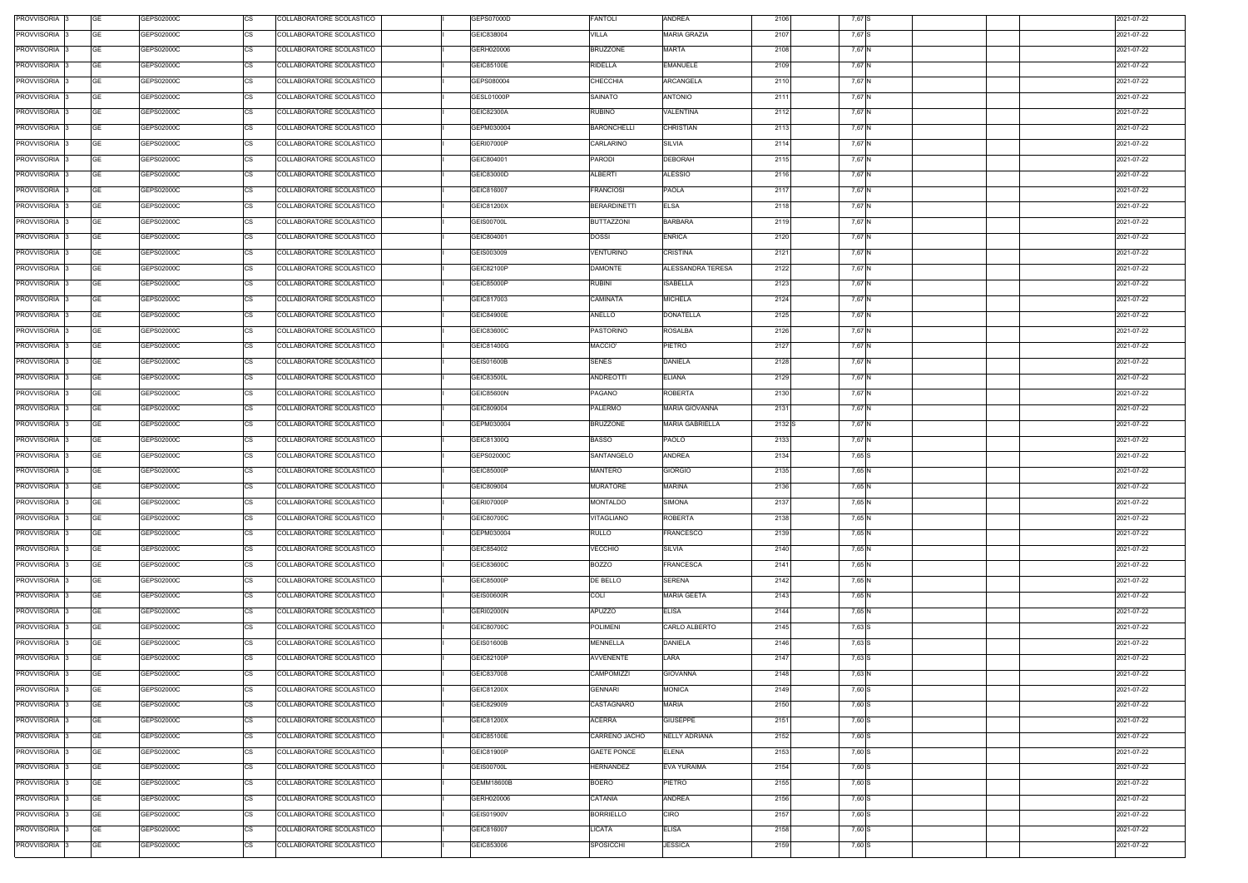| PROVVISORIA 3      | <b>GE</b> | GEPS02000C | <b>CS</b> | COLLABORATORE SCOLASTICO | GEPS07000D        | <b>FANTOLI</b>      | ANDREA                | 2106              | 7,67 S |  | 2021-07-22 |
|--------------------|-----------|------------|-----------|--------------------------|-------------------|---------------------|-----------------------|-------------------|--------|--|------------|
| PROVVISORIA 3      | <b>GE</b> | GEPS02000C | CS        | COLLABORATORE SCOLASTICO | GEIC838004        | VILLA               | <b>MARIA GRAZIA</b>   | 2107              | 7,67 S |  | 2021-07-22 |
| PROVVISORIA 3      | <b>GE</b> | GEPS02000C | <b>CS</b> | COLLABORATORE SCOLASTICO | GERH020006        | <b>BRUZZONE</b>     | MARTA                 | 2108              | 7,67 N |  | 2021-07-22 |
| PROVVISORIA 3      | <b>GE</b> | GEPS02000C | CS        | COLLABORATORE SCOLASTICO | GEIC85100E        | <b>RIDELLA</b>      | <b>EMANUELE</b>       | 2109              | 7,67 N |  | 2021-07-22 |
| PROVVISORIA 3      | GE        | GEPS02000C | CS        | COLLABORATORE SCOLASTICO | GEPS080004        | CHECCHIA            | <b>ARCANGELA</b>      | 2110              | 7,67 N |  | 2021-07-22 |
| PROVVISORIA 3      | <b>GE</b> | GEPS02000C | <b>CS</b> | COLLABORATORE SCOLASTICO | GESL01000P        | SAINATO             | ANTONIO               | 2111              | 7,67 N |  | 2021-07-22 |
| PROVVISORIA 3      | GE        | GEPS02000C | <b>CS</b> | COLLABORATORE SCOLASTICO | GEIC82300A        | <b>RUBINO</b>       | VALENTINA             | 2112              | 7,67 N |  | 2021-07-22 |
| PROVVISORIA 3      | <b>GE</b> | GEPS02000C | <b>CS</b> | COLLABORATORE SCOLASTICO | GEPM030004        | <b>BARONCHELLI</b>  | <b>CHRISTIAN</b>      | 2113              | 7,67 N |  | 2021-07-22 |
| <b>PROVVISORIA</b> | GE        | GEPS02000C | <b>CS</b> | COLLABORATORE SCOLASTICO | <b>GERI07000P</b> | CARLARINO           | <b>SILVIA</b>         | 2114              | 7,67 N |  | 2021-07-22 |
| <b>PROVVISORIA</b> | <b>GE</b> | GEPS02000C | CS        | COLLABORATORE SCOLASTICO | GEIC804001        | PARODI              | <b>DEBORAH</b>        | 2115              | 7,67 N |  | 2021-07-22 |
| <b>PROVVISORIA</b> | <b>GE</b> | GEPS02000C | <b>CS</b> | COLLABORATORE SCOLASTICO | GEIC83000D        | <b>ALBERTI</b>      | <b>ALESSIO</b>        | 2116              | 7,67 N |  | 2021-07-22 |
| PROVVISORIA        | <b>GE</b> | GEPS02000C | CS        | COLLABORATORE SCOLASTICO | GEIC816007        | <b>FRANCIOSI</b>    | PAOLA                 | 2117              | 7,67 N |  | 2021-07-22 |
| PROVVISORIA        | <b>GE</b> | GEPS02000C | <b>CS</b> | COLLABORATORE SCOLASTICO | GEIC81200X        | <b>BERARDINETTI</b> | <b>ELSA</b>           | 2118              | 7,67 N |  | 2021-07-22 |
| PROVVISORIA 3      | <b>GE</b> | GEPS02000C | CS        | COLLABORATORE SCOLASTICO | <b>GEIS00700L</b> | <b>BUTTAZZONI</b>   | <b>BARBARA</b>        | 2119              | 7,67 N |  | 2021-07-22 |
| PROVVISORIA 3      | GE        | GEPS02000C | СS        | COLLABORATORE SCOLASTICO | GEIC804001        | <b>DOSSI</b>        | <b>ENRICA</b>         | 2120              | 7,67 N |  | 2021-07-22 |
| PROVVISORIA 3      | <b>GE</b> | GEPS02000C | CS        | COLLABORATORE SCOLASTICO | GEIS003009        | <b>VENTURINO</b>    | <b>CRISTINA</b>       | 2121              | 7,67 N |  | 2021-07-22 |
|                    |           |            |           |                          |                   |                     |                       |                   |        |  |            |
| PROVVISORIA 3      | <b>GE</b> | GEPS02000C | <b>CS</b> | COLLABORATORE SCOLASTICO | GEIC82100P        | <b>DAMONTE</b>      | ALESSANDRA TERESA     | 2122              | 7,67 N |  | 2021-07-22 |
| PROVVISORIA 3      | <b>GE</b> | GEPS02000C | CS        | COLLABORATORE SCOLASTICO | <b>GEIC85000P</b> | <b>RUBINI</b>       | <b>ISABELLA</b>       | 2123              | 7,67 N |  | 2021-07-22 |
| PROVVISORIA 3      | <b>GE</b> | GEPS02000C | СS        | COLLABORATORE SCOLASTICO | GEIC817003        | CAMINATA            | MICHELA               | 2124              | 7,67 N |  | 2021-07-22 |
| PROVVISORIA 3      | <b>GE</b> | GEPS02000C | СS        | COLLABORATORE SCOLASTICO | GEIC84900E        | ANELLO              | DONATELLA             | 2125              | 7,67 N |  | 2021-07-22 |
| PROVVISORIA 3      | GE        | GEPS02000C | СS        | COLLABORATORE SCOLASTICO | GEIC83600C        | <b>PASTORINO</b>    | ROSALBA               | 2126              | 7,67 N |  | 2021-07-22 |
| PROVVISORIA 3      | <b>GE</b> | GEPS02000C | СS        | COLLABORATORE SCOLASTICO | GEIC81400G        | MACCIO'             | PIETRO                | 2127              | 7,67 N |  | 2021-07-22 |
| PROVVISORIA 3      | <b>GE</b> | GEPS02000C | <b>CS</b> | COLLABORATORE SCOLASTICO | <b>GEIS01600B</b> | <b>SENES</b>        | <b>DANIELA</b>        | 2128              | 7,67 N |  | 2021-07-22 |
| PROVVISORIA 3      | <b>GE</b> | GEPS02000C | <b>CS</b> | COLLABORATORE SCOLASTICO | GEIC83500L        | <b>ANDREOTTI</b>    | <b>ELIANA</b>         | 2129              | 7,67 N |  | 2021-07-22 |
| <b>PROVVISORIA</b> | <b>GE</b> | GEPS02000C | СS        | COLLABORATORE SCOLASTICO | <b>GEIC85600N</b> | PAGANO              | <b>ROBERTA</b>        | 2130              | 7,67 N |  | 2021-07-22 |
| PROVVISORIA 3      | <b>GE</b> | GEPS02000C | СS        | COLLABORATORE SCOLASTICO | GEIC809004        | PALERMO             | <b>MARIA GIOVANNA</b> | 2131              | 7,67 N |  | 2021-07-22 |
| PROVVISORIA 3      | <b>GE</b> | GEPS02000C | СS        | COLLABORATORE SCOLASTICO | GEPM030004        | <b>BRUZZONE</b>     | MARIA GABRIELLA       | 2132 <sub>S</sub> | 7,67 N |  | 2021-07-22 |
| PROVVISORIA 3      | <b>GE</b> | GEPS02000C | CS        | COLLABORATORE SCOLASTICO | GEIC81300Q        | <b>BASSO</b>        | PAOLO                 | 2133              | 7,67 N |  | 2021-07-22 |
| PROVVISORIA 3      | <b>GE</b> | GEPS02000C | <b>CS</b> | COLLABORATORE SCOLASTICO | GEPS02000C        | SANTANGELO          | ANDREA                | 2134              | 7,65 S |  | 2021-07-22 |
| PROVVISORIA 3      | <b>GE</b> | GEPS02000C | <b>CS</b> | COLLABORATORE SCOLASTICO | GEIC85000P        | <b>MANTERO</b>      | <b>GIORGIO</b>        | 2135              | 7,65 N |  | 2021-07-22 |
| PROVVISORIA 3      | <b>GE</b> | GEPS02000C | <b>CS</b> | COLLABORATORE SCOLASTICO | GEIC809004        | <b>MURATORE</b>     | <b>MARINA</b>         | 2136              | 7,65 N |  | 2021-07-22 |
| PROVVISORIA 3      | <b>GE</b> | GEPS02000C | <b>CS</b> | COLLABORATORE SCOLASTICO | <b>GERI07000P</b> | <b>MONTALDO</b>     | SIMONA                | 2137              | 7,65 N |  | 2021-07-22 |
| PROVVISORIA 3      | <b>GE</b> | GEPS02000C | <b>CS</b> | COLLABORATORE SCOLASTICO | GEIC80700C        | VITAGLIANO          | <b>ROBERTA</b>        | 2138              | 7,65 N |  | 2021-07-22 |
| PROVVISORIA 3      | GE        | GEPS02000C | <b>CS</b> | COLLABORATORE SCOLASTICO | GEPM030004        | <b>RULLO</b>        | <b>FRANCESCO</b>      | 2139              | 7,65 N |  | 2021-07-22 |
| <b>PROVVISORIA</b> | <b>GE</b> | GEPS02000C | CS        | COLLABORATORE SCOLASTICO | GEIC854002        | VECCHIO             | <b>SILVIA</b>         | 2140              | 7,65 N |  | 2021-07-22 |
| PROVVISORIA 3      | <b>GE</b> | GEPS02000C | <b>CS</b> | COLLABORATORE SCOLASTICO | GEIC83600C        | <b>BOZZO</b>        | <b>FRANCESCA</b>      | 2141              | 7,65 N |  | 2021-07-22 |
| PROVVISORIA 3      | <b>GE</b> | GEPS02000C | CS        | COLLABORATORE SCOLASTICO | GEIC85000P        | DE BELLO            | <b>SERENA</b>         | 2142              | 7,65 N |  | 2021-07-22 |
| <b>PROVVISORIA</b> | <b>GE</b> | GEPS02000C | CS        | COLLABORATORE SCOLASTICO | <b>GEIS00600R</b> | COLI                | <b>MARIA GEETA</b>    | 2143              | 7,65 N |  | 2021-07-22 |
| PROVVISORIA 3      | <b>GE</b> | GEPS02000C | CS        | COLLABORATORE SCOLASTICO | <b>GERI02000N</b> | <b>APUZZO</b>       | <b>ELISA</b>          | 2144              | 7,65 N |  | 2021-07-22 |
| PROVVISORIA 3      | <b>GE</b> | GEPS02000C | CS        | COLLABORATORE SCOLASTICO | GEIC80700C        | <b>POLIMENI</b>     | CARLO ALBERTO         | 2145              | 7,63 S |  | 2021-07-22 |
| PROVVISORIA 3      | <b>GE</b> | GEPS02000C | CS        | COLLABORATORE SCOLASTICO | <b>GEIS01600B</b> | MENNELLA            | <b>DANIELA</b>        | 2146              | 7,63 S |  | 2021-07-22 |
| PROVVISORIA 3      | <b>GE</b> | GEPS02000C | <b>CS</b> | COLLABORATORE SCOLASTICO | GEIC82100P        | <b>AVVENENTE</b>    | LARA                  | 2147              | 7,63 S |  | 2021-07-22 |
| PROVVISORIA 3      | <b>GE</b> | GEPS02000C | CS        | COLLABORATORE SCOLASTICO | GEIC837008        | <b>CAMPOMIZZI</b>   | GIOVANNA              | 2148              | 7,63 N |  | 2021-07-22 |
| PROVVISORIA 3      | <b>GE</b> | GEPS02000C | <b>CS</b> | COLLABORATORE SCOLASTICO | GEIC81200X        | <b>GENNARI</b>      | <b>MONICA</b>         | 2149              | 7,60 S |  | 2021-07-22 |
| PROVVISORIA 3      | <b>GE</b> | GEPS02000C | CS        | COLLABORATORE SCOLASTICO | GEIC829009        | CASTAGNARO          | <b>MARIA</b>          | 2150              | 7,60 S |  | 2021-07-22 |
| PROVVISORIA 3      | <b>GE</b> | GEPS02000C | СS        | COLLABORATORE SCOLASTICO | GEIC81200X        | ACERRA              | <b>GIUSEPPE</b>       | 2151              | 7,60 S |  | 2021-07-22 |
| PROVVISORIA 3      | <b>GE</b> | GEPS02000C | СS        | COLLABORATORE SCOLASTICO | GEIC85100E        | CARRENO JACHO       | <b>NELLY ADRIANA</b>  | 2152              | 7,60 S |  | 2021-07-22 |
| <b>PROVVISORIA</b> | <b>GE</b> | GEPS02000C | <b>CS</b> | COLLABORATORE SCOLASTICO | <b>GEIC81900P</b> | <b>GAETE PONCE</b>  | <b>ELENA</b>          | 2153              | 7,60 S |  | 2021-07-22 |
| PROVVISORIA 3      | <b>GE</b> | GEPS02000C | <b>CS</b> | COLLABORATORE SCOLASTICO | <b>GEIS00700L</b> | HERNANDEZ           | <b>EVA YURAIMA</b>    | 2154              | 7,60 S |  | 2021-07-22 |
| PROVVISORIA 3      | <b>GE</b> | GEPS02000C | <b>CS</b> | COLLABORATORE SCOLASTICO | <b>GEMM18600B</b> | <b>BOERO</b>        | PIETRO                | 2155              |        |  | 2021-07-22 |
|                    |           |            |           |                          |                   |                     |                       |                   | 7,60 S |  |            |
| PROVVISORIA 3      | <b>GE</b> | GEPS02000C | СS        | COLLABORATORE SCOLASTICO | GERH020006        | CATANIA             | ANDREA                | 2156              | 7,60 S |  | 2021-07-22 |
| PROVVISORIA 3      | <b>GE</b> | GEPS02000C | СS        | COLLABORATORE SCOLASTICO | <b>GEIS01900V</b> | <b>BORRIELLO</b>    | CIRO                  | 2157              | 7,60 S |  | 2021-07-22 |
| PROVVISORIA 3      | <b>GE</b> | GEPS02000C | СS        | COLLABORATORE SCOLASTICO | GEIC816007        | LICATA              | <b>ELISA</b>          | 2158              | 7,60 S |  | 2021-07-22 |
| PROVVISORIA 3      | <b>GE</b> | GEPS02000C | <b>CS</b> | COLLABORATORE SCOLASTICO | GEIC853006        | SPOSICCHI           | <b>JESSICA</b>        | 2159              | 7,60 S |  | 2021-07-22 |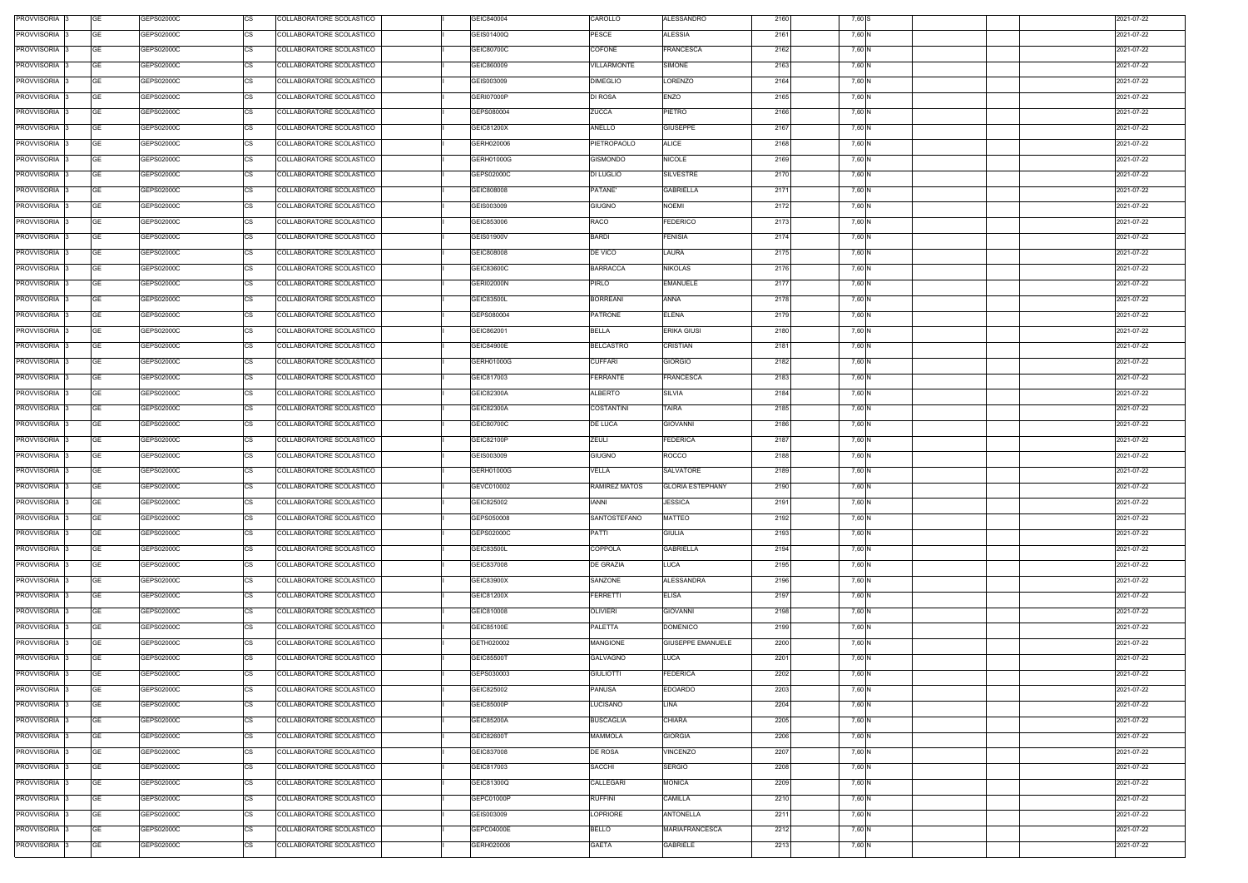| PROVVISORIA 3      | <b>GE</b> | GEPS02000C | <b>CS</b> | COLLABORATORE SCOLASTICO | GEIC840004        | CAROLLO           | <b>ALESSANDRO</b>        | 2160 | 7,60 S |  | 2021-07-22 |
|--------------------|-----------|------------|-----------|--------------------------|-------------------|-------------------|--------------------------|------|--------|--|------------|
| PROVVISORIA 3      | <b>GE</b> | GEPS02000C | CS        | COLLABORATORE SCOLASTICO | GEIS01400Q        | PESCE             | <b>ALESSIA</b>           | 2161 | 7,60 N |  | 2021-07-22 |
| PROVVISORIA 3      | <b>GE</b> | GEPS02000C | CS        | COLLABORATORE SCOLASTICO | GEIC80700C        | COFONE            | <b>FRANCESCA</b>         | 2162 | 7,60 N |  | 2021-07-22 |
| PROVVISORIA 3      | <b>GE</b> | GEPS02000C | CS        | COLLABORATORE SCOLASTICO | GEIC860009        | VILLARMONTE       | SIMONE                   | 2163 | 7,60 N |  | 2021-07-22 |
| PROVVISORIA 3      | GE        | GEPS02000C | CS        | COLLABORATORE SCOLASTICO | GEIS003009        | <b>DIMEGLIO</b>   | LORENZO                  | 2164 | 7,60 N |  | 2021-07-22 |
| PROVVISORIA 3      | <b>GE</b> | GEPS02000C | <b>CS</b> | COLLABORATORE SCOLASTICO | <b>GERI07000P</b> | DI ROSA           | <b>ENZO</b>              | 2165 | 7,60 N |  | 2021-07-22 |
| PROVVISORIA 3      | GE        | GEPS02000C | <b>CS</b> | COLLABORATORE SCOLASTICO | GEPS080004        | <b>ZUCCA</b>      | <b>PIETRO</b>            | 2166 | 7,60 N |  | 2021-07-22 |
| PROVVISORIA 3      | <b>GE</b> | GEPS02000C | <b>CS</b> | COLLABORATORE SCOLASTICO | GEIC81200X        | ANELLO            | <b>GIUSEPPE</b>          | 2167 | 7,60 N |  | 2021-07-22 |
| <b>PROVVISORIA</b> | GE        | GEPS02000C | <b>CS</b> | COLLABORATORE SCOLASTICO | GERH020006        | PIETROPAOLO       | <b>ALICE</b>             | 2168 | 7,60 N |  | 2021-07-22 |
| <b>PROVVISORIA</b> | <b>GE</b> | GEPS02000C | CS        | COLLABORATORE SCOLASTICO | GERH01000G        | GISMONDO          | <b>NICOLE</b>            | 2169 | 7,60 N |  | 2021-07-22 |
| <b>PROVVISORIA</b> | <b>GE</b> | GEPS02000C | <b>CS</b> | COLLABORATORE SCOLASTICO | GEPS02000C        | DI LUGLIO         | <b>SILVESTRE</b>         | 2170 | 7,60 N |  | 2021-07-22 |
| PROVVISORIA        | <b>GE</b> | GEPS02000C | CS        | COLLABORATORE SCOLASTICO | GEIC808008        | PATANE'           | <b>GABRIELLA</b>         | 2171 | 7,60 N |  | 2021-07-22 |
| PROVVISORIA        | <b>GE</b> | GEPS02000C | <b>CS</b> | COLLABORATORE SCOLASTICO | GEIS003009        | <b>GIUGNO</b>     | <b>NOEMI</b>             | 2172 | 7,60 N |  | 2021-07-22 |
| PROVVISORIA 3      | <b>GE</b> | GEPS02000C | CS        | COLLABORATORE SCOLASTICO | GEIC853006        | RACO              | <b>FEDERICO</b>          | 2173 | 7,60 N |  | 2021-07-22 |
| PROVVISORIA 3      | GE        | GEPS02000C | СS        | COLLABORATORE SCOLASTICO | GEIS01900V        | <b>BARDI</b>      | <b>FENISIA</b>           | 2174 | 7,60 N |  | 2021-07-22 |
| PROVVISORIA 3      | <b>GE</b> | GEPS02000C | CS        | COLLABORATORE SCOLASTICO | GEIC808008        | DE VICO           | LAURA                    | 2175 | 7,60 N |  | 2021-07-22 |
|                    | <b>GE</b> | GEPS02000C | <b>CS</b> | COLLABORATORE SCOLASTICO | GEIC83600C        | <b>BARRACCA</b>   | <b>NIKOLAS</b>           | 2176 |        |  | 2021-07-22 |
| PROVVISORIA 3      |           |            |           |                          |                   |                   |                          |      | 7,60 N |  |            |
| PROVVISORIA 3      | <b>GE</b> | GEPS02000C | CS        | COLLABORATORE SCOLASTICO | <b>GERI02000N</b> | <b>PIRLO</b>      | <b>EMANUELE</b>          | 2177 | 7,60 N |  | 2021-07-22 |
| PROVVISORIA 3      | <b>GE</b> | GEPS02000C | СS        | COLLABORATORE SCOLASTICO | GEIC83500L        | <b>BORREANI</b>   | ANNA                     | 2178 | 7,60 N |  | 2021-07-22 |
| PROVVISORIA 3      | <b>GE</b> | GEPS02000C | СS        | COLLABORATORE SCOLASTICO | GEPS080004        | <b>PATRONE</b>    | <b>ELENA</b>             | 2179 | 7,60 N |  | 2021-07-22 |
| PROVVISORIA 3      | GE        | GEPS02000C | СS        | COLLABORATORE SCOLASTICO | GEIC862001        | <b>BELLA</b>      | ERIKA GIUSI              | 2180 | 7,60 N |  | 2021-07-22 |
| PROVVISORIA 3      | <b>GE</b> | GEPS02000C | СS        | COLLABORATORE SCOLASTICO | GEIC84900E        | <b>BELCASTRO</b>  | CRISTIAN                 | 2181 | 7,60 N |  | 2021-07-22 |
| <b>PROVVISORIA</b> | <b>GE</b> | GEPS02000C | <b>CS</b> | COLLABORATORE SCOLASTICO | GERH01000G        | <b>CUFFARI</b>    | <b>GIORGIO</b>           | 2182 | 7,60 N |  | 2021-07-22 |
| PROVVISORIA 3      | <b>GE</b> | GEPS02000C | <b>CS</b> | COLLABORATORE SCOLASTICO | GEIC817003        | <b>FERRANTE</b>   | <b>FRANCESCA</b>         | 2183 | 7,60 N |  | 2021-07-22 |
| <b>PROVVISORIA</b> | <b>GE</b> | GEPS02000C | СS        | COLLABORATORE SCOLASTICO | GEIC82300A        | <b>ALBERTO</b>    | SILVIA                   | 2184 | 7,60 N |  | 2021-07-22 |
| PROVVISORIA 3      | <b>GE</b> | GEPS02000C | СS        | COLLABORATORE SCOLASTICO | GEIC82300A        | <b>COSTANTINI</b> | TAIRA                    | 2185 | 7,60 N |  | 2021-07-22 |
| PROVVISORIA 3      | <b>GE</b> | GEPS02000C | СS        | COLLABORATORE SCOLASTICO | GEIC80700C        | DE LUCA           | <b>GIOVANNI</b>          | 2186 | 7,60 N |  | 2021-07-22 |
| PROVVISORIA 3      | GE        | GEPS02000C | CS        | COLLABORATORE SCOLASTICO | GEIC82100P        | <b>ZEULI</b>      | <b>FEDERICA</b>          | 2187 | 7,60 N |  | 2021-07-22 |
| PROVVISORIA 3      | <b>GE</b> | GEPS02000C | <b>CS</b> | COLLABORATORE SCOLASTICO | GEIS003009        | <b>GIUGNO</b>     | <b>ROCCO</b>             | 2188 | 7,60 N |  | 2021-07-22 |
| PROVVISORIA 3      | <b>GE</b> | GEPS02000C | <b>CS</b> | COLLABORATORE SCOLASTICO | GERH01000G        | VELLA             | SALVATORE                | 2189 | 7,60 N |  | 2021-07-22 |
| PROVVISORIA 3      | <b>GE</b> | GEPS02000C | <b>CS</b> | COLLABORATORE SCOLASTICO | GEVC010002        | RAMIREZ MATOS     | <b>GLORIA ESTEPHANY</b>  | 2190 | 7,60 N |  | 2021-07-22 |
| PROVVISORIA 3      | <b>GE</b> | GEPS02000C | <b>CS</b> | COLLABORATORE SCOLASTICO | GEIC825002        | <b>IANNI</b>      | <b>JESSICA</b>           | 2191 | 7,60 N |  | 2021-07-22 |
| PROVVISORIA 3      | <b>GE</b> | GEPS02000C | <b>CS</b> | COLLABORATORE SCOLASTICO | GEPS050008        | SANTOSTEFANO      | MATTEO                   | 2192 | 7,60 N |  | 2021-07-22 |
| PROVVISORIA 3      | GE        | GEPS02000C | <b>CS</b> | COLLABORATORE SCOLASTICO | GEPS02000C        | <b>PATTI</b>      | <b>GIULIA</b>            | 2193 | 7,60 N |  | 2021-07-22 |
| <b>PROVVISORIA</b> | <b>GE</b> | GEPS02000C | CS        | COLLABORATORE SCOLASTICO | GEIC83500L        | COPPOLA           | <b>GABRIELLA</b>         | 2194 | 7,60 N |  | 2021-07-22 |
| PROVVISORIA 3      | <b>GE</b> | GEPS02000C | <b>CS</b> | COLLABORATORE SCOLASTICO | GEIC837008        | <b>DE GRAZIA</b>  | LUCA                     | 2195 | 7,60 N |  | 2021-07-22 |
| PROVVISORIA 3      | <b>GE</b> | GEPS02000C | CS        | COLLABORATORE SCOLASTICO | GEIC83900X        | SANZONE           | <b>ALESSANDRA</b>        | 2196 | 7,60 N |  | 2021-07-22 |
| <b>PROVVISORIA</b> | <b>GE</b> | GEPS02000C | CS        | COLLABORATORE SCOLASTICO | GEIC81200X        | <b>FERRETTI</b>   | <b>ELISA</b>             | 2197 | 7,60 N |  | 2021-07-22 |
| PROVVISORIA 3      | <b>GE</b> | GEPS02000C | CS        | COLLABORATORE SCOLASTICO | GEIC810008        | <b>OLIVIERI</b>   | <b>GIOVANNI</b>          | 2198 | 7,60 N |  | 2021-07-22 |
| <b>PROVVISORIA</b> | <b>GE</b> | GEPS02000C | CS        | COLLABORATORE SCOLASTICO | GEIC85100E        | PALETTA           | <b>DOMENICO</b>          | 2199 | 7,60 N |  | 2021-07-22 |
| PROVVISORIA 3      | <b>GE</b> | GEPS02000C | CS        | COLLABORATORE SCOLASTICO | GETH020002        | MANGIONE          | <b>GIUSEPPE EMANUELE</b> | 2200 | 7,60 N |  | 2021-07-22 |
| PROVVISORIA 3      | <b>GE</b> | GEPS02000C | <b>CS</b> | COLLABORATORE SCOLASTICO | <b>GEIC85500T</b> | GALVAGNO          | LUCA                     | 2201 | 7,60 N |  | 2021-07-22 |
| PROVVISORIA 3      | <b>GE</b> | GEPS02000C | CS        | COLLABORATORE SCOLASTICO | GEPS030003        | <b>GIULIOTTI</b>  | <b>FEDERICA</b>          | 2202 | 7,60 N |  | 2021-07-22 |
| PROVVISORIA 3      | <b>GE</b> | GEPS02000C | <b>CS</b> | COLLABORATORE SCOLASTICO | GEIC825002        | <b>PANUSA</b>     | <b>EDOARDO</b>           | 2203 | 7,60 N |  | 2021-07-22 |
| PROVVISORIA 3      | <b>GE</b> | GEPS02000C | CS        | COLLABORATORE SCOLASTICO | GEIC85000P        | LUCISANO          | LINA                     | 2204 | 7,60 N |  | 2021-07-22 |
| PROVVISORIA 3      | <b>GE</b> | GEPS02000C | СS        | COLLABORATORE SCOLASTICO | GEIC85200A        | <b>BUSCAGLIA</b>  | <b>CHIARA</b>            | 2205 | 7,60 N |  | 2021-07-22 |
| PROVVISORIA 3      | <b>GE</b> | GEPS02000C | СS        | COLLABORATORE SCOLASTICO | GEIC82600T        | <b>MAMMOLA</b>    | <b>GIORGIA</b>           | 2206 | 7,60 N |  | 2021-07-22 |
| <b>PROVVISORIA</b> | <b>GE</b> | GEPS02000C | <b>CS</b> | COLLABORATORE SCOLASTICO | GEIC837008        | DE ROSA           | VINCENZO                 | 2207 | 7,60 N |  | 2021-07-22 |
| PROVVISORIA 3      | <b>GE</b> | GEPS02000C | <b>CS</b> | COLLABORATORE SCOLASTICO | GEIC817003        | <b>SACCHI</b>     | <b>SERGIO</b>            | 2208 | 7,60 N |  | 2021-07-22 |
| <b>PROVVISORIA</b> | <b>GE</b> | GEPS02000C | CS        | COLLABORATORE SCOLASTICO | GEIC81300Q        | CALLEGARI         | <b>MONICA</b>            | 2209 | 7,60 N |  | 2021-07-22 |
| PROVVISORIA 3      | <b>GE</b> | GEPS02000C | СS        | COLLABORATORE SCOLASTICO | GEPC01000P        | <b>RUFFINI</b>    | CAMILLA                  | 2210 | 7,60 N |  | 2021-07-22 |
| PROVVISORIA :      | <b>GE</b> | GEPS02000C | СS        | COLLABORATORE SCOLASTICO | GEIS003009        | LOPRIORE          | <b>ANTONELLA</b>         | 2211 | 7,60 N |  | 2021-07-22 |
| PROVVISORIA 3      | <b>GE</b> | GEPS02000C |           | COLLABORATORE SCOLASTICO | GEPC04000E        |                   | MARIAFRANCESCA           |      |        |  | 2021-07-22 |
|                    |           |            | СS        |                          |                   | <b>BELLO</b>      |                          | 2212 | 7,60 N |  |            |
| PROVVISORIA 3      | <b>GE</b> | GEPS02000C | <b>CS</b> | COLLABORATORE SCOLASTICO | GERH020006        | <b>GAETA</b>      | <b>GABRIELE</b>          | 2213 | 7,60 N |  | 2021-07-22 |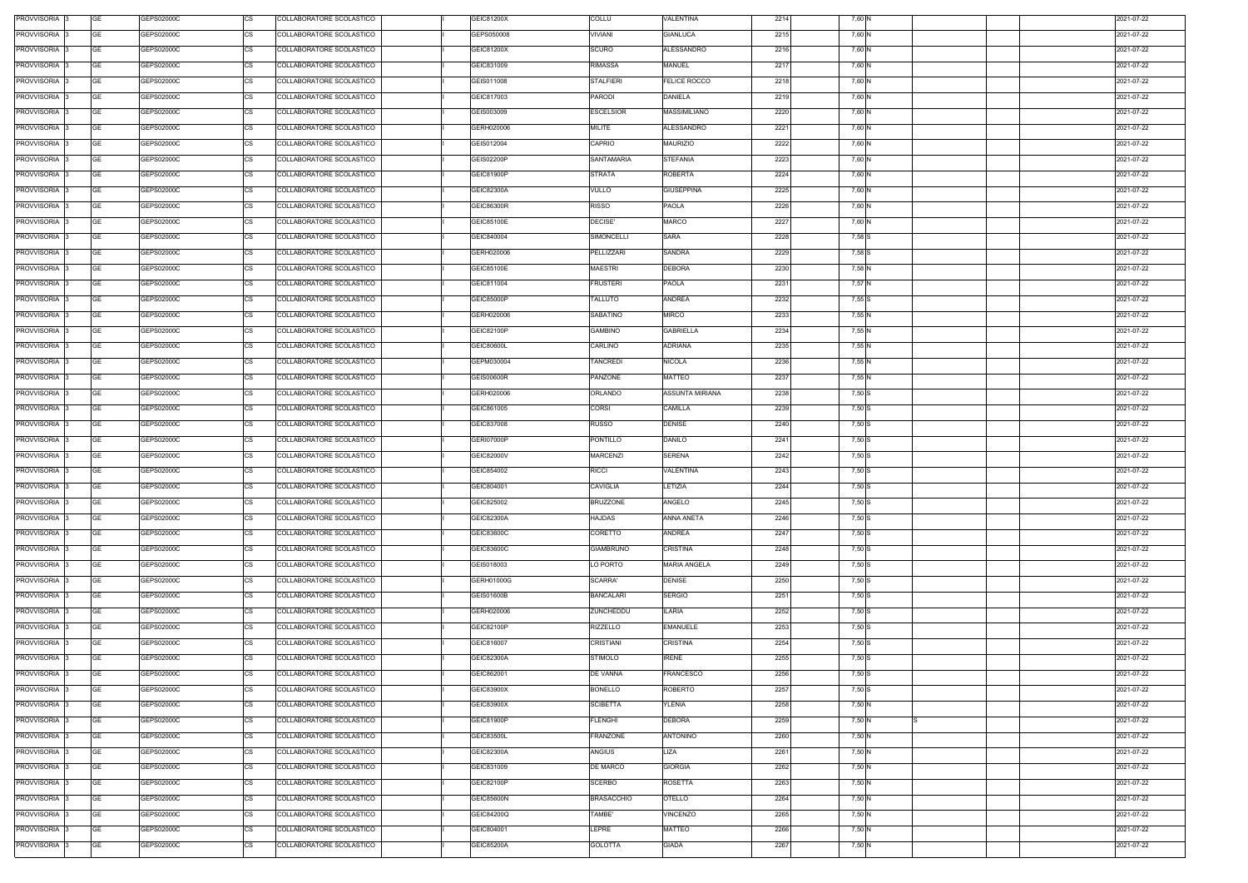| PROVVISORIA 3 | <b>GE</b><br>GEPS02000C | <b>CS</b> | COLLABORATORE SCOLASTICO | GEIC81200X        | COLLU             | VALENTINA           | 2214 | 7,60 N   |  | 2021-07-22 |
|---------------|-------------------------|-----------|--------------------------|-------------------|-------------------|---------------------|------|----------|--|------------|
| PROVVISORIA 3 | <b>GE</b><br>GEPS02000C | CS        | COLLABORATORE SCOLASTICO | GEPS050008        | VIVIANI           | <b>GIANLUCA</b>     | 2215 | 7,60 N   |  | 2021-07-22 |
| PROVVISORIA 3 | <b>GE</b><br>GEPS02000C | CS        | COLLABORATORE SCOLASTICO | GEIC81200X        | SCURO             | ALESSANDRO          | 2216 | 7,60 N   |  | 2021-07-22 |
| PROVVISORIA 3 | <b>GE</b><br>GEPS02000C | <b>CS</b> | COLLABORATORE SCOLASTICO | GEIC831009        | <b>RIMASSA</b>    | <b>MANUEL</b>       | 2217 | 7,60 N   |  | 2021-07-22 |
| PROVVISORIA 3 | <b>GE</b><br>GEPS02000C | <b>CS</b> | COLLABORATORE SCOLASTICO | GEIS011008        | <b>STALFIERI</b>  | <b>FELICE ROCCO</b> | 2218 | 7,60 N   |  | 2021-07-22 |
| PROVVISORIA 3 | <b>GE</b><br>GEPS02000C | <b>CS</b> | COLLABORATORE SCOLASTICO | GEIC817003        | PARODI            | DANIELA             | 2219 | 7,60 N   |  | 2021-07-22 |
| PROVVISORIA 3 | <b>GE</b><br>GEPS02000C | <b>CS</b> | COLLABORATORE SCOLASTICO | GEIS003009        | <b>ESCELSIOR</b>  | MASSIMILIANO        | 2220 | 7,60 N   |  | 2021-07-22 |
| PROVVISORIA 3 | <b>GE</b><br>GEPS02000C | <b>CS</b> | COLLABORATORE SCOLASTICO | GERH020006        | <b>MILITE</b>     | ALESSANDRO          | 2221 | 7,60 N   |  | 2021-07-22 |
| PROVVISORIA 3 | <b>GE</b><br>GEPS02000C | <b>CS</b> | COLLABORATORE SCOLASTICO | GEIS012004        | CAPRIO            | <b>MAURIZIO</b>     | 2222 | 7,60 N   |  | 2021-07-22 |
| PROVVISORIA 3 | <b>GE</b><br>GEPS02000C | <b>CS</b> | COLLABORATORE SCOLASTICO | <b>GEIS02200P</b> | SANTAMARIA        | <b>STEFANIA</b>     | 2223 | 7,60 N   |  | 2021-07-22 |
| PROVVISORIA 3 | <b>GE</b><br>GEPS02000C | <b>CS</b> | COLLABORATORE SCOLASTICO | GEIC81900P        | <b>STRATA</b>     | <b>ROBERTA</b>      | 2224 | 7,60 N   |  | 2021-07-22 |
| PROVVISORIA 3 | <b>GE</b><br>GEPS02000C | CS        | COLLABORATORE SCOLASTICO | GEIC82300A        | VULLO             | <b>GIUSEPPINA</b>   | 2225 | 7,60 N   |  | 2021-07-22 |
| PROVVISORIA 3 | <b>GE</b><br>GEPS02000C | <b>CS</b> | COLLABORATORE SCOLASTICO | GEIC86300R        | <b>RISSO</b>      | <b>PAOLA</b>        | 2226 | 7,60 N   |  | 2021-07-22 |
| PROVVISORIA 3 | <b>GE</b><br>GEPS02000C | CS        | COLLABORATORE SCOLASTICO | GEIC85100E        | DECISE'           | <b>MARCO</b>        | 2227 | 7,60 N   |  | 2021-07-22 |
| PROVVISORIA 3 | <b>GE</b><br>GEPS02000C | <b>CS</b> | COLLABORATORE SCOLASTICO | GEIC840004        | SIMONCELLI        | SARA                | 2228 | 7,58 S   |  | 2021-07-22 |
| PROVVISORIA 3 | <b>GE</b><br>GEPS02000C | CS        | COLLABORATORE SCOLASTICO | GERH020006        | PELLIZZARI        | <b>SANDRA</b>       | 2229 | 7,58 S   |  | 2021-07-22 |
| PROVVISORIA 3 | <b>GE</b><br>GEPS02000C | <b>CS</b> | COLLABORATORE SCOLASTICO | GEIC85100E        | <b>MAESTRI</b>    | <b>DEBORA</b>       | 2230 | 7,58 N   |  | 2021-07-22 |
| PROVVISORIA 3 | <b>GE</b><br>GEPS02000C | <b>CS</b> | COLLABORATORE SCOLASTICO | GEIC811004        | <b>FRUSTERI</b>   | <b>PAOLA</b>        | 2231 | 7,57 N   |  | 2021-07-22 |
| PROVVISORIA 3 | <b>GE</b><br>GEPS02000C | <b>CS</b> | COLLABORATORE SCOLASTICO | GEIC85000P        | TALLUTO           | ANDREA              | 2232 | 7,55 S   |  | 2021-07-22 |
| PROVVISORIA 3 | <b>GE</b><br>GEPS02000C | <b>CS</b> | COLLABORATORE SCOLASTICO | GERH020006        | SABATINO          | <b>MIRCO</b>        | 2233 | 7,55 N   |  | 2021-07-22 |
| PROVVISORIA 3 | <b>GE</b><br>GEPS02000C | <b>CS</b> | COLLABORATORE SCOLASTICO | GEIC82100P        | <b>GAMBINO</b>    | <b>GABRIELLA</b>    | 2234 | 7,55 N   |  | 2021-07-22 |
| PROVVISORIA 3 | <b>GE</b><br>GEPS02000C | <b>CS</b> | COLLABORATORE SCOLASTICO | GEIC80600L        | CARLINO           | ADRIANA             | 2235 | 7,55 N   |  | 2021-07-22 |
| PROVVISORIA 3 | <b>GE</b><br>GEPS02000C | <b>CS</b> | COLLABORATORE SCOLASTICO | GEPM030004        | TANCREDI          | <b>NICOLA</b>       | 2236 | 7,55 N   |  | 2021-07-22 |
|               | <b>GE</b>               | <b>CS</b> |                          |                   |                   |                     |      |          |  |            |
| PROVVISORIA 3 | GEPS02000C              |           | COLLABORATORE SCOLASTICO | GEIS00600R        | <b>PANZONE</b>    | MATTEO              | 2237 | 7,55 N   |  | 2021-07-22 |
| PROVVISORIA 3 | <b>GE</b><br>GEPS02000C | <b>CS</b> | COLLABORATORE SCOLASTICO | GERH020006        | ORLANDO           | ASSUNTA MIRIANA     | 2238 | 7,50 S   |  | 2021-07-22 |
| PROVVISORIA 3 | <b>GE</b><br>GEPS02000C | <b>CS</b> | COLLABORATORE SCOLASTICO | GEIC861005        | CORSI             | CAMILLA             | 2239 | 7,50 S   |  | 2021-07-22 |
| PROVVISORIA 3 | <b>GE</b><br>GEPS02000C | <b>CS</b> | COLLABORATORE SCOLASTICO | GEIC837008        | <b>RUSSO</b>      | DENISE              | 2240 | 7,50 S   |  | 2021-07-22 |
| PROVVISORIA 3 | <b>GE</b><br>GEPS02000C | CS        | COLLABORATORE SCOLASTICO | GERI07000P        | PONTILLO          | <b>DANILO</b>       | 2241 | 7,50 S   |  | 2021-07-22 |
| PROVVISORIA 3 | <b>GE</b><br>GEPS02000C | <b>CS</b> | COLLABORATORE SCOLASTICO | GEIC82000V        | <b>MARCENZI</b>   | <b>SERENA</b>       | 2242 | $7,50$ S |  | 2021-07-22 |
| PROVVISORIA 3 | <b>GE</b><br>GEPS02000C | <b>CS</b> | COLLABORATORE SCOLASTICO | GEIC854002        | <b>RICCI</b>      | VALENTINA           | 2243 | $7,50$ S |  | 2021-07-22 |
| PROVVISORIA 3 | <b>GE</b><br>GEPS02000C | <b>CS</b> | COLLABORATORE SCOLASTICO | GEIC804001        | CAVIGLIA          | LETIZIA             | 2244 | 7,50 S   |  | 2021-07-22 |
| PROVVISORIA 3 | <b>GE</b><br>GEPS02000C | <b>CS</b> | COLLABORATORE SCOLASTICO | GEIC825002        | <b>BRUZZONE</b>   | ANGELO              | 2245 | 7,50 S   |  | 2021-07-22 |
| PROVVISORIA 3 | <b>GE</b><br>GEPS02000C | CS        | COLLABORATORE SCOLASTICO | GEIC82300A        | <b>HAJDAS</b>     | ANNA ANETA          | 2246 | 7,50 S   |  | 2021-07-22 |
| PROVVISORIA 3 | <b>GE</b><br>GEPS02000C | <b>CS</b> | COLLABORATORE SCOLASTICO | GEIC83600C        | CORETTO           | ANDREA              | 2247 | 7,50 S   |  | 2021-07-22 |
| PROVVISORIA 3 | <b>GE</b><br>GEPS02000C | CS        | COLLABORATORE SCOLASTICO | GEIC83600C        | <b>GIAMBRUNO</b>  | CRISTINA            | 2248 | $7,50$ S |  | 2021-07-22 |
| PROVVISORIA 3 | <b>GE</b><br>GEPS02000C | <b>CS</b> | COLLABORATORE SCOLASTICO | GEIS018003        | LO PORTO          | <b>MARIA ANGELA</b> | 2249 | 7,50 S   |  | 2021-07-22 |
| PROVVISORIA 3 | <b>GE</b><br>GEPS02000C | CS        | COLLABORATORE SCOLASTICO | GERH01000G        | SCARRA'           | <b>DENISE</b>       | 2250 | $7,50$ S |  | 2021-07-22 |
| PROVVISORIA 3 | <b>GE</b><br>GEPS02000C | <b>CS</b> | COLLABORATORE SCOLASTICO | GEIS01600B        | <b>BANCALARI</b>  | <b>SERGIO</b>       | 2251 | 7,50 S   |  | 2021-07-22 |
| PROVVISORIA 3 | <b>GE</b><br>GEPS02000C | CS        | COLLABORATORE SCOLASTICO | GERH020006        | ZUNCHEDDU         | <b>ILARIA</b>       | 2252 | 7,50 S   |  | 2021-07-22 |
| PROVVISORIA 3 | <b>GE</b><br>GEPS02000C | CS        | COLLABORATORE SCOLASTICO | GEIC82100P        | <b>RIZZELLO</b>   | <b>EMANUELE</b>     | 2253 | 7,50 S   |  | 2021-07-22 |
| PROVVISORIA 3 | <b>GE</b><br>GEPS02000C | CS        | COLLABORATORE SCOLASTICO | GEIC816007        | <b>CRISTIANI</b>  | <b>CRISTINA</b>     | 2254 | 7,50 S   |  | 2021-07-22 |
| PROVVISORIA 3 | <b>GE</b><br>GEPS02000C | <b>CS</b> | COLLABORATORE SCOLASTICO | GEIC82300A        | <b>STIMOLO</b>    | <b>IRENE</b>        | 2255 | 7,50 S   |  | 2021-07-22 |
| PROVVISORIA 3 | <b>GE</b><br>GEPS02000C | CS        | COLLABORATORE SCOLASTICO | GEIC862001        | DE VANNA          | <b>FRANCESCO</b>    | 2256 | 7,50 S   |  | 2021-07-22 |
| PROVVISORIA 3 | <b>GE</b><br>GEPS02000C | CS        | COLLABORATORE SCOLASTICO | GEIC83900X        | <b>BONELLO</b>    | <b>ROBERTO</b>      | 2257 | 7,50 S   |  | 2021-07-22 |
| PROVVISORIA 3 | <b>GE</b><br>GEPS02000C | <b>CS</b> | COLLABORATORE SCOLASTICO | GEIC83900X        | SCIBETTA          | YLENIA              | 2258 | 7,50 N   |  | 2021-07-22 |
| PROVVISORIA 3 | <b>GE</b><br>GEPS02000C | <b>CS</b> | COLLABORATORE SCOLASTICO | GEIC81900P        | <b>FLENGHI</b>    | <b>DEBORA</b>       | 2259 | 7,50 N   |  | 2021-07-22 |
| PROVVISORIA 3 | <b>GE</b><br>GEPS02000C | <b>CS</b> | COLLABORATORE SCOLASTICO | GEIC83500L        | FRANZONE          | ANTONINO            | 2260 | 7,50 N   |  | 2021-07-22 |
| PROVVISORIA 3 | <b>GE</b><br>GEPS02000C | <b>CS</b> | COLLABORATORE SCOLASTICO | GEIC82300A        | <b>ANGIUS</b>     | LIZA                | 2261 | 7,50 N   |  | 2021-07-22 |
| PROVVISORIA 3 | <b>GE</b><br>GEPS02000C | <b>CS</b> | COLLABORATORE SCOLASTICO | GEIC831009        | DE MARCO          | <b>GIORGIA</b>      | 2262 | 7,50 N   |  | 2021-07-22 |
| PROVVISORIA 3 | <b>GE</b><br>GEPS02000C | <b>CS</b> | COLLABORATORE SCOLASTICO | GEIC82100P        | SCERBO            | <b>ROSETTA</b>      | 2263 | 7,50 N   |  | 2021-07-22 |
| PROVVISORIA 3 | <b>GE</b><br>GEPS02000C | <b>CS</b> | COLLABORATORE SCOLASTICO | <b>GEIC85600N</b> | <b>BRASACCHIO</b> | OTELLO              | 2264 | 7,50 N   |  | 2021-07-22 |
| PROVVISORIA 3 | <b>GE</b><br>GEPS02000C | <b>CS</b> | COLLABORATORE SCOLASTICO | GEIC84200Q        | TAMBE'            | /INCENZO            | 2265 | 7,50 N   |  | 2021-07-22 |
| PROVVISORIA 3 | <b>GE</b><br>GEPS02000C | <b>CS</b> | COLLABORATORE SCOLASTICO | GEIC804001        | LEPRE             | MATTEO              | 2266 | 7,50 N   |  | 2021-07-22 |
| PROVVISORIA 3 | <b>GE</b><br>GEPS02000C | CS        | COLLABORATORE SCOLASTICO | GEIC85200A        | <b>GOLOTTA</b>    | <b>GIADA</b>        | 2267 | 7,50 N   |  | 2021-07-22 |
|               |                         |           |                          |                   |                   |                     |      |          |  |            |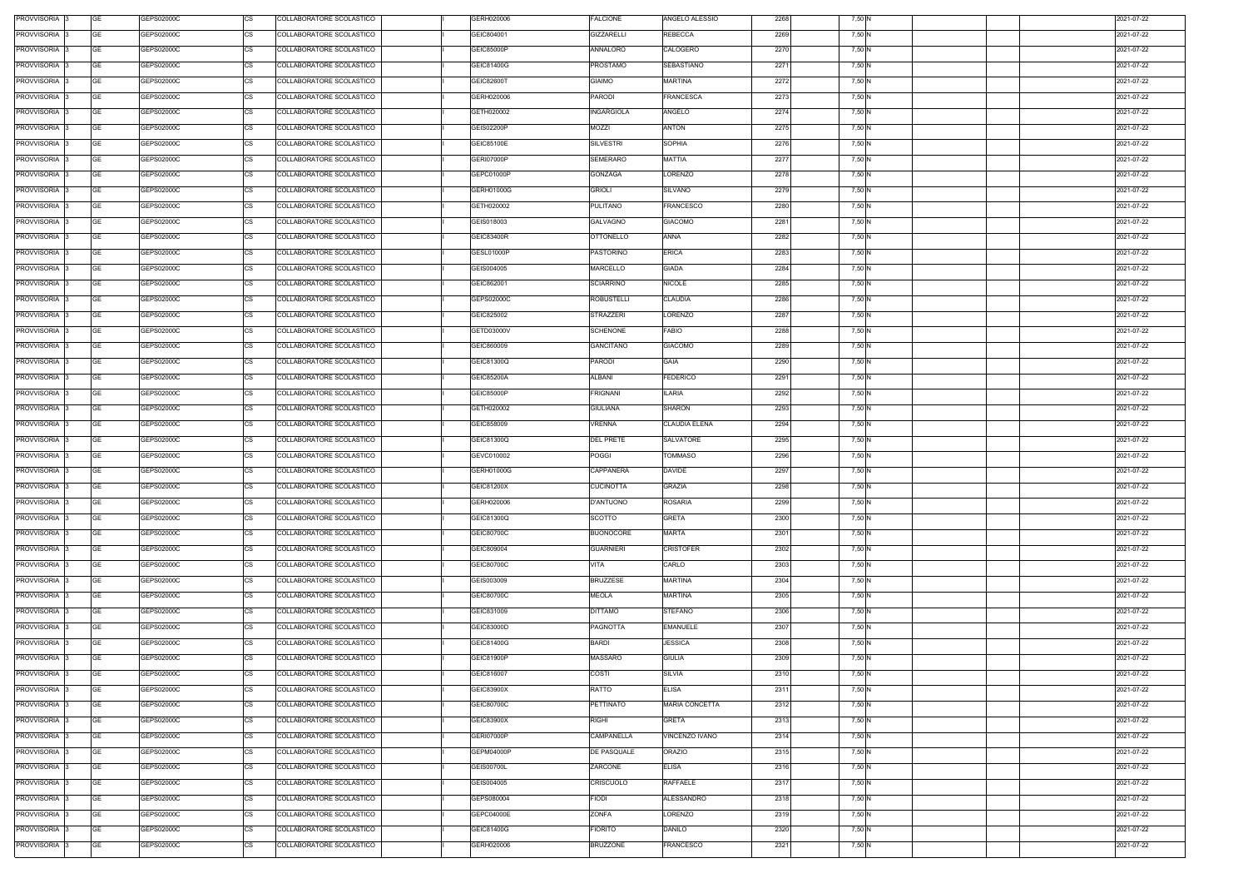| PROVVISORIA 3                  | <b>GE</b><br>GEPS02000C               | <b>CS</b>       | COLLABORATORE SCOLASTICO                             | GERH020006        | <b>FALCIONE</b>                      | ANGELO ALESSIO                   | 2268         | 7,50 N |  | 2021-07-22               |
|--------------------------------|---------------------------------------|-----------------|------------------------------------------------------|-------------------|--------------------------------------|----------------------------------|--------------|--------|--|--------------------------|
| PROVVISORIA 3                  | <b>GE</b><br>GEPS02000C               | CS              | COLLABORATORE SCOLASTICO                             | GEIC804001        | GIZZARELLI                           | <b>REBECCA</b>                   | 2269         | 7,50 N |  | 2021-07-22               |
| PROVVISORIA 3                  | <b>GE</b><br>GEPS02000C               | <b>CS</b>       | COLLABORATORE SCOLASTICO                             | GEIC85000P        | ANNALORO                             | CALOGERO                         | 2270         | 7,50 N |  | 2021-07-22               |
| PROVVISORIA 3                  | <b>GE</b><br>GEPS02000C               | <b>CS</b>       | COLLABORATORE SCOLASTICO                             | GEIC81400G        | PROSTAMO                             | <b>SEBASTIANO</b>                | 2271         | 7,50 N |  | 2021-07-22               |
| PROVVISORIA 3                  | <b>GE</b><br>GEPS02000C               | <b>CS</b>       | COLLABORATORE SCOLASTICO                             | GEIC82600T        | <b>GIAIMO</b>                        | <b>MARTINA</b>                   | 2272         | 7,50 N |  | 2021-07-22               |
| PROVVISORIA 3                  | <b>GE</b><br>GEPS02000C               | <b>CS</b>       | COLLABORATORE SCOLASTICO                             | GERH020006        | PARODI                               | <b>FRANCESCA</b>                 | 2273         | 7,50 N |  | 2021-07-22               |
| PROVVISORIA 3                  | <b>GE</b><br>GEPS02000C               | <b>CS</b>       | COLLABORATORE SCOLASTICO                             | GETH020002        | INGARGIOLA                           | ANGELO                           | 2274         | 7,50 N |  | 2021-07-22               |
| PROVVISORIA 3                  | <b>GE</b><br>GEPS02000C               | CS              | COLLABORATORE SCOLASTICO                             | GEIS02200P        | <b>MOZZI</b>                         | ANTON                            | 2275         | 7,50 N |  | 2021-07-22               |
| PROVVISORIA 3                  | <b>GE</b><br>GEPS02000C               | <b>CS</b>       | COLLABORATORE SCOLASTICO                             | GEIC85100E        | <b>SILVESTRI</b>                     | <b>SOPHIA</b>                    | 2276         | 7,50 N |  | 2021-07-22               |
| PROVVISORIA 3                  | <b>GE</b><br>GEPS02000C               | <b>CS</b>       | COLLABORATORE SCOLASTICO                             | <b>GERI07000P</b> | SEMERARO                             | <b>MATTIA</b>                    | 2277         | 7,50 N |  | 2021-07-22               |
| PROVVISORIA 3                  | <b>GE</b><br>GEPS02000C               | <b>CS</b>       | COLLABORATORE SCOLASTICO                             | GEPC01000P        | GONZAGA                              | LORENZO                          | 2278         | 7,50 N |  | 2021-07-22               |
| PROVVISORIA 3                  | <b>GE</b><br>GEPS02000C               | CS              | COLLABORATORE SCOLASTICO                             | GERH01000G        | <b>GRIOLI</b>                        | SILVANO                          | 2279         | 7,50 N |  | 2021-07-22               |
| PROVVISORIA 3                  | <b>GE</b><br>GEPS02000C               | <b>CS</b>       | COLLABORATORE SCOLASTICO                             | GETH020002        | PULITANO                             | <b>FRANCESCO</b>                 | 2280         | 7,50 N |  | 2021-07-22               |
| PROVVISORIA 3                  | <b>GE</b><br>GEPS02000C               | CS              | COLLABORATORE SCOLASTICO                             | GEIS018003        | GALVAGNO                             | <b>GIACOMO</b>                   | 2281         | 7,50 N |  | 2021-07-22               |
| PROVVISORIA 3                  | <b>GE</b><br>GEPS02000C               | <b>CS</b>       | COLLABORATORE SCOLASTICO                             | <b>GEIC83400R</b> | <b>OTTONELLO</b>                     | ANNA                             | 2282         | 7,50 N |  | 2021-07-22               |
| PROVVISORIA 3                  | <b>GE</b><br>GEPS02000C               | CS              | COLLABORATORE SCOLASTICO                             | GESL01000P        | PASTORINO                            | <b>ERICA</b>                     | 2283         | 7,50 N |  | 2021-07-22               |
| PROVVISORIA 3                  | <b>GE</b><br>GEPS02000C               | <b>CS</b>       | COLLABORATORE SCOLASTICO                             | GEIS004005        | MARCELLO                             | <b>GIADA</b>                     | 2284         | 7,50 N |  | 2021-07-22               |
| PROVVISORIA 3                  | <b>GE</b><br>GEPS02000C               | <b>CS</b>       | COLLABORATORE SCOLASTICO                             | GEIC862001        | SCIARRINO                            | <b>NICOLE</b>                    | 2285         | 7,50 N |  | 2021-07-22               |
| PROVVISORIA 3                  | <b>GE</b><br>GEPS02000C               | <b>CS</b>       | COLLABORATORE SCOLASTICO                             | GEPS02000C        | ROBUSTELLI                           | CLAUDIA                          | 2286         | 7,50 N |  | 2021-07-22               |
| PROVVISORIA 3                  | <b>GE</b><br>GEPS02000C               | <b>CS</b>       | COLLABORATORE SCOLASTICO                             | GEIC825002        | STRAZZERI                            | LORENZO                          | 2287         | 7,50 N |  | 2021-07-22               |
| PROVVISORIA 3                  | <b>GE</b><br>GEPS02000C               | <b>CS</b>       | COLLABORATORE SCOLASTICO                             | GETD03000V        | SCHENONE                             | FABIO                            | 2288         | 7,50 N |  | 2021-07-22               |
| PROVVISORIA 3                  | <b>GE</b><br>GEPS02000C               | <b>CS</b>       | COLLABORATORE SCOLASTICO                             | GEIC860009        | <b>GANCITANO</b>                     | <b>GIACOMO</b>                   | 2289         | 7,50 N |  | 2021-07-22               |
| PROVVISORIA <sub>3</sub>       | <b>GE</b><br>GEPS02000C               | <b>CS</b>       | COLLABORATORE SCOLASTICO                             | GEIC81300Q        | <b>PARODI</b>                        | <b>GAIA</b>                      | 2290         | 7,50 N |  | 2021-07-22               |
| PROVVISORIA 3                  | <b>GE</b><br>GEPS02000C               | <b>CS</b>       | COLLABORATORE SCOLASTICO                             | <b>GEIC85200A</b> | ALBANI                               | <b>FEDERICO</b>                  | 2291         | 7,50 N |  | 2021-07-22               |
| PROVVISORIA 3                  | <b>GE</b><br>GEPS02000C               | <b>CS</b>       | COLLABORATORE SCOLASTICO                             | GEIC85000P        | <b>FRIGNANI</b>                      | <b>ILARIA</b>                    | 2292         | 7,50 N |  | 2021-07-22               |
| PROVVISORIA 3                  | <b>GE</b><br>GEPS02000C               | <b>CS</b>       | COLLABORATORE SCOLASTICO                             | GETH020002        | GIULIANA                             | SHARON                           | 2293         | 7,50 N |  | 2021-07-22               |
| PROVVISORIA 3                  | <b>GE</b><br>GEPS02000C               | <b>CS</b>       | COLLABORATORE SCOLASTICO                             | GEIC858009        | VRENNA                               | CLAUDIA ELENA                    | 2294         | 7,50 N |  | 2021-07-22               |
| PROVVISORIA 3                  | <b>GE</b><br>GEPS02000C               | CS              | COLLABORATORE SCOLASTICO                             | GEIC81300Q        | <b>DEL PRETE</b>                     | SALVATORE                        | 2295         | 7,50 N |  | 2021-07-22               |
| PROVVISORIA 3                  | <b>GE</b><br>GEPS02000C               | <b>CS</b>       | COLLABORATORE SCOLASTICO                             | GEVC010002        | <b>POGGI</b>                         | <b>TOMMASO</b>                   | 2296         | 7,50 N |  | 2021-07-22               |
| PROVVISORIA 3                  | <b>GE</b><br>GEPS02000C               | <b>CS</b>       | COLLABORATORE SCOLASTICO                             | GERH01000G        | CAPPANERA                            | <b>DAVIDE</b>                    | 2297         | 7,50 N |  | 2021-07-22               |
| PROVVISORIA 3                  | <b>GE</b><br>GEPS02000C               | <b>CS</b>       | COLLABORATORE SCOLASTICO                             | GEIC81200X        | <b>CUCINOTTA</b>                     | <b>GRAZIA</b>                    | 2298         | 7,50 N |  | 2021-07-22               |
| PROVVISORIA 3                  | <b>GE</b><br>GEPS02000C               | <b>CS</b>       | COLLABORATORE SCOLASTICO                             | GERH020006        | D'ANTUONO                            | <b>ROSARIA</b>                   | 2299         | 7,50 N |  | 2021-07-22               |
| PROVVISORIA 3                  | <b>GE</b><br>GEPS02000C               | CS              |                                                      | GEIC81300Q        | SCOTTO                               | <b>GRETA</b>                     | 2300         |        |  | 2021-07-22               |
|                                | <b>GE</b>                             |                 | COLLABORATORE SCOLASTICO<br>COLLABORATORE SCOLASTICO |                   |                                      |                                  |              | 7,50 N |  |                          |
| PROVVISORIA 3<br>PROVVISORIA 3 | GEPS02000C<br><b>GE</b><br>GEPS02000C | <b>CS</b><br>CS | COLLABORATORE SCOLASTICO                             | GEIC80700C        | <b>BUONOCORE</b><br><b>GUARNIERI</b> | <b>MARTA</b><br><b>CRISTOFER</b> | 2301<br>2302 | 7,50 N |  | 2021-07-22<br>2021-07-22 |
|                                |                                       |                 |                                                      | GEIC809004        |                                      |                                  |              | 7,50 N |  |                          |
| PROVVISORIA 3                  | <b>GE</b><br>GEPS02000C               | <b>CS</b>       | COLLABORATORE SCOLASTICO                             | GEIC80700C        | VITA                                 | CARLO                            | 2303         | 7,50 N |  | 2021-07-22               |
| PROVVISORIA 3                  | <b>GE</b><br>GEPS02000C               | CS              | COLLABORATORE SCOLASTICO                             | GEIS003009        | <b>BRUZZESE</b>                      | <b>MARTINA</b>                   | 2304         | 7,50 N |  | 2021-07-22               |
| PROVVISORIA 3                  | <b>GE</b><br>GEPS02000C               | <b>CS</b>       | COLLABORATORE SCOLASTICO                             | GEIC80700C        | <b>MEOLA</b>                         | <b>MARTINA</b>                   | 2305         | 7,50 N |  | 2021-07-22               |
| PROVVISORIA 3                  | <b>GE</b><br>GEPS02000C               | CS              | COLLABORATORE SCOLASTICO                             | GEIC831009        | <b>DITTAMO</b>                       | <b>STEFANO</b>                   | 2306         | 7,50 N |  | 2021-07-22               |
| PROVVISORIA 3                  | <b>GE</b><br>GEPS02000C               | CS              | COLLABORATORE SCOLASTICO                             | GEIC83000D        | PAGNOTTA                             | <b>EMANUELE</b>                  | 2307         | 7,50 N |  | 2021-07-22               |
| PROVVISORIA 3                  | <b>GE</b><br>GEPS02000C               | CS              | COLLABORATORE SCOLASTICO                             | GEIC81400G        | <b>BARDI</b>                         | <b>JESSICA</b>                   | 2308         | 7,50 N |  | 2021-07-22               |
| PROVVISORIA 3                  | <b>GE</b><br>GEPS02000C               | <b>CS</b>       | COLLABORATORE SCOLASTICO                             | GEIC81900P        | MASSARO                              | <b>GIULIA</b>                    | 2309         | 7,50 N |  | 2021-07-22               |
| PROVVISORIA 3                  | <b>GE</b><br>GEPS02000C               | CS              | COLLABORATORE SCOLASTICO                             | GEIC816007        | COSTI                                | <b>SILVIA</b>                    | 2310         | 7,50 N |  | 2021-07-22               |
| PROVVISORIA 3                  | <b>GE</b><br>GEPS02000C               | CS              | COLLABORATORE SCOLASTICO                             | GEIC83900X        | <b>RATTO</b>                         | <b>ELISA</b>                     | 2311         | 7,50 N |  | 2021-07-22               |
| PROVVISORIA 3                  | <b>GE</b><br>GEPS02000C               | <b>CS</b>       | COLLABORATORE SCOLASTICO                             | GEIC80700C        | PETTINATO                            | <b>MARIA CONCETTA</b>            | 2312         | 7,50 N |  | 2021-07-22               |
| PROVVISORIA 3                  | <b>GE</b><br>GEPS02000C               | <b>CS</b>       | COLLABORATORE SCOLASTICO                             | GEIC83900X        | <b>RIGHI</b>                         | GRETA                            | 2313         | 7,50 N |  | 2021-07-22               |
| PROVVISORIA 3                  | <b>GE</b><br>GEPS02000C               | <b>CS</b>       | COLLABORATORE SCOLASTICO                             | GERI07000P        | CAMPANELLA                           | /INCENZO IVANO                   | 2314         | 7,50 N |  | 2021-07-22               |
| PROVVISORIA 3                  | <b>GE</b><br>GEPS02000C               | <b>CS</b>       | COLLABORATORE SCOLASTICO                             | GEPM04000P        | DE PASQUALE                          | <b>ORAZIO</b>                    | 2315         | 7,50 N |  | 2021-07-22               |
| PROVVISORIA 3                  | <b>GE</b><br>GEPS02000C               | <b>CS</b>       | COLLABORATORE SCOLASTICO                             | <b>GEIS00700L</b> | ZARCONE                              | <b>ELISA</b>                     | 2316         | 7,50 N |  | 2021-07-22               |
| PROVVISORIA 3                  | <b>GE</b><br>GEPS02000C               | <b>CS</b>       | COLLABORATORE SCOLASTICO                             | GEIS004005        | CRISCUOLO                            | RAFFAELE                         | 2317         | 7,50 N |  | 2021-07-22               |
| PROVVISORIA 3                  | <b>GE</b><br>GEPS02000C               | <b>CS</b>       | COLLABORATORE SCOLASTICO                             | GEPS080004        | <b>FIODI</b>                         | ALESSANDRO                       | 2318         | 7,50 N |  | 2021-07-22               |
| PROVVISORIA 3                  | <b>GE</b><br>GEPS02000C               | <b>CS</b>       | COLLABORATORE SCOLASTICO                             | GEPC04000E        | <b>ZONFA</b>                         | ORENZO.                          | 2319         | 7,50 N |  | 2021-07-22               |
| PROVVISORIA 3                  | <b>GE</b><br>GEPS02000C               | <b>CS</b>       | COLLABORATORE SCOLASTICO                             | GEIC81400G        | <b>FIORITO</b>                       | DANILO                           | 2320         | 7,50 N |  | 2021-07-22               |
| PROVVISORIA 3                  | <b>GE</b><br>GEPS02000C               | CS              | COLLABORATORE SCOLASTICO                             | GERH020006        | <b>BRUZZONE</b>                      | FRANCESCO                        | 2321         | 7,50 N |  | 2021-07-22               |
|                                |                                       |                 |                                                      |                   |                                      |                                  |              |        |  |                          |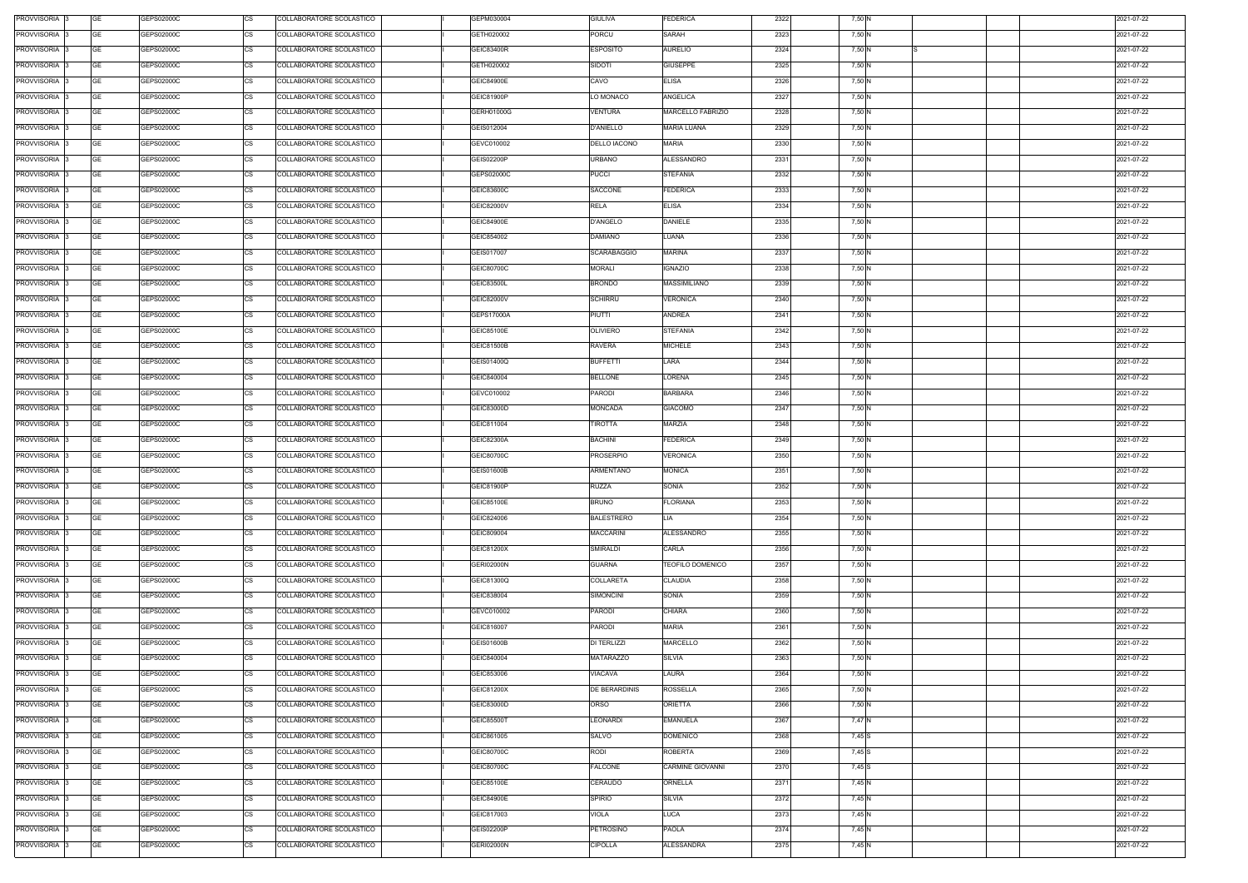| PROVVISORIA 3 | GE        | GEPS02000C | COLLABORATORE SCOLASTICO<br>CS        | GEPM030004        | <b>GIULIVA</b>       | <b>FEDERICA</b>         | 2322 | 7,50 N |  | 2021-07-22 |
|---------------|-----------|------------|---------------------------------------|-------------------|----------------------|-------------------------|------|--------|--|------------|
| PROVVISORIA 3 | GE        | GEPS02000C | <b>CS</b><br>COLLABORATORE SCOLASTICO | GETH020002        | PORCU                | SARAH                   | 2323 | 7,50 N |  | 2021-07-22 |
| PROVVISORIA 3 | GE        | GEPS02000C | <b>CS</b><br>COLLABORATORE SCOLASTICO | <b>GEIC83400R</b> | <b>ESPOSITO</b>      | <b>AURELIO</b>          | 2324 | 7,50 N |  | 2021-07-22 |
| PROVVISORIA 3 | GE        | GEPS02000C | <b>CS</b><br>COLLABORATORE SCOLASTICO | GETH020002        | SIDOTI               | <b>GIUSEPPE</b>         | 2325 | 7,50 N |  | 2021-07-22 |
| PROVVISORIA 3 | <b>GE</b> | GEPS02000C | <b>CS</b><br>COLLABORATORE SCOLASTICO | GEIC84900E        | CAVO                 | <b>ELISA</b>            | 2326 | 7,50 N |  | 2021-07-22 |
| PROVVISORIA 3 | GE        | GEPS02000C | <b>CS</b><br>COLLABORATORE SCOLASTICO | GEIC81900P        | LO MONACO            | ANGELICA                | 2327 | 7,50 N |  | 2021-07-22 |
| PROVVISORIA 3 | <b>GE</b> | GEPS02000C | <b>CS</b><br>COLLABORATORE SCOLASTICO | GERH01000G        | VENTURA              | MARCELLO FABRIZIO       | 2328 | 7,50 N |  | 2021-07-22 |
|               |           |            | <b>CS</b><br>COLLABORATORE SCOLASTICO |                   |                      |                         |      |        |  |            |
| PROVVISORIA 3 | GE        | GEPS02000C |                                       | GEIS012004        | <b>D'ANIELLO</b>     | MARIA LUANA             | 2329 | 7,50 N |  | 2021-07-22 |
| PROVVISORIA 3 | <b>GE</b> | GEPS02000C | <b>CS</b><br>COLLABORATORE SCOLASTICO | GEVC010002        | DELLO IACONO         | <b>MARIA</b>            | 2330 | 7,50 N |  | 2021-07-22 |
| PROVVISORIA 3 | <b>GE</b> | GEPS02000C | <b>CS</b><br>COLLABORATORE SCOLASTICO | <b>GEIS02200P</b> | <b>URBANO</b>        | <b>ALESSANDRO</b>       | 2331 | 7,50 N |  | 2021-07-22 |
| PROVVISORIA 3 | <b>GE</b> | GEPS02000C | <b>CS</b><br>COLLABORATORE SCOLASTICO | GEPS02000C        | <b>PUCCI</b>         | <b>STEFANIA</b>         | 2332 | 7,50 N |  | 2021-07-22 |
| PROVVISORIA 3 | <b>GE</b> | GEPS02000C | CS<br>COLLABORATORE SCOLASTICO        | GEIC83600C        | <b>SACCONE</b>       | <b>FEDERICA</b>         | 2333 | 7,50 N |  | 2021-07-22 |
| PROVVISORIA 3 | <b>GE</b> | GEPS02000C | <b>CS</b><br>COLLABORATORE SCOLASTICO | GEIC82000V        | <b>RELA</b>          | <b>ELISA</b>            | 2334 | 7,50 N |  | 2021-07-22 |
| PROVVISORIA 3 | <b>GE</b> | GEPS02000C | <b>CS</b><br>COLLABORATORE SCOLASTICO | <b>GEIC84900E</b> | <b>D'ANGELO</b>      | DANIELE                 | 2335 | 7,50 N |  | 2021-07-22 |
| PROVVISORIA 3 | <b>GE</b> | GEPS02000C | COLLABORATORE SCOLASTICO<br>СS        | GEIC854002        | <b>DAMIANO</b>       | LUANA                   | 2336 | 7,50 N |  | 2021-07-22 |
| PROVVISORIA 3 | <b>GE</b> | GEPS02000C | <b>CS</b><br>COLLABORATORE SCOLASTICO | GEIS017007        | <b>SCARABAGGIO</b>   | <b>MARINA</b>           | 2337 | 7,50 N |  | 2021-07-22 |
| PROVVISORIA 3 | <b>GE</b> | GEPS02000C | <b>CS</b><br>COLLABORATORE SCOLASTICO | GEIC80700C        | <b>MORALI</b>        | <b>IGNAZIO</b>          | 2338 | 7,50 N |  | 2021-07-22 |
| PROVVISORIA 3 | <b>GE</b> | GEPS02000C | <b>CS</b><br>COLLABORATORE SCOLASTICO | GEIC83500L        | <b>BRONDO</b>        | MASSIMILIANO            | 2339 | 7,50 N |  | 2021-07-22 |
| PROVVISORIA 3 | <b>GE</b> | GEPS02000C | <b>CS</b><br>COLLABORATORE SCOLASTICO | GEIC82000V        | <b>SCHIRRU</b>       | VERONICA                | 2340 | 7,50 N |  | 2021-07-22 |
| PROVVISORIA 3 | GE        | GEPS02000C | <b>CS</b><br>COLLABORATORE SCOLASTICO | <b>GEPS17000A</b> | <b>PIUTTI</b>        | ANDREA                  | 2341 | 7,50 N |  | 2021-07-22 |
| PROVVISORIA 3 | GE        | GEPS02000C | <b>CS</b><br>COLLABORATORE SCOLASTICO | GEIC85100E        | <b>OLIVIERO</b>      | <b>STEFANIA</b>         | 2342 | 7,50 N |  | 2021-07-22 |
| PROVVISORIA 3 | <b>GE</b> | GEPS02000C | <b>CS</b><br>COLLABORATORE SCOLASTICO | <b>GEIC81500B</b> | RAVERA               | MICHELE                 | 2343 | 7,50 N |  | 2021-07-22 |
| PROVVISORIA 3 | <b>GE</b> | GEPS02000C | <b>CS</b><br>COLLABORATORE SCOLASTICO | GEIS01400Q        | <b>BUFFETTI</b>      | LARA                    | 2344 | 7,50 N |  | 2021-07-22 |
| PROVVISORIA 3 | <b>GE</b> | GEPS02000C | <b>CS</b><br>COLLABORATORE SCOLASTICO | GEIC840004        | <b>BELLONE</b>       | LORENA                  | 2345 | 7,50 N |  | 2021-07-22 |
| PROVVISORIA 3 | <b>GE</b> | GEPS02000C | <b>CS</b><br>COLLABORATORE SCOLASTICO | GEVC010002        | PARODI               | <b>BARBARA</b>          | 2346 | 7,50 N |  | 2021-07-22 |
| PROVVISORIA 3 | <b>GE</b> | GEPS02000C | <b>CS</b><br>COLLABORATORE SCOLASTICO | GEIC83000D        | <b>MONCADA</b>       | <b>GIACOMO</b>          | 2347 | 7,50 N |  | 2021-07-22 |
| PROVVISORIA 3 | GE        | GEPS02000C | <b>CS</b><br>COLLABORATORE SCOLASTICO | GEIC811004        | TIROTTA              | MARZIA                  | 2348 | 7,50 N |  | 2021-07-22 |
| PROVVISORIA 3 | <b>GE</b> | GEPS02000C | <b>CS</b><br>COLLABORATORE SCOLASTICO | GEIC82300A        | <b>BACHINI</b>       | <b>FEDERICA</b>         | 2349 | 7,50 N |  | 2021-07-22 |
| PROVVISORIA 3 | GE        | GEPS02000C | <b>CS</b><br>COLLABORATORE SCOLASTICO | GEIC80700C        | PROSERPIO            | VERONICA                | 2350 | 7,50 N |  | 2021-07-22 |
| PROVVISORIA 3 | <b>GE</b> | GEPS02000C | <b>CS</b><br>COLLABORATORE SCOLASTICO | <b>GEIS01600B</b> | ARMENTANO            | <b>MONICA</b>           | 2351 | 7,50 N |  | 2021-07-22 |
| PROVVISORIA 3 | GE        | GEPS02000C | <b>CS</b><br>COLLABORATORE SCOLASTICO | GEIC81900P        | <b>RUZZA</b>         | SONIA                   | 2352 | 7,50 N |  | 2021-07-22 |
| PROVVISORIA 3 | <b>GE</b> | GEPS02000C | <b>CS</b><br>COLLABORATORE SCOLASTICO | GEIC85100E        | <b>BRUNO</b>         | <b>FLORIANA</b>         | 2353 | 7,50 N |  | 2021-07-22 |
| PROVVISORIA 3 | GE        | GEPS02000C | <b>CS</b>                             | GEIC824006        | <b>BALESTRERO</b>    | LIA                     | 2354 |        |  | 2021-07-22 |
|               |           |            | COLLABORATORE SCOLASTICO              |                   |                      |                         |      | 7,50 N |  |            |
| PROVVISORIA 3 | GE        | GEPS02000C | <b>CS</b><br>COLLABORATORE SCOLASTICO | GEIC809004        | <b>MACCARINI</b>     | <b>ALESSANDRO</b>       | 2355 | 7,50 N |  | 2021-07-22 |
| PROVVISORIA 3 | <b>GE</b> | GEPS02000C | <b>CS</b><br>COLLABORATORE SCOLASTICO | GEIC81200X        | SMIRALDI             | CARLA                   | 2356 | 7,50 N |  | 2021-07-22 |
| PROVVISORIA 3 | <b>GE</b> | GEPS02000C | <b>CS</b><br>COLLABORATORE SCOLASTICO | <b>GERI02000N</b> | GUARNA               | <b>TEOFILO DOMENICO</b> | 2357 | 7,50 N |  | 2021-07-22 |
| PROVVISORIA 3 | <b>GE</b> | GEPS02000C | <b>CS</b><br>COLLABORATORE SCOLASTICO | GEIC81300Q        | COLLARETA            | <b>CLAUDIA</b>          | 2358 | 7,50 N |  | 2021-07-22 |
| PROVVISORIA 3 | <b>GE</b> | GEPS02000C | <b>CS</b><br>COLLABORATORE SCOLASTICO | GEIC838004        | SIMONCINI            | SONIA                   | 2359 | 7,50 N |  | 2021-07-22 |
| PROVVISORIA 3 | <b>GE</b> | GEPS02000C | CS<br>COLLABORATORE SCOLASTICO        | GEVC010002        | PARODI               | CHIARA                  | 2360 | 7,50 N |  | 2021-07-22 |
| PROVVISORIA 3 | <b>GE</b> | GEPS02000C | <b>CS</b><br>COLLABORATORE SCOLASTICO | GEIC816007        | <b>PARODI</b>        | MARIA                   | 2361 | 7,50 N |  | 2021-07-22 |
| PROVVISORIA 3 | <b>GE</b> | GEPS02000C | <b>CS</b><br>COLLABORATORE SCOLASTICO | GEIS01600B        | <b>DI TERLIZZI</b>   | <b>MARCELLO</b>         | 2362 | 7,50 N |  | 2021-07-22 |
| PROVVISORIA 3 | <b>GE</b> | GEPS02000C | <b>CS</b><br>COLLABORATORE SCOLASTICO | GEIC840004        | <b>MATARAZZO</b>     | <b>SILVIA</b>           | 2363 | 7,50 N |  | 2021-07-22 |
| PROVVISORIA 3 | <b>GE</b> | GEPS02000C | <b>CS</b><br>COLLABORATORE SCOLASTICO | GEIC853006        | VIACAVA              | LAURA                   | 2364 | 7,50 N |  | 2021-07-22 |
| PROVVISORIA 3 | <b>GE</b> | GEPS02000C | <b>CS</b><br>COLLABORATORE SCOLASTICO | GEIC81200X        | <b>DE BERARDINIS</b> | ROSSELLA                | 2365 | 7,50 N |  | 2021-07-22 |
| PROVVISORIA 3 | <b>GE</b> | GEPS02000C | CS<br>COLLABORATORE SCOLASTICO        | GEIC83000D        | ORSO                 | ORIETTA                 | 2366 | 7,50 N |  | 2021-07-22 |
| PROVVISORIA 3 | <b>GE</b> | GEPS02000C | <b>CS</b><br>COLLABORATORE SCOLASTICO | GEIC85500T        | LEONARDI             | <b>EMANUELA</b>         | 2367 | 7,47 N |  | 2021-07-22 |
| PROVVISORIA 3 | GE        | GEPS02000C | СS<br>COLLABORATORE SCOLASTICO        | GEIC861005        | SALVO                | <b>DOMENICO</b>         | 2368 | 7,45 S |  | 2021-07-22 |
| PROVVISORIA 3 | <b>GE</b> | GEPS02000C | <b>CS</b><br>COLLABORATORE SCOLASTICO | GEIC80700C        | <b>RODI</b>          | <b>ROBERTA</b>          | 2369 | 7,45 S |  | 2021-07-22 |
| PROVVISORIA 3 | <b>GE</b> | GEPS02000C | <b>CS</b><br>COLLABORATORE SCOLASTICO | GEIC80700C        | <b>FALCONE</b>       | <b>CARMINE GIOVANNI</b> | 2370 | 7,45 S |  | 2021-07-22 |
| PROVVISORIA 3 | <b>GE</b> | GEPS02000C | <b>CS</b><br>COLLABORATORE SCOLASTICO | GEIC85100E        | CERAUDO              | ORNELLA                 | 2371 | 7,45 N |  | 2021-07-22 |
| PROVVISORIA 3 | <b>GE</b> | GEPS02000C | <b>CS</b><br>COLLABORATORE SCOLASTICO | GEIC84900E        | SPIRIO               | <b>SILVIA</b>           | 2372 | 7,45 N |  | 2021-07-22 |
| PROVVISORIA 3 | GE        | GEPS02000C | <b>CS</b><br>COLLABORATORE SCOLASTICO | GEIC817003        | VIOLA                | _UCA                    | 2373 | 7,45 N |  | 2021-07-22 |
| PROVVISORIA 3 | <b>GE</b> | GEPS02000C | <b>CS</b><br>COLLABORATORE SCOLASTICO | GEIS02200P        | PETROSINO            | PAOLA                   | 2374 | 7,45 N |  | 2021-07-22 |
| PROVVISORIA 3 | GE        | GEPS02000C | <b>CS</b><br>COLLABORATORE SCOLASTICO | <b>GERI02000N</b> | <b>CIPOLLA</b>       | ALESSANDRA              | 2375 | 7,45 N |  | 2021-07-22 |
|               |           |            |                                       |                   |                      |                         |      |        |  |            |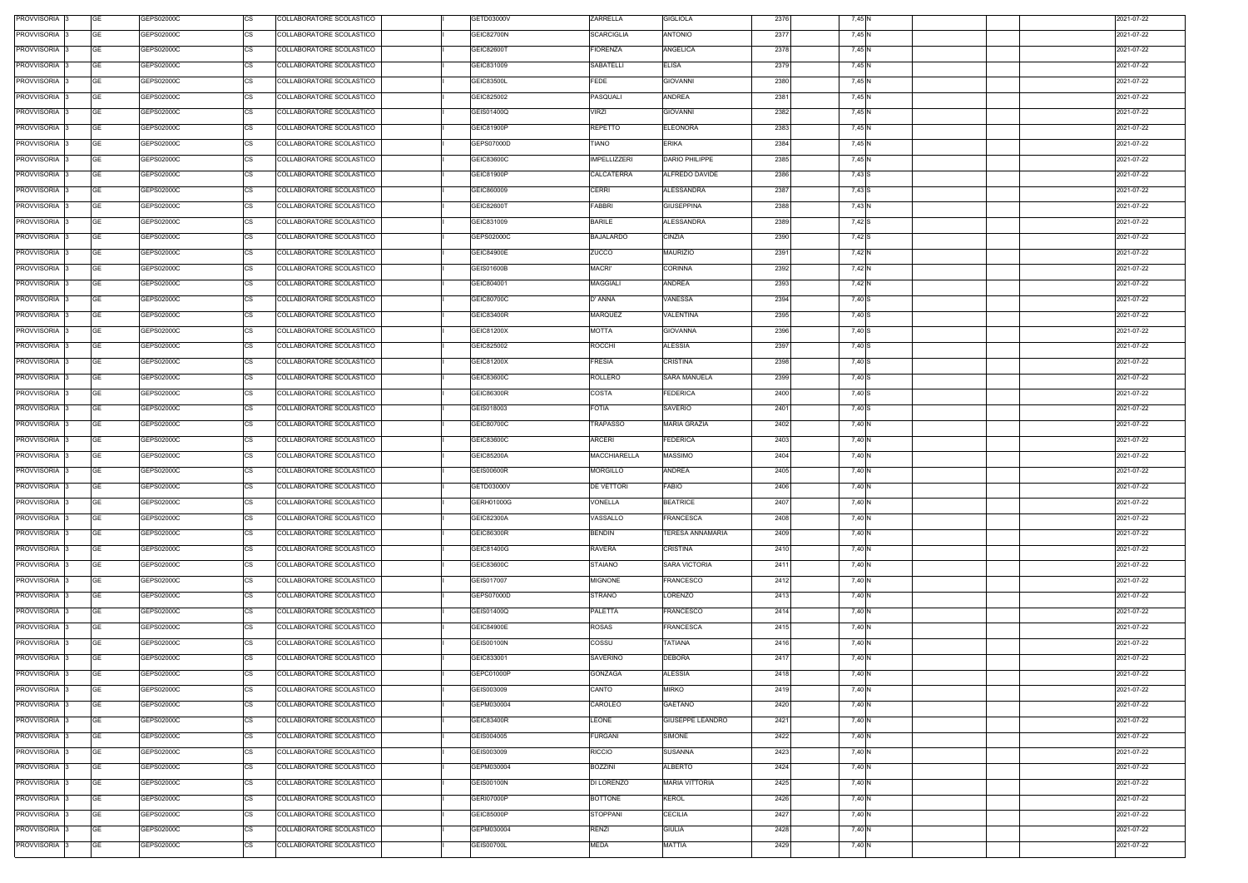| PROVVISORIA 3            | GE        | GEPS02000C | COLLABORATORE SCOLASTICO<br>CS        | GETD03000V        | ZARRELLA            | <b>GIGLIOLA</b>         | 2376 | 7,45 N |  | 2021-07-22 |
|--------------------------|-----------|------------|---------------------------------------|-------------------|---------------------|-------------------------|------|--------|--|------------|
| PROVVISORIA 3            | GE        | GEPS02000C | <b>CS</b><br>COLLABORATORE SCOLASTICO | <b>GEIC82700N</b> | SCARCIGLIA          | ANTONIO                 | 2377 | 7,45 N |  | 2021-07-22 |
| PROVVISORIA 3            | GE        | GEPS02000C | <b>CS</b><br>COLLABORATORE SCOLASTICO | GEIC82600T        | FIORENZA            | ANGELICA                | 2378 | 7,45 N |  | 2021-07-22 |
| PROVVISORIA 3            | GE        | GEPS02000C | <b>CS</b><br>COLLABORATORE SCOLASTICO | GEIC831009        | SABATELLI           | <b>ELISA</b>            | 2379 | 7,45 N |  | 2021-07-22 |
| PROVVISORIA 3            | <b>GE</b> | GEPS02000C | <b>CS</b><br>COLLABORATORE SCOLASTICO | GEIC83500L        | FEDE                | <b>GIOVANNI</b>         | 2380 | 7,45 N |  | 2021-07-22 |
| PROVVISORIA 3            | <b>GE</b> | GEPS02000C | <b>CS</b><br>COLLABORATORE SCOLASTICO | GEIC825002        | PASQUALI            | ANDREA                  | 2381 | 7,45 N |  | 2021-07-22 |
| PROVVISORIA 3            | <b>GE</b> | GEPS02000C | <b>CS</b><br>COLLABORATORE SCOLASTICO | GEIS01400Q        | <b>VIRZI</b>        | <b>GIOVANNI</b>         | 2382 | 7,45 N |  | 2021-07-22 |
| PROVVISORIA 3            | GE        | GEPS02000C | <b>CS</b><br>COLLABORATORE SCOLASTICO | GEIC81900P        | REPETTO             | <b>ELEONORA</b>         | 2383 | 7,45 N |  | 2021-07-22 |
| PROVVISORIA 3            | <b>GE</b> | GEPS02000C | <b>CS</b><br>COLLABORATORE SCOLASTICO | GEPS07000D        | TIANO               | ERIKA                   | 2384 | 7,45 N |  | 2021-07-22 |
| PROVVISORIA 3            | <b>GE</b> | GEPS02000C | <b>CS</b><br>COLLABORATORE SCOLASTICO | GEIC83600C        | <b>IMPELLIZZERI</b> | DARIO PHILIPPE          | 2385 | 7,45 N |  | 2021-07-22 |
| PROVVISORIA 3            | <b>GE</b> | GEPS02000C | <b>CS</b><br>COLLABORATORE SCOLASTICO | GEIC81900P        | CALCATERRA          | ALFREDO DAVIDE          | 2386 | 7,43 S |  | 2021-07-22 |
| PROVVISORIA 3            | <b>GE</b> | GEPS02000C | CS<br>COLLABORATORE SCOLASTICO        | GEIC860009        | <b>CERRI</b>        | ALESSANDRA              | 2387 | 7,43 S |  | 2021-07-22 |
| PROVVISORIA 3            | <b>GE</b> | GEPS02000C | <b>CS</b><br>COLLABORATORE SCOLASTICO | GEIC82600T        | <b>FABBRI</b>       | <b>GIUSEPPINA</b>       | 2388 | 7,43 N |  | 2021-07-22 |
| PROVVISORIA 3            | <b>GE</b> | GEPS02000C | <b>CS</b><br>COLLABORATORE SCOLASTICO | GEIC831009        | <b>BARILE</b>       | <b>ALESSANDRA</b>       | 2389 | 7,42 S |  | 2021-07-22 |
| PROVVISORIA 3            | <b>GE</b> | GEPS02000C | COLLABORATORE SCOLASTICO<br><b>CS</b> | GEPS02000C        | <b>BAJALARDO</b>    | CINZIA                  | 2390 | 7,42 S |  | 2021-07-22 |
| PROVVISORIA 3            | <b>GE</b> | GEPS02000C | <b>CS</b><br>COLLABORATORE SCOLASTICO | GEIC84900E        | ZUCCO               | <b>MAURIZIO</b>         | 2391 | 7,42 N |  | 2021-07-22 |
|                          |           |            |                                       |                   |                     |                         |      |        |  |            |
| PROVVISORIA 3            | <b>GE</b> | GEPS02000C | <b>CS</b><br>COLLABORATORE SCOLASTICO | <b>GEIS01600B</b> | <b>MACRI'</b>       | <b>CORINNA</b>          | 2392 | 7,42 N |  | 2021-07-22 |
| PROVVISORIA 3            | <b>GE</b> | GEPS02000C | <b>CS</b><br>COLLABORATORE SCOLASTICO | GEIC804001        | <b>MAGGIALI</b>     | ANDREA                  | 2393 | 7,42 N |  | 2021-07-22 |
| PROVVISORIA 3            | <b>GE</b> | GEPS02000C | <b>CS</b><br>COLLABORATORE SCOLASTICO | GEIC80700C        | D' ANNA             | VANESSA                 | 2394 | 7,40 S |  | 2021-07-22 |
| PROVVISORIA 3            | GE        | GEPS02000C | <b>CS</b><br>COLLABORATORE SCOLASTICO | GEIC83400R        | <b>MARQUEZ</b>      | VALENTINA               | 2395 | 7,40 S |  | 2021-07-22 |
| PROVVISORIA 3            | GE        | GEPS02000C | <b>CS</b><br>COLLABORATORE SCOLASTICO | GEIC81200X        | MOTTA               | <b>GIOVANNA</b>         | 2396 | 7,40 S |  | 2021-07-22 |
| PROVVISORIA 3            | <b>GE</b> | GEPS02000C | <b>CS</b><br>COLLABORATORE SCOLASTICO | GEIC825002        | <b>ROCCHI</b>       | ALESSIA                 | 2397 | 7,40 S |  | 2021-07-22 |
| PROVVISORIA 3            | <b>GE</b> | GEPS02000C | <b>CS</b><br>COLLABORATORE SCOLASTICO | GEIC81200X        | <b>FRESIA</b>       | CRISTINA                | 2398 | 7,40 S |  | 2021-07-22 |
| PROVVISORIA 3            | <b>GE</b> | GEPS02000C | <b>CS</b><br>COLLABORATORE SCOLASTICO | GEIC83600C        | <b>ROLLERO</b>      | <b>SARA MANUELA</b>     | 2399 | 7,40 S |  | 2021-07-22 |
| PROVVISORIA 3            | <b>GE</b> | GEPS02000C | <b>CS</b><br>COLLABORATORE SCOLASTICO | GEIC86300R        | <b>COSTA</b>        | FEDERICA                | 2400 | 7,40 S |  | 2021-07-22 |
| PROVVISORIA 3            | <b>GE</b> | GEPS02000C | <b>CS</b><br>COLLABORATORE SCOLASTICO | GEIS018003        | FOTIA               | SAVERIO                 | 2401 | 7,40 S |  | 2021-07-22 |
| PROVVISORIA 3            | GE        | GEPS02000C | <b>CS</b><br>COLLABORATORE SCOLASTICO | GEIC80700C        | TRAPASSO            | <b>MARIA GRAZIA</b>     | 2402 | 7,40 N |  | 2021-07-22 |
| PROVVISORIA 3            | <b>GE</b> | GEPS02000C | <b>CS</b><br>COLLABORATORE SCOLASTICO | GEIC83600C        | <b>ARCERI</b>       | <b>FEDERICA</b>         | 2403 | 7,40 N |  | 2021-07-22 |
| PROVVISORIA 3            | GE        | GEPS02000C | <b>CS</b><br>COLLABORATORE SCOLASTICO | GEIC85200A        | MACCHIARELLA        | <b>MASSIMO</b>          | 2404 | 7,40 N |  | 2021-07-22 |
| PROVVISORIA 3            | <b>GE</b> | GEPS02000C | <b>CS</b><br>COLLABORATORE SCOLASTICO | <b>GEIS00600R</b> | <b>MORGILLO</b>     | <b>ANDREA</b>           | 2405 | 7,40 N |  | 2021-07-22 |
| PROVVISORIA 3            | GE        | GEPS02000C | <b>CS</b><br>COLLABORATORE SCOLASTICO | GETD03000V        | DE VETTORI          | <b>FABIO</b>            | 2406 | 7,40 N |  | 2021-07-22 |
| PROVVISORIA 3            | <b>GE</b> | GEPS02000C | <b>CS</b><br>COLLABORATORE SCOLASTICO | GERH01000G        | VONELLA             | <b>BEATRICE</b>         | 2407 | 7,40 N |  | 2021-07-22 |
| PROVVISORIA 3            | GE        | GEPS02000C | <b>CS</b><br>COLLABORATORE SCOLASTICO | GEIC82300A        | VASSALLO            | <b>FRANCESCA</b>        | 2408 | 7,40 N |  | 2021-07-22 |
| PROVVISORIA <sub>3</sub> | GE        | GEPS02000C | <b>CS</b><br>COLLABORATORE SCOLASTICO | GEIC86300R        | <b>BENDIN</b>       | TERESA ANNAMARIA        | 2409 | 7,40 N |  | 2021-07-22 |
| PROVVISORIA 3            | <b>GE</b> | GEPS02000C | <b>CS</b><br>COLLABORATORE SCOLASTICO | GEIC81400G        | <b>RAVERA</b>       | CRISTINA                | 2410 | 7,40 N |  | 2021-07-22 |
| PROVVISORIA 3            | <b>GE</b> | GEPS02000C | <b>CS</b><br>COLLABORATORE SCOLASTICO | GEIC83600C        | <b>STAIANO</b>      | <b>SARA VICTORIA</b>    | 2411 | 7,40 N |  | 2021-07-22 |
| PROVVISORIA 3            | <b>GE</b> | GEPS02000C | <b>CS</b><br>COLLABORATORE SCOLASTICO | GEIS017007        | <b>MIGNONE</b>      | <b>FRANCESCO</b>        | 2412 | 7,40 N |  | 2021-07-22 |
| PROVVISORIA 3            | <b>GE</b> | GEPS02000C | <b>CS</b><br>COLLABORATORE SCOLASTICO | GEPS07000D        | <b>STRANO</b>       | LORENZO                 | 2413 | 7,40 N |  | 2021-07-22 |
| PROVVISORIA 3            | <b>GE</b> | GEPS02000C | CS<br>COLLABORATORE SCOLASTICO        | GEIS01400Q        | PALETTA             | <b>FRANCESCO</b>        | 2414 | 7,40 N |  | 2021-07-22 |
| PROVVISORIA 3            | <b>GE</b> | GEPS02000C | <b>CS</b><br>COLLABORATORE SCOLASTICO | GEIC84900E        | <b>ROSAS</b>        | <b>FRANCESCA</b>        | 2415 | 7,40 N |  | 2021-07-22 |
| PROVVISORIA 3            | <b>GE</b> | GEPS02000C | <b>CS</b><br>COLLABORATORE SCOLASTICO | <b>GEIS00100N</b> | COSSU               | TATIANA                 | 2416 | 7,40 N |  | 2021-07-22 |
| PROVVISORIA 3            | <b>GE</b> | GEPS02000C | <b>CS</b><br>COLLABORATORE SCOLASTICO | GEIC833001        | <b>SAVERINO</b>     | <b>DEBORA</b>           | 2417 | 7,40 N |  | 2021-07-22 |
| PROVVISORIA 3            | <b>GE</b> | GEPS02000C | <b>CS</b><br>COLLABORATORE SCOLASTICO | GEPC01000P        | <b>GONZAGA</b>      | <b>ALESSIA</b>          | 2418 | 7,40 N |  | 2021-07-22 |
| PROVVISORIA 3            | <b>GE</b> | GEPS02000C | <b>CS</b><br>COLLABORATORE SCOLASTICO | GEIS003009        | CANTO               | <b>MIRKO</b>            | 2419 | 7,40 N |  | 2021-07-22 |
| PROVVISORIA 3            | GE        | GEPS02000C | CS<br>COLLABORATORE SCOLASTICO        | GEPM030004        | CAROLEO             | <b>GAETANO</b>          | 2420 | 7,40 N |  | 2021-07-22 |
| PROVVISORIA 3            | <b>GE</b> | GEPS02000C | <b>CS</b><br>COLLABORATORE SCOLASTICO | GEIC83400R        | LEONE               | <b>GIUSEPPE LEANDRO</b> | 2421 | 7,40 N |  | 2021-07-22 |
| PROVVISORIA 3            | GE        | GEPS02000C | СS<br>COLLABORATORE SCOLASTICO        | GEIS004005        | FURGANI             | SIMONE                  | 2422 | 7,40 N |  | 2021-07-22 |
| PROVVISORIA 3            | <b>GE</b> | GEPS02000C | <b>CS</b><br>COLLABORATORE SCOLASTICO | GEIS003009        | <b>RICCIO</b>       | <b>SUSANNA</b>          | 2423 | 7,40 N |  | 2021-07-22 |
|                          |           |            |                                       |                   |                     |                         |      |        |  |            |
| PROVVISORIA 3            | <b>GE</b> | GEPS02000C | <b>CS</b><br>COLLABORATORE SCOLASTICO | GEPM030004        | <b>BOZZINI</b>      | ALBERTO                 | 2424 | 7,40 N |  | 2021-07-22 |
| PROVVISORIA 3            | <b>GE</b> | GEPS02000C | <b>CS</b><br>COLLABORATORE SCOLASTICO | GEIS00100N        | DI LORENZO          | <b>MARIA VITTORIA</b>   | 2425 | 7,40 N |  | 2021-07-22 |
| PROVVISORIA 3            | GE        | GEPS02000C | <b>CS</b><br>COLLABORATORE SCOLASTICO | GERI07000P        | <b>BOTTONE</b>      | KEROL                   | 2426 | 7,40 N |  | 2021-07-22 |
| PROVVISORIA 3            | GE        | GEPS02000C | <b>CS</b><br>COLLABORATORE SCOLASTICO | GEIC85000P        | <b>STOPPANI</b>     | <b>CECILIA</b>          | 2427 | 7,40 N |  | 2021-07-22 |
| PROVVISORIA 3            | <b>GE</b> | GEPS02000C | <b>CS</b><br>COLLABORATORE SCOLASTICO | GEPM030004        | <b>RENZI</b>        | <b>GIULIA</b>           | 2428 | 7,40 N |  | 2021-07-22 |
| PROVVISORIA 3            | <b>GE</b> | GEPS02000C | <b>CS</b><br>COLLABORATORE SCOLASTICO | <b>GEIS00700L</b> | <b>MEDA</b>         | MATTIA                  | 2429 | 7,40 N |  | 2021-07-22 |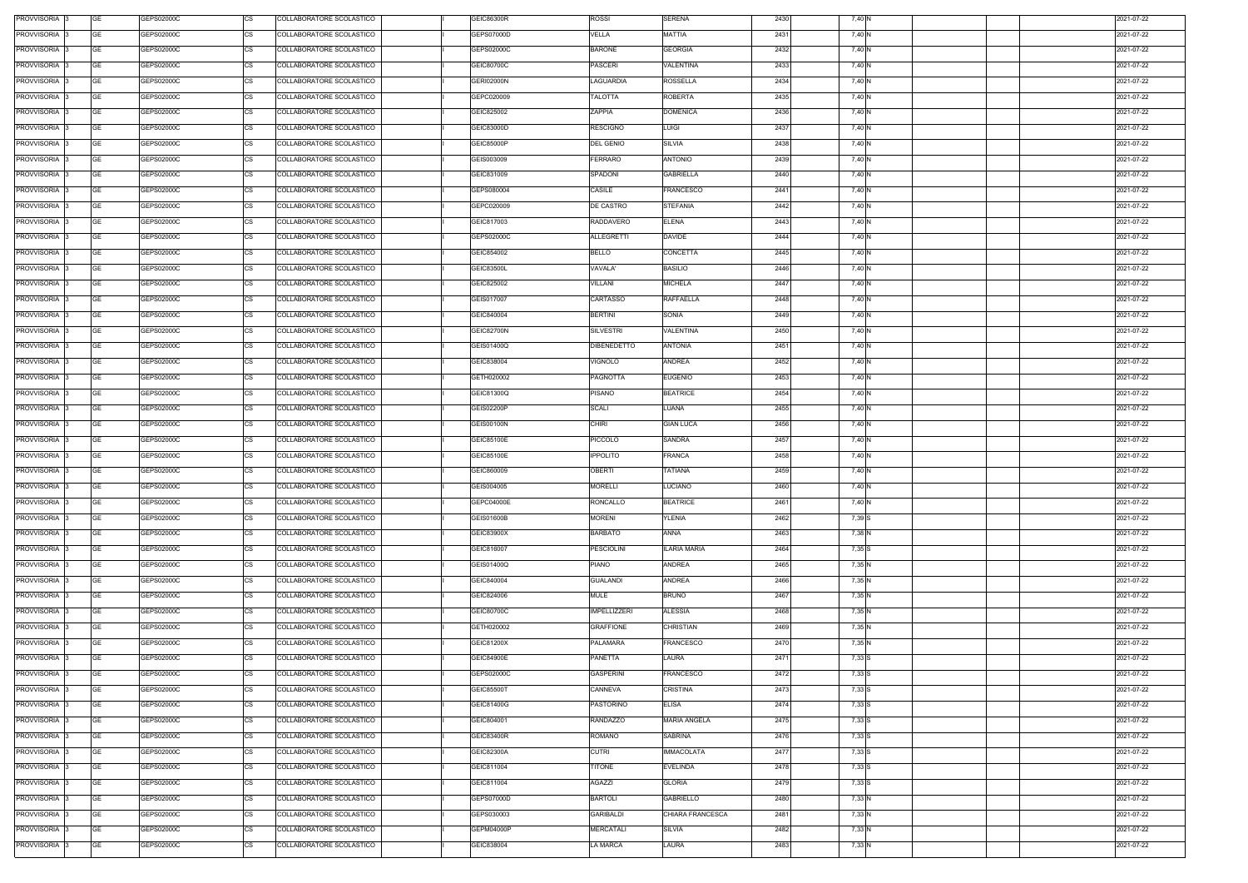| PROVVISORIA 3 | <b>GE</b><br>GEPS02000C | <b>CS</b> | COLLABORATORE SCOLASTICO | GEIC86300R        | <b>ROSSI</b>        | <b>SERENA</b>       | 2430 | 7,40 N   |  | 2021-07-22 |
|---------------|-------------------------|-----------|--------------------------|-------------------|---------------------|---------------------|------|----------|--|------------|
| PROVVISORIA 3 | <b>GE</b><br>GEPS02000C | CS        | COLLABORATORE SCOLASTICO | GEPS07000D        | VELLA               | MATTIA              | 2431 | 7,40 N   |  | 2021-07-22 |
| PROVVISORIA 3 | <b>GE</b><br>GEPS02000C | CS        | COLLABORATORE SCOLASTICO | GEPS02000C        | <b>BARONE</b>       | <b>GEORGIA</b>      | 2432 | 7,40 N   |  | 2021-07-22 |
| PROVVISORIA 3 | <b>GE</b><br>GEPS02000C | <b>CS</b> | COLLABORATORE SCOLASTICO | GEIC80700C        | <b>PASCERI</b>      | VALENTINA           | 2433 | 7,40 N   |  | 2021-07-22 |
| PROVVISORIA 3 | <b>GE</b><br>GEPS02000C | <b>CS</b> | COLLABORATORE SCOLASTICO | <b>GERI02000N</b> | LAGUARDIA           | ROSSELLA            | 2434 | 7,40 N   |  | 2021-07-22 |
| PROVVISORIA 3 | <b>GE</b><br>GEPS02000C | <b>CS</b> | COLLABORATORE SCOLASTICO | GEPC020009        | TALOTTA             | <b>ROBERTA</b>      | 2435 | 7,40 N   |  | 2021-07-22 |
| PROVVISORIA 3 | <b>GE</b><br>GEPS02000C | <b>CS</b> | COLLABORATORE SCOLASTICO | GEIC825002        | ZAPPIA              | <b>DOMENICA</b>     | 2436 | 7,40 N   |  | 2021-07-22 |
| PROVVISORIA 3 | <b>GE</b><br>GEPS02000C | <b>CS</b> | COLLABORATORE SCOLASTICO | GEIC83000D        | <b>RESCIGNO</b>     | LUIGI               | 2437 | 7,40 N   |  | 2021-07-22 |
| PROVVISORIA 3 | <b>GE</b><br>GEPS02000C | <b>CS</b> | COLLABORATORE SCOLASTICO | GEIC85000P        | <b>DEL GENIO</b>    | <b>SILVIA</b>       | 2438 | 7,40 N   |  | 2021-07-22 |
| PROVVISORIA 3 | <b>GE</b><br>GEPS02000C | <b>CS</b> | COLLABORATORE SCOLASTICO | GEIS003009        | <b>FERRARO</b>      | <b>ANTONIO</b>      | 2439 | 7,40 N   |  | 2021-07-22 |
| PROVVISORIA 3 | <b>GE</b><br>GEPS02000C | <b>CS</b> | COLLABORATORE SCOLASTICO | GEIC831009        | SPADONI             | <b>GABRIELLA</b>    | 2440 | 7,40 N   |  | 2021-07-22 |
| PROVVISORIA 3 | <b>GE</b><br>GEPS02000C | CS        | COLLABORATORE SCOLASTICO | GEPS080004        | CASILE              | <b>FRANCESCO</b>    | 2441 | 7,40 N   |  | 2021-07-22 |
| PROVVISORIA 3 | <b>GE</b><br>GEPS02000C | <b>CS</b> | COLLABORATORE SCOLASTICO | GEPC020009        | DE CASTRO           | <b>STEFANIA</b>     | 2442 | 7,40 N   |  | 2021-07-22 |
| PROVVISORIA 3 | <b>GE</b><br>GEPS02000C | CS        | COLLABORATORE SCOLASTICO | GEIC817003        | RADDAVERO           | <b>ELENA</b>        | 2443 | 7,40 N   |  | 2021-07-22 |
| PROVVISORIA 3 | <b>GE</b><br>GEPS02000C | <b>CS</b> | COLLABORATORE SCOLASTICO | GEPS02000C        | <b>ALLEGRETTI</b>   | <b>DAVIDE</b>       | 2444 | 7,40 N   |  | 2021-07-22 |
| PROVVISORIA 3 | <b>GE</b><br>GEPS02000C | CS        | COLLABORATORE SCOLASTICO | GEIC854002        | <b>BELLO</b>        | CONCETTA            | 2445 | 7,40 N   |  | 2021-07-22 |
| PROVVISORIA 3 | <b>GE</b><br>GEPS02000C | <b>CS</b> | COLLABORATORE SCOLASTICO | GEIC83500L        | VAVALA'             | <b>BASILIO</b>      | 2446 | 7,40 N   |  | 2021-07-22 |
| PROVVISORIA 3 | <b>GE</b><br>GEPS02000C | <b>CS</b> | COLLABORATORE SCOLASTICO | GEIC825002        | VILLANI             | <b>MICHELA</b>      | 2447 | 7,40 N   |  | 2021-07-22 |
| PROVVISORIA 3 | <b>GE</b><br>GEPS02000C | <b>CS</b> | COLLABORATORE SCOLASTICO | GEIS017007        | CARTASSO            | RAFFAELLA           | 2448 | 7,40 N   |  | 2021-07-22 |
| PROVVISORIA 3 | <b>GE</b><br>GEPS02000C | <b>CS</b> | COLLABORATORE SCOLASTICO | GEIC840004        | <b>BERTINI</b>      | SONIA               | 2449 | 7,40 N   |  | 2021-07-22 |
| PROVVISORIA 3 | <b>GE</b><br>GEPS02000C | <b>CS</b> | COLLABORATORE SCOLASTICO | <b>GEIC82700N</b> | SILVESTRI           | VALENTINA           | 2450 | 7,40 N   |  | 2021-07-22 |
| PROVVISORIA 3 | <b>GE</b><br>GEPS02000C | <b>CS</b> | COLLABORATORE SCOLASTICO | GEIS01400Q        | <b>DIBENEDETTO</b>  | ANTONIA             | 2451 | 7,40 N   |  | 2021-07-22 |
| PROVVISORIA 3 | <b>GE</b><br>GEPS02000C | <b>CS</b> | COLLABORATORE SCOLASTICO | GEIC838004        | VIGNOLO             | ANDREA              | 2452 | 7,40 N   |  | 2021-07-22 |
| PROVVISORIA 3 | <b>GE</b><br>GEPS02000C | <b>CS</b> | COLLABORATORE SCOLASTICO | GETH020002        | PAGNOTTA            | <b>EUGENIO</b>      | 2453 | 7,40 N   |  | 2021-07-22 |
| PROVVISORIA 3 | <b>GE</b><br>GEPS02000C | <b>CS</b> | COLLABORATORE SCOLASTICO | GEIC81300Q        | <b>PISANO</b>       | <b>BEATRICE</b>     | 2454 | 7,40 N   |  | 2021-07-22 |
| PROVVISORIA 3 | <b>GE</b><br>GEPS02000C | <b>CS</b> | COLLABORATORE SCOLASTICO | GEIS02200P        | SCALI               | LUANA               | 2455 | 7,40 N   |  | 2021-07-22 |
| PROVVISORIA 3 | <b>GE</b><br>GEPS02000C | <b>CS</b> | COLLABORATORE SCOLASTICO | GEIS00100N        | <b>CHIRI</b>        | <b>GIAN LUCA</b>    | 2456 | 7,40 N   |  | 2021-07-22 |
| PROVVISORIA 3 | <b>GE</b><br>GEPS02000C | CS        | COLLABORATORE SCOLASTICO | GEIC85100E        | <b>PICCOLO</b>      | <b>SANDRA</b>       | 2457 | 7,40 N   |  | 2021-07-22 |
| PROVVISORIA 3 | <b>GE</b><br>GEPS02000C | <b>CS</b> | COLLABORATORE SCOLASTICO | GEIC85100E        | <b>IPPOLITO</b>     | FRANCA              | 2458 | 7,40 N   |  | 2021-07-22 |
| PROVVISORIA 3 | <b>GE</b><br>GEPS02000C | <b>CS</b> | COLLABORATORE SCOLASTICO | GEIC860009        | <b>OBERTI</b>       | <b>TATIANA</b>      | 2459 | 7,40 N   |  | 2021-07-22 |
| PROVVISORIA 3 | <b>GE</b><br>GEPS02000C | <b>CS</b> | COLLABORATORE SCOLASTICO | GEIS004005        | <b>MORELLI</b>      | LUCIANO             | 2460 | 7,40 N   |  | 2021-07-22 |
| PROVVISORIA 3 | <b>GE</b><br>GEPS02000C | <b>CS</b> | COLLABORATORE SCOLASTICO | GEPC04000E        | RONCALLO            | <b>BEATRICE</b>     | 2461 | 7,40 N   |  | 2021-07-22 |
| PROVVISORIA 3 | <b>GE</b><br>GEPS02000C | CS        | COLLABORATORE SCOLASTICO | GEIS01600B        | <b>MORENI</b>       | YLENIA              | 2462 | 7,39 S   |  | 2021-07-22 |
| PROVVISORIA 3 | <b>GE</b><br>GEPS02000C | <b>CS</b> | COLLABORATORE SCOLASTICO | GEIC83900X        | <b>BARBATO</b>      | ANNA                | 2463 | 7,38 N   |  | 2021-07-22 |
| PROVVISORIA 3 | <b>GE</b><br>GEPS02000C | <b>CS</b> | COLLABORATORE SCOLASTICO | GEIC816007        | <b>PESCIOLINI</b>   | <b>ILARIA MARIA</b> | 2464 | 7,35 S   |  | 2021-07-22 |
| PROVVISORIA 3 | <b>GE</b><br>GEPS02000C | <b>CS</b> | COLLABORATORE SCOLASTICO | GEIS01400Q        | <b>PIANO</b>        | <b>ANDREA</b>       | 2465 | 7,35 N   |  | 2021-07-22 |
| PROVVISORIA 3 | <b>GE</b><br>GEPS02000C | <b>CS</b> | COLLABORATORE SCOLASTICO | GEIC840004        | <b>GUALANDI</b>     | <b>ANDREA</b>       | 2466 | 7,35 N   |  | 2021-07-22 |
| PROVVISORIA 3 | <b>GE</b><br>GEPS02000C | <b>CS</b> | COLLABORATORE SCOLASTICO | GEIC824006        | <b>MULE</b>         | <b>BRUNO</b>        | 2467 | 7,35 N   |  | 2021-07-22 |
| PROVVISORIA 3 | <b>GE</b><br>GEPS02000C | CS        | COLLABORATORE SCOLASTICO | GEIC80700C        | <b>IMPELLIZZERI</b> | <b>ALESSIA</b>      | 2468 | 7,35 N   |  | 2021-07-22 |
| PROVVISORIA 3 | <b>GE</b><br>GEPS02000C | <b>CS</b> | COLLABORATORE SCOLASTICO | GETH020002        | <b>GRAFFIONE</b>    | CHRISTIAN           | 2469 | 7,35 N   |  | 2021-07-22 |
| PROVVISORIA 3 | <b>GE</b><br>GEPS02000C | CS        | COLLABORATORE SCOLASTICO | GEIC81200X        | PALAMARA            | FRANCESCO           | 2470 | 7,35 N   |  | 2021-07-22 |
| PROVVISORIA 3 | <b>GE</b><br>GEPS02000C | <b>CS</b> | COLLABORATORE SCOLASTICO | GEIC84900E        | PANETTA             | LAURA               | 2471 | 7,33 S   |  | 2021-07-22 |
| PROVVISORIA 3 | <b>GE</b><br>GEPS02000C | CS        | COLLABORATORE SCOLASTICO | GEPS02000C        | GASPERINI           | FRANCESCO           | 2472 | $7,33$ S |  | 2021-07-22 |
| PROVVISORIA 3 | <b>GE</b><br>GEPS02000C | CS        | COLLABORATORE SCOLASTICO | GEIC85500T        | CANNEVA             | <b>CRISTINA</b>     | 2473 | 7,33 S   |  | 2021-07-22 |
| PROVVISORIA 3 | <b>GE</b><br>GEPS02000C | <b>CS</b> | COLLABORATORE SCOLASTICO | GEIC81400G        | <b>PASTORINO</b>    | <b>ELISA</b>        | 2474 | 7,33 S   |  | 2021-07-22 |
| PROVVISORIA 3 | <b>GE</b><br>GEPS02000C | <b>CS</b> | COLLABORATORE SCOLASTICO | GEIC804001        | RANDAZZO            | <b>MARIA ANGELA</b> | 2475 | 7,33 S   |  | 2021-07-22 |
| PROVVISORIA 3 | <b>GE</b><br>GEPS02000C | <b>CS</b> | COLLABORATORE SCOLASTICO | GEIC83400R        | ROMANO              | SABRINA             | 2476 | 7,33 S   |  | 2021-07-22 |
| PROVVISORIA 3 | <b>GE</b><br>GEPS02000C | <b>CS</b> | COLLABORATORE SCOLASTICO | GEIC82300A        | <b>CUTRI</b>        | <b>IMMACOLATA</b>   | 2477 | 7,33 S   |  | 2021-07-22 |
| PROVVISORIA 3 | <b>GE</b><br>GEPS02000C | <b>CS</b> | COLLABORATORE SCOLASTICO | GEIC811004        | TITONE              | <b>EVELINDA</b>     | 2478 | 7,33 S   |  | 2021-07-22 |
| PROVVISORIA 3 | <b>GE</b><br>GEPS02000C | <b>CS</b> | COLLABORATORE SCOLASTICO | GEIC811004        | <b>AGAZZI</b>       | <b>GLORIA</b>       | 2479 | 7,33 S   |  | 2021-07-22 |
| PROVVISORIA 3 | <b>GE</b><br>GEPS02000C | <b>CS</b> | COLLABORATORE SCOLASTICO | GEPS07000D        | <b>BARTOLI</b>      | GABRIELLO           | 2480 | 7,33 N   |  | 2021-07-22 |
| PROVVISORIA 3 | <b>GE</b><br>GEPS02000C | CS        | COLLABORATORE SCOLASTICO | GEPS030003        | <b>GARIBALDI</b>    | CHIARA FRANCESCA    | 2481 | 7,33 N   |  | 2021-07-22 |
| PROVVISORIA 3 | <b>GE</b><br>GEPS02000C | <b>CS</b> | COLLABORATORE SCOLASTICO | GEPM04000P        | <b>MERCATALI</b>    | <b>SILVIA</b>       | 2482 | 7,33 N   |  | 2021-07-22 |
| PROVVISORIA 3 | <b>GE</b><br>GEPS02000C | CS        | COLLABORATORE SCOLASTICO | GEIC838004        | LA MARCA            | LAURA               | 2483 | 7,33 N   |  | 2021-07-22 |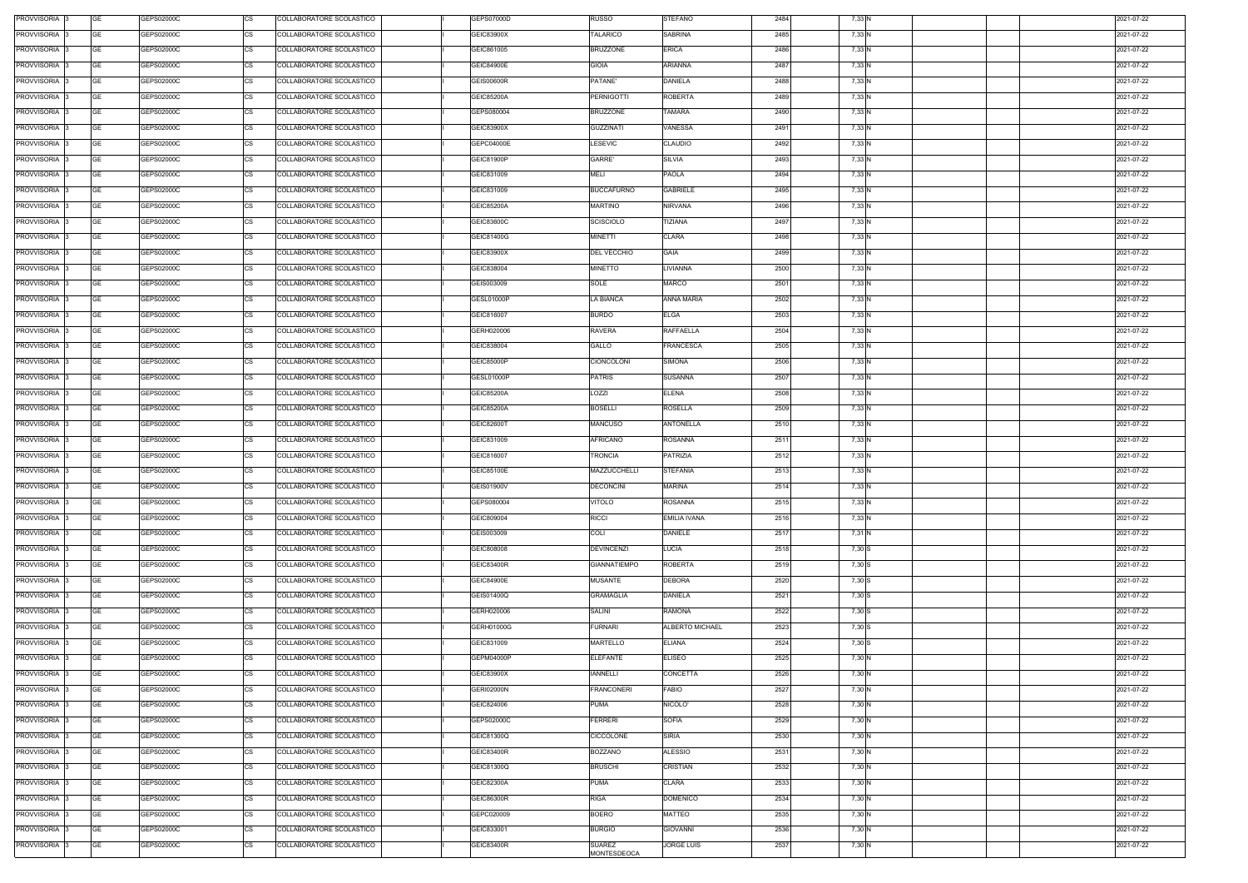| PROVVISORIA 3            | GE        | GEPS02000C | COLLABORATORE SCOLASTICO<br>CS        | GEPS07000D        | <b>RUSSO</b>                        | <b>STEFANO</b>      | 2484 | 7,33 N   |  | 2021-07-22 |
|--------------------------|-----------|------------|---------------------------------------|-------------------|-------------------------------------|---------------------|------|----------|--|------------|
| PROVVISORIA 3            | GE        | GEPS02000C | <b>CS</b><br>COLLABORATORE SCOLASTICO | GEIC83900X        | TALARICO                            | <b>SABRINA</b>      | 2485 | 7,33 N   |  | 2021-07-22 |
| PROVVISORIA 3            | GE        | GEPS02000C | <b>CS</b><br>COLLABORATORE SCOLASTICO | GEIC861005        | <b>BRUZZONE</b>                     | <b>ERICA</b>        | 2486 | 7,33 N   |  | 2021-07-22 |
| PROVVISORIA 3            | GE        | GEPS02000C | <b>CS</b><br>COLLABORATORE SCOLASTICO | <b>GEIC84900E</b> | <b>GIOIA</b>                        | <b>ARIANNA</b>      | 2487 | 7,33 N   |  | 2021-07-22 |
| PROVVISORIA 3            | <b>GE</b> | GEPS02000C | <b>CS</b><br>COLLABORATORE SCOLASTICO | <b>GEIS00600R</b> | PATANE'                             | <b>DANIELA</b>      | 2488 | 7,33 N   |  | 2021-07-22 |
| PROVVISORIA 3            | GE        | GEPS02000C | <b>CS</b><br>COLLABORATORE SCOLASTICO | GEIC85200A        | PERNIGOTTI                          | <b>ROBERTA</b>      | 2489 | 7,33 N   |  | 2021-07-22 |
| PROVVISORIA 3            | <b>GE</b> | GEPS02000C | <b>CS</b><br>COLLABORATORE SCOLASTICO | GEPS080004        | <b>BRUZZONE</b>                     | TAMARA              | 2490 | 7,33 N   |  | 2021-07-22 |
| PROVVISORIA 3            | GE        | GEPS02000C | <b>CS</b><br>COLLABORATORE SCOLASTICO | GEIC83900X        | <b>GUZZINATI</b>                    | VANESSA             | 2491 | 7,33 N   |  | 2021-07-22 |
| PROVVISORIA 3            | <b>GE</b> | GEPS02000C | <b>CS</b><br>COLLABORATORE SCOLASTICO | GEPC04000E        | LESEVIC                             | <b>CLAUDIO</b>      | 2492 | 7,33 N   |  | 2021-07-22 |
|                          |           |            |                                       |                   |                                     |                     |      |          |  |            |
| PROVVISORIA 3            | <b>GE</b> | GEPS02000C | <b>CS</b><br>COLLABORATORE SCOLASTICO | GEIC81900P        | GARRE'                              | <b>SILVIA</b>       | 2493 | 7,33 N   |  | 2021-07-22 |
| PROVVISORIA 3            | <b>GE</b> | GEPS02000C | <b>CS</b><br>COLLABORATORE SCOLASTICO | GEIC831009        | <b>MELI</b>                         | <b>PAOLA</b>        | 2494 | 7,33 N   |  | 2021-07-22 |
| PROVVISORIA 3            | <b>GE</b> | GEPS02000C | CS<br>COLLABORATORE SCOLASTICO        | GEIC831009        | <b>BUCCAFURNO</b>                   | <b>GABRIELE</b>     | 2495 | 7,33 N   |  | 2021-07-22 |
| PROVVISORIA 3            | <b>GE</b> | GEPS02000C | <b>CS</b><br>COLLABORATORE SCOLASTICO | GEIC85200A        | <b>MARTINO</b>                      | <b>NIRVANA</b>      | 2496 | 7,33 N   |  | 2021-07-22 |
| PROVVISORIA 3            | <b>GE</b> | GEPS02000C | <b>CS</b><br>COLLABORATORE SCOLASTICO | GEIC83600C        | SCISCIOLO                           | TIZIANA             | 2497 | 7,33 N   |  | 2021-07-22 |
| PROVVISORIA 3            | <b>GE</b> | GEPS02000C | <b>CS</b><br>COLLABORATORE SCOLASTICO | GEIC81400G        | <b>MINETTI</b>                      | <b>CLARA</b>        | 2498 | 7,33 N   |  | 2021-07-22 |
| PROVVISORIA 3            | <b>GE</b> | GEPS02000C | <b>CS</b><br>COLLABORATORE SCOLASTICO | GEIC83900X        | DEL VECCHIO                         | <b>GAIA</b>         | 2499 | 7,33 N   |  | 2021-07-22 |
| PROVVISORIA 3            | <b>GE</b> | GEPS02000C | <b>CS</b><br>COLLABORATORE SCOLASTICO | GEIC838004        | <b>MINETTO</b>                      | LIVIANNA            | 2500 | 7,33 N   |  | 2021-07-22 |
| PROVVISORIA 3            | <b>GE</b> | GEPS02000C | <b>CS</b><br>COLLABORATORE SCOLASTICO | GEIS003009        | SOLE                                | <b>MARCO</b>        | 2501 | 7,33 N   |  | 2021-07-22 |
| PROVVISORIA 3            | <b>GE</b> | GEPS02000C | <b>CS</b><br>COLLABORATORE SCOLASTICO | GESL01000P        | <b>LA BIANCA</b>                    | ANNA MARIA          | 2502 | 7,33 N   |  | 2021-07-22 |
| PROVVISORIA 3            | GE        | GEPS02000C | <b>CS</b><br>COLLABORATORE SCOLASTICO | GEIC816007        | <b>BURDO</b>                        | <b>ELGA</b>         | 2503 | 7,33 N   |  | 2021-07-22 |
| PROVVISORIA 3            | GE        | GEPS02000C | <b>CS</b><br>COLLABORATORE SCOLASTICO | GERH020006        | RAVERA                              | <b>RAFFAELLA</b>    | 2504 | 7,33 N   |  | 2021-07-22 |
| PROVVISORIA 3            | <b>GE</b> | GEPS02000C | <b>CS</b><br>COLLABORATORE SCOLASTICO | GEIC838004        | GALLO                               | FRANCESCA           | 2505 | 7,33 N   |  | 2021-07-22 |
| PROVVISORIA 3            | <b>GE</b> | GEPS02000C | <b>CS</b><br>COLLABORATORE SCOLASTICO | GEIC85000P        | CIONCOLONI                          | SIMONA              | 2506 | 7,33 N   |  | 2021-07-22 |
| PROVVISORIA 3            | <b>GE</b> | GEPS02000C | <b>CS</b><br>COLLABORATORE SCOLASTICO | GESL01000P        | <b>PATRIS</b>                       | <b>SUSANNA</b>      | 2507 | 7,33 N   |  | 2021-07-22 |
| PROVVISORIA 3            | <b>GE</b> | GEPS02000C | <b>CS</b><br>COLLABORATORE SCOLASTICO | GEIC85200A        | LOZZI                               | ELENA               | 2508 | 7,33 N   |  | 2021-07-22 |
| PROVVISORIA 3            | <b>GE</b> | GEPS02000C | <b>CS</b><br>COLLABORATORE SCOLASTICO | GEIC85200A        | <b>BOSELLI</b>                      | ROSELLA             | 2509 | 7,33 N   |  | 2021-07-22 |
| PROVVISORIA 3            | GE        | GEPS02000C | <b>CS</b><br>COLLABORATORE SCOLASTICO | GEIC82600T        | MANCUSO                             | ANTONELLA           | 2510 | 7,33 N   |  | 2021-07-22 |
| PROVVISORIA 3            | <b>GE</b> | GEPS02000C | <b>CS</b><br>COLLABORATORE SCOLASTICO | GEIC831009        | <b>AFRICANO</b>                     | <b>ROSANNA</b>      | 2511 | 7,33 N   |  | 2021-07-22 |
| PROVVISORIA 3            | GE        | GEPS02000C | <b>CS</b><br>COLLABORATORE SCOLASTICO | GEIC816007        | TRONCIA                             | PATRIZIA            | 2512 | 7,33 N   |  | 2021-07-22 |
| PROVVISORIA 3            | <b>GE</b> | GEPS02000C | <b>CS</b><br>COLLABORATORE SCOLASTICO | GEIC85100E        | MAZZUCCHELLI                        | <b>STEFANIA</b>     | 2513 | 7,33 N   |  | 2021-07-22 |
| PROVVISORIA 3            | GE        | GEPS02000C | <b>CS</b><br>COLLABORATORE SCOLASTICO | GEIS01900V        | <b>DECONCINI</b>                    | <b>MARINA</b>       | 2514 | 7,33 N   |  | 2021-07-22 |
| PROVVISORIA 3            | <b>GE</b> | GEPS02000C | <b>CS</b><br>COLLABORATORE SCOLASTICO | GEPS080004        | VITOLO                              | <b>ROSANNA</b>      | 2515 | 7,33 N   |  | 2021-07-22 |
| PROVVISORIA 3            | GE        | GEPS02000C | <b>CS</b><br>COLLABORATORE SCOLASTICO | GEIC809004        | <b>RICCI</b>                        | <b>EMILIA IVANA</b> | 2516 | 7,33 N   |  | 2021-07-22 |
| PROVVISORIA 3            | GE        | GEPS02000C | <b>CS</b><br>COLLABORATORE SCOLASTICO | GEIS003009        | <b>COLI</b>                         | DANIELE             | 2517 | 7,31 N   |  | 2021-07-22 |
| PROVVISORIA 3            | <b>GE</b> | GEPS02000C | <b>CS</b><br>COLLABORATORE SCOLASTICO | GEIC808008        | <b>DEVINCENZI</b>                   | LUCIA               | 2518 | 7,30 S   |  | 2021-07-22 |
| PROVVISORIA 3            | <b>GE</b> | GEPS02000C | <b>CS</b><br>COLLABORATORE SCOLASTICO | GEIC83400R        | <b>GIANNATIEMPO</b>                 | <b>ROBERTA</b>      | 2519 | $7,30$ S |  | 2021-07-22 |
| PROVVISORIA 3            | <b>GE</b> | GEPS02000C | <b>CS</b><br>COLLABORATORE SCOLASTICO | GEIC84900E        | MUSANTE                             | <b>DEBORA</b>       | 2520 | $7,30$ S |  | 2021-07-22 |
| PROVVISORIA 3            | <b>GE</b> | GEPS02000C | <b>CS</b><br>COLLABORATORE SCOLASTICO | GEIS01400Q        | <b>GRAMAGLIA</b>                    | DANIELA             | 2521 | 7,30 S   |  | 2021-07-22 |
| PROVVISORIA 3            | <b>GE</b> | GEPS02000C | CS<br>COLLABORATORE SCOLASTICO        | GERH020006        | SALINI                              | RAMONA              | 2522 | $7,30$ S |  | 2021-07-22 |
| PROVVISORIA 3            | <b>GE</b> | GEPS02000C | <b>CS</b><br>COLLABORATORE SCOLASTICO | GERH01000G        | <b>FURNARI</b>                      | ALBERTO MICHAEL     | 2523 | 7,30 S   |  | 2021-07-22 |
| PROVVISORIA 3            | <b>GE</b> | GEPS02000C | <b>CS</b><br>COLLABORATORE SCOLASTICO | GEIC831009        | <b>MARTELLO</b>                     | <b>ELIANA</b>       | 2524 | $7,30$ S |  | 2021-07-22 |
| PROVVISORIA 3            | <b>GE</b> | GEPS02000C | <b>CS</b><br>COLLABORATORE SCOLASTICO | GEPM04000P        | <b>ELEFANTE</b>                     | <b>ELISEO</b>       | 2525 | 7,30 N   |  | 2021-07-22 |
| PROVVISORIA 3            | <b>GE</b> | GEPS02000C | <b>CS</b><br>COLLABORATORE SCOLASTICO | GEIC83900X        | <b>IANNELLI</b>                     | <b>CONCETTA</b>     | 2526 | 7,30 N   |  | 2021-07-22 |
| PROVVISORIA 3            | <b>GE</b> | GEPS02000C | <b>CS</b><br>COLLABORATORE SCOLASTICO | <b>GERI02000N</b> | <b>FRANCONERI</b>                   | <b>FABIO</b>        | 2527 | 7,30 N   |  | 2021-07-22 |
| PROVVISORIA 3            | GE        | GEPS02000C | CS<br>COLLABORATORE SCOLASTICO        | GEIC824006        | PUMA                                | NICOLO'             | 2528 | 7,30 N   |  | 2021-07-22 |
| PROVVISORIA <sub>3</sub> | <b>GE</b> | GEPS02000C | <b>CS</b><br>COLLABORATORE SCOLASTICO | GEPS02000C        | FERRERI                             | <b>SOFIA</b>        | 2529 | 7,30 N   |  | 2021-07-22 |
| PROVVISORIA 3            | GE        | GEPS02000C | СS<br>COLLABORATORE SCOLASTICO        | GEIC81300Q        | <b>CICCOLONE</b>                    | SIRIA               | 2530 | 7,30 N   |  | 2021-07-22 |
| PROVVISORIA 3            | <b>GE</b> | GEPS02000C | <b>CS</b><br>COLLABORATORE SCOLASTICO | <b>GEIC83400R</b> | BOZZANO                             | <b>ALESSIO</b>      | 2531 | 7,30 N   |  | 2021-07-22 |
| PROVVISORIA 3            | <b>GE</b> | GEPS02000C | <b>CS</b><br>COLLABORATORE SCOLASTICO | GEIC81300Q        | <b>BRUSCHI</b>                      | CRISTIAN            | 2532 | 7,30 N   |  | 2021-07-22 |
| PROVVISORIA 3            | <b>GE</b> | GEPS02000C | <b>CS</b><br>COLLABORATORE SCOLASTICO | GEIC82300A        | PUMA                                | CLARA               | 2533 | 7,30 N   |  | 2021-07-22 |
| PROVVISORIA 3            | <b>GE</b> | GEPS02000C | <b>CS</b><br>COLLABORATORE SCOLASTICO | GEIC86300R        | <b>RIGA</b>                         | <b>DOMENICO</b>     | 2534 | 7,30 N   |  | 2021-07-22 |
| PROVVISORIA 3            | GE        | GEPS02000C | <b>CS</b><br>COLLABORATORE SCOLASTICO | GEPC020009        | <b>BOERO</b>                        | MATTEO              | 2535 | 7,30 N   |  | 2021-07-22 |
|                          |           |            |                                       |                   |                                     |                     |      |          |  |            |
| PROVVISORIA 3            | <b>GE</b> | GEPS02000C | <b>CS</b><br>COLLABORATORE SCOLASTICO | GEIC833001        | <b>BURGIO</b>                       | <b>GIOVANNI</b>     | 2536 | 7,30 N   |  | 2021-07-22 |
| PROVVISORIA 3            | GE        | GEPS02000C | <b>CS</b><br>COLLABORATORE SCOLASTICO | GEIC83400R        | <b>SUAREZ</b><br><b>MONTESDEOCA</b> | <b>JORGE LUIS</b>   | 2537 | 7,30 N   |  | 2021-07-22 |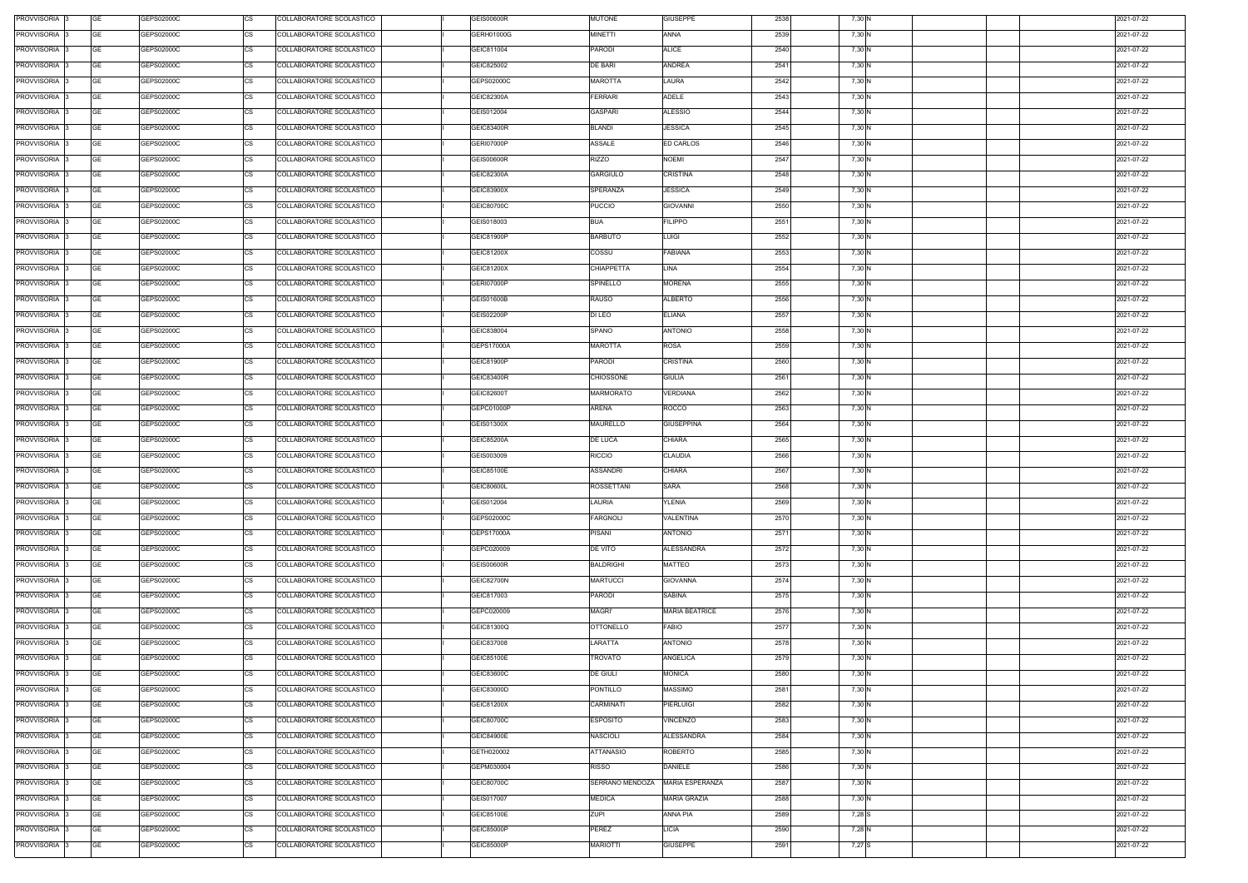| PROVVISORIA 3            | GE        | GEPS02000C | COLLABORATORE SCOLASTICO<br>CS        | <b>GEIS00600R</b> | <b>MUTONE</b>     | <b>GIUSEPPE</b>        | 2538 | 7,30 N |  | 2021-07-22 |
|--------------------------|-----------|------------|---------------------------------------|-------------------|-------------------|------------------------|------|--------|--|------------|
| PROVVISORIA 3            | GE        | GEPS02000C | <b>CS</b><br>COLLABORATORE SCOLASTICO | GERH01000G        | <b>MINETTI</b>    | ANNA                   | 2539 | 7,30 N |  | 2021-07-22 |
| PROVVISORIA 3            | GE        | GEPS02000C | <b>CS</b><br>COLLABORATORE SCOLASTICO | GEIC811004        | <b>PARODI</b>     | <b>ALICE</b>           | 2540 | 7,30 N |  | 2021-07-22 |
| PROVVISORIA 3            | GE        | GEPS02000C | <b>CS</b><br>COLLABORATORE SCOLASTICO | GEIC825002        | <b>DE BARI</b>    | <b>ANDREA</b>          | 2541 | 7,30 N |  | 2021-07-22 |
| PROVVISORIA 3            | <b>GE</b> | GEPS02000C | <b>CS</b><br>COLLABORATORE SCOLASTICO | GEPS02000C        | <b>MAROTTA</b>    | LAURA                  | 2542 | 7,30 N |  | 2021-07-22 |
| PROVVISORIA 3            | <b>GE</b> | GEPS02000C | <b>CS</b><br>COLLABORATORE SCOLASTICO | GEIC82300A        | <b>FERRARI</b>    | ADELE                  | 2543 | 7,30 N |  | 2021-07-22 |
| PROVVISORIA 3            | <b>GE</b> | GEPS02000C | <b>CS</b><br>COLLABORATORE SCOLASTICO | GEIS012004        | <b>GASPARI</b>    | ALESSIO                | 2544 | 7,30 N |  | 2021-07-22 |
| PROVVISORIA 3            | GE        | GEPS02000C | <b>CS</b><br>COLLABORATORE SCOLASTICO | GEIC83400R        | <b>BLANDI</b>     | <b>JESSICA</b>         | 2545 | 7,30 N |  | 2021-07-22 |
| PROVVISORIA 3            | <b>GE</b> | GEPS02000C | <b>CS</b><br>COLLABORATORE SCOLASTICO | <b>GERI07000P</b> | <b>ASSALE</b>     | <b>ED CARLOS</b>       | 2546 | 7,30 N |  | 2021-07-22 |
|                          |           |            |                                       |                   |                   |                        |      |        |  |            |
| PROVVISORIA 3            | <b>GE</b> | GEPS02000C | <b>CS</b><br>COLLABORATORE SCOLASTICO | <b>GEIS00600R</b> | RIZZO             | <b>NOEMI</b>           | 2547 | 7,30 N |  | 2021-07-22 |
| PROVVISORIA 3            | <b>GE</b> | GEPS02000C | <b>CS</b><br>COLLABORATORE SCOLASTICO | GEIC82300A        | <b>GARGIULO</b>   | <b>CRISTINA</b>        | 2548 | 7,30 N |  | 2021-07-22 |
| PROVVISORIA 3            | <b>GE</b> | GEPS02000C | CS<br>COLLABORATORE SCOLASTICO        | GEIC83900X        | SPERANZA          | <b>JESSICA</b>         | 2549 | 7,30 N |  | 2021-07-22 |
| PROVVISORIA 3            | <b>GE</b> | GEPS02000C | <b>CS</b><br>COLLABORATORE SCOLASTICO | GEIC80700C        | <b>PUCCIO</b>     | <b>GIOVANNI</b>        | 2550 | 7,30 N |  | 2021-07-22 |
| PROVVISORIA 3            | <b>GE</b> | GEPS02000C | <b>CS</b><br>COLLABORATORE SCOLASTICO | GEIS018003        | <b>BUA</b>        | <b>FILIPPO</b>         | 2551 | 7,30 N |  | 2021-07-22 |
| PROVVISORIA 3            | <b>GE</b> | GEPS02000C | <b>CS</b><br>COLLABORATORE SCOLASTICO | GEIC81900P        | <b>BARBUTO</b>    | LUIGI                  | 2552 | 7,30 N |  | 2021-07-22 |
| PROVVISORIA 3            | <b>GE</b> | GEPS02000C | <b>CS</b><br>COLLABORATORE SCOLASTICO | GEIC81200X        | COSSU             | FABIANA                | 2553 | 7,30 N |  | 2021-07-22 |
| PROVVISORIA 3            | <b>GE</b> | GEPS02000C | <b>CS</b><br>COLLABORATORE SCOLASTICO | GEIC81200X        | <b>CHIAPPETTA</b> | LINA                   | 2554 | 7,30 N |  | 2021-07-22 |
| PROVVISORIA 3            | <b>GE</b> | GEPS02000C | <b>CS</b><br>COLLABORATORE SCOLASTICO | <b>GERI07000P</b> | SPINELLO          | <b>MORENA</b>          | 2555 | 7,30 N |  | 2021-07-22 |
| PROVVISORIA 3            | <b>GE</b> | GEPS02000C | <b>CS</b><br>COLLABORATORE SCOLASTICO | GEIS01600B        | RAUSO             | ALBERTO                | 2556 | 7,30 N |  | 2021-07-22 |
| PROVVISORIA 3            | GE        | GEPS02000C | <b>CS</b><br>COLLABORATORE SCOLASTICO | GEIS02200P        | DI LEO            | <b>ELIANA</b>          | 2557 | 7,30 N |  | 2021-07-22 |
| PROVVISORIA 3            | GE        | GEPS02000C | <b>CS</b><br>COLLABORATORE SCOLASTICO | GEIC838004        | SPANO             | ANTONIO                | 2558 | 7,30 N |  | 2021-07-22 |
| PROVVISORIA 3            | <b>GE</b> | GEPS02000C | <b>CS</b><br>COLLABORATORE SCOLASTICO | GEPS17000A        | MAROTTA           | ROSA                   | 2559 | 7,30 N |  | 2021-07-22 |
| PROVVISORIA 3            | <b>GE</b> | GEPS02000C | <b>CS</b><br>COLLABORATORE SCOLASTICO | GEIC81900P        | PARODI            | CRISTINA               | 2560 | 7,30 N |  | 2021-07-22 |
| PROVVISORIA 3            | <b>GE</b> | GEPS02000C | <b>CS</b><br>COLLABORATORE SCOLASTICO | <b>GEIC83400R</b> | <b>CHIOSSONE</b>  | <b>GIULIA</b>          | 2561 | 7,30 N |  | 2021-07-22 |
| PROVVISORIA 3            | <b>GE</b> | GEPS02000C | <b>CS</b><br>COLLABORATORE SCOLASTICO | GEIC82600T        | MARMORATO         | <b>/ERDIANA</b>        | 2562 | 7,30 N |  | 2021-07-22 |
| PROVVISORIA 3            | <b>GE</b> | GEPS02000C | <b>CS</b><br>COLLABORATORE SCOLASTICO | GEPC01000P        | <b>ARENA</b>      | ROCCO                  | 2563 | 7,30 N |  | 2021-07-22 |
| PROVVISORIA 3            | GE        | GEPS02000C | <b>CS</b><br>COLLABORATORE SCOLASTICO | GEIS01300X        | MAURELLO          | <b>GIUSEPPINA</b>      | 2564 | 7,30 N |  | 2021-07-22 |
| PROVVISORIA 3            | <b>GE</b> | GEPS02000C | <b>CS</b><br>COLLABORATORE SCOLASTICO | GEIC85200A        | DE LUCA           | CHIARA                 | 2565 | 7,30 N |  | 2021-07-22 |
| PROVVISORIA 3            | GE        | GEPS02000C | <b>CS</b><br>COLLABORATORE SCOLASTICO | GEIS003009        | <b>RICCIO</b>     | <b>CLAUDIA</b>         | 2566 | 7,30 N |  | 2021-07-22 |
| PROVVISORIA 3            | <b>GE</b> | GEPS02000C | <b>CS</b><br>COLLABORATORE SCOLASTICO | GEIC85100E        | <b>ASSANDRI</b>   | <b>CHIARA</b>          | 2567 | 7,30 N |  | 2021-07-22 |
| PROVVISORIA 3            | GE        | GEPS02000C | <b>CS</b><br>COLLABORATORE SCOLASTICO | GEIC80600L        | <b>ROSSETTANI</b> | SARA                   | 2568 | 7,30 N |  | 2021-07-22 |
| PROVVISORIA <sup>3</sup> | <b>GE</b> | GEPS02000C | <b>CS</b><br>COLLABORATORE SCOLASTICO | GEIS012004        | LAURIA            | YLENIA                 | 2569 | 7,30 N |  | 2021-07-22 |
| PROVVISORIA 3            | GE        | GEPS02000C | <b>CS</b><br>COLLABORATORE SCOLASTICO | GEPS02000C        | FARGNOLI          | VALENTINA              | 2570 | 7,30 N |  | 2021-07-22 |
| PROVVISORIA 3            | GE        | GEPS02000C | <b>CS</b><br>COLLABORATORE SCOLASTICO | <b>GEPS17000A</b> | <b>PISANI</b>     | ANTONIO                | 2571 | 7,30 N |  | 2021-07-22 |
| PROVVISORIA 3            | <b>GE</b> | GEPS02000C | <b>CS</b><br>COLLABORATORE SCOLASTICO | GEPC020009        | DE VITO           | <b>ALESSANDRA</b>      | 2572 | 7,30 N |  | 2021-07-22 |
| PROVVISORIA 3            | <b>GE</b> | GEPS02000C | <b>CS</b><br>COLLABORATORE SCOLASTICO | <b>GEIS00600R</b> | <b>BALDRIGHI</b>  | <b>MATTEO</b>          | 2573 | 7,30 N |  | 2021-07-22 |
| PROVVISORIA 3            | <b>GE</b> | GEPS02000C | <b>CS</b><br>COLLABORATORE SCOLASTICO | <b>GEIC82700N</b> | <b>MARTUCCI</b>   | <b>GIOVANNA</b>        | 2574 | 7,30 N |  | 2021-07-22 |
| PROVVISORIA 3            | <b>GE</b> | GEPS02000C | <b>CS</b><br>COLLABORATORE SCOLASTICO | GEIC817003        | <b>PARODI</b>     | SABINA                 | 2575 | 7,30 N |  | 2021-07-22 |
| PROVVISORIA 3            | <b>GE</b> | GEPS02000C | CS<br>COLLABORATORE SCOLASTICO        | GEPC020009        | <b>MAGRI'</b>     | <b>MARIA BEATRICE</b>  | 2576 | 7,30 N |  | 2021-07-22 |
| PROVVISORIA 3            | <b>GE</b> | GEPS02000C | <b>CS</b><br>COLLABORATORE SCOLASTICO | GEIC81300Q        | <b>OTTONELLO</b>  | <b>FABIO</b>           | 2577 | 7,30 N |  | 2021-07-22 |
| PROVVISORIA 3            | <b>GE</b> | GEPS02000C | <b>CS</b><br>COLLABORATORE SCOLASTICO | GEIC837008        | LARATTA           | ANTONIO                | 2578 | 7,30 N |  | 2021-07-22 |
| PROVVISORIA 3            | <b>GE</b> | GEPS02000C | <b>CS</b><br>COLLABORATORE SCOLASTICO | GEIC85100E        | TROVATO           | ANGELICA               | 2579 | 7,30 N |  | 2021-07-22 |
| PROVVISORIA 3            | <b>GE</b> | GEPS02000C | <b>CS</b><br>COLLABORATORE SCOLASTICO | GEIC83600C        | <b>DE GIULI</b>   | <b>MONICA</b>          | 2580 | 7,30 N |  | 2021-07-22 |
| PROVVISORIA 3            | <b>GE</b> | GEPS02000C | <b>CS</b><br>COLLABORATORE SCOLASTICO | GEIC83000D        | PONTILLO          | <b>MASSIMO</b>         | 2581 | 7,30 N |  | 2021-07-22 |
| PROVVISORIA 3            | <b>GE</b> | GEPS02000C | CS<br>COLLABORATORE SCOLASTICO        | GEIC81200X        | CARMINATI         | PIERLUIGI              | 2582 | 7,30 N |  | 2021-07-22 |
| PROVVISORIA 3            | <b>GE</b> | GEPS02000C | <b>CS</b><br>COLLABORATORE SCOLASTICO | GEIC80700C        | ESPOSITO          | VINCENZO               | 2583 | 7,30 N |  | 2021-07-22 |
| PROVVISORIA 3            | GE        | GEPS02000C | СS<br>COLLABORATORE SCOLASTICO        | GEIC84900E        | <b>NASCIOLI</b>   | <b>ALESSANDRA</b>      | 2584 | 7,30 N |  | 2021-07-22 |
| PROVVISORIA 3            | <b>GE</b> | GEPS02000C | <b>CS</b><br>COLLABORATORE SCOLASTICO | GETH020002        | <b>ATTANASIO</b>  | ROBERTO                | 2585 | 7,30 N |  | 2021-07-22 |
| PROVVISORIA 3            | <b>GE</b> | GEPS02000C | <b>CS</b><br>COLLABORATORE SCOLASTICO | GEPM030004        | <b>RISSO</b>      | DANIELE                | 2586 | 7,30 N |  | 2021-07-22 |
| PROVVISORIA 3            | <b>GE</b> | GEPS02000C | <b>CS</b><br>COLLABORATORE SCOLASTICO | GEIC80700C        | SERRANO MENDOZA   | <b>MARIA ESPERANZA</b> | 2587 | 7,30 N |  | 2021-07-22 |
| PROVVISORIA 3            | <b>GE</b> | GEPS02000C | <b>CS</b><br>COLLABORATORE SCOLASTICO | GEIS017007        | <b>MEDICA</b>     | <b>MARIA GRAZIA</b>    | 2588 | 7,30 N |  | 2021-07-22 |
| PROVVISORIA 3            | GE        | GEPS02000C | <b>CS</b><br>COLLABORATORE SCOLASTICO | GEIC85100E        | <b>ZUPI</b>       | ANNA PIA               | 2589 | 7,28 S |  | 2021-07-22 |
| PROVVISORIA 3            | <b>GE</b> | GEPS02000C | <b>CS</b><br>COLLABORATORE SCOLASTICO | GEIC85000P        | PEREZ             | LICIA -                | 2590 | 7,28 N |  | 2021-07-22 |
| PROVVISORIA 3            | GE        | GEPS02000C | <b>CS</b><br>COLLABORATORE SCOLASTICO | GEIC85000P        | <b>MARIOTTI</b>   | <b>GIUSEPPE</b>        | 2591 | 7,27 S |  | 2021-07-22 |
|                          |           |            |                                       |                   |                   |                        |      |        |  |            |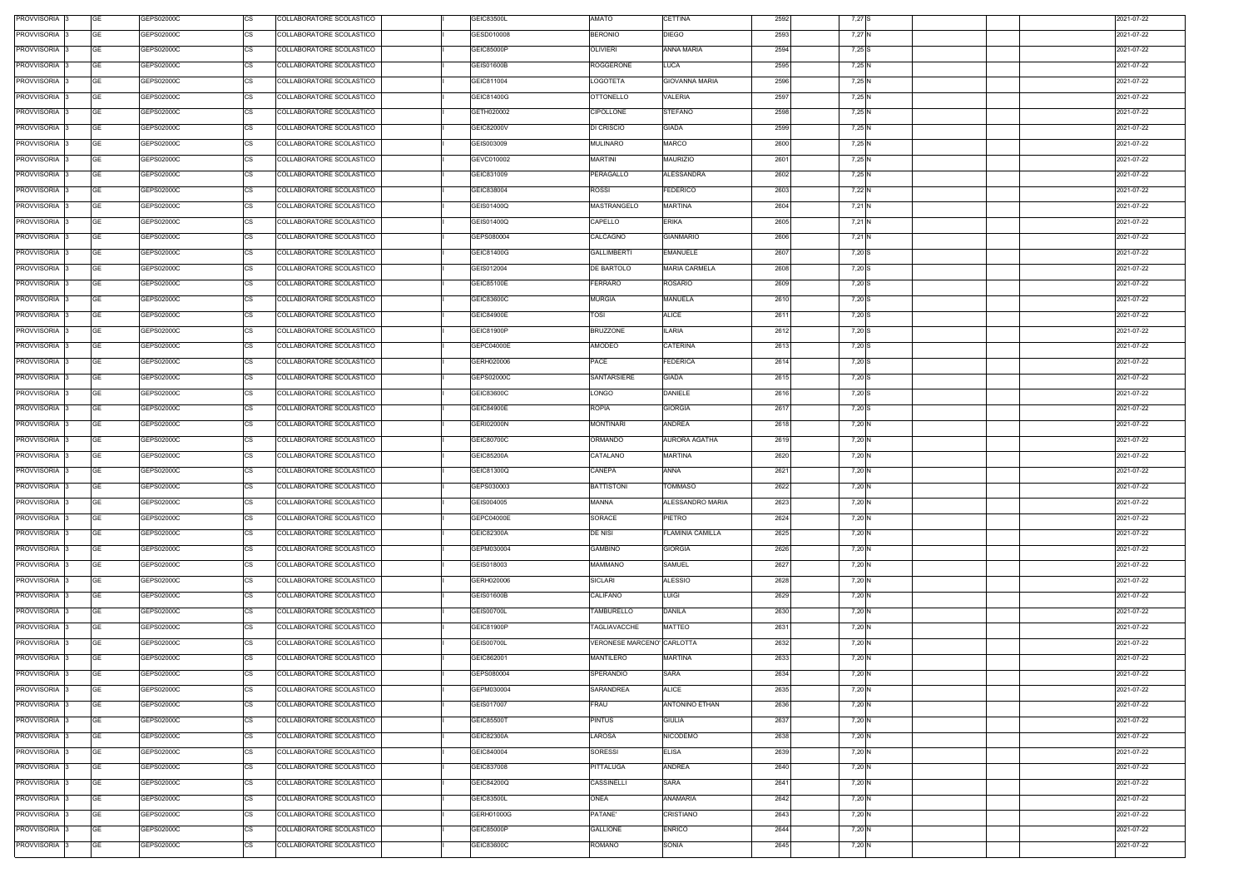| PROVVISORIA 3      | <b>GE</b> | GEPS02000C | <b>CS</b> | COLLABORATORE SCOLASTICO | GEIC83500L        | AMATO                      | <b>CETTINA</b>        | 2592 | 7,27 S   |  | 2021-07-22 |
|--------------------|-----------|------------|-----------|--------------------------|-------------------|----------------------------|-----------------------|------|----------|--|------------|
| PROVVISORIA 3      | <b>GE</b> | GEPS02000C | СS        | COLLABORATORE SCOLASTICO | GESD010008        | <b>BERONIO</b>             | <b>DIEGO</b>          | 2593 | 7,27 N   |  | 2021-07-22 |
| PROVVISORIA 3      | <b>GE</b> | GEPS02000C | <b>CS</b> | COLLABORATORE SCOLASTICO | GEIC85000P        | <b>OLIVIERI</b>            | <b>ANNA MARIA</b>     | 2594 | $7,25$ S |  | 2021-07-22 |
| PROVVISORIA 3      | <b>GE</b> | GEPS02000C | CS        | COLLABORATORE SCOLASTICO | <b>GEIS01600B</b> | ROGGERONE                  | LUCA                  | 2595 | 7,25 N   |  | 2021-07-22 |
| PROVVISORIA 3      | GE        | GEPS02000C | CS        | COLLABORATORE SCOLASTICO | GEIC811004        | LOGOTETA                   | <b>GIOVANNA MARIA</b> | 2596 | 7,25 N   |  | 2021-07-22 |
| PROVVISORIA 3      | <b>GE</b> | GEPS02000C | <b>CS</b> | COLLABORATORE SCOLASTICO | GEIC81400G        | <b>OTTONELLO</b>           | VALERIA               | 2597 | 7,25 N   |  | 2021-07-22 |
| PROVVISORIA 3      | GE        | GEPS02000C | <b>CS</b> | COLLABORATORE SCOLASTICO | GETH020002        | <b>CIPOLLONE</b>           | <b>STEFANO</b>        | 2598 | 7,25 N   |  | 2021-07-22 |
| PROVVISORIA 3      | <b>GE</b> | GEPS02000C | <b>CS</b> | COLLABORATORE SCOLASTICO | GEIC82000V        | DI CRISCIO                 | <b>GIADA</b>          | 2599 | 7,25 N   |  | 2021-07-22 |
| <b>PROVVISORIA</b> | <b>GE</b> | GEPS02000C | <b>CS</b> | COLLABORATORE SCOLASTICO | GEIS003009        | <b>MULINARO</b>            | <b>MARCO</b>          | 2600 | 7,25 N   |  | 2021-07-22 |
| <b>PROVVISORIA</b> | <b>GE</b> | GEPS02000C | CS        | COLLABORATORE SCOLASTICO | GEVC010002        | <b>MARTINI</b>             | <b>MAURIZIO</b>       | 2601 | 7,25 N   |  | 2021-07-22 |
| PROVVISORIA        | <b>GE</b> | GEPS02000C | <b>CS</b> | COLLABORATORE SCOLASTICO | GEIC831009        | PERAGALLO                  | <b>ALESSANDRA</b>     | 2602 | 7,25 N   |  | 2021-07-22 |
| PROVVISORIA        | <b>GE</b> | GEPS02000C | CS        | COLLABORATORE SCOLASTICO | GEIC838004        | <b>ROSSI</b>               | <b>FEDERICO</b>       | 2603 | 7,22 N   |  | 2021-07-22 |
| PROVVISORIA        | <b>GE</b> | GEPS02000C | CS        | COLLABORATORE SCOLASTICO | GEIS01400Q        | MASTRANGELO                | <b>MARTINA</b>        | 2604 | 7,21 N   |  | 2021-07-22 |
| PROVVISORIA 3      | <b>GE</b> | GEPS02000C | CS        | COLLABORATORE SCOLASTICO | GEIS01400Q        | CAPELLO                    | <b>ERIKA</b>          | 2605 | 7,21 N   |  | 2021-07-22 |
| PROVVISORIA 3      | <b>GE</b> | GEPS02000C | СS        | COLLABORATORE SCOLASTICO | GEPS080004        | CALCAGNO                   | <b>GIANMARIO</b>      | 2606 | 7,21 N   |  | 2021-07-22 |
| PROVVISORIA 3      | <b>GE</b> | GEPS02000C | CS        | COLLABORATORE SCOLASTICO | GEIC81400G        | <b>GALLIMBERTI</b>         | <b>EMANUELE</b>       | 2607 | 7,20 S   |  | 2021-07-22 |
| PROVVISORIA 3      | <b>GE</b> | GEPS02000C | <b>CS</b> | COLLABORATORE SCOLASTICO | GEIS012004        | DE BARTOLO                 | <b>MARIA CARMELA</b>  | 2608 | 7,20 S   |  | 2021-07-22 |
| PROVVISORIA 3      | <b>GE</b> | GEPS02000C | CS        | COLLABORATORE SCOLASTICO | GEIC85100E        | FERRARO                    | ROSARIO               | 2609 | 7,20 S   |  | 2021-07-22 |
| PROVVISORIA 3      | GE        | GEPS02000C | СS        | COLLABORATORE SCOLASTICO | GEIC83600C        | <b>MURGIA</b>              | MANUELA               | 2610 | 7,20 S   |  | 2021-07-22 |
|                    |           |            |           |                          |                   |                            |                       |      |          |  |            |
| PROVVISORIA 3      | <b>GE</b> | GEPS02000C | СS        | COLLABORATORE SCOLASTICO | GEIC84900E        | <b>TOSI</b>                | <b>ALICE</b>          | 2611 | 7,20 S   |  | 2021-07-22 |
| PROVVISORIA 3      | GE        | GEPS02000C | СS        | COLLABORATORE SCOLASTICO | GEIC81900P        | BRUZZONE                   | <b>ILARIA</b>         | 2612 | 7,20 S   |  | 2021-07-22 |
| PROVVISORIA 3      | <b>GE</b> | GEPS02000C | СS        | COLLABORATORE SCOLASTICO | GEPC04000E        | AMODEO                     | CATERINA              | 2613 | $7,20$ S |  | 2021-07-22 |
| PROVVISORIA 3      | <b>GE</b> | GEPS02000C | <b>CS</b> | COLLABORATORE SCOLASTICO | GERH020006        | PACE                       | <b>FEDERICA</b>       | 2614 | 7,20 S   |  | 2021-07-22 |
| PROVVISORIA 3      | <b>GE</b> | GEPS02000C | CS        | COLLABORATORE SCOLASTICO | GEPS02000C        | <b>SANTARSIERE</b>         | GIADA                 | 2615 | $7,20$ S |  | 2021-07-22 |
| <b>PROVVISORIA</b> | <b>GE</b> | GEPS02000C | СS        | COLLABORATORE SCOLASTICO | GEIC83600C        | LONGO                      | DANIELE               | 2616 | 7,20 S   |  | 2021-07-22 |
| PROVVISORIA 3      | <b>GE</b> | GEPS02000C | СS        | COLLABORATORE SCOLASTICO | <b>GEIC84900E</b> | <b>ROPIA</b>               | <b>GIORGIA</b>        | 2617 | $7,20$ S |  | 2021-07-22 |
| PROVVISORIA 3      | <b>GE</b> | GEPS02000C | СS        | COLLABORATORE SCOLASTICO | GERI02000N        | <b>MONTINARI</b>           | ANDREA                | 2618 | 7,20 N   |  | 2021-07-22 |
| PROVVISORIA 3      | <b>GE</b> | GEPS02000C | CS        | COLLABORATORE SCOLASTICO | GEIC80700C        | ORMANDO                    | AURORA AGATHA         | 2619 | 7,20 N   |  | 2021-07-22 |
| PROVVISORIA 3      | <b>GE</b> | GEPS02000C | <b>CS</b> | COLLABORATORE SCOLASTICO | GEIC85200A        | CATALANO                   | <b>MARTINA</b>        | 2620 | 7,20 N   |  | 2021-07-22 |
| PROVVISORIA 3      | <b>GE</b> | GEPS02000C | <b>CS</b> | COLLABORATORE SCOLASTICO | GEIC81300Q        | CANEPA                     | ANNA                  | 2621 | 7,20 N   |  | 2021-07-22 |
| PROVVISORIA 3      | <b>GE</b> | GEPS02000C | <b>CS</b> | COLLABORATORE SCOLASTICO | GEPS030003        | <b>BATTISTONI</b>          | TOMMASO               | 2622 | 7,20 N   |  | 2021-07-22 |
| PROVVISORIA 3      | <b>GE</b> | GEPS02000C | <b>CS</b> | COLLABORATORE SCOLASTICO | GEIS004005        | <b>MANNA</b>               | ALESSANDRO MARIA      | 2623 | 7,20 N   |  | 2021-07-22 |
| PROVVISORIA 3      | <b>GE</b> | GEPS02000C | <b>CS</b> | COLLABORATORE SCOLASTICO | GEPC04000E        | SORACE                     | <b>PIETRO</b>         | 2624 | 7,20 N   |  | 2021-07-22 |
| PROVVISORIA 3      | GE        | GEPS02000C | <b>CS</b> | COLLABORATORE SCOLASTICO | GEIC82300A        | <b>DE NISI</b>             | FLAMINIA CAMILLA      | 2625 | 7,20 N   |  | 2021-07-22 |
| <b>PROVVISORIA</b> | <b>GE</b> | GEPS02000C | CS        | COLLABORATORE SCOLASTICO | GEPM030004        | <b>GAMBINO</b>             | <b>GIORGIA</b>        | 2626 | 7,20 N   |  | 2021-07-22 |
| PROVVISORIA 3      | <b>GE</b> | GEPS02000C | <b>CS</b> | COLLABORATORE SCOLASTICO | GEIS018003        | <b>MAMMANO</b>             | SAMUEL                | 2627 | 7,20 N   |  | 2021-07-22 |
| PROVVISORIA 3      | <b>GE</b> | GEPS02000C | CS        | COLLABORATORE SCOLASTICO | GERH020006        | <b>SICLARI</b>             | <b>ALESSIO</b>        | 2628 | 7,20 N   |  | 2021-07-22 |
| <b>PROVVISORIA</b> | <b>GE</b> | GEPS02000C | CS        | COLLABORATORE SCOLASTICO | <b>GEIS01600B</b> | CALIFANO                   | LUIGI                 | 2629 | 7,20 N   |  | 2021-07-22 |
| PROVVISORIA 3      | <b>GE</b> | GEPS02000C | CS        | COLLABORATORE SCOLASTICO | <b>GEIS00700L</b> | TAMBURELLO                 | DANILA                | 2630 | 7,20 N   |  | 2021-07-22 |
| PROVVISORIA 3      | <b>GE</b> | GEPS02000C | CS        | COLLABORATORE SCOLASTICO | <b>GEIC81900P</b> | TAGLIAVACCHE               | <b>MATTEO</b>         | 2631 | 7,20 N   |  | 2021-07-22 |
| PROVVISORIA 3      | <b>GE</b> | GEPS02000C | CS        | COLLABORATORE SCOLASTICO | <b>GEIS00700L</b> | VERONESE MARCENO' CARLOTTA |                       | 2632 | 7,20 N   |  | 2021-07-22 |
| PROVVISORIA 3      | <b>GE</b> | GEPS02000C | <b>CS</b> | COLLABORATORE SCOLASTICO | GEIC862001        | <b>MANTILERO</b>           | <b>MARTINA</b>        | 2633 | 7,20 N   |  | 2021-07-22 |
| PROVVISORIA 3      | <b>GE</b> | GEPS02000C | CS        | COLLABORATORE SCOLASTICO | GEPS080004        | <b>SPERANDIO</b>           | SARA                  | 2634 | 7,20 N   |  | 2021-07-22 |
| PROVVISORIA 3      | <b>GE</b> | GEPS02000C | <b>CS</b> | COLLABORATORE SCOLASTICO | GEPM030004        | <b>SARANDREA</b>           | <b>ALICE</b>          | 2635 | 7,20 N   |  | 2021-07-22 |
| PROVVISORIA 3      | <b>GE</b> | GEPS02000C | CS        | COLLABORATORE SCOLASTICO | GEIS017007        | <b>FRAU</b>                | ANTONINO ETHAN        | 2636 | 7,20 N   |  | 2021-07-22 |
| PROVVISORIA 3      | <b>GE</b> | GEPS02000C | СS        | COLLABORATORE SCOLASTICO | GEIC85500T        | <b>PINTUS</b>              | <b>GIULIA</b>         | 2637 | 7,20 N   |  | 2021-07-22 |
| PROVVISORIA 3      | <b>GE</b> | GEPS02000C | СS        | COLLABORATORE SCOLASTICO | GEIC82300A        | LAROSA                     | <b>NICODEMO</b>       | 2638 | 7,20 N   |  | 2021-07-22 |
| <b>PROVVISORIA</b> | <b>GE</b> | GEPS02000C | <b>CS</b> | COLLABORATORE SCOLASTICO | GEIC840004        | <b>SORESSI</b>             | <b>ELISA</b>          | 2639 | 7,20 N   |  | 2021-07-22 |
| PROVVISORIA 3      | <b>GE</b> | GEPS02000C | <b>CS</b> | COLLABORATORE SCOLASTICO | GEIC837008        | PITTALUGA                  | <b>ANDREA</b>         | 2640 | 7,20 N   |  | 2021-07-22 |
| PROVVISORIA 3      | <b>GE</b> | GEPS02000C | <b>CS</b> | COLLABORATORE SCOLASTICO | GEIC84200Q        | CASSINELLI                 | SARA                  | 2641 | 7,20 N   |  | 2021-07-22 |
| PROVVISORIA 3      | <b>GE</b> | GEPS02000C | СS        | COLLABORATORE SCOLASTICO | <b>GEIC83500L</b> | <b>ONEA</b>                | ANAMARIA              | 2642 | 7,20 N   |  | 2021-07-22 |
| PROVVISORIA 3      | <b>GE</b> | GEPS02000C | СS        | COLLABORATORE SCOLASTICO | GERH01000G        | PATANE'                    | CRISTIANO             | 2643 | 7,20 N   |  | 2021-07-22 |
| PROVVISORIA 3      | <b>GE</b> | GEPS02000C | СS        | COLLABORATORE SCOLASTICO | <b>GEIC85000P</b> | <b>GALLIONE</b>            | ENRICO                | 2644 | 7,20 N   |  | 2021-07-22 |
| PROVVISORIA 3      | <b>GE</b> | GEPS02000C | <b>CS</b> | COLLABORATORE SCOLASTICO | GEIC83600C        | ROMANO                     | SONIA                 | 2645 | 7,20 N   |  | 2021-07-22 |
|                    |           |            |           |                          |                   |                            |                       |      |          |  |            |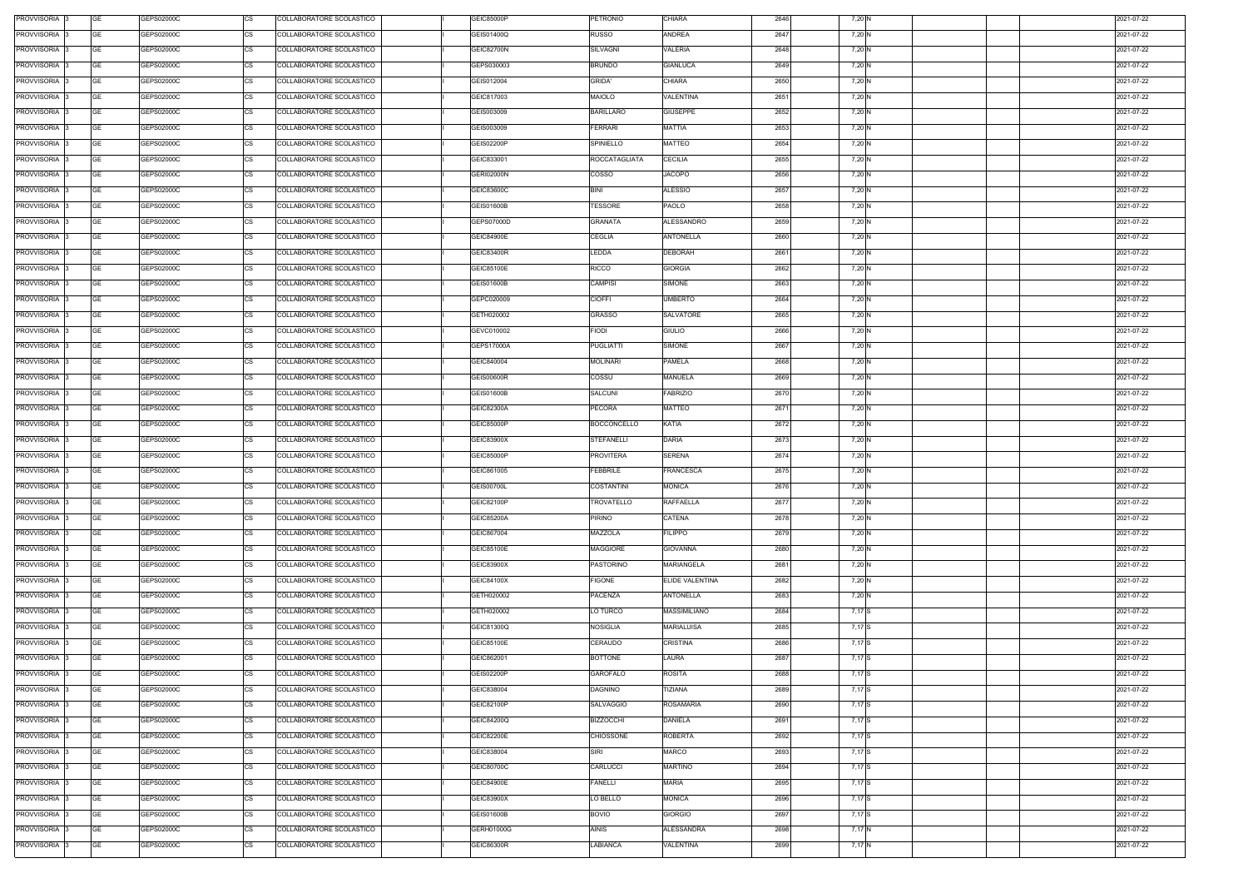| PROVVISORIA 3 | GE        | GEPS02000C | COLLABORATORE SCOLASTICO<br>CS        | GEIC85000P        | <b>PETRONIO</b>      | CHIARA                 | 2646 | 7,20 N |  | 2021-07-22 |
|---------------|-----------|------------|---------------------------------------|-------------------|----------------------|------------------------|------|--------|--|------------|
| PROVVISORIA 3 | GE        | GEPS02000C | <b>CS</b><br>COLLABORATORE SCOLASTICO | GEIS01400Q        | RUSSO                | <b>ANDREA</b>          | 2647 | 7,20 N |  | 2021-07-22 |
| PROVVISORIA 3 | GE        | GEPS02000C | <b>CS</b><br>COLLABORATORE SCOLASTICO | <b>GEIC82700N</b> | SILVAGNI             | VALERIA                | 2648 | 7,20 N |  | 2021-07-22 |
| PROVVISORIA 3 | GE        | GEPS02000C | <b>CS</b><br>COLLABORATORE SCOLASTICO | GEPS030003        | <b>BRUNDO</b>        | <b>GIANLUCA</b>        | 2649 | 7,20 N |  | 2021-07-22 |
| PROVVISORIA 3 | <b>GE</b> | GEPS02000C | <b>CS</b><br>COLLABORATORE SCOLASTICO | GEIS012004        | <b>GRIDA'</b>        | CHIARA                 | 2650 | 7,20 N |  | 2021-07-22 |
| PROVVISORIA 3 | GE        | GEPS02000C | <b>CS</b><br>COLLABORATORE SCOLASTICO | GEIC817003        | <b>MAIOLO</b>        | VALENTINA              | 2651 | 7,20 N |  | 2021-07-22 |
| PROVVISORIA 3 | <b>GE</b> | GEPS02000C | <b>CS</b><br>COLLABORATORE SCOLASTICO | GEIS003009        | BARILLARO            | <b>GIUSEPPE</b>        | 2652 | 7,20 N |  | 2021-07-22 |
|               |           |            |                                       |                   |                      |                        |      |        |  |            |
| PROVVISORIA 3 | GE        | GEPS02000C | <b>CS</b><br>COLLABORATORE SCOLASTICO | GEIS003009        | <b>FERRARI</b>       | <b>MATTIA</b>          | 2653 | 7,20 N |  | 2021-07-22 |
| PROVVISORIA 3 | <b>GE</b> | GEPS02000C | <b>CS</b><br>COLLABORATORE SCOLASTICO | <b>GEIS02200P</b> | SPINIELLO            | <b>MATTEO</b>          | 2654 | 7,20 N |  | 2021-07-22 |
| PROVVISORIA 3 | <b>GE</b> | GEPS02000C | <b>CS</b><br>COLLABORATORE SCOLASTICO | GEIC833001        | <b>ROCCATAGLIATA</b> | <b>CECILIA</b>         | 2655 | 7,20 N |  | 2021-07-22 |
| PROVVISORIA 3 | <b>GE</b> | GEPS02000C | <b>CS</b><br>COLLABORATORE SCOLASTICO | <b>GERI02000N</b> | COSSO                | <b>JACOPO</b>          | 2656 | 7,20 N |  | 2021-07-22 |
| PROVVISORIA 3 | <b>GE</b> | GEPS02000C | CS<br>COLLABORATORE SCOLASTICO        | GEIC83600C        | <b>BINI</b>          | <b>ALESSIO</b>         | 2657 | 7,20 N |  | 2021-07-22 |
| PROVVISORIA 3 | <b>GE</b> | GEPS02000C | <b>CS</b><br>COLLABORATORE SCOLASTICO | GEIS01600B        | TESSORE              | PAOLO                  | 2658 | 7,20 N |  | 2021-07-22 |
| PROVVISORIA 3 | <b>GE</b> | GEPS02000C | <b>CS</b><br>COLLABORATORE SCOLASTICO | GEPS07000D        | GRANATA              | ALESSANDRO             | 2659 | 7,20 N |  | 2021-07-22 |
| PROVVISORIA 3 | <b>GE</b> | GEPS02000C | COLLABORATORE SCOLASTICO<br><b>CS</b> | <b>GEIC84900E</b> | <b>CEGLIA</b>        | <b>ANTONELLA</b>       | 2660 | 7,20 N |  | 2021-07-22 |
| PROVVISORIA 3 | <b>GE</b> | GEPS02000C | <b>CS</b><br>COLLABORATORE SCOLASTICO | <b>GEIC83400R</b> | <b>LEDDA</b>         | <b>DEBORAH</b>         | 2661 | 7,20 N |  | 2021-07-22 |
| PROVVISORIA 3 | <b>GE</b> | GEPS02000C | <b>CS</b><br>COLLABORATORE SCOLASTICO | GEIC85100E        | <b>RICCO</b>         | <b>GIORGIA</b>         | 2662 | 7,20 N |  | 2021-07-22 |
| PROVVISORIA 3 | <b>GE</b> | GEPS02000C | <b>CS</b><br>COLLABORATORE SCOLASTICO | GEIS01600B        | <b>CAMPISI</b>       | SIMONE                 | 2663 | 7,20 N |  | 2021-07-22 |
| PROVVISORIA 3 | <b>GE</b> | GEPS02000C | <b>CS</b><br>COLLABORATORE SCOLASTICO | GEPC020009        | <b>CIOFFI</b>        | UMBERTO                | 2664 | 7,20 N |  | 2021-07-22 |
| PROVVISORIA 3 | GE        | GEPS02000C | <b>CS</b><br>COLLABORATORE SCOLASTICO | GETH020002        | <b>GRASSO</b>        | SALVATORE              | 2665 | 7,20 N |  | 2021-07-22 |
| PROVVISORIA 3 | GE        | GEPS02000C | <b>CS</b><br>COLLABORATORE SCOLASTICO | GEVC010002        | <b>FIODI</b>         | <b>GIULIO</b>          | 2666 | 7,20 N |  | 2021-07-22 |
| PROVVISORIA 3 | <b>GE</b> | GEPS02000C | <b>CS</b><br>COLLABORATORE SCOLASTICO | GEPS17000A        | <b>PUGLIATTI</b>     | SIMONE                 | 2667 | 7,20 N |  | 2021-07-22 |
| PROVVISORIA 3 | <b>GE</b> | GEPS02000C | <b>CS</b><br>COLLABORATORE SCOLASTICO | GEIC840004        | <b>MOLINARI</b>      | PAMELA                 | 2668 | 7,20 N |  | 2021-07-22 |
| PROVVISORIA 3 | <b>GE</b> | GEPS02000C | <b>CS</b><br>COLLABORATORE SCOLASTICO | GEIS00600R        | COSSU                | MANUELA                | 2669 | 7,20 N |  | 2021-07-22 |
| PROVVISORIA 3 | <b>GE</b> | GEPS02000C | <b>CS</b><br>COLLABORATORE SCOLASTICO | GEIS01600B        | SALCUNI              | FABRIZIO               | 2670 | 7,20 N |  | 2021-07-22 |
| PROVVISORIA 3 | <b>GE</b> | GEPS02000C | <b>CS</b><br>COLLABORATORE SCOLASTICO | GEIC82300A        | PECORA               | MATTEO                 | 2671 | 7,20 N |  | 2021-07-22 |
| PROVVISORIA 3 | GE        | GEPS02000C | <b>CS</b><br>COLLABORATORE SCOLASTICO | GEIC85000P        | <b>BOCCONCELLO</b>   | KATIA                  | 2672 | 7,20 N |  | 2021-07-22 |
| PROVVISORIA 3 | <b>GE</b> | GEPS02000C | <b>CS</b><br>COLLABORATORE SCOLASTICO | GEIC83900X        | <b>STEFANELLI</b>    | <b>DARIA</b>           | 2673 | 7,20 N |  | 2021-07-22 |
| PROVVISORIA 3 | GE        | GEPS02000C | <b>CS</b><br>COLLABORATORE SCOLASTICO | GEIC85000P        | PROVITERA            | <b>SERENA</b>          | 2674 | 7,20 N |  | 2021-07-22 |
| PROVVISORIA 3 | <b>GE</b> | GEPS02000C | <b>CS</b><br>COLLABORATORE SCOLASTICO | GEIC861005        | FEBBRILE             | <b>FRANCESCA</b>       | 2675 | 7,20 N |  | 2021-07-22 |
| PROVVISORIA 3 | GE        | GEPS02000C | <b>CS</b><br>COLLABORATORE SCOLASTICO | <b>GEIS00700L</b> | <b>COSTANTINI</b>    | <b>MONICA</b>          | 2676 |        |  | 2021-07-22 |
| PROVVISORIA 3 | <b>GE</b> | GEPS02000C | <b>CS</b><br>COLLABORATORE SCOLASTICO | GEIC82100P        | TROVATELLO           | <b>RAFFAELLA</b>       | 2677 | 7,20 N |  | 2021-07-22 |
|               |           |            |                                       |                   |                      |                        |      | 7,20 N |  |            |
| PROVVISORIA 3 | GE        | GEPS02000C | <b>CS</b><br>COLLABORATORE SCOLASTICO | GEIC85200A        | PIRINO               | CATENA                 | 2678 | 7,20 N |  | 2021-07-22 |
| PROVVISORIA 3 | GE        | GEPS02000C | <b>CS</b><br>COLLABORATORE SCOLASTICO | GEIC867004        | MAZZOLA              | <b>FILIPPO</b>         | 2679 | 7,20 N |  | 2021-07-22 |
| PROVVISORIA 3 | <b>GE</b> | GEPS02000C | <b>CS</b><br>COLLABORATORE SCOLASTICO | GEIC85100E        | <b>MAGGIORE</b>      | <b>GIOVANNA</b>        | 2680 | 7,20 N |  | 2021-07-22 |
| PROVVISORIA 3 | <b>GE</b> | GEPS02000C | <b>CS</b><br>COLLABORATORE SCOLASTICO | GEIC83900X        | PASTORINO            | <b>MARIANGELA</b>      | 2681 | 7,20 N |  | 2021-07-22 |
| PROVVISORIA 3 | <b>GE</b> | GEPS02000C | <b>CS</b><br>COLLABORATORE SCOLASTICO | GEIC84100X        | <b>FIGONE</b>        | <b>ELIDE VALENTINA</b> | 2682 | 7,20 N |  | 2021-07-22 |
| PROVVISORIA 3 | <b>GE</b> | GEPS02000C | <b>CS</b><br>COLLABORATORE SCOLASTICO | GETH020002        | PACENZA              | <b>ANTONELLA</b>       | 2683 | 7,20 N |  | 2021-07-22 |
| PROVVISORIA 3 | <b>GE</b> | GEPS02000C | CS<br>COLLABORATORE SCOLASTICO        | GETH020002        | LO TURCO             | MASSIMILIANO           | 2684 | 7,17 S |  | 2021-07-22 |
| PROVVISORIA 3 | <b>GE</b> | GEPS02000C | <b>CS</b><br>COLLABORATORE SCOLASTICO | GEIC81300Q        | <b>NOSIGLIA</b>      | <b>MARIALUISA</b>      | 2685 | 7,17 S |  | 2021-07-22 |
| PROVVISORIA 3 | <b>GE</b> | GEPS02000C | <b>CS</b><br>COLLABORATORE SCOLASTICO | GEIC85100E        | CERAUDO              | CRISTINA               | 2686 | 7,17 S |  | 2021-07-22 |
| PROVVISORIA 3 | <b>GE</b> | GEPS02000C | <b>CS</b><br>COLLABORATORE SCOLASTICO | GEIC862001        | <b>BOTTONE</b>       | LAURA                  | 2687 | 7,17 S |  | 2021-07-22 |
| PROVVISORIA 3 | <b>GE</b> | GEPS02000C | <b>CS</b><br>COLLABORATORE SCOLASTICO | <b>GEIS02200P</b> | GAROFALO             | <b>ROSITA</b>          | 2688 | 7,17 S |  | 2021-07-22 |
| PROVVISORIA 3 | <b>GE</b> | GEPS02000C | <b>CS</b><br>COLLABORATORE SCOLASTICO | GEIC838004        | <b>DAGNINO</b>       | TIZIANA                | 2689 | 7,17 S |  | 2021-07-22 |
| PROVVISORIA 3 | <b>GE</b> | GEPS02000C | CS<br>COLLABORATORE SCOLASTICO        | GEIC82100P        | SALVAGGIO            | <b>ROSAMARIA</b>       | 2690 | 7,17 S |  | 2021-07-22 |
| PROVVISORIA 3 | <b>GE</b> | GEPS02000C | <b>CS</b><br>COLLABORATORE SCOLASTICO | GEIC84200Q        | <b>BIZZOCCHI</b>     | DANIELA                | 2691 | 7,17 S |  | 2021-07-22 |
| PROVVISORIA 3 | GE        | GEPS02000C | СS<br>COLLABORATORE SCOLASTICO        | GEIC82200E        | <b>CHIOSSONE</b>     | <b>ROBERTA</b>         | 2692 | 7,17 S |  | 2021-07-22 |
| PROVVISORIA 3 | <b>GE</b> | GEPS02000C | <b>CS</b><br>COLLABORATORE SCOLASTICO | GEIC838004        | <b>SIRI</b>          | <b>MARCO</b>           | 2693 | 7,17 S |  | 2021-07-22 |
| PROVVISORIA 3 | <b>GE</b> | GEPS02000C | <b>CS</b><br>COLLABORATORE SCOLASTICO | GEIC80700C        | CARLUCCI             | MARTINO                | 2694 | 7,17 S |  | 2021-07-22 |
| PROVVISORIA 3 | <b>GE</b> | GEPS02000C | <b>CS</b><br>COLLABORATORE SCOLASTICO | GEIC84900E        | <b>FANELLI</b>       | MARIA                  | 2695 | 7,17 S |  | 2021-07-22 |
| PROVVISORIA 3 | <b>GE</b> | GEPS02000C | <b>CS</b><br>COLLABORATORE SCOLASTICO | GEIC83900X        | LO BELLO             | <b>MONICA</b>          | 2696 | 7,17 S |  | 2021-07-22 |
| PROVVISORIA 3 | GE        | GEPS02000C | <b>CS</b><br>COLLABORATORE SCOLASTICO | GEIS01600B        | <b>BOVIO</b>         | GIORGIO                | 2697 | 7,17 S |  | 2021-07-22 |
| PROVVISORIA 3 | <b>GE</b> | GEPS02000C | <b>CS</b><br>COLLABORATORE SCOLASTICO | GERH01000G        | <b>AINIS</b>         | ALESSANDRA             | 2698 | 7,17 N |  | 2021-07-22 |
| PROVVISORIA 3 | GE        | GEPS02000C | <b>CS</b><br>COLLABORATORE SCOLASTICO | <b>GEIC86300R</b> | LABIANCA             | VALENTINA              | 2699 | 7,17 N |  | 2021-07-22 |
|               |           |            |                                       |                   |                      |                        |      |        |  |            |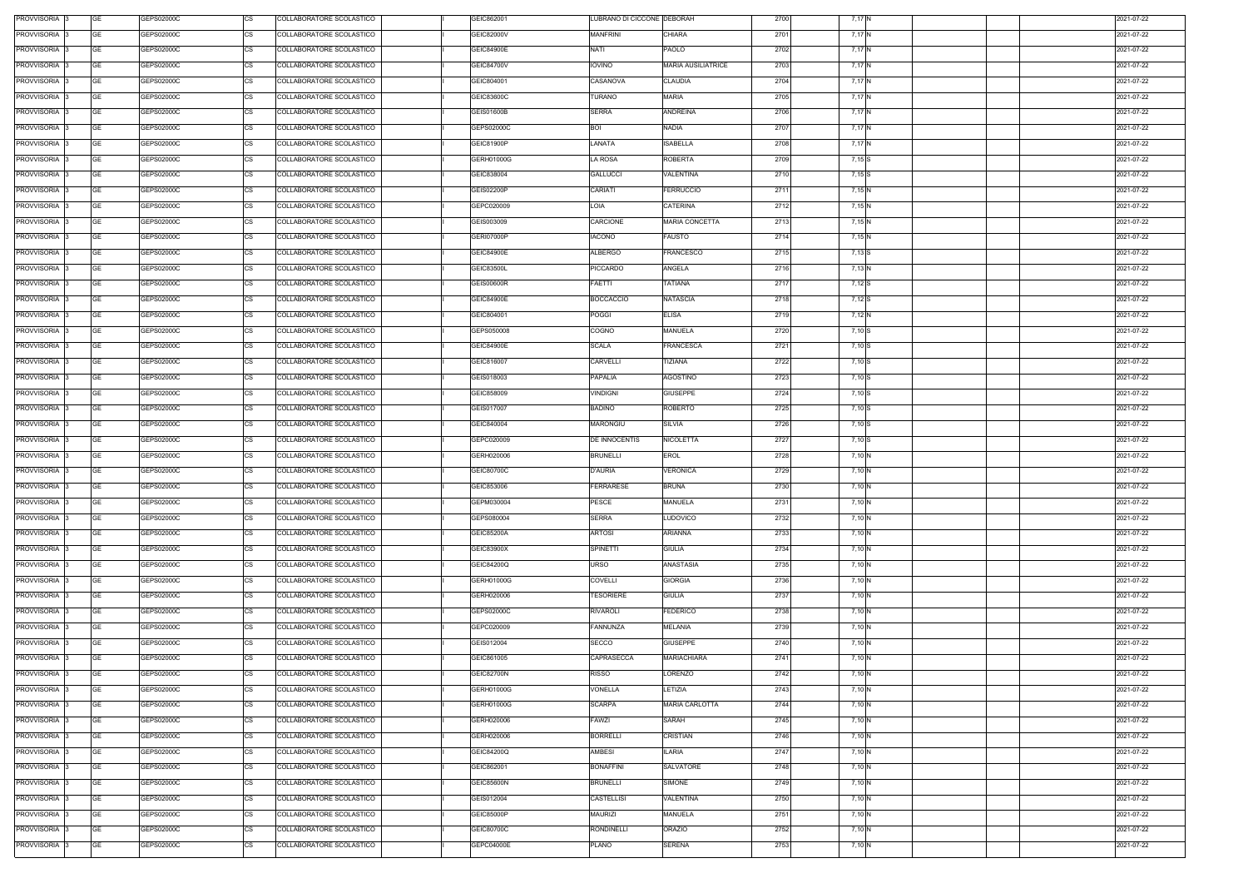| PROVVISORIA 3                  | <b>GE</b><br>GEPS02000C                            | <b>CS</b>              | COLLABORATORE SCOLASTICO                             | GEIC862001               | LUBRANO DI CICCONE DEBORAH |                                       | 2700         | 7,17 N           |  | 2021-07-22               |
|--------------------------------|----------------------------------------------------|------------------------|------------------------------------------------------|--------------------------|----------------------------|---------------------------------------|--------------|------------------|--|--------------------------|
| PROVVISORIA 3                  | <b>GE</b><br>GEPS02000C                            | CS                     | COLLABORATORE SCOLASTICO                             | GEIC82000V               | <b>MANFRINI</b>            | <b>CHIARA</b>                         | 2701         | 7,17 N           |  | 2021-07-22               |
| PROVVISORIA 3                  | <b>GE</b><br>GEPS02000C                            | CS                     | COLLABORATORE SCOLASTICO                             | GEIC84900E               | <b>NATI</b>                | PAOLO                                 | 2702         | 7,17 N           |  | 2021-07-22               |
| PROVVISORIA 3                  | <b>GE</b><br>GEPS02000C                            | <b>CS</b>              | COLLABORATORE SCOLASTICO                             | GEIC84700V               | <b>IOVINO</b>              | <b>MARIA AUSILIATRICE</b>             | 2703         | 7,17 N           |  | 2021-07-22               |
| PROVVISORIA 3                  | <b>GE</b><br>GEPS02000C                            | <b>CS</b>              | COLLABORATORE SCOLASTICO                             | GEIC804001               | CASANOVA                   | <b>CLAUDIA</b>                        | 2704         | 7,17 N           |  | 2021-07-22               |
| PROVVISORIA 3                  | <b>GE</b><br>GEPS02000C                            | <b>CS</b>              | COLLABORATORE SCOLASTICO                             | GEIC83600C               | TURANO                     | <b>MARIA</b>                          | 2705         | 7,17 N           |  | 2021-07-22               |
| PROVVISORIA 3                  | <b>GE</b><br>GEPS02000C                            | <b>CS</b>              | COLLABORATORE SCOLASTICO                             | GEIS01600B               | <b>SERRA</b>               | ANDREINA                              | 2706         | 7,17 N           |  | 2021-07-22               |
| PROVVISORIA 3                  | <b>GE</b><br>GEPS02000C                            | <b>CS</b>              | COLLABORATORE SCOLASTICO                             | GEPS02000C               | <b>BOI</b>                 | NADIA                                 | 2707         | 7,17 N           |  | 2021-07-22               |
| PROVVISORIA 3                  | <b>GE</b><br>GEPS02000C                            | <b>CS</b>              | COLLABORATORE SCOLASTICO                             | GEIC81900P               | LANATA                     | <b>ISABELLA</b>                       | 2708         | 7,17 N           |  | 2021-07-22               |
| PROVVISORIA 3                  | <b>GE</b><br>GEPS02000C                            | <b>CS</b>              | COLLABORATORE SCOLASTICO                             | GERH01000G               | LA ROSA                    | ROBERTA                               | 2709         | 7,15 S           |  | 2021-07-22               |
| PROVVISORIA 3                  | <b>GE</b><br>GEPS02000C                            | <b>CS</b>              | COLLABORATORE SCOLASTICO                             | GEIC838004               | <b>GALLUCCI</b>            | VALENTINA                             | 2710         | 7,15 S           |  | 2021-07-22               |
| PROVVISORIA 3                  | <b>GE</b><br>GEPS02000C                            | CS                     | COLLABORATORE SCOLASTICO                             | GEIS02200P               | CARIATI                    | <b>FERRUCCIO</b>                      | 2711         | 7,15 N           |  | 2021-07-22               |
| PROVVISORIA 3                  | <b>GE</b><br>GEPS02000C                            | <b>CS</b>              | COLLABORATORE SCOLASTICO                             | GEPC020009               | LOIA                       | CATERINA                              | 2712         | 7,15 N           |  | 2021-07-22               |
| PROVVISORIA 3                  | <b>GE</b><br>GEPS02000C                            | CS                     | COLLABORATORE SCOLASTICO                             | GEIS003009               | CARCIONE                   | <b>MARIA CONCETTA</b>                 | 2713         | 7,15 N           |  | 2021-07-22               |
| PROVVISORIA 3                  | <b>GE</b><br>GEPS02000C                            | <b>CS</b>              | COLLABORATORE SCOLASTICO                             | <b>GERI07000P</b>        | <b>IACONO</b>              | FAUSTO                                | 2714         | 7,15 N           |  | 2021-07-22               |
| PROVVISORIA 3                  | <b>GE</b><br>GEPS02000C                            | CS                     | COLLABORATORE SCOLASTICO                             | GEIC84900E               | <b>ALBERGO</b>             | FRANCESCO                             | 2715         | 7,13 S           |  | 2021-07-22               |
| PROVVISORIA 3                  | <b>GE</b><br>GEPS02000C                            | <b>CS</b>              | COLLABORATORE SCOLASTICO                             | GEIC83500L               | <b>PICCARDO</b>            | ANGELA                                | 2716         | 7,13 N           |  | 2021-07-22               |
| PROVVISORIA 3                  | <b>GE</b><br>GEPS02000C                            | <b>CS</b>              | COLLABORATORE SCOLASTICO                             | <b>GEIS00600R</b>        | <b>FAETTI</b>              | TATIANA                               | 2717         | 7,12 S           |  | 2021-07-22               |
| PROVVISORIA 3                  | <b>GE</b><br>GEPS02000C                            | <b>CS</b>              | COLLABORATORE SCOLASTICO                             | GEIC84900E               | <b>BOCCACCIO</b>           | <b>NATASCIA</b>                       | 2718         | 7,12 S           |  | 2021-07-22               |
| PROVVISORIA 3                  | <b>GE</b><br>GEPS02000C                            | <b>CS</b>              | COLLABORATORE SCOLASTICO                             | GEIC804001               | <b>POGGI</b>               | <b>ELISA</b>                          | 2719         | 7,12 N           |  | 2021-07-22               |
| PROVVISORIA 3                  | <b>GE</b><br>GEPS02000C                            | <b>CS</b>              | COLLABORATORE SCOLASTICO                             | GEPS050008               | COGNO                      | MANUELA                               | 2720         | 7,10 S           |  | 2021-07-22               |
| PROVVISORIA 3                  | <b>GE</b><br>GEPS02000C                            | <b>CS</b>              | COLLABORATORE SCOLASTICO                             | GEIC84900E               | <b>SCALA</b>               | FRANCESCA                             | 2721         | 7,10 S           |  | 2021-07-22               |
| PROVVISORIA 3                  | <b>GE</b><br>GEPS02000C                            | <b>CS</b>              | COLLABORATORE SCOLASTICO                             | GEIC816007               | <b>CARVELLI</b>            | TIZIANA                               | 2722         | 7,10 S           |  | 2021-07-22               |
| PROVVISORIA 3                  | <b>GE</b><br>GEPS02000C                            | <b>CS</b>              | COLLABORATORE SCOLASTICO                             | GEIS018003               | <b>PAPALIA</b>             | AGOSTINO                              | 2723         | 7,10 S           |  | 2021-07-22               |
| PROVVISORIA 3                  | <b>GE</b><br>GEPS02000C                            | <b>CS</b>              | COLLABORATORE SCOLASTICO                             | GEIC858009               | Vindigni                   | <b>GIUSEPPE</b>                       | 2724         | 7,10 S           |  | 2021-07-22               |
| PROVVISORIA 3                  | <b>GE</b><br>GEPS02000C                            | <b>CS</b>              | COLLABORATORE SCOLASTICO                             | GEIS017007               | <b>BADINO</b>              | <b>ROBERTO</b>                        | 2725         | 7,10 S           |  | 2021-07-22               |
| PROVVISORIA 3                  | <b>GE</b><br>GEPS02000C                            | <b>CS</b>              | COLLABORATORE SCOLASTICO                             | GEIC840004               | MARONGIU                   | SILVIA                                | 2726         | 7,10 S           |  | 2021-07-22               |
| PROVVISORIA 3                  | <b>GE</b><br>GEPS02000C                            | <b>CS</b>              | COLLABORATORE SCOLASTICO                             | GEPC020009               | <b>DE INNOCENTIS</b>       | <b>NICOLETTA</b>                      | 2727         | 7,10 S           |  | 2021-07-22               |
| PROVVISORIA 3                  | <b>GE</b><br>GEPS02000C                            | <b>CS</b>              | COLLABORATORE SCOLASTICO                             | GERH020006               | <b>BRUNELLI</b>            | EROL                                  | 2728         | 7,10 N           |  | 2021-07-22               |
| PROVVISORIA 3                  | <b>GE</b><br>GEPS02000C                            | <b>CS</b>              | COLLABORATORE SCOLASTICO                             | GEIC80700C               | <b>D'AURIA</b>             | VERONICA                              | 2729         | 7,10 N           |  | 2021-07-22               |
| PROVVISORIA 3                  | <b>GE</b><br>GEPS02000C                            | <b>CS</b>              | COLLABORATORE SCOLASTICO                             | GEIC853006               | <b>FERRARESE</b>           | <b>BRUNA</b>                          | 2730         | 7,10 N           |  | 2021-07-22               |
| PROVVISORIA 3                  | <b>GE</b><br>GEPS02000C                            | <b>CS</b>              | COLLABORATORE SCOLASTICO                             | GEPM030004               | <b>PESCE</b>               | MANUELA                               | 2731         | 7,10 N           |  | 2021-07-22               |
| PROVVISORIA 3                  | <b>GE</b><br>GEPS02000C                            | CS                     | COLLABORATORE SCOLASTICO                             | GEPS080004               | <b>SERRA</b>               | <b>LUDOVICO</b>                       | 2732         | 7,10 N           |  | 2021-07-22               |
| PROVVISORIA 3                  | <b>GE</b><br>GEPS02000C                            | <b>CS</b>              | COLLABORATORE SCOLASTICO                             | GEIC85200A               | <b>ARTOSI</b>              | ARIANNA                               | 2733         | 7,10 N           |  | 2021-07-22               |
| PROVVISORIA 3                  | <b>GE</b><br>GEPS02000C                            | <b>CS</b>              | COLLABORATORE SCOLASTICO                             | GEIC83900X               | SPINETTI                   | <b>GIULIA</b>                         | 2734         | 7,10 N           |  | 2021-07-22               |
| PROVVISORIA 3                  | <b>GE</b><br>GEPS02000C                            | <b>CS</b>              | COLLABORATORE SCOLASTICO                             | GEIC84200Q               | <b>URSO</b>                | <b>ANASTASIA</b>                      | 2735         | 7,10 N           |  | 2021-07-22               |
| PROVVISORIA 3                  | <b>GE</b><br>GEPS02000C                            | CS                     | COLLABORATORE SCOLASTICO                             | GERH01000G               | <b>COVELLI</b>             | <b>GIORGIA</b>                        | 2736         | 7,10 N           |  | 2021-07-22               |
| PROVVISORIA 3                  | <b>GE</b><br>GEPS02000C                            | <b>CS</b>              | COLLABORATORE SCOLASTICO                             | GERH020006               | <b>TESORIERE</b>           | <b>GIULIA</b>                         | 2737         | 7,10 N           |  | 2021-07-22               |
| PROVVISORIA 3                  | <b>GE</b><br>GEPS02000C                            | CS                     | COLLABORATORE SCOLASTICO                             | GEPS02000C               | <b>RIVAROLI</b>            | <b>FEDERICO</b>                       | 2738         | 7,10 N           |  | 2021-07-22               |
| PROVVISORIA 3                  | <b>GE</b><br>GEPS02000C                            | CS                     | COLLABORATORE SCOLASTICO                             | GEPC020009               | <b>FANNUNZA</b>            | <b>MELANIA</b>                        | 2739         | 7,10 N           |  | 2021-07-22               |
| PROVVISORIA 3<br>PROVVISORIA 3 | <b>GE</b><br>GEPS02000C<br><b>GE</b><br>GEPS02000C | CS<br><b>CS</b>        | COLLABORATORE SCOLASTICO<br>COLLABORATORE SCOLASTICO | GEIS012004<br>GEIC861005 | SECCO<br>CAPRASECCA        | <b>GIUSEPPE</b><br><b>MARIACHIARA</b> | 2740<br>2741 | 7,10 N<br>7,10 N |  | 2021-07-22<br>2021-07-22 |
|                                |                                                    | CS                     |                                                      |                          |                            |                                       |              |                  |  |                          |
| PROVVISORIA 3                  | <b>GE</b><br>GEPS02000C<br><b>GE</b>               |                        | COLLABORATORE SCOLASTICO                             | <b>GEIC82700N</b>        | <b>RISSO</b>               | LORENZO<br>LETIZIA                    | 2742         | 7,10 N           |  | 2021-07-22               |
| PROVVISORIA 3                  | GEPS02000C<br><b>GE</b><br>GEPS02000C              | CS<br><b>CS</b>        | COLLABORATORE SCOLASTICO<br>COLLABORATORE SCOLASTICO | GERH01000G               | VONELLA<br>SCARPA          | MARIA CARLOTTA                        | 2743<br>2744 | 7,10 N           |  | 2021-07-22<br>2021-07-22 |
| PROVVISORIA 3<br>PROVVISORIA 3 | <b>GE</b><br>GEPS02000C                            | <b>CS</b>              |                                                      | GERH01000G<br>GERH020006 | <b>FAWZI</b>               | SARAH                                 | 2745         | 7,10 N           |  | 2021-07-22               |
|                                | <b>GE</b>                                          |                        | COLLABORATORE SCOLASTICO                             |                          | <b>BORRELLI</b>            |                                       | 2746         | 7,10 N           |  |                          |
| PROVVISORIA 3<br>PROVVISORIA 3 | GEPS02000C<br><b>GE</b><br>GEPS02000C              | <b>CS</b><br><b>CS</b> | COLLABORATORE SCOLASTICO<br>COLLABORATORE SCOLASTICO | GERH020006<br>GEIC84200Q | AMBESI                     | CRISTIAN<br><b>ILARIA</b>             | 2747         | 7,10 N<br>7,10 N |  | 2021-07-22<br>2021-07-22 |
| PROVVISORIA 3                  | <b>GE</b><br>GEPS02000C                            | <b>CS</b>              | COLLABORATORE SCOLASTICO                             | GEIC862001               | <b>BONAFFINI</b>           | SALVATORE                             | 2748         | 7,10 N           |  | 2021-07-22               |
| PROVVISORIA 3                  | <b>GE</b><br>GEPS02000C                            | <b>CS</b>              | COLLABORATORE SCOLASTICO                             | <b>GEIC85600N</b>        | <b>BRUNELLI</b>            | SIMONE                                | 2749         | 7,10 N           |  | 2021-07-22               |
| PROVVISORIA 3                  | <b>GE</b><br>GEPS02000C                            | <b>CS</b>              | COLLABORATORE SCOLASTICO                             | GEIS012004               | CASTELLISI                 | VALENTINA                             | 2750         | 7,10 N           |  | 2021-07-22               |
| PROVVISORIA 3                  | <b>GE</b><br>GEPS02000C                            | <b>CS</b>              | COLLABORATORE SCOLASTICO                             | GEIC85000P               | <b>MAURIZI</b>             | <b>MANUELA</b>                        | 2751         | 7,10 N           |  | 2021-07-22               |
| PROVVISORIA 3                  | <b>GE</b><br>GEPS02000C                            | <b>CS</b>              | COLLABORATORE SCOLASTICO                             | GEIC80700C               | RONDINELLI                 | ORAZIO                                | 2752         | 7,10 N           |  | 2021-07-22               |
| PROVVISORIA 3                  | <b>GE</b><br>GEPS02000C                            | CS                     | COLLABORATORE SCOLASTICO                             | GEPC04000E               | <b>PLANO</b>               | SERENA                                | 2753         | 7,10 N           |  | 2021-07-22               |
|                                |                                                    |                        |                                                      |                          |                            |                                       |              |                  |  |                          |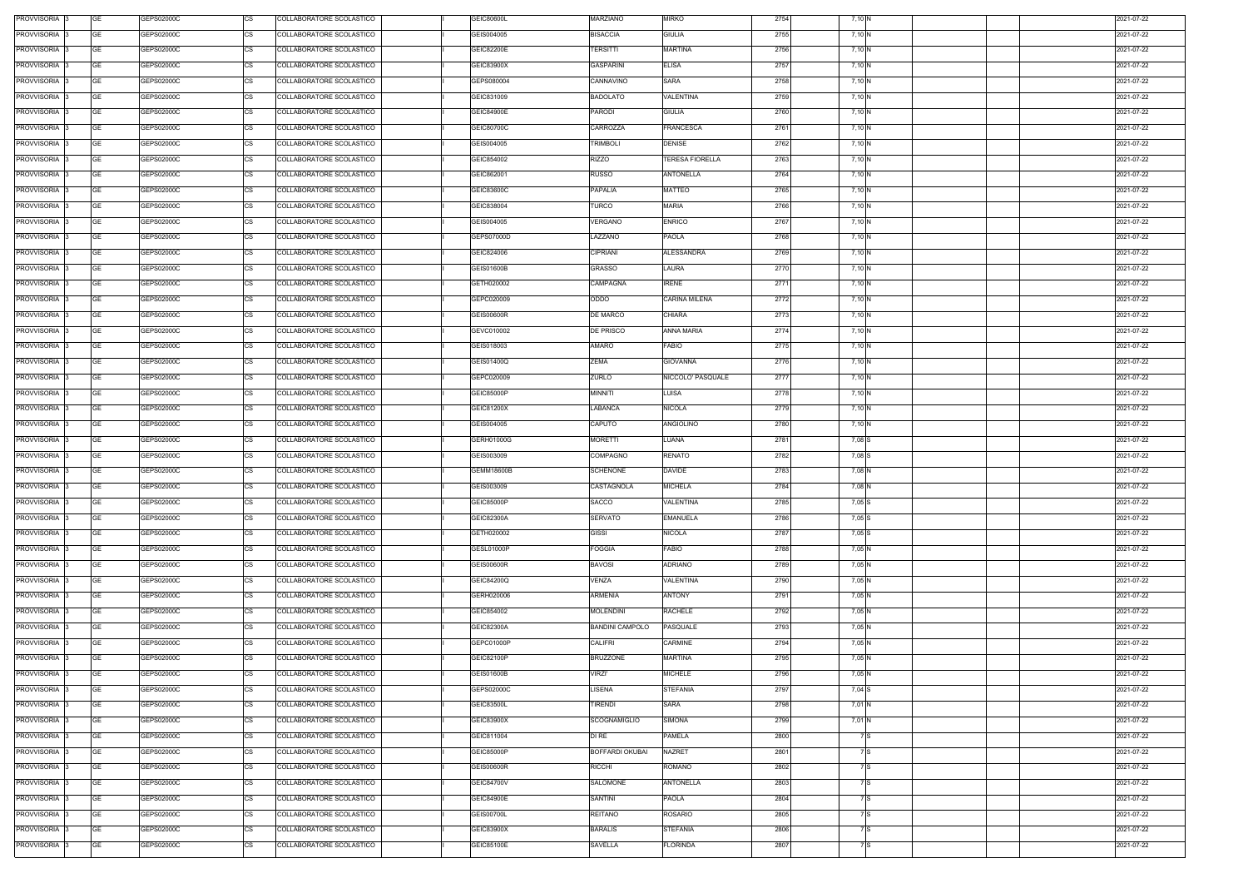| PROVVISORIA 3 | GE        | GEPS02000C | COLLABORATORE SCOLASTICO<br>CS        | GEIC80600L        | <b>MARZIANO</b>        | <b>MIRKO</b>           | 2754 | 7,10 N |  | 2021-07-22 |
|---------------|-----------|------------|---------------------------------------|-------------------|------------------------|------------------------|------|--------|--|------------|
| PROVVISORIA 3 | GE        | GEPS02000C | <b>CS</b><br>COLLABORATORE SCOLASTICO | GEIS004005        | BISACCIA               | <b>GIULIA</b>          | 2755 | 7,10 N |  | 2021-07-22 |
| PROVVISORIA 3 | GE        | GEPS02000C | <b>CS</b><br>COLLABORATORE SCOLASTICO | GEIC82200E        | TERSITTI               | MARTINA                | 2756 | 7,10 N |  | 2021-07-22 |
| PROVVISORIA 3 | GE        | GEPS02000C | <b>CS</b><br>COLLABORATORE SCOLASTICO | GEIC83900X        | <b>GASPARINI</b>       | <b>ELISA</b>           | 2757 | 7,10 N |  | 2021-07-22 |
| PROVVISORIA 3 | <b>GE</b> | GEPS02000C | <b>CS</b><br>COLLABORATORE SCOLASTICO | GEPS080004        | CANNAVINO              | SARA                   | 2758 | 7,10 N |  | 2021-07-22 |
| PROVVISORIA 3 | GE        | GEPS02000C | <b>CS</b><br>COLLABORATORE SCOLASTICO | GEIC831009        | <b>BADOLATO</b>        | VALENTINA              | 2759 | 7,10 N |  | 2021-07-22 |
| PROVVISORIA 3 | <b>GE</b> | GEPS02000C | <b>CS</b><br>COLLABORATORE SCOLASTICO | GEIC84900E        | PARODI                 | <b>GIULIA</b>          | 2760 | 7,10 N |  | 2021-07-22 |
| PROVVISORIA 3 | GE        | GEPS02000C | <b>CS</b><br>COLLABORATORE SCOLASTICO | GEIC80700C        | CARROZZA               | <b>FRANCESCA</b>       | 2761 | 7,10 N |  | 2021-07-22 |
| PROVVISORIA 3 | <b>GE</b> | GEPS02000C | <b>CS</b><br>COLLABORATORE SCOLASTICO | GEIS004005        |                        | <b>DENISE</b>          | 2762 | 7,10 N |  | 2021-07-22 |
|               |           |            |                                       |                   | Trimboli               |                        |      |        |  |            |
| PROVVISORIA 3 | <b>GE</b> | GEPS02000C | <b>CS</b><br>COLLABORATORE SCOLASTICO | GEIC854002        | RIZZO                  | <b>TERESA FIORELLA</b> | 2763 | 7,10 N |  | 2021-07-22 |
| PROVVISORIA 3 | <b>GE</b> | GEPS02000C | <b>CS</b><br>COLLABORATORE SCOLASTICO | GEIC862001        | <b>RUSSO</b>           | <b>ANTONELLA</b>       | 2764 | 7,10 N |  | 2021-07-22 |
| PROVVISORIA 3 | <b>GE</b> | GEPS02000C | CS<br>COLLABORATORE SCOLASTICO        | GEIC83600C        | <b>PAPALIA</b>         | MATTEO                 | 2765 | 7,10 N |  | 2021-07-22 |
| PROVVISORIA 3 | <b>GE</b> | GEPS02000C | <b>CS</b><br>COLLABORATORE SCOLASTICO | GEIC838004        | TURCO                  | <b>MARIA</b>           | 2766 | 7,10 N |  | 2021-07-22 |
| PROVVISORIA 3 | <b>GE</b> | GEPS02000C | <b>CS</b><br>COLLABORATORE SCOLASTICO | GEIS004005        | VERGANO                | <b>ENRICO</b>          | 2767 | 7,10 N |  | 2021-07-22 |
| PROVVISORIA 3 | <b>GE</b> | GEPS02000C | <b>CS</b><br>COLLABORATORE SCOLASTICO | GEPS07000D        | LAZZANO                | <b>PAOLA</b>           | 2768 | 7,10 N |  | 2021-07-22 |
| PROVVISORIA 3 | <b>GE</b> | GEPS02000C | <b>CS</b><br>COLLABORATORE SCOLASTICO | GEIC824006        | CIPRIANI               | <b>ALESSANDRA</b>      | 2769 | 7,10 N |  | 2021-07-22 |
| PROVVISORIA 3 | <b>GE</b> | GEPS02000C | <b>CS</b><br>COLLABORATORE SCOLASTICO | <b>GEIS01600B</b> | <b>GRASSO</b>          | LAURA                  | 2770 | 7,10 N |  | 2021-07-22 |
| PROVVISORIA 3 | <b>GE</b> | GEPS02000C | <b>CS</b><br>COLLABORATORE SCOLASTICO | GETH020002        | CAMPAGNA               | <b>IRENE</b>           | 2771 | 7,10 N |  | 2021-07-22 |
| PROVVISORIA 3 | <b>GE</b> | GEPS02000C | <b>CS</b><br>COLLABORATORE SCOLASTICO | GEPC020009        | ODDO                   | CARINA MILENA          | 2772 | 7,10 N |  | 2021-07-22 |
| PROVVISORIA 3 | GE        | GEPS02000C | <b>CS</b><br>COLLABORATORE SCOLASTICO | <b>GEIS00600R</b> | DE MARCO               | CHIARA                 | 2773 | 7,10 N |  | 2021-07-22 |
| PROVVISORIA 3 | GE        | GEPS02000C | <b>CS</b><br>COLLABORATORE SCOLASTICO | GEVC010002        | DE PRISCO              | ANNA MARIA             | 2774 | 7,10 N |  | 2021-07-22 |
| PROVVISORIA 3 | <b>GE</b> | GEPS02000C | <b>CS</b><br>COLLABORATORE SCOLASTICO | GEIS018003        | AMARO                  | FABIO                  | 2775 | 7,10 N |  | 2021-07-22 |
| PROVVISORIA 3 | <b>GE</b> | GEPS02000C | <b>CS</b><br>COLLABORATORE SCOLASTICO | GEIS01400Q        | ZEMA                   | GIOVANNA               | 2776 | 7,10 N |  | 2021-07-22 |
| PROVVISORIA 3 | <b>GE</b> | GEPS02000C | <b>CS</b><br>COLLABORATORE SCOLASTICO | GEPC020009        | <b>ZURLO</b>           | NICCOLO' PASQUALE      | 2777 | 7,10 N |  | 2021-07-22 |
| PROVVISORIA 3 | <b>GE</b> | GEPS02000C | <b>CS</b><br>COLLABORATORE SCOLASTICO | GEIC85000P        | <b>MINNITI</b>         | LUISA.                 | 2778 | 7,10 N |  | 2021-07-22 |
| PROVVISORIA 3 | <b>GE</b> | GEPS02000C | <b>CS</b><br>COLLABORATORE SCOLASTICO | GEIC81200X        | <b>LABANCA</b>         | <b>NICOLA</b>          | 2779 | 7,10 N |  | 2021-07-22 |
| PROVVISORIA 3 | GE        | GEPS02000C | <b>CS</b><br>COLLABORATORE SCOLASTICO | GEIS004005        | CAPUTO                 | ANGIOLINO              | 2780 | 7,10 N |  | 2021-07-22 |
| PROVVISORIA 3 | <b>GE</b> | GEPS02000C | <b>CS</b><br>COLLABORATORE SCOLASTICO | GERH01000G        | <b>MORETTI</b>         | LUANA                  | 2781 | 7,08 S |  | 2021-07-22 |
| PROVVISORIA 3 | GE        | GEPS02000C | <b>CS</b><br>COLLABORATORE SCOLASTICO | GEIS003009        | COMPAGNO               | RENATO                 | 2782 | 7,08 S |  | 2021-07-22 |
| PROVVISORIA 3 | <b>GE</b> | GEPS02000C | <b>CS</b><br>COLLABORATORE SCOLASTICO | <b>GEMM18600B</b> | <b>SCHENONE</b>        | <b>DAVIDE</b>          | 2783 | 7,08 N |  | 2021-07-22 |
| PROVVISORIA 3 | GE        | GEPS02000C | <b>CS</b><br>COLLABORATORE SCOLASTICO | GEIS003009        | CASTAGNOLA             | <b>MICHELA</b>         | 2784 | 7,08 N |  | 2021-07-22 |
| PROVVISORIA 3 | <b>GE</b> | GEPS02000C | <b>CS</b><br>COLLABORATORE SCOLASTICO | GEIC85000P        | SACCO                  | VALENTINA              | 2785 | 7,05 S |  | 2021-07-22 |
| PROVVISORIA 3 | GE        | GEPS02000C | <b>CS</b><br>COLLABORATORE SCOLASTICO | GEIC82300A        | <b>SERVATO</b>         | <b>EMANUELA</b>        | 2786 | 7,05 S |  | 2021-07-22 |
| PROVVISORIA 3 | GE        | GEPS02000C | <b>CS</b><br>COLLABORATORE SCOLASTICO | GETH020002        | <b>GISSI</b>           | <b>NICOLA</b>          | 2787 | 7,05 S |  | 2021-07-22 |
| PROVVISORIA 3 | <b>GE</b> | GEPS02000C | <b>CS</b><br>COLLABORATORE SCOLASTICO | GESL01000P        | <b>FOGGIA</b>          | <b>FABIO</b>           | 2788 | 7,05 N |  | 2021-07-22 |
| PROVVISORIA 3 | <b>GE</b> | GEPS02000C | <b>CS</b><br>COLLABORATORE SCOLASTICO | <b>GEIS00600R</b> | <b>BAVOSI</b>          | <b>ADRIANO</b>         | 2789 | 7,05 N |  | 2021-07-22 |
| PROVVISORIA 3 | <b>GE</b> | GEPS02000C | <b>CS</b><br>COLLABORATORE SCOLASTICO | GEIC84200Q        | VENZA                  | VALENTINA              | 2790 | 7,05 N |  | 2021-07-22 |
| PROVVISORIA 3 | <b>GE</b> | GEPS02000C | <b>CS</b><br>COLLABORATORE SCOLASTICO | GERH020006        | <b>ARMENIA</b>         | <b>ANTONY</b>          | 2791 | 7,05 N |  | 2021-07-22 |
| PROVVISORIA 3 | <b>GE</b> | GEPS02000C | CS<br>COLLABORATORE SCOLASTICO        | GEIC854002        | <b>MOLENDINI</b>       | <b>RACHELE</b>         | 2792 | 7,05 N |  | 2021-07-22 |
| PROVVISORIA 3 | <b>GE</b> | GEPS02000C | <b>CS</b><br>COLLABORATORE SCOLASTICO | GEIC82300A        | <b>BANDINI CAMPOLO</b> | PASQUALE               | 2793 | 7,05 N |  | 2021-07-22 |
| PROVVISORIA 3 | <b>GE</b> | GEPS02000C | <b>CS</b><br>COLLABORATORE SCOLASTICO | GEPC01000P        | <b>CALIFRI</b>         | CARMINE                | 2794 | 7,05 N |  | 2021-07-22 |
| PROVVISORIA 3 | <b>GE</b> | GEPS02000C | <b>CS</b><br>COLLABORATORE SCOLASTICO | GEIC82100P        | <b>BRUZZONE</b>        | MARTINA                | 2795 | 7,05 N |  | 2021-07-22 |
| PROVVISORIA 3 | <b>GE</b> | GEPS02000C | <b>CS</b><br>COLLABORATORE SCOLASTICO | GEIS01600B        | <b>VIRZI'</b>          | <b>MICHELE</b>         | 2796 | 7,05 N |  | 2021-07-22 |
| PROVVISORIA 3 | <b>GE</b> | GEPS02000C | <b>CS</b><br>COLLABORATORE SCOLASTICO | GEPS02000C        | LISENA                 | <b>STEFANIA</b>        | 2797 | 7,04 S |  | 2021-07-22 |
| PROVVISORIA 3 | <b>GE</b> | GEPS02000C | CS<br>COLLABORATORE SCOLASTICO        | GEIC83500L        | TIRENDI                | SARA                   | 2798 | 7,01 N |  | 2021-07-22 |
| PROVVISORIA 3 | <b>GE</b> | GEPS02000C | <b>CS</b><br>COLLABORATORE SCOLASTICO | GEIC83900X        | SCOGNAMIGLIO           | SIMONA                 | 2799 | 7,01 N |  | 2021-07-22 |
| PROVVISORIA 3 | GE        | GEPS02000C | СS<br>COLLABORATORE SCOLASTICO        | GEIC811004        | DI RE                  | PAMELA                 | 2800 | 7 S    |  | 2021-07-22 |
| PROVVISORIA 3 | <b>GE</b> | GEPS02000C | <b>CS</b><br>COLLABORATORE SCOLASTICO | GEIC85000P        | BOFFARDI OKUBAI        | NAZRET                 | 2801 | 7S     |  | 2021-07-22 |
| PROVVISORIA 3 | <b>GE</b> | GEPS02000C | <b>CS</b><br>COLLABORATORE SCOLASTICO | <b>GEIS00600R</b> | <b>RICCHI</b>          | ROMANO                 | 2802 | 7 S    |  | 2021-07-22 |
| PROVVISORIA 3 | <b>GE</b> | GEPS02000C | <b>CS</b><br>COLLABORATORE SCOLASTICO | <b>GEIC84700V</b> | SALOMONE               | <b>ANTONELLA</b>       | 2803 | 7 S    |  | 2021-07-22 |
| PROVVISORIA 3 | <b>GE</b> | GEPS02000C | <b>CS</b><br>COLLABORATORE SCOLASTICO | GEIC84900E        | SANTINI                | PAOLA                  | 2804 | 7 S    |  | 2021-07-22 |
| PROVVISORIA 3 | GE        | GEPS02000C | <b>CS</b><br>COLLABORATORE SCOLASTICO | <b>GEIS00700L</b> | <b>REITANO</b>         | ROSARIO                | 2805 | 7 S    |  | 2021-07-22 |
| PROVVISORIA 3 | <b>GE</b> | GEPS02000C | <b>CS</b><br>COLLABORATORE SCOLASTICO | GEIC83900X        | <b>BARALIS</b>         | <b>STEFANIA</b>        | 2806 | 7 S    |  | 2021-07-22 |
|               | GE        | GEPS02000C | <b>CS</b>                             |                   |                        |                        |      | 7 S    |  |            |
| PROVVISORIA 3 |           |            | COLLABORATORE SCOLASTICO              | <b>GEIC85100E</b> | SAVELLA                | <b>FLORINDA</b>        | 2807 |        |  | 2021-07-22 |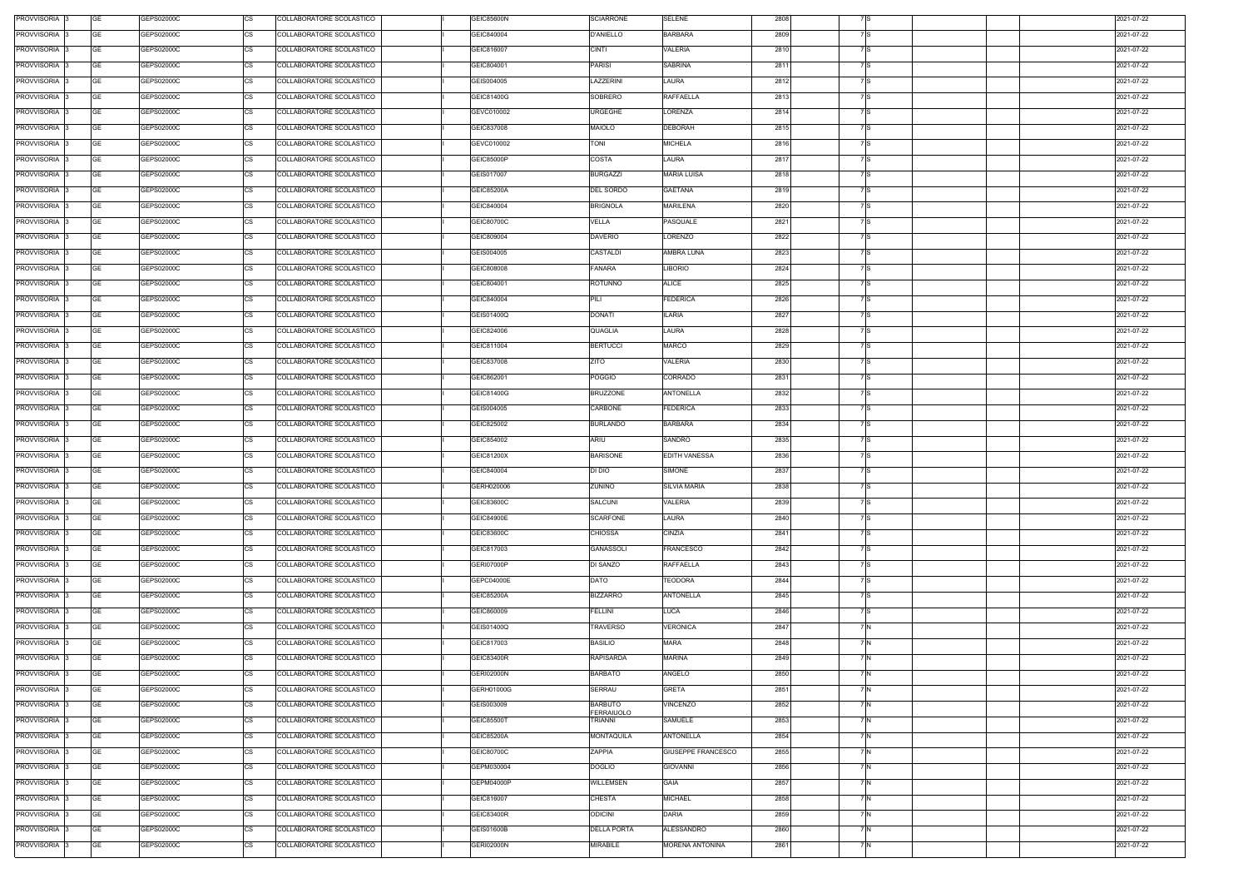| PROVVISORIA 3            | GE        | GEPS02000C | COLLABORATORE SCOLASTICO<br>CS        | GEIC85600N        | <b>SCIARRONE</b>      | <b>SELENE</b>             | 2808 | 7 S  |  | 2021-07-22 |
|--------------------------|-----------|------------|---------------------------------------|-------------------|-----------------------|---------------------------|------|------|--|------------|
| PROVVISORIA 3            | GE        | GEPS02000C | <b>CS</b><br>COLLABORATORE SCOLASTICO | GEIC840004        | <b>D'ANIELLO</b>      | <b>BARBARA</b>            | 2809 | 7 S  |  | 2021-07-22 |
| PROVVISORIA 3            | GE        | GEPS02000C | <b>CS</b><br>COLLABORATORE SCOLASTICO | GEIC816007        | <b>CINTI</b>          | VALERIA                   | 2810 | 7S   |  | 2021-07-22 |
| PROVVISORIA 3            | GE        | GEPS02000C | <b>CS</b><br>COLLABORATORE SCOLASTICO | GEIC804001        | <b>PARISI</b>         | <b>SABRINA</b>            | 2811 | 7S   |  | 2021-07-22 |
| PROVVISORIA 3            | <b>GE</b> | GEPS02000C | <b>CS</b><br>COLLABORATORE SCOLASTICO | GEIS004005        | LAZZERINI             | LAURA                     | 2812 | 7 S  |  | 2021-07-22 |
| PROVVISORIA 3            | GE        | GEPS02000C | <b>CS</b><br>COLLABORATORE SCOLASTICO | GEIC81400G        | SOBRERO               | <b>RAFFAELLA</b>          | 2813 | 7 S  |  | 2021-07-22 |
| PROVVISORIA 3            | <b>GE</b> | GEPS02000C | <b>CS</b><br>COLLABORATORE SCOLASTICO | GEVC010002        | <b>URGEGHE</b>        | LORENZA                   | 2814 | 7 S  |  | 2021-07-22 |
|                          |           |            | <b>CS</b><br>COLLABORATORE SCOLASTICO |                   |                       |                           |      | 7 S  |  |            |
| PROVVISORIA 3            | GE        | GEPS02000C |                                       | GEIC837008        | <b>MAIOLO</b>         | <b>DEBORAH</b>            | 2815 |      |  | 2021-07-22 |
| PROVVISORIA 3            | <b>GE</b> | GEPS02000C | <b>CS</b><br>COLLABORATORE SCOLASTICO | GEVC010002        | <b>TONI</b>           | <b>MICHELA</b>            | 2816 | 7 S  |  | 2021-07-22 |
| PROVVISORIA 3            | <b>GE</b> | GEPS02000C | <b>CS</b><br>COLLABORATORE SCOLASTICO | GEIC85000P        | COSTA                 | LAURA                     | 2817 | 7 S  |  | 2021-07-22 |
| PROVVISORIA 3            | <b>GE</b> | GEPS02000C | <b>CS</b><br>COLLABORATORE SCOLASTICO | GEIS017007        | <b>BURGAZZI</b>       | <b>MARIA LUISA</b>        | 2818 | 7 S  |  | 2021-07-22 |
| PROVVISORIA 3            | <b>GE</b> | GEPS02000C | CS<br>COLLABORATORE SCOLASTICO        | GEIC85200A        | DEL SORDO             | <b>GAETANA</b>            | 2819 | 7 S  |  | 2021-07-22 |
| PROVVISORIA 3            | <b>GE</b> | GEPS02000C | <b>CS</b><br>COLLABORATORE SCOLASTICO | GEIC840004        | <b>BRIGNOLA</b>       | MARILENA                  | 2820 | 7 S  |  | 2021-07-22 |
| PROVVISORIA 3            | <b>GE</b> | GEPS02000C | <b>CS</b><br>COLLABORATORE SCOLASTICO | GEIC80700C        | VELLA                 | PASQUALE                  | 2821 | 7lS  |  | 2021-07-22 |
| PROVVISORIA 3            | <b>GE</b> | GEPS02000C | COLLABORATORE SCOLASTICO<br><b>CS</b> | GEIC809004        | <b>DAVERIO</b>        | LORENZO                   | 2822 | 7lS  |  | 2021-07-22 |
| PROVVISORIA 3            | <b>GE</b> | GEPS02000C | <b>CS</b><br>COLLABORATORE SCOLASTICO | GEIS004005        | <b>CASTALDI</b>       | AMBRA LUNA                | 2823 | 7 S  |  | 2021-07-22 |
| PROVVISORIA 3            | <b>GE</b> | GEPS02000C | <b>CS</b><br>COLLABORATORE SCOLASTICO | GEIC808008        | <b>FANARA</b>         | LIBORIO                   | 2824 | 7lS  |  | 2021-07-22 |
| PROVVISORIA 3            | <b>GE</b> | GEPS02000C | <b>CS</b><br>COLLABORATORE SCOLASTICO | GEIC804001        | ROTUNNO               | <b>ALICE</b>              | 2825 | 7lS  |  | 2021-07-22 |
| PROVVISORIA 3            | <b>GE</b> | GEPS02000C | <b>CS</b><br>COLLABORATORE SCOLASTICO | GEIC840004        | PILI                  | <b>FEDERICA</b>           | 2826 | 7 S  |  | 2021-07-22 |
| PROVVISORIA 3            | GE        | GEPS02000C | <b>CS</b><br>COLLABORATORE SCOLASTICO | GEIS01400Q        | DONATI                | <b>ILARIA</b>             | 2827 | 7 S  |  | 2021-07-22 |
| PROVVISORIA 3            | GE        | GEPS02000C | <b>CS</b><br>COLLABORATORE SCOLASTICO | GEIC824006        | QUAGLIA               | LAURA                     | 2828 | 7lS  |  | 2021-07-22 |
| PROVVISORIA 3            | <b>GE</b> | GEPS02000C | <b>CS</b><br>COLLABORATORE SCOLASTICO | GEIC811004        | <b>BERTUCCI</b>       | MARCO                     | 2829 | 7 IS |  | 2021-07-22 |
| PROVVISORIA 3            | <b>GE</b> | GEPS02000C | <b>CS</b><br>COLLABORATORE SCOLASTICO | GEIC837008        | <b>ZITO</b>           | <b>VALERIA</b>            | 2830 | 7 S  |  | 2021-07-22 |
| PROVVISORIA 3            | <b>GE</b> | GEPS02000C | <b>CS</b><br>COLLABORATORE SCOLASTICO | GEIC862001        | <b>POGGIO</b>         | CORRADO                   | 2831 | 7 S  |  | 2021-07-22 |
| PROVVISORIA 3            | <b>GE</b> | GEPS02000C | <b>CS</b><br>COLLABORATORE SCOLASTICO | GEIC81400G        | <b>BRUZZONE</b>       | ANTONELLA                 | 2832 | 7 S  |  | 2021-07-22 |
| PROVVISORIA 3            | <b>GE</b> | GEPS02000C | <b>CS</b><br>COLLABORATORE SCOLASTICO | GEIS004005        | CARBONE               | FEDERICA                  | 2833 | 7 S  |  | 2021-07-22 |
| PROVVISORIA 3            | GE        | GEPS02000C | <b>CS</b><br>COLLABORATORE SCOLASTICO | GEIC825002        | BURLANDO              | <b>BARBARA</b>            | 2834 | 7 S  |  | 2021-07-22 |
| PROVVISORIA 3            | <b>GE</b> | GEPS02000C | <b>CS</b><br>COLLABORATORE SCOLASTICO | GEIC854002        | ARIU                  | SANDRO                    | 2835 | 7 S  |  | 2021-07-22 |
| PROVVISORIA 3            | GE        | GEPS02000C | <b>CS</b><br>COLLABORATORE SCOLASTICO | GEIC81200X        | <b>BARISONE</b>       | <b>EDITH VANESSA</b>      | 2836 | 7S   |  | 2021-07-22 |
| PROVVISORIA 3            | <b>GE</b> | GEPS02000C | <b>CS</b><br>COLLABORATORE SCOLASTICO | GEIC840004        | DI DIO                | SIMONE                    | 2837 | 7S   |  | 2021-07-22 |
| PROVVISORIA 3            | GE        | GEPS02000C | <b>CS</b><br>COLLABORATORE SCOLASTICO | GERH020006        | ZUNINO                | <b>SILVIA MARIA</b>       | 2838 | 7 S  |  | 2021-07-22 |
| PROVVISORIA <sup>3</sup> | <b>GE</b> | GEPS02000C | <b>CS</b><br>COLLABORATORE SCOLASTICO | GEIC83600C        | <b>SALCUNI</b>        | VALERIA                   | 2839 | 7 S  |  | 2021-07-22 |
| PROVVISORIA 3            | GE        | GEPS02000C | <b>CS</b><br>COLLABORATORE SCOLASTICO | GEIC84900E        | SCARFONE              | LAURA                     | 2840 | 7 S  |  | 2021-07-22 |
| PROVVISORIA 3            | GE        | GEPS02000C | <b>CS</b><br>COLLABORATORE SCOLASTICO | GEIC83600C        | <b>CHIOSSA</b>        | CINZIA                    | 2841 | 7 S  |  | 2021-07-22 |
| PROVVISORIA 3            | <b>GE</b> | GEPS02000C | <b>CS</b><br>COLLABORATORE SCOLASTICO | GEIC817003        | GANASSOLI             | <b>FRANCESCO</b>          | 2842 | 7 S  |  | 2021-07-22 |
| PROVVISORIA 3            | <b>GE</b> | GEPS02000C | <b>CS</b><br>COLLABORATORE SCOLASTICO | <b>GERI07000P</b> | DI SANZO              | <b>RAFFAELLA</b>          | 2843 | 7 S  |  | 2021-07-22 |
| PROVVISORIA 3            | <b>GE</b> | GEPS02000C | <b>CS</b><br>COLLABORATORE SCOLASTICO | GEPC04000E        | <b>DATO</b>           | <b>TEODORA</b>            | 2844 | 7 S  |  | 2021-07-22 |
| PROVVISORIA 3            | <b>GE</b> | GEPS02000C | <b>CS</b><br>COLLABORATORE SCOLASTICO | GEIC85200A        | <b>BIZZARRO</b>       | <b>ANTONELLA</b>          | 2845 | 7 S  |  | 2021-07-22 |
| PROVVISORIA 3            | <b>GE</b> | GEPS02000C | CS<br>COLLABORATORE SCOLASTICO        | GEIC860009        | FELLINI               | LUCA                      | 2846 | 7 S  |  | 2021-07-22 |
| PROVVISORIA 3            | <b>GE</b> | GEPS02000C | <b>CS</b><br>COLLABORATORE SCOLASTICO | GEIS01400Q        | TRAVERSO              | <b>VERONICA</b>           | 2847 | 7 N  |  | 2021-07-22 |
| PROVVISORIA 3            | <b>GE</b> | GEPS02000C | <b>CS</b><br>COLLABORATORE SCOLASTICO | GEIC817003        | <b>BASILIO</b>        | <b>MARA</b>               | 2848 | 7 N  |  | 2021-07-22 |
| PROVVISORIA 3            | <b>GE</b> | GEPS02000C | <b>CS</b><br>COLLABORATORE SCOLASTICO | <b>GEIC83400R</b> | <b>RAPISARDA</b>      | <b>MARINA</b>             | 2849 | 7 N  |  | 2021-07-22 |
| PROVVISORIA 3            | <b>GE</b> | GEPS02000C | <b>CS</b><br>COLLABORATORE SCOLASTICO | <b>GERI02000N</b> | <b>BARBATO</b>        | ANGELO                    | 2850 | 7 N  |  | 2021-07-22 |
|                          |           |            |                                       |                   |                       |                           |      |      |  |            |
| PROVVISORIA 3            | <b>GE</b> | GEPS02000C | <b>CS</b><br>COLLABORATORE SCOLASTICO | GERH01000G        | SERRAU                | <b>GRETA</b>              | 2851 | 7 N  |  | 2021-07-22 |
| PROVVISORIA 3            | <b>GE</b> | GEPS02000C | CS<br>COLLABORATORE SCOLASTICO        | GEIS003009        | BARBUTO<br>FERRAIUOLO | <b>/INCENZO</b>           | 2852 | 7 N  |  | 2021-07-22 |
| PROVVISORIA 3            | <b>GE</b> | GEPS02000C | <b>CS</b><br>COLLABORATORE SCOLASTICO | GEIC85500T        | TRIANNI               | SAMUELE                   | 2853 | 7 N  |  | 2021-07-22 |
| PROVVISORIA 3            | GE        | GEPS02000C | СS<br>COLLABORATORE SCOLASTICO        | GEIC85200A        | <b>MONTAQUILA</b>     | <b>ANTONELLA</b>          | 2854 | 7 N  |  | 2021-07-22 |
| PROVVISORIA 3            | <b>GE</b> | GEPS02000C | <b>CS</b><br>COLLABORATORE SCOLASTICO | GEIC80700C        | ZAPPIA                | <b>GIUSEPPE FRANCESCO</b> | 2855 | 7 N  |  | 2021-07-22 |
| PROVVISORIA 3            | <b>GE</b> | GEPS02000C | <b>CS</b><br>COLLABORATORE SCOLASTICO | GEPM030004        | <b>DOGLIO</b>         | <b>GIOVANNI</b>           | 2856 | 7 N  |  | 2021-07-22 |
| PROVVISORIA 3            | <b>GE</b> | GEPS02000C | <b>CS</b><br>COLLABORATORE SCOLASTICO | GEPM04000P        | WILLEMSEN             | GAIA                      | 2857 | 7 N  |  | 2021-07-22 |
| PROVVISORIA 3            | <b>GE</b> | GEPS02000C | <b>CS</b><br>COLLABORATORE SCOLASTICO | GEIC816007        | CHESTA                | <b>MICHAEL</b>            | 2858 | 7 N  |  | 2021-07-22 |
| PROVVISORIA 3            | GE        | GEPS02000C | <b>CS</b><br>COLLABORATORE SCOLASTICO | <b>GEIC83400R</b> | <b>ODICINI</b>        | DARIA                     | 2859 | 7 N  |  | 2021-07-22 |
| PROVVISORIA 3            | GE        | GEPS02000C | <b>CS</b><br>COLLABORATORE SCOLASTICO | GEIS01600B        | <b>DELLA PORTA</b>    | ALESSANDRO                | 2860 | 7 N  |  | 2021-07-22 |
| PROVVISORIA 3            | GE        | GEPS02000C | <b>CS</b><br>COLLABORATORE SCOLASTICO | <b>GERI02000N</b> | MIRABILE              | MORENA ANTONINA           | 2861 | 7 N  |  | 2021-07-22 |
|                          |           |            |                                       |                   |                       |                           |      |      |  |            |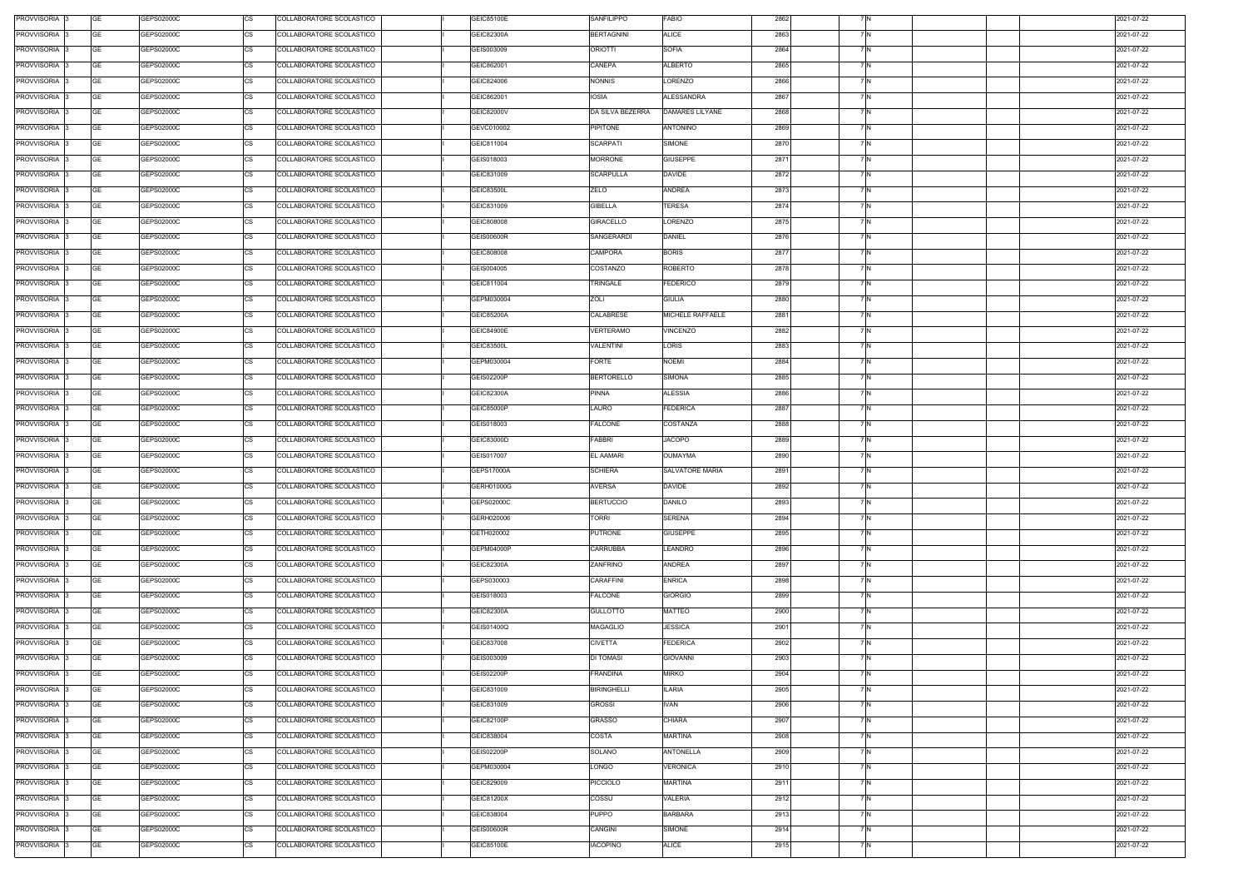| PROVVISORIA 3            | GE        | GEPS02000C | COLLABORATORE SCOLASTICO<br>CS        | GEIC85100E        | SANFILIPPO         | <b>FABIO</b>           | 2862 | 7 N |  | 2021-07-22 |
|--------------------------|-----------|------------|---------------------------------------|-------------------|--------------------|------------------------|------|-----|--|------------|
| PROVVISORIA 3            | GE        | GEPS02000C | <b>CS</b><br>COLLABORATORE SCOLASTICO | GEIC82300A        | BERTAGNINI         | <b>ALICE</b>           | 2863 | 7 N |  | 2021-07-22 |
| PROVVISORIA 3            | GE        | GEPS02000C | <b>CS</b><br>COLLABORATORE SCOLASTICO | GEIS003009        | <b>ORIOTTI</b>     | <b>SOFIA</b>           | 2864 | 7 N |  | 2021-07-22 |
| PROVVISORIA 3            | GE        | GEPS02000C | <b>CS</b><br>COLLABORATORE SCOLASTICO | GEIC862001        | CANEPA             | ALBERTO                | 2865 | 7 N |  | 2021-07-22 |
| PROVVISORIA 3            | <b>GE</b> | GEPS02000C | <b>CS</b><br>COLLABORATORE SCOLASTICO | GEIC824006        | <b>NONNIS</b>      | LORENZO                | 2866 | 7 N |  | 2021-07-22 |
| PROVVISORIA 3            | GE        | GEPS02000C | <b>CS</b><br>COLLABORATORE SCOLASTICO | GEIC862001        | <b>IOSIA</b>       | <b>ALESSANDRA</b>      | 2867 | 7 N |  | 2021-07-22 |
| PROVVISORIA 3            | <b>GE</b> | GEPS02000C | <b>CS</b><br>COLLABORATORE SCOLASTICO | GEIC82000V        | DA SILVA BEZERRA   | DAMARES LILYANE        | 2868 | 7 N |  | 2021-07-22 |
|                          |           |            |                                       |                   |                    |                        |      |     |  |            |
| PROVVISORIA 3            | GE        | GEPS02000C | <b>CS</b><br>COLLABORATORE SCOLASTICO | GEVC010002        | PIPITONE           | ANTONINO               | 2869 | 7 N |  | 2021-07-22 |
| PROVVISORIA 3            | <b>GE</b> | GEPS02000C | <b>CS</b><br>COLLABORATORE SCOLASTICO | GEIC811004        | <b>SCARPATI</b>    | <b>SIMONE</b>          | 2870 | 7 N |  | 2021-07-22 |
| PROVVISORIA 3            | <b>GE</b> | GEPS02000C | <b>CS</b><br>COLLABORATORE SCOLASTICO | GEIS018003        | <b>MORRONE</b>     | <b>GIUSEPPE</b>        | 2871 | 7 N |  | 2021-07-22 |
| PROVVISORIA 3            | <b>GE</b> | GEPS02000C | <b>CS</b><br>COLLABORATORE SCOLASTICO | GEIC831009        | <b>SCARPULLA</b>   | <b>DAVIDE</b>          | 2872 | 7 N |  | 2021-07-22 |
| PROVVISORIA 3            | <b>GE</b> | GEPS02000C | CS<br>COLLABORATORE SCOLASTICO        | GEIC83500L        | ZELO               | ANDREA                 | 2873 | 7 N |  | 2021-07-22 |
| PROVVISORIA 3            | <b>GE</b> | GEPS02000C | <b>CS</b><br>COLLABORATORE SCOLASTICO | GEIC831009        | <b>GIBELLA</b>     | TERESA                 | 2874 | 7 N |  | 2021-07-22 |
| PROVVISORIA 3            | <b>GE</b> | GEPS02000C | <b>CS</b><br>COLLABORATORE SCOLASTICO | GEIC808008        | GIRACELLO          | LORENZO                | 2875 | 7 N |  | 2021-07-22 |
| PROVVISORIA 3            | <b>GE</b> | GEPS02000C | <b>CS</b><br>COLLABORATORE SCOLASTICO | <b>GEIS00600R</b> | SANGERARDI         | <b>DANIEL</b>          | 2876 | 7 N |  | 2021-07-22 |
| PROVVISORIA 3            | <b>GE</b> | GEPS02000C | <b>CS</b><br>COLLABORATORE SCOLASTICO | GEIC808008        | CAMPORA            | <b>BORIS</b>           | 2877 | 7 N |  | 2021-07-22 |
| PROVVISORIA 3            | <b>GE</b> | GEPS02000C | <b>CS</b><br>COLLABORATORE SCOLASTICO | GEIS004005        | COSTANZO           | <b>ROBERTO</b>         | 2878 | 7 N |  | 2021-07-22 |
| PROVVISORIA 3            | <b>GE</b> | GEPS02000C | <b>CS</b><br>COLLABORATORE SCOLASTICO | GEIC811004        | TRINGALE           | <b>FEDERICO</b>        | 2879 | 7 N |  | 2021-07-22 |
| PROVVISORIA 3            | <b>GE</b> | GEPS02000C | <b>CS</b><br>COLLABORATORE SCOLASTICO | GEPM030004        | ZOLI               | <b>GIULIA</b>          | 2880 | 7 N |  | 2021-07-22 |
| PROVVISORIA 3            | GE        | GEPS02000C | <b>CS</b><br>COLLABORATORE SCOLASTICO | GEIC85200A        | CALABRESE          | MICHELE RAFFAELE       | 2881 | 7 N |  | 2021-07-22 |
| PROVVISORIA 3            | GE        | GEPS02000C | <b>CS</b><br>COLLABORATORE SCOLASTICO | GEIC84900E        | VERTERAMO          | √INCENZO               | 2882 | 7 N |  | 2021-07-22 |
| PROVVISORIA 3            | <b>GE</b> | GEPS02000C | <b>CS</b><br>COLLABORATORE SCOLASTICO | GEIC83500L        | VALENTINI          | LORIS                  | 2883 | 7 N |  | 2021-07-22 |
| PROVVISORIA 3            | <b>GE</b> | GEPS02000C | <b>CS</b><br>COLLABORATORE SCOLASTICO | GEPM030004        | <b>FORTE</b>       | <b>NOEMI</b>           | 2884 | 7 N |  | 2021-07-22 |
|                          |           |            |                                       |                   |                    |                        |      |     |  |            |
| PROVVISORIA 3            | <b>GE</b> | GEPS02000C | <b>CS</b><br>COLLABORATORE SCOLASTICO | <b>GEIS02200P</b> | <b>BERTORELLO</b>  | SIMONA                 | 2885 | 7 N |  | 2021-07-22 |
| PROVVISORIA 3            | <b>GE</b> | GEPS02000C | <b>CS</b><br>COLLABORATORE SCOLASTICO | GEIC82300A        | PINNA              | <b>ALESSIA</b>         | 2886 | 7 N |  | 2021-07-22 |
| PROVVISORIA 3            | GE        | GEPS02000C | <b>CS</b><br>COLLABORATORE SCOLASTICO | GEIC85000P        | LAURO              | <b>FEDERICA</b>        | 2887 | 7 N |  | 2021-07-22 |
| PROVVISORIA 3            | GE        | GEPS02000C | <b>CS</b><br>COLLABORATORE SCOLASTICO | GEIS018003        | <b>FALCONE</b>     | COSTANZA               | 2888 | 7 N |  | 2021-07-22 |
| PROVVISORIA 3            | <b>GE</b> | GEPS02000C | <b>CS</b><br>COLLABORATORE SCOLASTICO | GEIC83000D        | FABBRI             | <b>JACOPO</b>          | 2889 | 7 N |  | 2021-07-22 |
| PROVVISORIA 3            | GE        | GEPS02000C | <b>CS</b><br>COLLABORATORE SCOLASTICO | GEIS017007        | EL AAMARI          | <b>OUMAYMA</b>         | 2890 | 7 N |  | 2021-07-22 |
| PROVVISORIA 3            | <b>GE</b> | GEPS02000C | <b>CS</b><br>COLLABORATORE SCOLASTICO | GEPS17000A        | <b>SCHIERA</b>     | <b>SALVATORE MARIA</b> | 2891 | 7 N |  | 2021-07-22 |
| PROVVISORIA 3            | GE        | GEPS02000C | <b>CS</b><br>COLLABORATORE SCOLASTICO | GERH01000G        | <b>AVERSA</b>      | <b>DAVIDE</b>          | 2892 | 7 N |  | 2021-07-22 |
| PROVVISORIA 3            | <b>GE</b> | GEPS02000C | <b>CS</b><br>COLLABORATORE SCOLASTICO | GEPS02000C        | <b>BERTUCCIO</b>   | <b>DANILO</b>          | 2893 | 7 N |  | 2021-07-22 |
| PROVVISORIA 3            | GE        | GEPS02000C | <b>CS</b><br>COLLABORATORE SCOLASTICO | GERH020006        | <b>TORRI</b>       | SERENA                 | 2894 | 7 N |  | 2021-07-22 |
| PROVVISORIA <sub>3</sub> | GE        | GEPS02000C | <b>CS</b><br>COLLABORATORE SCOLASTICO | GETH020002        | <b>PUTRONE</b>     | <b>GIUSEPPE</b>        | 2895 | 7 N |  | 2021-07-22 |
| PROVVISORIA 3            | <b>GE</b> | GEPS02000C | <b>CS</b><br>COLLABORATORE SCOLASTICO | GEPM04000P        | CARRUBBA           | LEANDRO                | 2896 | 7 N |  | 2021-07-22 |
| PROVVISORIA 3            | <b>GE</b> | GEPS02000C | <b>CS</b><br>COLLABORATORE SCOLASTICO | GEIC82300A        | ZANFRINO           | <b>ANDREA</b>          | 2897 | 7 N |  | 2021-07-22 |
| PROVVISORIA 3            | <b>GE</b> | GEPS02000C | <b>CS</b><br>COLLABORATORE SCOLASTICO | GEPS030003        | CARAFFINI          | <b>ENRICA</b>          | 2898 | 7 N |  | 2021-07-22 |
| PROVVISORIA 3            | <b>GE</b> | GEPS02000C | <b>CS</b><br>COLLABORATORE SCOLASTICO | GEIS018003        | <b>FALCONE</b>     | <b>GIORGIO</b>         | 2899 | 7 N |  | 2021-07-22 |
| PROVVISORIA 3            | <b>GE</b> | GEPS02000C | CS<br>COLLABORATORE SCOLASTICO        | GEIC82300A        | <b>GULLOTTO</b>    | MATTEO                 | 2900 | 7 N |  | 2021-07-22 |
| PROVVISORIA 3            | <b>GE</b> | GEPS02000C | <b>CS</b><br>COLLABORATORE SCOLASTICO | GEIS01400Q        | MAGAGLIO           | <b>JESSICA</b>         | 2901 | 7 N |  | 2021-07-22 |
| PROVVISORIA 3            | <b>GE</b> | GEPS02000C | <b>CS</b><br>COLLABORATORE SCOLASTICO | GEIC837008        | <b>CIVETTA</b>     | <b>FEDERICA</b>        | 2902 | 7 N |  | 2021-07-22 |
| PROVVISORIA 3            | <b>GE</b> | GEPS02000C | <b>CS</b><br>COLLABORATORE SCOLASTICO | GEIS003009        | <b>DI TOMASI</b>   | <b>GIOVANNI</b>        | 2903 | 7 N |  | 2021-07-22 |
|                          |           |            |                                       |                   |                    |                        |      | 7 N |  |            |
| PROVVISORIA 3            | <b>GE</b> | GEPS02000C | <b>CS</b><br>COLLABORATORE SCOLASTICO | <b>GEIS02200P</b> | <b>FRANDINA</b>    | <b>MIRKO</b>           | 2904 |     |  | 2021-07-22 |
| PROVVISORIA 3            | <b>GE</b> | GEPS02000C | <b>CS</b><br>COLLABORATORE SCOLASTICO | GEIC831009        | <b>BIRINGHELLI</b> | <b>ILARIA</b>          | 2905 | 7 N |  | 2021-07-22 |
| PROVVISORIA 3            | <b>GE</b> | GEPS02000C | CS<br>COLLABORATORE SCOLASTICO        | GEIC831009        | <b>GROSSI</b>      | <b>IVAN</b>            | 2906 | 7 N |  | 2021-07-22 |
| PROVVISORIA 3            | <b>GE</b> | GEPS02000C | <b>CS</b><br>COLLABORATORE SCOLASTICO | GEIC82100P        | GRASSO             | CHIARA                 | 2907 | 7 N |  | 2021-07-22 |
| PROVVISORIA 3            | GE        | GEPS02000C | СS<br>COLLABORATORE SCOLASTICO        | GEIC838004        | COSTA              | MARTINA                | 2908 | 7 N |  | 2021-07-22 |
| PROVVISORIA 3            | <b>GE</b> | GEPS02000C | <b>CS</b><br>COLLABORATORE SCOLASTICO | <b>GEIS02200P</b> | SOLANO             | <b>ANTONELLA</b>       | 2909 | 7 N |  | 2021-07-22 |
| PROVVISORIA 3            | <b>GE</b> | GEPS02000C | <b>CS</b><br>COLLABORATORE SCOLASTICO | GEPM030004        | LONGO              | VERONICA               | 2910 | 7 N |  | 2021-07-22 |
| PROVVISORIA 3            | <b>GE</b> | GEPS02000C | <b>CS</b><br>COLLABORATORE SCOLASTICO | GEIC829009        | <b>PICCIOLO</b>    | MARTINA                | 2911 | 7 N |  | 2021-07-22 |
| PROVVISORIA 3            | <b>GE</b> | GEPS02000C | <b>CS</b><br>COLLABORATORE SCOLASTICO | GEIC81200X        | COSSU              | <b>VALERIA</b>         | 2912 | 7 N |  | 2021-07-22 |
| PROVVISORIA 3            | GE        | GEPS02000C | <b>CS</b><br>COLLABORATORE SCOLASTICO | GEIC838004        | <b>PUPPO</b>       | <b>BARBARA</b>         | 2913 | 7 N |  | 2021-07-22 |
| PROVVISORIA 3            | GE        | GEPS02000C | <b>CS</b><br>COLLABORATORE SCOLASTICO | GEIS00600R        | CANGINI            | SIMONE                 | 2914 | 7 N |  | 2021-07-22 |
| PROVVISORIA 3            | GE        | GEPS02000C | <b>CS</b><br>COLLABORATORE SCOLASTICO | <b>GEIC85100E</b> | <b>IACOPINO</b>    | ALICE                  | 2915 | 7 N |  | 2021-07-22 |
|                          |           |            |                                       |                   |                    |                        |      |     |  |            |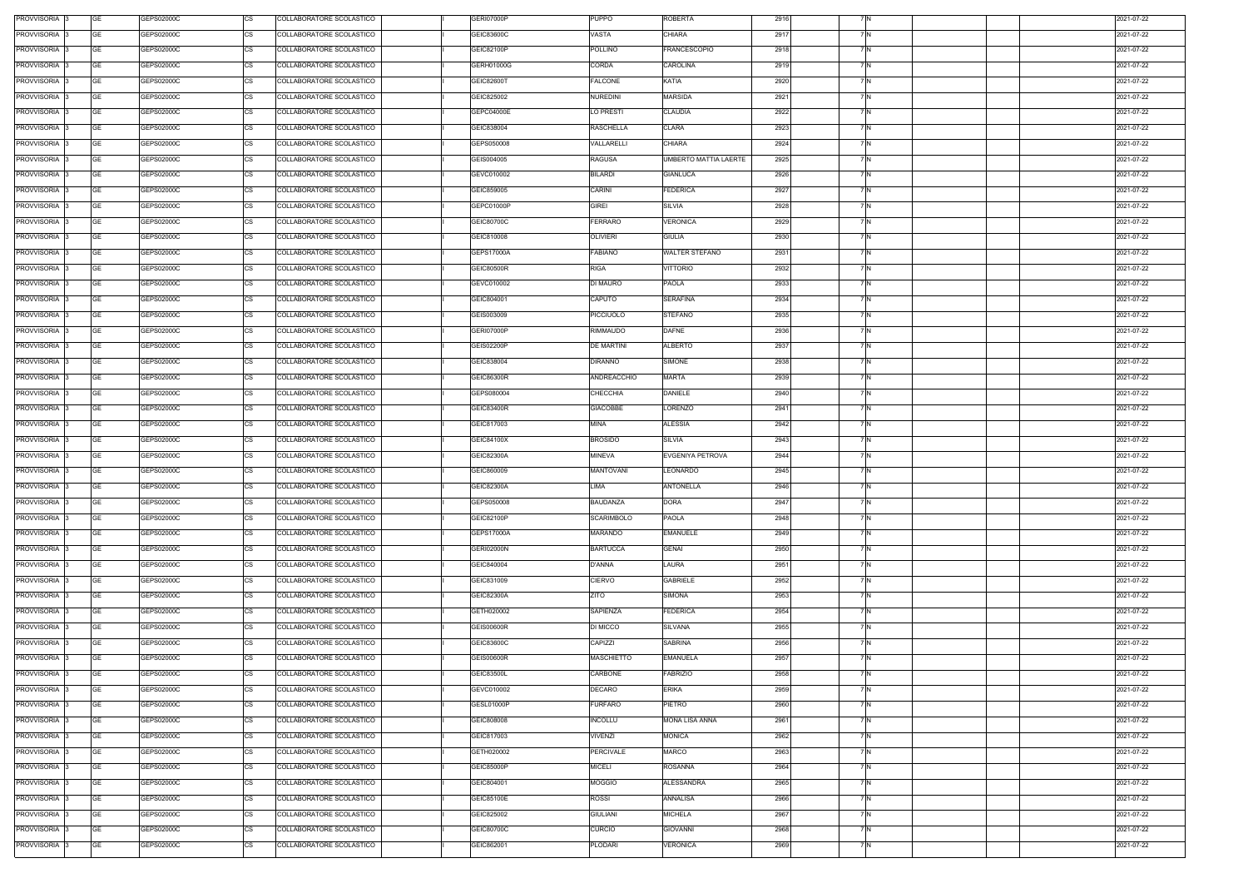| PROVVISORIA 3            | GE        | GEPS02000C | COLLABORATORE SCOLASTICO<br>CS        | <b>GERI07000P</b> | <b>PUPPO</b>      | <b>ROBERTA</b>        | 2916 | 7 N |  |  | 2021-07-22 |
|--------------------------|-----------|------------|---------------------------------------|-------------------|-------------------|-----------------------|------|-----|--|--|------------|
| PROVVISORIA 3            | GE        | GEPS02000C | <b>CS</b><br>COLLABORATORE SCOLASTICO | GEIC83600C        | VASTA             | CHIARA                | 2917 | 7 N |  |  | 2021-07-22 |
| PROVVISORIA 3            | GE        | GEPS02000C | <b>CS</b><br>COLLABORATORE SCOLASTICO | GEIC82100P        | POLLINO           | <b>FRANCESCOPIO</b>   | 2918 | 7 N |  |  | 2021-07-22 |
| PROVVISORIA 3            | GE        | GEPS02000C | <b>CS</b><br>COLLABORATORE SCOLASTICO | GERH01000G        | CORDA             | CAROLINA              | 2919 | 7 N |  |  | 2021-07-22 |
| PROVVISORIA 3            | <b>GE</b> | GEPS02000C | <b>CS</b><br>COLLABORATORE SCOLASTICO | GEIC82600T        | <b>FALCONE</b>    | KATIA                 | 2920 | 7 N |  |  | 2021-07-22 |
| PROVVISORIA 3            | <b>GE</b> | GEPS02000C | <b>CS</b><br>COLLABORATORE SCOLASTICO | GEIC825002        | <b>NUREDINI</b>   | MARSIDA               | 2921 | 7 N |  |  | 2021-07-22 |
| PROVVISORIA 3            | <b>GE</b> | GEPS02000C | <b>CS</b><br>COLLABORATORE SCOLASTICO | GEPC04000E        | LO PRESTI         | <b>CLAUDIA</b>        | 2922 | 7 N |  |  | 2021-07-22 |
|                          |           |            |                                       |                   |                   |                       |      |     |  |  |            |
| PROVVISORIA 3            | GE        | GEPS02000C | <b>CS</b><br>COLLABORATORE SCOLASTICO | GEIC838004        | RASCHELLA         | CLARA                 | 2923 | 7 N |  |  | 2021-07-22 |
| PROVVISORIA 3            | <b>GE</b> | GEPS02000C | <b>CS</b><br>COLLABORATORE SCOLASTICO | GEPS050008        | VALLARELLI        | <b>CHIARA</b>         | 2924 | 7 N |  |  | 2021-07-22 |
| PROVVISORIA 3            | <b>GE</b> | GEPS02000C | <b>CS</b><br>COLLABORATORE SCOLASTICO | GEIS004005        | RAGUSA            | UMBERTO MATTIA LAERTE | 2925 | 7 N |  |  | 2021-07-22 |
| PROVVISORIA 3            | <b>GE</b> | GEPS02000C | <b>CS</b><br>COLLABORATORE SCOLASTICO | GEVC010002        | <b>BILARDI</b>    | <b>GIANLUCA</b>       | 2926 | 7 N |  |  | 2021-07-22 |
| PROVVISORIA 3            | <b>GE</b> | GEPS02000C | CS<br>COLLABORATORE SCOLASTICO        | GEIC859005        | <b>CARINI</b>     | <b>FEDERICA</b>       | 2927 | 7 N |  |  | 2021-07-22 |
| PROVVISORIA 3            | <b>GE</b> | GEPS02000C | <b>CS</b><br>COLLABORATORE SCOLASTICO | GEPC01000P        | <b>GIREI</b>      | SILVIA                | 2928 | 7 N |  |  | 2021-07-22 |
| PROVVISORIA 3            | <b>GE</b> | GEPS02000C | <b>CS</b><br>COLLABORATORE SCOLASTICO | GEIC80700C        | FERRARO           | VERONICA              | 2929 | 7 N |  |  | 2021-07-22 |
| PROVVISORIA 3            | <b>GE</b> | GEPS02000C | <b>CS</b><br>COLLABORATORE SCOLASTICO | GEIC810008        | <b>OLIVIERI</b>   | <b>GIULIA</b>         | 2930 | 7 N |  |  | 2021-07-22 |
| PROVVISORIA 3            | <b>GE</b> | GEPS02000C | <b>CS</b><br>COLLABORATORE SCOLASTICO | GEPS17000A        | FABIANO           | <b>WALTER STEFANO</b> | 2931 | 7 N |  |  | 2021-07-22 |
| PROVVISORIA 3            | <b>GE</b> | GEPS02000C | <b>CS</b><br>COLLABORATORE SCOLASTICO | <b>GEIC80500R</b> | <b>RIGA</b>       | VITTORIO              | 2932 | 7 N |  |  | 2021-07-22 |
| PROVVISORIA 3            | <b>GE</b> | GEPS02000C | <b>CS</b><br>COLLABORATORE SCOLASTICO | GEVC010002        | DI MAURO          | <b>PAOLA</b>          | 2933 | 7 N |  |  | 2021-07-22 |
| PROVVISORIA 3            | <b>GE</b> | GEPS02000C | <b>CS</b><br>COLLABORATORE SCOLASTICO | GEIC804001        | CAPUTO            | <b>SERAFINA</b>       | 2934 | 7 N |  |  | 2021-07-22 |
| PROVVISORIA 3            | GE        | GEPS02000C | CS<br>COLLABORATORE SCOLASTICO        | GEIS003009        | PICCIUOLO         | <b>STEFANO</b>        | 2935 | 7 N |  |  | 2021-07-22 |
| PROVVISORIA 3            | GE        | GEPS02000C | <b>CS</b><br>COLLABORATORE SCOLASTICO | GERI07000P        | RIMMAUDO          | DAFNE                 | 2936 | 7 N |  |  | 2021-07-22 |
| PROVVISORIA 3            | <b>GE</b> | GEPS02000C | <b>CS</b><br>COLLABORATORE SCOLASTICO | <b>GEIS02200P</b> | DE MARTINI        | ALBERTO               | 2937 | 7 N |  |  | 2021-07-22 |
| PROVVISORIA 3            | <b>GE</b> | GEPS02000C | <b>CS</b><br>COLLABORATORE SCOLASTICO | GEIC838004        | <b>DIRANNO</b>    | SIMONE                | 2938 | 7 N |  |  | 2021-07-22 |
| PROVVISORIA 3            | <b>GE</b> | GEPS02000C | <b>CS</b><br>COLLABORATORE SCOLASTICO | GEIC86300R        | ANDREACCHIO       | <b>MARTA</b>          | 2939 | 7 N |  |  | 2021-07-22 |
| PROVVISORIA 3            | <b>GE</b> | GEPS02000C | <b>CS</b><br>COLLABORATORE SCOLASTICO | GEPS080004        | CHECCHIA          | DANIELE               | 2940 | 7 N |  |  | 2021-07-22 |
| PROVVISORIA 3            | GE        | GEPS02000C | <b>CS</b><br>COLLABORATORE SCOLASTICO | GEIC83400R        | <b>GIACOBBE</b>   | LORENZO               | 2941 | 7 N |  |  | 2021-07-22 |
| PROVVISORIA 3            | GE        | GEPS02000C | <b>CS</b><br>COLLABORATORE SCOLASTICO | GEIC817003        | MINA              | ALESSIA               | 2942 | 7 N |  |  | 2021-07-22 |
| PROVVISORIA 3            | <b>GE</b> | GEPS02000C | <b>CS</b><br>COLLABORATORE SCOLASTICO | GEIC84100X        | <b>BROSIDO</b>    | SILVIA                | 2943 | 7 N |  |  | 2021-07-22 |
| PROVVISORIA 3            | GE        | GEPS02000C | <b>CS</b><br>COLLABORATORE SCOLASTICO | GEIC82300A        | <b>MINEVA</b>     | EVGENIYA PETROVA      | 2944 | 7 N |  |  | 2021-07-22 |
| PROVVISORIA 3            | <b>GE</b> | GEPS02000C | <b>CS</b><br>COLLABORATORE SCOLASTICO | GEIC860009        | <b>MANTOVANI</b>  | LEONARDO              | 2945 | 7 N |  |  | 2021-07-22 |
| PROVVISORIA 3            | GE        | GEPS02000C | <b>CS</b><br>COLLABORATORE SCOLASTICO | GEIC82300A        | LIMA              | <b>ANTONELLA</b>      | 2946 | 7 N |  |  | 2021-07-22 |
| PROVVISORIA 3            | <b>GE</b> | GEPS02000C | <b>CS</b>                             | GEPS050008        | BAUDANZA          | DORA                  | 2947 | 7 N |  |  | 2021-07-22 |
|                          |           |            | COLLABORATORE SCOLASTICO              |                   |                   |                       |      |     |  |  |            |
| PROVVISORIA 3            | GE        | GEPS02000C | <b>CS</b><br>COLLABORATORE SCOLASTICO | GEIC82100P        | <b>SCARIMBOLO</b> | <b>PAOLA</b>          | 2948 | 7 N |  |  | 2021-07-22 |
| PROVVISORIA <sub>3</sub> | GE        | GEPS02000C | <b>CS</b><br>COLLABORATORE SCOLASTICO | <b>GEPS17000A</b> | MARANDO           | <b>EMANUELE</b>       | 2949 | 7 N |  |  | 2021-07-22 |
| PROVVISORIA 3            | <b>GE</b> | GEPS02000C | <b>CS</b><br>COLLABORATORE SCOLASTICO | <b>GERI02000N</b> | <b>BARTUCCA</b>   | <b>GENAI</b>          | 2950 | 7 N |  |  | 2021-07-22 |
| PROVVISORIA 3            | <b>GE</b> | GEPS02000C | <b>CS</b><br>COLLABORATORE SCOLASTICO | GEIC840004        | D'ANNA            | LAURA                 | 2951 | 7 N |  |  | 2021-07-22 |
| PROVVISORIA 3            | <b>GE</b> | GEPS02000C | <b>CS</b><br>COLLABORATORE SCOLASTICO | GEIC831009        | <b>CIERVO</b>     | <b>GABRIELE</b>       | 2952 | 7 N |  |  | 2021-07-22 |
| PROVVISORIA 3            | <b>GE</b> | GEPS02000C | <b>CS</b><br>COLLABORATORE SCOLASTICO | GEIC82300A        | <b>ZITO</b>       | SIMONA                | 2953 | 7 N |  |  | 2021-07-22 |
| PROVVISORIA 3            | <b>GE</b> | GEPS02000C | CS<br>COLLABORATORE SCOLASTICO        | GETH020002        | SAPIENZA          | <b>FEDERICA</b>       | 2954 | 7 N |  |  | 2021-07-22 |
| PROVVISORIA 3            | <b>GE</b> | GEPS02000C | <b>CS</b><br>COLLABORATORE SCOLASTICO | <b>GEIS00600R</b> | DI MICCO          | SILVANA               | 2955 | 7 N |  |  | 2021-07-22 |
| PROVVISORIA 3            | <b>GE</b> | GEPS02000C | <b>CS</b><br>COLLABORATORE SCOLASTICO | GEIC83600C        | CAPIZZI           | <b>SABRINA</b>        | 2956 | 7 N |  |  | 2021-07-22 |
| PROVVISORIA 3            | <b>GE</b> | GEPS02000C | <b>CS</b><br>COLLABORATORE SCOLASTICO | <b>GEIS00600R</b> | <b>MASCHIETTO</b> | <b>EMANUELA</b>       | 2957 | 7 N |  |  | 2021-07-22 |
| PROVVISORIA 3            | <b>GE</b> | GEPS02000C | <b>CS</b><br>COLLABORATORE SCOLASTICO | GEIC83500L        | CARBONE           | <b>FABRIZIO</b>       | 2958 | 7 N |  |  | 2021-07-22 |
| PROVVISORIA 3            | <b>GE</b> | GEPS02000C | <b>CS</b><br>COLLABORATORE SCOLASTICO | GEVC010002        | <b>DECARO</b>     | <b>ERIKA</b>          | 2959 | 7 N |  |  | 2021-07-22 |
| PROVVISORIA 3            | <b>GE</b> | GEPS02000C | CS<br>COLLABORATORE SCOLASTICO        | GESL01000P        | FURFARO           | PIETRO                | 2960 | 7 N |  |  | 2021-07-22 |
| PROVVISORIA 3            | <b>GE</b> | GEPS02000C | <b>CS</b><br>COLLABORATORE SCOLASTICO | GEIC808008        | INCOLLU           | <b>MONA LISA ANNA</b> | 2961 | 7 N |  |  | 2021-07-22 |
| PROVVISORIA 3            | GE        | GEPS02000C | СS<br>COLLABORATORE SCOLASTICO        | GEIC817003        | VIVENZI           | <b>MONICA</b>         | 2962 | 7 N |  |  | 2021-07-22 |
| PROVVISORIA 3            | <b>GE</b> | GEPS02000C | <b>CS</b><br>COLLABORATORE SCOLASTICO | GETH020002        | PERCIVALE         | MARCO                 | 2963 | 7 N |  |  | 2021-07-22 |
| PROVVISORIA 3            | <b>GE</b> | GEPS02000C | <b>CS</b><br>COLLABORATORE SCOLASTICO | GEIC85000P        | <b>MICELI</b>     | <b>ROSANNA</b>        | 2964 | 7 N |  |  | 2021-07-22 |
| PROVVISORIA 3            | <b>GE</b> | GEPS02000C | <b>CS</b><br>COLLABORATORE SCOLASTICO | GEIC804001        | <b>MOGGIO</b>     | <b>ALESSANDRA</b>     | 2965 | 7 N |  |  | 2021-07-22 |
| PROVVISORIA 3            | <b>GE</b> | GEPS02000C | <b>CS</b><br>COLLABORATORE SCOLASTICO | GEIC85100E        | <b>ROSSI</b>      | ANNALISA              | 2966 | 7 N |  |  | 2021-07-22 |
| PROVVISORIA 3            | GE        | GEPS02000C | <b>CS</b><br>COLLABORATORE SCOLASTICO | GEIC825002        | GIULIANI          | <b>MICHELA</b>        | 2967 | 7 N |  |  | 2021-07-22 |
| PROVVISORIA 3            | <b>GE</b> | GEPS02000C | <b>CS</b><br>COLLABORATORE SCOLASTICO | GEIC80700C        | <b>CURCIO</b>     | <b>GIOVANNI</b>       | 2968 | 7 N |  |  | 2021-07-22 |
| PROVVISORIA 3            | <b>GE</b> | GEPS02000C | <b>CS</b><br>COLLABORATORE SCOLASTICO | GEIC862001        | PLODARI           | VERONICA              | 2969 | 7 N |  |  | 2021-07-22 |
|                          |           |            |                                       |                   |                   |                       |      |     |  |  |            |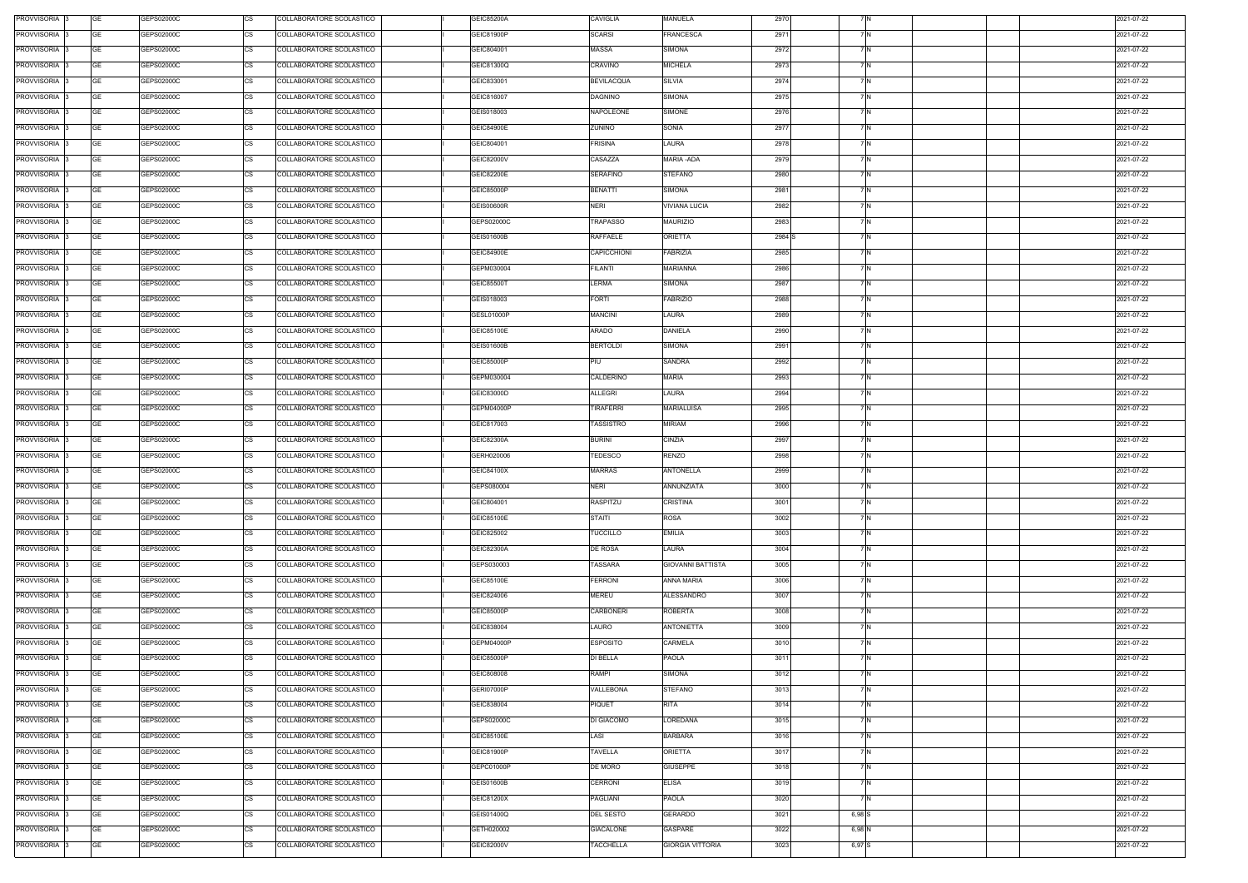| PROVVISORIA 3      | <b>GE</b> | GEPS02000C | <b>CS</b> | COLLABORATORE SCOLASTICO | <b>GEIC85200A</b> | <b>CAVIGLIA</b>   | <b>MANUELA</b>           | 2970              | 7 N    |  | 2021-07-22 |
|--------------------|-----------|------------|-----------|--------------------------|-------------------|-------------------|--------------------------|-------------------|--------|--|------------|
| PROVVISORIA 3      | <b>GE</b> | GEPS02000C | CS        | COLLABORATORE SCOLASTICO | GEIC81900P        | <b>SCARSI</b>     | FRANCESCA                | 2971              | 7 N    |  | 2021-07-22 |
| PROVVISORIA 3      | <b>GE</b> | GEPS02000C | CS        | COLLABORATORE SCOLASTICO | GEIC804001        | <b>MASSA</b>      | SIMONA                   | 2972              | 7 N    |  | 2021-07-22 |
| PROVVISORIA 3      | <b>GE</b> | GEPS02000C | CS        | COLLABORATORE SCOLASTICO | GEIC81300Q        | CRAVINO           | <b>MICHELA</b>           | 2973              | 7 N    |  | 2021-07-22 |
| PROVVISORIA 3      | GE        | GEPS02000C | CS        | COLLABORATORE SCOLASTICO | GEIC833001        | <b>BEVILACQUA</b> | <b>SILVIA</b>            | 2974              | 7 N    |  | 2021-07-22 |
| PROVVISORIA 3      | <b>GE</b> | GEPS02000C | <b>CS</b> | COLLABORATORE SCOLASTICO | GEIC816007        | <b>DAGNINO</b>    | <b>SIMONA</b>            | 2975              | 7 N    |  | 2021-07-22 |
| PROVVISORIA 3      | GE        | GEPS02000C | <b>CS</b> | COLLABORATORE SCOLASTICO | GEIS018003        | NAPOLEONE         | SIMONE                   | 2976              | 7 N    |  | 2021-07-22 |
| PROVVISORIA 3      | <b>GE</b> | GEPS02000C | <b>CS</b> | COLLABORATORE SCOLASTICO | GEIC84900E        | ZUNINO            | SONIA                    | 2977              | 7 N    |  | 2021-07-22 |
| <b>PROVVISORIA</b> | GE        | GEPS02000C | <b>CS</b> | COLLABORATORE SCOLASTICO | GEIC804001        | <b>FRISINA</b>    | LAURA                    | 2978              | 7 N    |  | 2021-07-22 |
| <b>PROVVISORIA</b> | <b>GE</b> | GEPS02000C | CS        | COLLABORATORE SCOLASTICO | GEIC82000V        | CASAZZA           | <b>MARIA - ADA</b>       | 2979              | 7 N    |  | 2021-07-22 |
| <b>PROVVISORIA</b> | <b>GE</b> | GEPS02000C | <b>CS</b> |                          |                   |                   |                          | 2980              |        |  |            |
|                    |           |            |           | COLLABORATORE SCOLASTICO | <b>GEIC82200E</b> | <b>SERAFINO</b>   | <b>STEFANO</b>           |                   | 7 N    |  | 2021-07-22 |
| PROVVISORIA        | <b>GE</b> | GEPS02000C | CS        | COLLABORATORE SCOLASTICO | GEIC85000P        | <b>BENATTI</b>    | SIMONA                   | 2981              | 7 N    |  | 2021-07-22 |
| PROVVISORIA        | <b>GE</b> | GEPS02000C | <b>CS</b> | COLLABORATORE SCOLASTICO | <b>GEIS00600R</b> | <b>NERI</b>       | VIVIANA LUCIA            | 2982              | 7 N    |  | 2021-07-22 |
| PROVVISORIA 3      | <b>GE</b> | GEPS02000C | CS        | COLLABORATORE SCOLASTICO | GEPS02000C        | TRAPASSO          | <b>MAURIZIO</b>          | 2983              | 7 N    |  | 2021-07-22 |
| PROVVISORIA 3      | GE        | GEPS02000C | СS        | COLLABORATORE SCOLASTICO | <b>GEIS01600B</b> | RAFFAELE          | <b>ORIETTA</b>           | 2984 <sub>S</sub> | 7 N    |  | 2021-07-22 |
| PROVVISORIA 3      | <b>GE</b> | GEPS02000C | CS        | COLLABORATORE SCOLASTICO | <b>GEIC84900E</b> | CAPICCHIONI       | FABRIZIA                 | 2985              | 7 N    |  | 2021-07-22 |
| PROVVISORIA 3      | <b>GE</b> | GEPS02000C | <b>CS</b> | COLLABORATORE SCOLASTICO | GEPM030004        | <b>FILANTI</b>    | <b>MARIANNA</b>          | 2986              | 7 N    |  | 2021-07-22 |
| PROVVISORIA 3      | <b>GE</b> | GEPS02000C | CS        | COLLABORATORE SCOLASTICO | <b>GEIC85500T</b> | LERMA             | SIMONA                   | 2987              | 7 N    |  | 2021-07-22 |
| PROVVISORIA 3      | GE        | GEPS02000C | СS        | COLLABORATORE SCOLASTICO | GEIS018003        | <b>FORTI</b>      | <b>FABRIZIO</b>          | 2988              | 7 N    |  | 2021-07-22 |
| PROVVISORIA 3      | <b>GE</b> | GEPS02000C | СS        | COLLABORATORE SCOLASTICO | GESL01000P        | <b>MANCINI</b>    | LAURA                    | 2989              | 7 N    |  | 2021-07-22 |
| PROVVISORIA 3      | GE        | GEPS02000C | СS        | COLLABORATORE SCOLASTICO | GEIC85100E        | <b>ARADO</b>      | DANIELA                  | 2990              | 7 N    |  | 2021-07-22 |
| PROVVISORIA 3      | <b>GE</b> | GEPS02000C | СS        | COLLABORATORE SCOLASTICO | <b>GEIS01600B</b> | <b>BERTOLDI</b>   | SIMONA                   | 2991              | 7 N    |  | 2021-07-22 |
| <b>PROVVISORIA</b> | <b>GE</b> | GEPS02000C | <b>CS</b> | COLLABORATORE SCOLASTICO | GEIC85000P        | <b>PIU</b>        | <b>SANDRA</b>            | 2992              | 7 N    |  | 2021-07-22 |
| PROVVISORIA 3      | <b>GE</b> | GEPS02000C | <b>CS</b> | COLLABORATORE SCOLASTICO | GEPM030004        | CALDERINO         | <b>MARIA</b>             | 2993              | 7 N    |  | 2021-07-22 |
| <b>PROVVISORIA</b> | <b>GE</b> | GEPS02000C | СS        | COLLABORATORE SCOLASTICO | GEIC83000D        | <b>ALLEGRI</b>    | LAURA                    | 2994              | 7 N    |  | 2021-07-22 |
| PROVVISORIA 3      | <b>GE</b> | GEPS02000C | СS        | COLLABORATORE SCOLASTICO | GEPM04000P        | <b>TIRAFERRI</b>  | <b>MARIALUISA</b>        | 2995              | 7 N    |  | 2021-07-22 |
| PROVVISORIA 3      | <b>GE</b> | GEPS02000C | СS        | COLLABORATORE SCOLASTICO | GEIC817003        | TASSISTRO         | <b>MIRIAM</b>            | 2996              | 7 N    |  | 2021-07-22 |
| PROVVISORIA 3      | GE        | GEPS02000C | CS        | COLLABORATORE SCOLASTICO | GEIC82300A        | <b>BURINI</b>     | <b>CINZIA</b>            | 2997              | 7 N    |  | 2021-07-22 |
| PROVVISORIA 3      | <b>GE</b> | GEPS02000C | <b>CS</b> | COLLABORATORE SCOLASTICO | GERH020006        | <b>TEDESCO</b>    | <b>RENZO</b>             | 2998              | 7 N    |  | 2021-07-22 |
| PROVVISORIA 3      | <b>GE</b> | GEPS02000C | <b>CS</b> | COLLABORATORE SCOLASTICO | GEIC84100X        | <b>MARRAS</b>     | <b>ANTONELLA</b>         | 2999              | 7 N    |  | 2021-07-22 |
| PROVVISORIA 3      | <b>GE</b> | GEPS02000C | <b>CS</b> | COLLABORATORE SCOLASTICO | GEPS080004        | <b>NERI</b>       | ANNUNZIATA               | 3000              | 7 N    |  | 2021-07-22 |
| PROVVISORIA 3      | <b>GE</b> | GEPS02000C | <b>CS</b> | COLLABORATORE SCOLASTICO | GEIC804001        | <b>RASPITZU</b>   | <b>CRISTINA</b>          | 3001              | 7 N    |  | 2021-07-22 |
| PROVVISORIA 3      | <b>GE</b> | GEPS02000C | <b>CS</b> | COLLABORATORE SCOLASTICO | GEIC85100E        | <b>STAITI</b>     | <b>ROSA</b>              | 3002              | 7 N    |  | 2021-07-22 |
| PROVVISORIA 3      | GE        | GEPS02000C | <b>CS</b> | COLLABORATORE SCOLASTICO | GEIC825002        | TUCCILLO          | <b>EMILIA</b>            | 3003              | 7 N    |  | 2021-07-22 |
| <b>PROVVISORIA</b> | <b>GE</b> | GEPS02000C | CS        | COLLABORATORE SCOLASTICO | GEIC82300A        | DE ROSA           | LAURA                    | 3004              | 7 N    |  | 2021-07-22 |
| PROVVISORIA 3      | <b>GE</b> | GEPS02000C | <b>CS</b> | COLLABORATORE SCOLASTICO | GEPS030003        | <b>TASSARA</b>    | <b>GIOVANNI BATTISTA</b> | 3005              | 7 N    |  | 2021-07-22 |
| PROVVISORIA 3      | <b>GE</b> | GEPS02000C | CS        | COLLABORATORE SCOLASTICO | GEIC85100E        | <b>FERRONI</b>    | <b>ANNA MARIA</b>        | 3006              | 7 N    |  | 2021-07-22 |
| <b>PROVVISORIA</b> | <b>GE</b> | GEPS02000C | CS        | COLLABORATORE SCOLASTICO | GEIC824006        | <b>MEREU</b>      | ALESSANDRO               | 3007              | 7 N    |  | 2021-07-22 |
| PROVVISORIA 3      | <b>GE</b> | GEPS02000C | CS        | COLLABORATORE SCOLASTICO | <b>GEIC85000P</b> | <b>CARBONERI</b>  | ROBERTA                  | 3008              | 7 N    |  | 2021-07-22 |
| PROVVISORIA 3      | <b>GE</b> | GEPS02000C | CS        | COLLABORATORE SCOLASTICO | GEIC838004        | LAURO             | <b>ANTONIETTA</b>        | 3009              | 7 N    |  | 2021-07-22 |
| PROVVISORIA 3      | <b>GE</b> | GEPS02000C | CS        | COLLABORATORE SCOLASTICO | GEPM04000P        | <b>ESPOSITO</b>   | CARMELA                  | 3010              | 7 N    |  | 2021-07-22 |
| PROVVISORIA 3      | <b>GE</b> | GEPS02000C | <b>CS</b> | COLLABORATORE SCOLASTICO | <b>GEIC85000P</b> | DI BELLA          | <b>PAOLA</b>             | 3011              | 7 N    |  | 2021-07-22 |
| PROVVISORIA 3      | <b>GE</b> | GEPS02000C | CS        | COLLABORATORE SCOLASTICO | GEIC808008        | <b>RAMPI</b>      | SIMONA                   | 3012              | 7 N    |  | 2021-07-22 |
| PROVVISORIA 3      | <b>GE</b> | GEPS02000C | <b>CS</b> | COLLABORATORE SCOLASTICO | <b>GERI07000P</b> | VALLEBONA         | <b>STEFANO</b>           | 3013              | 7 N    |  | 2021-07-22 |
| PROVVISORIA 3      | <b>GE</b> | GEPS02000C | CS        | COLLABORATORE SCOLASTICO | GEIC838004        | <b>PIQUET</b>     | RITA                     | 3014              | 7 N    |  | 2021-07-22 |
| PROVVISORIA 3      | <b>GE</b> | GEPS02000C | СS        | COLLABORATORE SCOLASTICO | GEPS02000C        | DI GIACOMO        | LOREDANA                 | 3015              | 7 N    |  | 2021-07-22 |
| PROVVISORIA 3      | <b>GE</b> | GEPS02000C | СS        | COLLABORATORE SCOLASTICO | GEIC85100E        | LASI              | <b>BARBARA</b>           | 3016              | 7 N    |  | 2021-07-22 |
| <b>PROVVISORIA</b> | <b>GE</b> | GEPS02000C | <b>CS</b> | COLLABORATORE SCOLASTICO | GEIC81900P        | <b>TAVELLA</b>    | <b>ORIETTA</b>           | 3017              | 7 N    |  | 2021-07-22 |
| PROVVISORIA 3      | <b>GE</b> |            | <b>CS</b> |                          |                   | DE MORO           | <b>GIUSEPPE</b>          | 3018              |        |  | 2021-07-22 |
|                    |           | GEPS02000C |           | COLLABORATORE SCOLASTICO | GEPC01000P        |                   |                          |                   | 7 N    |  |            |
| PROVVISORIA 3      | <b>GE</b> | GEPS02000C | <b>CS</b> | COLLABORATORE SCOLASTICO | <b>GEIS01600B</b> | <b>CERRONI</b>    | <b>ELISA</b>             | 3019              | 7 N    |  | 2021-07-22 |
| PROVVISORIA 3      | <b>GE</b> | GEPS02000C | СS        | COLLABORATORE SCOLASTICO | GEIC81200X        | PAGLIANI          | PAOLA                    | 3020              | 7 N    |  | 2021-07-22 |
| PROVVISORIA 3      | <b>GE</b> | GEPS02000C | СS        | COLLABORATORE SCOLASTICO | GEIS01400Q        | DEL SESTO         | GERARDO                  | 3021              | 6,98 S |  | 2021-07-22 |
| PROVVISORIA 3      | <b>GE</b> | GEPS02000C | СS        | COLLABORATORE SCOLASTICO | GETH020002        | GIACALONE         | GASPARE                  | 3022              | 6,98 N |  | 2021-07-22 |
| PROVVISORIA 3      | <b>GE</b> | GEPS02000C | <b>CS</b> | COLLABORATORE SCOLASTICO | GEIC82000V        | <b>TACCHELLA</b>  | <b>GIORGIA VITTORIA</b>  | 3023              | 6,97 S |  | 2021-07-22 |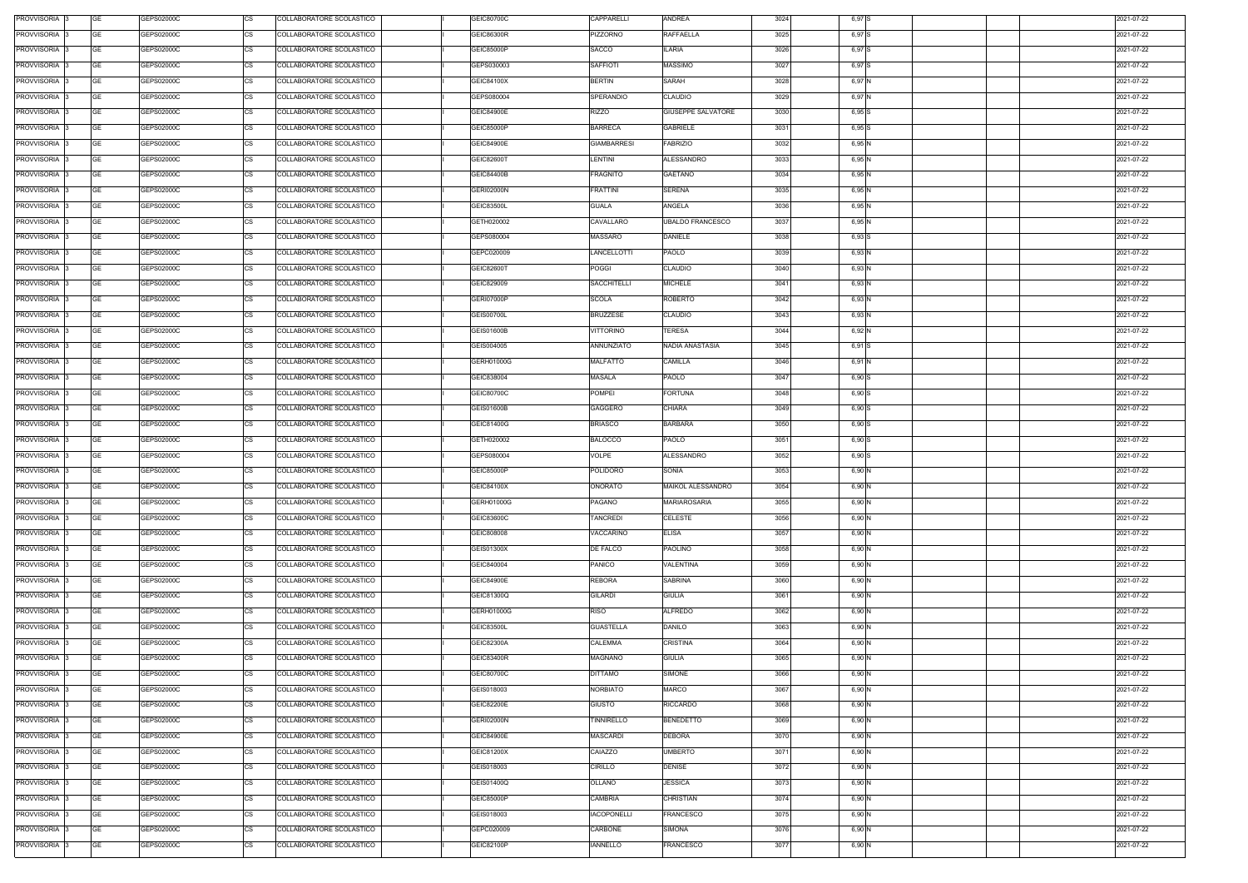| PROVVISORIA 3 | <b>GE</b><br>GEPS02000C              | <b>CS</b> | COLLABORATORE SCOLASTICO | GEIC80700C        | CAPPARELLI         | ANDREA                          | 3024 | 6,97 S   |  | 2021-07-22 |
|---------------|--------------------------------------|-----------|--------------------------|-------------------|--------------------|---------------------------------|------|----------|--|------------|
| PROVVISORIA 3 | <b>GE</b><br>GEPS02000C              | CS        | COLLABORATORE SCOLASTICO | GEIC86300R        | PIZZORNO           | <b>RAFFAELLA</b>                | 3025 | 6,97 S   |  | 2021-07-22 |
| PROVVISORIA 3 | <b>GE</b><br>GEPS02000C              | <b>CS</b> | COLLABORATORE SCOLASTICO | GEIC85000P        | <b>SACCO</b>       | <b>ILARIA</b>                   | 3026 | 6,97 S   |  | 2021-07-22 |
| PROVVISORIA 3 | <b>GE</b><br>GEPS02000C              | <b>CS</b> | COLLABORATORE SCOLASTICO | GEPS030003        | <b>SAFFIOTI</b>    | <b>MASSIMO</b>                  | 3027 | 6,97 S   |  | 2021-07-22 |
| PROVVISORIA 3 | <b>GE</b><br>GEPS02000C              | <b>CS</b> | COLLABORATORE SCOLASTICO | GEIC84100X        | <b>BERTIN</b>      | SARAH                           | 3028 | 6,97 N   |  | 2021-07-22 |
| PROVVISORIA 3 | <b>GE</b><br>GEPS02000C              | <b>CS</b> | COLLABORATORE SCOLASTICO | GEPS080004        | SPERANDIO          | <b>CLAUDIO</b>                  | 3029 | 6,97 N   |  | 2021-07-22 |
| PROVVISORIA 3 | <b>GE</b><br>GEPS02000C              | <b>CS</b> | COLLABORATORE SCOLASTICO | GEIC84900E        | <b>RIZZO</b>       | GIUSEPPE SALVATORE              | 3030 | $6,95$ S |  | 2021-07-22 |
| PROVVISORIA 3 | <b>GE</b><br>GEPS02000C              | <b>CS</b> | COLLABORATORE SCOLASTICO | GEIC85000P        | <b>BARRECA</b>     | <b>GABRIELE</b>                 | 3031 | 6,95S    |  | 2021-07-22 |
| PROVVISORIA 3 | <b>GE</b><br>GEPS02000C              | <b>CS</b> | COLLABORATORE SCOLASTICO | GEIC84900E        | <b>GIAMBARRESI</b> | <b>FABRIZIO</b>                 | 3032 | 6,95 N   |  | 2021-07-22 |
| PROVVISORIA 3 | <b>GE</b><br>GEPS02000C              | <b>CS</b> | COLLABORATORE SCOLASTICO | GEIC82600T        | LENTINI            | <b>ALESSANDRO</b>               | 3033 | 6,95 N   |  | 2021-07-22 |
| PROVVISORIA 3 | <b>GE</b><br>GEPS02000C              | <b>CS</b> | COLLABORATORE SCOLASTICO | GEIC84400B        | <b>FRAGNITO</b>    | <b>GAETANO</b>                  | 3034 | 6,95 N   |  | 2021-07-22 |
| PROVVISORIA 3 | <b>GE</b><br>GEPS02000C              | CS        | COLLABORATORE SCOLASTICO | <b>GERI02000N</b> | <b>FRATTINI</b>    | SERENA                          | 3035 | 6,95 N   |  | 2021-07-22 |
| PROVVISORIA 3 | <b>GE</b><br>GEPS02000C              | <b>CS</b> | COLLABORATORE SCOLASTICO | GEIC83500L        | <b>GUALA</b>       | ANGELA                          | 3036 | 6,95 N   |  | 2021-07-22 |
| PROVVISORIA 3 | <b>GE</b><br>GEPS02000C              | CS        | COLLABORATORE SCOLASTICO | GETH020002        | CAVALLARO          | <b>UBALDO FRANCESCO</b>         | 3037 | 6,95 N   |  | 2021-07-22 |
| PROVVISORIA 3 | <b>GE</b><br>GEPS02000C              | <b>CS</b> | COLLABORATORE SCOLASTICO | GEPS080004        | MASSARO            | DANIELE                         | 3038 | 6,93 S   |  | 2021-07-22 |
| PROVVISORIA 3 | <b>GE</b><br>GEPS02000C              | CS        | COLLABORATORE SCOLASTICO | GEPC020009        | LANCELLOTTI        | <b>PAOLO</b>                    | 3039 | 6,93 N   |  | 2021-07-22 |
| PROVVISORIA 3 | <b>GE</b><br>GEPS02000C              | <b>CS</b> | COLLABORATORE SCOLASTICO | GEIC82600T        | <b>POGGI</b>       | <b>CLAUDIO</b>                  | 3040 | 6,93 N   |  | 2021-07-22 |
| PROVVISORIA 3 | <b>GE</b><br>GEPS02000C              | <b>CS</b> | COLLABORATORE SCOLASTICO | GEIC829009        | <b>SACCHITELLI</b> | <b>MICHELE</b>                  | 3041 | 6,93 N   |  | 2021-07-22 |
| PROVVISORIA 3 | <b>GE</b><br>GEPS02000C              | <b>CS</b> | COLLABORATORE SCOLASTICO | GERI07000P        | SCOLA              | <b>ROBERTO</b>                  | 3042 | 6,93 N   |  | 2021-07-22 |
| PROVVISORIA 3 | <b>GE</b><br>GEPS02000C              | <b>CS</b> | COLLABORATORE SCOLASTICO | <b>GEIS00700L</b> | <b>BRUZZESE</b>    | CLAUDIO                         | 3043 | 6,93 N   |  | 2021-07-22 |
| PROVVISORIA 3 | <b>GE</b><br>GEPS02000C              | <b>CS</b> | COLLABORATORE SCOLASTICO | GEIS01600B        | VITTORINO          | TERESA                          | 3044 | 6,92 N   |  | 2021-07-22 |
| PROVVISORIA 3 | <b>GE</b><br>GEPS02000C              | <b>CS</b> | COLLABORATORE SCOLASTICO | GEIS004005        | ANNUNZIATO         | NADIA ANASTASIA                 | 3045 | 6,91 S   |  | 2021-07-22 |
| PROVVISORIA 3 | <b>GE</b><br>GEPS02000C              | <b>CS</b> | COLLABORATORE SCOLASTICO | GERH01000G        | <b>MALFATTO</b>    | CAMILLA                         | 3046 | 6,91 N   |  | 2021-07-22 |
| PROVVISORIA 3 | <b>GE</b><br>GEPS02000C              | <b>CS</b> | COLLABORATORE SCOLASTICO | GEIC838004        | <b>MASALA</b>      | PAOLO                           | 3047 | 6,90 S   |  | 2021-07-22 |
| PROVVISORIA 3 | <b>GE</b><br>GEPS02000C              | <b>CS</b> | COLLABORATORE SCOLASTICO | GEIC80700C        | <b>POMPEI</b>      | FORTUNA                         | 3048 | $6,90$ S |  | 2021-07-22 |
| PROVVISORIA 3 | <b>GE</b><br>GEPS02000C              | <b>CS</b> | COLLABORATORE SCOLASTICO | GEIS01600B        | GAGGERO            | CHIARA                          | 3049 | $6,90$ S |  | 2021-07-22 |
| PROVVISORIA 3 | <b>GE</b><br>GEPS02000C              | <b>CS</b> | COLLABORATORE SCOLASTICO | GEIC81400G        | <b>BRIASCO</b>     | <b>BARBARA</b>                  | 3050 | $6,90$ S |  | 2021-07-22 |
| PROVVISORIA 3 | <b>GE</b><br>GEPS02000C              | CS        | COLLABORATORE SCOLASTICO | GETH020002        | <b>BALOCCO</b>     | PAOLO                           | 3051 | 6,90 S   |  | 2021-07-22 |
| PROVVISORIA 3 | <b>GE</b><br>GEPS02000C              | <b>CS</b> | COLLABORATORE SCOLASTICO | GEPS080004        | VOLPE              | <b>ALESSANDRO</b>               | 3052 | $6,90$ S |  | 2021-07-22 |
| PROVVISORIA 3 | <b>GE</b><br>GEPS02000C              | <b>CS</b> | COLLABORATORE SCOLASTICO | GEIC85000P        | <b>POLIDORO</b>    | SONIA                           | 3053 | 6,90 N   |  | 2021-07-22 |
| PROVVISORIA 3 | <b>GE</b><br>GEPS02000C              | <b>CS</b> | COLLABORATORE SCOLASTICO | GEIC84100X        | ONORATO            | MAIKOL ALESSANDRO               | 3054 | 6,90 N   |  | 2021-07-22 |
| PROVVISORIA 3 | <b>GE</b><br>GEPS02000C              | <b>CS</b> | COLLABORATORE SCOLASTICO | GERH01000G        | PAGANO             | MARIAROSARIA                    | 3055 | 6,90 N   |  | 2021-07-22 |
| PROVVISORIA 3 | <b>GE</b><br>GEPS02000C              | CS        | COLLABORATORE SCOLASTICO | GEIC83600C        | TANCREDI           | CELESTE                         | 3056 | 6,90 N   |  | 2021-07-22 |
| PROVVISORIA 3 | <b>GE</b><br>GEPS02000C              | <b>CS</b> | COLLABORATORE SCOLASTICO | GEIC808008        | VACCARINO          | <b>ELISA</b>                    | 3057 | 6,90 N   |  | 2021-07-22 |
| PROVVISORIA 3 | <b>GE</b><br>GEPS02000C              | CS        | COLLABORATORE SCOLASTICO | GEIS01300X        | DE FALCO           | PAOLINO                         | 3058 | 6,90 N   |  | 2021-07-22 |
| PROVVISORIA 3 | <b>GE</b><br>GEPS02000C              | <b>CS</b> | COLLABORATORE SCOLASTICO | GEIC840004        | <b>PANICO</b>      | VALENTINA                       | 3059 | 6,90 N   |  | 2021-07-22 |
| PROVVISORIA 3 | <b>GE</b><br>GEPS02000C              | CS        | COLLABORATORE SCOLASTICO | GEIC84900E        | <b>REBORA</b>      | <b>SABRINA</b>                  | 3060 | 6,90 N   |  | 2021-07-22 |
| PROVVISORIA 3 | <b>GE</b><br>GEPS02000C              | <b>CS</b> | COLLABORATORE SCOLASTICO | GEIC81300Q        | <b>GILARDI</b>     | <b>GIULIA</b>                   | 3061 | 6,90 N   |  | 2021-07-22 |
| PROVVISORIA 3 | <b>GE</b><br>GEPS02000C              | CS        | COLLABORATORE SCOLASTICO | GERH01000G        | <b>RISO</b>        | <b>ALFREDO</b>                  | 3062 | 6,90 N   |  | 2021-07-22 |
| PROVVISORIA 3 | <b>GE</b><br>GEPS02000C              | CS        | COLLABORATORE SCOLASTICO | GEIC83500L        | <b>GUASTELLA</b>   | DANILO                          | 3063 | 6,90 N   |  | 2021-07-22 |
| PROVVISORIA 3 | <b>GE</b><br>GEPS02000C              | CS        | COLLABORATORE SCOLASTICO | GEIC82300A        | CALEMMA            | <b>CRISTINA</b>                 | 3064 | 6,90 N   |  | 2021-07-22 |
| PROVVISORIA 3 | <b>GE</b><br>GEPS02000C              | <b>CS</b> | COLLABORATORE SCOLASTICO | <b>GEIC83400R</b> | <b>MAGNANO</b>     | <b>GIULIA</b>                   | 3065 | 6,90 N   |  | 2021-07-22 |
| PROVVISORIA 3 | <b>GE</b><br>GEPS02000C              | CS        | COLLABORATORE SCOLASTICO | GEIC80700C        | <b>DITTAMO</b>     | SIMONE                          | 3066 | 6,90 N   |  | 2021-07-22 |
| PROVVISORIA 3 | <b>GE</b><br>GEPS02000C              | <b>CS</b> | COLLABORATORE SCOLASTICO | GEIS018003        | NORBIATO           | <b>MARCO</b>                    | 3067 | 6,90 N   |  | 2021-07-22 |
| PROVVISORIA 3 | <b>GE</b><br>GEPS02000C              | <b>CS</b> | COLLABORATORE SCOLASTICO | GEIC82200E        | <b>GIUSTO</b>      | RICCARDO                        | 3068 | 6,90 N   |  | 2021-07-22 |
|               | <b>GE</b>                            |           |                          |                   | TINNIRELLO         | <b>BENEDETTO</b>                | 3069 |          |  |            |
| PROVVISORIA 3 | GEPS02000C                           | <b>CS</b> | COLLABORATORE SCOLASTICO | <b>GERI02000N</b> |                    |                                 |      | 6,90 N   |  | 2021-07-22 |
| PROVVISORIA 3 | <b>GE</b><br>GEPS02000C<br><b>GE</b> | <b>CS</b> | COLLABORATORE SCOLASTICO | GEIC84900E        | <b>MASCARDI</b>    | <b>DEBORA</b><br><b>UMBERTO</b> | 3070 | 6,90 N   |  | 2021-07-22 |
| PROVVISORIA 3 | GEPS02000C                           | <b>CS</b> | COLLABORATORE SCOLASTICO | GEIC81200X        | CAIAZZO            |                                 | 3071 | 6,90 N   |  | 2021-07-22 |
| PROVVISORIA 3 | <b>GE</b><br>GEPS02000C              | <b>CS</b> | COLLABORATORE SCOLASTICO | GEIS018003        | CIRILLO            | <b>DENISE</b>                   | 3072 | 6,90 N   |  | 2021-07-22 |
| PROVVISORIA 3 | <b>GE</b><br>GEPS02000C              | <b>CS</b> | COLLABORATORE SCOLASTICO | GEIS01400Q        | OLLANO             | <b>JESSICA</b>                  | 3073 | 6,90 N   |  | 2021-07-22 |
| PROVVISORIA 3 | <b>GE</b><br>GEPS02000C              | <b>CS</b> | COLLABORATORE SCOLASTICO | GEIC85000P        | CAMBRIA            | CHRISTIAN                       | 3074 | 6,90 N   |  | 2021-07-22 |
| PROVVISORIA 3 | <b>GE</b><br>GEPS02000C              | <b>CS</b> | COLLABORATORE SCOLASTICO | GEIS018003        | <b>IACOPONELLI</b> | <b>FRANCESCO</b>                | 3075 | 6,90 N   |  | 2021-07-22 |
| PROVVISORIA 3 | <b>GE</b><br>GEPS02000C              | <b>CS</b> | COLLABORATORE SCOLASTICO | GEPC020009        | CARBONE            | SIMONA                          | 3076 | 6,90 N   |  | 2021-07-22 |
| PROVVISORIA 3 | <b>GE</b><br>GEPS02000C              | CS        | COLLABORATORE SCOLASTICO | GEIC82100P        | <b>IANNELLO</b>    | FRANCESCO                       | 3077 | 6,90 N   |  | 2021-07-22 |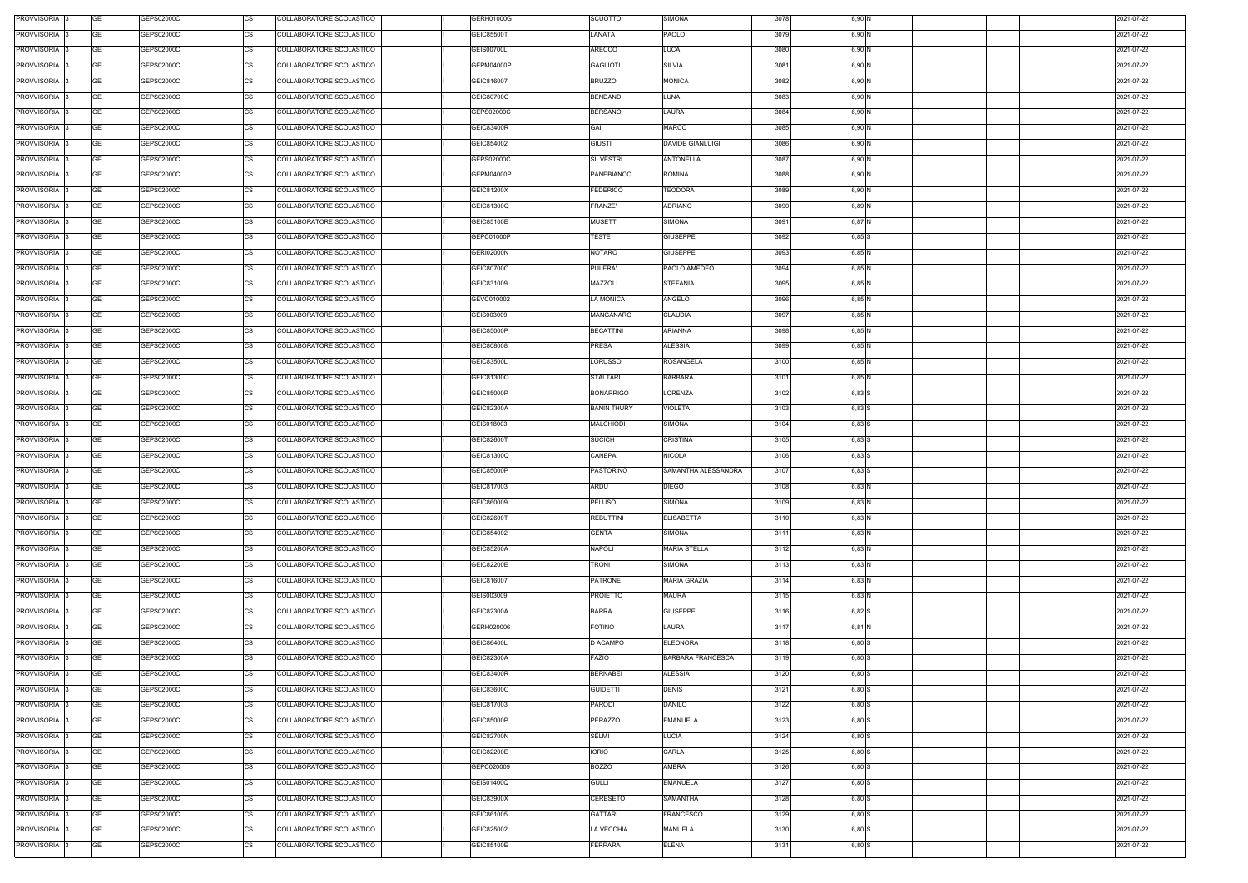| PROVVISORIA 3            | GE        | GEPS02000C | COLLABORATORE SCOLASTICO<br>CS        | GERH01000G        | SCUOTTO            | SIMONA                   | 3078 | 6,90 N   |  | 2021-07-22 |
|--------------------------|-----------|------------|---------------------------------------|-------------------|--------------------|--------------------------|------|----------|--|------------|
| PROVVISORIA 3            | GE        | GEPS02000C | <b>CS</b><br>COLLABORATORE SCOLASTICO | <b>GEIC85500T</b> | LANATA             | PAOLO                    | 3079 | 6,90 N   |  | 2021-07-22 |
| PROVVISORIA 3            | GE        | GEPS02000C | <b>CS</b><br>COLLABORATORE SCOLASTICO | <b>GEIS00700L</b> | ARECCO             | LUCA                     | 3080 | 6,90 N   |  | 2021-07-22 |
| PROVVISORIA 3            | GE        | GEPS02000C | <b>CS</b><br>COLLABORATORE SCOLASTICO | GEPM04000P        | <b>GAGLIOTI</b>    | <b>SILVIA</b>            | 3081 | 6,90 N   |  | 2021-07-22 |
| PROVVISORIA 3            | <b>GE</b> | GEPS02000C | <b>CS</b><br>COLLABORATORE SCOLASTICO | GEIC816007        | <b>BRUZZO</b>      | <b>MONICA</b>            | 3082 | 6,90 N   |  | 2021-07-22 |
| PROVVISORIA 3            | GE        | GEPS02000C | <b>CS</b><br>COLLABORATORE SCOLASTICO | GEIC80700C        | <b>BENDANDI</b>    | LUNA                     | 3083 | 6,90 N   |  | 2021-07-22 |
| PROVVISORIA 3            | <b>GE</b> | GEPS02000C | <b>CS</b><br>COLLABORATORE SCOLASTICO | GEPS02000C        | BERSANO            | LAURA                    | 3084 | 6,90 N   |  | 2021-07-22 |
| PROVVISORIA 3            | GE        | GEPS02000C | <b>CS</b><br>COLLABORATORE SCOLASTICO | GEIC83400R        | GAI                | <b>MARCO</b>             | 3085 | 6,90 N   |  | 2021-07-22 |
| PROVVISORIA 3            | <b>GE</b> | GEPS02000C | <b>CS</b><br>COLLABORATORE SCOLASTICO | GEIC854002        | <b>GIUSTI</b>      | <b>DAVIDE GIANLUIGI</b>  | 3086 | 6,90 N   |  | 2021-07-22 |
|                          |           |            |                                       |                   |                    |                          |      |          |  |            |
| PROVVISORIA 3            | <b>GE</b> | GEPS02000C | <b>CS</b><br>COLLABORATORE SCOLASTICO | GEPS02000C        | <b>SILVESTRI</b>   | <b>ANTONELLA</b>         | 3087 | 6,90 N   |  | 2021-07-22 |
| PROVVISORIA 3            | <b>GE</b> | GEPS02000C | <b>CS</b><br>COLLABORATORE SCOLASTICO | GEPM04000P        | PANEBIANCO         | ROMINA                   | 3088 | 6,90 N   |  | 2021-07-22 |
| PROVVISORIA 3            | <b>GE</b> | GEPS02000C | CS<br>COLLABORATORE SCOLASTICO        | GEIC81200X        | <b>FEDERICO</b>    | TEODORA                  | 3089 | 6,90 N   |  | 2021-07-22 |
| PROVVISORIA 3            | <b>GE</b> | GEPS02000C | <b>CS</b><br>COLLABORATORE SCOLASTICO | GEIC81300Q        | FRANZE'            | ADRIANO                  | 3090 | 6,89 N   |  | 2021-07-22 |
| PROVVISORIA 3            | <b>GE</b> | GEPS02000C | <b>CS</b><br>COLLABORATORE SCOLASTICO | GEIC85100E        | <b>MUSETTI</b>     | SIMONA                   | 3091 | 6,87 N   |  | 2021-07-22 |
| PROVVISORIA 3            | <b>GE</b> | GEPS02000C | COLLABORATORE SCOLASTICO<br>СS        | GEPC01000P        | TESTE              | <b>GIUSEPPE</b>          | 3092 | $6,85$ S |  | 2021-07-22 |
| PROVVISORIA 3            | <b>GE</b> | GEPS02000C | <b>CS</b><br>COLLABORATORE SCOLASTICO | <b>GERI02000N</b> | <b>NOTARO</b>      | <b>GIUSEPPE</b>          | 3093 | 6,85 N   |  | 2021-07-22 |
| PROVVISORIA 3            | <b>GE</b> | GEPS02000C | <b>CS</b><br>COLLABORATORE SCOLASTICO | GEIC80700C        | PULERA'            | PAOLO AMEDEO             | 3094 | 6,85 N   |  | 2021-07-22 |
| PROVVISORIA 3            | <b>GE</b> | GEPS02000C | <b>CS</b><br>COLLABORATORE SCOLASTICO | GEIC831009        | MAZZOLI            | <b>STEFANIA</b>          | 3095 | 6,85 N   |  | 2021-07-22 |
| PROVVISORIA 3            | <b>GE</b> | GEPS02000C | <b>CS</b><br>COLLABORATORE SCOLASTICO | GEVC010002        | LA MONICA          | ANGELO                   | 3096 | 6,85 N   |  | 2021-07-22 |
| PROVVISORIA 3            | GE        | GEPS02000C | <b>CS</b><br>COLLABORATORE SCOLASTICO | GEIS003009        | MANGANARO          | <b>CLAUDIA</b>           | 3097 | 6,85 N   |  | 2021-07-22 |
| PROVVISORIA 3            | GE        | GEPS02000C | <b>CS</b><br>COLLABORATORE SCOLASTICO | GEIC85000P        | <b>BECATTINI</b>   | ARIANNA                  | 3098 | 6,85 N   |  | 2021-07-22 |
| PROVVISORIA 3            | <b>GE</b> | GEPS02000C | <b>CS</b><br>COLLABORATORE SCOLASTICO | GEIC808008        | PRESA              | ALESSIA                  | 3099 | 6,85 N   |  | 2021-07-22 |
| PROVVISORIA 3            | <b>GE</b> | GEPS02000C | <b>CS</b><br>COLLABORATORE SCOLASTICO | GEIC83500L        | LORUSSO            | <b>ROSANGELA</b>         | 3100 | 6,85 N   |  | 2021-07-22 |
| PROVVISORIA 3            | <b>GE</b> | GEPS02000C | <b>CS</b><br>COLLABORATORE SCOLASTICO | GEIC81300Q        | <b>STALTARI</b>    | <b>BARBARA</b>           | 3101 | 6,85 N   |  | 2021-07-22 |
| PROVVISORIA 3            | <b>GE</b> | GEPS02000C | <b>CS</b><br>COLLABORATORE SCOLASTICO | GEIC85000P        | <b>BONARRIGO</b>   | _ORENZA                  | 3102 | 6,83 S   |  | 2021-07-22 |
| PROVVISORIA 3            | <b>GE</b> | GEPS02000C | <b>CS</b><br>COLLABORATORE SCOLASTICO | GEIC82300A        | <b>BANIN THURY</b> | <b>VIOLETA</b>           | 3103 | 6,83 S   |  | 2021-07-22 |
| PROVVISORIA 3            | GE        | GEPS02000C | <b>CS</b><br>COLLABORATORE SCOLASTICO | GEIS018003        | MALCHIODI          | SIMONA                   | 3104 | 6,83 S   |  | 2021-07-22 |
| PROVVISORIA 3            | GE        | GEPS02000C | <b>CS</b><br>COLLABORATORE SCOLASTICO | GEIC82600T        | <b>SUCICH</b>      | CRISTINA                 | 3105 | 6,83 S   |  | 2021-07-22 |
| PROVVISORIA 3            | GE        | GEPS02000C | <b>CS</b><br>COLLABORATORE SCOLASTICO | GEIC81300Q        | CANEPA             | <b>NICOLA</b>            | 3106 | 6,83 S   |  | 2021-07-22 |
| PROVVISORIA 3            | <b>GE</b> | GEPS02000C | <b>CS</b><br>COLLABORATORE SCOLASTICO | GEIC85000P        | PASTORINO          | SAMANTHA ALESSANDRA      | 3107 | 6,83 S   |  | 2021-07-22 |
| PROVVISORIA 3            | GE        | GEPS02000C | <b>CS</b><br>COLLABORATORE SCOLASTICO | GEIC817003        | ARDU               | <b>DIEGO</b>             | 3108 | 6,83 N   |  | 2021-07-22 |
| PROVVISORIA 3            | <b>GE</b> | GEPS02000C | <b>CS</b><br>COLLABORATORE SCOLASTICO | GEIC860009        | PELUSO             | SIMONA                   | 3109 | 6,83 N   |  | 2021-07-22 |
| PROVVISORIA 3            | GE        | GEPS02000C | <b>CS</b><br>COLLABORATORE SCOLASTICO | GEIC82600T        | <b>REBUTTINI</b>   | <b>ELISABETTA</b>        | 3110 | 6,83 N   |  | 2021-07-22 |
| PROVVISORIA <sub>3</sub> | GE        | GEPS02000C | <b>CS</b><br>COLLABORATORE SCOLASTICO | GEIC854002        | <b>GENTA</b>       | SIMONA                   | 3111 | 6,83 N   |  | 2021-07-22 |
| PROVVISORIA 3            | <b>GE</b> | GEPS02000C | <b>CS</b><br>COLLABORATORE SCOLASTICO | GEIC85200A        | <b>NAPOLI</b>      | <b>MARIA STELLA</b>      | 3112 | 6,83 N   |  | 2021-07-22 |
| PROVVISORIA 3            | <b>GE</b> | GEPS02000C | <b>CS</b><br>COLLABORATORE SCOLASTICO | GEIC82200E        | <b>TRONI</b>       | SIMONA                   | 3113 | 6,83 N   |  | 2021-07-22 |
| PROVVISORIA 3            | <b>GE</b> | GEPS02000C | <b>CS</b><br>COLLABORATORE SCOLASTICO | GEIC816007        | <b>PATRONE</b>     | <b>MARIA GRAZIA</b>      | 3114 | 6,83 N   |  | 2021-07-22 |
| PROVVISORIA 3            | <b>GE</b> | GEPS02000C | <b>CS</b><br>COLLABORATORE SCOLASTICO | GEIS003009        | <b>PROIETTO</b>    | <b>MAURA</b>             | 3115 | 6,83 N   |  | 2021-07-22 |
| PROVVISORIA 3            | <b>GE</b> | GEPS02000C | CS<br>COLLABORATORE SCOLASTICO        | GEIC82300A        | <b>BARRA</b>       | <b>GIUSEPPE</b>          | 3116 | 6,82 S   |  | 2021-07-22 |
| PROVVISORIA 3            | <b>GE</b> | GEPS02000C | <b>CS</b><br>COLLABORATORE SCOLASTICO | GERH020006        | <b>FOTINO</b>      | LAURA                    | 3117 | 6,81 N   |  | 2021-07-22 |
| PROVVISORIA 3            | <b>GE</b> | GEPS02000C | <b>CS</b><br>COLLABORATORE SCOLASTICO | <b>GEIC86400L</b> | D ACAMPO           | <b>ELEONORA</b>          | 3118 | 6,80 S   |  | 2021-07-22 |
| PROVVISORIA 3            | <b>GE</b> | GEPS02000C | <b>CS</b><br>COLLABORATORE SCOLASTICO | GEIC82300A        | <b>FAZIO</b>       | <b>BARBARA FRANCESCA</b> | 3119 | 6,80 S   |  | 2021-07-22 |
| PROVVISORIA 3            | <b>GE</b> | GEPS02000C | <b>CS</b><br>COLLABORATORE SCOLASTICO | <b>GEIC83400R</b> | <b>BERNABEI</b>    | <b>ALESSIA</b>           | 3120 | 6,80 S   |  | 2021-07-22 |
| PROVVISORIA 3            | <b>GE</b> | GEPS02000C | <b>CS</b><br>COLLABORATORE SCOLASTICO | GEIC83600C        | <b>GUIDETTI</b>    | <b>DENIS</b>             | 3121 | 6,80 S   |  | 2021-07-22 |
| PROVVISORIA 3            | <b>GE</b> | GEPS02000C | CS<br>COLLABORATORE SCOLASTICO        | GEIC817003        | <b>PARODI</b>      | DANILO                   | 3122 | $6,80$ S |  | 2021-07-22 |
| PROVVISORIA 3            | <b>GE</b> | GEPS02000C | <b>CS</b><br>COLLABORATORE SCOLASTICO | GEIC85000P        | PERAZZO            | <b>EMANUELA</b>          | 3123 | $6,80$ S |  | 2021-07-22 |
| PROVVISORIA 3            | GE        | GEPS02000C | СS<br>COLLABORATORE SCOLASTICO        | <b>GEIC82700N</b> | <b>SELMI</b>       | LUCIA                    | 3124 | 6,80 S   |  | 2021-07-22 |
| PROVVISORIA 3            | <b>GE</b> | GEPS02000C | <b>CS</b><br>COLLABORATORE SCOLASTICO | <b>GEIC82200E</b> | <b>IORIO</b>       | CARLA                    | 3125 | 6,80 S   |  | 2021-07-22 |
| PROVVISORIA 3            | <b>GE</b> | GEPS02000C | <b>CS</b><br>COLLABORATORE SCOLASTICO | GEPC020009        | <b>BOZZO</b>       | AMBRA                    | 3126 | 6,80 S   |  | 2021-07-22 |
| PROVVISORIA 3            | <b>GE</b> | GEPS02000C | <b>CS</b><br>COLLABORATORE SCOLASTICO | GEIS01400Q        | <b>GULLI</b>       | <b>EMANUELA</b>          | 3127 | 6,80 S   |  | 2021-07-22 |
| PROVVISORIA 3            | <b>GE</b> | GEPS02000C | <b>CS</b><br>COLLABORATORE SCOLASTICO | GEIC83900X        | CERESETO           | SAMANTHA                 | 3128 | 6,80 S   |  | 2021-07-22 |
| PROVVISORIA 3            | GE        | GEPS02000C | <b>CS</b><br>COLLABORATORE SCOLASTICO | GEIC861005        | GATTARI            | <b>FRANCESCO</b>         | 3129 | 6,80 S   |  | 2021-07-22 |
| PROVVISORIA 3            | <b>GE</b> | GEPS02000C | <b>CS</b><br>COLLABORATORE SCOLASTICO | GEIC825002        | LA VECCHIA         | MANUELA                  | 3130 | $6,80$ S |  | 2021-07-22 |
| PROVVISORIA 3            | <b>GE</b> | GEPS02000C | <b>CS</b><br>COLLABORATORE SCOLASTICO | <b>GEIC85100E</b> | FERRARA            | <b>ELENA</b>             | 3131 | 6,80 S   |  | 2021-07-22 |
|                          |           |            |                                       |                   |                    |                          |      |          |  |            |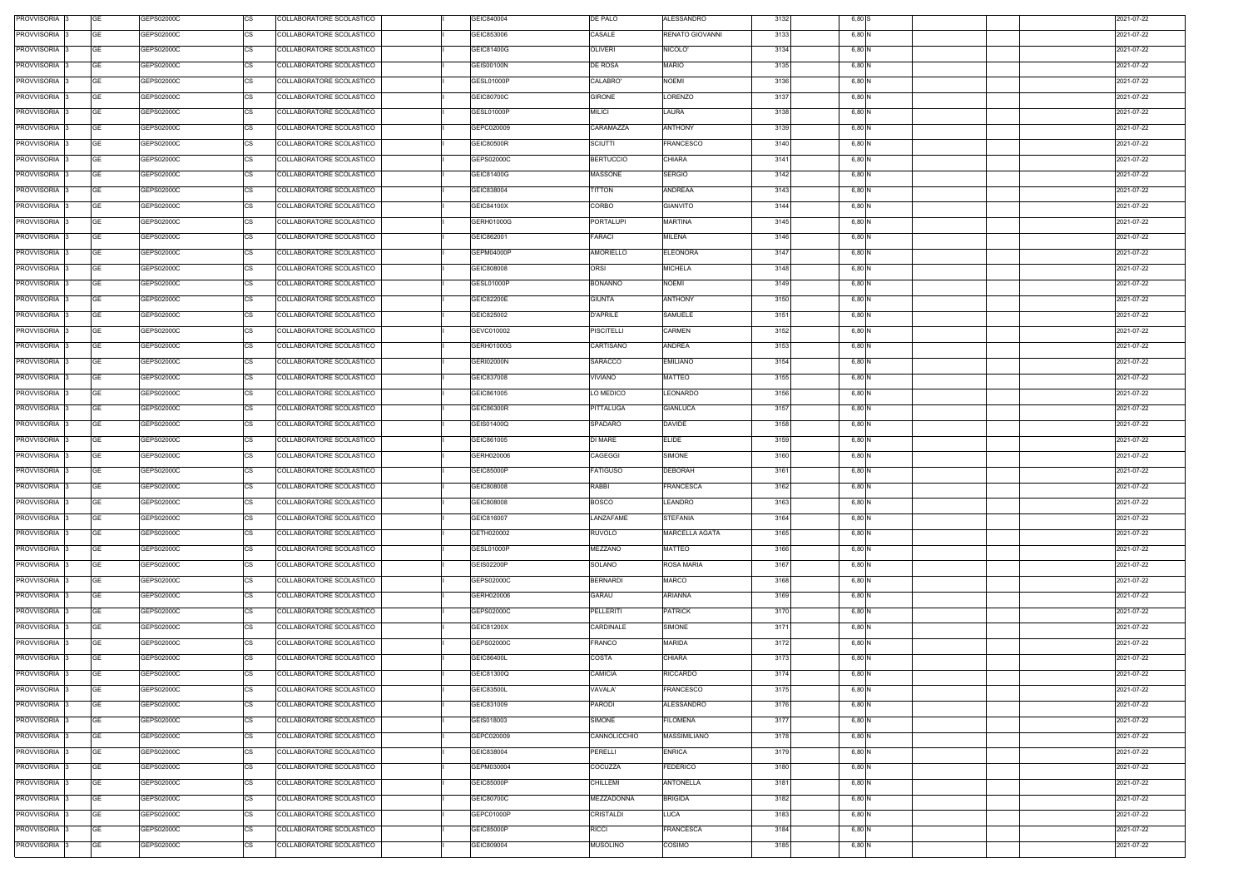| PROVVISORIA 3 | <b>GE</b><br>GEPS02000C | <b>CS</b> | COLLABORATORE SCOLASTICO | GEIC840004        | DE PALO           | ALESSANDRO            | 3132 | 6,80 S |  | 2021-07-22 |
|---------------|-------------------------|-----------|--------------------------|-------------------|-------------------|-----------------------|------|--------|--|------------|
| PROVVISORIA 3 | <b>GE</b><br>GEPS02000C | CS        | COLLABORATORE SCOLASTICO | GEIC853006        | CASALE            | RENATO GIOVANNI       | 3133 | 6,80 N |  | 2021-07-22 |
| PROVVISORIA 3 | <b>GE</b><br>GEPS02000C | CS        | COLLABORATORE SCOLASTICO | GEIC81400G        | <b>OLIVERI</b>    | NICOLO'               | 3134 | 6,80 N |  | 2021-07-22 |
| PROVVISORIA 3 | <b>GE</b><br>GEPS02000C | <b>CS</b> | COLLABORATORE SCOLASTICO | <b>GEIS00100N</b> | DE ROSA           | <b>MARIO</b>          | 3135 | 6,80 N |  | 2021-07-22 |
| PROVVISORIA 3 | <b>GE</b><br>GEPS02000C | <b>CS</b> | COLLABORATORE SCOLASTICO | GESL01000P        | CALABRO'          | <b>NOEMI</b>          | 3136 | 6,80 N |  | 2021-07-22 |
| PROVVISORIA 3 | <b>GE</b><br>GEPS02000C | <b>CS</b> | COLLABORATORE SCOLASTICO | GEIC80700C        | <b>GIRONE</b>     | LORENZO               | 3137 | 6,80 N |  | 2021-07-22 |
| PROVVISORIA 3 | <b>GE</b><br>GEPS02000C | <b>CS</b> | COLLABORATORE SCOLASTICO | GESL01000P        | <b>MILICI</b>     | LAURA                 | 3138 | 6,80 N |  | 2021-07-22 |
| PROVVISORIA 3 | <b>GE</b><br>GEPS02000C | <b>CS</b> | COLLABORATORE SCOLASTICO | GEPC020009        | CARAMAZZA         | <b>ANTHONY</b>        | 3139 | 6,80 N |  | 2021-07-22 |
| PROVVISORIA 3 | <b>GE</b><br>GEPS02000C | <b>CS</b> | COLLABORATORE SCOLASTICO | <b>GEIC80500R</b> | <b>SCIUTTI</b>    | FRANCESCO             | 3140 | 6,80 N |  | 2021-07-22 |
| PROVVISORIA 3 | <b>GE</b><br>GEPS02000C | <b>CS</b> | COLLABORATORE SCOLASTICO | GEPS02000C        | <b>BERTUCCIO</b>  | CHIARA                | 3141 | 6,80 N |  | 2021-07-22 |
| PROVVISORIA 3 | <b>GE</b><br>GEPS02000C | <b>CS</b> | COLLABORATORE SCOLASTICO | GEIC81400G        | <b>MASSONE</b>    | <b>SERGIO</b>         | 3142 | 6,80 N |  | 2021-07-22 |
| PROVVISORIA 3 | <b>GE</b><br>GEPS02000C | CS        | COLLABORATORE SCOLASTICO | GEIC838004        | <b>TITTON</b>     | ANDREAA               | 3143 | 6,80 N |  | 2021-07-22 |
| PROVVISORIA 3 | <b>GE</b><br>GEPS02000C | <b>CS</b> | COLLABORATORE SCOLASTICO | GEIC84100X        | CORBO             | <b>GIANVITO</b>       | 3144 | 6,80 N |  | 2021-07-22 |
| PROVVISORIA 3 | <b>GE</b><br>GEPS02000C | CS        | COLLABORATORE SCOLASTICO | GERH01000G        | <b>PORTALUPI</b>  | <b>MARTINA</b>        | 3145 | 6,80 N |  | 2021-07-22 |
| PROVVISORIA 3 | <b>GE</b><br>GEPS02000C | <b>CS</b> | COLLABORATORE SCOLASTICO | GEIC862001        | <b>FARACI</b>     | <b>MILENA</b>         | 3146 | 6,80 N |  | 2021-07-22 |
| PROVVISORIA 3 | <b>GE</b><br>GEPS02000C | CS        | COLLABORATORE SCOLASTICO | GEPM04000P        | AMORIELLO         | <b>ELEONORA</b>       | 3147 | 6,80 N |  | 2021-07-22 |
| PROVVISORIA 3 | <b>GE</b><br>GEPS02000C | <b>CS</b> | COLLABORATORE SCOLASTICO | GEIC808008        | ORSI              | <b>MICHELA</b>        | 3148 | 6,80 N |  | 2021-07-22 |
| PROVVISORIA 3 | <b>GE</b><br>GEPS02000C | <b>CS</b> | COLLABORATORE SCOLASTICO | GESL01000P        | <b>BONANNO</b>    | <b>NOEMI</b>          | 3149 | 6,80 N |  | 2021-07-22 |
| PROVVISORIA 3 | <b>GE</b><br>GEPS02000C | <b>CS</b> | COLLABORATORE SCOLASTICO | GEIC82200E        | GIUNTA            | <b>ANTHONY</b>        | 3150 | 6,80 N |  | 2021-07-22 |
| PROVVISORIA 3 | <b>GE</b><br>GEPS02000C | <b>CS</b> | COLLABORATORE SCOLASTICO | GEIC825002        | <b>D'APRILE</b>   | SAMUELE               | 3151 | 6,80 N |  | 2021-07-22 |
| PROVVISORIA 3 | <b>GE</b><br>GEPS02000C | <b>CS</b> | COLLABORATORE SCOLASTICO | GEVC010002        | <b>PISCITELLI</b> | CARMEN                | 3152 | 6,80 N |  | 2021-07-22 |
| PROVVISORIA 3 | <b>GE</b><br>GEPS02000C | <b>CS</b> | COLLABORATORE SCOLASTICO | GERH01000G        | CARTISANO         | ANDREA                | 3153 | 6,80 N |  | 2021-07-22 |
| PROVVISORIA 3 | <b>GE</b><br>GEPS02000C | <b>CS</b> | COLLABORATORE SCOLASTICO | <b>GERI02000N</b> | <b>SARACCO</b>    | <b>EMILIANO</b>       | 3154 | 6,80 N |  | 2021-07-22 |
| PROVVISORIA 3 | <b>GE</b><br>GEPS02000C | <b>CS</b> | COLLABORATORE SCOLASTICO | GEIC837008        | VIVIANO           | MATTEO                | 3155 | 6,80 N |  | 2021-07-22 |
| PROVVISORIA 3 | <b>GE</b><br>GEPS02000C | <b>CS</b> | COLLABORATORE SCOLASTICO | GEIC861005        | LO MEDICO         | LEONARDO              | 3156 | 6,80 N |  | 2021-07-22 |
| PROVVISORIA 3 | <b>GE</b><br>GEPS02000C | <b>CS</b> | COLLABORATORE SCOLASTICO | GEIC86300R        | PITTALUGA         | <b>GIANLUCA</b>       | 3157 | 6,80 N |  | 2021-07-22 |
| PROVVISORIA 3 | <b>GE</b><br>GEPS02000C | <b>CS</b> | COLLABORATORE SCOLASTICO | GEIS01400Q        | SPADARO           | <b>DAVIDE</b>         | 3158 | 6,80 N |  | 2021-07-22 |
| PROVVISORIA 3 | <b>GE</b><br>GEPS02000C | CS        | COLLABORATORE SCOLASTICO | GEIC861005        | <b>DI MARE</b>    | <b>ELIDE</b>          | 3159 | 6,80 N |  | 2021-07-22 |
| PROVVISORIA 3 | <b>GE</b><br>GEPS02000C | <b>CS</b> | COLLABORATORE SCOLASTICO | GERH020006        | CAGEGGI           | SIMONE                | 3160 | 6,80 N |  | 2021-07-22 |
| PROVVISORIA 3 | <b>GE</b><br>GEPS02000C | <b>CS</b> | COLLABORATORE SCOLASTICO | GEIC85000P        | <b>FATIGUSO</b>   | <b>DEBORAH</b>        | 3161 | 6,80 N |  | 2021-07-22 |
| PROVVISORIA 3 | <b>GE</b><br>GEPS02000C | <b>CS</b> | COLLABORATORE SCOLASTICO | GEIC808008        | <b>RABBI</b>      | <b>FRANCESCA</b>      | 3162 | 6,80 N |  | 2021-07-22 |
| PROVVISORIA 3 | <b>GE</b><br>GEPS02000C | <b>CS</b> | COLLABORATORE SCOLASTICO | GEIC808008        | <b>BOSCO</b>      | LEANDRO               | 3163 | 6,80 N |  | 2021-07-22 |
| PROVVISORIA 3 | <b>GE</b><br>GEPS02000C | CS        | COLLABORATORE SCOLASTICO | GEIC816007        | LANZAFAME         | <b>STEFANIA</b>       | 3164 | 6,80 N |  | 2021-07-22 |
| PROVVISORIA 3 | <b>GE</b><br>GEPS02000C | <b>CS</b> | COLLABORATORE SCOLASTICO | GETH020002        | <b>RUVOLO</b>     | <b>MARCELLA AGATA</b> | 3165 | 6,80 N |  | 2021-07-22 |
| PROVVISORIA 3 | <b>GE</b><br>GEPS02000C | <b>CS</b> | COLLABORATORE SCOLASTICO | GESL01000P        | MEZZANO           | MATTEO                | 3166 | 6,80 N |  | 2021-07-22 |
| PROVVISORIA 3 | <b>GE</b><br>GEPS02000C | <b>CS</b> | COLLABORATORE SCOLASTICO | <b>GEIS02200P</b> | SOLANO            | <b>ROSA MARIA</b>     | 3167 | 6,80 N |  | 2021-07-22 |
| PROVVISORIA 3 | <b>GE</b><br>GEPS02000C | CS        | COLLABORATORE SCOLASTICO | GEPS02000C        | <b>BERNARDI</b>   | <b>MARCO</b>          | 3168 | 6,80 N |  | 2021-07-22 |
| PROVVISORIA 3 | <b>GE</b><br>GEPS02000C | <b>CS</b> | COLLABORATORE SCOLASTICO | GERH020006        | <b>GARAU</b>      | ARIANNA               | 3169 | 6,80 N |  | 2021-07-22 |
| PROVVISORIA 3 | <b>GE</b><br>GEPS02000C | CS        | COLLABORATORE SCOLASTICO | GEPS02000C        | PELLERITI         | <b>PATRICK</b>        | 3170 | 6,80 N |  | 2021-07-22 |
| PROVVISORIA 3 | <b>GE</b><br>GEPS02000C | CS        | COLLABORATORE SCOLASTICO | GEIC81200X        | CARDINALE         | SIMONE                | 3171 | 6,80 N |  | 2021-07-22 |
| PROVVISORIA 3 | <b>GE</b><br>GEPS02000C | CS        | COLLABORATORE SCOLASTICO | GEPS02000C        | FRANCO            | <b>MARIDA</b>         | 3172 | 6,80 N |  | 2021-07-22 |
| PROVVISORIA 3 | <b>GE</b><br>GEPS02000C | <b>CS</b> | COLLABORATORE SCOLASTICO | GEIC86400L        | <b>COSTA</b>      | CHIARA                | 3173 | 6,80 N |  | 2021-07-22 |
| PROVVISORIA 3 | <b>GE</b><br>GEPS02000C | CS        | COLLABORATORE SCOLASTICO | GEIC81300Q        | <b>CAMICIA</b>    | <b>RICCARDO</b>       | 3174 | 6,80 N |  | 2021-07-22 |
| PROVVISORIA 3 | <b>GE</b><br>GEPS02000C | CS        | COLLABORATORE SCOLASTICO | GEIC83500L        | <b>VAVALA'</b>    | FRANCESCO             | 3175 | 6,80 N |  | 2021-07-22 |
| PROVVISORIA 3 | <b>GE</b><br>GEPS02000C | <b>CS</b> | COLLABORATORE SCOLASTICO | GEIC831009        | PARODI            | ALESSANDRO            | 3176 | 6,80 N |  | 2021-07-22 |
| PROVVISORIA 3 | <b>GE</b><br>GEPS02000C | <b>CS</b> | COLLABORATORE SCOLASTICO | GEIS018003        | SIMONE            | FILOMENA              | 3177 | 6,80 N |  | 2021-07-22 |
| PROVVISORIA 3 | <b>GE</b><br>GEPS02000C | <b>CS</b> | COLLABORATORE SCOLASTICO | GEPC020009        | CANNOLICCHIO      | MASSIMILIANO          | 3178 | 6,80 N |  | 2021-07-22 |
| PROVVISORIA 3 | <b>GE</b><br>GEPS02000C | <b>CS</b> | COLLABORATORE SCOLASTICO | GEIC838004        | PERELLI           | <b>ENRICA</b>         | 3179 | 6,80 N |  | 2021-07-22 |
| PROVVISORIA 3 | <b>GE</b><br>GEPS02000C | <b>CS</b> | COLLABORATORE SCOLASTICO | GEPM030004        | COCUZZA           | FEDERICO              | 3180 | 6,80 N |  | 2021-07-22 |
| PROVVISORIA 3 | <b>GE</b><br>GEPS02000C | <b>CS</b> | COLLABORATORE SCOLASTICO | GEIC85000P        | CHILLEMI          | <b>ANTONELLA</b>      | 3181 | 6,80 N |  | 2021-07-22 |
| PROVVISORIA 3 | <b>GE</b><br>GEPS02000C | <b>CS</b> | COLLABORATORE SCOLASTICO | GEIC80700C        | MEZZADONNA        | <b>BRIGIDA</b>        | 3182 | 6,80 N |  | 2021-07-22 |
| PROVVISORIA 3 | <b>GE</b><br>GEPS02000C | CS        | COLLABORATORE SCOLASTICO | GEPC01000P        | <b>CRISTALDI</b>  | LUCA                  | 3183 | 6,80 N |  | 2021-07-22 |
| PROVVISORIA 3 | <b>GE</b><br>GEPS02000C | <b>CS</b> | COLLABORATORE SCOLASTICO | GEIC85000P        | <b>RICCI</b>      | FRANCESCA             | 3184 | 6,80 N |  | 2021-07-22 |
| PROVVISORIA 3 | <b>GE</b><br>GEPS02000C | CS        | COLLABORATORE SCOLASTICO | GEIC809004        | <b>MUSOLINO</b>   | COSIMO                | 3185 | 6,80 N |  | 2021-07-22 |
|               |                         |           |                          |                   |                   |                       |      |        |  |            |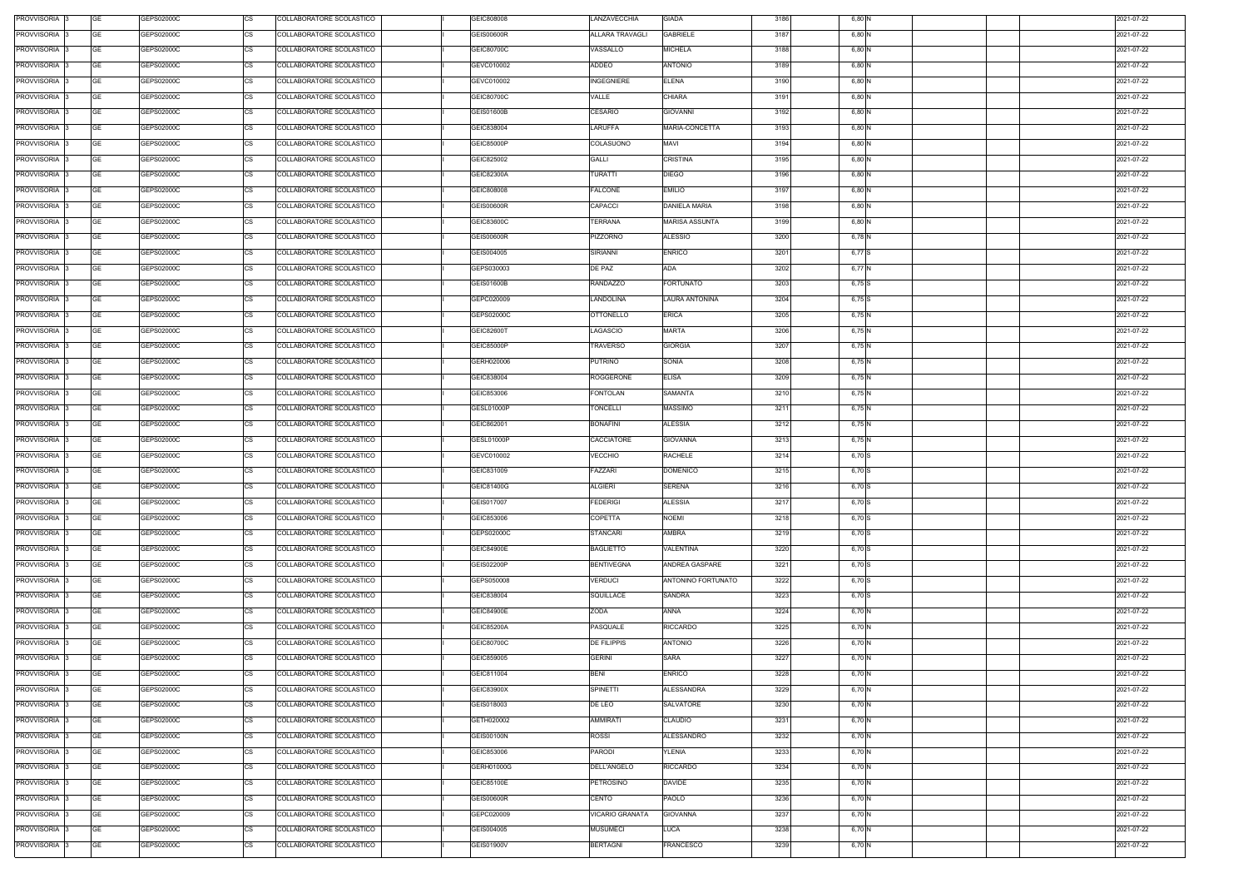| PROVVISORIA 3            | GE        | GEPS02000C | COLLABORATORE SCOLASTICO<br>CS        |  | GEIC808008        | LANZAVECCHIA       | <b>GIADA</b>          | 3186 | 6,80 N   |  | 2021-07-22 |
|--------------------------|-----------|------------|---------------------------------------|--|-------------------|--------------------|-----------------------|------|----------|--|------------|
| PROVVISORIA 3            | GE        | GEPS02000C | <b>CS</b><br>COLLABORATORE SCOLASTICO |  | <b>GEIS00600R</b> | ALLARA TRAVAGLI    | <b>GABRIELE</b>       | 3187 | 6,80 N   |  | 2021-07-22 |
| PROVVISORIA 3            | GE        | GEPS02000C | <b>CS</b><br>COLLABORATORE SCOLASTICO |  | GEIC80700C        | VASSALLO           | <b>MICHELA</b>        | 3188 | 6,80 N   |  | 2021-07-22 |
| PROVVISORIA 3            | GE        | GEPS02000C | <b>CS</b><br>COLLABORATORE SCOLASTICO |  | GEVC010002        | ADDEO              | ANTONIO               | 3189 | 6,80 N   |  | 2021-07-22 |
| PROVVISORIA 3            | <b>GE</b> | GEPS02000C | <b>CS</b><br>COLLABORATORE SCOLASTICO |  | GEVC010002        | <b>INGEGNIERE</b>  | <b>ELENA</b>          | 3190 | 6,80 N   |  | 2021-07-22 |
| PROVVISORIA 3            | GE        | GEPS02000C | <b>CS</b><br>COLLABORATORE SCOLASTICO |  | GEIC80700C        | VALLE              | <b>CHIARA</b>         | 3191 | 6,80 N   |  | 2021-07-22 |
| PROVVISORIA 3            | <b>GE</b> | GEPS02000C | <b>CS</b><br>COLLABORATORE SCOLASTICO |  | <b>GEIS01600B</b> | <b>CESARIO</b>     | <b>GIOVANNI</b>       | 3192 | 6,80 N   |  | 2021-07-22 |
| PROVVISORIA 3            | GE        | GEPS02000C | <b>CS</b><br>COLLABORATORE SCOLASTICO |  | GEIC838004        | <b>LARUFFA</b>     | MARIA-CONCETTA        | 3193 | 6,80 N   |  | 2021-07-22 |
| PROVVISORIA 3            | <b>GE</b> | GEPS02000C | <b>CS</b><br>COLLABORATORE SCOLASTICO |  | GEIC85000P        | COLASUONO          | <b>MAVI</b>           | 3194 | 6,80 N   |  | 2021-07-22 |
| PROVVISORIA 3            | <b>GE</b> | GEPS02000C | <b>CS</b><br>COLLABORATORE SCOLASTICO |  | GEIC825002        | <b>GALLI</b>       | CRISTINA              | 3195 | 6,80 N   |  | 2021-07-22 |
| PROVVISORIA 3            | <b>GE</b> | GEPS02000C | <b>CS</b><br>COLLABORATORE SCOLASTICO |  | GEIC82300A        | TURATTI            | <b>DIEGO</b>          | 3196 | 6,80 N   |  | 2021-07-22 |
| PROVVISORIA 3            | <b>GE</b> | GEPS02000C | CS<br>COLLABORATORE SCOLASTICO        |  | GEIC808008        | <b>FALCONE</b>     | <b>EMILIO</b>         | 3197 | 6,80 N   |  | 2021-07-22 |
| PROVVISORIA 3            | <b>GE</b> | GEPS02000C | <b>CS</b><br>COLLABORATORE SCOLASTICO |  | GEIS00600R        | CAPACCI            | DANIELA MARIA         | 3198 | 6,80 N   |  | 2021-07-22 |
| PROVVISORIA 3            | <b>GE</b> | GEPS02000C | <b>CS</b><br>COLLABORATORE SCOLASTICO |  | GEIC83600C        | <b>TERRANA</b>     | <b>MARISA ASSUNTA</b> | 3199 | 6,80 N   |  | 2021-07-22 |
| PROVVISORIA 3            | <b>GE</b> | GEPS02000C | COLLABORATORE SCOLASTICO<br>СS        |  | <b>GEIS00600R</b> | PIZZORNO           | ALESSIO               | 3200 | 6,78 N   |  | 2021-07-22 |
| PROVVISORIA 3            | <b>GE</b> | GEPS02000C | <b>CS</b><br>COLLABORATORE SCOLASTICO |  | GEIS004005        | SIRIANNI           | <b>ENRICO</b>         | 3201 | 6,77 S   |  | 2021-07-22 |
|                          | <b>GE</b> | GEPS02000C | <b>CS</b>                             |  | GEPS030003        | DE PAZ             | ADA                   | 3202 |          |  |            |
| PROVVISORIA 3            |           |            | COLLABORATORE SCOLASTICO              |  |                   |                    |                       |      | 6,77 N   |  | 2021-07-22 |
| PROVVISORIA 3            | <b>GE</b> | GEPS02000C | <b>CS</b><br>COLLABORATORE SCOLASTICO |  | GEIS01600B        | RANDAZZO           | <b>FORTUNATO</b>      | 3203 | $6,75$ S |  | 2021-07-22 |
| PROVVISORIA 3            | <b>GE</b> | GEPS02000C | <b>CS</b><br>COLLABORATORE SCOLASTICO |  | GEPC020009        | LANDOLINA          | LAURA ANTONINA        | 3204 | $6,75$ S |  | 2021-07-22 |
| PROVVISORIA 3            | GE        | GEPS02000C | <b>CS</b><br>COLLABORATORE SCOLASTICO |  | GEPS02000C        | <b>OTTONELLO</b>   | <b>ERICA</b>          | 3205 | 6,75 N   |  | 2021-07-22 |
| PROVVISORIA 3            | GE        | GEPS02000C | <b>CS</b><br>COLLABORATORE SCOLASTICO |  | GEIC82600T        | LAGASCIO           | MARTA                 | 3206 | 6,75 N   |  | 2021-07-22 |
| PROVVISORIA 3            | <b>GE</b> | GEPS02000C | <b>CS</b><br>COLLABORATORE SCOLASTICO |  | GEIC85000P        | TRAVERSO           | <b>GIORGIA</b>        | 3207 | 6,75 N   |  | 2021-07-22 |
| PROVVISORIA 3            | <b>GE</b> | GEPS02000C | <b>CS</b><br>COLLABORATORE SCOLASTICO |  | GERH020006        | PUTRINO            | SONIA                 | 3208 | 6,75 N   |  | 2021-07-22 |
| PROVVISORIA 3            | <b>GE</b> | GEPS02000C | <b>CS</b><br>COLLABORATORE SCOLASTICO |  | GEIC838004        | <b>ROGGERONE</b>   | <b>ELISA</b>          | 3209 | 6,75 N   |  | 2021-07-22 |
| PROVVISORIA 3            | <b>GE</b> | GEPS02000C | <b>CS</b><br>COLLABORATORE SCOLASTICO |  | GEIC853006        | FONTOLAN           | SAMANTA               | 3210 | 6,75 N   |  | 2021-07-22 |
| PROVVISORIA 3            | <b>GE</b> | GEPS02000C | <b>CS</b><br>COLLABORATORE SCOLASTICO |  | GESL01000P        | TONCELLI           | MASSIMO               | 3211 | 6,75 N   |  | 2021-07-22 |
| PROVVISORIA 3            | GE        | GEPS02000C | <b>CS</b><br>COLLABORATORE SCOLASTICO |  | GEIC862001        | <b>BONAFINI</b>    | ALESSIA               | 3212 | 6,75 N   |  | 2021-07-22 |
| PROVVISORIA 3            | GE        | GEPS02000C | <b>CS</b><br>COLLABORATORE SCOLASTICO |  | GESL01000P        | CACCIATORE         | <b>GIOVANNA</b>       | 3213 | 6,75 N   |  | 2021-07-22 |
| PROVVISORIA 3            | GE        | GEPS02000C | <b>CS</b><br>COLLABORATORE SCOLASTICO |  | GEVC010002        | VECCHIO            | <b>RACHELE</b>        | 3214 | 6,70 S   |  | 2021-07-22 |
| PROVVISORIA 3            | <b>GE</b> | GEPS02000C | <b>CS</b><br>COLLABORATORE SCOLASTICO |  | GEIC831009        | FAZZARI            | <b>DOMENICO</b>       | 3215 | 6,70 S   |  | 2021-07-22 |
| PROVVISORIA 3            | GE        | GEPS02000C | <b>CS</b><br>COLLABORATORE SCOLASTICO |  | GEIC81400G        | <b>ALGIERI</b>     | <b>SERENA</b>         | 3216 | 6,70 S   |  | 2021-07-22 |
| PROVVISORIA <sup>3</sup> | <b>GE</b> | GEPS02000C | <b>CS</b><br>COLLABORATORE SCOLASTICO |  | GEIS017007        | <b>FEDERIGI</b>    | <b>ALESSIA</b>        | 3217 | 6,70 S   |  | 2021-07-22 |
| PROVVISORIA 3            | GE        | GEPS02000C | <b>CS</b><br>COLLABORATORE SCOLASTICO |  | GEIC853006        | COPETTA            | <b>NOEMI</b>          | 3218 | 6,70 S   |  | 2021-07-22 |
| PROVVISORIA 3            | GE        | GEPS02000C | <b>CS</b><br>COLLABORATORE SCOLASTICO |  | GEPS02000C        | <b>STANCARI</b>    | AMBRA                 | 3219 | 6,70 S   |  | 2021-07-22 |
| PROVVISORIA 3            | <b>GE</b> | GEPS02000C | <b>CS</b><br>COLLABORATORE SCOLASTICO |  | GEIC84900E        | <b>BAGLIETTO</b>   | VALENTINA             | 3220 | 6,70 S   |  | 2021-07-22 |
| PROVVISORIA 3            | <b>GE</b> | GEPS02000C | <b>CS</b><br>COLLABORATORE SCOLASTICO |  | <b>GEIS02200P</b> | <b>BENTIVEGNA</b>  | <b>ANDREA GASPARE</b> | 3221 | 6,70 S   |  | 2021-07-22 |
| PROVVISORIA 3            | <b>GE</b> | GEPS02000C | <b>CS</b><br>COLLABORATORE SCOLASTICO |  | GEPS050008        | <b>VERDUCI</b>     | ANTONINO FORTUNATO    | 3222 | 6,70 S   |  | 2021-07-22 |
| PROVVISORIA 3            | <b>GE</b> | GEPS02000C | <b>CS</b><br>COLLABORATORE SCOLASTICO |  | GEIC838004        | SQUILLACE          | SANDRA                | 3223 | 6,70 S   |  | 2021-07-22 |
| PROVVISORIA 3            | <b>GE</b> | GEPS02000C | CS<br>COLLABORATORE SCOLASTICO        |  | GEIC84900E        | ZODA               | ANNA                  | 3224 | 6,70 N   |  | 2021-07-22 |
| PROVVISORIA 3            | <b>GE</b> | GEPS02000C | <b>CS</b><br>COLLABORATORE SCOLASTICO |  | GEIC85200A        | PASQUALE           | RICCARDO              | 3225 | 6,70 N   |  | 2021-07-22 |
| PROVVISORIA 3            | <b>GE</b> | GEPS02000C | <b>CS</b><br>COLLABORATORE SCOLASTICO |  | GEIC80700C        | <b>DE FILIPPIS</b> | ANTONIO               | 3226 | 6,70 N   |  | 2021-07-22 |
| PROVVISORIA 3            | <b>GE</b> | GEPS02000C | <b>CS</b><br>COLLABORATORE SCOLASTICO |  | GEIC859005        | <b>GERINI</b>      | SARA                  | 3227 | 6,70 N   |  | 2021-07-22 |
| PROVVISORIA 3            | <b>GE</b> | GEPS02000C | <b>CS</b><br>COLLABORATORE SCOLASTICO |  | GEIC811004        | <b>BENI</b>        | <b>ENRICO</b>         | 3228 | 6,70 N   |  | 2021-07-22 |
| PROVVISORIA 3            | <b>GE</b> | GEPS02000C | <b>CS</b><br>COLLABORATORE SCOLASTICO |  | GEIC83900X        | SPINETTI           | <b>ALESSANDRA</b>     | 3229 | 6,70 N   |  | 2021-07-22 |
| PROVVISORIA 3            | <b>GE</b> | GEPS02000C | CS<br>COLLABORATORE SCOLASTICO        |  | GEIS018003        | DE LEO             | SALVATORE             | 3230 | 6,70 N   |  | 2021-07-22 |
| PROVVISORIA 3            | <b>GE</b> | GEPS02000C | <b>CS</b><br>COLLABORATORE SCOLASTICO |  | GETH020002        | <b>AMMIRATI</b>    | CLAUDIO               | 3231 | 6,70 N   |  | 2021-07-22 |
| PROVVISORIA 3            | GE        | GEPS02000C | СS<br>COLLABORATORE SCOLASTICO        |  | <b>GEIS00100N</b> | <b>ROSSI</b>       | ALESSANDRO            | 3232 | 6,70 N   |  | 2021-07-22 |
| PROVVISORIA 3            | <b>GE</b> | GEPS02000C | <b>CS</b><br>COLLABORATORE SCOLASTICO |  | GEIC853006        | PARODI             | YLENIA                | 3233 | 6,70 N   |  | 2021-07-22 |
| PROVVISORIA 3            | <b>GE</b> | GEPS02000C | <b>CS</b><br>COLLABORATORE SCOLASTICO |  | GERH01000G        | <b>DELL'ANGELO</b> | RICCARDO              | 3234 | 6,70 N   |  | 2021-07-22 |
| PROVVISORIA 3            | <b>GE</b> | GEPS02000C | <b>CS</b><br>COLLABORATORE SCOLASTICO |  | GEIC85100E        | PETROSINO          | <b>DAVIDE</b>         | 3235 | 6,70 N   |  | 2021-07-22 |
| PROVVISORIA 3            | <b>GE</b> | GEPS02000C | <b>CS</b><br>COLLABORATORE SCOLASTICO |  | GEIS00600R        | CENTO              | PAOLO                 | 3236 | 6,70 N   |  | 2021-07-22 |
| PROVVISORIA 3            | GE        | GEPS02000C | <b>CS</b><br>COLLABORATORE SCOLASTICO |  | GEPC020009        | VICARIO GRANATA    | <b>GIOVANNA</b>       | 3237 | 6,70 N   |  | 2021-07-22 |
| PROVVISORIA 3            | <b>GE</b> | GEPS02000C | <b>CS</b><br>COLLABORATORE SCOLASTICO |  | GEIS004005        | <b>MUSUMECI</b>    | LUCA                  | 3238 | 6,70 N   |  | 2021-07-22 |
| PROVVISORIA 3            | GE        | GEPS02000C | <b>CS</b><br>COLLABORATORE SCOLASTICO |  | GEIS01900V        | <b>BERTAGNI</b>    | FRANCESCO             | 3239 | 6,70 N   |  | 2021-07-22 |
|                          |           |            |                                       |  |                   |                    |                       |      |          |  |            |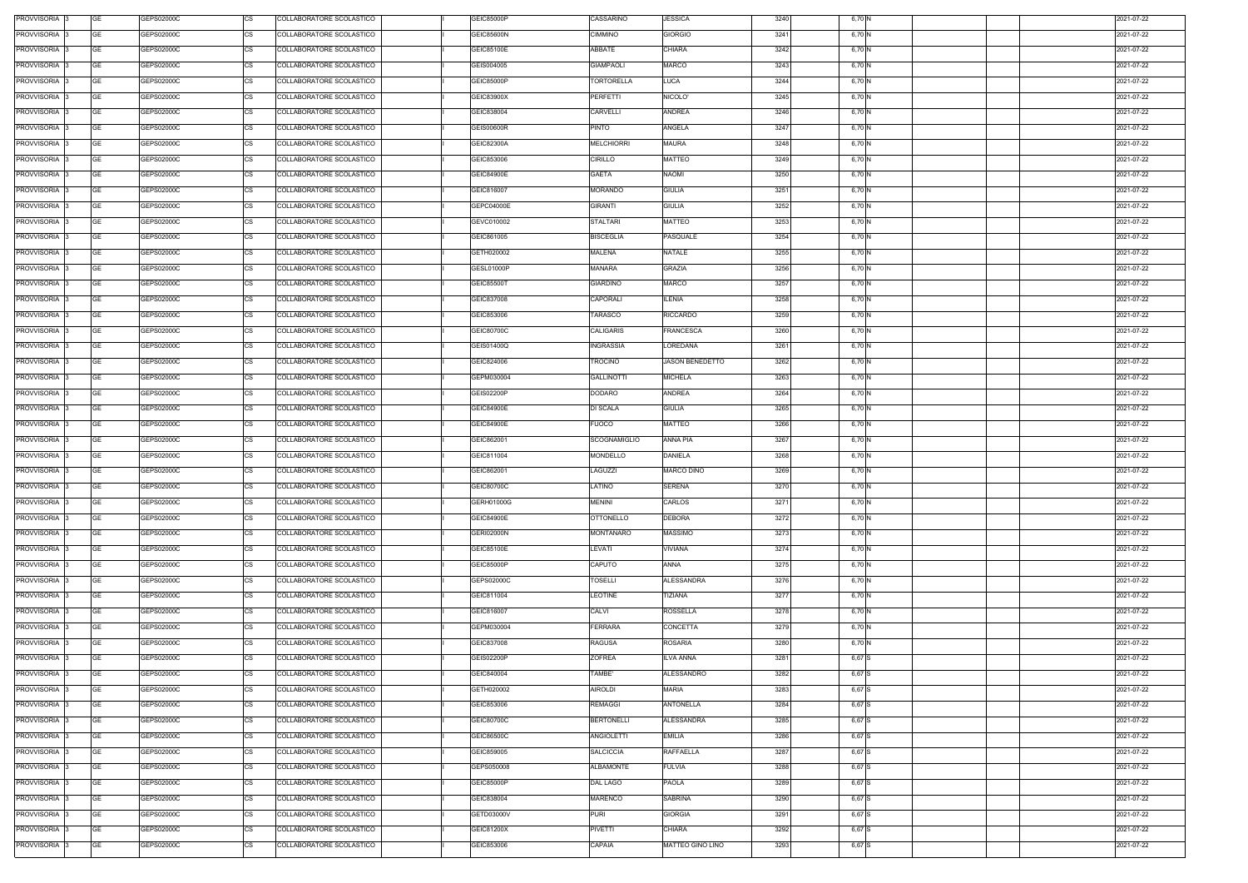| PROVVISORIA 3 | GE        | GEPS02000C | COLLABORATORE SCOLASTICO<br>CS        | GEIC85000P        | CASSARINO         | <b>JESSICA</b>         | 3240 | 6,70 N |  | 2021-07-22 |
|---------------|-----------|------------|---------------------------------------|-------------------|-------------------|------------------------|------|--------|--|------------|
| PROVVISORIA 3 | GE        | GEPS02000C | <b>CS</b><br>COLLABORATORE SCOLASTICO | <b>GEIC85600N</b> | <b>CIMMINO</b>    | <b>GIORGIO</b>         | 3241 | 6,70 N |  | 2021-07-22 |
| PROVVISORIA 3 | GE        | GEPS02000C | <b>CS</b><br>COLLABORATORE SCOLASTICO | GEIC85100E        | ABBATE            | CHIARA                 | 3242 | 6,70 N |  | 2021-07-22 |
| PROVVISORIA 3 | GE        | GEPS02000C | <b>CS</b><br>COLLABORATORE SCOLASTICO | GEIS004005        | <b>GIAMPAOLI</b>  | <b>MARCO</b>           | 3243 | 6,70 N |  | 2021-07-22 |
| PROVVISORIA 3 | <b>GE</b> | GEPS02000C | <b>CS</b><br>COLLABORATORE SCOLASTICO | GEIC85000P        | TORTORELLA        | LUCA                   | 3244 | 6,70 N |  | 2021-07-22 |
| PROVVISORIA 3 | GE        | GEPS02000C | <b>CS</b><br>COLLABORATORE SCOLASTICO | GEIC83900X        | PERFETTI          | NICOLO'                | 3245 | 6,70 N |  | 2021-07-22 |
| PROVVISORIA 3 | <b>GE</b> | GEPS02000C | <b>CS</b><br>COLLABORATORE SCOLASTICO | GEIC838004        | CARVELLI          | ANDREA                 | 3246 | 6,70 N |  | 2021-07-22 |
|               |           |            | <b>CS</b><br>COLLABORATORE SCOLASTICO |                   |                   |                        |      |        |  |            |
| PROVVISORIA 3 | GE        | GEPS02000C |                                       | <b>GEIS00600R</b> | <b>PINTO</b>      | ANGELA                 | 3247 | 6,70 N |  | 2021-07-22 |
| PROVVISORIA 3 | <b>GE</b> | GEPS02000C | <b>CS</b><br>COLLABORATORE SCOLASTICO | GEIC82300A        | <b>MELCHIORRI</b> | <b>MAURA</b>           | 3248 | 6,70 N |  | 2021-07-22 |
| PROVVISORIA 3 | <b>GE</b> | GEPS02000C | <b>CS</b><br>COLLABORATORE SCOLASTICO | GEIC853006        | <b>CIRILLO</b>    | <b>MATTEO</b>          | 3249 | 6,70 N |  | 2021-07-22 |
| PROVVISORIA 3 | <b>GE</b> | GEPS02000C | <b>CS</b><br>COLLABORATORE SCOLASTICO | GEIC84900E        | <b>GAETA</b>      | <b>NAOMI</b>           | 3250 | 6,70 N |  | 2021-07-22 |
| PROVVISORIA 3 | <b>GE</b> | GEPS02000C | CS<br>COLLABORATORE SCOLASTICO        | GEIC816007        | <b>MORANDO</b>    | <b>GIULIA</b>          | 3251 | 6,70 N |  | 2021-07-22 |
| PROVVISORIA 3 | <b>GE</b> | GEPS02000C | <b>CS</b><br>COLLABORATORE SCOLASTICO | GEPC04000E        | <b>GIRANTI</b>    | <b>GIULIA</b>          | 3252 | 6,70 N |  | 2021-07-22 |
| PROVVISORIA 3 | <b>GE</b> | GEPS02000C | <b>CS</b><br>COLLABORATORE SCOLASTICO | GEVC010002        | <b>STALTARI</b>   | MATTEO                 | 3253 | 6,70 N |  | 2021-07-22 |
| PROVVISORIA 3 | <b>GE</b> | GEPS02000C | COLLABORATORE SCOLASTICO<br>СS        | GEIC861005        | <b>BISCEGLIA</b>  | PASQUALE               | 3254 | 6,70 N |  | 2021-07-22 |
| PROVVISORIA 3 | <b>GE</b> | GEPS02000C | <b>CS</b><br>COLLABORATORE SCOLASTICO | GETH020002        | <b>MALENA</b>     | NATALE                 | 3255 | 6,70 N |  | 2021-07-22 |
| PROVVISORIA 3 | <b>GE</b> | GEPS02000C | <b>CS</b><br>COLLABORATORE SCOLASTICO | GESL01000P        | MANARA            | <b>GRAZIA</b>          | 3256 | 6,70 N |  | 2021-07-22 |
| PROVVISORIA 3 | <b>GE</b> | GEPS02000C | <b>CS</b><br>COLLABORATORE SCOLASTICO | GEIC85500T        | <b>GIARDINO</b>   | <b>MARCO</b>           | 3257 | 6,70 N |  | 2021-07-22 |
| PROVVISORIA 3 | <b>GE</b> | GEPS02000C | <b>CS</b><br>COLLABORATORE SCOLASTICO | GEIC837008        | CAPORALI          | <b>ILENIA</b>          | 3258 | 6,70 N |  | 2021-07-22 |
| PROVVISORIA 3 | GE        | GEPS02000C | <b>CS</b><br>COLLABORATORE SCOLASTICO | GEIC853006        | TARASCO           | <b>RICCARDO</b>        | 3259 | 6,70 N |  | 2021-07-22 |
| PROVVISORIA 3 | GE        | GEPS02000C | <b>CS</b><br>COLLABORATORE SCOLASTICO | GEIC80700C        | CALIGARIS         | <b>FRANCESCA</b>       | 3260 | 6,70 N |  | 2021-07-22 |
| PROVVISORIA 3 | <b>GE</b> | GEPS02000C | <b>CS</b><br>COLLABORATORE SCOLASTICO | GEIS01400Q        | <b>INGRASSIA</b>  | LOREDANA               | 3261 | 6,70 N |  | 2021-07-22 |
| PROVVISORIA 3 | <b>GE</b> | GEPS02000C | <b>CS</b><br>COLLABORATORE SCOLASTICO | GEIC824006        | TROCINO           | <b>JASON BENEDETTO</b> | 3262 | 6,70 N |  | 2021-07-22 |
| PROVVISORIA 3 | <b>GE</b> | GEPS02000C | <b>CS</b><br>COLLABORATORE SCOLASTICO | GEPM030004        | <b>GALLINOTTI</b> | <b>MICHELA</b>         | 3263 | 6,70 N |  | 2021-07-22 |
| PROVVISORIA 3 | <b>GE</b> | GEPS02000C | <b>CS</b><br>COLLABORATORE SCOLASTICO | <b>GEIS02200P</b> | DODARO            | ANDREA                 | 3264 | 6,70 N |  | 2021-07-22 |
| PROVVISORIA 3 | <b>GE</b> | GEPS02000C | <b>CS</b><br>COLLABORATORE SCOLASTICO | GEIC84900E        | <b>DI SCALA</b>   | GIULIA                 | 3265 | 6,70 N |  | 2021-07-22 |
| PROVVISORIA 3 | GE        | GEPS02000C | <b>CS</b><br>COLLABORATORE SCOLASTICO | GEIC84900E        | <b>FUOCO</b>      | MATTEO                 | 3266 | 6,70 N |  | 2021-07-22 |
| PROVVISORIA 3 | GE        | GEPS02000C | <b>CS</b><br>COLLABORATORE SCOLASTICO | GEIC862001        | SCOGNAMIGLIO      | ANNA PIA               | 3267 | 6,70 N |  | 2021-07-22 |
| PROVVISORIA 3 | GE        | GEPS02000C | <b>CS</b><br>COLLABORATORE SCOLASTICO | GEIC811004        | MONDELLO          | <b>DANIELA</b>         | 3268 | 6,70 N |  | 2021-07-22 |
| PROVVISORIA 3 | <b>GE</b> | GEPS02000C | <b>CS</b><br>COLLABORATORE SCOLASTICO | GEIC862001        | LAGUZZI           | <b>MARCO DINO</b>      | 3269 | 6,70 N |  | 2021-07-22 |
| PROVVISORIA 3 | GE        | GEPS02000C | <b>CS</b><br>COLLABORATORE SCOLASTICO | GEIC80700C        | LATINO            | <b>SERENA</b>          | 3270 | 6,70 N |  | 2021-07-22 |
| PROVVISORIA 3 | <b>GE</b> | GEPS02000C | <b>CS</b><br>COLLABORATORE SCOLASTICO | GERH01000G        | <b>MENINI</b>     | CARLOS                 | 3271 | 6,70 N |  | 2021-07-22 |
| PROVVISORIA 3 | GE        | GEPS02000C | <b>CS</b><br>COLLABORATORE SCOLASTICO | GEIC84900E        | <b>OTTONELLO</b>  | DEBORA                 | 3272 | 6,70 N |  | 2021-07-22 |
| PROVVISORIA 3 | GE        | GEPS02000C | <b>CS</b><br>COLLABORATORE SCOLASTICO | <b>GERI02000N</b> | MONTANARO         | <b>MASSIMO</b>         | 3273 | 6,70 N |  | 2021-07-22 |
| PROVVISORIA 3 | <b>GE</b> | GEPS02000C | <b>CS</b><br>COLLABORATORE SCOLASTICO | GEIC85100E        | LEVATI            | VIVIANA                | 3274 | 6,70 N |  | 2021-07-22 |
| PROVVISORIA 3 | <b>GE</b> | GEPS02000C | <b>CS</b><br>COLLABORATORE SCOLASTICO | GEIC85000P        | CAPUTO            | ANNA                   | 3275 | 6,70 N |  | 2021-07-22 |
| PROVVISORIA 3 | <b>GE</b> | GEPS02000C | <b>CS</b><br>COLLABORATORE SCOLASTICO | GEPS02000C        | <b>TOSELLI</b>    | <b>ALESSANDRA</b>      | 3276 | 6,70 N |  | 2021-07-22 |
|               |           |            | COLLABORATORE SCOLASTICO              |                   |                   |                        |      |        |  |            |
| PROVVISORIA 3 | <b>GE</b> | GEPS02000C | <b>CS</b>                             | GEIC811004        | <b>LEOTINE</b>    | TIZIANA                | 3277 | 6,70 N |  | 2021-07-22 |
| PROVVISORIA 3 | <b>GE</b> | GEPS02000C | CS<br>COLLABORATORE SCOLASTICO        | GEIC816007        | <b>CALVI</b>      | ROSSELLA               | 3278 | 6,70 N |  | 2021-07-22 |
| PROVVISORIA 3 | <b>GE</b> | GEPS02000C | <b>CS</b><br>COLLABORATORE SCOLASTICO | GEPM030004        | <b>FERRARA</b>    | CONCETTA               | 3279 | 6,70 N |  | 2021-07-22 |
| PROVVISORIA 3 | <b>GE</b> | GEPS02000C | <b>CS</b><br>COLLABORATORE SCOLASTICO | GEIC837008        | RAGUSA            | ROSARIA                | 3280 | 6,70 N |  | 2021-07-22 |
| PROVVISORIA 3 | <b>GE</b> | GEPS02000C | <b>CS</b><br>COLLABORATORE SCOLASTICO | <b>GEIS02200P</b> | <b>ZOFREA</b>     | ILVA ANNA              | 3281 | 6,67 S |  | 2021-07-22 |
| PROVVISORIA 3 | <b>GE</b> | GEPS02000C | <b>CS</b><br>COLLABORATORE SCOLASTICO | GEIC840004        | TAMBE'            | <b>ALESSANDRO</b>      | 3282 | 6,67 S |  | 2021-07-22 |
| PROVVISORIA 3 | <b>GE</b> | GEPS02000C | <b>CS</b><br>COLLABORATORE SCOLASTICO | GETH020002        | <b>AIROLDI</b>    | <b>MARIA</b>           | 3283 | 6,67 S |  | 2021-07-22 |
| PROVVISORIA 3 | <b>GE</b> | GEPS02000C | CS<br>COLLABORATORE SCOLASTICO        | GEIC853006        | <b>REMAGGI</b>    | <b>ANTONELLA</b>       | 3284 | 6,67 S |  | 2021-07-22 |
| PROVVISORIA 3 | <b>GE</b> | GEPS02000C | <b>CS</b><br>COLLABORATORE SCOLASTICO | GEIC80700C        | <b>BERTONELLI</b> | ALESSANDRA             | 3285 | 6,67 S |  | 2021-07-22 |
| PROVVISORIA 3 | GE        | GEPS02000C | СS<br>COLLABORATORE SCOLASTICO        | GEIC86500C        | <b>ANGIOLETTI</b> | <b>EMILIA</b>          | 3286 | 6,67 S |  | 2021-07-22 |
| PROVVISORIA 3 | <b>GE</b> | GEPS02000C | <b>CS</b><br>COLLABORATORE SCOLASTICO | GEIC859005        | <b>SALCICCIA</b>  | <b>RAFFAELLA</b>       | 3287 | 6,67 S |  | 2021-07-22 |
| PROVVISORIA 3 | <b>GE</b> | GEPS02000C | <b>CS</b><br>COLLABORATORE SCOLASTICO | GEPS050008        | <b>ALBAMONTE</b>  | <b>FULVIA</b>          | 3288 | 6,67 S |  | 2021-07-22 |
| PROVVISORIA 3 | <b>GE</b> | GEPS02000C | <b>CS</b><br>COLLABORATORE SCOLASTICO | GEIC85000P        | DAL LAGO          | PAOLA                  | 3289 | 6,67 S |  | 2021-07-22 |
| PROVVISORIA 3 | <b>GE</b> | GEPS02000C | <b>CS</b><br>COLLABORATORE SCOLASTICO | GEIC838004        | <b>MARENCO</b>    | SABRINA                | 3290 | 6,67 S |  | 2021-07-22 |
| PROVVISORIA 3 | GE        | GEPS02000C | <b>CS</b><br>COLLABORATORE SCOLASTICO | GETD03000V        | <b>PURI</b>       | GIORGIA                | 3291 | 6,67 S |  | 2021-07-22 |
| PROVVISORIA 3 | <b>GE</b> | GEPS02000C | <b>CS</b><br>COLLABORATORE SCOLASTICO | GEIC81200X        | <b>PIVETTI</b>    | CHIARA                 | 3292 | 6,67 S |  | 2021-07-22 |
| PROVVISORIA 3 | <b>GE</b> | GEPS02000C | <b>CS</b><br>COLLABORATORE SCOLASTICO | GEIC853006        | CAPAIA            | MATTEO GINO LINO       | 3293 | 6,67 S |  | 2021-07-22 |
|               |           |            |                                       |                   |                   |                        |      |        |  |            |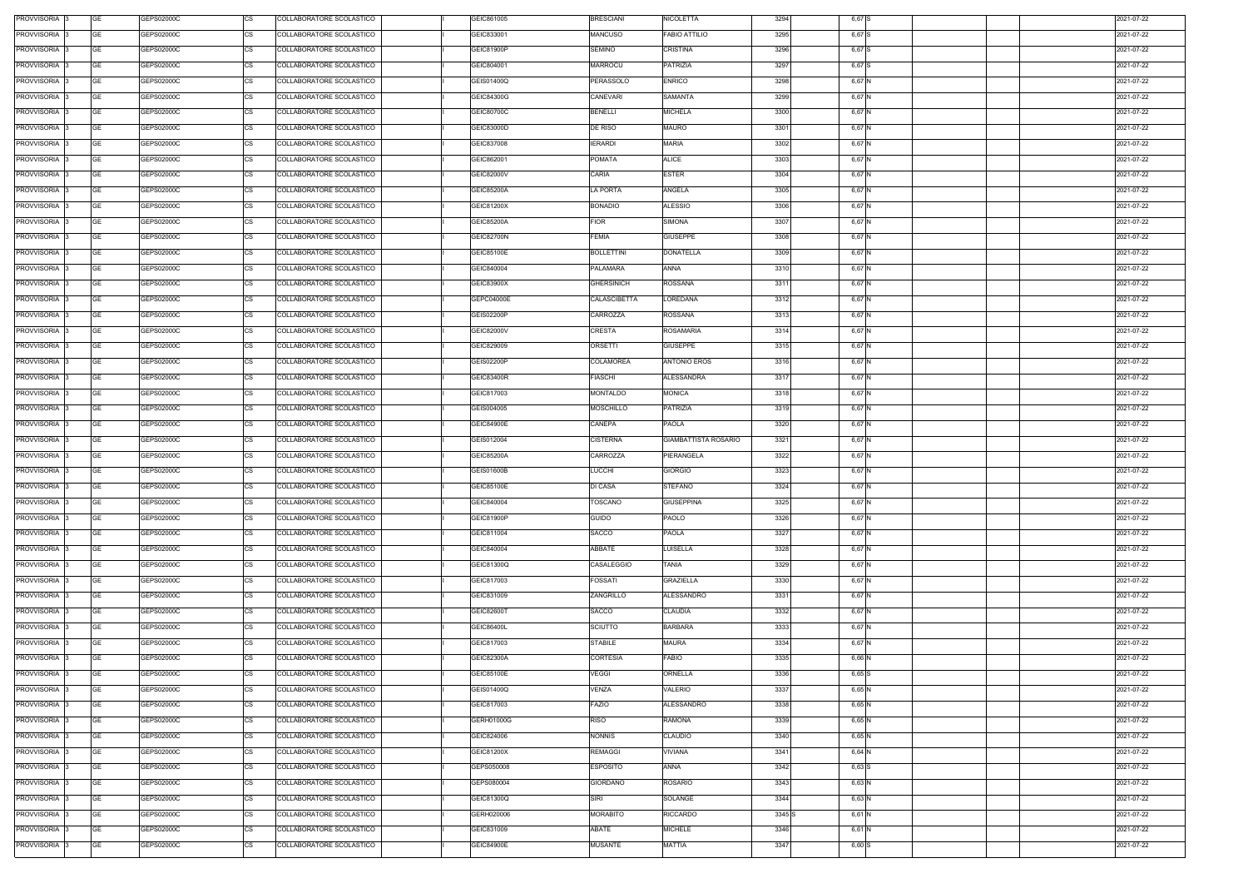| PROVVISORIA 3 | GE        | GEPS02000C | COLLABORATORE SCOLASTICO<br>CS        | GEIC861005        | <b>BRESCIANI</b>  | <b>NICOLETTA</b>     | 3294   | 6,67 S   |  | 2021-07-22 |
|---------------|-----------|------------|---------------------------------------|-------------------|-------------------|----------------------|--------|----------|--|------------|
| PROVVISORIA 3 | GE        | GEPS02000C | <b>CS</b><br>COLLABORATORE SCOLASTICO | GEIC833001        | MANCUSO           | <b>FABIO ATTILIO</b> | 3295   | 6,67 S   |  | 2021-07-22 |
| PROVVISORIA 3 | GE        | GEPS02000C | <b>CS</b><br>COLLABORATORE SCOLASTICO | GEIC81900P        | <b>SEMINO</b>     | CRISTINA             | 3296   | 6,67 S   |  | 2021-07-22 |
| PROVVISORIA 3 | GE        | GEPS02000C | <b>CS</b><br>COLLABORATORE SCOLASTICO | GEIC804001        | MARROCU           | PATRIZIA             | 3297   | 6,67 S   |  | 2021-07-22 |
| PROVVISORIA 3 | <b>GE</b> | GEPS02000C | <b>CS</b><br>COLLABORATORE SCOLASTICO | GEIS01400Q        | PERASSOLO         | <b>ENRICO</b>        | 3298   | 6,67 N   |  | 2021-07-22 |
| PROVVISORIA 3 | GE        | GEPS02000C | <b>CS</b><br>COLLABORATORE SCOLASTICO | GEIC84300G        | CANEVARI          | SAMANTA              | 3299   | 6,67 N   |  | 2021-07-22 |
| PROVVISORIA 3 | <b>GE</b> | GEPS02000C | <b>CS</b><br>COLLABORATORE SCOLASTICO | GEIC80700C        | <b>BENELLI</b>    | MICHELA              | 3300   | 6,67 N   |  | 2021-07-22 |
| PROVVISORIA 3 | GE        | GEPS02000C | <b>CS</b><br>COLLABORATORE SCOLASTICO | GEIC83000D        | DE RISO           | <b>MAURO</b>         | 3301   | 6,67 N   |  | 2021-07-22 |
| PROVVISORIA 3 | <b>GE</b> | GEPS02000C | <b>CS</b><br>COLLABORATORE SCOLASTICO | GEIC837008        | <b>IERARDI</b>    | <b>MARIA</b>         | 3302   | 6,67 N   |  | 2021-07-22 |
| PROVVISORIA 3 | <b>GE</b> | GEPS02000C | <b>CS</b><br>COLLABORATORE SCOLASTICO | GEIC862001        | POMATA            | <b>ALICE</b>         | 3303   | 6,67 N   |  | 2021-07-22 |
| PROVVISORIA 3 | <b>GE</b> | GEPS02000C | <b>CS</b><br>COLLABORATORE SCOLASTICO | GEIC82000V        | CARIA             | <b>ESTER</b>         | 3304   | 6,67 N   |  | 2021-07-22 |
| PROVVISORIA 3 | <b>GE</b> | GEPS02000C | CS<br>COLLABORATORE SCOLASTICO        | GEIC85200A        | <b>LA PORTA</b>   | ANGELA               | 3305   | 6,67 N   |  | 2021-07-22 |
| PROVVISORIA 3 | <b>GE</b> | GEPS02000C | <b>CS</b><br>COLLABORATORE SCOLASTICO | GEIC81200X        | <b>BONADIO</b>    | <b>ALESSIO</b>       | 3306   | 6,67 N   |  | 2021-07-22 |
| PROVVISORIA 3 | <b>GE</b> | GEPS02000C | <b>CS</b><br>COLLABORATORE SCOLASTICO | GEIC85200A        | <b>FIOR</b>       | SIMONA               | 3307   | 6,67 N   |  | 2021-07-22 |
| PROVVISORIA 3 | <b>GE</b> | GEPS02000C | <b>CS</b><br>COLLABORATORE SCOLASTICO | <b>GEIC82700N</b> | <b>FEMIA</b>      | <b>GIUSEPPE</b>      | 3308   | 6,67 N   |  | 2021-07-22 |
| PROVVISORIA 3 | <b>GE</b> | GEPS02000C | <b>CS</b><br>COLLABORATORE SCOLASTICO | GEIC85100E        | <b>BOLLETTINI</b> | <b>DONATELLA</b>     | 3309   | 6,67 N   |  | 2021-07-22 |
|               | <b>GE</b> | GEPS02000C | <b>CS</b>                             |                   | PALAMARA          |                      | 3310   |          |  |            |
| PROVVISORIA 3 |           |            | COLLABORATORE SCOLASTICO              | GEIC840004        |                   | ANNA                 |        | 6,67 N   |  | 2021-07-22 |
| PROVVISORIA 3 | <b>GE</b> | GEPS02000C | <b>CS</b><br>COLLABORATORE SCOLASTICO | GEIC83900X        | <b>GHERSINICH</b> | <b>ROSSANA</b>       | 3311   | 6,67 N   |  | 2021-07-22 |
| PROVVISORIA 3 | <b>GE</b> | GEPS02000C | <b>CS</b><br>COLLABORATORE SCOLASTICO | GEPC04000E        | CALASCIBETTA      | LOREDANA             | 3312   | 6,67 N   |  | 2021-07-22 |
| PROVVISORIA 3 | GE        | GEPS02000C | <b>CS</b><br>COLLABORATORE SCOLASTICO | GEIS02200P        | CARROZZA          | ROSSANA              | 3313   | 6,67 N   |  | 2021-07-22 |
| PROVVISORIA 3 | GE        | GEPS02000C | <b>CS</b><br>COLLABORATORE SCOLASTICO | GEIC82000V        | CRESTA            | <b>ROSAMARIA</b>     | 3314   | 6,67 N   |  | 2021-07-22 |
| PROVVISORIA 3 | <b>GE</b> | GEPS02000C | <b>CS</b><br>COLLABORATORE SCOLASTICO | GEIC829009        | ORSETTI           | <b>GIUSEPPE</b>      | 3315   | 6,67 N   |  | 2021-07-22 |
| PROVVISORIA 3 | <b>GE</b> | GEPS02000C | <b>CS</b><br>COLLABORATORE SCOLASTICO | <b>GEIS02200P</b> | COLAMOREA         | <b>ANTONIO EROS</b>  | 3316   | 6,67 N   |  | 2021-07-22 |
| PROVVISORIA 3 | <b>GE</b> | GEPS02000C | <b>CS</b><br>COLLABORATORE SCOLASTICO | GEIC83400R        | <b>FIASCHI</b>    | ALESSANDRA           | 3317   | 6,67 N   |  | 2021-07-22 |
| PROVVISORIA 3 | <b>GE</b> | GEPS02000C | <b>CS</b><br>COLLABORATORE SCOLASTICO | GEIC817003        | MONTALDO          | <b>MONICA</b>        | 3318   | 6,67 N   |  | 2021-07-22 |
| PROVVISORIA 3 | <b>GE</b> | GEPS02000C | <b>CS</b><br>COLLABORATORE SCOLASTICO | GEIS004005        | MOSCHILLO         | PATRIZIA             | 3319   | 6,67 N   |  | 2021-07-22 |
| PROVVISORIA 3 | GE        | GEPS02000C | <b>CS</b><br>COLLABORATORE SCOLASTICO | <b>GEIC84900E</b> | CANEPA            | PAOLA                | 3320   | 6,67 N   |  | 2021-07-22 |
| PROVVISORIA 3 | <b>GE</b> | GEPS02000C | <b>CS</b><br>COLLABORATORE SCOLASTICO | GEIS012004        | <b>CISTERNA</b>   | GIAMBATTISTA ROSARIO | 3321   | 6,67 N   |  | 2021-07-22 |
| PROVVISORIA 3 | GE        | GEPS02000C | <b>CS</b><br>COLLABORATORE SCOLASTICO | GEIC85200A        | CARROZZA          | PIERANGELA           | 3322   | 6,67 N   |  | 2021-07-22 |
| PROVVISORIA 3 | <b>GE</b> | GEPS02000C | <b>CS</b><br>COLLABORATORE SCOLASTICO | <b>GEIS01600B</b> | LUCCHI            | <b>GIORGIO</b>       | 3323   | 6,67 N   |  | 2021-07-22 |
| PROVVISORIA 3 | GE        | GEPS02000C | <b>CS</b><br>COLLABORATORE SCOLASTICO | GEIC85100E        | DI CASA           | <b>STEFANO</b>       | 3324   | 6,67 N   |  | 2021-07-22 |
| PROVVISORIA 3 | <b>GE</b> | GEPS02000C | <b>CS</b><br>COLLABORATORE SCOLASTICO | GEIC840004        | TOSCANO           | <b>GIUSEPPINA</b>    | 3325   | 6,67 N   |  | 2021-07-22 |
| PROVVISORIA 3 | GE        | GEPS02000C | <b>CS</b><br>COLLABORATORE SCOLASTICO | GEIC81900P        | <b>GUIDO</b>      | <b>PAOLO</b>         | 3326   | 6,67 N   |  | 2021-07-22 |
| PROVVISORIA 3 | <b>GE</b> | GEPS02000C | <b>CS</b><br>COLLABORATORE SCOLASTICO | GEIC811004        | SACCO             | <b>PAOLA</b>         | 3327   | 6,67 N   |  | 2021-07-22 |
| PROVVISORIA 3 | <b>GE</b> | GEPS02000C | <b>CS</b><br>COLLABORATORE SCOLASTICO | GEIC840004        | ABBATE            | LUISELLA             | 3328   | 6,67 N   |  | 2021-07-22 |
| PROVVISORIA 3 | <b>GE</b> | GEPS02000C | <b>CS</b><br>COLLABORATORE SCOLASTICO | GEIC81300Q        | CASALEGGIO        | TANIA                | 3329   | 6,67 N   |  | 2021-07-22 |
| PROVVISORIA 3 | <b>GE</b> | GEPS02000C | <b>CS</b><br>COLLABORATORE SCOLASTICO | GEIC817003        | <b>FOSSATI</b>    | <b>GRAZIELLA</b>     | 3330   | 6,67 N   |  | 2021-07-22 |
| PROVVISORIA 3 | <b>GE</b> | GEPS02000C | <b>CS</b><br>COLLABORATORE SCOLASTICO | GEIC831009        | ZANGRILLO         | ALESSANDRO           | 3331   | 6,67 N   |  | 2021-07-22 |
| PROVVISORIA 3 | <b>GE</b> | GEPS02000C | CS<br>COLLABORATORE SCOLASTICO        | GEIC82600T        | SACCO             | CLAUDIA              | 3332   | 6,67 N   |  | 2021-07-22 |
| PROVVISORIA 3 | <b>GE</b> | GEPS02000C | <b>CS</b><br>COLLABORATORE SCOLASTICO | GEIC86400L        | <b>SCIUTTO</b>    | <b>BARBARA</b>       | 3333   | 6,67 N   |  | 2021-07-22 |
| PROVVISORIA 3 | <b>GE</b> | GEPS02000C | <b>CS</b><br>COLLABORATORE SCOLASTICO | GEIC817003        | <b>STABILE</b>    | <b>MAURA</b>         | 3334   | 6,67 N   |  | 2021-07-22 |
| PROVVISORIA 3 | <b>GE</b> | GEPS02000C | <b>CS</b><br>COLLABORATORE SCOLASTICO | GEIC82300A        | <b>CORTESIA</b>   | <b>FABIO</b>         | 3335   | 6,66 N   |  | 2021-07-22 |
| PROVVISORIA 3 | <b>GE</b> | GEPS02000C | <b>CS</b><br>COLLABORATORE SCOLASTICO | GEIC85100E        | <b>VEGGI</b>      | ORNELLA              | 3336   | $6,65$ S |  | 2021-07-22 |
| PROVVISORIA 3 | <b>GE</b> | GEPS02000C | <b>CS</b><br>COLLABORATORE SCOLASTICO | GEIS01400Q        | VENZA             | VALERIO              | 3337   | 6,65 N   |  | 2021-07-22 |
| PROVVISORIA 3 | <b>GE</b> | GEPS02000C | CS<br>COLLABORATORE SCOLASTICO        | GEIC817003        | <b>FAZIO</b>      | ALESSANDRO           | 3338   | 6,65 N   |  | 2021-07-22 |
| PROVVISORIA 3 | <b>GE</b> | GEPS02000C | <b>CS</b><br>COLLABORATORE SCOLASTICO | GERH01000G        | <b>RISO</b>       | RAMONA               | 3339   | 6,65 N   |  | 2021-07-22 |
| PROVVISORIA 3 | GE        | GEPS02000C | СS<br>COLLABORATORE SCOLASTICO        | GEIC824006        | <b>NONNIS</b>     | CLAUDIO              | 3340   | 6,65 N   |  | 2021-07-22 |
| PROVVISORIA 3 | <b>GE</b> | GEPS02000C | <b>CS</b><br>COLLABORATORE SCOLASTICO | GEIC81200X        | <b>REMAGGI</b>    | VIVIANA              | 3341   | 6,64 N   |  | 2021-07-22 |
| PROVVISORIA 3 | <b>GE</b> | GEPS02000C | <b>CS</b><br>COLLABORATORE SCOLASTICO | GEPS050008        | <b>ESPOSITO</b>   | ANNA                 | 3342   | $6,63$ S |  | 2021-07-22 |
| PROVVISORIA 3 | <b>GE</b> | GEPS02000C | <b>CS</b><br>COLLABORATORE SCOLASTICO | GEPS080004        | GIORDANO          | <b>ROSARIO</b>       | 3343   | 6,63 N   |  | 2021-07-22 |
| PROVVISORIA 3 | <b>GE</b> | GEPS02000C | <b>CS</b><br>COLLABORATORE SCOLASTICO | GEIC81300Q        | <b>SIRI</b>       | SOLANGE              | 3344   | 6,63 N   |  | 2021-07-22 |
| PROVVISORIA 3 | GE        | GEPS02000C | <b>CS</b><br>COLLABORATORE SCOLASTICO | GERH020006        | <b>MORABITO</b>   | RICCARDO             | 3345 S | 6,61 N   |  | 2021-07-22 |
| PROVVISORIA 3 | <b>GE</b> |            | <b>CS</b><br>COLLABORATORE SCOLASTICO | GEIC831009        |                   | MICHELE              | 3346   |          |  | 2021-07-22 |
|               |           | GEPS02000C |                                       |                   | ABATE             |                      |        | 6,61 N   |  |            |
| PROVVISORIA 3 | <b>GE</b> | GEPS02000C | <b>CS</b><br>COLLABORATORE SCOLASTICO | <b>GEIC84900E</b> | MUSANTE           | MATTIA               | 3347   | 6,60 S   |  | 2021-07-22 |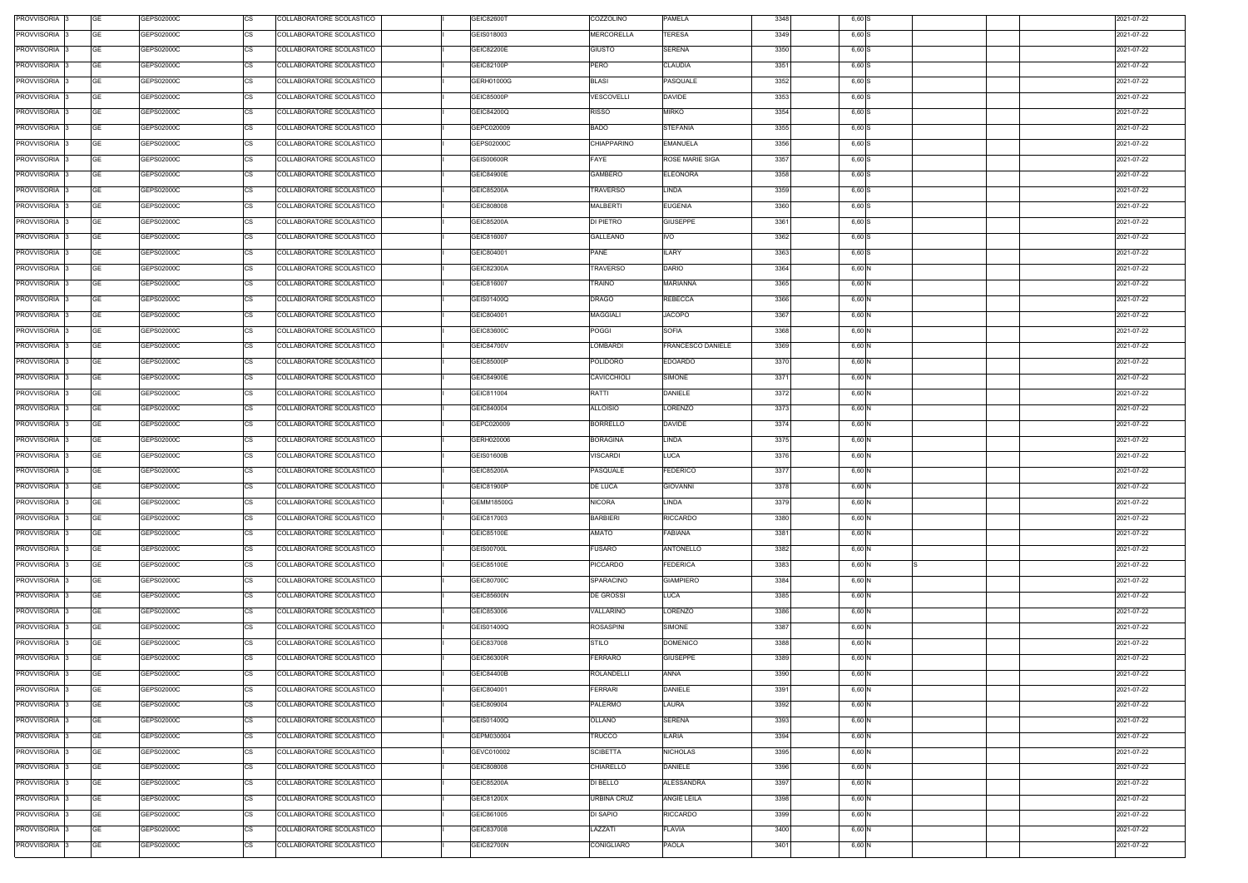| PROVVISORIA 3 | GE        | GEPS02000C | COLLABORATORE SCOLASTICO<br>CS        | GEIC82600T        | COZZOLINO       | PAMELA                 | 3348 | 6,60 S   |  | 2021-07-22 |
|---------------|-----------|------------|---------------------------------------|-------------------|-----------------|------------------------|------|----------|--|------------|
| PROVVISORIA 3 | GE        | GEPS02000C | <b>CS</b><br>COLLABORATORE SCOLASTICO | GEIS018003        | MERCORELLA      | TERESA                 | 3349 | $6,60$ S |  | 2021-07-22 |
| PROVVISORIA 3 | GE        | GEPS02000C | <b>CS</b><br>COLLABORATORE SCOLASTICO | GEIC82200E        | <b>GIUSTO</b>   | <b>SERENA</b>          | 3350 | 6,60 S   |  | 2021-07-22 |
| PROVVISORIA 3 | GE        | GEPS02000C | <b>CS</b><br>COLLABORATORE SCOLASTICO | GEIC82100P        | PERO            | <b>CLAUDIA</b>         | 3351 | 6,60 S   |  | 2021-07-22 |
| PROVVISORIA 3 | <b>GE</b> | GEPS02000C | <b>CS</b><br>COLLABORATORE SCOLASTICO | GERH01000G        | <b>BLASI</b>    | PASQUALE               | 3352 | 6,60 S   |  | 2021-07-22 |
| PROVVISORIA 3 | GE        | GEPS02000C | <b>CS</b><br>COLLABORATORE SCOLASTICO | GEIC85000P        | VESCOVELLI      | DAVIDE                 | 3353 | $6,60$ S |  | 2021-07-22 |
| PROVVISORIA 3 | <b>GE</b> | GEPS02000C | <b>CS</b><br>COLLABORATORE SCOLASTICO | GEIC84200Q        | <b>RISSO</b>    | <b>MIRKO</b>           | 3354 | $6,60$ S |  | 2021-07-22 |
| PROVVISORIA 3 | GE        | GEPS02000C | <b>CS</b><br>COLLABORATORE SCOLASTICO | GEPC020009        | <b>BADO</b>     | <b>STEFANIA</b>        | 3355 | $6,60$ S |  | 2021-07-22 |
| PROVVISORIA 3 | <b>GE</b> | GEPS02000C | <b>CS</b><br>COLLABORATORE SCOLASTICO | GEPS02000C        | CHIAPPARINO     | <b>EMANUELA</b>        | 3356 | 6,60 S   |  | 2021-07-22 |
|               |           |            |                                       |                   |                 |                        |      |          |  |            |
| PROVVISORIA 3 | <b>GE</b> | GEPS02000C | <b>CS</b><br>COLLABORATORE SCOLASTICO | <b>GEIS00600R</b> | FAYE            | <b>ROSE MARIE SIGA</b> | 3357 | 6,60 S   |  | 2021-07-22 |
| PROVVISORIA 3 | <b>GE</b> | GEPS02000C | <b>CS</b><br>COLLABORATORE SCOLASTICO | GEIC84900E        | GAMBERO         | <b>ELEONORA</b>        | 3358 | $6,60$ S |  | 2021-07-22 |
| PROVVISORIA 3 | <b>GE</b> | GEPS02000C | CS<br>COLLABORATORE SCOLASTICO        | GEIC85200A        | TRAVERSO        | LINDA                  | 3359 | 6,60 S   |  | 2021-07-22 |
| PROVVISORIA 3 | <b>GE</b> | GEPS02000C | <b>CS</b><br>COLLABORATORE SCOLASTICO | GEIC808008        | <b>MALBERTI</b> | <b>EUGENIA</b>         | 3360 | $6,60$ S |  | 2021-07-22 |
| PROVVISORIA 3 | <b>GE</b> | GEPS02000C | <b>CS</b><br>COLLABORATORE SCOLASTICO | GEIC85200A        | DI PIETRO       | <b>GIUSEPPE</b>        | 3361 | $6,60$ S |  | 2021-07-22 |
| PROVVISORIA 3 | <b>GE</b> | GEPS02000C | <b>CS</b><br>COLLABORATORE SCOLASTICO | GEIC816007        | GALLEANO        | <b>IVO</b>             | 3362 | $6,60$ S |  | 2021-07-22 |
| PROVVISORIA 3 | <b>GE</b> | GEPS02000C | <b>CS</b><br>COLLABORATORE SCOLASTICO | GEIC804001        | PANE            | <b>ILARY</b>           | 3363 | 6,60 S   |  | 2021-07-22 |
| PROVVISORIA 3 | <b>GE</b> | GEPS02000C | <b>CS</b><br>COLLABORATORE SCOLASTICO | GEIC82300A        | TRAVERSO        | <b>DARIO</b>           | 3364 | 6,60 N   |  | 2021-07-22 |
| PROVVISORIA 3 | <b>GE</b> | GEPS02000C | <b>CS</b><br>COLLABORATORE SCOLASTICO | GEIC816007        | TRAINO          | MARIANNA               | 3365 | 6,60 N   |  | 2021-07-22 |
| PROVVISORIA 3 | <b>GE</b> | GEPS02000C | <b>CS</b><br>COLLABORATORE SCOLASTICO | GEIS01400Q        | <b>DRAGO</b>    | <b>REBECCA</b>         | 3366 | 6,60 N   |  | 2021-07-22 |
| PROVVISORIA 3 | GE        | GEPS02000C | <b>CS</b><br>COLLABORATORE SCOLASTICO | GEIC804001        | <b>MAGGIALI</b> | JACOPO                 | 3367 | 6,60 N   |  | 2021-07-22 |
| PROVVISORIA 3 | GE        | GEPS02000C | <b>CS</b><br>COLLABORATORE SCOLASTICO | GEIC83600C        | <b>POGGI</b>    | SOFIA                  | 3368 | 6,60 N   |  | 2021-07-22 |
| PROVVISORIA 3 | <b>GE</b> | GEPS02000C | <b>CS</b><br>COLLABORATORE SCOLASTICO | GEIC84700V        | LOMBARDI        | FRANCESCO DANIELE      | 3369 | 6,60 N   |  | 2021-07-22 |
| PROVVISORIA 3 | <b>GE</b> | GEPS02000C | <b>CS</b><br>COLLABORATORE SCOLASTICO | GEIC85000P        | POLIDORO        | <b>EDOARDO</b>         | 3370 | 6,60 N   |  | 2021-07-22 |
| PROVVISORIA 3 | <b>GE</b> | GEPS02000C | <b>CS</b><br>COLLABORATORE SCOLASTICO | GEIC84900E        | CAVICCHIOLI     | SIMONE                 | 3371 | 6,60 N   |  | 2021-07-22 |
| PROVVISORIA 3 | <b>GE</b> | GEPS02000C | <b>CS</b><br>COLLABORATORE SCOLASTICO | GEIC811004        | <b>RATTI</b>    | DANIELE                | 3372 | 6,60 N   |  | 2021-07-22 |
| PROVVISORIA 3 | <b>GE</b> | GEPS02000C | <b>CS</b><br>COLLABORATORE SCOLASTICO | GEIC840004        | <b>ALLOISIO</b> | LORENZO                | 3373 | 6,60 N   |  | 2021-07-22 |
| PROVVISORIA 3 | GE        | GEPS02000C | <b>CS</b><br>COLLABORATORE SCOLASTICO | GEPC020009        | <b>BORRELLO</b> | DAVIDE                 | 3374 | 6,60 N   |  | 2021-07-22 |
| PROVVISORIA 3 | <b>GE</b> | GEPS02000C | <b>CS</b><br>COLLABORATORE SCOLASTICO | GERH020006        | <b>BORAGINA</b> | LINDA                  | 3375 | 6,60 N   |  | 2021-07-22 |
| PROVVISORIA 3 | GE        | GEPS02000C | <b>CS</b><br>COLLABORATORE SCOLASTICO | GEIS01600B        | VISCARDI        | LUCA                   | 3376 | 6,60 N   |  | 2021-07-22 |
| PROVVISORIA 3 | <b>GE</b> | GEPS02000C | <b>CS</b><br>COLLABORATORE SCOLASTICO | GEIC85200A        | PASQUALE        | <b>FEDERICO</b>        | 3377 | 6,60 N   |  | 2021-07-22 |
| PROVVISORIA 3 | GE        | GEPS02000C | <b>CS</b><br>COLLABORATORE SCOLASTICO | GEIC81900P        | DE LUCA         | <b>GIOVANNI</b>        | 3378 | 6,60 N   |  | 2021-07-22 |
| PROVVISORIA 3 | <b>GE</b> | GEPS02000C | <b>CS</b><br>COLLABORATORE SCOLASTICO | GEMM18500G        | <b>NICORA</b>   | LINDA                  | 3379 | 6,60 N   |  | 2021-07-22 |
| PROVVISORIA 3 | GE        | GEPS02000C | <b>CS</b><br>COLLABORATORE SCOLASTICO | GEIC817003        | <b>BARBIERI</b> | <b>RICCARDO</b>        | 3380 | 6,60 N   |  | 2021-07-22 |
| PROVVISORIA 3 | GE        | GEPS02000C | <b>CS</b><br>COLLABORATORE SCOLASTICO | GEIC85100E        | AMATO           | <b>FABIANA</b>         | 3381 | 6,60 N   |  | 2021-07-22 |
| PROVVISORIA 3 | <b>GE</b> | GEPS02000C | <b>CS</b><br>COLLABORATORE SCOLASTICO | <b>GEIS00700L</b> | <b>FUSARO</b>   | <b>ANTONELLO</b>       | 3382 | 6,60 N   |  | 2021-07-22 |
| PROVVISORIA 3 | <b>GE</b> | GEPS02000C | <b>CS</b><br>COLLABORATORE SCOLASTICO | GEIC85100E        | <b>PICCARDO</b> | <b>FEDERICA</b>        | 3383 | 6,60 N   |  | 2021-07-22 |
| PROVVISORIA 3 | <b>GE</b> | GEPS02000C | <b>CS</b><br>COLLABORATORE SCOLASTICO | GEIC80700C        | SPARACINO       | <b>GIAMPIERO</b>       | 3384 | 6,60 N   |  | 2021-07-22 |
| PROVVISORIA 3 | <b>GE</b> | GEPS02000C | <b>CS</b><br>COLLABORATORE SCOLASTICO | <b>GEIC85600N</b> | DE GROSSI       | LUCA                   | 3385 | 6,60 N   |  | 2021-07-22 |
| PROVVISORIA 3 | <b>GE</b> | GEPS02000C | CS<br>COLLABORATORE SCOLASTICO        | GEIC853006        | VALLARINO       | LORENZO                | 3386 | 6,60 N   |  | 2021-07-22 |
| PROVVISORIA 3 | <b>GE</b> | GEPS02000C | <b>CS</b><br>COLLABORATORE SCOLASTICO | GEIS01400Q        | ROSASPINI       | SIMONE                 | 3387 | 6,60 N   |  | 2021-07-22 |
| PROVVISORIA 3 | <b>GE</b> | GEPS02000C | <b>CS</b><br>COLLABORATORE SCOLASTICO | GEIC837008        | <b>STILO</b>    | <b>DOMENICO</b>        | 3388 | 6,60 N   |  | 2021-07-22 |
| PROVVISORIA 3 | <b>GE</b> | GEPS02000C | <b>CS</b><br>COLLABORATORE SCOLASTICO | <b>GEIC86300R</b> | FERRARO         | <b>GIUSEPPE</b>        | 3389 | 6,60 N   |  | 2021-07-22 |
| PROVVISORIA 3 | <b>GE</b> | GEPS02000C | <b>CS</b><br>COLLABORATORE SCOLASTICO | <b>GEIC84400B</b> | ROLANDELLI      | ANNA                   | 3390 | 6,60 N   |  | 2021-07-22 |
| PROVVISORIA 3 | <b>GE</b> | GEPS02000C | <b>CS</b><br>COLLABORATORE SCOLASTICO | GEIC804001        | <b>FERRARI</b>  | <b>DANIELE</b>         | 3391 | 6,60 N   |  | 2021-07-22 |
| PROVVISORIA 3 | <b>GE</b> | GEPS02000C | CS<br>COLLABORATORE SCOLASTICO        | GEIC809004        | PALERMO         | LAURA                  | 3392 | 6,60 N   |  | 2021-07-22 |
| PROVVISORIA 3 | <b>GE</b> | GEPS02000C | <b>CS</b><br>COLLABORATORE SCOLASTICO | GEIS01400Q        | OLLANO          | SERENA                 | 3393 | 6,60 N   |  | 2021-07-22 |
| PROVVISORIA 3 | GE        | GEPS02000C | СS<br>COLLABORATORE SCOLASTICO        | GEPM030004        | TRUCCO          | <b>ILARIA</b>          | 3394 | 6,60 N   |  | 2021-07-22 |
| PROVVISORIA 3 | <b>GE</b> | GEPS02000C | <b>CS</b><br>COLLABORATORE SCOLASTICO | GEVC010002        | <b>SCIBETTA</b> | <b>NICHOLAS</b>        | 3395 | 6,60 N   |  | 2021-07-22 |
| PROVVISORIA 3 | <b>GE</b> | GEPS02000C | <b>CS</b><br>COLLABORATORE SCOLASTICO | GEIC808008        | CHIARELLO       | <b>DANIELE</b>         | 3396 | 6,60 N   |  | 2021-07-22 |
| PROVVISORIA 3 | <b>GE</b> | GEPS02000C | <b>CS</b><br>COLLABORATORE SCOLASTICO | GEIC85200A        | DI BELLO        | <b>ALESSANDRA</b>      | 3397 | 6,60 N   |  | 2021-07-22 |
| PROVVISORIA 3 | <b>GE</b> | GEPS02000C | <b>CS</b><br>COLLABORATORE SCOLASTICO | GEIC81200X        | URBINA CRUZ     | ANGIE LEILA            | 3398 | 6,60 N   |  | 2021-07-22 |
| PROVVISORIA 3 | GE        | GEPS02000C | <b>CS</b><br>COLLABORATORE SCOLASTICO | GEIC861005        | DI SAPIO        | RICCARDO               | 3399 | 6,60 N   |  | 2021-07-22 |
| PROVVISORIA 3 | <b>GE</b> | GEPS02000C | <b>CS</b><br>COLLABORATORE SCOLASTICO | GEIC837008        | LAZZATI         | FLAVIA                 | 3400 | 6,60 N   |  | 2021-07-22 |
| PROVVISORIA 3 | GE        | GEPS02000C | <b>CS</b><br>COLLABORATORE SCOLASTICO | <b>GEIC82700N</b> | CONIGLIARO      | PAOLA                  | 3401 | 6,60 N   |  | 2021-07-22 |
|               |           |            |                                       |                   |                 |                        |      |          |  |            |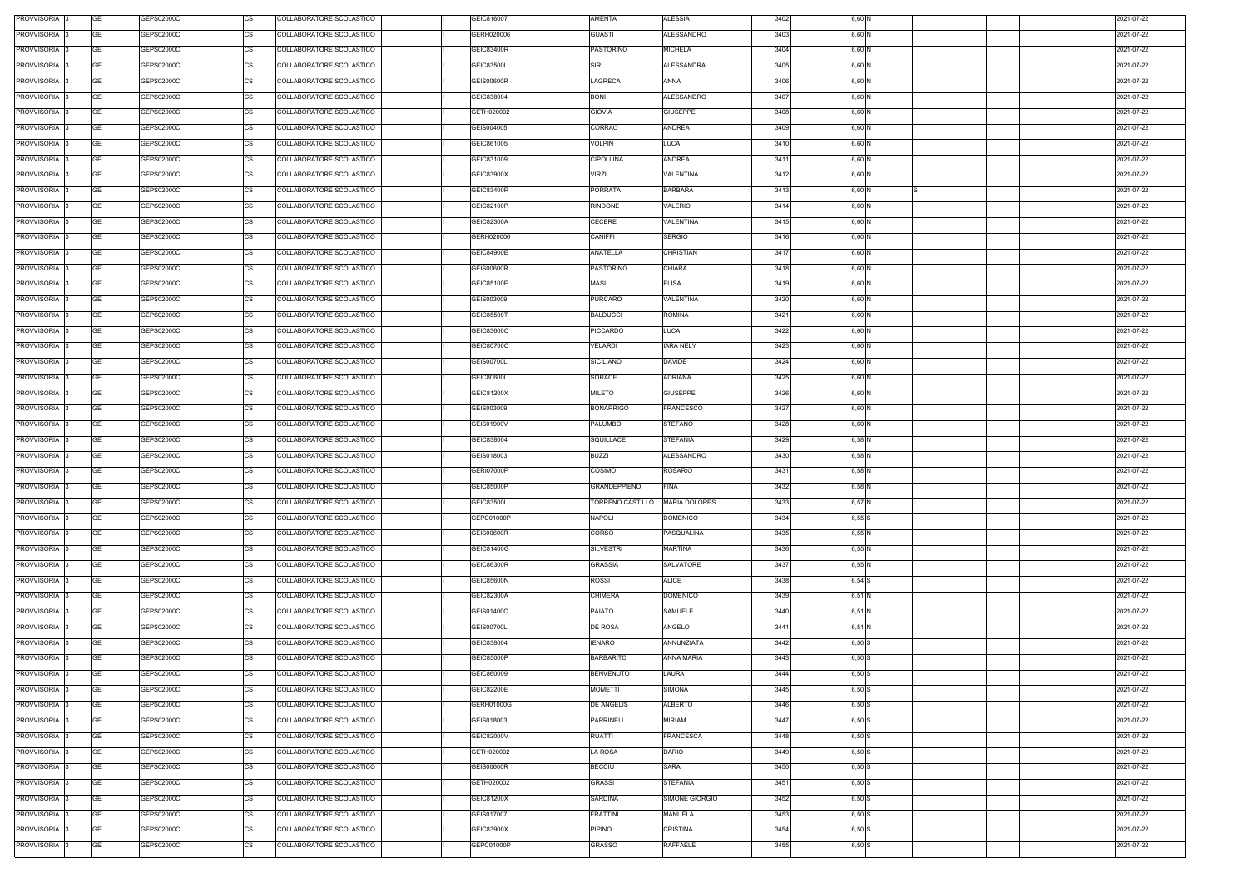| PROVVISORIA 3 | GE        | GEPS02000C | COLLABORATORE SCOLASTICO<br>CS        | GEIC816007        | AMENTA                           | <b>ALESSIA</b>    | 3402 | 6,60 N   |  | 2021-07-22 |
|---------------|-----------|------------|---------------------------------------|-------------------|----------------------------------|-------------------|------|----------|--|------------|
| PROVVISORIA 3 | GE        | GEPS02000C | <b>CS</b><br>COLLABORATORE SCOLASTICO | GERH020006        | <b>GUASTI</b>                    | <b>ALESSANDRO</b> | 3403 | 6,60 N   |  | 2021-07-22 |
| PROVVISORIA 3 | GE        | GEPS02000C | <b>CS</b><br>COLLABORATORE SCOLASTICO | <b>GEIC83400R</b> | PASTORINO                        | <b>MICHELA</b>    | 3404 | 6,60 N   |  | 2021-07-22 |
| PROVVISORIA 3 | GE        | GEPS02000C | <b>CS</b><br>COLLABORATORE SCOLASTICO | GEIC83500L        | <b>SIRI</b>                      | <b>ALESSANDRA</b> | 3405 | 6,60 N   |  | 2021-07-22 |
| PROVVISORIA 3 | <b>GE</b> | GEPS02000C | <b>CS</b><br>COLLABORATORE SCOLASTICO | <b>GEIS00600R</b> | LAGRECA                          | ANNA              | 3406 | 6,60 N   |  | 2021-07-22 |
| PROVVISORIA 3 | GE        | GEPS02000C | <b>CS</b><br>COLLABORATORE SCOLASTICO | GEIC838004        | <b>BONI</b>                      | <b>ALESSANDRO</b> | 3407 | 6,60 N   |  | 2021-07-22 |
| PROVVISORIA 3 | <b>GE</b> | GEPS02000C | <b>CS</b><br>COLLABORATORE SCOLASTICO | GETH020002        | <b>GIOVIA</b>                    | <b>GIUSEPPE</b>   | 3408 | 6,60 N   |  | 2021-07-22 |
| PROVVISORIA 3 | GE        | GEPS02000C | <b>CS</b><br>COLLABORATORE SCOLASTICO | GEIS004005        | CORRAO                           | ANDREA            | 3409 | 6,60 N   |  | 2021-07-22 |
| PROVVISORIA 3 | <b>GE</b> | GEPS02000C | <b>CS</b><br>COLLABORATORE SCOLASTICO | GEIC861005        | <b>VOLPIN</b>                    | LUCA              | 3410 | 6,60 N   |  | 2021-07-22 |
|               |           |            |                                       |                   |                                  |                   |      |          |  |            |
| PROVVISORIA 3 | <b>GE</b> | GEPS02000C | <b>CS</b><br>COLLABORATORE SCOLASTICO | GEIC831009        | <b>CIPOLLINA</b>                 | <b>ANDREA</b>     | 3411 | 6,60 N   |  | 2021-07-22 |
| PROVVISORIA 3 | <b>GE</b> | GEPS02000C | <b>CS</b><br>COLLABORATORE SCOLASTICO | GEIC83900X        | <b>VIRZI</b>                     | VALENTINA         | 3412 | 6,60 N   |  | 2021-07-22 |
| PROVVISORIA 3 | <b>GE</b> | GEPS02000C | CS<br>COLLABORATORE SCOLASTICO        | <b>GEIC83400R</b> | <b>PORRATA</b>                   | <b>BARBARA</b>    | 3413 | 6,60 N   |  | 2021-07-22 |
| PROVVISORIA 3 | <b>GE</b> | GEPS02000C | <b>CS</b><br>COLLABORATORE SCOLASTICO | GEIC82100P        | <b>RINDONE</b>                   | <b>VALERIO</b>    | 3414 | 6,60 N   |  | 2021-07-22 |
| PROVVISORIA 3 | <b>GE</b> | GEPS02000C | <b>CS</b><br>COLLABORATORE SCOLASTICO | GEIC82300A        | <b>CECERE</b>                    | <b>VALENTINA</b>  | 3415 | 6,60 N   |  | 2021-07-22 |
| PROVVISORIA 3 | <b>GE</b> | GEPS02000C | COLLABORATORE SCOLASTICO<br>СS        | GERH020006        | <b>CANIFFI</b>                   | <b>SERGIO</b>     | 3416 | 6,60 N   |  | 2021-07-22 |
| PROVVISORIA 3 | <b>GE</b> | GEPS02000C | <b>CS</b><br>COLLABORATORE SCOLASTICO | GEIC84900E        | ANATELLA                         | CHRISTIAN         | 3417 | 6,60 N   |  | 2021-07-22 |
| PROVVISORIA 3 | <b>GE</b> | GEPS02000C | <b>CS</b><br>COLLABORATORE SCOLASTICO | <b>GEIS00600R</b> | PASTORINO                        | <b>CHIARA</b>     | 3418 | 6,60 N   |  | 2021-07-22 |
| PROVVISORIA 3 | <b>GE</b> | GEPS02000C | <b>CS</b><br>COLLABORATORE SCOLASTICO | GEIC85100E        | <b>MASI</b>                      | <b>ELISA</b>      | 3419 | 6,60 N   |  | 2021-07-22 |
| PROVVISORIA 3 | <b>GE</b> | GEPS02000C | <b>CS</b><br>COLLABORATORE SCOLASTICO | GEIS003009        | <b>PURCARO</b>                   | VALENTINA         | 3420 | 6,60 N   |  | 2021-07-22 |
| PROVVISORIA 3 | GE        | GEPS02000C | <b>CS</b><br>COLLABORATORE SCOLASTICO | GEIC85500T        | <b>BALDUCCI</b>                  | ROMINA            | 3421 | 6,60 N   |  | 2021-07-22 |
| PROVVISORIA 3 | GE        | GEPS02000C | <b>CS</b><br>COLLABORATORE SCOLASTICO | GEIC83600C        | PICCARDO                         | LUCA              | 3422 | 6,60 N   |  | 2021-07-22 |
| PROVVISORIA 3 | <b>GE</b> | GEPS02000C | <b>CS</b><br>COLLABORATORE SCOLASTICO | GEIC80700C        | <b>VELARDI</b>                   | <b>IARA NELY</b>  | 3423 | 6,60 N   |  | 2021-07-22 |
| PROVVISORIA 3 | <b>GE</b> | GEPS02000C | <b>CS</b><br>COLLABORATORE SCOLASTICO | <b>GEIS00700L</b> | <b>SICILIANO</b>                 | <b>DAVIDE</b>     | 3424 | 6,60 N   |  | 2021-07-22 |
| PROVVISORIA 3 | <b>GE</b> | GEPS02000C | <b>CS</b><br>COLLABORATORE SCOLASTICO | GEIC80600L        | SORACE                           | ADRIANA           | 3425 | 6,60 N   |  | 2021-07-22 |
| PROVVISORIA 3 | <b>GE</b> | GEPS02000C | <b>CS</b><br>COLLABORATORE SCOLASTICO | GEIC81200X        | <b>MILETO</b>                    | <b>GIUSEPPE</b>   | 3426 | 6,60 N   |  | 2021-07-22 |
| PROVVISORIA 3 | <b>GE</b> | GEPS02000C | <b>CS</b><br>COLLABORATORE SCOLASTICO | GEIS003009        | <b>BONARRIGO</b>                 | FRANCESCO         | 3427 | 6,60 N   |  | 2021-07-22 |
| PROVVISORIA 3 | GE        | GEPS02000C | <b>CS</b><br>COLLABORATORE SCOLASTICO | GEIS01900V        | PALUMBO                          | STEFANO           | 3428 | 6,60 N   |  | 2021-07-22 |
| PROVVISORIA 3 | <b>GE</b> | GEPS02000C | <b>CS</b><br>COLLABORATORE SCOLASTICO | GEIC838004        | SQUILLACE                        | <b>STEFANIA</b>   | 3429 | 6,58 N   |  | 2021-07-22 |
| PROVVISORIA 3 | GE        | GEPS02000C | <b>CS</b><br>COLLABORATORE SCOLASTICO | GEIS018003        | <b>BUZZI</b>                     | <b>ALESSANDRO</b> | 3430 | 6,58 N   |  | 2021-07-22 |
| PROVVISORIA 3 | <b>GE</b> | GEPS02000C | <b>CS</b><br>COLLABORATORE SCOLASTICO | <b>GERI07000P</b> | COSIMO                           | ROSARIO           | 3431 | 6,58 N   |  | 2021-07-22 |
| PROVVISORIA 3 | GE        | GEPS02000C | <b>CS</b><br>COLLABORATORE SCOLASTICO | GEIC85000P        | GRANDEPPIENO                     | <b>FINA</b>       | 3432 | 6,58 N   |  | 2021-07-22 |
| PROVVISORIA 3 | <b>GE</b> | GEPS02000C | <b>CS</b><br>COLLABORATORE SCOLASTICO | GEIC83500L        | TORRENO CASTILLO   MARIA DOLORES |                   | 3433 | 6,57 N   |  | 2021-07-22 |
| PROVVISORIA 3 | GE        | GEPS02000C | <b>CS</b><br>COLLABORATORE SCOLASTICO | GEPC01000P        | <b>NAPOLI</b>                    | <b>DOMENICO</b>   | 3434 | 6,55S    |  | 2021-07-22 |
| PROVVISORIA 3 | GE        | GEPS02000C | <b>CS</b><br>COLLABORATORE SCOLASTICO | <b>GEIS00600R</b> | CORSO                            | PASQUALINA        | 3435 | 6,55 N   |  | 2021-07-22 |
| PROVVISORIA 3 | <b>GE</b> | GEPS02000C | <b>CS</b><br>COLLABORATORE SCOLASTICO | GEIC81400G        | <b>SILVESTRI</b>                 | <b>MARTINA</b>    | 3436 | 6,55 N   |  | 2021-07-22 |
| PROVVISORIA 3 | <b>GE</b> | GEPS02000C | <b>CS</b><br>COLLABORATORE SCOLASTICO | GEIC86300R        | <b>GRASSIA</b>                   | SALVATORE         | 3437 | 6,55N    |  | 2021-07-22 |
| PROVVISORIA 3 | <b>GE</b> | GEPS02000C | <b>CS</b><br>COLLABORATORE SCOLASTICO | <b>GEIC85600N</b> | <b>ROSSI</b>                     | <b>ALICE</b>      | 3438 | 6,54 S   |  | 2021-07-22 |
| PROVVISORIA 3 | <b>GE</b> | GEPS02000C | <b>CS</b><br>COLLABORATORE SCOLASTICO | GEIC82300A        | <b>CHIMERA</b>                   | <b>DOMENICO</b>   | 3439 | 6,51 N   |  | 2021-07-22 |
| PROVVISORIA 3 | <b>GE</b> | GEPS02000C | CS<br>COLLABORATORE SCOLASTICO        | GEIS01400Q        | PAIATO                           | SAMUELE           | 3440 | 6,51 N   |  | 2021-07-22 |
|               |           |            |                                       |                   |                                  |                   |      |          |  |            |
| PROVVISORIA 3 | <b>GE</b> | GEPS02000C | <b>CS</b><br>COLLABORATORE SCOLASTICO | <b>GEIS00700L</b> | DE ROSA                          | ANGELO            | 3441 | 6,51 N   |  | 2021-07-22 |
| PROVVISORIA 3 | <b>GE</b> | GEPS02000C | <b>CS</b><br>COLLABORATORE SCOLASTICO | GEIC838004        | <b>IENARO</b>                    | ANNUNZIATA        | 3442 | $6,50$ S |  | 2021-07-22 |
| PROVVISORIA 3 | <b>GE</b> | GEPS02000C | <b>CS</b><br>COLLABORATORE SCOLASTICO | GEIC85000P        | <b>BARBARITO</b>                 | ANNA MARIA        | 3443 | $6,50$ S |  | 2021-07-22 |
| PROVVISORIA 3 | <b>GE</b> | GEPS02000C | <b>CS</b><br>COLLABORATORE SCOLASTICO | GEIC860009        | <b>BENVENUTO</b>                 | LAURA             | 3444 | $6,50$ S |  | 2021-07-22 |
| PROVVISORIA 3 | <b>GE</b> | GEPS02000C | <b>CS</b><br>COLLABORATORE SCOLASTICO | <b>GEIC82200E</b> | <b>MOMETTI</b>                   | SIMONA            | 3445 | $6,50$ S |  | 2021-07-22 |
| PROVVISORIA 3 | <b>GE</b> | GEPS02000C | CS<br>COLLABORATORE SCOLASTICO        | GERH01000G        | DE ANGELIS                       | ALBERTO           | 3446 | $6,50$ S |  | 2021-07-22 |
| PROVVISORIA 3 | <b>GE</b> | GEPS02000C | <b>CS</b><br>COLLABORATORE SCOLASTICO | GEIS018003        | PARRINELLI                       | <b>MIRIAM</b>     | 3447 | $6,50$ S |  | 2021-07-22 |
| PROVVISORIA 3 | GE        | GEPS02000C | СS<br>COLLABORATORE SCOLASTICO        | GEIC82000V        | <b>RUATTI</b>                    | <b>FRANCESCA</b>  | 3448 | $6,50$ S |  | 2021-07-22 |
| PROVVISORIA 3 | <b>GE</b> | GEPS02000C | <b>CS</b><br>COLLABORATORE SCOLASTICO | GETH020002        | LA ROSA                          | <b>DARIO</b>      | 3449 | 6,50S    |  | 2021-07-22 |
| PROVVISORIA 3 | <b>GE</b> | GEPS02000C | <b>CS</b><br>COLLABORATORE SCOLASTICO | <b>GEIS00600R</b> | <b>BECCIU</b>                    | SARA              | 3450 | $6,50$ S |  | 2021-07-22 |
| PROVVISORIA 3 | <b>GE</b> | GEPS02000C | <b>CS</b><br>COLLABORATORE SCOLASTICO | GETH020002        | <b>GRASSI</b>                    | <b>STEFANIA</b>   | 3451 | $6,50$ S |  | 2021-07-22 |
| PROVVISORIA 3 | <b>GE</b> | GEPS02000C | <b>CS</b><br>COLLABORATORE SCOLASTICO | GEIC81200X        | SARDINA                          | SIMONE GIORGIO    | 3452 | $6,50$ S |  | 2021-07-22 |
| PROVVISORIA 3 | GE        | GEPS02000C | <b>CS</b><br>COLLABORATORE SCOLASTICO | GEIS017007        | <b>FRATTINI</b>                  | MANUELA           | 3453 | $6,50$ S |  | 2021-07-22 |
| PROVVISORIA 3 | <b>GE</b> | GEPS02000C | <b>CS</b><br>COLLABORATORE SCOLASTICO | GEIC83900X        | <b>PIPINO</b>                    | CRISTINA          | 3454 | $6,50$ S |  | 2021-07-22 |
| PROVVISORIA 3 | GE        | GEPS02000C | <b>CS</b><br>COLLABORATORE SCOLASTICO | GEPC01000P        | <b>GRASSO</b>                    | RAFFAELE          | 3455 | 6,50 S   |  | 2021-07-22 |
|               |           |            |                                       |                   |                                  |                   |      |          |  |            |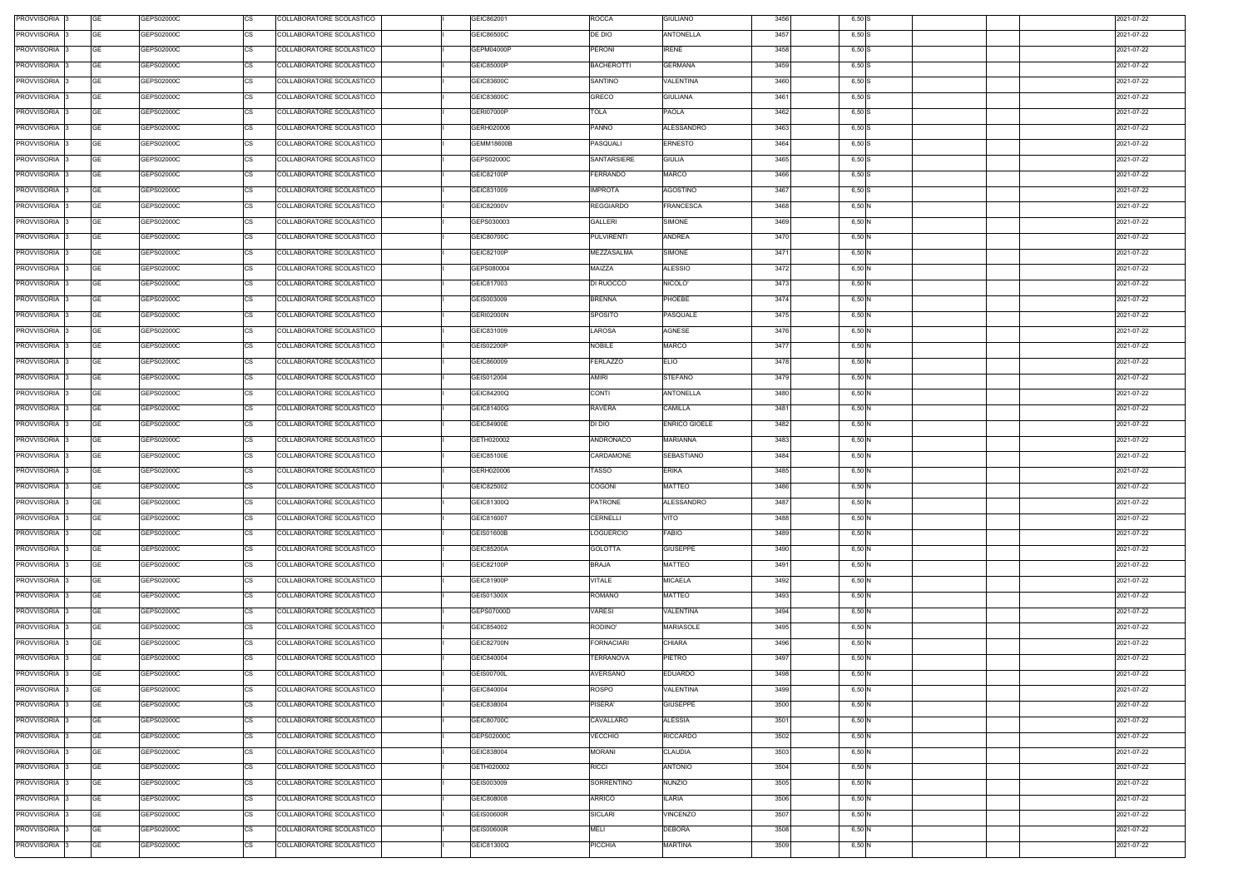| PROVVISORIA 3 | <b>GE</b><br>GEPS02000C | <b>CS</b> | COLLABORATORE SCOLASTICO | GEIC862001        | <b>ROCCA</b>      | <b>GIULIANO</b>      | 3456 | $6,50$ S |  | 2021-07-22 |
|---------------|-------------------------|-----------|--------------------------|-------------------|-------------------|----------------------|------|----------|--|------------|
| PROVVISORIA 3 | <b>GE</b><br>GEPS02000C | CS        | COLLABORATORE SCOLASTICO | GEIC86500C        | DE DIO            | <b>ANTONELLA</b>     | 3457 | $6,50$ S |  | 2021-07-22 |
| PROVVISORIA 3 | <b>GE</b><br>GEPS02000C | CS        | COLLABORATORE SCOLASTICO | GEPM04000P        | <b>PERONI</b>     | <b>IRENE</b>         | 3458 | $6,50$ S |  | 2021-07-22 |
| PROVVISORIA 3 | <b>GE</b><br>GEPS02000C | <b>CS</b> | COLLABORATORE SCOLASTICO | GEIC85000P        | <b>BACHEROTTI</b> | <b>GERMANA</b>       | 3459 | $6,50$ S |  | 2021-07-22 |
| PROVVISORIA 3 | <b>GE</b><br>GEPS02000C | <b>CS</b> | COLLABORATORE SCOLASTICO | GEIC83600C        | SANTINO           | VALENTINA            | 3460 | $6,50$ S |  | 2021-07-22 |
| PROVVISORIA 3 | <b>GE</b><br>GEPS02000C | <b>CS</b> | COLLABORATORE SCOLASTICO | GEIC83600C        | GRECO             | <b>GIULIANA</b>      | 3461 | $6,50$ S |  | 2021-07-22 |
| PROVVISORIA 3 | <b>GE</b><br>GEPS02000C | <b>CS</b> | COLLABORATORE SCOLASTICO | GERI07000P        | TOLA              | PAOLA                | 3462 | $6,50$ S |  | 2021-07-22 |
| PROVVISORIA 3 | <b>GE</b><br>GEPS02000C | <b>CS</b> | COLLABORATORE SCOLASTICO | GERH020006        | <b>PANNO</b>      | ALESSANDRO           | 3463 | $6,50$ S |  | 2021-07-22 |
| PROVVISORIA 3 | <b>GE</b><br>GEPS02000C | <b>CS</b> | COLLABORATORE SCOLASTICO | GEMM18600B        | PASQUALI          | <b>ERNESTO</b>       | 3464 | $6,50$ S |  | 2021-07-22 |
| PROVVISORIA 3 | <b>GE</b><br>GEPS02000C | <b>CS</b> | COLLABORATORE SCOLASTICO | GEPS02000C        | SANTARSIERE       | <b>GIULIA</b>        | 3465 | $6,50$ S |  | 2021-07-22 |
| PROVVISORIA 3 | <b>GE</b><br>GEPS02000C | <b>CS</b> | COLLABORATORE SCOLASTICO | GEIC82100P        | FERRANDO          | <b>MARCO</b>         | 3466 | $6,50$ S |  | 2021-07-22 |
| PROVVISORIA 3 | <b>GE</b><br>GEPS02000C | CS        | COLLABORATORE SCOLASTICO | GEIC831009        | <b>IMPROTA</b>    | AGOSTINO             | 3467 | $6,50$ S |  | 2021-07-22 |
| PROVVISORIA 3 | <b>GE</b><br>GEPS02000C | <b>CS</b> | COLLABORATORE SCOLASTICO | GEIC82000V        | <b>REGGIARDO</b>  | FRANCESCA            | 3468 | 6,50 N   |  | 2021-07-22 |
| PROVVISORIA 3 | <b>GE</b><br>GEPS02000C | CS        | COLLABORATORE SCOLASTICO | GEPS030003        | <b>GALLERI</b>    | SIMONE               | 3469 | 6,50 N   |  | 2021-07-22 |
| PROVVISORIA 3 | <b>GE</b><br>GEPS02000C | <b>CS</b> | COLLABORATORE SCOLASTICO | GEIC80700C        | <b>PULVIRENTI</b> | <b>ANDREA</b>        | 3470 | 6,50 N   |  | 2021-07-22 |
| PROVVISORIA 3 | <b>GE</b><br>GEPS02000C | CS        | COLLABORATORE SCOLASTICO | GEIC82100P        | MEZZASALMA        | SIMONE               | 3471 | 6,50 N   |  | 2021-07-22 |
| PROVVISORIA 3 | <b>GE</b><br>GEPS02000C | <b>CS</b> | COLLABORATORE SCOLASTICO | GEPS080004        | MAIZZA            | <b>ALESSIO</b>       | 3472 | 6,50 N   |  | 2021-07-22 |
| PROVVISORIA 3 | <b>GE</b><br>GEPS02000C | <b>CS</b> | COLLABORATORE SCOLASTICO | GEIC817003        | DI RUOCCO         | NICOLO'              | 3473 | 6,50 N   |  | 2021-07-22 |
| PROVVISORIA 3 | <b>GE</b><br>GEPS02000C | <b>CS</b> | COLLABORATORE SCOLASTICO | GEIS003009        | <b>BRENNA</b>     | PHOEBE               | 3474 | 6,50 N   |  | 2021-07-22 |
| PROVVISORIA 3 | <b>GE</b><br>GEPS02000C | <b>CS</b> | COLLABORATORE SCOLASTICO | <b>GERI02000N</b> | SPOSITO           | PASQUALE             | 3475 | 6,50 N   |  | 2021-07-22 |
| PROVVISORIA 3 | <b>GE</b><br>GEPS02000C | <b>CS</b> | COLLABORATORE SCOLASTICO | GEIC831009        | LAROSA            | AGNESE               | 3476 | 6,50 N   |  | 2021-07-22 |
| PROVVISORIA 3 | <b>GE</b><br>GEPS02000C | <b>CS</b> | COLLABORATORE SCOLASTICO | GEIS02200P        | <b>NOBILE</b>     | <b>MARCO</b>         | 3477 | 6,50 N   |  | 2021-07-22 |
| PROVVISORIA 3 | <b>GE</b><br>GEPS02000C | <b>CS</b> | COLLABORATORE SCOLASTICO | GEIC860009        | <b>FERLAZZO</b>   | ELIO                 | 3478 | 6,50 N   |  | 2021-07-22 |
| PROVVISORIA 3 | <b>GE</b><br>GEPS02000C | <b>CS</b> | COLLABORATORE SCOLASTICO | GEIS012004        | <b>AMIRI</b>      | <b>STEFANO</b>       | 3479 | 6,50 N   |  | 2021-07-22 |
| PROVVISORIA 3 | <b>GE</b><br>GEPS02000C | <b>CS</b> | COLLABORATORE SCOLASTICO | GEIC84200Q        | <b>CONTI</b>      | <b>ANTONELLA</b>     | 3480 | 6,50 N   |  | 2021-07-22 |
| PROVVISORIA 3 | <b>GE</b><br>GEPS02000C | <b>CS</b> | COLLABORATORE SCOLASTICO | GEIC81400G        | <b>RAVERA</b>     | CAMILLA              | 3481 | 6,50 N   |  | 2021-07-22 |
|               |                         |           |                          |                   |                   |                      |      |          |  |            |
| PROVVISORIA 3 | <b>GE</b><br>GEPS02000C | <b>CS</b> | COLLABORATORE SCOLASTICO | GEIC84900E        | DI DIO            | <b>ENRICO GIOELE</b> | 3482 | 6,50 N   |  | 2021-07-22 |
| PROVVISORIA 3 | <b>GE</b><br>GEPS02000C | CS        | COLLABORATORE SCOLASTICO | GETH020002        | ANDRONACO         | MARIANNA             | 3483 | 6,50 N   |  | 2021-07-22 |
| PROVVISORIA 3 | <b>GE</b><br>GEPS02000C | <b>CS</b> | COLLABORATORE SCOLASTICO | GEIC85100E        | CARDAMONE         | <b>SEBASTIANO</b>    | 3484 | 6,50 N   |  | 2021-07-22 |
| PROVVISORIA 3 | <b>GE</b><br>GEPS02000C | <b>CS</b> | COLLABORATORE SCOLASTICO | GERH020006        | TASSO             | <b>ERIKA</b>         | 3485 | 6,50 N   |  | 2021-07-22 |
| PROVVISORIA 3 | <b>GE</b><br>GEPS02000C | <b>CS</b> | COLLABORATORE SCOLASTICO | GEIC825002        | COGONI            | <b>MATTEO</b>        | 3486 | 6,50 N   |  | 2021-07-22 |
| PROVVISORIA 3 | <b>GE</b><br>GEPS02000C | <b>CS</b> | COLLABORATORE SCOLASTICO | GEIC81300Q        | <b>PATRONE</b>    | ALESSANDRO           | 3487 | 6,50 N   |  | 2021-07-22 |
| PROVVISORIA 3 | <b>GE</b><br>GEPS02000C | CS        | COLLABORATORE SCOLASTICO | GEIC816007        | CERNELLI          | VITO                 | 3488 | 6,50 N   |  | 2021-07-22 |
| PROVVISORIA 3 | <b>GE</b><br>GEPS02000C | <b>CS</b> | COLLABORATORE SCOLASTICO | GEIS01600B        | <b>LOGUERCIO</b>  | <b>FABIO</b>         | 3489 | 6,50 N   |  | 2021-07-22 |
| PROVVISORIA 3 | <b>GE</b><br>GEPS02000C | CS        | COLLABORATORE SCOLASTICO | GEIC85200A        | <b>GOLOTTA</b>    | <b>GIUSEPPE</b>      | 3490 | 6,50 N   |  | 2021-07-22 |
| PROVVISORIA 3 | <b>GE</b><br>GEPS02000C | <b>CS</b> | COLLABORATORE SCOLASTICO | GEIC82100P        | <b>BRAJA</b>      | <b>MATTEO</b>        | 3491 | 6,50 N   |  | 2021-07-22 |
| PROVVISORIA 3 | <b>GE</b><br>GEPS02000C | CS        | COLLABORATORE SCOLASTICO | GEIC81900P        | VITALE            | <b>MICAELA</b>       | 3492 | 6,50 N   |  | 2021-07-22 |
| PROVVISORIA 3 | <b>GE</b><br>GEPS02000C | <b>CS</b> | COLLABORATORE SCOLASTICO | GEIS01300X        | ROMANO            | MATTEO               | 3493 | 6,50 N   |  | 2021-07-22 |
| PROVVISORIA 3 | <b>GE</b><br>GEPS02000C | CS        | COLLABORATORE SCOLASTICO | GEPS07000D        | VARESI            | VALENTINA            | 3494 | 6,50 N   |  | 2021-07-22 |
| PROVVISORIA 3 | <b>GE</b><br>GEPS02000C | CS        | COLLABORATORE SCOLASTICO | GEIC854002        | RODINO'           | <b>MARIASOLE</b>     | 3495 | 6,50 N   |  | 2021-07-22 |
| PROVVISORIA 3 | <b>GE</b><br>GEPS02000C | CS        | COLLABORATORE SCOLASTICO | <b>GEIC82700N</b> | FORNACIARI        | <b>CHIARA</b>        | 3496 | 6,50 N   |  | 2021-07-22 |
| PROVVISORIA 3 | <b>GE</b><br>GEPS02000C | <b>CS</b> | COLLABORATORE SCOLASTICO | GEIC840004        | TERRANOVA         | <b>PIETRO</b>        | 3497 | 6,50 N   |  | 2021-07-22 |
| PROVVISORIA 3 | <b>GE</b><br>GEPS02000C | CS        | COLLABORATORE SCOLASTICO | <b>GEIS00700L</b> | AVERSANO          | <b>EDUARDO</b>       | 3498 | 6,50 N   |  | 2021-07-22 |
| PROVVISORIA 3 | <b>GE</b><br>GEPS02000C | CS        | COLLABORATORE SCOLASTICO | GEIC840004        | <b>ROSPO</b>      | VALENTINA            | 3499 | 6,50 N   |  | 2021-07-22 |
| PROVVISORIA 3 | <b>GE</b><br>GEPS02000C | <b>CS</b> | COLLABORATORE SCOLASTICO | GEIC838004        | PISERA'           | <b>GIUSEPPE</b>      | 3500 | 6,50 N   |  | 2021-07-22 |
| PROVVISORIA 3 | <b>GE</b><br>GEPS02000C | <b>CS</b> | COLLABORATORE SCOLASTICO | GEIC80700C        | CAVALLARO         | <b>ALESSIA</b>       | 3501 | 6,50 N   |  | 2021-07-22 |
| PROVVISORIA 3 | <b>GE</b><br>GEPS02000C | <b>CS</b> | COLLABORATORE SCOLASTICO | GEPS02000C        | VECCHIO           | RICCARDO             | 3502 | 6,50 N   |  | 2021-07-22 |
| PROVVISORIA 3 | <b>GE</b><br>GEPS02000C | <b>CS</b> | COLLABORATORE SCOLASTICO | GEIC838004        | <b>MORANI</b>     | <b>CLAUDIA</b>       | 3503 | 6,50 N   |  | 2021-07-22 |
| PROVVISORIA 3 | <b>GE</b><br>GEPS02000C | <b>CS</b> | COLLABORATORE SCOLASTICO | GETH020002        | <b>RICCI</b>      | <b>ANTONIO</b>       | 3504 | 6,50 N   |  | 2021-07-22 |
| PROVVISORIA 3 | <b>GE</b><br>GEPS02000C | <b>CS</b> | COLLABORATORE SCOLASTICO | GEIS003009        | SORRENTINO        | <b>NUNZIO</b>        | 3505 | 6,50 N   |  | 2021-07-22 |
| PROVVISORIA 3 | <b>GE</b><br>GEPS02000C | <b>CS</b> | COLLABORATORE SCOLASTICO | GEIC808008        | <b>ARRICO</b>     | <b>ILARIA</b>        | 3506 | 6,50 N   |  | 2021-07-22 |
| PROVVISORIA 3 | <b>GE</b><br>GEPS02000C | CS        | COLLABORATORE SCOLASTICO | <b>GEIS00600R</b> | SICLARI           | /INCENZO             | 3507 | 6,50 N   |  | 2021-07-22 |
| PROVVISORIA 3 | <b>GE</b><br>GEPS02000C | <b>CS</b> | COLLABORATORE SCOLASTICO | <b>GEIS00600R</b> | <b>MELI</b>       | DEBORA               | 3508 | 6,50 N   |  | 2021-07-22 |
| PROVVISORIA 3 | <b>GE</b><br>GEPS02000C | CS        | COLLABORATORE SCOLASTICO | GEIC81300Q        | <b>PICCHIA</b>    | MARTINA              | 3509 | 6,50 N   |  | 2021-07-22 |
|               |                         |           |                          |                   |                   |                      |      |          |  |            |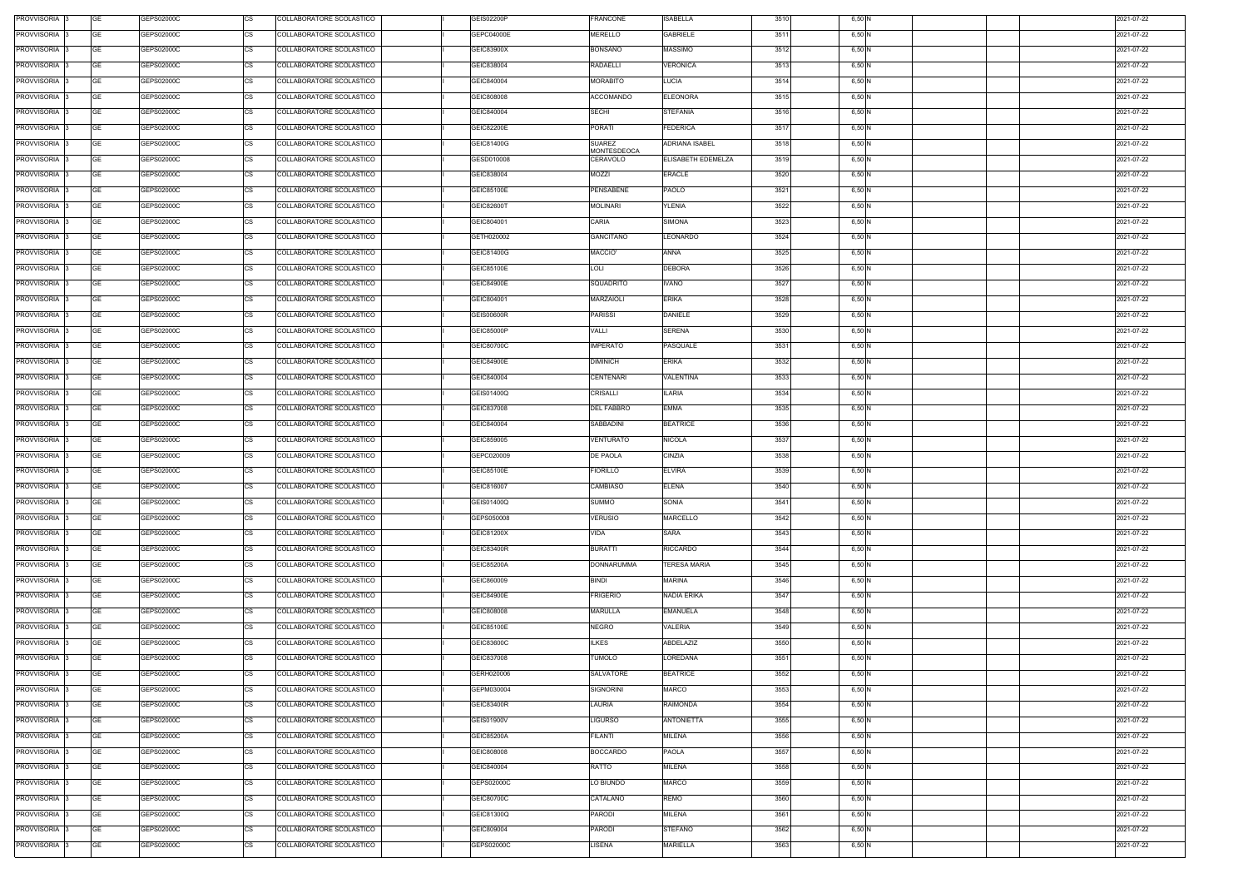| PROVVISORIA 3      | <b>GE</b> | GEPS02000C | <b>CS</b> | COLLABORATORE SCOLASTICO | <b>GEIS02200P</b> | <b>FRANCONE</b>         | <b>ISABELLA</b>       | 3510 | 6,50 N |  | 2021-07-22 |
|--------------------|-----------|------------|-----------|--------------------------|-------------------|-------------------------|-----------------------|------|--------|--|------------|
| PROVVISORIA 3      | <b>GE</b> | GEPS02000C | СS        | COLLABORATORE SCOLASTICO | GEPC04000E        | <b>MERELLO</b>          | <b>GABRIELE</b>       | 3511 | 6,50 N |  | 2021-07-22 |
| PROVVISORIA 3      | <b>GE</b> | GEPS02000C | <b>CS</b> | COLLABORATORE SCOLASTICO | GEIC83900X        | <b>BONSANO</b>          | <b>MASSIMO</b>        | 3512 | 6,50 N |  | 2021-07-22 |
| PROVVISORIA 3      | <b>GE</b> | GEPS02000C | CS        | COLLABORATORE SCOLASTICO | GEIC838004        | <b>RADAELLI</b>         | VERONICA              | 3513 | 6,50 N |  | 2021-07-22 |
| PROVVISORIA 3      | GE        | GEPS02000C | CS        | COLLABORATORE SCOLASTICO | GEIC840004        | <b>MORABITO</b>         | LUCIA                 | 3514 | 6,50 N |  | 2021-07-22 |
| PROVVISORIA 3      | <b>GE</b> | GEPS02000C | <b>CS</b> | COLLABORATORE SCOLASTICO | GEIC808008        | <b>ACCOMANDO</b>        | <b>ELEONORA</b>       | 3515 | 6,50 N |  | 2021-07-22 |
| PROVVISORIA 3      | GE        | GEPS02000C | <b>CS</b> | COLLABORATORE SCOLASTICO | GEIC840004        | <b>SECHI</b>            | <b>STEFANIA</b>       | 3516 | 6,50 N |  | 2021-07-22 |
| PROVVISORIA 3      | <b>GE</b> | GEPS02000C | <b>CS</b> | COLLABORATORE SCOLASTICO | GEIC82200E        | <b>PORATI</b>           | FEDERICA              | 3517 | 6,50 N |  | 2021-07-22 |
| <b>PROVVISORIA</b> | <b>GE</b> | GEPS02000C | <b>CS</b> | COLLABORATORE SCOLASTICO | GEIC81400G        | <b>SUAREZ</b>           | <b>ADRIANA ISABEL</b> | 3518 | 6,50 N |  | 2021-07-22 |
| <b>PROVVISORIA</b> | <b>GE</b> | GEPS02000C | CS        | COLLABORATORE SCOLASTICO | GESD010008        | MONTESDEOCA<br>CERAVOLO | ELISABETH EDEMELZA    | 3519 | 6,50 N |  | 2021-07-22 |
| <b>PROVVISORIA</b> | <b>GE</b> | GEPS02000C | <b>CS</b> | COLLABORATORE SCOLASTICO | GEIC838004        | <b>MOZZI</b>            | <b>ERACLE</b>         | 3520 | 6,50 N |  | 2021-07-22 |
| PROVVISORIA        | <b>GE</b> | GEPS02000C | CS        | COLLABORATORE SCOLASTICO | GEIC85100E        | <b>PENSABENE</b>        | PAOLO                 | 3521 | 6,50 N |  | 2021-07-22 |
| PROVVISORIA        | <b>GE</b> | GEPS02000C | CS        | COLLABORATORE SCOLASTICO | <b>GEIC82600T</b> | <b>MOLINARI</b>         | YLENIA                | 3522 | 6,50 N |  | 2021-07-22 |
| PROVVISORIA 3      | <b>GE</b> | GEPS02000C | CS        | COLLABORATORE SCOLASTICO | GEIC804001        | <b>CARIA</b>            | SIMONA                | 3523 | 6,50 N |  | 2021-07-22 |
| PROVVISORIA 3      | <b>GE</b> | GEPS02000C | СS        | COLLABORATORE SCOLASTICO | GETH020002        | <b>GANCITANO</b>        | LEONARDO              | 3524 | 6,50 N |  | 2021-07-22 |
| PROVVISORIA 3      | <b>GE</b> | GEPS02000C | CS        | COLLABORATORE SCOLASTICO | GEIC81400G        | MACCIO'                 | ANNA                  | 3525 | 6,50 N |  | 2021-07-22 |
| PROVVISORIA 3      | <b>GE</b> | GEPS02000C | <b>CS</b> | COLLABORATORE SCOLASTICO | GEIC85100E        | <b>LOLI</b>             | <b>DEBORA</b>         | 3526 | 6,50 N |  | 2021-07-22 |
| PROVVISORIA 3      | <b>GE</b> | GEPS02000C | CS        | COLLABORATORE SCOLASTICO | <b>GEIC84900E</b> | <b>SQUADRITO</b>        | <b>IVANO</b>          | 3527 | 6,50 N |  | 2021-07-22 |
| PROVVISORIA 3      | GE        | GEPS02000C | СS        | COLLABORATORE SCOLASTICO | GEIC804001        | MARZAIOLI               | <b>ERIKA</b>          | 3528 | 6,50 N |  | 2021-07-22 |
| PROVVISORIA 3      | <b>GE</b> | GEPS02000C |           |                          | <b>GEIS00600R</b> | <b>PARISSI</b>          | DANIELE               | 3529 | 6,50 N |  |            |
|                    |           |            | СS        | COLLABORATORE SCOLASTICO |                   |                         |                       |      |        |  | 2021-07-22 |
| PROVVISORIA 3      | <b>GE</b> | GEPS02000C | СS        | COLLABORATORE SCOLASTICO | GEIC85000P        | <b>VALLI</b>            | SERENA                | 3530 | 6,50 N |  | 2021-07-22 |
| PROVVISORIA 3      | <b>GE</b> | GEPS02000C | СS        | COLLABORATORE SCOLASTICO | GEIC80700C        | <b>IMPERATO</b>         | PASQUALE              | 3531 | 6,50 N |  | 2021-07-22 |
| <b>PROVVISORIA</b> | <b>GE</b> | GEPS02000C | <b>CS</b> | COLLABORATORE SCOLASTICO | GEIC84900E        | <b>DIMINICH</b>         | <b>ERIKA</b>          | 3532 | 6,50 N |  | 2021-07-22 |
| PROVVISORIA 3      | <b>GE</b> | GEPS02000C | CS        | COLLABORATORE SCOLASTICO | GEIC840004        | CENTENARI               | <b>VALENTINA</b>      | 3533 | 6,50 N |  | 2021-07-22 |
| <b>PROVVISORIA</b> | <b>GE</b> | GEPS02000C | СS        | COLLABORATORE SCOLASTICO | GEIS01400Q        | CRISALLI                | <b>ILARIA</b>         | 3534 | 6,50 N |  | 2021-07-22 |
| PROVVISORIA 3      | <b>GE</b> | GEPS02000C | СS        | COLLABORATORE SCOLASTICO | GEIC837008        | <b>DEL FABBRO</b>       | EMMA                  | 3535 | 6,50 N |  | 2021-07-22 |
| PROVVISORIA 3      | <b>GE</b> | GEPS02000C | СS        | COLLABORATORE SCOLASTICO | GEIC840004        | <b>SABBADINI</b>        | <b>BEATRICE</b>       | 3536 | 6,50 N |  | 2021-07-22 |
| PROVVISORIA 3      | <b>GE</b> | GEPS02000C | CS        | COLLABORATORE SCOLASTICO | GEIC859005        | VENTURATO               | <b>NICOLA</b>         | 3537 | 6,50 N |  | 2021-07-22 |
| PROVVISORIA 3      | <b>GE</b> | GEPS02000C | <b>CS</b> | COLLABORATORE SCOLASTICO | GEPC020009        | DE PAOLA                | <b>CINZIA</b>         | 3538 | 6,50 N |  | 2021-07-22 |
| PROVVISORIA 3      | <b>GE</b> | GEPS02000C | <b>CS</b> | COLLABORATORE SCOLASTICO | GEIC85100E        | FIORILLO                | <b>ELVIRA</b>         | 3539 | 6,50 N |  | 2021-07-22 |
| PROVVISORIA 3      | <b>GE</b> | GEPS02000C | <b>CS</b> | COLLABORATORE SCOLASTICO | GEIC816007        | <b>CAMBIASO</b>         | <b>ELENA</b>          | 3540 | 6,50 N |  | 2021-07-22 |
| PROVVISORIA 3      | <b>GE</b> | GEPS02000C | <b>CS</b> | COLLABORATORE SCOLASTICO | GEIS01400Q        | SUMMO                   | <b>SONIA</b>          | 3541 | 6,50 N |  | 2021-07-22 |
| PROVVISORIA 3      | <b>GE</b> | GEPS02000C | <b>CS</b> | COLLABORATORE SCOLASTICO | GEPS050008        | <b>VERUSIO</b>          | <b>MARCELLO</b>       | 3542 | 6,50 N |  | 2021-07-22 |
| PROVVISORIA 3      | GE        | GEPS02000C | <b>CS</b> | COLLABORATORE SCOLASTICO | GEIC81200X        | VIDA                    | SARA                  | 3543 | 6,50 N |  | 2021-07-22 |
| <b>PROVVISORIA</b> | <b>GE</b> | GEPS02000C | CS        | COLLABORATORE SCOLASTICO | GEIC83400R        | <b>BURATTI</b>          | <b>RICCARDO</b>       | 3544 | 6,50 N |  | 2021-07-22 |
| PROVVISORIA 3      | <b>GE</b> | GEPS02000C | <b>CS</b> | COLLABORATORE SCOLASTICO | GEIC85200A        | <b>DONNARUMMA</b>       | <b>TERESA MARIA</b>   | 3545 | 6,50 N |  | 2021-07-22 |
| PROVVISORIA 3      | <b>GE</b> | GEPS02000C | CS        | COLLABORATORE SCOLASTICO | GEIC860009        | <b>BINDI</b>            | <b>MARINA</b>         | 3546 | 6,50 N |  | 2021-07-22 |
| <b>PROVVISORIA</b> | <b>GE</b> | GEPS02000C | CS        | COLLABORATORE SCOLASTICO | GEIC84900E        | <b>FRIGERIO</b>         | <b>NADIA ERIKA</b>    | 3547 | 6,50 N |  | 2021-07-22 |
| PROVVISORIA 3      | <b>GE</b> | GEPS02000C | CS        | COLLABORATORE SCOLASTICO | GEIC808008        | <b>MARULLA</b>          | <b>EMANUELA</b>       | 3548 | 6,50 N |  | 2021-07-22 |
| PROVVISORIA        | <b>GE</b> | GEPS02000C | CS        | COLLABORATORE SCOLASTICO | GEIC85100E        | <b>NEGRO</b>            | VALERIA               | 3549 | 6,50 N |  | 2021-07-22 |
| PROVVISORIA 3      | <b>GE</b> | GEPS02000C | CS        | COLLABORATORE SCOLASTICO | GEIC83600C        | <b>ILKES</b>            | ABDELAZIZ             | 3550 | 6,50 N |  | 2021-07-22 |
| PROVVISORIA 3      | <b>GE</b> | GEPS02000C | <b>CS</b> | COLLABORATORE SCOLASTICO | GEIC837008        | <b>TUMOLO</b>           | LOREDANA              | 3551 | 6,50 N |  | 2021-07-22 |
| PROVVISORIA 3      | <b>GE</b> | GEPS02000C | CS        | COLLABORATORE SCOLASTICO | GERH020006        | <b>SALVATORE</b>        | <b>BEATRICE</b>       | 3552 | 6,50 N |  | 2021-07-22 |
| PROVVISORIA 3      | <b>GE</b> | GEPS02000C | <b>CS</b> | COLLABORATORE SCOLASTICO | GEPM030004        | <b>SIGNORINI</b>        | <b>MARCO</b>          | 3553 | 6,50 N |  | 2021-07-22 |
| PROVVISORIA 3      | <b>GE</b> | GEPS02000C | CS        | COLLABORATORE SCOLASTICO | GEIC83400R        | LAURIA                  | RAIMONDA              | 3554 | 6,50 N |  | 2021-07-22 |
| PROVVISORIA 3      | <b>GE</b> | GEPS02000C | СS        | COLLABORATORE SCOLASTICO | GEIS01900V        | <b>LIGURSO</b>          | ANTONIETTA            | 3555 | 6,50 N |  | 2021-07-22 |
| PROVVISORIA 3      | <b>GE</b> | GEPS02000C | СS        | COLLABORATORE SCOLASTICO | GEIC85200A        | <b>FILANTI</b>          | MILENA                | 3556 | 6,50 N |  | 2021-07-22 |
| <b>PROVVISORIA</b> | <b>GE</b> | GEPS02000C | <b>CS</b> | COLLABORATORE SCOLASTICO | GEIC808008        | <b>BOCCARDO</b>         | PAOLA                 | 3557 | 6,50 N |  | 2021-07-22 |
| PROVVISORIA 3      | <b>GE</b> | GEPS02000C | <b>CS</b> | COLLABORATORE SCOLASTICO | GEIC840004        | <b>RATTO</b>            | <b>MILENA</b>         | 3558 | 6,50 N |  | 2021-07-22 |
| <b>PROVVISORIA</b> | <b>GE</b> | GEPS02000C | <b>CS</b> | COLLABORATORE SCOLASTICO | GEPS02000C        | LO BIUNDO               | <b>MARCO</b>          | 3559 | 6,50 N |  | 2021-07-22 |
| PROVVISORIA 3      | <b>GE</b> | GEPS02000C | СS        | COLLABORATORE SCOLASTICO | <b>GEIC80700C</b> | CATALANO                | REMO                  | 3560 | 6,50 N |  | 2021-07-22 |
| PROVVISORIA :      | <b>GE</b> | GEPS02000C | СS        | COLLABORATORE SCOLASTICO | GEIC81300Q        | <b>PARODI</b>           | <b>MILENA</b>         | 3561 | 6,50 N |  | 2021-07-22 |
| PROVVISORIA 3      | <b>GE</b> | GEPS02000C | СS        | COLLABORATORE SCOLASTICO | GEIC809004        | <b>PARODI</b>           | STEFANO               | 3562 | 6,50 N |  | 2021-07-22 |
| PROVVISORIA 3      | <b>GE</b> | GEPS02000C | <b>CS</b> | COLLABORATORE SCOLASTICO | GEPS02000C        | <b>LISENA</b>           | <b>MARIELLA</b>       | 3563 | 6,50 N |  | 2021-07-22 |
|                    |           |            |           |                          |                   |                         |                       |      |        |  |            |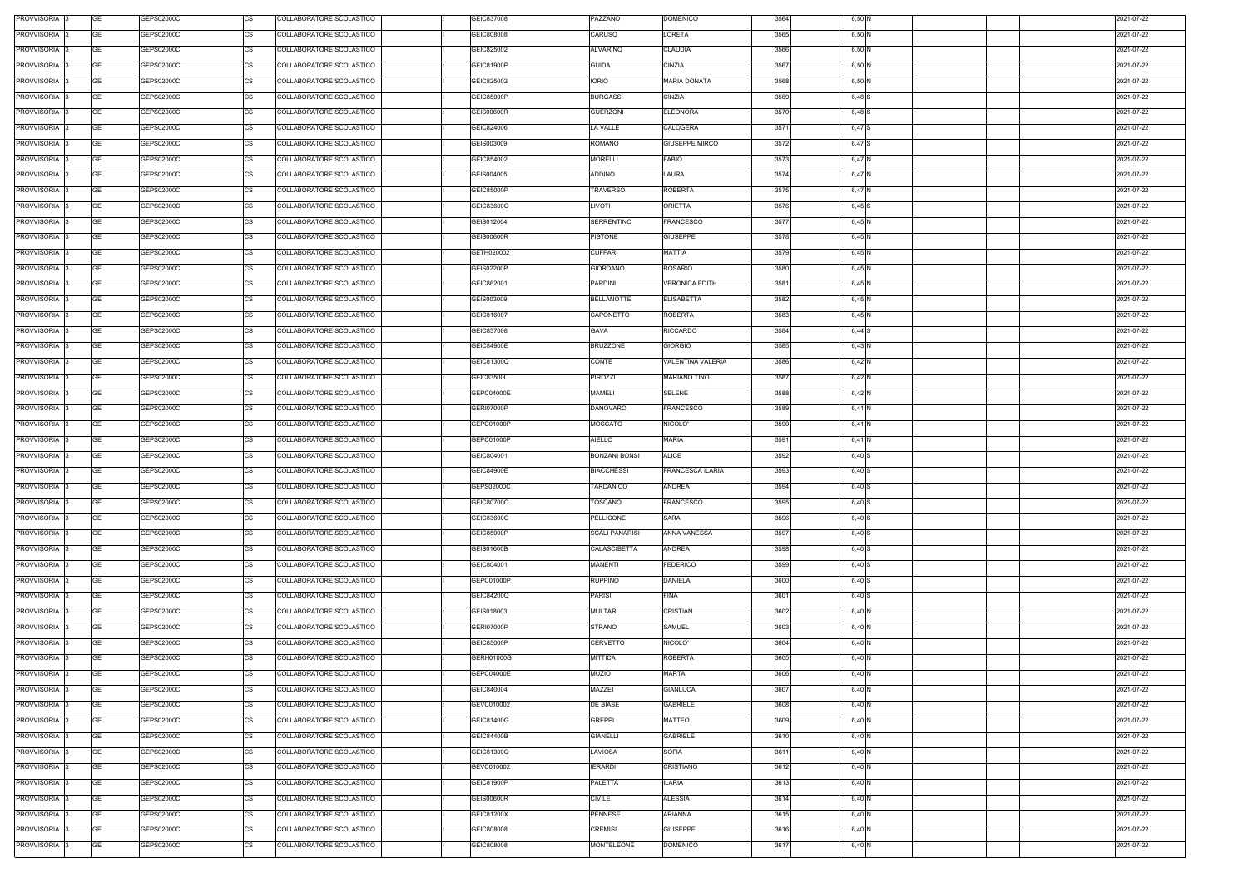| PROVVISORIA 3 | GE        | GEPS02000C | COLLABORATORE SCOLASTICO<br>CS        | GEIC837008        | PAZZANO               | <b>DOMENICO</b>         | 3564 | 6,50 N   |  | 2021-07-22 |
|---------------|-----------|------------|---------------------------------------|-------------------|-----------------------|-------------------------|------|----------|--|------------|
| PROVVISORIA 3 | <b>GE</b> | GEPS02000C | <b>CS</b><br>COLLABORATORE SCOLASTICO | GEIC808008        | CARUSO                | LORETA                  | 3565 | 6,50 N   |  | 2021-07-22 |
| PROVVISORIA 3 | GE        | GEPS02000C | <b>CS</b><br>COLLABORATORE SCOLASTICO | GEIC825002        | <b>ALVARINO</b>       | <b>CLAUDIA</b>          | 3566 | 6,50 N   |  | 2021-07-22 |
| PROVVISORIA 3 | GE        | GEPS02000C | <b>CS</b><br>COLLABORATORE SCOLASTICO | GEIC81900P        | <b>GUIDA</b>          | CINZIA                  | 3567 | 6,50 N   |  | 2021-07-22 |
| PROVVISORIA 3 | <b>GE</b> | GEPS02000C | <b>CS</b><br>COLLABORATORE SCOLASTICO | GEIC825002        | <b>IORIO</b>          | <b>MARIA DONATA</b>     | 3568 | 6,50 N   |  | 2021-07-22 |
| PROVVISORIA 3 | <b>GE</b> | GEPS02000C | <b>CS</b><br>COLLABORATORE SCOLASTICO | GEIC85000P        | <b>BURGASSI</b>       | CINZIA                  | 3569 | 6,48 S   |  | 2021-07-22 |
| PROVVISORIA 3 | <b>GE</b> | GEPS02000C | CS<br>COLLABORATORE SCOLASTICO        | <b>GEIS00600R</b> | <b>GUERZONI</b>       | <b>ELEONORA</b>         | 3570 | 6,48 S   |  | 2021-07-22 |
| PROVVISORIA 3 | GE        | GEPS02000C | <b>CS</b><br>COLLABORATORE SCOLASTICO | GEIC824006        | <b>LA VALLE</b>       | CALOGERA                | 3571 | 6,47 S   |  | 2021-07-22 |
| PROVVISORIA 3 | <b>GE</b> | GEPS02000C | <b>CS</b><br>COLLABORATORE SCOLASTICO | GEIS003009        | <b>ROMANO</b>         | <b>GIUSEPPE MIRCO</b>   | 3572 |          |  | 2021-07-22 |
|               |           |            |                                       |                   |                       |                         |      | 6,47 S   |  |            |
| PROVVISORIA 3 | <b>GE</b> | GEPS02000C | <b>CS</b><br>COLLABORATORE SCOLASTICO | GEIC854002        | <b>MORELLI</b>        | FABIO                   | 3573 | 6,47 N   |  | 2021-07-22 |
| PROVVISORIA 3 | <b>GE</b> | GEPS02000C | <b>CS</b><br>COLLABORATORE SCOLASTICO | GEIS004005        | <b>ADDINO</b>         | LAURA                   | 3574 | 6,47 N   |  | 2021-07-22 |
| PROVVISORIA 3 | <b>GE</b> | GEPS02000C | CS<br>COLLABORATORE SCOLASTICO        | GEIC85000P        | TRAVERSO              | <b>ROBERTA</b>          | 3575 | 6,47 N   |  | 2021-07-22 |
| PROVVISORIA 3 | <b>GE</b> | GEPS02000C | <b>CS</b><br>COLLABORATORE SCOLASTICO | GEIC83600C        | <b>LIVOTI</b>         | ORIETTA                 | 3576 | $6,45$ S |  | 2021-07-22 |
| PROVVISORIA 3 | <b>GE</b> | GEPS02000C | <b>CS</b><br>COLLABORATORE SCOLASTICO | GEIS012004        | SERRENTINO            | <b>FRANCESCO</b>        | 3577 | 6,45 N   |  | 2021-07-22 |
| PROVVISORIA 3 | <b>GE</b> | GEPS02000C | COLLABORATORE SCOLASTICO<br><b>CS</b> | <b>GEIS00600R</b> | <b>PISTONE</b>        | <b>GIUSEPPE</b>         | 3578 | 6,45 N   |  | 2021-07-22 |
| PROVVISORIA 3 | <b>GE</b> | GEPS02000C | <b>CS</b><br>COLLABORATORE SCOLASTICO | GETH020002        | <b>CUFFARI</b>        | MATTIA                  | 3579 | 6,45 N   |  | 2021-07-22 |
| PROVVISORIA 3 | <b>GE</b> | GEPS02000C | <b>CS</b><br>COLLABORATORE SCOLASTICO | <b>GEIS02200P</b> | <b>GIORDANO</b>       | ROSARIO                 | 3580 | 6,45 N   |  | 2021-07-22 |
| PROVVISORIA 3 | <b>GE</b> | GEPS02000C | <b>CS</b><br>COLLABORATORE SCOLASTICO | GEIC862001        | <b>PARDINI</b>        | <b>VERONICA EDITH</b>   | 3581 | 6,45 N   |  | 2021-07-22 |
| PROVVISORIA 3 | <b>GE</b> | GEPS02000C | <b>CS</b><br>COLLABORATORE SCOLASTICO | GEIS003009        | BELLANOTTE            | <b>ELISABETTA</b>       | 3582 | 6,45 N   |  | 2021-07-22 |
| PROVVISORIA 3 | GE        | GEPS02000C | <b>CS</b><br>COLLABORATORE SCOLASTICO | GEIC816007        | CAPONETTO             | ROBERTA                 | 3583 | 6,45 N   |  | 2021-07-22 |
| PROVVISORIA 3 | GE        | GEPS02000C | <b>CS</b><br>COLLABORATORE SCOLASTICO | GEIC837008        | GAVA                  | RICCARDO                | 3584 | 6,44 S   |  | 2021-07-22 |
| PROVVISORIA 3 | <b>GE</b> | GEPS02000C | <b>CS</b><br>COLLABORATORE SCOLASTICO | GEIC84900E        | <b>BRUZZONE</b>       | GIORGIO                 | 3585 | 6,43 N   |  | 2021-07-22 |
| PROVVISORIA 3 | <b>GE</b> | GEPS02000C | <b>CS</b><br>COLLABORATORE SCOLASTICO | GEIC81300Q        | CONTE                 | VALENTINA VALERIA       | 3586 | 6,42 N   |  | 2021-07-22 |
| PROVVISORIA 3 | <b>GE</b> | GEPS02000C | <b>CS</b><br>COLLABORATORE SCOLASTICO | GEIC83500L        | PIROZZI               | <b>MARIANO TINO</b>     | 3587 | 6,42 N   |  | 2021-07-22 |
| PROVVISORIA 3 | <b>GE</b> | GEPS02000C | <b>CS</b><br>COLLABORATORE SCOLASTICO | GEPC04000E        | MAMELI                | SELENE                  | 3588 | 6,42 N   |  | 2021-07-22 |
| PROVVISORIA 3 | <b>GE</b> | GEPS02000C | <b>CS</b><br>COLLABORATORE SCOLASTICO | GERI07000P        | DANOVARO              | <b>FRANCESCO</b>        | 3589 | 6,41 N   |  | 2021-07-22 |
| PROVVISORIA 3 | GE        | GEPS02000C | <b>CS</b><br>COLLABORATORE SCOLASTICO | GEPC01000P        | MOSCATO               | NICOLO'                 | 3590 | 6,41 N   |  | 2021-07-22 |
| PROVVISORIA 3 | <b>GE</b> | GEPS02000C | <b>CS</b><br>COLLABORATORE SCOLASTICO | GEPC01000P        | <b>AIELLO</b>         | <b>MARIA</b>            | 3591 | 6,41 N   |  | 2021-07-22 |
| PROVVISORIA 3 | GE        | GEPS02000C | <b>CS</b><br>COLLABORATORE SCOLASTICO | GEIC804001        | <b>BONZANI BONSI</b>  | <b>ALICE</b>            | 3592 | $6,40$ S |  | 2021-07-22 |
| PROVVISORIA 3 | <b>GE</b> | GEPS02000C | <b>CS</b><br>COLLABORATORE SCOLASTICO | GEIC84900E        | <b>BIACCHESSI</b>     | <b>FRANCESCA ILARIA</b> | 3593 | $6,40$ S |  | 2021-07-22 |
| PROVVISORIA 3 | GE        | GEPS02000C | <b>CS</b><br>COLLABORATORE SCOLASTICO | GEPS02000C        | <b>TARDANICO</b>      | <b>ANDREA</b>           | 3594 | $6,40$ S |  | 2021-07-22 |
| PROVVISORIA 3 | <b>GE</b> | GEPS02000C | <b>CS</b><br>COLLABORATORE SCOLASTICO | GEIC80700C        | TOSCANO               | FRANCESCO               | 3595 | $6,40$ S |  | 2021-07-22 |
| PROVVISORIA 3 | GE        | GEPS02000C | <b>CS</b><br>COLLABORATORE SCOLASTICO | GEIC83600C        | PELLICONE             | SARA                    | 3596 | $6,40$ S |  | 2021-07-22 |
| PROVVISORIA 3 | GE        | GEPS02000C | <b>CS</b><br>COLLABORATORE SCOLASTICO | GEIC85000P        | <b>SCALI PANARISI</b> | ANNA VANESSA            | 3597 | $6,40$ S |  | 2021-07-22 |
| PROVVISORIA 3 | <b>GE</b> | GEPS02000C | <b>CS</b><br>COLLABORATORE SCOLASTICO | GEIS01600B        | CALASCIBETTA          | <b>ANDREA</b>           | 3598 | 6,40 S   |  | 2021-07-22 |
| PROVVISORIA 3 | <b>GE</b> | GEPS02000C | <b>CS</b><br>COLLABORATORE SCOLASTICO | GEIC804001        | <b>MANENTI</b>        | <b>FEDERICO</b>         | 3599 | 6,40 S   |  | 2021-07-22 |
| PROVVISORIA 3 | <b>GE</b> | GEPS02000C | <b>CS</b><br>COLLABORATORE SCOLASTICO | GEPC01000P        | <b>RUPPINO</b>        | <b>DANIELA</b>          | 3600 | 6,40 S   |  | 2021-07-22 |
|               |           |            | COLLABORATORE SCOLASTICO              |                   |                       | FINA                    |      |          |  |            |
| PROVVISORIA 3 | <b>GE</b> | GEPS02000C | <b>CS</b>                             | GEIC84200Q        | <b>PARISI</b>         |                         | 3601 | $6,40$ S |  | 2021-07-22 |
| PROVVISORIA 3 | <b>GE</b> | GEPS02000C | CS<br>COLLABORATORE SCOLASTICO        | GEIS018003        | <b>MULTARI</b>        | CRISTIAN                | 3602 | 6,40 N   |  | 2021-07-22 |
| PROVVISORIA 3 | <b>GE</b> | GEPS02000C | <b>CS</b><br>COLLABORATORE SCOLASTICO | <b>GERI07000P</b> | <b>STRANO</b>         | SAMUEL                  | 3603 | 6,40 N   |  | 2021-07-22 |
| PROVVISORIA 3 | <b>GE</b> | GEPS02000C | <b>CS</b><br>COLLABORATORE SCOLASTICO | GEIC85000P        | CERVETTO              | NICOLO'                 | 3604 | 6,40 N   |  | 2021-07-22 |
| PROVVISORIA 3 | <b>GE</b> | GEPS02000C | <b>CS</b><br>COLLABORATORE SCOLASTICO | GERH01000G        | <b>MITTICA</b>        | <b>ROBERTA</b>          | 3605 | 6,40 N   |  | 2021-07-22 |
| PROVVISORIA 3 | <b>GE</b> | GEPS02000C | <b>CS</b><br>COLLABORATORE SCOLASTICO | GEPC04000E        | <b>MUZIO</b>          | <b>MARTA</b>            | 3606 | 6,40 N   |  | 2021-07-22 |
| PROVVISORIA 3 | <b>GE</b> | GEPS02000C | <b>CS</b><br>COLLABORATORE SCOLASTICO | GEIC840004        | MAZZEI                | <b>GIANLUCA</b>         | 3607 | 6,40 N   |  | 2021-07-22 |
| PROVVISORIA 3 | <b>GE</b> | GEPS02000C | CS<br>COLLABORATORE SCOLASTICO        | GEVC010002        | DE BIASE              | <b>GABRIELE</b>         | 3608 | 6,40 N   |  | 2021-07-22 |
| PROVVISORIA 3 | <b>GE</b> | GEPS02000C | <b>CS</b><br>COLLABORATORE SCOLASTICO | GEIC81400G        | <b>GREPPI</b>         | MATTEO                  | 3609 | 6,40 N   |  | 2021-07-22 |
| PROVVISORIA 3 | GE        | GEPS02000C | СS<br>COLLABORATORE SCOLASTICO        | GEIC84400B        | <b>GIANELLI</b>       | <b>GABRIELE</b>         | 3610 | 6,40 N   |  | 2021-07-22 |
| PROVVISORIA 3 | <b>GE</b> | GEPS02000C | <b>CS</b><br>COLLABORATORE SCOLASTICO | GEIC81300Q        | LAVIOSA               | <b>SOFIA</b>            | 3611 | 6,40 N   |  | 2021-07-22 |
| PROVVISORIA 3 | <b>GE</b> | GEPS02000C | <b>CS</b><br>COLLABORATORE SCOLASTICO | GEVC010002        | <b>IERARDI</b>        | CRISTIANO               | 3612 | 6,40 N   |  | 2021-07-22 |
| PROVVISORIA 3 | <b>GE</b> | GEPS02000C | <b>CS</b><br>COLLABORATORE SCOLASTICO | GEIC81900P        | PALETTA               | <b>ILARIA</b>           | 3613 | 6,40 N   |  | 2021-07-22 |
| PROVVISORIA 3 | <b>GE</b> | GEPS02000C | <b>CS</b><br>COLLABORATORE SCOLASTICO | <b>GEIS00600R</b> | <b>CIVILE</b>         | ALESSIA                 | 3614 | 6,40 N   |  | 2021-07-22 |
| PROVVISORIA 3 | GE        | GEPS02000C | <b>CS</b><br>COLLABORATORE SCOLASTICO | GEIC81200X        | <b>PENNESE</b>        | ARIANNA                 | 3615 | 6,40 N   |  | 2021-07-22 |
| PROVVISORIA 3 | <b>GE</b> | GEPS02000C | <b>CS</b><br>COLLABORATORE SCOLASTICO | GEIC808008        | CREMISI               | <b>GIUSEPPE</b>         | 3616 | 6,40 N   |  | 2021-07-22 |
| PROVVISORIA 3 | GE        | GEPS02000C | <b>CS</b><br>COLLABORATORE SCOLASTICO | GEIC808008        | <b>MONTELEONE</b>     | <b>DOMENICO</b>         | 3617 | 6,40 N   |  | 2021-07-22 |
|               |           |            |                                       |                   |                       |                         |      |          |  |            |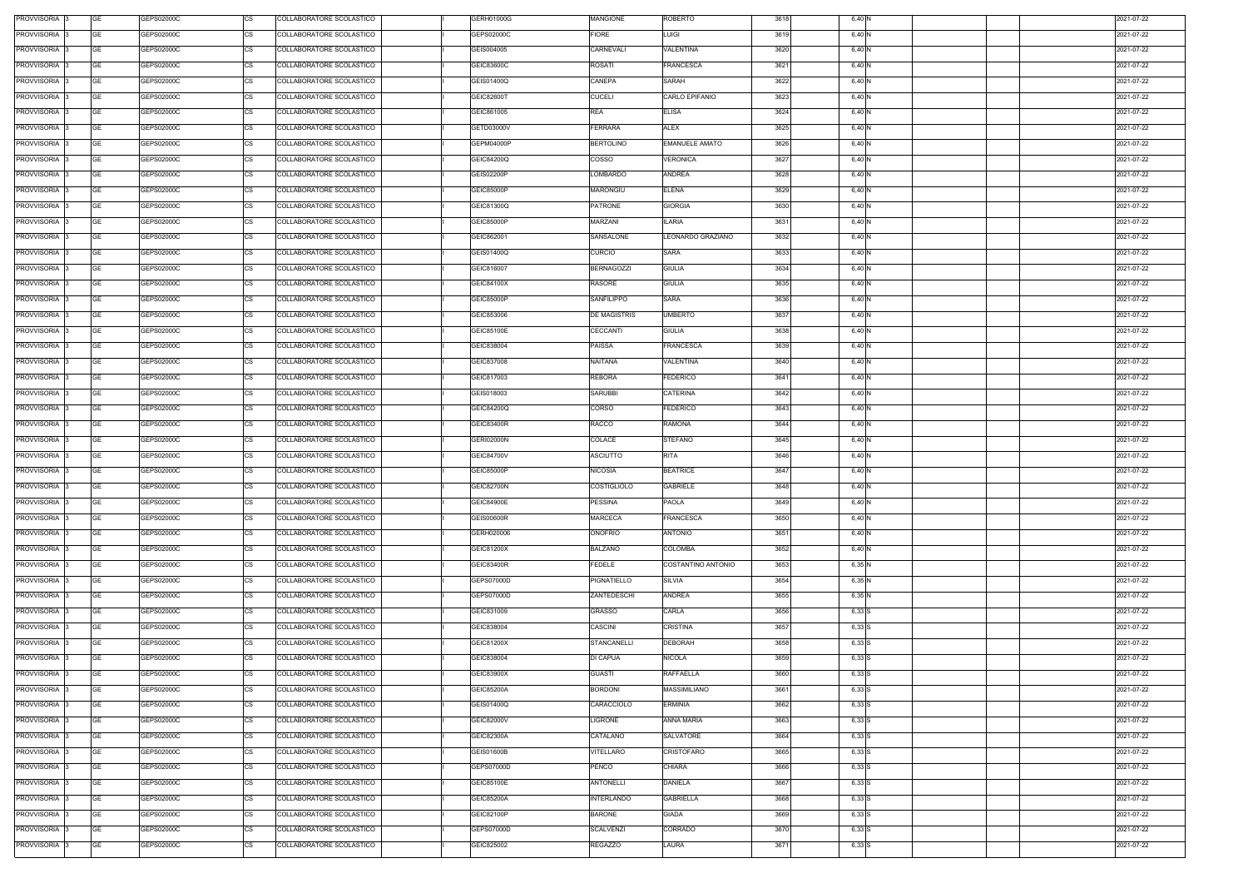| PROVVISORIA 3                  | <b>GE</b><br>GEPS02000C                            | <b>CS</b>       | COLLABORATORE SCOLASTICO                             | GERH01000G               | <b>MANGIONE</b>                  | <b>ROBERTO</b>                   | 3618         | 6,40 N           |  | 2021-07-22               |
|--------------------------------|----------------------------------------------------|-----------------|------------------------------------------------------|--------------------------|----------------------------------|----------------------------------|--------------|------------------|--|--------------------------|
| PROVVISORIA 3                  | <b>GE</b><br>GEPS02000C                            | CS              | COLLABORATORE SCOLASTICO                             | GEPS02000C               | <b>FIORE</b>                     | LUIGI                            | 3619         | 6,40 N           |  | 2021-07-22               |
| PROVVISORIA 3                  | <b>GE</b><br>GEPS02000C                            | <b>CS</b>       | COLLABORATORE SCOLASTICO                             | GEIS004005               | CARNEVALI                        | VALENTINA                        | 3620         | 6,40 N           |  | 2021-07-22               |
| PROVVISORIA 3                  | <b>GE</b><br>GEPS02000C                            | <b>CS</b>       | COLLABORATORE SCOLASTICO                             | GEIC83600C               | <b>ROSATI</b>                    | FRANCESCA                        | 3621         | 6,40 N           |  | 2021-07-22               |
| PROVVISORIA 3                  | <b>GE</b><br>GEPS02000C                            | <b>CS</b>       | COLLABORATORE SCOLASTICO                             | GEIS01400Q               | CANEPA                           | SARAH                            | 3622         | 6,40 N           |  | 2021-07-22               |
| PROVVISORIA 3                  | <b>GE</b><br>GEPS02000C                            | <b>CS</b>       | COLLABORATORE SCOLASTICO                             | GEIC82600T               | <b>CUCELI</b>                    | CARLO EPIFANIO                   | 3623         | 6,40 N           |  | 2021-07-22               |
| PROVVISORIA 3                  | <b>GE</b><br>GEPS02000C                            | <b>CS</b>       | COLLABORATORE SCOLASTICO                             | GEIC861005               | <b>REA</b>                       | <b>ELISA</b>                     | 3624         | 6,40 N           |  | 2021-07-22               |
| PROVVISORIA 3                  | <b>GE</b><br>GEPS02000C                            | CS              | COLLABORATORE SCOLASTICO                             | GETD03000V               | <b>FERRARA</b>                   | ALEX                             | 3625         | 6,40 N           |  | 2021-07-22               |
| PROVVISORIA 3                  | <b>GE</b><br>GEPS02000C                            | <b>CS</b>       | COLLABORATORE SCOLASTICO                             | GEPM04000P               | <b>BERTOLINO</b>                 | <b>EMANUELE AMATO</b>            | 3626         | 6,40 N           |  | 2021-07-22               |
| PROVVISORIA 3                  | <b>GE</b><br>GEPS02000C                            | <b>CS</b>       | COLLABORATORE SCOLASTICO                             | GEIC84200Q               | COSSO                            | <b>VERONICA</b>                  | 3627         | 6,40 N           |  | 2021-07-22               |
| PROVVISORIA 3                  | <b>GE</b><br>GEPS02000C                            | <b>CS</b>       | COLLABORATORE SCOLASTICO                             | <b>GEIS02200P</b>        | LOMBARDO                         | <b>ANDREA</b>                    | 3628         | 6,40 N           |  | 2021-07-22               |
| PROVVISORIA 3                  | <b>GE</b><br>GEPS02000C                            | CS              | COLLABORATORE SCOLASTICO                             | GEIC85000P               | <b>MARONGIU</b>                  | <b>ELENA</b>                     | 3629         | 6,40 N           |  | 2021-07-22               |
| PROVVISORIA 3                  | <b>GE</b><br>GEPS02000C                            | <b>CS</b>       | COLLABORATORE SCOLASTICO                             | GEIC81300Q               | <b>PATRONE</b>                   | <b>GIORGIA</b>                   | 3630         | 6,40 N           |  | 2021-07-22               |
| PROVVISORIA 3                  | <b>GE</b><br>GEPS02000C                            | CS              | COLLABORATORE SCOLASTICO                             | GEIC85000P               | MARZANI                          | <b>ILARIA</b>                    | 3631         | 6,40 N           |  | 2021-07-22               |
| PROVVISORIA 3                  | <b>GE</b><br>GEPS02000C                            | <b>CS</b>       | COLLABORATORE SCOLASTICO                             | GEIC862001               | SANSALONE                        | LEONARDO GRAZIANO                | 3632         | 6,40 N           |  | 2021-07-22               |
| PROVVISORIA 3                  | <b>GE</b><br>GEPS02000C                            | CS              | COLLABORATORE SCOLASTICO                             | GEIS01400Q               | <b>CURCIO</b>                    | SARA                             | 3633         | 6,40 N           |  | 2021-07-22               |
| PROVVISORIA 3                  | <b>GE</b><br>GEPS02000C                            | <b>CS</b>       | COLLABORATORE SCOLASTICO                             | GEIC816007               | <b>BERNAGOZZI</b>                | <b>GIULIA</b>                    | 3634         | 6,40 N           |  | 2021-07-22               |
| PROVVISORIA 3                  | <b>GE</b><br>GEPS02000C                            | <b>CS</b>       | COLLABORATORE SCOLASTICO                             | GEIC84100X               | RASORE                           | <b>GIULIA</b>                    | 3635         | 6,40 N           |  | 2021-07-22               |
| PROVVISORIA 3                  | <b>GE</b><br>GEPS02000C                            | <b>CS</b>       | COLLABORATORE SCOLASTICO                             | GEIC85000P               | SANFILIPPO                       | SARA                             | 3636         | 6,40 N           |  | 2021-07-22               |
| PROVVISORIA 3                  | <b>GE</b><br>GEPS02000C                            | <b>CS</b>       | COLLABORATORE SCOLASTICO                             | GEIC853006               | <b>DE MAGISTRIS</b>              | <b>UMBERTO</b>                   | 3637         | 6,40 N           |  | 2021-07-22               |
| PROVVISORIA 3                  | <b>GE</b><br>GEPS02000C                            | <b>CS</b>       | COLLABORATORE SCOLASTICO                             | GEIC85100E               | CECCANTI                         | <b>GIULIA</b>                    | 3638         | 6,40 N           |  | 2021-07-22               |
| PROVVISORIA 3                  | <b>GE</b><br>GEPS02000C                            | <b>CS</b>       | COLLABORATORE SCOLASTICO                             | GEIC838004               | <b>PAISSA</b>                    | FRANCESCA                        | 3639         | 6,40 N           |  | 2021-07-22               |
| PROVVISORIA 3                  | <b>GE</b><br>GEPS02000C                            | <b>CS</b>       | COLLABORATORE SCOLASTICO                             | GEIC837008               | NAITANA                          | VALENTINA                        | 3640         | 6,40 N           |  | 2021-07-22               |
| PROVVISORIA 3                  | <b>GE</b><br>GEPS02000C                            | <b>CS</b>       | COLLABORATORE SCOLASTICO                             | GEIC817003               | <b>REBORA</b>                    | <b>FEDERICO</b>                  | 3641         | 6,40 N           |  | 2021-07-22               |
| PROVVISORIA 3                  | <b>GE</b><br>GEPS02000C                            | <b>CS</b>       | COLLABORATORE SCOLASTICO                             | GEIS018003               | <b>SARUBBI</b>                   | CATERINA                         | 3642         | 6,40 N           |  | 2021-07-22               |
| PROVVISORIA 3                  | <b>GE</b><br>GEPS02000C                            | <b>CS</b>       | COLLABORATORE SCOLASTICO                             | GEIC84200Q               | CORSO                            | <b>FEDERICO</b>                  | 3643         | 6,40 N           |  | 2021-07-22               |
| PROVVISORIA 3                  | <b>GE</b><br>GEPS02000C                            | <b>CS</b>       | COLLABORATORE SCOLASTICO                             | <b>GEIC83400R</b>        | <b>RACCO</b>                     | RAMONA                           | 3644         | 6,40 N           |  | 2021-07-22               |
| PROVVISORIA 3                  | <b>GE</b><br>GEPS02000C                            | CS              | COLLABORATORE SCOLASTICO                             | <b>GERI02000N</b>        | COLACE                           | <b>STEFANO</b>                   | 3645         | 6,40 N           |  | 2021-07-22               |
| PROVVISORIA 3                  | <b>GE</b><br>GEPS02000C                            | <b>CS</b>       | COLLABORATORE SCOLASTICO                             | GEIC84700V               | ASCIUTTO                         | <b>RITA</b>                      | 3646         | 6,40 N           |  | 2021-07-22               |
| PROVVISORIA 3                  | <b>GE</b><br>GEPS02000C                            | <b>CS</b>       | COLLABORATORE SCOLASTICO                             | GEIC85000P               | <b>NICOSIA</b>                   | <b>BEATRICE</b>                  | 3647         | 6,40 N           |  | 2021-07-22               |
| PROVVISORIA 3                  | <b>GE</b><br>GEPS02000C<br><b>GE</b>               | <b>CS</b>       | COLLABORATORE SCOLASTICO                             | <b>GEIC82700N</b>        | COSTIGLIOLO                      | <b>GABRIELE</b>                  | 3648<br>3649 | 6,40 N           |  | 2021-07-22               |
| PROVVISORIA 3                  | GEPS02000C                                         | <b>CS</b>       | COLLABORATORE SCOLASTICO                             | GEIC84900E               | PESSINA                          | <b>PAOLA</b><br><b>FRANCESCA</b> |              | 6,40 N           |  | 2021-07-22               |
| PROVVISORIA 3                  | <b>GE</b><br>GEPS02000C                            | CS              | COLLABORATORE SCOLASTICO                             | <b>GEIS00600R</b>        | <b>MARCECA</b>                   |                                  | 3650         | 6,40 N           |  | 2021-07-22               |
| PROVVISORIA 3<br>PROVVISORIA 3 | <b>GE</b><br>GEPS02000C<br><b>GE</b><br>GEPS02000C | <b>CS</b><br>CS | COLLABORATORE SCOLASTICO<br>COLLABORATORE SCOLASTICO | GERH020006<br>GEIC81200X | <b>ONOFRIO</b><br><b>BALZANO</b> | ANTONIO<br>COLOMBA               | 3651<br>3652 | 6,40 N<br>6,40 N |  | 2021-07-22<br>2021-07-22 |
| PROVVISORIA 3                  | <b>GE</b><br>GEPS02000C                            | <b>CS</b>       | COLLABORATORE SCOLASTICO                             | GEIC83400R               | <b>FEDELE</b>                    | COSTANTINO ANTONIO               | 3653         | 6,35 N           |  | 2021-07-22               |
| PROVVISORIA 3                  | <b>GE</b><br>GEPS02000C                            | CS              | COLLABORATORE SCOLASTICO                             | GEPS07000D               | PIGNATIELLO                      | <b>SILVIA</b>                    | 3654         | 6,35 N           |  | 2021-07-22               |
| PROVVISORIA 3                  | <b>GE</b><br>GEPS02000C                            | <b>CS</b>       | COLLABORATORE SCOLASTICO                             | GEPS07000D               | ZANTEDESCHI                      | ANDREA                           | 3655         | 6,35 N           |  | 2021-07-22               |
| PROVVISORIA 3                  | <b>GE</b><br>GEPS02000C                            | CS              | COLLABORATORE SCOLASTICO                             | GEIC831009               | GRASSO                           | CARLA                            | 3656         | 6,33 S           |  | 2021-07-22               |
| PROVVISORIA 3                  | <b>GE</b><br>GEPS02000C                            | CS              | COLLABORATORE SCOLASTICO                             | GEIC838004               | <b>CASCINI</b>                   | CRISTINA                         | 3657         | 6,33 S           |  | 2021-07-22               |
| PROVVISORIA 3                  | <b>GE</b><br>GEPS02000C                            | CS              | COLLABORATORE SCOLASTICO                             | GEIC81200X               | STANCANELLI                      | <b>DEBORAH</b>                   | 3658         | 6,33 S           |  | 2021-07-22               |
| PROVVISORIA 3                  | <b>GE</b><br>GEPS02000C                            | <b>CS</b>       | COLLABORATORE SCOLASTICO                             | GEIC838004               | DI CAPUA                         | <b>NICOLA</b>                    | 3659         | 6,33 S           |  | 2021-07-22               |
| PROVVISORIA 3                  | <b>GE</b><br>GEPS02000C                            | CS              | COLLABORATORE SCOLASTICO                             | GEIC83900X               | <b>GUASTI</b>                    | <b>RAFFAELLA</b>                 | 3660         | 6,33 S           |  | 2021-07-22               |
| PROVVISORIA 3                  | <b>GE</b><br>GEPS02000C                            | CS              | COLLABORATORE SCOLASTICO                             | GEIC85200A               | <b>BORDONI</b>                   | MASSIMILIANO                     | 3661         | 6,33 S           |  | 2021-07-22               |
| PROVVISORIA 3                  | <b>GE</b><br>GEPS02000C                            | <b>CS</b>       | COLLABORATORE SCOLASTICO                             | GEIS01400Q               | CARACCIOLO                       | ERMINIA                          | 3662         | 6,33 S           |  | 2021-07-22               |
| PROVVISORIA 3                  | <b>GE</b><br>GEPS02000C                            | <b>CS</b>       | COLLABORATORE SCOLASTICO                             | GEIC82000V               | <b>LIGRONE</b>                   | <b>ANNA MARIA</b>                | 3663         | 6,33 S           |  | 2021-07-22               |
| PROVVISORIA 3                  | <b>GE</b><br>GEPS02000C                            | <b>CS</b>       | COLLABORATORE SCOLASTICO                             | GEIC82300A               | CATALANO                         | <b>SALVATORE</b>                 | 3664         | 6,33 S           |  | 2021-07-22               |
| PROVVISORIA 3                  | <b>GE</b><br>GEPS02000C                            | <b>CS</b>       | COLLABORATORE SCOLASTICO                             | GEIS01600B               | VITELLARO                        | CRISTOFARO                       | 3665         | 6,33 S           |  | 2021-07-22               |
| PROVVISORIA 3                  | <b>GE</b><br>GEPS02000C                            | <b>CS</b>       | COLLABORATORE SCOLASTICO                             | GEPS07000D               | <b>PENCO</b>                     | CHIARA                           | 3666         | 6,33 S           |  | 2021-07-22               |
| PROVVISORIA 3                  | <b>GE</b><br>GEPS02000C                            | <b>CS</b>       | COLLABORATORE SCOLASTICO                             | GEIC85100E               | ANTONELLI                        | <b>DANIELA</b>                   | 3667         | 6,33 S           |  | 2021-07-22               |
| PROVVISORIA 3                  | <b>GE</b><br>GEPS02000C                            | <b>CS</b>       | COLLABORATORE SCOLASTICO                             | GEIC85200A               | <b>INTERLANDO</b>                | <b>GABRIELLA</b>                 | 3668         | 6,33 S           |  | 2021-07-22               |
| PROVVISORIA 3                  | <b>GE</b><br>GEPS02000C                            | <b>CS</b>       | COLLABORATORE SCOLASTICO                             | GEIC82100P               | <b>BARONE</b>                    | <b>GIADA</b>                     | 3669         | 6,33 S           |  | 2021-07-22               |
| PROVVISORIA 3                  | <b>GE</b><br>GEPS02000C                            | <b>CS</b>       | COLLABORATORE SCOLASTICO                             | GEPS07000D               | SCALVENZI                        | CORRADO                          | 3670         | 6,33 S           |  | 2021-07-22               |
| PROVVISORIA 3                  | <b>GE</b><br>GEPS02000C                            | CS              | COLLABORATORE SCOLASTICO                             | GEIC825002               | <b>REGAZZO</b>                   | LAURA                            | 3671         | 6,33 S           |  | 2021-07-22               |
|                                |                                                    |                 |                                                      |                          |                                  |                                  |              |                  |  |                          |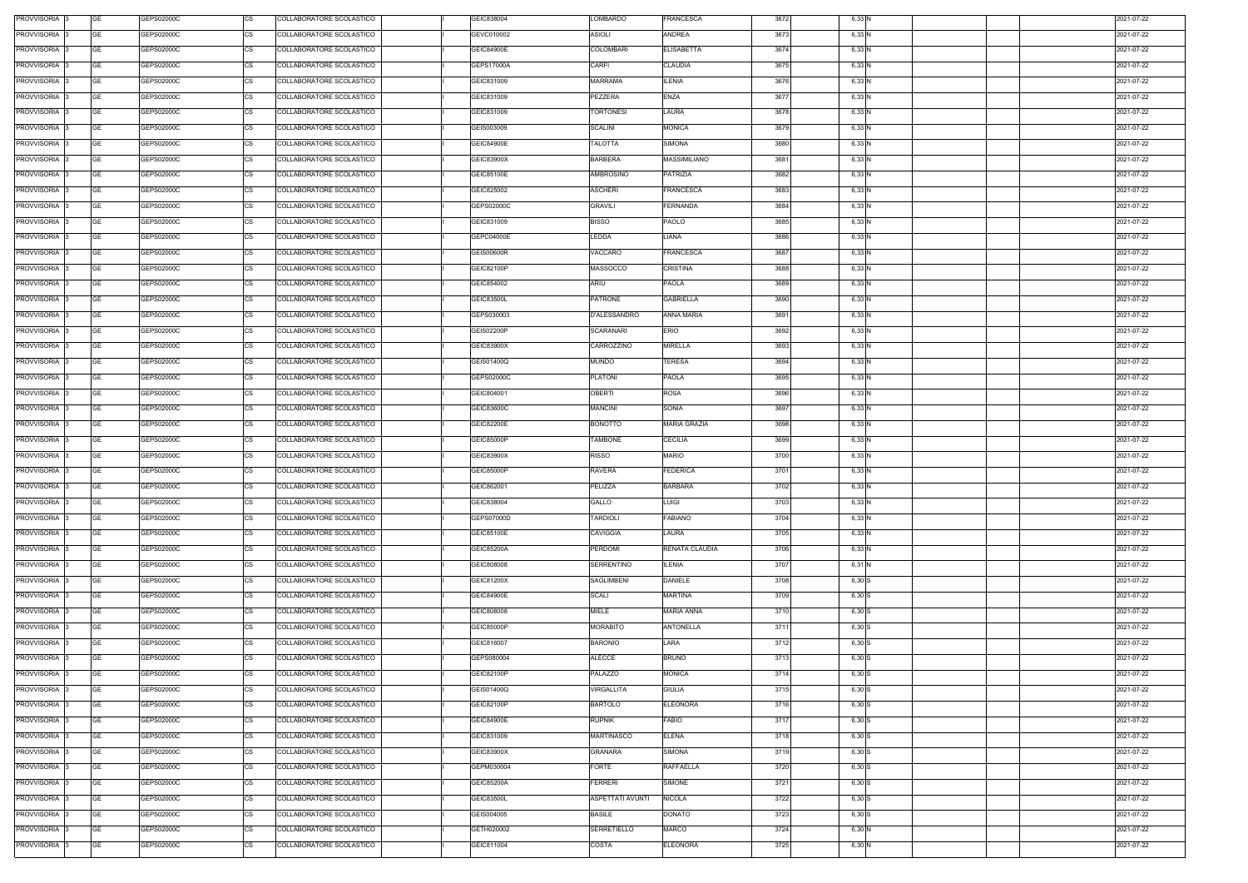| PROVVISORIA 3                  | <b>GE</b><br>GEPS02000C                            | <b>CS</b>       | COLLABORATORE SCOLASTICO                             | GEIC838004               | LOMBARDO                   | <b>FRANCESCA</b>        | 3672         | 6,33 N           |  | 2021-07-22               |
|--------------------------------|----------------------------------------------------|-----------------|------------------------------------------------------|--------------------------|----------------------------|-------------------------|--------------|------------------|--|--------------------------|
| PROVVISORIA 3                  | <b>GE</b><br>GEPS02000C                            | CS              | COLLABORATORE SCOLASTICO                             | GEVC010002               | <b>ASIOLI</b>              | ANDREA                  | 3673         | 6,33 N           |  | 2021-07-22               |
| PROVVISORIA 3                  | <b>GE</b><br>GEPS02000C                            | <b>CS</b>       | COLLABORATORE SCOLASTICO                             | GEIC84900E               | <b>COLOMBARI</b>           | <b>ELISABETTA</b>       | 3674         | 6,33 N           |  | 2021-07-22               |
| PROVVISORIA 3                  | <b>GE</b><br>GEPS02000C                            | <b>CS</b>       | COLLABORATORE SCOLASTICO                             | GEPS17000A               | CARFI                      | <b>CLAUDIA</b>          | 3675         | 6,33 N           |  | 2021-07-22               |
| PROVVISORIA 3                  | <b>GE</b><br>GEPS02000C                            | <b>CS</b>       | COLLABORATORE SCOLASTICO                             | GEIC831009               | <b>MARRAMA</b>             | <b>ILENIA</b>           | 3676         | 6,33 N           |  | 2021-07-22               |
| PROVVISORIA 3                  | <b>GE</b><br>GEPS02000C                            | <b>CS</b>       | COLLABORATORE SCOLASTICO                             | GEIC831009               | PEZZERA                    | <b>ENZA</b>             | 3677         | 6,33 N           |  | 2021-07-22               |
| PROVVISORIA 3                  | <b>GE</b><br>GEPS02000C                            | <b>CS</b>       | COLLABORATORE SCOLASTICO                             | GEIC831009               | TORTONESI                  | LAURA                   | 3678         | 6,33 N           |  | 2021-07-22               |
| PROVVISORIA 3                  | <b>GE</b><br>GEPS02000C                            | CS              | COLLABORATORE SCOLASTICO                             | GEIS003009               | <b>SCALINI</b>             | <b>MONICA</b>           | 3679         | 6,33 N           |  | 2021-07-22               |
| PROVVISORIA 3                  | <b>GE</b><br>GEPS02000C                            | <b>CS</b>       | COLLABORATORE SCOLASTICO                             | GEIC84900E               | TALOTTA                    | SIMONA                  | 3680         | 6,33 N           |  | 2021-07-22               |
| PROVVISORIA 3                  | <b>GE</b><br>GEPS02000C                            | <b>CS</b>       | COLLABORATORE SCOLASTICO                             | GEIC83900X               | <b>BARBERA</b>             | MASSIMILIANO            | 3681         | 6,33 N           |  | 2021-07-22               |
| PROVVISORIA 3                  | <b>GE</b><br>GEPS02000C                            | <b>CS</b>       | COLLABORATORE SCOLASTICO                             | GEIC85100E               | <b>AMBROSINO</b>           | PATRIZIA                | 3682         | 6,33 N           |  | 2021-07-22               |
| PROVVISORIA 3                  | <b>GE</b><br>GEPS02000C                            | CS              | COLLABORATORE SCOLASTICO                             | GEIC825002               | <b>ASCHERI</b>             | <b>FRANCESCA</b>        | 3683         | 6,33 N           |  | 2021-07-22               |
| PROVVISORIA 3                  | <b>GE</b><br>GEPS02000C                            | <b>CS</b>       | COLLABORATORE SCOLASTICO                             | GEPS02000C               | <b>GRAVILI</b>             | FERNANDA                | 3684         | 6,33 N           |  | 2021-07-22               |
| PROVVISORIA 3                  | <b>GE</b><br>GEPS02000C                            | CS              | COLLABORATORE SCOLASTICO                             | GEIC831009               | <b>BISSO</b>               | <b>PAOLO</b>            | 3685         | 6,33 N           |  | 2021-07-22               |
| PROVVISORIA 3                  | <b>GE</b><br>GEPS02000C                            | <b>CS</b>       | COLLABORATORE SCOLASTICO                             | GEPC04000E               | LEDDA                      | LIANA                   | 3686         | 6,33 N           |  | 2021-07-22               |
| PROVVISORIA 3                  | <b>GE</b><br>GEPS02000C                            | CS              | COLLABORATORE SCOLASTICO                             | <b>GEIS00600R</b>        | VACCARO                    | FRANCESCA               | 3687         | 6,33 N           |  | 2021-07-22               |
| PROVVISORIA 3                  | <b>GE</b><br>GEPS02000C                            | <b>CS</b>       | COLLABORATORE SCOLASTICO                             | GEIC82100P               | <b>MASSOCCO</b>            | <b>CRISTINA</b>         | 3688         | 6,33 N           |  | 2021-07-22               |
| PROVVISORIA 3                  | <b>GE</b><br>GEPS02000C                            | <b>CS</b>       | COLLABORATORE SCOLASTICO                             | GEIC854002               | <b>ARIU</b>                | <b>PAOLA</b>            | 3689         | 6,33 N           |  | 2021-07-22               |
| PROVVISORIA 3                  | <b>GE</b><br>GEPS02000C                            | <b>CS</b>       | COLLABORATORE SCOLASTICO                             | GEIC83500L               | PATRONE                    | <b>GABRIELLA</b>        | 3690         | 6,33 N           |  | 2021-07-22               |
| PROVVISORIA 3                  | <b>GE</b><br>GEPS02000C                            | <b>CS</b>       | COLLABORATORE SCOLASTICO                             | GEPS030003               | D'ALESSANDRO               | ANNA MARIA              | 3691         | 6,33 N           |  | 2021-07-22               |
| PROVVISORIA 3                  | <b>GE</b><br>GEPS02000C                            | <b>CS</b>       | COLLABORATORE SCOLASTICO                             | GEIS02200P               | SCARANARI                  | ERIO                    | 3692         | 6,33 N           |  | 2021-07-22               |
| PROVVISORIA 3                  | <b>GE</b><br>GEPS02000C                            | <b>CS</b>       | COLLABORATORE SCOLASTICO                             | GEIC83900X               | CARROZZINO                 | MIRELLA                 | 3693         | 6,33 N           |  | 2021-07-22               |
| PROVVISORIA 3                  | <b>GE</b><br>GEPS02000C                            | <b>CS</b>       | COLLABORATORE SCOLASTICO                             | GEIS01400Q               | <b>MUNDO</b>               | TERESA                  | 3694         | 6,33 N           |  | 2021-07-22               |
| PROVVISORIA 3                  | <b>GE</b><br>GEPS02000C                            | <b>CS</b>       | COLLABORATORE SCOLASTICO                             | GEPS02000C               | <b>PLATONI</b>             | PAOLA                   | 3695         | 6,33 N           |  | 2021-07-22               |
| PROVVISORIA 3                  | <b>GE</b><br>GEPS02000C                            | <b>CS</b>       | COLLABORATORE SCOLASTICO                             | GEIC804001               | <b>OBERTI</b>              | <b>ROSA</b>             | 3696         | 6,33 N           |  | 2021-07-22               |
| PROVVISORIA 3                  | <b>GE</b><br>GEPS02000C                            | <b>CS</b>       | COLLABORATORE SCOLASTICO                             | GEIC83600C               | <b>MANCINI</b>             | SONIA                   | 3697         | 6,33 N           |  | 2021-07-22               |
| PROVVISORIA 3                  | <b>GE</b><br>GEPS02000C                            | <b>CS</b>       | COLLABORATORE SCOLASTICO                             | GEIC82200E               | <b>BONOTTO</b>             | <b>MARIA GRAZIA</b>     | 3698         | 6,33 N           |  | 2021-07-22               |
| PROVVISORIA 3                  | <b>GE</b><br>GEPS02000C                            | CS              | COLLABORATORE SCOLASTICO                             | GEIC85000P               | TAMBONE                    | <b>CECILIA</b>          | 3699         | 6,33 N           |  | 2021-07-22               |
| PROVVISORIA 3                  | <b>GE</b><br>GEPS02000C                            | <b>CS</b>       | COLLABORATORE SCOLASTICO                             | GEIC83900X               | RISSO                      | <b>MARIO</b>            | 3700         | 6,33 N           |  | 2021-07-22               |
| PROVVISORIA 3                  | <b>GE</b><br>GEPS02000C                            | <b>CS</b>       | COLLABORATORE SCOLASTICO                             | GEIC85000P               | <b>RAVERA</b>              | <b>FEDERICA</b>         | 3701         | 6,33 N           |  | 2021-07-22               |
| PROVVISORIA 3                  | <b>GE</b><br>GEPS02000C<br><b>GE</b>               | <b>CS</b>       | COLLABORATORE SCOLASTICO                             | GEIC862001               | PELIZZA                    | <b>BARBARA</b>          | 3702         | 6,33 N           |  | 2021-07-22               |
| PROVVISORIA 3                  | GEPS02000C                                         | <b>CS</b>       | COLLABORATORE SCOLASTICO                             | GEIC838004               | GALLO<br><b>TARDIOLI</b>   | LUIGI                   | 3703         | 6,33 N           |  | 2021-07-22               |
| PROVVISORIA 3                  | <b>GE</b><br>GEPS02000C                            | CS              | COLLABORATORE SCOLASTICO                             | GEPS07000D               |                            | <b>FABIANO</b>          | 3704         | 6,33 N           |  | 2021-07-22               |
| PROVVISORIA 3<br>PROVVISORIA 3 | <b>GE</b><br>GEPS02000C<br><b>GE</b><br>GEPS02000C | <b>CS</b><br>CS | COLLABORATORE SCOLASTICO<br>COLLABORATORE SCOLASTICO | GEIC85100E<br>GEIC85200A | <b>CAVIGGIA</b><br>PERDOMI | LAURA<br>RENATA CLAUDIA | 3705<br>3706 | 6,33 N<br>6,33 N |  | 2021-07-22<br>2021-07-22 |
| PROVVISORIA 3                  | <b>GE</b><br>GEPS02000C                            | <b>CS</b>       | COLLABORATORE SCOLASTICO                             | GEIC808008               | <b>SERRENTINO</b>          | <b>ILENIA</b>           | 3707         | 6,31 N           |  | 2021-07-22               |
| PROVVISORIA 3                  | <b>GE</b><br>GEPS02000C                            | CS              | COLLABORATORE SCOLASTICO                             | GEIC81200X               | SAGLIMBENI                 | <b>DANIELE</b>          | 3708         | 6,30 S           |  | 2021-07-22               |
| PROVVISORIA 3                  | <b>GE</b><br>GEPS02000C                            | <b>CS</b>       | COLLABORATORE SCOLASTICO                             | GEIC84900E               | <b>SCALI</b>               | <b>MARTINA</b>          | 3709         | 6,30 S           |  | 2021-07-22               |
| PROVVISORIA 3                  | <b>GE</b><br>GEPS02000C                            | CS              | COLLABORATORE SCOLASTICO                             | GEIC808008               | MIELE                      | <b>MARIA ANNA</b>       | 3710         | 6,30 S           |  | 2021-07-22               |
| PROVVISORIA 3                  | <b>GE</b><br>GEPS02000C                            | CS              | COLLABORATORE SCOLASTICO                             | GEIC85000P               | <b>MORABITO</b>            | <b>ANTONELLA</b>        | 3711         | 6,30 S           |  | 2021-07-22               |
| PROVVISORIA 3                  | <b>GE</b><br>GEPS02000C                            | CS              | COLLABORATORE SCOLASTICO                             | GEIC816007               | <b>BARONIO</b>             | LARA                    | 3712         | 6,30 S           |  | 2021-07-22               |
| PROVVISORIA 3                  | <b>GE</b><br>GEPS02000C                            | <b>CS</b>       | COLLABORATORE SCOLASTICO                             | GEPS080004               | <b>ALECCE</b>              | <b>BRUNO</b>            | 3713         | 6,30 S           |  | 2021-07-22               |
| PROVVISORIA 3                  | <b>GE</b><br>GEPS02000C                            | CS              | COLLABORATORE SCOLASTICO                             | GEIC82100P               | PALAZZO                    | <b>MONICA</b>           | 3714         | 6,30 S           |  | 2021-07-22               |
| PROVVISORIA 3                  | <b>GE</b><br>GEPS02000C                            | CS              | COLLABORATORE SCOLASTICO                             | GEIS01400Q               | VIRGALLITA                 | <b>GIULIA</b>           | 3715         | 6,30 S           |  | 2021-07-22               |
| PROVVISORIA 3                  | <b>GE</b><br>GEPS02000C                            | <b>CS</b>       | COLLABORATORE SCOLASTICO                             | GEIC82100P               | <b>BARTOLO</b>             | <b>ELEONORA</b>         | 3716         | 6,30 S           |  | 2021-07-22               |
| PROVVISORIA 3                  | <b>GE</b><br>GEPS02000C                            | <b>CS</b>       | COLLABORATORE SCOLASTICO                             | GEIC84900E               | <b>RUPNIK</b>              | FABIO                   | 3717         | 6,30 S           |  | 2021-07-22               |
| PROVVISORIA 3                  | <b>GE</b><br>GEPS02000C                            | <b>CS</b>       | COLLABORATORE SCOLASTICO                             | GEIC831009               | <b>MARTINASCO</b>          | <b>ELENA</b>            | 3718         | 6,30 S           |  | 2021-07-22               |
| PROVVISORIA 3                  | <b>GE</b><br>GEPS02000C                            | <b>CS</b>       | COLLABORATORE SCOLASTICO                             | GEIC83900X               | GRANARA                    | SIMONA                  | 3719         | 6,30 S           |  | 2021-07-22               |
| PROVVISORIA 3                  | <b>GE</b><br>GEPS02000C                            | <b>CS</b>       | COLLABORATORE SCOLASTICO                             | GEPM030004               | <b>FORTE</b>               | <b>RAFFAELLA</b>        | 3720         | 6,30 S           |  | 2021-07-22               |
| PROVVISORIA 3                  | <b>GE</b><br>GEPS02000C                            | <b>CS</b>       | COLLABORATORE SCOLASTICO                             | GEIC85200A               | <b>FERRERI</b>             | SIMONE                  | 3721         | 6,30 S           |  | 2021-07-22               |
| PROVVISORIA 3                  | <b>GE</b><br>GEPS02000C                            | <b>CS</b>       | COLLABORATORE SCOLASTICO                             | GEIC83500L               | ASPETTATI AVUNTI           | <b>NICOLA</b>           | 3722         | 6,30 S           |  | 2021-07-22               |
| PROVVISORIA 3                  | <b>GE</b><br>GEPS02000C                            | <b>CS</b>       | COLLABORATORE SCOLASTICO                             | GEIS004005               | <b>BASILE</b>              | DONATO                  | 3723         | 6,30 S           |  | 2021-07-22               |
| PROVVISORIA 3                  | <b>GE</b><br>GEPS02000C                            | <b>CS</b>       | COLLABORATORE SCOLASTICO                             | GETH020002               | SERRETIELLO                | MARCO                   | 3724         | 6,30 N           |  | 2021-07-22               |
| PROVVISORIA 3                  | <b>GE</b><br>GEPS02000C                            | CS              | COLLABORATORE SCOLASTICO                             | GEIC811004               | COSTA                      | <b>ELEONORA</b>         | 3725         | 6,30 N           |  | 2021-07-22               |
|                                |                                                    |                 |                                                      |                          |                            |                         |              |                  |  |                          |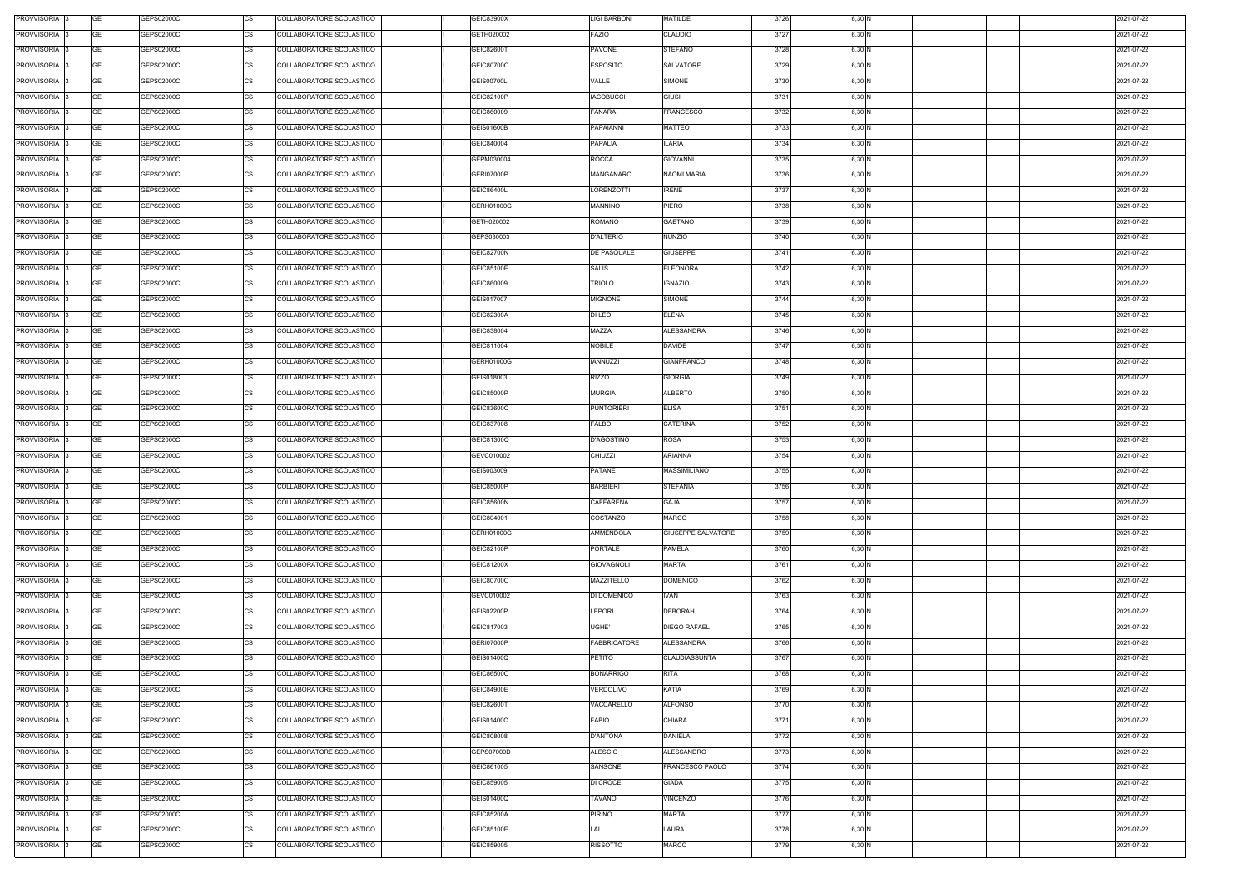| PROVVISORIA 3 | <b>GE</b><br>GEPS02000C | <b>CS</b> | COLLABORATORE SCOLASTICO | GEIC83900X        | <b>LIGI BARBONI</b> | MATILDE             | 3726 | 6,30 N |  | 2021-07-22 |
|---------------|-------------------------|-----------|--------------------------|-------------------|---------------------|---------------------|------|--------|--|------------|
| PROVVISORIA 3 | <b>GE</b><br>GEPS02000C | CS        | COLLABORATORE SCOLASTICO | GETH020002        | <b>FAZIO</b>        | <b>CLAUDIO</b>      | 3727 | 6,30 N |  | 2021-07-22 |
| PROVVISORIA 3 | <b>GE</b><br>GEPS02000C | CS        | COLLABORATORE SCOLASTICO | GEIC82600T        | PAVONE              | STEFANO             | 3728 | 6,30 N |  | 2021-07-22 |
| PROVVISORIA 3 | <b>GE</b><br>GEPS02000C | <b>CS</b> | COLLABORATORE SCOLASTICO | GEIC80700C        | <b>ESPOSITO</b>     | <b>SALVATORE</b>    | 3729 | 6,30 N |  | 2021-07-22 |
| PROVVISORIA 3 | <b>GE</b><br>GEPS02000C | <b>CS</b> | COLLABORATORE SCOLASTICO | GEIS00700L        | VALLE               | SIMONE              | 3730 | 6,30 N |  | 2021-07-22 |
| PROVVISORIA 3 | <b>GE</b><br>GEPS02000C | <b>CS</b> | COLLABORATORE SCOLASTICO | GEIC82100P        | <b>IACOBUCCI</b>    | <b>GIUSI</b>        | 3731 | 6,30 N |  | 2021-07-22 |
| PROVVISORIA 3 | <b>GE</b><br>GEPS02000C | <b>CS</b> | COLLABORATORE SCOLASTICO | GEIC860009        | <b>FANARA</b>       | <b>FRANCESCO</b>    | 3732 | 6,30 N |  | 2021-07-22 |
| PROVVISORIA 3 | <b>GE</b><br>GEPS02000C | <b>CS</b> | COLLABORATORE SCOLASTICO | GEIS01600B        | <b>PAPAIANNI</b>    | <b>MATTEO</b>       | 3733 | 6,30 N |  | 2021-07-22 |
| PROVVISORIA 3 | <b>GE</b><br>GEPS02000C | <b>CS</b> | COLLABORATORE SCOLASTICO | GEIC840004        | <b>PAPALIA</b>      | <b>ILARIA</b>       | 3734 | 6,30 N |  | 2021-07-22 |
| PROVVISORIA 3 | <b>GE</b><br>GEPS02000C | <b>CS</b> | COLLABORATORE SCOLASTICO | GEPM030004        | <b>ROCCA</b>        | <b>GIOVANNI</b>     | 3735 | 6,30 N |  | 2021-07-22 |
| PROVVISORIA 3 | <b>GE</b><br>GEPS02000C | <b>CS</b> | COLLABORATORE SCOLASTICO | <b>GERI07000P</b> | MANGANARO           | <b>NAOMI MARIA</b>  | 3736 | 6,30 N |  | 2021-07-22 |
| PROVVISORIA 3 | <b>GE</b><br>GEPS02000C | CS        | COLLABORATORE SCOLASTICO | GEIC86400L        | LORENZOTTI          | <b>IRENE</b>        | 3737 | 6,30 N |  | 2021-07-22 |
| PROVVISORIA 3 | <b>GE</b><br>GEPS02000C | <b>CS</b> | COLLABORATORE SCOLASTICO | GERH01000G        | <b>MANNINO</b>      | <b>PIERO</b>        | 3738 | 6,30 N |  | 2021-07-22 |
| PROVVISORIA 3 | <b>GE</b><br>GEPS02000C | CS        | COLLABORATORE SCOLASTICO | GETH020002        | ROMANO              | GAETANO             | 3739 | 6,30 N |  | 2021-07-22 |
| PROVVISORIA 3 | <b>GE</b><br>GEPS02000C | <b>CS</b> | COLLABORATORE SCOLASTICO | GEPS030003        | <b>D'ALTERIO</b>    | NUNZIO              | 3740 | 6,30 N |  | 2021-07-22 |
| PROVVISORIA 3 | <b>GE</b><br>GEPS02000C | CS        | COLLABORATORE SCOLASTICO | <b>GEIC82700N</b> | DE PASQUALE         | <b>GIUSEPPE</b>     | 3741 | 6,30 N |  | 2021-07-22 |
| PROVVISORIA 3 | <b>GE</b><br>GEPS02000C | <b>CS</b> | COLLABORATORE SCOLASTICO | GEIC85100E        | <b>SALIS</b>        | <b>ELEONORA</b>     | 3742 | 6,30 N |  | 2021-07-22 |
| PROVVISORIA 3 | <b>GE</b><br>GEPS02000C | <b>CS</b> | COLLABORATORE SCOLASTICO | GEIC860009        | TRIOLO              | <b>IGNAZIO</b>      | 3743 | 6,30 N |  | 2021-07-22 |
| PROVVISORIA 3 | <b>GE</b><br>GEPS02000C | <b>CS</b> | COLLABORATORE SCOLASTICO | GEIS017007        | <b>MIGNONE</b>      | SIMONE              | 3744 | 6,30 N |  | 2021-07-22 |
| PROVVISORIA 3 | <b>GE</b><br>GEPS02000C | <b>CS</b> | COLLABORATORE SCOLASTICO | GEIC82300A        | DI LEO              | <b>ELENA</b>        | 3745 | 6,30 N |  | 2021-07-22 |
| PROVVISORIA 3 | <b>GE</b><br>GEPS02000C | <b>CS</b> | COLLABORATORE SCOLASTICO | GEIC838004        | MAZZA               | ALESSANDRA          | 3746 | 6,30 N |  | 2021-07-22 |
| PROVVISORIA 3 | <b>GE</b><br>GEPS02000C | <b>CS</b> | COLLABORATORE SCOLASTICO | GEIC811004        | <b>NOBILE</b>       | <b>DAVIDE</b>       | 3747 | 6,30 N |  | 2021-07-22 |
| PROVVISORIA 3 | <b>GE</b><br>GEPS02000C | <b>CS</b> | COLLABORATORE SCOLASTICO | GERH01000G        | <b>IANNUZZI</b>     | <b>GIANFRANCO</b>   | 3748 | 6,30 N |  | 2021-07-22 |
|               | <b>GE</b>               | <b>CS</b> |                          |                   |                     |                     |      | 6,30 N |  |            |
| PROVVISORIA 3 | GEPS02000C              |           | COLLABORATORE SCOLASTICO | GEIS018003        | <b>RIZZO</b>        | <b>GIORGIA</b>      | 3749 |        |  | 2021-07-22 |
| PROVVISORIA 3 | <b>GE</b><br>GEPS02000C | <b>CS</b> | COLLABORATORE SCOLASTICO | GEIC85000P        | <b>MURGIA</b>       | <b>ALBERTO</b>      | 3750 | 6,30 N |  | 2021-07-22 |
| PROVVISORIA 3 | <b>GE</b><br>GEPS02000C | <b>CS</b> | COLLABORATORE SCOLASTICO | GEIC83600C        | <b>PUNTORIERI</b>   | <b>ELISA</b>        | 3751 | 6,30 N |  | 2021-07-22 |
| PROVVISORIA 3 | <b>GE</b><br>GEPS02000C | <b>CS</b> | COLLABORATORE SCOLASTICO | GEIC837008        | FALBO               | CATERINA            | 3752 | 6,30 N |  | 2021-07-22 |
| PROVVISORIA 3 | <b>GE</b><br>GEPS02000C | CS        | COLLABORATORE SCOLASTICO | GEIC81300Q        | <b>D'AGOSTINO</b>   | <b>ROSA</b>         | 3753 | 6,30 N |  | 2021-07-22 |
| PROVVISORIA 3 | <b>GE</b><br>GEPS02000C | <b>CS</b> | COLLABORATORE SCOLASTICO | GEVC010002        | CHIUZZI             | <b>ARIANNA</b>      | 3754 | 6,30 N |  | 2021-07-22 |
| PROVVISORIA 3 | <b>GE</b><br>GEPS02000C | <b>CS</b> | COLLABORATORE SCOLASTICO | GEIS003009        | <b>PATANE</b>       | MASSIMILIANO        | 3755 | 6,30 N |  | 2021-07-22 |
| PROVVISORIA 3 | <b>GE</b><br>GEPS02000C | <b>CS</b> | COLLABORATORE SCOLASTICO | GEIC85000P        | <b>BARBIERI</b>     | <b>STEFANIA</b>     | 3756 | 6,30 N |  | 2021-07-22 |
| PROVVISORIA 3 | <b>GE</b><br>GEPS02000C | <b>CS</b> | COLLABORATORE SCOLASTICO | GEIC85600N        | <b>CAFFARENA</b>    | <b>GAJA</b>         | 3757 | 6,30 N |  | 2021-07-22 |
| PROVVISORIA 3 | <b>GE</b><br>GEPS02000C | CS        | COLLABORATORE SCOLASTICO | GEIC804001        | COSTANZO            | <b>MARCO</b>        | 3758 | 6,30 N |  | 2021-07-22 |
| PROVVISORIA 3 | <b>GE</b><br>GEPS02000C | <b>CS</b> | COLLABORATORE SCOLASTICO | GERH01000G        | AMMENDOLA           | GIUSEPPE SALVATORE  | 3759 | 6,30 N |  | 2021-07-22 |
| PROVVISORIA 3 | <b>GE</b><br>GEPS02000C | CS        | COLLABORATORE SCOLASTICO | GEIC82100P        | PORTALE             | PAMELA              | 3760 | 6,30 N |  | 2021-07-22 |
| PROVVISORIA 3 | <b>GE</b><br>GEPS02000C | <b>CS</b> | COLLABORATORE SCOLASTICO | GEIC81200X        | <b>GIOVAGNOLI</b>   | <b>MARTA</b>        | 3761 | 6,30 N |  | 2021-07-22 |
| PROVVISORIA 3 | <b>GE</b><br>GEPS02000C | CS        | COLLABORATORE SCOLASTICO | GEIC80700C        | MAZZITELLO          | <b>DOMENICO</b>     | 3762 | 6,30 N |  | 2021-07-22 |
| PROVVISORIA 3 | <b>GE</b><br>GEPS02000C | <b>CS</b> | COLLABORATORE SCOLASTICO | GEVC010002        | DI DOMENICO         | <b>IVAN</b>         | 3763 | 6,30 N |  | 2021-07-22 |
| PROVVISORIA 3 | <b>GE</b><br>GEPS02000C | CS        | COLLABORATORE SCOLASTICO | <b>GEIS02200P</b> | LEPORI              | <b>DEBORAH</b>      | 3764 | 6,30 N |  | 2021-07-22 |
| PROVVISORIA 3 | <b>GE</b><br>GEPS02000C | CS        | COLLABORATORE SCOLASTICO | GEIC817003        | UGHE'               | <b>DIEGO RAFAEL</b> | 3765 | 6,30 N |  | 2021-07-22 |
| PROVVISORIA 3 | <b>GE</b><br>GEPS02000C | CS        | COLLABORATORE SCOLASTICO | GERI07000P        | <b>FABBRICATORE</b> | <b>ALESSANDRA</b>   | 3766 | 6,30 N |  | 2021-07-22 |
| PROVVISORIA 3 | <b>GE</b><br>GEPS02000C | <b>CS</b> | COLLABORATORE SCOLASTICO | GEIS01400Q        | <b>PETITO</b>       | CLAUDIASSUNTA       | 3767 | 6,30 N |  | 2021-07-22 |
| PROVVISORIA 3 | <b>GE</b><br>GEPS02000C | CS        | COLLABORATORE SCOLASTICO | GEIC86500C        | <b>BONARRIGO</b>    | <b>RITA</b>         | 3768 | 6,30 N |  | 2021-07-22 |
| PROVVISORIA 3 | <b>GE</b><br>GEPS02000C | CS        | COLLABORATORE SCOLASTICO | GEIC84900E        | VERDOLIVO           | KATIA               | 3769 | 6,30 N |  | 2021-07-22 |
| PROVVISORIA 3 | <b>GE</b><br>GEPS02000C | <b>CS</b> | COLLABORATORE SCOLASTICO | GEIC82600T        | VACCARELLO          | <b>ALFONSO</b>      | 3770 | 6,30 N |  | 2021-07-22 |
| PROVVISORIA 3 | <b>GE</b><br>GEPS02000C | <b>CS</b> | COLLABORATORE SCOLASTICO | GEIS01400Q        | <b>FABIO</b>        | CHIARA              | 3771 | 6,30 N |  | 2021-07-22 |
| PROVVISORIA 3 | <b>GE</b><br>GEPS02000C | <b>CS</b> | COLLABORATORE SCOLASTICO | GEIC808008        | <b>D'ANTONA</b>     | DANIELA             | 3772 | 6,30 N |  | 2021-07-22 |
| PROVVISORIA 3 | <b>GE</b><br>GEPS02000C | <b>CS</b> | COLLABORATORE SCOLASTICO | GEPS07000D        | ALESCIO             | <b>ALESSANDRO</b>   | 3773 | 6,30 N |  | 2021-07-22 |
| PROVVISORIA 3 | <b>GE</b><br>GEPS02000C | <b>CS</b> | COLLABORATORE SCOLASTICO | GEIC861005        | SANSONE             | FRANCESCO PAOLO     | 3774 | 6,30 N |  | 2021-07-22 |
| PROVVISORIA 3 | <b>GE</b><br>GEPS02000C | <b>CS</b> | COLLABORATORE SCOLASTICO | GEIC859005        | DI CROCE            | <b>GIADA</b>        | 3775 | 6,30 N |  | 2021-07-22 |
| PROVVISORIA 3 | <b>GE</b><br>GEPS02000C | <b>CS</b> | COLLABORATORE SCOLASTICO | GEIS01400Q        | TAVANO              | /INCENZO            | 3776 | 6,30 N |  | 2021-07-22 |
| PROVVISORIA 3 | <b>GE</b><br>GEPS02000C | <b>CS</b> | COLLABORATORE SCOLASTICO | GEIC85200A        | <b>PIRINO</b>       | <b>MARTA</b>        | 3777 | 6,30 N |  | 2021-07-22 |
| PROVVISORIA 3 | <b>GE</b><br>GEPS02000C | <b>CS</b> | COLLABORATORE SCOLASTICO | GEIC85100E        | LAI                 | LAURA               | 3778 | 6,30 N |  | 2021-07-22 |
| PROVVISORIA 3 | <b>GE</b><br>GEPS02000C | CS        | COLLABORATORE SCOLASTICO | GEIC859005        | <b>RISSOTTO</b>     | <b>MARCO</b>        | 3779 | 6,30 N |  | 2021-07-22 |
|               |                         |           |                          |                   |                     |                     |      |        |  |            |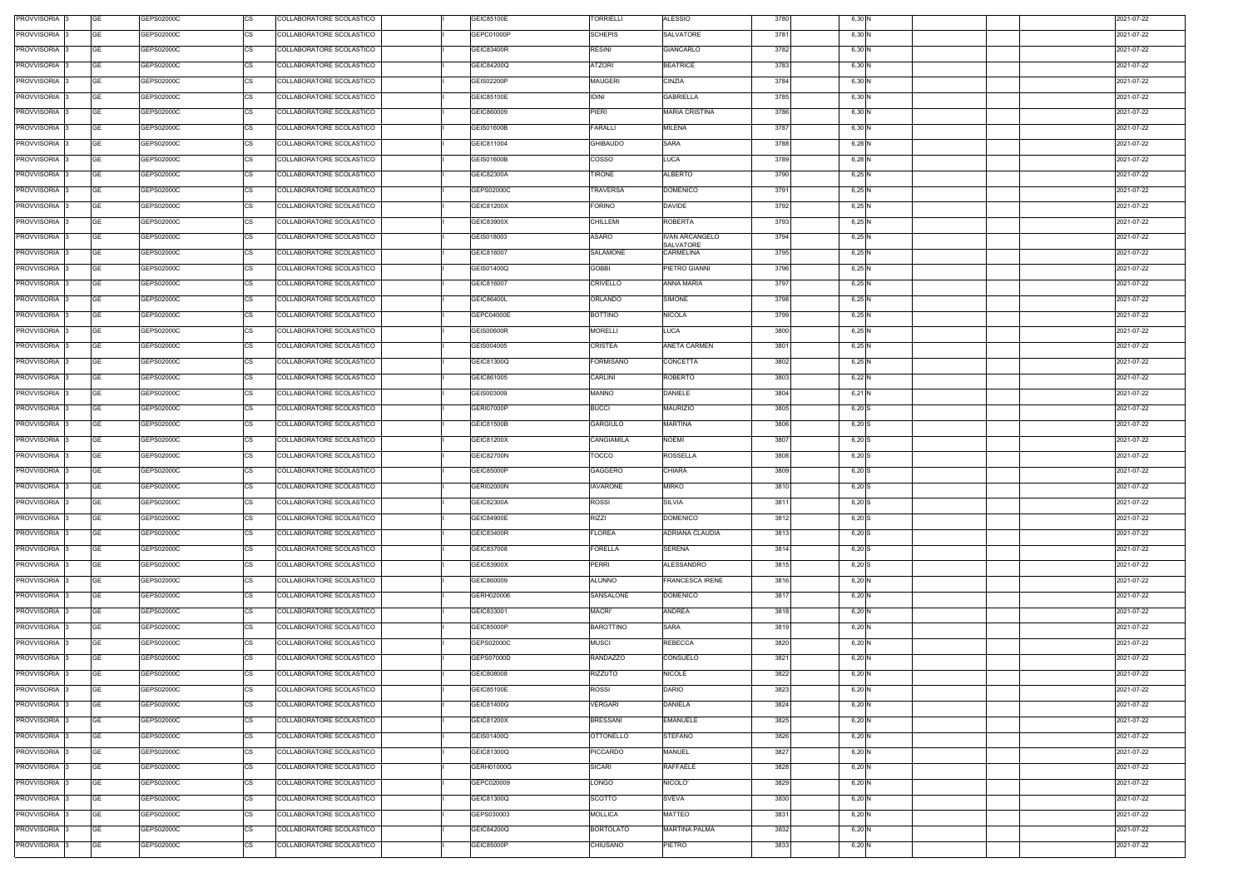| PROVVISORIA 3                  | <b>GE</b><br>GEPS02000C                            | <b>CS</b>       | COLLABORATORE SCOLASTICO                             | GEIC85100E               | TORRIELLI                       | <b>ALESSIO</b>                     | 3780         | 6,30 N             |  | 2021-07-22               |
|--------------------------------|----------------------------------------------------|-----------------|------------------------------------------------------|--------------------------|---------------------------------|------------------------------------|--------------|--------------------|--|--------------------------|
| PROVVISORIA 3                  | <b>GE</b><br>GEPS02000C                            | CS              | COLLABORATORE SCOLASTICO                             | GEPC01000P               | <b>SCHEPIS</b>                  | <b>SALVATORE</b>                   | 3781         | 6,30 N             |  | 2021-07-22               |
| PROVVISORIA 3                  | <b>GE</b><br>GEPS02000C                            | <b>CS</b>       | COLLABORATORE SCOLASTICO                             | <b>GEIC83400R</b>        | <b>RESINI</b>                   | <b>GIANCARLO</b>                   | 3782         | 6,30 N             |  | 2021-07-22               |
| PROVVISORIA 3                  | <b>GE</b><br>GEPS02000C                            | <b>CS</b>       | COLLABORATORE SCOLASTICO                             | GEIC84200Q               | <b>ATZORI</b>                   | <b>BEATRICE</b>                    | 3783         | 6,30 N             |  | 2021-07-22               |
| PROVVISORIA 3                  | <b>GE</b><br>GEPS02000C                            | <b>CS</b>       | COLLABORATORE SCOLASTICO                             | <b>GEIS02200P</b>        | <b>MAUGERI</b>                  | <b>CINZIA</b>                      | 3784         | 6,30 N             |  | 2021-07-22               |
| PROVVISORIA 3                  | <b>GE</b><br>GEPS02000C                            | <b>CS</b>       | COLLABORATORE SCOLASTICO                             | GEIC85100E               | <b>IDINI</b>                    | <b>GABRIELLA</b>                   | 3785         | 6,30 N             |  | 2021-07-22               |
| PROVVISORIA 3                  | <b>GE</b><br>GEPS02000C                            | <b>CS</b>       | COLLABORATORE SCOLASTICO                             | GEIC860009               | PIERI                           | <b>MARIA CRISTINA</b>              | 3786         | 6,30 N             |  | 2021-07-22               |
| PROVVISORIA 3                  | <b>GE</b><br>GEPS02000C                            | CS              | COLLABORATORE SCOLASTICO                             | GEIS01600B               | <b>FARALLI</b>                  | MILENA                             | 3787         | 6,30 N             |  | 2021-07-22               |
| PROVVISORIA 3                  | <b>GE</b><br>GEPS02000C                            | <b>CS</b>       | COLLABORATORE SCOLASTICO                             | GEIC811004               | <b>GHIBAUDO</b>                 | SARA                               | 3788         | 6,28 N             |  | 2021-07-22               |
| PROVVISORIA 3                  | <b>GE</b><br>GEPS02000C                            | <b>CS</b>       | COLLABORATORE SCOLASTICO                             | <b>GEIS01600B</b>        | COSSO                           | LUCA                               | 3789         | 6,28 N             |  | 2021-07-22               |
| PROVVISORIA 3                  | <b>GE</b><br>GEPS02000C                            | <b>CS</b>       | COLLABORATORE SCOLASTICO                             | GEIC82300A               | <b>TIRONE</b>                   | <b>ALBERTO</b>                     | 3790         | 6,25N              |  | 2021-07-22               |
| PROVVISORIA 3                  | <b>GE</b><br>GEPS02000C                            | CS              | COLLABORATORE SCOLASTICO                             | GEPS02000C               | <b>TRAVERSA</b>                 | <b>DOMENICO</b>                    | 3791         | 6,25N              |  | 2021-07-22               |
| PROVVISORIA 3                  | <b>GE</b><br>GEPS02000C                            | <b>CS</b>       | COLLABORATORE SCOLASTICO                             | GEIC81200X               | <b>FORINO</b>                   | <b>DAVIDE</b>                      | 3792         | 6,25N              |  | 2021-07-22               |
| PROVVISORIA 3                  | <b>GE</b><br>GEPS02000C                            | CS              | COLLABORATORE SCOLASTICO                             | GEIC83900X               | CHILLEMI                        | ROBERTA                            | 3793         | 6,25N              |  | 2021-07-22               |
| PROVVISORIA 3                  | <b>GE</b><br>GEPS02000C                            | <b>CS</b>       | COLLABORATORE SCOLASTICO                             | GEIS018003               | <b>ASARO</b>                    | <b>IVAN ARCANGELO</b><br>SALVATORE | 3794         | 6,25N              |  | 2021-07-22               |
| PROVVISORIA 3                  | <b>GE</b><br>GEPS02000C                            | CS              | COLLABORATORE SCOLASTICO                             | GEIC816007               | SALAMONE                        | CARMELINA                          | 3795         | 6,25N              |  | 2021-07-22               |
| PROVVISORIA 3                  | <b>GE</b><br>GEPS02000C                            | <b>CS</b>       | COLLABORATORE SCOLASTICO                             | GEIS01400Q               | <b>GOBBI</b>                    | PIETRO GIANNI                      | 3796         | 6,25N              |  | 2021-07-22               |
| PROVVISORIA 3                  | <b>GE</b><br>GEPS02000C                            | <b>CS</b>       | COLLABORATORE SCOLASTICO                             | GEIC816007               | CRIVELLO                        | <b>ANNA MARIA</b>                  | 3797         | 6,25N              |  | 2021-07-22               |
| PROVVISORIA 3                  | <b>GE</b><br>GEPS02000C                            | <b>CS</b>       | COLLABORATORE SCOLASTICO                             | GEIC86400L               | ORLANDO                         | SIMONE                             | 3798         | 6,25 N             |  | 2021-07-22               |
| PROVVISORIA 3                  | <b>GE</b><br>GEPS02000C                            | <b>CS</b>       | COLLABORATORE SCOLASTICO                             | GEPC04000E               | <b>BOTTINO</b>                  | <b>NICOLA</b>                      | 3799         | 6,25 N             |  | 2021-07-22               |
| PROVVISORIA 3                  | <b>GE</b><br>GEPS02000C                            | <b>CS</b>       | COLLABORATORE SCOLASTICO                             | GEIS00600R               | <b>MORELLI</b>                  | LUCA                               | 3800         | 6,25 N             |  | 2021-07-22               |
| PROVVISORIA 3                  | <b>GE</b><br>GEPS02000C                            | <b>CS</b>       | COLLABORATORE SCOLASTICO                             | GEIS004005               | CRISTEA                         | <b>ANETA CARMEN</b>                | 3801         | 6,25N              |  | 2021-07-22               |
| PROVVISORIA 3                  | <b>GE</b><br>GEPS02000C                            | <b>CS</b>       | COLLABORATORE SCOLASTICO                             | GEIC81300Q               | <b>FORMISANO</b>                | <b>CONCETTA</b>                    | 3802         | 6,25N              |  | 2021-07-22               |
| PROVVISORIA 3                  | <b>GE</b><br>GEPS02000C                            | <b>CS</b>       | COLLABORATORE SCOLASTICO                             | GEIC861005               | <b>CARLINI</b>                  | <b>ROBERTO</b>                     | 3803         | 6,22 N             |  | 2021-07-22               |
| PROVVISORIA 3                  | <b>GE</b><br>GEPS02000C                            | <b>CS</b>       | COLLABORATORE SCOLASTICO                             | GEIS003009               | <b>MANNO</b>                    | DANIELE                            | 3804         | 6,21 N             |  | 2021-07-22               |
| PROVVISORIA 3                  | <b>GE</b><br>GEPS02000C                            | <b>CS</b>       | COLLABORATORE SCOLASTICO                             | GERI07000P               | <b>BUCCI</b>                    | <b>MAURIZIO</b>                    | 3805         | $6,20$ S           |  | 2021-07-22               |
| PROVVISORIA 3                  | <b>GE</b><br>GEPS02000C                            | <b>CS</b>       | COLLABORATORE SCOLASTICO                             | GEIC81500B               | GARGIULO                        | <b>MARTINA</b>                     | 3806         | $6,20$ S           |  | 2021-07-22               |
| PROVVISORIA 3                  | <b>GE</b><br>GEPS02000C                            | CS              | COLLABORATORE SCOLASTICO                             | GEIC81200X               | CANGIAMILA                      | <b>NOEMI</b>                       | 3807         | 6,20 S             |  | 2021-07-22               |
| PROVVISORIA 3                  | <b>GE</b><br>GEPS02000C                            | <b>CS</b>       | COLLABORATORE SCOLASTICO                             | <b>GEIC82700N</b>        | тоссо                           | <b>ROSSELLA</b>                    | 3808         | $6,20$ S           |  | 2021-07-22               |
| PROVVISORIA 3                  | <b>GE</b><br>GEPS02000C                            | <b>CS</b>       | COLLABORATORE SCOLASTICO                             | GEIC85000P               | GAGGERO                         | <b>CHIARA</b>                      | 3809         | 6,20 S             |  | 2021-07-22               |
| PROVVISORIA 3                  | <b>GE</b><br>GEPS02000C<br><b>GE</b>               | <b>CS</b>       | COLLABORATORE SCOLASTICO                             | <b>GERI02000N</b>        | <b>IAVARONE</b>                 | <b>MIRKO</b>                       | 3810         | $6,20$ S           |  | 2021-07-22               |
| PROVVISORIA 3                  | GEPS02000C                                         | <b>CS</b>       | COLLABORATORE SCOLASTICO                             | GEIC82300A               | <b>ROSSI</b>                    | <b>SILVIA</b>                      | 3811         | 6,20 S             |  | 2021-07-22               |
| PROVVISORIA 3                  | <b>GE</b><br>GEPS02000C                            | CS              | COLLABORATORE SCOLASTICO                             | GEIC84900E               | <b>RIZZI</b>                    | <b>DOMENICO</b>                    | 3812         | $6,20$ S           |  | 2021-07-22               |
| PROVVISORIA 3<br>PROVVISORIA 3 | <b>GE</b><br>GEPS02000C<br><b>GE</b><br>GEPS02000C | <b>CS</b><br>CS | COLLABORATORE SCOLASTICO<br>COLLABORATORE SCOLASTICO | GEIC83400R<br>GEIC837008 | <b>FLOREA</b><br><b>FORELLA</b> | ADRIANA CLAUDIA<br><b>SERENA</b>   | 3813<br>3814 | $6,20$ S<br>6,20 S |  | 2021-07-22<br>2021-07-22 |
| PROVVISORIA 3                  | <b>GE</b><br>GEPS02000C                            | <b>CS</b>       | COLLABORATORE SCOLASTICO                             | GEIC83900X               | <b>PERRI</b>                    | ALESSANDRO                         | 3815         | 6,20 S             |  | 2021-07-22               |
| PROVVISORIA 3                  | <b>GE</b><br>GEPS02000C                            | CS              | COLLABORATORE SCOLASTICO                             | GEIC860009               | ALUNNO                          | <b>FRANCESCA IRENE</b>             | 3816         | 6,20 N             |  | 2021-07-22               |
| PROVVISORIA 3                  | <b>GE</b><br>GEPS02000C                            | <b>CS</b>       | COLLABORATORE SCOLASTICO                             | GERH020006               | SANSALONE                       | <b>DOMENICO</b>                    | 3817         | 6,20 N             |  | 2021-07-22               |
| PROVVISORIA 3                  | <b>GE</b><br>GEPS02000C                            | CS              | COLLABORATORE SCOLASTICO                             | GEIC833001               | <b>MACRI'</b>                   | ANDREA                             | 3818         | 6,20 N             |  | 2021-07-22               |
| PROVVISORIA 3                  | <b>GE</b><br>GEPS02000C                            | CS              | COLLABORATORE SCOLASTICO                             | GEIC85000P               | <b>BAROTTINO</b>                | SARA                               | 3819         | 6,20 N             |  | 2021-07-22               |
| PROVVISORIA 3                  | <b>GE</b><br>GEPS02000C                            | CS              | COLLABORATORE SCOLASTICO                             | GEPS02000C               | <b>MUSCI</b>                    | <b>REBECCA</b>                     | 3820         | 6,20 N             |  | 2021-07-22               |
| PROVVISORIA 3                  | <b>GE</b><br>GEPS02000C                            | <b>CS</b>       | COLLABORATORE SCOLASTICO                             | GEPS07000D               | <b>RANDAZZO</b>                 | CONSUELO                           | 3821         | 6,20 N             |  | 2021-07-22               |
| PROVVISORIA 3                  | <b>GE</b><br>GEPS02000C                            | CS              | COLLABORATORE SCOLASTICO                             | GEIC808008               | RIZZUTO                         | <b>NICOLE</b>                      | 3822         | 6,20 N             |  | 2021-07-22               |
| PROVVISORIA 3                  | <b>GE</b><br>GEPS02000C                            | CS              | COLLABORATORE SCOLASTICO                             | GEIC85100E               | <b>ROSSI</b>                    | <b>DARIO</b>                       | 3823         | 6,20 N             |  | 2021-07-22               |
| PROVVISORIA 3                  | <b>GE</b><br>GEPS02000C                            | <b>CS</b>       | COLLABORATORE SCOLASTICO                             | GEIC81400G               | VERGARI                         | DANIELA                            | 3824         | 6,20 N             |  | 2021-07-22               |
| PROVVISORIA 3                  | <b>GE</b><br>GEPS02000C                            | <b>CS</b>       | COLLABORATORE SCOLASTICO                             | GEIC81200X               | <b>BRESSANI</b>                 | <b>EMANUELE</b>                    | 3825         | 6,20 N             |  | 2021-07-22               |
| PROVVISORIA 3                  | <b>GE</b><br>GEPS02000C                            | <b>CS</b>       | COLLABORATORE SCOLASTICO                             | GEIS01400Q               | <b>OTTONELLO</b>                | <b>STEFANO</b>                     | 3826         | 6,20 N             |  | 2021-07-22               |
| PROVVISORIA 3                  | <b>GE</b><br>GEPS02000C                            | <b>CS</b>       | COLLABORATORE SCOLASTICO                             | GEIC81300Q               | PICCARDO                        | <b>MANUEL</b>                      | 3827         | 6,20 N             |  | 2021-07-22               |
| PROVVISORIA 3                  | <b>GE</b><br>GEPS02000C                            | <b>CS</b>       | COLLABORATORE SCOLASTICO                             | GERH01000G               | SICARI                          | RAFFAELE                           | 3828         | 6,20 N             |  | 2021-07-22               |
| PROVVISORIA 3                  | <b>GE</b><br>GEPS02000C                            | <b>CS</b>       | COLLABORATORE SCOLASTICO                             | GEPC020009               | LONGO                           | NICOLO'                            | 3829         | 6,20 N             |  | 2021-07-22               |
| PROVVISORIA 3                  | <b>GE</b><br>GEPS02000C                            | <b>CS</b>       | COLLABORATORE SCOLASTICO                             | GEIC81300Q               | SCOTTO                          | SVEVA                              | 3830         | 6,20 N             |  | 2021-07-22               |
| PROVVISORIA 3                  | <b>GE</b><br>GEPS02000C                            | <b>CS</b>       | COLLABORATORE SCOLASTICO                             | GEPS030003               | <b>MOLLICA</b>                  | MATTEO                             | 3831         | $6,20$ N           |  | 2021-07-22               |
| PROVVISORIA 3                  | <b>GE</b><br>GEPS02000C                            | <b>CS</b>       | COLLABORATORE SCOLASTICO                             | GEIC84200Q               | <b>BORTOLATO</b>                | <b>MARTINA PALMA</b>               | 3832         | 6,20 N             |  | 2021-07-22               |
| PROVVISORIA 3                  | <b>GE</b><br>GEPS02000C                            | CS              | COLLABORATORE SCOLASTICO                             | GEIC85000P               | CHIUSANO                        | PIETRO                             | 3833         | 6,20 N             |  | 2021-07-22               |
|                                |                                                    |                 |                                                      |                          |                                 |                                    |              |                    |  |                          |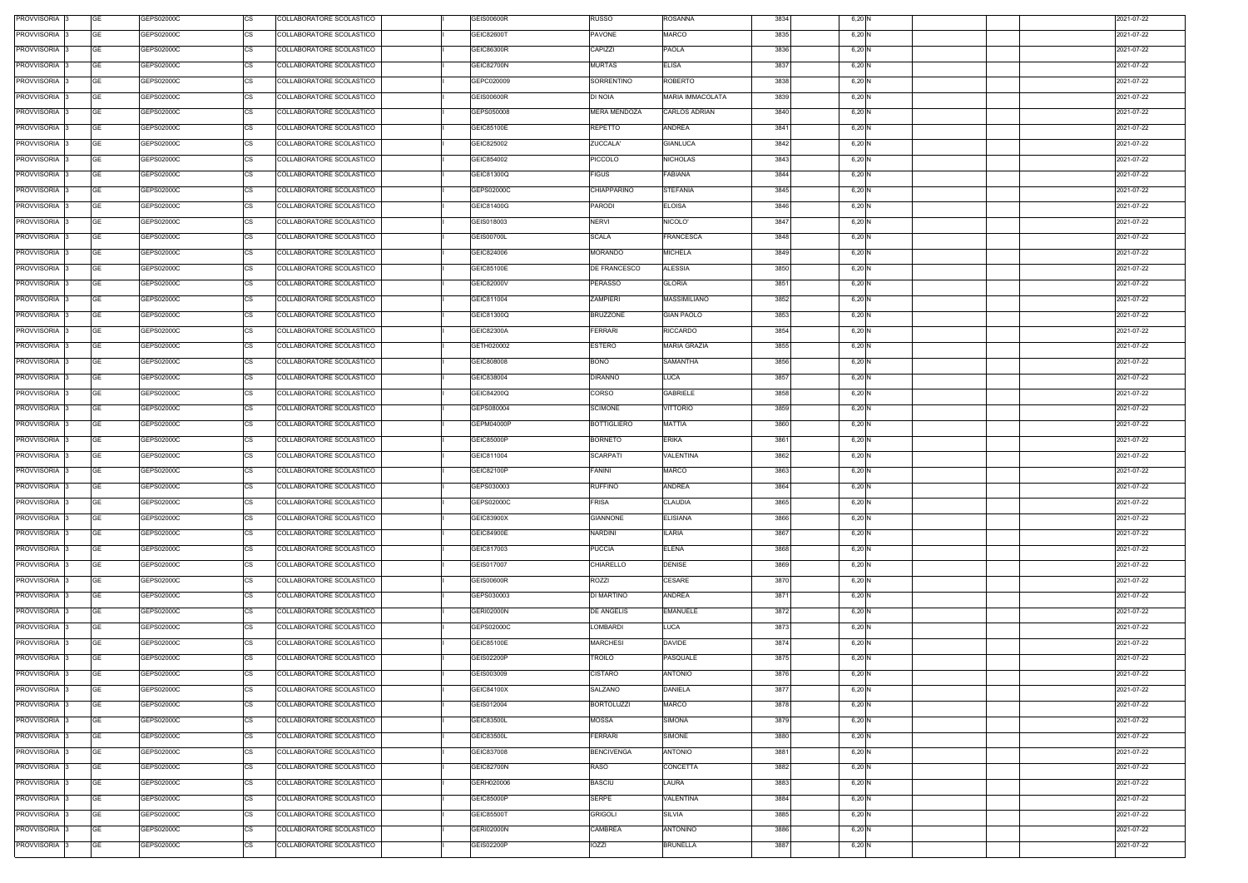| PROVVISORIA 3 | <b>GE</b><br>GEPS02000C | <b>CS</b> | COLLABORATORE SCOLASTICO | <b>GEIS00600R</b> | <b>RUSSO</b>        | <b>ROSANNA</b>       | 3834 | 6,20 N           |  | 2021-07-22 |
|---------------|-------------------------|-----------|--------------------------|-------------------|---------------------|----------------------|------|------------------|--|------------|
| PROVVISORIA 3 | <b>GE</b><br>GEPS02000C | CS        | COLLABORATORE SCOLASTICO | GEIC82600T        | <b>PAVONE</b>       | <b>MARCO</b>         | 3835 | 6,20 N           |  | 2021-07-22 |
| PROVVISORIA 3 | <b>GE</b><br>GEPS02000C | CS        | COLLABORATORE SCOLASTICO | GEIC86300R        | CAPIZZI             | <b>PAOLA</b>         | 3836 | 6,20 N           |  | 2021-07-22 |
| PROVVISORIA 3 | <b>GE</b><br>GEPS02000C | <b>CS</b> | COLLABORATORE SCOLASTICO | <b>GEIC82700N</b> | <b>MURTAS</b>       | <b>ELISA</b>         | 3837 | 6,20 N           |  | 2021-07-22 |
| PROVVISORIA 3 | <b>GE</b><br>GEPS02000C | <b>CS</b> | COLLABORATORE SCOLASTICO | GEPC020009        | SORRENTINO          | <b>ROBERTO</b>       | 3838 | 6,20 N           |  | 2021-07-22 |
| PROVVISORIA 3 | <b>GE</b><br>GEPS02000C | <b>CS</b> | COLLABORATORE SCOLASTICO | GEIS00600R        | DI NOIA             | MARIA IMMACOLATA     | 3839 | 6,20 N           |  | 2021-07-22 |
| PROVVISORIA 3 | <b>GE</b><br>GEPS02000C | <b>CS</b> | COLLABORATORE SCOLASTICO | GEPS050008        | <b>MERA MENDOZA</b> | <b>CARLOS ADRIAN</b> | 3840 | 6,20 N           |  | 2021-07-22 |
| PROVVISORIA 3 | <b>GE</b><br>GEPS02000C | <b>CS</b> | COLLABORATORE SCOLASTICO | GEIC85100E        | REPETTO             | ANDREA               | 3841 | 6,20 N           |  | 2021-07-22 |
| PROVVISORIA 3 | <b>GE</b><br>GEPS02000C | <b>CS</b> | COLLABORATORE SCOLASTICO | GEIC825002        | ZUCCALA'            | <b>GIANLUCA</b>      | 3842 | 6,20 N           |  | 2021-07-22 |
| PROVVISORIA 3 | <b>GE</b><br>GEPS02000C | <b>CS</b> | COLLABORATORE SCOLASTICO | GEIC854002        | <b>PICCOLO</b>      | <b>NICHOLAS</b>      | 3843 | 6,20 N           |  | 2021-07-22 |
| PROVVISORIA 3 | <b>GE</b><br>GEPS02000C | <b>CS</b> | COLLABORATORE SCOLASTICO | GEIC81300Q        | <b>FIGUS</b>        | FABIANA              | 3844 | 6,20 N           |  | 2021-07-22 |
| PROVVISORIA 3 | <b>GE</b><br>GEPS02000C | CS        | COLLABORATORE SCOLASTICO | GEPS02000C        | CHIAPPARINO         | <b>STEFANIA</b>      | 3845 | 6,20 N           |  | 2021-07-22 |
| PROVVISORIA 3 | <b>GE</b><br>GEPS02000C | <b>CS</b> | COLLABORATORE SCOLASTICO | GEIC81400G        | <b>PARODI</b>       | <b>ELOISA</b>        | 3846 | $6,20$ N         |  | 2021-07-22 |
| PROVVISORIA 3 | <b>GE</b><br>GEPS02000C | CS        | COLLABORATORE SCOLASTICO | GEIS018003        | <b>NERVI</b>        | NICOLO'              | 3847 | 6,20 N           |  | 2021-07-22 |
| PROVVISORIA 3 | <b>GE</b><br>GEPS02000C | <b>CS</b> | COLLABORATORE SCOLASTICO | <b>GEIS00700L</b> | <b>SCALA</b>        | <b>FRANCESCA</b>     | 3848 | 6,20 N           |  | 2021-07-22 |
| PROVVISORIA 3 | <b>GE</b><br>GEPS02000C | CS        | COLLABORATORE SCOLASTICO | GEIC824006        | <b>MORANDO</b>      | <b>MICHELA</b>       | 3849 | 6,20 N           |  | 2021-07-22 |
| PROVVISORIA 3 | <b>GE</b><br>GEPS02000C | <b>CS</b> | COLLABORATORE SCOLASTICO | GEIC85100E        | <b>DE FRANCESCO</b> | <b>ALESSIA</b>       | 3850 | 6,20 N           |  | 2021-07-22 |
| PROVVISORIA 3 | <b>GE</b><br>GEPS02000C | <b>CS</b> | COLLABORATORE SCOLASTICO | GEIC82000V        | <b>PERASSO</b>      | <b>GLORIA</b>        | 3851 | 6,20 N           |  | 2021-07-22 |
| PROVVISORIA 3 | <b>GE</b><br>GEPS02000C | <b>CS</b> | COLLABORATORE SCOLASTICO | GEIC811004        | <b>ZAMPIERI</b>     | MASSIMILIANO         | 3852 | 6,20 N           |  | 2021-07-22 |
| PROVVISORIA 3 | <b>GE</b><br>GEPS02000C | <b>CS</b> | COLLABORATORE SCOLASTICO | GEIC81300Q        | BRUZZONE            | <b>GIAN PAOLO</b>    | 3853 | 6,20 N           |  | 2021-07-22 |
| PROVVISORIA 3 | <b>GE</b><br>GEPS02000C | <b>CS</b> | COLLABORATORE SCOLASTICO | GEIC82300A        | <b>FERRARI</b>      | <b>RICCARDO</b>      | 3854 | 6,20 N           |  | 2021-07-22 |
| PROVVISORIA 3 | <b>GE</b><br>GEPS02000C | <b>CS</b> | COLLABORATORE SCOLASTICO | GETH020002        | <b>ESTERO</b>       | <b>MARIA GRAZIA</b>  | 3855 | 6,20 N           |  | 2021-07-22 |
| PROVVISORIA 3 | <b>GE</b><br>GEPS02000C | <b>CS</b> | COLLABORATORE SCOLASTICO | GEIC808008        | <b>BONO</b>         | <b>SAMANTHA</b>      | 3856 | $6,20$ N         |  | 2021-07-22 |
| PROVVISORIA 3 | <b>GE</b><br>GEPS02000C | <b>CS</b> | COLLABORATORE SCOLASTICO | GEIC838004        | <b>DIRANNO</b>      | LUCA                 | 3857 | 6,20 N           |  | 2021-07-22 |
| PROVVISORIA 3 | <b>GE</b><br>GEPS02000C | <b>CS</b> | COLLABORATORE SCOLASTICO | GEIC84200Q        | CORSO               | <b>GABRIELE</b>      | 3858 | $6,20$ N         |  | 2021-07-22 |
| PROVVISORIA 3 | <b>GE</b><br>GEPS02000C | <b>CS</b> | COLLABORATORE SCOLASTICO | GEPS080004        | SCIMONE             | VITTORIO             | 3859 | $6,20$ N         |  | 2021-07-22 |
| PROVVISORIA 3 | <b>GE</b><br>GEPS02000C | <b>CS</b> | COLLABORATORE SCOLASTICO | GEPM04000P        | <b>BOTTIGLIERO</b>  | MATTIA               | 3860 | $6,20$ N         |  | 2021-07-22 |
| PROVVISORIA 3 | <b>GE</b><br>GEPS02000C | CS        | COLLABORATORE SCOLASTICO | GEIC85000P        | <b>BORNETO</b>      | <b>ERIKA</b>         | 3861 | 6,20 N           |  | 2021-07-22 |
| PROVVISORIA 3 | <b>GE</b><br>GEPS02000C | <b>CS</b> | COLLABORATORE SCOLASTICO | GEIC811004        | SCARPATI            | VALENTINA            | 3862 | $6,20$ N         |  | 2021-07-22 |
| PROVVISORIA 3 | <b>GE</b><br>GEPS02000C | <b>CS</b> | COLLABORATORE SCOLASTICO | GEIC82100P        | <b>FANINI</b>       | <b>MARCO</b>         | 3863 | 6,20 N           |  | 2021-07-22 |
| PROVVISORIA 3 | <b>GE</b><br>GEPS02000C | <b>CS</b> | COLLABORATORE SCOLASTICO | GEPS030003        | <b>RUFFINO</b>      | <b>ANDREA</b>        | 3864 | 6,20 N           |  | 2021-07-22 |
| PROVVISORIA 3 | <b>GE</b><br>GEPS02000C | <b>CS</b> | COLLABORATORE SCOLASTICO | GEPS02000C        | <b>FRISA</b>        | <b>CLAUDIA</b>       | 3865 | 6,20 N           |  | 2021-07-22 |
| PROVVISORIA 3 | <b>GE</b><br>GEPS02000C | CS        | COLLABORATORE SCOLASTICO | GEIC83900X        | <b>GIANNONE</b>     | <b>ELISIANA</b>      | 3866 | 6,20 N           |  | 2021-07-22 |
| PROVVISORIA 3 | <b>GE</b><br>GEPS02000C | <b>CS</b> | COLLABORATORE SCOLASTICO | GEIC84900E        | <b>NARDINI</b>      | <b>ILARIA</b>        | 3867 |                  |  | 2021-07-22 |
| PROVVISORIA 3 | <b>GE</b><br>GEPS02000C | CS        | COLLABORATORE SCOLASTICO | GEIC817003        | <b>PUCCIA</b>       | <b>ELENA</b>         | 3868 | 6,20 N<br>6,20 N |  | 2021-07-22 |
|               | <b>GE</b><br>GEPS02000C | <b>CS</b> | COLLABORATORE SCOLASTICO |                   | CHIARELLO           | <b>DENISE</b>        | 3869 |                  |  | 2021-07-22 |
| PROVVISORIA 3 |                         |           |                          | GEIS017007        |                     |                      |      | 6,20 N           |  |            |
| PROVVISORIA 3 | <b>GE</b><br>GEPS02000C | CS        | COLLABORATORE SCOLASTICO | <b>GEIS00600R</b> | ROZZI               | CESARE               | 3870 | 6,20 N           |  | 2021-07-22 |
| PROVVISORIA 3 | <b>GE</b><br>GEPS02000C | <b>CS</b> | COLLABORATORE SCOLASTICO | GEPS030003        | DI MARTINO          | ANDREA               | 3871 | 6,20 N           |  | 2021-07-22 |
| PROVVISORIA 3 | <b>GE</b><br>GEPS02000C | CS        | COLLABORATORE SCOLASTICO | <b>GERI02000N</b> | <b>DE ANGELIS</b>   | <b>EMANUELE</b>      | 3872 | 6,20 N           |  | 2021-07-22 |
| PROVVISORIA 3 | <b>GE</b><br>GEPS02000C | CS        | COLLABORATORE SCOLASTICO | GEPS02000C        | LOMBARDI            | LUCA                 | 3873 | 6,20 N           |  | 2021-07-22 |
| PROVVISORIA 3 | <b>GE</b><br>GEPS02000C | CS        | COLLABORATORE SCOLASTICO | GEIC85100E        | <b>MARCHESI</b>     | <b>DAVIDE</b>        | 3874 | 6,20 N           |  | 2021-07-22 |
| PROVVISORIA 3 | <b>GE</b><br>GEPS02000C | <b>CS</b> | COLLABORATORE SCOLASTICO | <b>GEIS02200P</b> | TROILO              | PASQUALE             | 3875 | 6,20 N           |  | 2021-07-22 |
| PROVVISORIA 3 | <b>GE</b><br>GEPS02000C | CS        | COLLABORATORE SCOLASTICO | GEIS003009        | CISTARO             | ANTONIO              | 3876 | 6,20 N           |  | 2021-07-22 |
| PROVVISORIA 3 | <b>GE</b><br>GEPS02000C | CS        | COLLABORATORE SCOLASTICO | GEIC84100X        | SALZANO             | <b>DANIELA</b>       | 3877 | 6,20 N           |  | 2021-07-22 |
| PROVVISORIA 3 | <b>GE</b><br>GEPS02000C | <b>CS</b> | COLLABORATORE SCOLASTICO | GEIS012004        | <b>BORTOLUZZI</b>   | <b>MARCO</b>         | 3878 | 6,20 N           |  | 2021-07-22 |
| PROVVISORIA 3 | <b>GE</b><br>GEPS02000C | <b>CS</b> | COLLABORATORE SCOLASTICO | GEIC83500L        | <b>MOSSA</b>        | SIMONA               | 3879 | 6,20 N           |  | 2021-07-22 |
| PROVVISORIA 3 | <b>GE</b><br>GEPS02000C | <b>CS</b> | COLLABORATORE SCOLASTICO | GEIC83500L        | <b>FERRARI</b>      | SIMONE               | 3880 | 6,20 N           |  | 2021-07-22 |
| PROVVISORIA 3 | <b>GE</b><br>GEPS02000C | <b>CS</b> | COLLABORATORE SCOLASTICO | GEIC837008        | <b>BENCIVENGA</b>   | <b>ANTONIO</b>       | 3881 | 6,20 N           |  | 2021-07-22 |
| PROVVISORIA 3 | <b>GE</b><br>GEPS02000C | <b>CS</b> | COLLABORATORE SCOLASTICO | <b>GEIC82700N</b> | <b>RASO</b>         | CONCETTA             | 3882 | 6,20 N           |  | 2021-07-22 |
| PROVVISORIA 3 | <b>GE</b><br>GEPS02000C | <b>CS</b> | COLLABORATORE SCOLASTICO | GERH020006        | <b>BASCIU</b>       | LAURA                | 3883 | 6,20 N           |  | 2021-07-22 |
| PROVVISORIA 3 | <b>GE</b><br>GEPS02000C | <b>CS</b> | COLLABORATORE SCOLASTICO | GEIC85000P        | SERPE               | VALENTINA            | 3884 | 6,20 N           |  | 2021-07-22 |
| PROVVISORIA 3 | <b>GE</b><br>GEPS02000C | <b>CS</b> | COLLABORATORE SCOLASTICO | GEIC85500T        | <b>GRIGOLI</b>      | SILVIA               | 3885 | $6,20$ N         |  | 2021-07-22 |
| PROVVISORIA 3 | <b>GE</b><br>GEPS02000C | <b>CS</b> | COLLABORATORE SCOLASTICO | <b>GERI02000N</b> | CAMBREA             | ANTONINO             | 3886 | 6,20 N           |  | 2021-07-22 |
| PROVVISORIA 3 | <b>GE</b><br>GEPS02000C | CS        | COLLABORATORE SCOLASTICO | <b>GEIS02200P</b> | <b>IOZZI</b>        | <b>BRUNELLA</b>      | 3887 | 6,20 N           |  | 2021-07-22 |
|               |                         |           |                          |                   |                     |                      |      |                  |  |            |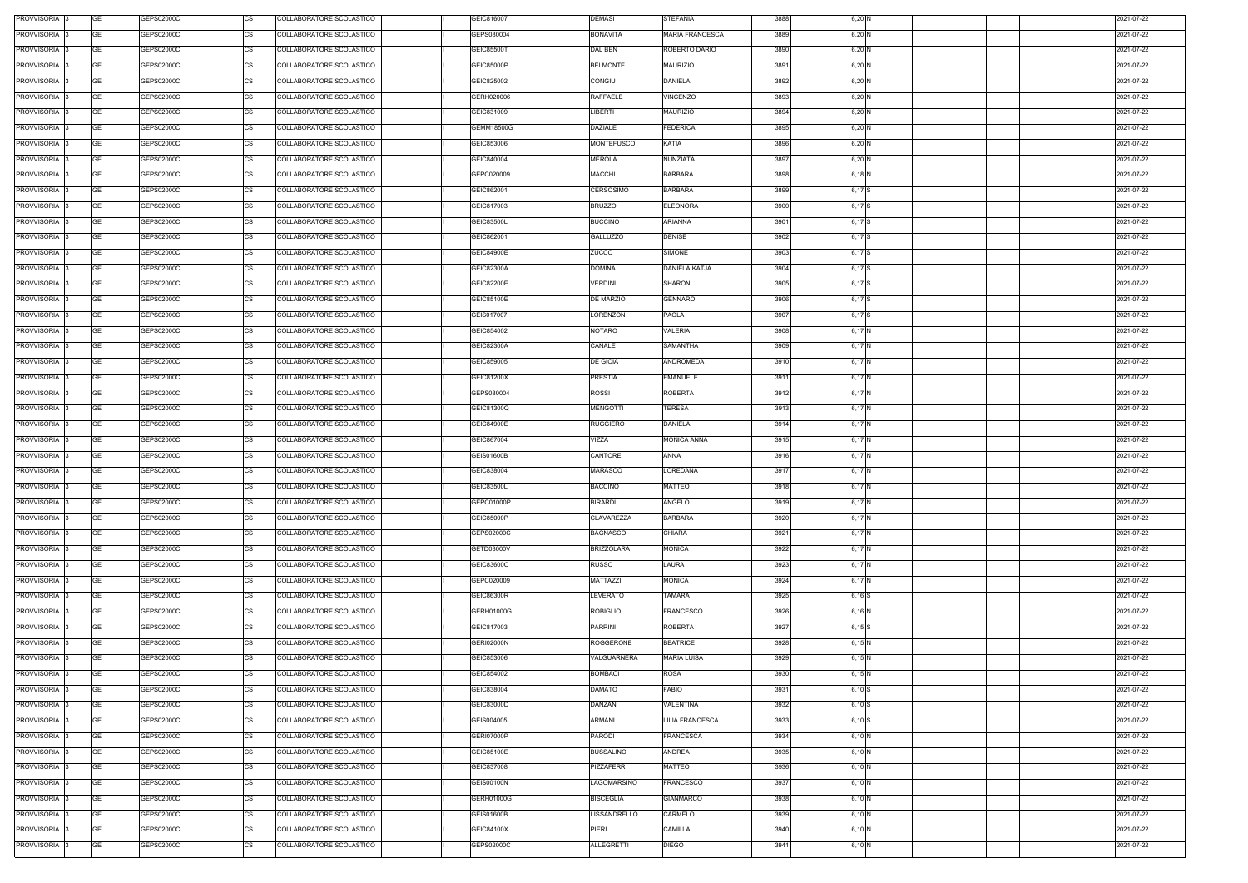| PROVVISORIA 3 | <b>GE</b><br>GEPS02000C | <b>CS</b> | COLLABORATORE SCOLASTICO                             | GEIC816007        | <b>DEMASI</b>     | <b>STEFANIA</b>        | 3888         | 6,20 N   |  | 2021-07-22 |
|---------------|-------------------------|-----------|------------------------------------------------------|-------------------|-------------------|------------------------|--------------|----------|--|------------|
| PROVVISORIA 3 | <b>GE</b><br>GEPS02000C | CS        | COLLABORATORE SCOLASTICO                             | GEPS080004        | <b>BONAVITA</b>   | <b>MARIA FRANCESCA</b> | 3889         | 6,20 N   |  | 2021-07-22 |
| PROVVISORIA 3 | <b>GE</b><br>GEPS02000C | CS        | COLLABORATORE SCOLASTICO                             | GEIC85500T        | DAL BEN           | ROBERTO DARIO          | 3890         | 6,20 N   |  | 2021-07-22 |
| PROVVISORIA 3 | <b>GE</b><br>GEPS02000C | <b>CS</b> | COLLABORATORE SCOLASTICO                             | GEIC85000P        | <b>BELMONTE</b>   | <b>MAURIZIO</b>        | 3891         | 6,20 N   |  | 2021-07-22 |
| PROVVISORIA 3 | <b>GE</b><br>GEPS02000C | <b>CS</b> | COLLABORATORE SCOLASTICO                             | GEIC825002        | CONGIU            | <b>DANIELA</b>         | 3892         | 6,20 N   |  | 2021-07-22 |
| PROVVISORIA 3 | <b>GE</b><br>GEPS02000C | <b>CS</b> | COLLABORATORE SCOLASTICO                             | GERH020006        | <b>RAFFAELE</b>   | VINCENZO               | 3893         | 6,20 N   |  | 2021-07-22 |
| PROVVISORIA 3 | <b>GE</b><br>GEPS02000C | <b>CS</b> | COLLABORATORE SCOLASTICO                             | GEIC831009        | LIBERTI           | <b>MAURIZIO</b>        | 3894         | 6,20 N   |  | 2021-07-22 |
| PROVVISORIA 3 | <b>GE</b><br>GEPS02000C | <b>CS</b> | COLLABORATORE SCOLASTICO                             | GEMM18500G        | <b>DAZIALE</b>    | <b>FEDERICA</b>        | 3895         | 6,20 N   |  | 2021-07-22 |
| PROVVISORIA 3 | <b>GE</b><br>GEPS02000C | <b>CS</b> | COLLABORATORE SCOLASTICO                             | GEIC853006        | <b>MONTEFUSCO</b> | KATIA                  | 3896         | 6,20 N   |  | 2021-07-22 |
| PROVVISORIA 3 | <b>GE</b><br>GEPS02000C | <b>CS</b> | COLLABORATORE SCOLASTICO                             | GEIC840004        | <b>MEROLA</b>     | NUNZIATA               | 389          | 6,20 N   |  | 2021-07-22 |
| PROVVISORIA 3 | <b>GE</b><br>GEPS02000C | <b>CS</b> | COLLABORATORE SCOLASTICO                             | GEPC020009        | <b>MACCHI</b>     | <b>BARBARA</b>         | 3898         | $6,18$ N |  | 2021-07-22 |
| PROVVISORIA 3 | <b>GE</b><br>GEPS02000C | CS        | COLLABORATORE SCOLASTICO                             | GEIC862001        | CERSOSIMO         | <b>BARBARA</b>         | 3899         | 6,17 S   |  | 2021-07-22 |
| PROVVISORIA 3 | <b>GE</b><br>GEPS02000C | <b>CS</b> | COLLABORATORE SCOLASTICO                             | GEIC817003        | <b>BRUZZO</b>     | <b>ELEONORA</b>        | 3900         | 6,17 S   |  | 2021-07-22 |
| PROVVISORIA 3 | <b>GE</b><br>GEPS02000C | CS        | COLLABORATORE SCOLASTICO                             | GEIC83500L        | <b>BUCCINO</b>    | <b>ARIANNA</b>         | 3901         | 6,17 S   |  | 2021-07-22 |
| PROVVISORIA 3 | <b>GE</b><br>GEPS02000C | <b>CS</b> | COLLABORATORE SCOLASTICO                             | GEIC862001        | <b>GALLUZZO</b>   | <b>DENISE</b>          | 3902         | 6,17 S   |  | 2021-07-22 |
| PROVVISORIA 3 | <b>GE</b><br>GEPS02000C | CS        | COLLABORATORE SCOLASTICO                             | GEIC84900E        | ZUCCO             | SIMONE                 | 3903         | 6,17 S   |  | 2021-07-22 |
| PROVVISORIA 3 | <b>GE</b><br>GEPS02000C | <b>CS</b> | COLLABORATORE SCOLASTICO                             | GEIC82300A        | <b>DOMINA</b>     | <b>DANIELA KATJA</b>   | 3904         | 6,17 S   |  | 2021-07-22 |
| PROVVISORIA 3 | <b>GE</b><br>GEPS02000C | <b>CS</b> | COLLABORATORE SCOLASTICO                             | GEIC82200E        | <b>VERDINI</b>    | <b>SHARON</b>          | 3905         | 6,17 S   |  | 2021-07-22 |
| PROVVISORIA 3 | <b>GE</b><br>GEPS02000C | <b>CS</b> | COLLABORATORE SCOLASTICO                             | GEIC85100E        | DE MARZIO         | GENNARO                | 3906         | 6,17 S   |  | 2021-07-22 |
| PROVVISORIA 3 | <b>GE</b><br>GEPS02000C | <b>CS</b> | COLLABORATORE SCOLASTICO                             | GEIS017007        | LORENZONI         | PAOLA                  | 3907         | 6,17 S   |  | 2021-07-22 |
| PROVVISORIA 3 | <b>GE</b><br>GEPS02000C | <b>CS</b> | COLLABORATORE SCOLASTICO                             | GEIC854002        | NOTARO            | VALERIA                | 3908         | 6,17 N   |  | 2021-07-22 |
| PROVVISORIA 3 | <b>GE</b><br>GEPS02000C | <b>CS</b> | COLLABORATORE SCOLASTICO                             | GEIC82300A        | CANALE            | <b>SAMANTHA</b>        | 3909         | 6,17 N   |  | 2021-07-22 |
| PROVVISORIA 3 | <b>GE</b><br>GEPS02000C | <b>CS</b> | COLLABORATORE SCOLASTICO                             | GEIC859005        | DE GIOIA          | <b>ANDROMEDA</b>       | 3910         | 6,17 N   |  | 2021-07-22 |
| PROVVISORIA 3 | <b>GE</b><br>GEPS02000C | <b>CS</b> | COLLABORATORE SCOLASTICO                             | GEIC81200X        | <b>PRESTIA</b>    | <b>EMANUELE</b>        | 3911         | 6,17 N   |  | 2021-07-22 |
| PROVVISORIA 3 | <b>GE</b><br>GEPS02000C | <b>CS</b> | COLLABORATORE SCOLASTICO                             | GEPS080004        | <b>ROSSI</b>      | ROBERTA                | 3912         | 6,17 N   |  | 2021-07-22 |
| PROVVISORIA 3 | <b>GE</b><br>GEPS02000C | <b>CS</b> | COLLABORATORE SCOLASTICO                             | GEIC81300Q        | <b>MENGOTTI</b>   | TERESA                 | 3913         | 6,17 N   |  | 2021-07-22 |
| PROVVISORIA 3 | <b>GE</b><br>GEPS02000C | <b>CS</b> | COLLABORATORE SCOLASTICO                             | GEIC84900E        | <b>RUGGIERO</b>   | DANIELA                | 3914         | 6,17 N   |  | 2021-07-22 |
| PROVVISORIA 3 | <b>GE</b><br>GEPS02000C | CS        | COLLABORATORE SCOLASTICO                             | GEIC867004        | VIZZA             | <b>MONICA ANNA</b>     | 3915         | 6,17 N   |  | 2021-07-22 |
| PROVVISORIA 3 | <b>GE</b><br>GEPS02000C | <b>CS</b> | COLLABORATORE SCOLASTICO                             | GEIS01600B        | CANTORE           | ANNA                   | 3916         | 6,17 N   |  | 2021-07-22 |
| PROVVISORIA 3 | <b>GE</b><br>GEPS02000C | <b>CS</b> | COLLABORATORE SCOLASTICO                             | GEIC838004        | <b>MARASCO</b>    | LOREDANA               | 3917         | 6,17 N   |  | 2021-07-22 |
| PROVVISORIA 3 | <b>GE</b><br>GEPS02000C | <b>CS</b> | COLLABORATORE SCOLASTICO                             | GEIC83500L        | <b>BACCINO</b>    | <b>MATTEO</b>          | 3918         | 6,17 N   |  | 2021-07-22 |
| PROVVISORIA 3 | <b>GE</b><br>GEPS02000C | <b>CS</b> | COLLABORATORE SCOLASTICO                             | GEPC01000P        | <b>BIRARDI</b>    | ANGELO                 | 3919         | 6,17 N   |  | 2021-07-22 |
| PROVVISORIA 3 | <b>GE</b><br>GEPS02000C | CS        | COLLABORATORE SCOLASTICO                             | GEIC85000P        | CLAVAREZZA        | <b>BARBARA</b>         | 3920         | 6,17 N   |  | 2021-07-22 |
| PROVVISORIA 3 | <b>GE</b><br>GEPS02000C | <b>CS</b> |                                                      | GEPS02000C        | <b>BAGNASCO</b>   | <b>CHIARA</b>          |              | 6,17 N   |  | 2021-07-22 |
| PROVVISORIA 3 | <b>GE</b><br>GEPS02000C | CS        | COLLABORATORE SCOLASTICO<br>COLLABORATORE SCOLASTICO | GETD03000V        | <b>BRIZZOLARA</b> | <b>MONICA</b>          | 3921<br>3922 | 6,17 N   |  | 2021-07-22 |
|               | <b>GE</b><br>GEPS02000C | <b>CS</b> | COLLABORATORE SCOLASTICO                             | GEIC83600C        | <b>RUSSO</b>      | LAURA                  |              |          |  | 2021-07-22 |
| PROVVISORIA 3 |                         |           |                                                      |                   |                   |                        | 3923         | 6,17 N   |  |            |
| PROVVISORIA 3 | <b>GE</b><br>GEPS02000C | CS        | COLLABORATORE SCOLASTICO                             | GEPC020009        | <b>MATTAZZI</b>   | <b>MONICA</b>          | 3924         | 6,17 N   |  | 2021-07-22 |
| PROVVISORIA 3 | <b>GE</b><br>GEPS02000C | <b>CS</b> | COLLABORATORE SCOLASTICO                             | GEIC86300R        | LEVERATO          | TAMARA                 | 3925         | $6,16$ S |  | 2021-07-22 |
| PROVVISORIA 3 | <b>GE</b><br>GEPS02000C | CS        | COLLABORATORE SCOLASTICO                             | GERH01000G        | <b>ROBIGLIO</b>   | FRANCESCO              | 3926         | 6,16 N   |  | 2021-07-22 |
| PROVVISORIA 3 | <b>GE</b><br>GEPS02000C | CS        | COLLABORATORE SCOLASTICO                             | GEIC817003        | <b>PARRINI</b>    | <b>ROBERTA</b>         | 3927         | $6,15$ S |  | 2021-07-22 |
| PROVVISORIA 3 | <b>GE</b><br>GEPS02000C | CS        | COLLABORATORE SCOLASTICO                             | <b>GERI02000N</b> | ROGGERONE         | <b>BEATRICE</b>        | 3928         | $6,15$ N |  | 2021-07-22 |
| PROVVISORIA 3 | <b>GE</b><br>GEPS02000C | <b>CS</b> | COLLABORATORE SCOLASTICO                             | GEIC853006        | VALGUARNERA       | <b>MARIA LUISA</b>     | 3929         | 6,15N    |  | 2021-07-22 |
| PROVVISORIA 3 | <b>GE</b><br>GEPS02000C | CS        | COLLABORATORE SCOLASTICO                             | GEIC854002        | <b>BOMBACI</b>    | <b>ROSA</b>            | 3930         | 6,15N    |  | 2021-07-22 |
| PROVVISORIA 3 | <b>GE</b><br>GEPS02000C | CS        | COLLABORATORE SCOLASTICO                             | GEIC838004        | <b>DAMATO</b>     | FABIO                  | 3931         | 6,10 S   |  | 2021-07-22 |
| PROVVISORIA 3 | <b>GE</b><br>GEPS02000C | <b>CS</b> | COLLABORATORE SCOLASTICO                             | GEIC83000D        | DANZANI           | VALENTINA              | 3932         | 6,10 S   |  | 2021-07-22 |
| PROVVISORIA 3 | <b>GE</b><br>GEPS02000C | <b>CS</b> | COLLABORATORE SCOLASTICO                             | GEIS004005        | ARMANI            | LILIA FRANCESCA        | 3933         | 6,10 S   |  | 2021-07-22 |
| PROVVISORIA 3 | <b>GE</b><br>GEPS02000C | <b>CS</b> | COLLABORATORE SCOLASTICO                             | GERI07000P        | <b>PARODI</b>     | FRANCESCA              | 3934         | 6,10 N   |  | 2021-07-22 |
| PROVVISORIA 3 | <b>GE</b><br>GEPS02000C | <b>CS</b> | COLLABORATORE SCOLASTICO                             | GEIC85100E        | <b>BUSSALINO</b>  | <b>ANDREA</b>          | 3935         | 6,10 N   |  | 2021-07-22 |
| PROVVISORIA 3 | <b>GE</b><br>GEPS02000C | <b>CS</b> | COLLABORATORE SCOLASTICO                             | GEIC837008        | PIZZAFERRI        | MATTEO                 | 3936         | 6,10 N   |  | 2021-07-22 |
| PROVVISORIA 3 | <b>GE</b><br>GEPS02000C | <b>CS</b> | COLLABORATORE SCOLASTICO                             | <b>GEIS00100N</b> | LAGOMARSINO       | <b>FRANCESCO</b>       | 3937         | 6,10 N   |  | 2021-07-22 |
| PROVVISORIA 3 | <b>GE</b><br>GEPS02000C | <b>CS</b> | COLLABORATORE SCOLASTICO                             | GERH01000G        | <b>BISCEGLIA</b>  | <b>GIANMARCO</b>       | 3938         | 6,10 N   |  | 2021-07-22 |
| PROVVISORIA 3 | <b>GE</b><br>GEPS02000C | <b>CS</b> | COLLABORATORE SCOLASTICO                             | GEIS01600B        | LISSANDRELLO      | CARMELO                | 3939         | 6,10 N   |  | 2021-07-22 |
| PROVVISORIA 3 | <b>GE</b><br>GEPS02000C | <b>CS</b> | COLLABORATORE SCOLASTICO                             | GEIC84100X        | <b>PIERI</b>      | CAMILLA                | 3940         | 6,10 N   |  | 2021-07-22 |
| PROVVISORIA 3 | <b>GE</b><br>GEPS02000C | CS        | COLLABORATORE SCOLASTICO                             | GEPS02000C        | ALLEGRETTI        | <b>DIEGO</b>           | 3941         | 6,10 N   |  | 2021-07-22 |
|               |                         |           |                                                      |                   |                   |                        |              |          |  |            |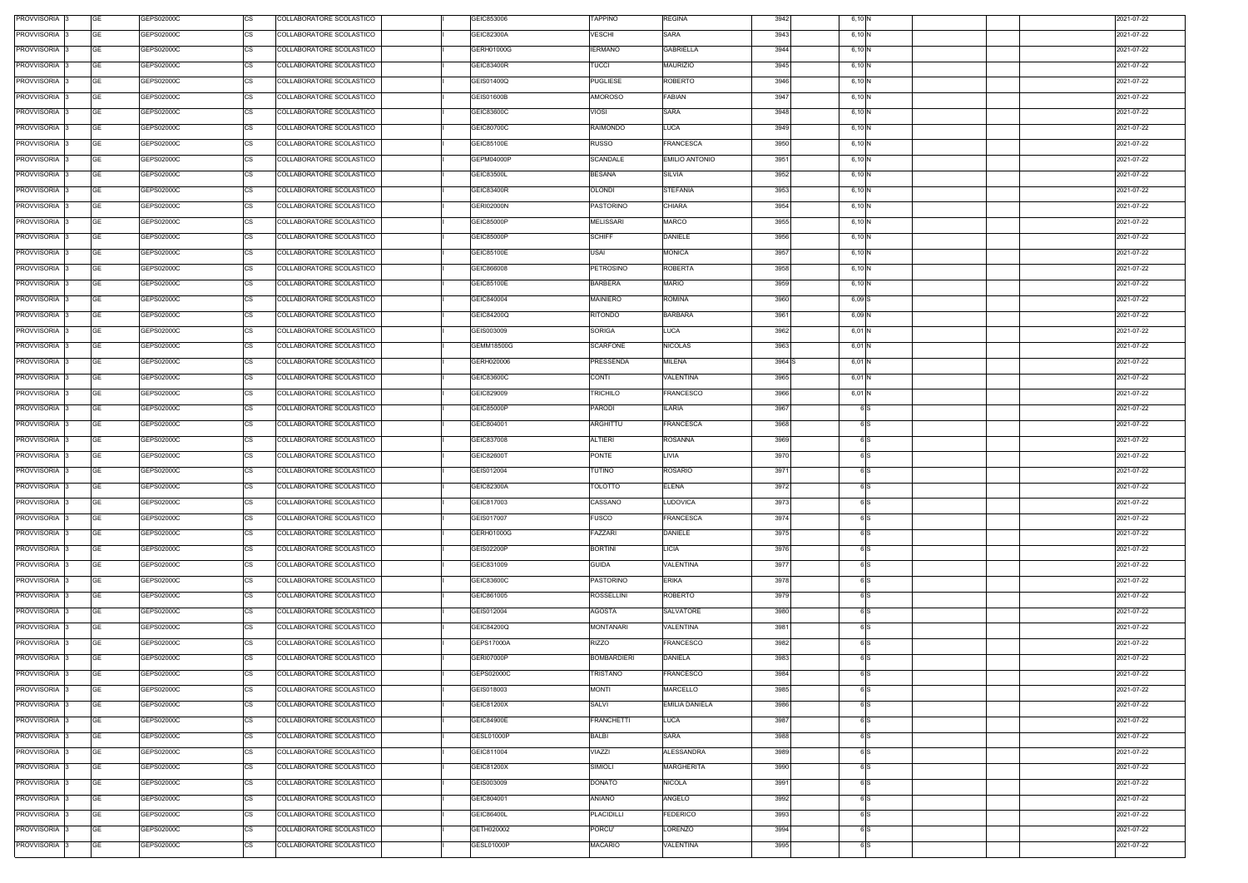| PROVVISORIA 3            | GE        | GEPS02000C | COLLABORATORE SCOLASTICO<br>CS        | GEIC853006        | <b>TAPPINO</b>     | <b>REGINA</b>         | 3942   | 6,10 N          |  | 2021-07-22 |
|--------------------------|-----------|------------|---------------------------------------|-------------------|--------------------|-----------------------|--------|-----------------|--|------------|
| PROVVISORIA 3            | GE        | GEPS02000C | <b>CS</b><br>COLLABORATORE SCOLASTICO | GEIC82300A        | <b>VESCHI</b>      | SARA                  | 3943   | 6,10 N          |  | 2021-07-22 |
| PROVVISORIA 3            | GE        | GEPS02000C | <b>CS</b><br>COLLABORATORE SCOLASTICO | GERH01000G        | <b>IERMANO</b>     | <b>GABRIELLA</b>      | 3944   | 6,10 N          |  | 2021-07-22 |
| PROVVISORIA 3            | GE        | GEPS02000C | <b>CS</b><br>COLLABORATORE SCOLASTICO | <b>GEIC83400R</b> | <b>TUCCI</b>       | <b>MAURIZIO</b>       | 3945   | 6,10 N          |  | 2021-07-22 |
| PROVVISORIA 3            | <b>GE</b> | GEPS02000C | <b>CS</b><br>COLLABORATORE SCOLASTICO | GEIS01400Q        | <b>PUGLIESE</b>    | <b>ROBERTO</b>        | 3946   | 6,10 N          |  | 2021-07-22 |
| PROVVISORIA 3            | <b>GE</b> | GEPS02000C | <b>CS</b><br>COLLABORATORE SCOLASTICO | GEIS01600B        | <b>AMOROSO</b>     | <b>FABIAN</b>         | 3947   | 6,10 N          |  | 2021-07-22 |
| PROVVISORIA 3            | <b>GE</b> | GEPS02000C | <b>CS</b><br>COLLABORATORE SCOLASTICO | GEIC83600C        | VIOSI              | SARA                  | 3948   | 6,10 N          |  | 2021-07-22 |
| PROVVISORIA 3            | GE        | GEPS02000C | <b>CS</b><br>COLLABORATORE SCOLASTICO | GEIC80700C        | RAIMONDO           | LUCA                  | 3949   | 6,10 N          |  | 2021-07-22 |
| PROVVISORIA 3            | <b>GE</b> | GEPS02000C | <b>CS</b><br>COLLABORATORE SCOLASTICO | GEIC85100E        | RUSSO              | <b>FRANCESCA</b>      | 3950   | 6,10 N          |  | 2021-07-22 |
| PROVVISORIA 3            | <b>GE</b> | GEPS02000C | <b>CS</b><br>COLLABORATORE SCOLASTICO | GEPM04000P        | SCANDALE           | <b>EMILIO ANTONIO</b> | 3951   | 6,10 N          |  | 2021-07-22 |
| PROVVISORIA 3            | <b>GE</b> | GEPS02000C | <b>CS</b><br>COLLABORATORE SCOLASTICO | GEIC83500L        | <b>BESANA</b>      | SILVIA                | 3952   | 6,10 N          |  | 2021-07-22 |
| PROVVISORIA 3            | <b>GE</b> | GEPS02000C | CS<br>COLLABORATORE SCOLASTICO        | <b>GEIC83400R</b> | <b>OLONDI</b>      | <b>STEFANIA</b>       | 3953   | 6,10 N          |  | 2021-07-22 |
| PROVVISORIA 3            | <b>GE</b> | GEPS02000C | <b>CS</b><br>COLLABORATORE SCOLASTICO | <b>GERI02000N</b> | <b>PASTORINO</b>   | CHIARA                | 3954   | 6,10 N          |  | 2021-07-22 |
| PROVVISORIA 3            | <b>GE</b> | GEPS02000C | <b>CS</b><br>COLLABORATORE SCOLASTICO | <b>GEIC85000P</b> | <b>MELISSARI</b>   | <b>MARCO</b>          | 3955   | 6,10 N          |  | 2021-07-22 |
| PROVVISORIA 3            | <b>GE</b> | GEPS02000C | <b>CS</b><br>COLLABORATORE SCOLASTICO | <b>GEIC85000P</b> | <b>SCHIFF</b>      | <b>DANIELE</b>        | 3956   | 6,10 N          |  | 2021-07-22 |
| PROVVISORIA 3            | <b>GE</b> | GEPS02000C | <b>CS</b><br>COLLABORATORE SCOLASTICO | GEIC85100E        | <b>USAI</b>        | <b>MONICA</b>         | 3957   | 6,10 N          |  | 2021-07-22 |
|                          | <b>GE</b> | GEPS02000C | <b>CS</b>                             | GEIC866008        | <b>PETROSINO</b>   | <b>ROBERTA</b>        | 3958   |                 |  |            |
| PROVVISORIA 3            |           |            | COLLABORATORE SCOLASTICO              |                   |                    |                       |        | 6,10 N          |  | 2021-07-22 |
| PROVVISORIA 3            | <b>GE</b> | GEPS02000C | <b>CS</b><br>COLLABORATORE SCOLASTICO | GEIC85100E        | <b>BARBERA</b>     | <b>MARIO</b>          | 3959   | 6,10 N          |  | 2021-07-22 |
| PROVVISORIA 3            | <b>GE</b> | GEPS02000C | <b>CS</b><br>COLLABORATORE SCOLASTICO | GEIC840004        | <b>MAINIERO</b>    | <b>ROMINA</b>         | 3960   | $6,09$ S        |  | 2021-07-22 |
| PROVVISORIA 3            | GE        | GEPS02000C | <b>CS</b><br>COLLABORATORE SCOLASTICO | GEIC84200Q        | <b>RITONDO</b>     | <b>BARBARA</b>        | 3961   | 6,09 N          |  | 2021-07-22 |
| PROVVISORIA 3            | GE        | GEPS02000C | <b>CS</b><br>COLLABORATORE SCOLASTICO | GEIS003009        | <b>SORIGA</b>      | LUCA                  | 3962   | 6,01 N          |  | 2021-07-22 |
| PROVVISORIA 3            | <b>GE</b> | GEPS02000C | <b>CS</b><br>COLLABORATORE SCOLASTICO | GEMM18500G        | <b>SCARFONE</b>    | <b>NICOLAS</b>        | 3963   | 6,01 N          |  | 2021-07-22 |
| PROVVISORIA 3            | <b>GE</b> | GEPS02000C | <b>CS</b><br>COLLABORATORE SCOLASTICO | GERH020006        | PRESSENDA          | MILENA                | 3964 S | 6,01 N          |  | 2021-07-22 |
| PROVVISORIA 3            | <b>GE</b> | GEPS02000C | <b>CS</b><br>COLLABORATORE SCOLASTICO | GEIC83600C        | <b>CONTI</b>       | <b>VALENTINA</b>      | 3965   | 6,01 N          |  | 2021-07-22 |
| PROVVISORIA 3            | <b>GE</b> | GEPS02000C | <b>CS</b><br>COLLABORATORE SCOLASTICO | GEIC829009        | TRICHILO           | FRANCESCO             | 3966   | 6,01 N          |  | 2021-07-22 |
| PROVVISORIA 3            | <b>GE</b> | GEPS02000C | <b>CS</b><br>COLLABORATORE SCOLASTICO | GEIC85000P        | <b>PARODI</b>      | <b>ILARIA</b>         | 3967   | 6S              |  | 2021-07-22 |
| PROVVISORIA 3            | GE        | GEPS02000C | <b>CS</b><br>COLLABORATORE SCOLASTICO | GEIC804001        | ARGHITTU           | FRANCESCA             | 3968   | 6S              |  | 2021-07-22 |
| PROVVISORIA 3            | <b>GE</b> | GEPS02000C | <b>CS</b><br>COLLABORATORE SCOLASTICO | GEIC837008        | <b>ALTIERI</b>     | <b>ROSANNA</b>        | 3969   | 6 <sub>IS</sub> |  | 2021-07-22 |
| PROVVISORIA 3            | GE        | GEPS02000C | <b>CS</b><br>COLLABORATORE SCOLASTICO | <b>GEIC82600T</b> | <b>PONTE</b>       | LIVIA                 | 3970   | 6 <sub>IS</sub> |  | 2021-07-22 |
| PROVVISORIA 3            | <b>GE</b> | GEPS02000C | <b>CS</b><br>COLLABORATORE SCOLASTICO | GEIS012004        | TUTINO             | <b>ROSARIO</b>        | 3971   | 6 <sub>IS</sub> |  | 2021-07-22 |
| PROVVISORIA 3            | GE        | GEPS02000C | <b>CS</b><br>COLLABORATORE SCOLASTICO | GEIC82300A        | <b>TOLOTTO</b>     | <b>ELENA</b>          | 3972   | 6S              |  | 2021-07-22 |
| PROVVISORIA 3            | <b>GE</b> | GEPS02000C | <b>CS</b><br>COLLABORATORE SCOLASTICO | GEIC817003        | CASSANO            | LUDOVICA              | 3973   | 6S              |  | 2021-07-22 |
| PROVVISORIA 3            | GE        | GEPS02000C | <b>CS</b><br>COLLABORATORE SCOLASTICO | GEIS017007        | <b>FUSCO</b>       | <b>FRANCESCA</b>      | 3974   | 6IS             |  | 2021-07-22 |
| PROVVISORIA <sub>3</sub> | GE        | GEPS02000C | <b>CS</b><br>COLLABORATORE SCOLASTICO | GERH01000G        | FAZZARI            | <b>DANIELE</b>        | 3975   | 6 S             |  | 2021-07-22 |
| PROVVISORIA 3            | <b>GE</b> | GEPS02000C | <b>CS</b><br>COLLABORATORE SCOLASTICO | <b>GEIS02200P</b> | <b>BORTINI</b>     | LICIA                 | 3976   | 6 S             |  | 2021-07-22 |
| PROVVISORIA 3            | <b>GE</b> | GEPS02000C | <b>CS</b><br>COLLABORATORE SCOLASTICO | GEIC831009        | <b>GUIDA</b>       | <b>VALENTINA</b>      | 3977   | 6 S             |  | 2021-07-22 |
| PROVVISORIA 3            | <b>GE</b> | GEPS02000C | <b>CS</b><br>COLLABORATORE SCOLASTICO | GEIC83600C        | PASTORINO          | <b>ERIKA</b>          | 3978   | 6 S             |  | 2021-07-22 |
| PROVVISORIA 3            | <b>GE</b> | GEPS02000C | <b>CS</b><br>COLLABORATORE SCOLASTICO | GEIC861005        | <b>ROSSELLINI</b>  | <b>ROBERTO</b>        | 3979   | 6S              |  | 2021-07-22 |
| PROVVISORIA 3            | <b>GE</b> | GEPS02000C | CS<br>COLLABORATORE SCOLASTICO        | GEIS012004        | AGOSTA             | SALVATORE             | 3980   | 6S              |  | 2021-07-22 |
| PROVVISORIA 3            | <b>GE</b> | GEPS02000C | <b>CS</b><br>COLLABORATORE SCOLASTICO | GEIC84200Q        | <b>MONTANARI</b>   | VALENTINA             | 3981   | 6S              |  | 2021-07-22 |
| PROVVISORIA 3            | <b>GE</b> | GEPS02000C | <b>CS</b><br>COLLABORATORE SCOLASTICO | GEPS17000A        | RIZZO              | <b>FRANCESCO</b>      | 3982   | 6 S             |  | 2021-07-22 |
| PROVVISORIA 3            | <b>GE</b> | GEPS02000C | <b>CS</b><br>COLLABORATORE SCOLASTICO | <b>GERI07000P</b> | <b>BOMBARDIERI</b> | <b>DANIELA</b>        | 3983   | 6 S             |  | 2021-07-22 |
| PROVVISORIA 3            | <b>GE</b> | GEPS02000C | <b>CS</b><br>COLLABORATORE SCOLASTICO | GEPS02000C        | TRISTANO           | <b>FRANCESCO</b>      | 3984   | 6 S             |  | 2021-07-22 |
| PROVVISORIA 3            | <b>GE</b> | GEPS02000C | <b>CS</b><br>COLLABORATORE SCOLASTICO | GEIS018003        | <b>MONTI</b>       | <b>MARCELLO</b>       | 3985   | 6 S             |  | 2021-07-22 |
| PROVVISORIA 3            | GE        | GEPS02000C | CS<br>COLLABORATORE SCOLASTICO        | GEIC81200X        | SALVI              | EMILIA DANIELA        | 3986   | 6 S             |  | 2021-07-22 |
| PROVVISORIA 3            | <b>GE</b> | GEPS02000C | <b>CS</b><br>COLLABORATORE SCOLASTICO | GEIC84900E        | <b>FRANCHETTI</b>  | LUCA                  | 3987   | 6 S             |  | 2021-07-22 |
| PROVVISORIA 3            | GE        | GEPS02000C | СS<br>COLLABORATORE SCOLASTICO        | GESL01000P        | <b>BALBI</b>       | SARA                  | 3988   | 6 S             |  | 2021-07-22 |
| PROVVISORIA 3            | <b>GE</b> | GEPS02000C | <b>CS</b><br>COLLABORATORE SCOLASTICO | GEIC811004        | <b>VIAZZI</b>      | ALESSANDRA            | 3989   | 6S              |  | 2021-07-22 |
| PROVVISORIA 3            | <b>GE</b> | GEPS02000C | <b>CS</b><br>COLLABORATORE SCOLASTICO | GEIC81200X        | SIMIOLI            | <b>MARGHERITA</b>     | 3990   | 6 S             |  | 2021-07-22 |
| PROVVISORIA 3            | <b>GE</b> | GEPS02000C | <b>CS</b><br>COLLABORATORE SCOLASTICO | GEIS003009        | <b>DONATO</b>      | <b>NICOLA</b>         | 3991   | 6 S             |  | 2021-07-22 |
| PROVVISORIA 3            | <b>GE</b> | GEPS02000C | <b>CS</b><br>COLLABORATORE SCOLASTICO | GEIC804001        | ANIANO             | ANGELO                | 3992   | 6S              |  | 2021-07-22 |
| PROVVISORIA 3            | GE        | GEPS02000C | <b>CS</b><br>COLLABORATORE SCOLASTICO | GEIC86400L        | <b>PLACIDILLI</b>  | FEDERICO              | 3993   | 6S              |  | 2021-07-22 |
| PROVVISORIA 3            | <b>GE</b> |            | <b>CS</b><br>COLLABORATORE SCOLASTICO | GETH020002        | PORCU'             | LORENZO               |        | 6S              |  | 2021-07-22 |
|                          |           | GEPS02000C |                                       |                   |                    |                       | 3994   |                 |  |            |
| PROVVISORIA 3            | GE        | GEPS02000C | <b>CS</b><br>COLLABORATORE SCOLASTICO | <b>GESL01000P</b> | <b>MACARIO</b>     | VALENTINA             | 3995   | 6S              |  | 2021-07-22 |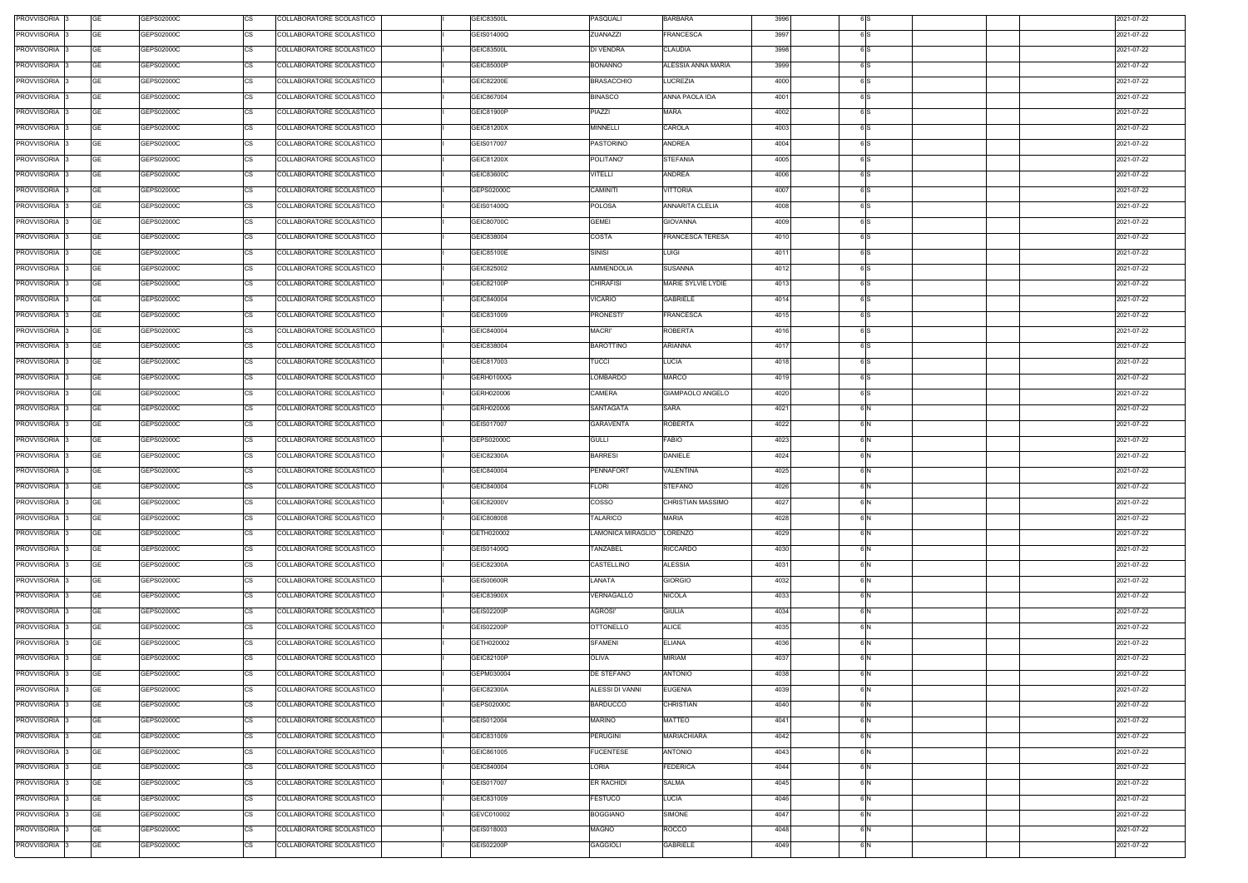| PROVVISORIA 3            | <b>GE</b> | GEPS02000C | <b>CS</b> | COLLABORATORE SCOLASTICO | GEIC83500L        | PASQUALI          | <b>BARBARA</b>     | 3996 | 6 S |  | 2021-07-22 |
|--------------------------|-----------|------------|-----------|--------------------------|-------------------|-------------------|--------------------|------|-----|--|------------|
| PROVVISORIA 3            | <b>GE</b> | GEPS02000C | СS        | COLLABORATORE SCOLASTICO | GEIS01400Q        | ZUANAZZI          | FRANCESCA          | 3997 |     |  | 2021-07-22 |
| PROVVISORIA 3            | <b>GE</b> | GEPS02000C | <b>CS</b> | COLLABORATORE SCOLASTICO | GEIC83500L        | DI VENDRA         | CLAUDIA            | 3998 | 6 S |  | 2021-07-22 |
| PROVVISORIA 3            | <b>GE</b> | GEPS02000C | CS        | COLLABORATORE SCOLASTICO | GEIC85000P        | BONANNO           | ALESSIA ANNA MARIA | 3999 | 6S  |  | 2021-07-22 |
| PROVVISORIA 3            | <b>GE</b> | GEPS02000C | CS        | COLLABORATORE SCOLASTICO | GEIC82200E        | <b>BRASACCHIO</b> | LUCREZIA           | 4000 | 6 S |  | 2021-07-22 |
| PROVVISORIA 3            | <b>GE</b> | GEPS02000C | <b>CS</b> | COLLABORATORE SCOLASTICO | GEIC867004        | <b>BINASCO</b>    | ANNA PAOLA IDA     | 4001 | 6 S |  | 2021-07-22 |
| PROVVISORIA <sub>3</sub> | <b>GE</b> | GEPS02000C | <b>CS</b> | COLLABORATORE SCOLASTICO | GEIC81900P        | PIAZZI            | MARA               | 4002 | 6 S |  | 2021-07-22 |
| PROVVISORIA 3            | <b>GE</b> | GEPS02000C | <b>CS</b> | COLLABORATORE SCOLASTICO | GEIC81200X        | <b>MINNELLI</b>   | CAROLA             | 4003 | 6 S |  | 2021-07-22 |
| PROVVISORIA 3            | <b>GE</b> | GEPS02000C | <b>CS</b> | COLLABORATORE SCOLASTICO | GEIS017007        | <b>PASTORINO</b>  | <b>ANDREA</b>      | 4004 | 6 S |  | 2021-07-22 |
| PROVVISORIA 3            | <b>GE</b> | GEPS02000C | CS        | COLLABORATORE SCOLASTICO | GEIC81200X        | POLITANO'         | <b>STEFANIA</b>    | 4005 | 6 S |  | 2021-07-22 |
| PROVVISORIA 3            | <b>GE</b> | GEPS02000C | <b>CS</b> | COLLABORATORE SCOLASTICO | GEIC83600C        | VITELLI           | ANDREA             | 4006 | 6 S |  | 2021-07-22 |
|                          | <b>GE</b> | GEPS02000C | CS        |                          | GEPS02000C        | <b>CAMINITI</b>   |                    | 4007 | 6 S |  | 2021-07-22 |
| <b>PROVVISORIA</b>       |           |            |           | COLLABORATORE SCOLASTICO |                   |                   | VITTORIA           |      | 6S  |  |            |
| <b>PROVVISORIA</b>       | <b>GE</b> | GEPS02000C | <b>CS</b> | COLLABORATORE SCOLASTICO | GEIS01400Q        | <b>POLOSA</b>     | ANNARITA CLELIA    | 4008 |     |  | 2021-07-22 |
| PROVVISORIA 3            | <b>GE</b> | GEPS02000C | CS        | COLLABORATORE SCOLASTICO | GEIC80700C        | <b>GEMEI</b>      | GIOVANNA           | 4009 | 6 S |  | 2021-07-22 |
| PROVVISORIA 3            | <b>GE</b> | GEPS02000C | СS        | COLLABORATORE SCOLASTICO | GEIC838004        | <b>COSTA</b>      | FRANCESCA TERESA   | 4010 | 6 S |  | 2021-07-22 |
| PROVVISORIA 3            | <b>GE</b> | GEPS02000C | CS        | COLLABORATORE SCOLASTICO | GEIC85100E        | <b>SINISI</b>     | <b>LUIGI</b>       | 4011 | 6 S |  | 2021-07-22 |
| PROVVISORIA 3            | <b>GE</b> | GEPS02000C | <b>CS</b> | COLLABORATORE SCOLASTICO | GEIC825002        | <b>AMMENDOLIA</b> | <b>SUSANNA</b>     | 4012 | 6 S |  | 2021-07-22 |
| PROVVISORIA 3            | <b>GE</b> | GEPS02000C | CS        | COLLABORATORE SCOLASTICO | GEIC82100P        | <b>CHIRAFISI</b>  | MARIE SYLVIE LYDIE | 4013 | 6 S |  | 2021-07-22 |
| PROVVISORIA 3            | <b>GE</b> | GEPS02000C | СS        | COLLABORATORE SCOLASTICO | GEIC840004        | VICARIO           | GABRIELE           | 4014 | 6 S |  | 2021-07-22 |
| PROVVISORIA 3            | <b>GE</b> | GEPS02000C | CS        | COLLABORATORE SCOLASTICO | GEIC831009        | <b>PRONESTI'</b>  | <b>FRANCESCA</b>   | 4015 | 6 S |  | 2021-07-22 |
| PROVVISORIA 3            | GE        | GEPS02000C | СS        | COLLABORATORE SCOLASTICO | GEIC840004        | <b>MACRI'</b>     | ROBERTA            | 4016 | 6 S |  | 2021-07-22 |
| PROVVISORIA 3            | <b>GE</b> | GEPS02000C | CS        | COLLABORATORE SCOLASTICO | GEIC838004        | <b>BAROTTINO</b>  | ARIANNA            | 4017 | 6 S |  | 2021-07-22 |
| PROVVISORIA 3            | <b>GE</b> | GEPS02000C | <b>CS</b> | COLLABORATORE SCOLASTICO | GEIC817003        | <b>TUCCI</b>      | LUCIA              | 4018 | 6 S |  | 2021-07-22 |
| PROVVISORIA 3            | <b>GE</b> | GEPS02000C | <b>CS</b> | COLLABORATORE SCOLASTICO | GERH01000G        | LOMBARDO          | <b>MARCO</b>       | 4019 | 6 S |  | 2021-07-22 |
| <b>PROVVISORIA</b>       | <b>GE</b> | GEPS02000C | СS        | COLLABORATORE SCOLASTICO | GERH020006        | CAMERA            | GIAMPAOLO ANGELO   | 4020 | 6 S |  | 2021-07-22 |
| PROVVISORIA 3            | <b>GE</b> | GEPS02000C | СS        | COLLABORATORE SCOLASTICO | GERH020006        | SANTAGATA         | SARA               | 4021 | 6 N |  | 2021-07-22 |
| PROVVISORIA 3            | <b>GE</b> | GEPS02000C | СS        | COLLABORATORE SCOLASTICO | GEIS017007        | GARAVENTA         | ROBERTA            | 4022 | 6 N |  | 2021-07-22 |
| PROVVISORIA 3            | <b>GE</b> | GEPS02000C | CS        | COLLABORATORE SCOLASTICO | GEPS02000C        | <b>GULLI</b>      | <b>FABIO</b>       | 4023 | 6 N |  | 2021-07-22 |
| PROVVISORIA 3            | <b>GE</b> | GEPS02000C | <b>CS</b> | COLLABORATORE SCOLASTICO | GEIC82300A        | <b>BARRESI</b>    | <b>DANIELE</b>     | 4024 | 6 N |  | 2021-07-22 |
| PROVVISORIA 3            | <b>GE</b> | GEPS02000C | <b>CS</b> | COLLABORATORE SCOLASTICO | GEIC840004        | PENNAFORT         | VALENTINA          | 4025 | 6 N |  | 2021-07-22 |
| PROVVISORIA 3            | <b>GE</b> | GEPS02000C | <b>CS</b> | COLLABORATORE SCOLASTICO | GEIC840004        | <b>FLORI</b>      | <b>STEFANO</b>     | 4026 | 6 N |  | 2021-07-22 |
| PROVVISORIA 3            | <b>GE</b> | GEPS02000C | <b>CS</b> | COLLABORATORE SCOLASTICO | GEIC82000V        | COSSO             | CHRISTIAN MASSIMO  | 4027 | 6 N |  | 2021-07-22 |
| PROVVISORIA 3            | <b>GE</b> | GEPS02000C | <b>CS</b> | COLLABORATORE SCOLASTICO | GEIC808008        | <b>TALARICO</b>   | <b>MARIA</b>       | 4028 | 6 N |  | 2021-07-22 |
| PROVVISORIA 3            | GE        | GEPS02000C | <b>CS</b> | COLLABORATORE SCOLASTICO | GETH020002        | LAMONICA MIRAGLIO | LORENZO            | 4029 | 6 N |  | 2021-07-22 |
| <b>PROVVISORIA</b>       | <b>GE</b> | GEPS02000C | CS        | COLLABORATORE SCOLASTICO | GEIS01400Q        | TANZABEL          | RICCARDO           | 4030 | 6N  |  | 2021-07-22 |
| <b>PROVVISORIA</b>       | <b>GE</b> | GEPS02000C | <b>CS</b> | COLLABORATORE SCOLASTICO | GEIC82300A        | CASTELLINO        | <b>ALESSIA</b>     | 4031 | 6N  |  | 2021-07-22 |
| PROVVISORIA 3            | <b>GE</b> | GEPS02000C | CS        | COLLABORATORE SCOLASTICO | <b>GEIS00600R</b> | LANATA            | <b>GIORGIO</b>     | 4032 | 6N  |  | 2021-07-22 |
| <b>PROVVISORIA</b>       | <b>GE</b> | GEPS02000C | CS        | COLLABORATORE SCOLASTICO | GEIC83900X        | VERNAGALLO        | <b>NICOLA</b>      | 4033 | 6 N |  | 2021-07-22 |
| <b>PROVVISORIA</b>       | <b>GE</b> | GEPS02000C | CS        | COLLABORATORE SCOLASTICO | <b>GEIS02200P</b> | <b>AGROSI'</b>    | <b>GIULIA</b>      | 4034 | 6N  |  | 2021-07-22 |
| <b>PROVVISORIA</b>       | <b>GE</b> | GEPS02000C | CS        | COLLABORATORE SCOLASTICO | <b>GEIS02200P</b> | <b>OTTONELLO</b>  | <b>ALICE</b>       | 4035 | 6 N |  | 2021-07-22 |
| PROVVISORIA 3            | <b>GE</b> | GEPS02000C | CS        | COLLABORATORE SCOLASTICO | GETH020002        | <b>SFAMENI</b>    | <b>ELIANA</b>      | 4036 | 6 N |  | 2021-07-22 |
| PROVVISORIA 3            | <b>GE</b> | GEPS02000C | CS        | COLLABORATORE SCOLASTICO | GEIC82100P        | OLIVA             | <b>MIRIAM</b>      | 4037 | 6N  |  | 2021-07-22 |
| PROVVISORIA 3            | <b>GE</b> | GEPS02000C | CS        | COLLABORATORE SCOLASTICO | GEPM030004        | DE STEFANO        | ANTONIO            | 4038 | 6 N |  | 2021-07-22 |
| PROVVISORIA 3            | <b>GE</b> | GEPS02000C | <b>CS</b> | COLLABORATORE SCOLASTICO | GEIC82300A        | ALESSI DI VANNI   | <b>EUGENIA</b>     | 4039 | 6 N |  | 2021-07-22 |
| PROVVISORIA 3            | <b>GE</b> | GEPS02000C | CS        | COLLABORATORE SCOLASTICO | GEPS02000C        | <b>BARDUCCO</b>   | CHRISTIAN          | 4040 | 6 N |  | 2021-07-22 |
| PROVVISORIA 3            | <b>GE</b> | GEPS02000C | СS        | COLLABORATORE SCOLASTICO | GEIS012004        | <b>MARINO</b>     | MATTEO             | 4041 | 6 N |  | 2021-07-22 |
| PROVVISORIA 3            | <b>GE</b> | GEPS02000C | СS        | COLLABORATORE SCOLASTICO | GEIC831009        | <b>PERUGINI</b>   | <b>MARIACHIARA</b> | 4042 | 6 N |  | 2021-07-22 |
| <b>PROVVISORIA</b>       | <b>GE</b> | GEPS02000C | <b>CS</b> | COLLABORATORE SCOLASTICO | GEIC861005        | <b>FUCENTESE</b>  | ANTONIO            | 4043 | 6N  |  | 2021-07-22 |
| PROVVISORIA 3            | <b>GE</b> | GEPS02000C | <b>CS</b> | COLLABORATORE SCOLASTICO | GEIC840004        | LORIA             | <b>FEDERICA</b>    | 4044 | 6 N |  | 2021-07-22 |
| <b>PROVVISORIA</b>       | <b>GE</b> | GEPS02000C | <b>CS</b> | COLLABORATORE SCOLASTICO | GEIS017007        | ER RACHIDI        | SALMA              | 4045 | 6 N |  | 2021-07-22 |
| PROVVISORIA 3            | <b>GE</b> | GEPS02000C | СS        | COLLABORATORE SCOLASTICO | GEIC831009        | <b>FESTUCO</b>    | LUCIA              | 4046 | 6 N |  | 2021-07-22 |
| <b>PROVVISORIA</b>       | <b>GE</b> | GEPS02000C | СS        | COLLABORATORE SCOLASTICO | GEVC010002        | <b>BOGGIANO</b>   | SIMONE             | 4047 | 6N  |  | 2021-07-22 |
| PROVVISORIA 3            | <b>GE</b> | GEPS02000C | СS        | COLLABORATORE SCOLASTICO | GEIS018003        | <b>MAGNO</b>      | ROCCO              | 4048 | 6 N |  | 2021-07-22 |
| PROVVISORIA 3            | <b>GE</b> | GEPS02000C | <b>CS</b> |                          |                   | <b>GAGGIOLI</b>   | <b>GABRIELE</b>    | 4049 | 6 N |  | 2021-07-22 |
|                          |           |            |           | COLLABORATORE SCOLASTICO | GEIS02200P        |                   |                    |      |     |  |            |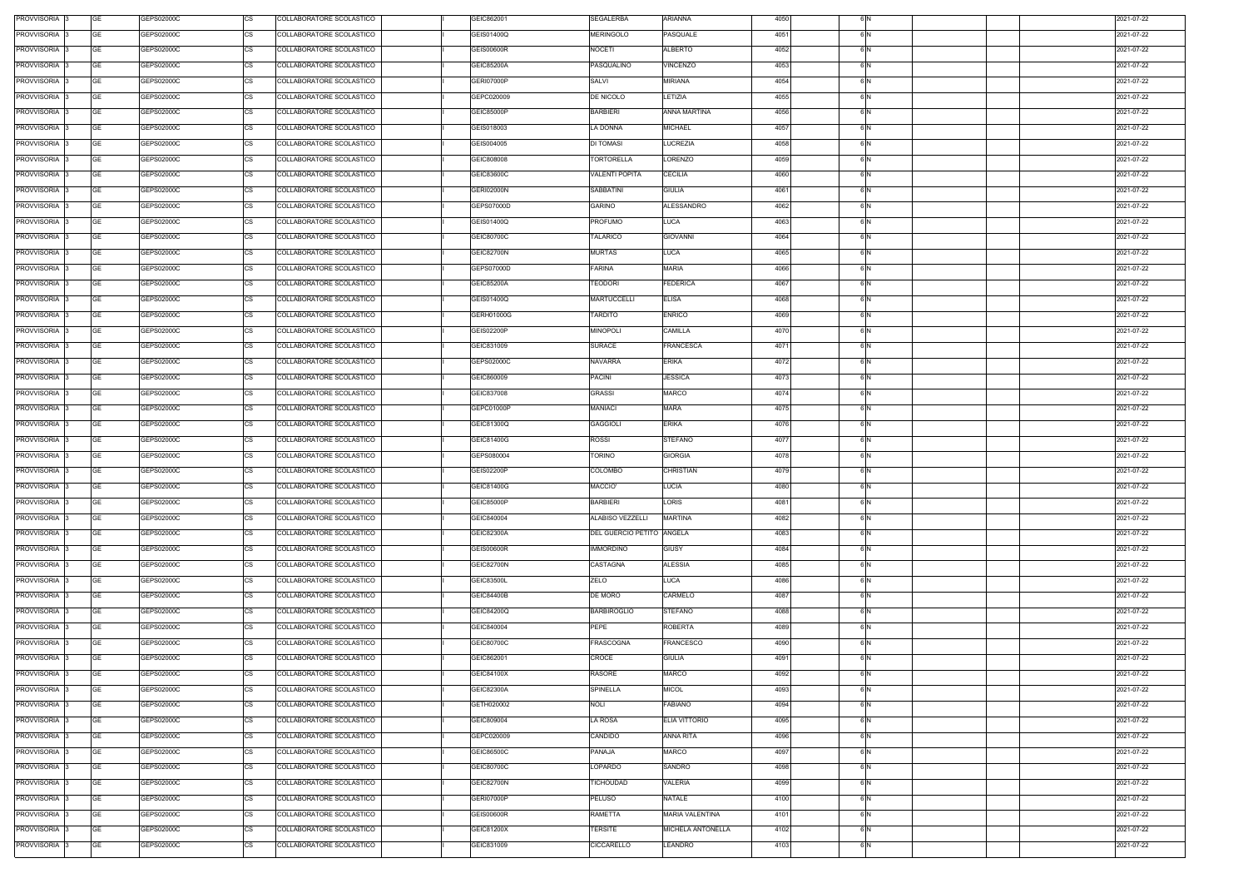| PROVVISORIA 3            | <b>GE</b><br>GEPS02000C | <b>CS</b> | COLLABORATORE SCOLASTICO | GEIC862001        | <b>SEGALERBA</b>          | <b>ARIANNA</b>         | 4050 | 6 N |  | 2021-07-22 |
|--------------------------|-------------------------|-----------|--------------------------|-------------------|---------------------------|------------------------|------|-----|--|------------|
| PROVVISORIA <sub>3</sub> | <b>GE</b><br>GEPS02000C | CS        | COLLABORATORE SCOLASTICO | GEIS01400Q        | <b>MERINGOLO</b>          | PASQUALE               | 4051 |     |  | 2021-07-22 |
| PROVVISORIA 3            | <b>GE</b><br>GEPS02000C | CS        | COLLABORATORE SCOLASTICO | <b>GEIS00600R</b> | <b>NOCETI</b>             | ALBERTO                | 4052 | 6 N |  | 2021-07-22 |
| PROVVISORIA 3            | <b>GE</b><br>GEPS02000C | <b>CS</b> | COLLABORATORE SCOLASTICO | <b>GEIC85200A</b> | PASQUALINO                | /INCENZO               | 4053 | 6 N |  | 2021-07-22 |
| PROVVISORIA 3            | <b>GE</b><br>GEPS02000C | <b>CS</b> | COLLABORATORE SCOLASTICO | GERI07000P        | <b>SALVI</b>              | <b>MIRIANA</b>         | 4054 | 6 N |  | 2021-07-22 |
| PROVVISORIA 3            | <b>GE</b><br>GEPS02000C | <b>CS</b> | COLLABORATORE SCOLASTICO | GEPC020009        | DE NICOLO                 | LETIZIA                | 4055 | 6 N |  | 2021-07-22 |
| PROVVISORIA 3            | <b>GE</b><br>GEPS02000C | <b>CS</b> | COLLABORATORE SCOLASTICO | GEIC85000P        | <b>BARBIERI</b>           | ANNA MARTINA           | 4056 | 6 N |  | 2021-07-22 |
| PROVVISORIA 3            | <b>GE</b><br>GEPS02000C | <b>CS</b> | COLLABORATORE SCOLASTICO | GEIS018003        | LA DONNA                  | <b>MICHAEL</b>         | 4057 | 6 N |  | 2021-07-22 |
| PROVVISORIA 3            | <b>GE</b><br>GEPS02000C | <b>CS</b> | COLLABORATORE SCOLASTICO | GEIS004005        | <b>DI TOMASI</b>          | LUCREZIA               | 4058 | 6 N |  | 2021-07-22 |
| PROVVISORIA 3            | <b>GE</b><br>GEPS02000C | <b>CS</b> | COLLABORATORE SCOLASTICO | GEIC808008        | TORTORELLA                | LORENZO                | 4059 | 6 N |  | 2021-07-22 |
| PROVVISORIA 3            | <b>GE</b><br>GEPS02000C | <b>CS</b> | COLLABORATORE SCOLASTICO | GEIC83600C        | <b>VALENTI POPITA</b>     | <b>CECILIA</b>         | 4060 | 6 N |  | 2021-07-22 |
| PROVVISORIA 3            | <b>GE</b><br>GEPS02000C | CS        | COLLABORATORE SCOLASTICO | <b>GERI02000N</b> | SABBATINI                 | <b>GIULIA</b>          | 4061 | 6 N |  | 2021-07-22 |
| PROVVISORIA 3            | <b>GE</b><br>GEPS02000C | <b>CS</b> | COLLABORATORE SCOLASTICO | GEPS07000D        | <b>GARINO</b>             | ALESSANDRO             | 4062 | 6 N |  | 2021-07-22 |
| PROVVISORIA 3            | <b>GE</b><br>GEPS02000C | CS        | COLLABORATORE SCOLASTICO | GEIS01400Q        | <b>PROFUMO</b>            | LUCA                   | 4063 | 6 N |  | 2021-07-22 |
| PROVVISORIA 3            | <b>GE</b><br>GEPS02000C | <b>CS</b> | COLLABORATORE SCOLASTICO | GEIC80700C        | TALARICO                  | <b>GIOVANNI</b>        | 4064 | 6 N |  | 2021-07-22 |
| PROVVISORIA 3            | <b>GE</b><br>GEPS02000C | CS        | COLLABORATORE SCOLASTICO | <b>GEIC82700N</b> | <b>MURTAS</b>             | LUCA                   | 4065 | 6 N |  | 2021-07-22 |
| PROVVISORIA 3            | <b>GE</b><br>GEPS02000C | <b>CS</b> | COLLABORATORE SCOLASTICO | GEPS07000D        | <b>FARINA</b>             | <b>MARIA</b>           | 4066 | 6 N |  | 2021-07-22 |
| PROVVISORIA 3            | <b>GE</b><br>GEPS02000C | <b>CS</b> | COLLABORATORE SCOLASTICO | <b>GEIC85200A</b> | TEODORI                   | <b>FEDERICA</b>        | 4067 | 6 N |  | 2021-07-22 |
| PROVVISORIA 3            | <b>GE</b><br>GEPS02000C | <b>CS</b> | COLLABORATORE SCOLASTICO | GEIS01400Q        | <b>MARTUCCELLI</b>        | <b>ELISA</b>           | 4068 | 6 N |  | 2021-07-22 |
| PROVVISORIA 3            | <b>GE</b><br>GEPS02000C | <b>CS</b> | COLLABORATORE SCOLASTICO | GERH01000G        | TARDITO                   | <b>ENRICO</b>          | 4069 | 6 N |  | 2021-07-22 |
| PROVVISORIA 3            | <b>GE</b><br>GEPS02000C | <b>CS</b> | COLLABORATORE SCOLASTICO | GEIS02200P        | <b>MINOPOLI</b>           | CAMILLA                | 4070 | 6 N |  | 2021-07-22 |
| PROVVISORIA 3            | <b>GE</b><br>GEPS02000C | <b>CS</b> | COLLABORATORE SCOLASTICO | GEIC831009        | <b>SURACE</b>             | FRANCESCA              | 4071 | 6 N |  | 2021-07-22 |
| PROVVISORIA 3            | <b>GE</b><br>GEPS02000C | <b>CS</b> | COLLABORATORE SCOLASTICO | GEPS02000C        | <b>NAVARRA</b>            | ERIKA                  | 4072 | 6 N |  | 2021-07-22 |
|                          | <b>GE</b>               | <b>CS</b> |                          |                   |                           | <b>JESSICA</b>         |      | 6 N |  |            |
| PROVVISORIA 3            | GEPS02000C              |           | COLLABORATORE SCOLASTICO | GEIC860009        | <b>PACINI</b>             |                        | 4073 | 6 N |  | 2021-07-22 |
| PROVVISORIA 3            | <b>GE</b><br>GEPS02000C | <b>CS</b> | COLLABORATORE SCOLASTICO | GEIC837008        | <b>GRASSI</b>             | <b>MARCO</b>           | 4074 |     |  | 2021-07-22 |
| PROVVISORIA 3            | <b>GE</b><br>GEPS02000C | <b>CS</b> | COLLABORATORE SCOLASTICO | GEPC01000P        | <b>MANIACI</b>            | MARA                   | 4075 | 6 N |  | 2021-07-22 |
| PROVVISORIA 3            | <b>GE</b><br>GEPS02000C | <b>CS</b> | COLLABORATORE SCOLASTICO | GEIC81300Q        | <b>GAGGIOLI</b>           | ERIKA                  | 4076 | 6 N |  | 2021-07-22 |
| PROVVISORIA 3            | <b>GE</b><br>GEPS02000C | CS        | COLLABORATORE SCOLASTICO | GEIC81400G        | <b>ROSSI</b>              | <b>STEFANO</b>         | 4077 | 6 N |  | 2021-07-22 |
| PROVVISORIA 3            | <b>GE</b><br>GEPS02000C | <b>CS</b> | COLLABORATORE SCOLASTICO | GEPS080004        | TORINO                    | <b>GIORGIA</b>         | 4078 | 6 N |  | 2021-07-22 |
| PROVVISORIA 3            | <b>GE</b><br>GEPS02000C | <b>CS</b> | COLLABORATORE SCOLASTICO | <b>GEIS02200P</b> | COLOMBO                   | <b>CHRISTIAN</b>       | 4079 | 6 N |  | 2021-07-22 |
| PROVVISORIA 3            | <b>GE</b><br>GEPS02000C | <b>CS</b> | COLLABORATORE SCOLASTICO | GEIC81400G        | MACCIO'                   | <b>LUCIA</b>           | 4080 | 6 N |  | 2021-07-22 |
| PROVVISORIA 3            | <b>GE</b><br>GEPS02000C | <b>CS</b> | COLLABORATORE SCOLASTICO | GEIC85000P        | <b>BARBIERI</b>           | LORIS                  | 4081 | 6 N |  | 2021-07-22 |
| PROVVISORIA 3            | <b>GE</b><br>GEPS02000C | CS        | COLLABORATORE SCOLASTICO | GEIC840004        | ALABISO VEZZELLI          | <b>MARTINA</b>         | 4082 | 6 N |  | 2021-07-22 |
| PROVVISORIA 3            | <b>GE</b><br>GEPS02000C | <b>CS</b> | COLLABORATORE SCOLASTICO | GEIC82300A        | DEL GUERCIO PETITO ANGELA |                        | 4083 | 6 N |  | 2021-07-22 |
| PROVVISORIA 3            | <b>GE</b><br>GEPS02000C | CS        | COLLABORATORE SCOLASTICO | <b>GEIS00600R</b> | <b>IMMORDINO</b>          | <b>GIUSY</b>           | 4084 | 6 N |  | 2021-07-22 |
| PROVVISORIA 3            | <b>GE</b><br>GEPS02000C | <b>CS</b> | COLLABORATORE SCOLASTICO | <b>GEIC82700N</b> | CASTAGNA                  | <b>ALESSIA</b>         | 4085 | 6 N |  | 2021-07-22 |
| PROVVISORIA 3            | <b>GE</b><br>GEPS02000C | CS        | COLLABORATORE SCOLASTICO | GEIC83500L        | ZELO                      | LUCA                   | 4086 | 6 N |  | 2021-07-22 |
| PROVVISORIA 3            | <b>GE</b><br>GEPS02000C | <b>CS</b> | COLLABORATORE SCOLASTICO | <b>GEIC84400B</b> | DE MORO                   | CARMELO                | 4087 | 6 N |  | 2021-07-22 |
| PROVVISORIA 3            | <b>GE</b><br>GEPS02000C | CS        | COLLABORATORE SCOLASTICO | GEIC84200Q        | <b>BARBIROGLIO</b>        | STEFANO                | 4088 | 6 N |  | 2021-07-22 |
| PROVVISORIA 3            | <b>GE</b><br>GEPS02000C | CS        | COLLABORATORE SCOLASTICO | GEIC840004        | PEPE                      | ROBERTA                | 4089 | 6 N |  | 2021-07-22 |
| PROVVISORIA 3            | <b>GE</b><br>GEPS02000C | CS        | COLLABORATORE SCOLASTICO | GEIC80700C        | FRASCOGNA                 | FRANCESCO              | 4090 | 6 N |  | 2021-07-22 |
| PROVVISORIA 3            | <b>GE</b><br>GEPS02000C | <b>CS</b> | COLLABORATORE SCOLASTICO | GEIC862001        | CROCE                     | <b>GIULIA</b>          | 4091 | 6 N |  | 2021-07-22 |
| PROVVISORIA 3            | <b>GE</b><br>GEPS02000C | CS        | COLLABORATORE SCOLASTICO | GEIC84100X        | RASORE                    | <b>MARCO</b>           | 4092 | 6 N |  | 2021-07-22 |
| PROVVISORIA 3            | <b>GE</b><br>GEPS02000C | CS        | COLLABORATORE SCOLASTICO | GEIC82300A        | <b>SPINELLA</b>           | <b>MICOL</b>           | 4093 | 6N  |  | 2021-07-22 |
| PROVVISORIA 3            | <b>GE</b><br>GEPS02000C | <b>CS</b> | COLLABORATORE SCOLASTICO | GETH020002        | <b>NOLI</b>               | FABIANO                | 4094 | 6 N |  | 2021-07-22 |
| PROVVISORIA 3            | <b>GE</b><br>GEPS02000C | <b>CS</b> | COLLABORATORE SCOLASTICO | GEIC809004        | LA ROSA                   | ELIA VITTORIO          | 4095 | 6 N |  | 2021-07-22 |
| PROVVISORIA 3            | <b>GE</b><br>GEPS02000C | <b>CS</b> | COLLABORATORE SCOLASTICO | GEPC020009        | CANDIDO                   | ANNA RITA              | 4096 | 6 N |  | 2021-07-22 |
| PROVVISORIA 3            | <b>GE</b><br>GEPS02000C | <b>CS</b> | COLLABORATORE SCOLASTICO | GEIC86500C        | PANAJA                    | <b>MARCO</b>           | 4097 | 6 N |  | 2021-07-22 |
| PROVVISORIA 3            | <b>GE</b><br>GEPS02000C | <b>CS</b> | COLLABORATORE SCOLASTICO | GEIC80700C        | LOPARDO                   | SANDRO                 | 4098 | 6 N |  | 2021-07-22 |
| PROVVISORIA 3            | <b>GE</b><br>GEPS02000C | <b>CS</b> | COLLABORATORE SCOLASTICO | <b>GEIC82700N</b> | TICHOUDAD                 | VALERIA                | 4099 | 6 N |  | 2021-07-22 |
| PROVVISORIA 3            | <b>GE</b><br>GEPS02000C | <b>CS</b> | COLLABORATORE SCOLASTICO | GERI07000P        | <b>PELUSO</b>             | NATALE                 | 4100 | 6 N |  | 2021-07-22 |
| PROVVISORIA 3            | <b>GE</b><br>GEPS02000C | <b>CS</b> | COLLABORATORE SCOLASTICO | <b>GEIS00600R</b> | <b>RAMETTA</b>            | <b>MARIA VALENTINA</b> | 4101 | 6 N |  | 2021-07-22 |
| PROVVISORIA 3            | <b>GE</b><br>GEPS02000C | <b>CS</b> | COLLABORATORE SCOLASTICO | GEIC81200X        | TERSITE                   | MICHELA ANTONELLA      | 4102 | 6 N |  | 2021-07-22 |
| PROVVISORIA 3            | <b>GE</b><br>GEPS02000C | CS        | COLLABORATORE SCOLASTICO | GEIC831009        | CICCARELLO                | LEANDRO                | 4103 | 6 N |  | 2021-07-22 |
|                          |                         |           |                          |                   |                           |                        |      |     |  |            |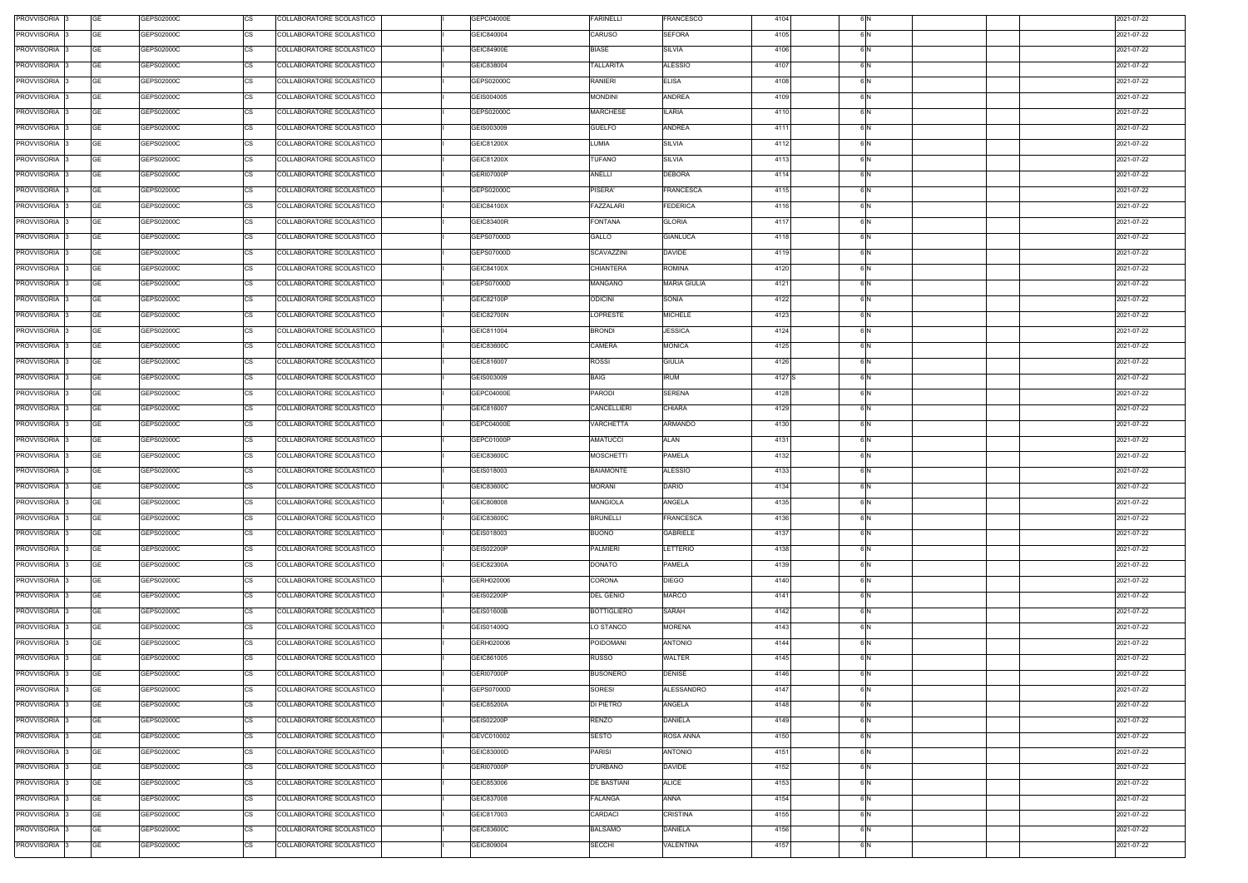| PROVVISORIA 3            | GE        | GEPS02000C | COLLABORATORE SCOLASTICO<br>CS        | GEPC04000E        | <b>FARINELLI</b>   | <b>FRANCESCO</b>    | 4104   | 6 N |  | 2021-07-22 |
|--------------------------|-----------|------------|---------------------------------------|-------------------|--------------------|---------------------|--------|-----|--|------------|
| PROVVISORIA 3            | GE        | GEPS02000C | <b>CS</b><br>COLLABORATORE SCOLASTICO | GEIC840004        | CARUSO             | <b>SEFORA</b>       | 4105   | 6 N |  | 2021-07-22 |
| PROVVISORIA 3            | GE        | GEPS02000C | <b>CS</b><br>COLLABORATORE SCOLASTICO | GEIC84900E        | BIASE              | SILVIA              | 4106   | 6 N |  | 2021-07-22 |
| PROVVISORIA 3            | GE        | GEPS02000C | <b>CS</b><br>COLLABORATORE SCOLASTICO | GEIC838004        | <b>TALLARITA</b>   | <b>ALESSIO</b>      | 4107   | 6N  |  | 2021-07-22 |
| PROVVISORIA 3            | <b>GE</b> | GEPS02000C | <b>CS</b><br>COLLABORATORE SCOLASTICO | GEPS02000C        | <b>RANIERI</b>     | <b>ELISA</b>        | 4108   | 6 N |  | 2021-07-22 |
| PROVVISORIA 3            | GE        | GEPS02000C | <b>CS</b><br>COLLABORATORE SCOLASTICO | GEIS004005        | <b>MONDINI</b>     | <b>ANDREA</b>       | 4109   | 6 N |  | 2021-07-22 |
| PROVVISORIA 3            | <b>GE</b> | GEPS02000C | <b>CS</b><br>COLLABORATORE SCOLASTICO | GEPS02000C        | <b>MARCHESE</b>    | ILARIA              | 4110   | 6 N |  | 2021-07-22 |
| PROVVISORIA 3            | GE        | GEPS02000C | <b>CS</b><br>COLLABORATORE SCOLASTICO | GEIS003009        | <b>GUELFO</b>      | ANDREA              | 4111   | 6 N |  | 2021-07-22 |
| PROVVISORIA 3            | <b>GE</b> | GEPS02000C | <b>CS</b><br>COLLABORATORE SCOLASTICO | GEIC81200X        | LUMIA              | SILVIA              | 4112   | 6 N |  | 2021-07-22 |
|                          |           |            |                                       |                   |                    |                     |        |     |  |            |
| PROVVISORIA 3            | <b>GE</b> | GEPS02000C | <b>CS</b><br>COLLABORATORE SCOLASTICO | GEIC81200X        | <b>TUFANO</b>      | <b>SILVIA</b>       | 4113   | 6 N |  | 2021-07-22 |
| PROVVISORIA 3            | <b>GE</b> | GEPS02000C | <b>CS</b><br>COLLABORATORE SCOLASTICO | <b>GERI07000P</b> | <b>ANELLI</b>      | <b>DEBORA</b>       | 4114   | 6 N |  | 2021-07-22 |
| PROVVISORIA 3            | <b>GE</b> | GEPS02000C | CS<br>COLLABORATORE SCOLASTICO        | GEPS02000C        | PISERA'            | <b>FRANCESCA</b>    | 4115   | 6 N |  | 2021-07-22 |
| PROVVISORIA 3            | <b>GE</b> | GEPS02000C | <b>CS</b><br>COLLABORATORE SCOLASTICO | GEIC84100X        | FAZZALARI          | <b>FEDERICA</b>     | 4116   | 6 N |  | 2021-07-22 |
| PROVVISORIA 3            | <b>GE</b> | GEPS02000C | <b>CS</b><br>COLLABORATORE SCOLASTICO | <b>GEIC83400R</b> | <b>FONTANA</b>     | <b>GLORIA</b>       | 4117   | 6 N |  | 2021-07-22 |
| PROVVISORIA 3            | <b>GE</b> | GEPS02000C | <b>CS</b><br>COLLABORATORE SCOLASTICO | GEPS07000D        | GALLO              | <b>GIANLUCA</b>     | 4118   | 6 N |  | 2021-07-22 |
| PROVVISORIA 3            | <b>GE</b> | GEPS02000C | <b>CS</b><br>COLLABORATORE SCOLASTICO | GEPS07000D        | SCAVAZZINI         | <b>DAVIDE</b>       | 4119   | 6 N |  | 2021-07-22 |
| PROVVISORIA 3            | <b>GE</b> | GEPS02000C | <b>CS</b><br>COLLABORATORE SCOLASTICO | GEIC84100X        | <b>CHIANTERA</b>   | <b>ROMINA</b>       | 4120   | 6 N |  | 2021-07-22 |
| PROVVISORIA 3            | <b>GE</b> | GEPS02000C | <b>CS</b><br>COLLABORATORE SCOLASTICO | GEPS07000D        | MANGANO            | <b>MARIA GIULIA</b> | 4121   | 6 N |  | 2021-07-22 |
| PROVVISORIA 3            | <b>GE</b> | GEPS02000C | <b>CS</b><br>COLLABORATORE SCOLASTICO | GEIC82100P        | <b>ODICINI</b>     | SONIA               | 4122   | 6 N |  | 2021-07-22 |
| PROVVISORIA 3            | GE        | GEPS02000C | <b>CS</b><br>COLLABORATORE SCOLASTICO | <b>GEIC82700N</b> | LOPRESTE           | MICHELE             | 4123   | 6 N |  | 2021-07-22 |
| PROVVISORIA 3            | GE        | GEPS02000C | <b>CS</b><br>COLLABORATORE SCOLASTICO | GEIC811004        | <b>BRONDI</b>      | <b>JESSICA</b>      | 4124   | 6 N |  | 2021-07-22 |
| PROVVISORIA 3            | <b>GE</b> | GEPS02000C | <b>CS</b><br>COLLABORATORE SCOLASTICO | GEIC83600C        | CAMERA             | MONICA              | 4125   | 6 N |  | 2021-07-22 |
| PROVVISORIA 3            | <b>GE</b> | GEPS02000C | <b>CS</b><br>COLLABORATORE SCOLASTICO | GEIC816007        | <b>ROSSI</b>       | <b>GIULIA</b>       | 4126   | 6 N |  | 2021-07-22 |
| PROVVISORIA 3            | <b>GE</b> | GEPS02000C | <b>CS</b><br>COLLABORATORE SCOLASTICO | GEIS003009        | <b>BAIG</b>        | <b>IRUM</b>         | 4127 S | 6 N |  | 2021-07-22 |
| PROVVISORIA 3            | <b>GE</b> | GEPS02000C | <b>CS</b><br>COLLABORATORE SCOLASTICO | GEPC04000E        | <b>PARODI</b>      | SERENA              | 4128   | 6 N |  | 2021-07-22 |
| PROVVISORIA 3            | <b>GE</b> | GEPS02000C | <b>CS</b><br>COLLABORATORE SCOLASTICO | GEIC816007        | CANCELLIERI        | CHIARA              | 4129   | 6 N |  | 2021-07-22 |
|                          | GE        |            | <b>CS</b>                             | GEPC04000E        |                    | ARMANDO             | 4130   | 6 N |  |            |
| PROVVISORIA 3            |           | GEPS02000C | COLLABORATORE SCOLASTICO              |                   | VARCHETTA          |                     |        | 6 N |  | 2021-07-22 |
| PROVVISORIA 3            | <b>GE</b> | GEPS02000C | <b>CS</b><br>COLLABORATORE SCOLASTICO | GEPC01000P        | <b>AMATUCCI</b>    | ALAN                | 4131   |     |  | 2021-07-22 |
| PROVVISORIA 3            | GE        | GEPS02000C | <b>CS</b><br>COLLABORATORE SCOLASTICO | GEIC83600C        | <b>MOSCHETTI</b>   | PAMELA              | 4132   | 6 N |  | 2021-07-22 |
| PROVVISORIA 3            | <b>GE</b> | GEPS02000C | <b>CS</b><br>COLLABORATORE SCOLASTICO | GEIS018003        | <b>BAIAMONTE</b>   | <b>ALESSIO</b>      | 4133   | 6N  |  | 2021-07-22 |
| PROVVISORIA 3            | GE        | GEPS02000C | <b>CS</b><br>COLLABORATORE SCOLASTICO | GEIC83600C        | <b>MORANI</b>      | <b>DARIO</b>        | 4134   | 6 N |  | 2021-07-22 |
| PROVVISORIA 3            | <b>GE</b> | GEPS02000C | <b>CS</b><br>COLLABORATORE SCOLASTICO | GEIC808008        | <b>MANGIOLA</b>    | ANGELA              | 4135   | 6 N |  | 2021-07-22 |
| PROVVISORIA 3            | GE        | GEPS02000C | <b>CS</b><br>COLLABORATORE SCOLASTICO | GEIC83600C        | <b>BRUNELLI</b>    | <b>FRANCESCA</b>    | 4136   | 6 N |  | 2021-07-22 |
| PROVVISORIA <sub>3</sub> | GE        | GEPS02000C | <b>CS</b><br>COLLABORATORE SCOLASTICO | GEIS018003        | <b>BUONO</b>       | <b>GABRIELE</b>     | 4137   | 6 N |  | 2021-07-22 |
| PROVVISORIA 3            | <b>GE</b> | GEPS02000C | <b>CS</b><br>COLLABORATORE SCOLASTICO | <b>GEIS02200P</b> | <b>PALMIERI</b>    | LETTERIO            | 4138   | 6 N |  | 2021-07-22 |
| PROVVISORIA 3            | <b>GE</b> | GEPS02000C | <b>CS</b><br>COLLABORATORE SCOLASTICO | GEIC82300A        | <b>DONATO</b>      | PAMELA              | 4139   | 6 N |  | 2021-07-22 |
| PROVVISORIA 3            | <b>GE</b> | GEPS02000C | <b>CS</b><br>COLLABORATORE SCOLASTICO | GERH020006        | CORONA             | <b>DIEGO</b>        | 4140   | 6 N |  | 2021-07-22 |
| PROVVISORIA 3            | <b>GE</b> | GEPS02000C | <b>CS</b><br>COLLABORATORE SCOLASTICO | <b>GEIS02200P</b> | <b>DEL GENIO</b>   | <b>MARCO</b>        | 4141   | 6 N |  | 2021-07-22 |
| PROVVISORIA 3            | <b>GE</b> | GEPS02000C | CS<br>COLLABORATORE SCOLASTICO        | <b>GEIS01600B</b> | <b>BOTTIGLIERO</b> | SARAH               | 4142   | 6 N |  | 2021-07-22 |
| PROVVISORIA 3            | <b>GE</b> | GEPS02000C | <b>CS</b><br>COLLABORATORE SCOLASTICO | GEIS01400Q        | LO STANCO          | <b>MORENA</b>       | 4143   | 6 N |  | 2021-07-22 |
| PROVVISORIA 3            | <b>GE</b> | GEPS02000C | <b>CS</b><br>COLLABORATORE SCOLASTICO | GERH020006        | POIDOMANI          | ANTONIO             | 4144   | 6 N |  | 2021-07-22 |
| PROVVISORIA 3            | <b>GE</b> | GEPS02000C | <b>CS</b><br>COLLABORATORE SCOLASTICO | GEIC861005        | RUSSO              | WALTER              | 4145   | 6 N |  | 2021-07-22 |
| PROVVISORIA 3            | <b>GE</b> | GEPS02000C | <b>CS</b><br>COLLABORATORE SCOLASTICO | <b>GERI07000P</b> | <b>BUSONERO</b>    | <b>DENISE</b>       | 4146   | 6 N |  | 2021-07-22 |
| PROVVISORIA 3            | <b>GE</b> | GEPS02000C | <b>CS</b><br>COLLABORATORE SCOLASTICO | GEPS07000D        | <b>SORESI</b>      | <b>ALESSANDRO</b>   | 4147   | 6 N |  | 2021-07-22 |
| PROVVISORIA 3            | <b>GE</b> | GEPS02000C | CS<br>COLLABORATORE SCOLASTICO        | GEIC85200A        | DI PIETRO          | ANGELA              | 4148   | 6 N |  | 2021-07-22 |
| PROVVISORIA 3            | <b>GE</b> | GEPS02000C | <b>CS</b><br>COLLABORATORE SCOLASTICO | GEIS02200P        | RENZO              | DANIELA             | 4149   | 6 N |  | 2021-07-22 |
| PROVVISORIA 3            | GE        | GEPS02000C | СS<br>COLLABORATORE SCOLASTICO        | GEVC010002        | <b>SESTO</b>       | ROSA ANNA           | 4150   | 6 N |  | 2021-07-22 |
| PROVVISORIA 3            | <b>GE</b> | GEPS02000C | <b>CS</b><br>COLLABORATORE SCOLASTICO | GEIC83000D        | <b>PARISI</b>      | ANTONIO             | 4151   | 6 N |  | 2021-07-22 |
| PROVVISORIA 3            | <b>GE</b> | GEPS02000C | <b>CS</b><br>COLLABORATORE SCOLASTICO | <b>GERI07000P</b> | D'URBANO           | <b>DAVIDE</b>       | 4152   | 6 N |  | 2021-07-22 |
| PROVVISORIA 3            | <b>GE</b> | GEPS02000C | <b>CS</b><br>COLLABORATORE SCOLASTICO | GEIC853006        | DE BASTIANI        | ALICE               | 4153   | 6 N |  | 2021-07-22 |
| PROVVISORIA 3            | <b>GE</b> | GEPS02000C | <b>CS</b><br>COLLABORATORE SCOLASTICO |                   | FALANGA            | ANNA                | 4154   | 6 N |  | 2021-07-22 |
|                          |           |            |                                       | GEIC837008        |                    |                     |        |     |  |            |
| PROVVISORIA 3            | GE        | GEPS02000C | <b>CS</b><br>COLLABORATORE SCOLASTICO | GEIC817003        | CARDACI            | CRISTINA            | 4155   | 6 N |  | 2021-07-22 |
| PROVVISORIA 3            | <b>GE</b> | GEPS02000C | <b>CS</b><br>COLLABORATORE SCOLASTICO | GEIC83600C        | BALSAMO            | DANIELA             | 4156   | 6 N |  | 2021-07-22 |
| PROVVISORIA 3            | GE        | GEPS02000C | <b>CS</b><br>COLLABORATORE SCOLASTICO | GEIC809004        | <b>SECCHI</b>      | VALENTINA           | 4157   | 6 N |  | 2021-07-22 |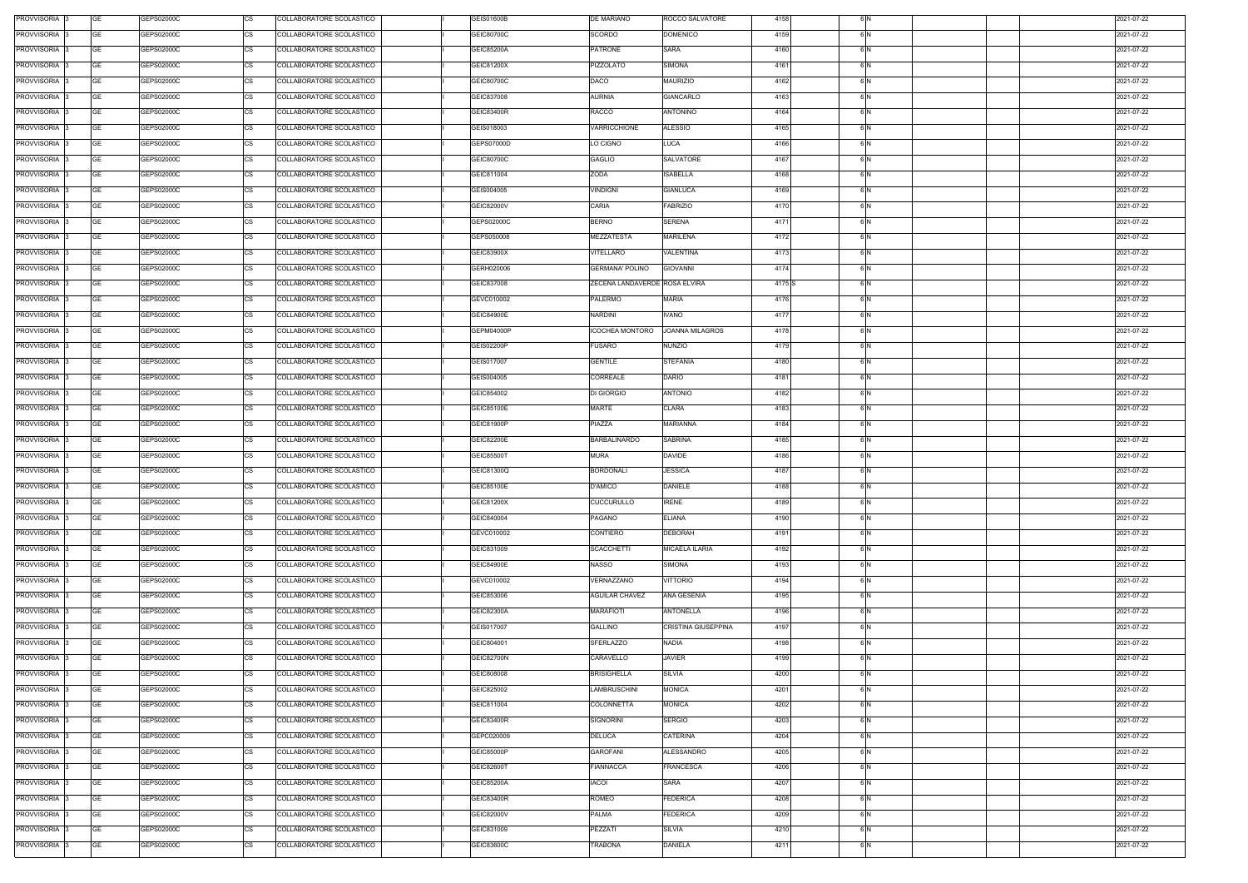| PROVVISORIA 3            | GE        | GEPS02000C | COLLABORATORE SCOLASTICO<br>CS        | GEIS01600B        | DE MARIANO                    | ROCCO SALVATORE     | 4158   | 6 N |  | 2021-07-22 |
|--------------------------|-----------|------------|---------------------------------------|-------------------|-------------------------------|---------------------|--------|-----|--|------------|
| PROVVISORIA 3            | GE        | GEPS02000C | <b>CS</b><br>COLLABORATORE SCOLASTICO | GEIC80700C        | SCORDO                        | <b>DOMENICO</b>     | 4159   | 6 N |  | 2021-07-22 |
| PROVVISORIA 3            | GE        | GEPS02000C | <b>CS</b><br>COLLABORATORE SCOLASTICO | GEIC85200A        | PATRONE                       | SARA                | 4160   | 6 N |  | 2021-07-22 |
| PROVVISORIA 3            | GE        | GEPS02000C | <b>CS</b><br>COLLABORATORE SCOLASTICO | GEIC81200X        | PIZZOLATO                     | SIMONA              | 4161   | 6N  |  | 2021-07-22 |
| PROVVISORIA 3            | <b>GE</b> | GEPS02000C | <b>CS</b><br>COLLABORATORE SCOLASTICO | GEIC80700C        | DACO                          | <b>MAURIZIO</b>     | 4162   | 6 N |  | 2021-07-22 |
| PROVVISORIA 3            | <b>GE</b> | GEPS02000C | <b>CS</b><br>COLLABORATORE SCOLASTICO | GEIC837008        | <b>AURNIA</b>                 | <b>GIANCARLO</b>    | 4163   | 6 N |  | 2021-07-22 |
| PROVVISORIA 3            | <b>GE</b> | GEPS02000C | <b>CS</b><br>COLLABORATORE SCOLASTICO | GEIC83400R        | <b>RACCO</b>                  | ANTONINO            | 4164   | 6 N |  | 2021-07-22 |
|                          |           |            |                                       |                   |                               |                     |        |     |  |            |
| PROVVISORIA 3            | GE        | GEPS02000C | <b>CS</b><br>COLLABORATORE SCOLASTICO | GEIS018003        | VARRICCHIONE                  | ALESSIO             | 4165   | 6 N |  | 2021-07-22 |
| PROVVISORIA 3            | <b>GE</b> | GEPS02000C | <b>CS</b><br>COLLABORATORE SCOLASTICO | GEPS07000D        | LO CIGNO                      | LUCA                | 4166   | 6 N |  | 2021-07-22 |
| PROVVISORIA 3            | <b>GE</b> | GEPS02000C | <b>CS</b><br>COLLABORATORE SCOLASTICO | GEIC80700C        | <b>GAGLIO</b>                 | <b>SALVATORE</b>    | 4167   | 6 N |  | 2021-07-22 |
| PROVVISORIA 3            | <b>GE</b> | GEPS02000C | <b>CS</b><br>COLLABORATORE SCOLASTICO | GEIC811004        | ZODA                          | <b>ISABELLA</b>     | 4168   | 6 N |  | 2021-07-22 |
| PROVVISORIA 3            | <b>GE</b> | GEPS02000C | CS<br>COLLABORATORE SCOLASTICO        | GEIS004005        | Vindigni                      | <b>GIANLUCA</b>     | 4169   | 6 N |  | 2021-07-22 |
| PROVVISORIA 3            | <b>GE</b> | GEPS02000C | <b>CS</b><br>COLLABORATORE SCOLASTICO | GEIC82000V        | <b>CARIA</b>                  | <b>FABRIZIO</b>     | 4170   | 6 N |  | 2021-07-22 |
| PROVVISORIA 3            | <b>GE</b> | GEPS02000C | <b>CS</b><br>COLLABORATORE SCOLASTICO | GEPS02000C        | <b>BERNO</b>                  | SERENA              | 4171   | 6 N |  | 2021-07-22 |
| PROVVISORIA 3            | <b>GE</b> | GEPS02000C | <b>CS</b><br>COLLABORATORE SCOLASTICO | GEPS050008        | MEZZATESTA                    | MARILENA            | 4172   | 6 N |  | 2021-07-22 |
| PROVVISORIA 3            | <b>GE</b> | GEPS02000C | <b>CS</b><br>COLLABORATORE SCOLASTICO | GEIC83900X        | VITELLARO                     | VALENTINA           | 4173   | 6 N |  | 2021-07-22 |
| PROVVISORIA 3            | <b>GE</b> | GEPS02000C | <b>CS</b><br>COLLABORATORE SCOLASTICO | GERH020006        | <b>GERMANA' POLINO</b>        | <b>GIOVANNI</b>     | 4174   | 6N  |  | 2021-07-22 |
| PROVVISORIA 3            | <b>GE</b> | GEPS02000C | <b>CS</b><br>COLLABORATORE SCOLASTICO | GEIC837008        | ZECEÑA LANDAVERDE ROSA ELVIRA |                     | 4175 S | 6 N |  | 2021-07-22 |
| PROVVISORIA 3            | <b>GE</b> | GEPS02000C | <b>CS</b><br>COLLABORATORE SCOLASTICO | GEVC010002        | PALERMO                       | <b>MARIA</b>        | 4176   | 6 N |  | 2021-07-22 |
| PROVVISORIA 3            | GE        | GEPS02000C | <b>CS</b><br>COLLABORATORE SCOLASTICO | GEIC84900E        | NARDINI                       | IVANO               | 4177   | 6 N |  | 2021-07-22 |
| PROVVISORIA 3            | GE        | GEPS02000C | <b>CS</b><br>COLLABORATORE SCOLASTICO | GEPM04000P        | ICOCHEA MONTORO               | JOANNA MILAGROS     | 4178   | 6 N |  | 2021-07-22 |
| PROVVISORIA 3            | <b>GE</b> | GEPS02000C | <b>CS</b><br>COLLABORATORE SCOLASTICO | GEIS02200P        | FUSARO                        | <b>NUNZIO</b>       | 4179   | 6 N |  | 2021-07-22 |
| PROVVISORIA 3            | <b>GE</b> | GEPS02000C | <b>CS</b><br>COLLABORATORE SCOLASTICO | GEIS017007        | GENTILE                       | <b>STEFANIA</b>     | 4180   | 6 N |  | 2021-07-22 |
|                          |           |            |                                       |                   |                               |                     |        |     |  |            |
| PROVVISORIA 3            | <b>GE</b> | GEPS02000C | <b>CS</b><br>COLLABORATORE SCOLASTICO | GEIS004005        | CORREALE                      | <b>DARIO</b>        | 4181   | 6 N |  | 2021-07-22 |
| PROVVISORIA 3            | <b>GE</b> | GEPS02000C | <b>CS</b><br>COLLABORATORE SCOLASTICO | GEIC854002        | DI GIORGIO                    | ANTONIO             | 4182   | 6 N |  | 2021-07-22 |
| PROVVISORIA 3            | GE        | GEPS02000C | <b>CS</b><br>COLLABORATORE SCOLASTICO | GEIC85100E        | MARTE                         | CLARA               | 4183   | 6 N |  | 2021-07-22 |
| PROVVISORIA 3            | GE        | GEPS02000C | <b>CS</b><br>COLLABORATORE SCOLASTICO | GEIC81900P        | PIAZZA                        | <b>MARIANNA</b>     | 4184   | 6 N |  | 2021-07-22 |
| PROVVISORIA 3            | <b>GE</b> | GEPS02000C | <b>CS</b><br>COLLABORATORE SCOLASTICO | GEIC82200E        | <b>BARBALINARDO</b>           | <b>SABRINA</b>      | 4185   | 6 N |  | 2021-07-22 |
| PROVVISORIA 3            | GE        | GEPS02000C | <b>CS</b><br>COLLABORATORE SCOLASTICO | <b>GEIC85500T</b> | <b>MURA</b>                   | <b>DAVIDE</b>       | 4186   | 6 N |  | 2021-07-22 |
| PROVVISORIA 3            | <b>GE</b> | GEPS02000C | <b>CS</b><br>COLLABORATORE SCOLASTICO | GEIC81300Q        | <b>BORDONALI</b>              | <b>JESSICA</b>      | 4187   | 6N  |  | 2021-07-22 |
| PROVVISORIA 3            | GE        | GEPS02000C | <b>CS</b><br>COLLABORATORE SCOLASTICO | GEIC85100E        | <b>D'AMICO</b>                | <b>DANIELE</b>      | 4188   | 6 N |  | 2021-07-22 |
| PROVVISORIA 3            | <b>GE</b> | GEPS02000C | <b>CS</b><br>COLLABORATORE SCOLASTICO | GEIC81200X        | <b>CUCCURULLO</b>             | <b>IRENE</b>        | 4189   | 6 N |  | 2021-07-22 |
| PROVVISORIA 3            | GE        | GEPS02000C | <b>CS</b><br>COLLABORATORE SCOLASTICO | GEIC840004        | PAGANO                        | <b>ELIANA</b>       | 4190   | 6 N |  | 2021-07-22 |
| PROVVISORIA <sub>3</sub> | GE        | GEPS02000C | <b>CS</b><br>COLLABORATORE SCOLASTICO | GEVC010002        | CONTIERO                      | <b>DEBORAH</b>      | 4191   | 6 N |  | 2021-07-22 |
| PROVVISORIA 3            | <b>GE</b> | GEPS02000C | <b>CS</b><br>COLLABORATORE SCOLASTICO | GEIC831009        | <b>SCACCHETTI</b>             | MICAELA ILARIA      | 4192   | 6 N |  | 2021-07-22 |
| PROVVISORIA 3            | <b>GE</b> | GEPS02000C | <b>CS</b><br>COLLABORATORE SCOLASTICO | GEIC84900E        | <b>NASSO</b>                  | SIMONA              | 4193   | 6 N |  | 2021-07-22 |
| PROVVISORIA 3            | <b>GE</b> | GEPS02000C | <b>CS</b><br>COLLABORATORE SCOLASTICO | GEVC010002        | VERNAZZANO                    | VITTORIO            | 4194   | 6 N |  | 2021-07-22 |
| PROVVISORIA 3            | <b>GE</b> | GEPS02000C | <b>CS</b><br>COLLABORATORE SCOLASTICO | GEIC853006        | <b>AGUILAR CHAVEZ</b>         | ANA GESENIA         | 4195   | 6 N |  | 2021-07-22 |
| PROVVISORIA 3            | <b>GE</b> | GEPS02000C | CS<br>COLLABORATORE SCOLASTICO        | GEIC82300A        | MARAFIOTI                     | ANTONELLA           | 4196   | 6 N |  | 2021-07-22 |
| PROVVISORIA 3            | <b>GE</b> | GEPS02000C | <b>CS</b><br>COLLABORATORE SCOLASTICO | GEIS017007        | GALLINO                       | CRISTINA GIUSEPPINA | 4197   | 6 N |  | 2021-07-22 |
| PROVVISORIA 3            | <b>GE</b> | GEPS02000C | <b>CS</b><br>COLLABORATORE SCOLASTICO | GEIC804001        | SFERLAZZO                     | <b>NADIA</b>        | 4198   | 6 N |  | 2021-07-22 |
|                          |           |            | <b>CS</b>                             |                   |                               |                     |        | 6 N |  | 2021-07-22 |
| PROVVISORIA 3            | <b>GE</b> | GEPS02000C | COLLABORATORE SCOLASTICO              | <b>GEIC82700N</b> | CARAVELLO                     | <b>JAVIER</b>       | 4199   |     |  |            |
| PROVVISORIA 3            | <b>GE</b> | GEPS02000C | <b>CS</b><br>COLLABORATORE SCOLASTICO | GEIC808008        | <b>BRISIGHELLA</b>            | <b>SILVIA</b>       | 4200   | 6 N |  | 2021-07-22 |
| PROVVISORIA 3            | <b>GE</b> | GEPS02000C | <b>CS</b><br>COLLABORATORE SCOLASTICO | GEIC825002        | LAMBRUSCHINI                  | <b>MONICA</b>       | 4201   | 6 N |  | 2021-07-22 |
| PROVVISORIA 3            | <b>GE</b> | GEPS02000C | CS<br>COLLABORATORE SCOLASTICO        | GEIC811004        | COLONNETTA                    | MONICA              | 4202   | 6 N |  | 2021-07-22 |
| PROVVISORIA 3            | <b>GE</b> | GEPS02000C | <b>CS</b><br>COLLABORATORE SCOLASTICO | GEIC83400R        | <b>SIGNORINI</b>              | <b>SERGIO</b>       | 4203   | 6 N |  | 2021-07-22 |
| PROVVISORIA 3            | GE        | GEPS02000C | СS<br>COLLABORATORE SCOLASTICO        | GEPC020009        | <b>DELUCA</b>                 | CATERINA            | 4204   | 6 N |  | 2021-07-22 |
| PROVVISORIA 3            | <b>GE</b> | GEPS02000C | <b>CS</b><br>COLLABORATORE SCOLASTICO | GEIC85000P        | <b>GAROFANI</b>               | ALESSANDRO          | 4205   | 6 N |  | 2021-07-22 |
| PROVVISORIA 3            | <b>GE</b> | GEPS02000C | <b>CS</b><br>COLLABORATORE SCOLASTICO | GEIC82600T        | FIANNACCA                     | <b>FRANCESCA</b>    | 4206   | 6 N |  | 2021-07-22 |
| PROVVISORIA 3            | <b>GE</b> | GEPS02000C | <b>CS</b><br>COLLABORATORE SCOLASTICO | GEIC85200A        | <b>IACOI</b>                  | SARA                | 4207   | 6 N |  | 2021-07-22 |
| PROVVISORIA 3            | <b>GE</b> | GEPS02000C | <b>CS</b><br>COLLABORATORE SCOLASTICO | <b>GEIC83400R</b> | ROMEO                         | FEDERICA            | 4208   | 6 N |  | 2021-07-22 |
| PROVVISORIA 3            | GE        | GEPS02000C | <b>CS</b><br>COLLABORATORE SCOLASTICO | GEIC82000V        | PALMA                         | <b>FEDERICA</b>     | 4209   | 6 N |  | 2021-07-22 |
| PROVVISORIA 3            | <b>GE</b> | GEPS02000C | <b>CS</b><br>COLLABORATORE SCOLASTICO | GEIC831009        | PEZZATI                       | SILVIA              | 4210   | 6 N |  | 2021-07-22 |
| PROVVISORIA 3            | GE        | GEPS02000C | <b>CS</b><br>COLLABORATORE SCOLASTICO | GEIC83600C        | TRABONA                       | DANIELA             | 4211   | 6 N |  | 2021-07-22 |
|                          |           |            |                                       |                   |                               |                     |        |     |  |            |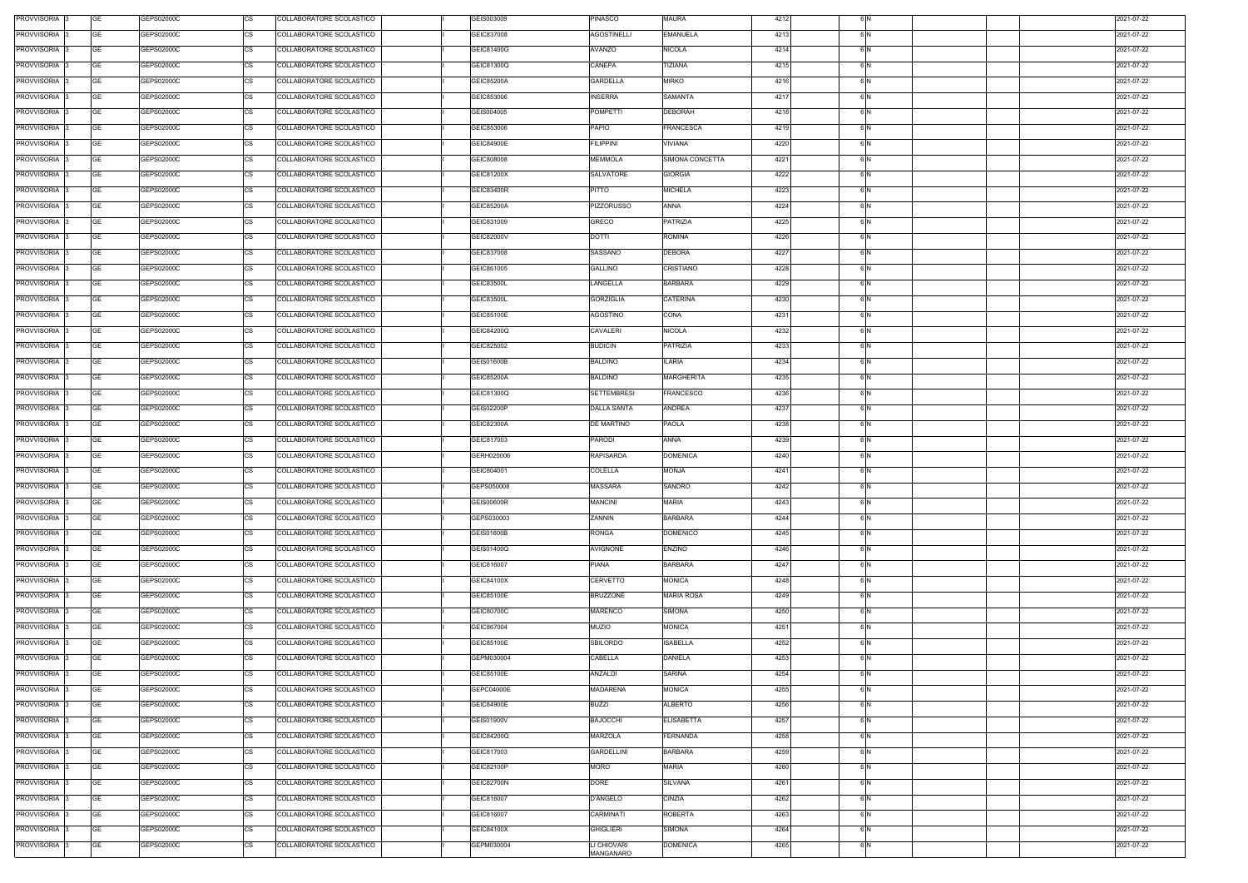| PROVVISORIA 3 | GE        | GEPS02000C | COLLABORATORE SCOLASTICO<br>CS        | GEIS003009        | PINASCO                  | <b>MAURA</b>      | 4212 | 6 N |  | 2021-07-22 |
|---------------|-----------|------------|---------------------------------------|-------------------|--------------------------|-------------------|------|-----|--|------------|
| PROVVISORIA 3 | GE        | GEPS02000C | <b>CS</b><br>COLLABORATORE SCOLASTICO | GEIC837008        | <b>AGOSTINELLI</b>       | <b>EMANUELA</b>   | 4213 | 6 N |  | 2021-07-22 |
| PROVVISORIA 3 | GE        | GEPS02000C | <b>CS</b><br>COLLABORATORE SCOLASTICO | GEIC81400G        | AVANZO                   | <b>NICOLA</b>     | 4214 | 6 N |  | 2021-07-22 |
| PROVVISORIA 3 | GE        | GEPS02000C | <b>CS</b><br>COLLABORATORE SCOLASTICO | GEIC81300Q        | CANEPA                   | TIZIANA           | 4215 | 6N  |  | 2021-07-22 |
| PROVVISORIA 3 | <b>GE</b> | GEPS02000C | <b>CS</b><br>COLLABORATORE SCOLASTICO | GEIC85200A        | <b>GARDELLA</b>          | <b>MIRKO</b>      | 4216 | 6 N |  | 2021-07-22 |
| PROVVISORIA 3 | GE        | GEPS02000C | <b>CS</b><br>COLLABORATORE SCOLASTICO | GEIC853006        | INSERRA                  | SAMANTA           | 4217 | 6 N |  | 2021-07-22 |
| PROVVISORIA 3 | <b>GE</b> | GEPS02000C | <b>CS</b><br>COLLABORATORE SCOLASTICO | GEIS004005        | <b>POMPETTI</b>          | <b>DEBORAH</b>    | 4218 | 6 N |  | 2021-07-22 |
| PROVVISORIA 3 | GE        | GEPS02000C | <b>CS</b><br>COLLABORATORE SCOLASTICO | GEIC853006        | <b>PAPIO</b>             | <b>FRANCESCA</b>  | 4219 | 6 N |  | 2021-07-22 |
| PROVVISORIA 3 | <b>GE</b> | GEPS02000C | <b>CS</b><br>COLLABORATORE SCOLASTICO | <b>GEIC84900E</b> | <b>FILIPPINI</b>         | VIVIANA           | 4220 | 6 N |  | 2021-07-22 |
|               |           |            |                                       |                   |                          |                   |      |     |  |            |
| PROVVISORIA 3 | <b>GE</b> | GEPS02000C | <b>CS</b><br>COLLABORATORE SCOLASTICO | GEIC808008        | <b>MEMMOLA</b>           | SIMONA CONCETTA   | 4221 | 6 N |  | 2021-07-22 |
| PROVVISORIA 3 | <b>GE</b> | GEPS02000C | <b>CS</b><br>COLLABORATORE SCOLASTICO | GEIC81200X        | <b>SALVATORE</b>         | <b>GIORGIA</b>    | 4222 | 6 N |  | 2021-07-22 |
| PROVVISORIA 3 | <b>GE</b> | GEPS02000C | CS<br>COLLABORATORE SCOLASTICO        | <b>GEIC83400R</b> | PITTO                    | <b>MICHELA</b>    | 4223 | 6 N |  | 2021-07-22 |
| PROVVISORIA 3 | <b>GE</b> | GEPS02000C | <b>CS</b><br>COLLABORATORE SCOLASTICO | GEIC85200A        | <b>PIZZORUSSO</b>        | ANNA              | 4224 | 6 N |  | 2021-07-22 |
| PROVVISORIA 3 | <b>GE</b> | GEPS02000C | <b>CS</b><br>COLLABORATORE SCOLASTICO | GEIC831009        | GRECO                    | PATRIZIA          | 4225 | 6 N |  | 2021-07-22 |
| PROVVISORIA 3 | <b>GE</b> | GEPS02000C | <b>CS</b><br>COLLABORATORE SCOLASTICO | GEIC82000V        | <b>DOTTI</b>             | ROMINA            | 4226 | 6 N |  | 2021-07-22 |
| PROVVISORIA 3 | <b>GE</b> | GEPS02000C | <b>CS</b><br>COLLABORATORE SCOLASTICO | GEIC837008        | SASSANO                  | <b>DEBORA</b>     | 4227 | 6 N |  | 2021-07-22 |
| PROVVISORIA 3 | <b>GE</b> | GEPS02000C | <b>CS</b><br>COLLABORATORE SCOLASTICO | GEIC861005        | <b>GALLINO</b>           | <b>CRISTIANO</b>  | 4228 | 6N  |  | 2021-07-22 |
| PROVVISORIA 3 | <b>GE</b> | GEPS02000C | <b>CS</b><br>COLLABORATORE SCOLASTICO | GEIC83500L        | LANGELLA                 | <b>BARBARA</b>    | 4229 | 6 N |  | 2021-07-22 |
| PROVVISORIA 3 | <b>GE</b> | GEPS02000C | <b>CS</b><br>COLLABORATORE SCOLASTICO | GEIC83500L        | <b>GORZIGLIA</b>         | CATERINA          | 4230 | 6 N |  | 2021-07-22 |
| PROVVISORIA 3 | GE        | GEPS02000C | <b>CS</b><br>COLLABORATORE SCOLASTICO | GEIC85100E        | AGOSTINO                 | CONA              | 4231 | 6 N |  | 2021-07-22 |
| PROVVISORIA 3 | GE        | GEPS02000C | <b>CS</b><br>COLLABORATORE SCOLASTICO | GEIC84200Q        | CAVALERI                 | <b>NICOLA</b>     | 4232 | 6 N |  | 2021-07-22 |
| PROVVISORIA 3 | <b>GE</b> | GEPS02000C | <b>CS</b><br>COLLABORATORE SCOLASTICO | GEIC825002        | <b>BUDICIN</b>           | <b>PATRIZIA</b>   | 4233 | 6 N |  | 2021-07-22 |
| PROVVISORIA 3 | <b>GE</b> | GEPS02000C | <b>CS</b><br>COLLABORATORE SCOLASTICO | GEIS01600B        | <b>BALDINO</b>           | <b>ILARIA</b>     | 4234 | 6 N |  | 2021-07-22 |
| PROVVISORIA 3 | <b>GE</b> | GEPS02000C | <b>CS</b><br>COLLABORATORE SCOLASTICO | GEIC85200A        | <b>BALDINO</b>           | <b>MARGHERITA</b> | 4235 | 6 N |  | 2021-07-22 |
| PROVVISORIA 3 | <b>GE</b> | GEPS02000C | <b>CS</b><br>COLLABORATORE SCOLASTICO | GEIC81300Q        | <b>SETTEMBRESI</b>       | FRANCESCO         | 4236 | 6 N |  | 2021-07-22 |
| PROVVISORIA 3 | <b>GE</b> | GEPS02000C | <b>CS</b><br>COLLABORATORE SCOLASTICO | GEIS02200P        | DALLA SANTA              | ANDREA            | 4237 | 6 N |  | 2021-07-22 |
| PROVVISORIA 3 | GE        | GEPS02000C | <b>CS</b><br>COLLABORATORE SCOLASTICO | GEIC82300A        | DE MARTINO               | PAOLA             | 4238 | 6 N |  | 2021-07-22 |
| PROVVISORIA 3 | <b>GE</b> | GEPS02000C | <b>CS</b><br>COLLABORATORE SCOLASTICO | GEIC817003        | PARODI                   | ANNA              | 4239 | 6 N |  | 2021-07-22 |
| PROVVISORIA 3 | GE        | GEPS02000C | <b>CS</b><br>COLLABORATORE SCOLASTICO | GERH020006        | <b>RAPISARDA</b>         | <b>DOMENICA</b>   | 4240 | 6 N |  | 2021-07-22 |
| PROVVISORIA 3 | <b>GE</b> | GEPS02000C | <b>CS</b><br>COLLABORATORE SCOLASTICO | GEIC804001        | COLELLA                  | <b>MONJA</b>      | 4241 | 6 N |  | 2021-07-22 |
| PROVVISORIA 3 | GE        | GEPS02000C | <b>CS</b><br>COLLABORATORE SCOLASTICO | GEPS050008        | <b>MASSARA</b>           | SANDRO            | 4242 | 6 N |  | 2021-07-22 |
| PROVVISORIA 3 | <b>GE</b> | GEPS02000C | <b>CS</b><br>COLLABORATORE SCOLASTICO | <b>GEIS00600R</b> | <b>MANCINI</b>           | <b>MARIA</b>      | 4243 | 6 N |  | 2021-07-22 |
| PROVVISORIA 3 | GE        | GEPS02000C | <b>CS</b><br>COLLABORATORE SCOLASTICO | GEPS030003        | ZANNIN                   | <b>BARBARA</b>    | 4244 | 6 N |  | 2021-07-22 |
| PROVVISORIA 3 | GE        | GEPS02000C | <b>CS</b><br>COLLABORATORE SCOLASTICO | GEIS01600B        | <b>RONGA</b>             | <b>DOMENICO</b>   | 4245 | 6 N |  | 2021-07-22 |
| PROVVISORIA 3 | <b>GE</b> | GEPS02000C | <b>CS</b><br>COLLABORATORE SCOLASTICO | GEIS01400Q        | <b>AVIGNONE</b>          | <b>ENZINO</b>     | 4246 | 6 N |  | 2021-07-22 |
| PROVVISORIA 3 | <b>GE</b> | GEPS02000C | <b>CS</b><br>COLLABORATORE SCOLASTICO | GEIC816007        | <b>PIANA</b>             | <b>BARBARA</b>    | 4247 | 6 N |  | 2021-07-22 |
| PROVVISORIA 3 | <b>GE</b> | GEPS02000C | <b>CS</b><br>COLLABORATORE SCOLASTICO | GEIC84100X        | CERVETTO                 | <b>MONICA</b>     | 4248 | 6 N |  | 2021-07-22 |
| PROVVISORIA 3 | <b>GE</b> | GEPS02000C | <b>CS</b><br>COLLABORATORE SCOLASTICO | GEIC85100E        | <b>BRUZZONE</b>          | <b>MARIA ROSA</b> | 4249 | 6 N |  | 2021-07-22 |
| PROVVISORIA 3 | <b>GE</b> | GEPS02000C | CS<br>COLLABORATORE SCOLASTICO        | GEIC80700C        | <b>MARENCO</b>           | SIMONA            | 4250 | 6 N |  | 2021-07-22 |
| PROVVISORIA 3 | <b>GE</b> | GEPS02000C | <b>CS</b><br>COLLABORATORE SCOLASTICO | GEIC867004        | <b>MUZIO</b>             | <b>MONICA</b>     | 4251 | 6 N |  | 2021-07-22 |
| PROVVISORIA 3 | <b>GE</b> | GEPS02000C | <b>CS</b><br>COLLABORATORE SCOLASTICO | GEIC85100E        | <b>SBILORDO</b>          | <b>ISABELLA</b>   | 4252 | 6 N |  | 2021-07-22 |
| PROVVISORIA 3 | <b>GE</b> | GEPS02000C | <b>CS</b><br>COLLABORATORE SCOLASTICO | GEPM030004        | CABELLA                  | <b>DANIELA</b>    | 4253 | 6 N |  | 2021-07-22 |
| PROVVISORIA 3 | <b>GE</b> | GEPS02000C | <b>CS</b><br>COLLABORATORE SCOLASTICO | GEIC85100E        | ANZALDI                  | SARINA            | 4254 | 6 N |  | 2021-07-22 |
| PROVVISORIA 3 | <b>GE</b> | GEPS02000C | <b>CS</b><br>COLLABORATORE SCOLASTICO | GEPC04000E        | <b>MADARENA</b>          | <b>MONICA</b>     | 4255 | 6 N |  | 2021-07-22 |
| PROVVISORIA 3 | <b>GE</b> | GEPS02000C | CS<br>COLLABORATORE SCOLASTICO        | GEIC84900E        | <b>BUZZI</b>             | ALBERTO           | 4256 | 6 N |  | 2021-07-22 |
| PROVVISORIA 3 | <b>GE</b> | GEPS02000C | <b>CS</b><br>COLLABORATORE SCOLASTICO | GEIS01900V        | <b>BAJOCCHI</b>          | <b>ELISABETTA</b> | 4257 | 6 N |  | 2021-07-22 |
| PROVVISORIA 3 | GE        | GEPS02000C | СS<br>COLLABORATORE SCOLASTICO        | GEIC84200Q        | MARZOLA                  | <b>FERNANDA</b>   | 4258 | 6 N |  | 2021-07-22 |
| PROVVISORIA 3 | <b>GE</b> | GEPS02000C | <b>CS</b><br>COLLABORATORE SCOLASTICO | GEIC817003        | <b>GARDELLINI</b>        | <b>BARBARA</b>    | 4259 | 6 N |  | 2021-07-22 |
| PROVVISORIA 3 | <b>GE</b> | GEPS02000C | <b>CS</b><br>COLLABORATORE SCOLASTICO | GEIC82100P        | <b>MORO</b>              | MARIA             | 4260 | 6 N |  | 2021-07-22 |
|               |           |            |                                       |                   |                          |                   |      |     |  |            |
| PROVVISORIA 3 | <b>GE</b> | GEPS02000C | <b>CS</b><br>COLLABORATORE SCOLASTICO | <b>GEIC82700N</b> | <b>DORE</b>              | SILVANA           | 4261 | 6 N |  | 2021-07-22 |
| PROVVISORIA 3 | <b>GE</b> | GEPS02000C | CS<br>COLLABORATORE SCOLASTICO        | GEIC816007        | D'ANGELO                 | CINZIA            | 4262 | 6 N |  | 2021-07-22 |
| PROVVISORIA 3 | GE        | GEPS02000C | <b>CS</b><br>COLLABORATORE SCOLASTICO | GEIC816007        | CARMINATI                | ROBERTA           | 4263 | 6 N |  | 2021-07-22 |
| PROVVISORIA 3 | <b>GE</b> | GEPS02000C | <b>CS</b><br>COLLABORATORE SCOLASTICO | GEIC84100X        | <b>GHIGLIERI</b>         | SIMONA            | 4264 | 6 N |  | 2021-07-22 |
| PROVVISORIA 3 | GE        | GEPS02000C | <b>CS</b><br>COLLABORATORE SCOLASTICO | GEPM030004        | LI CHIOVARI<br>MANGANARO | <b>DOMENICA</b>   | 4265 | 6 N |  | 2021-07-22 |